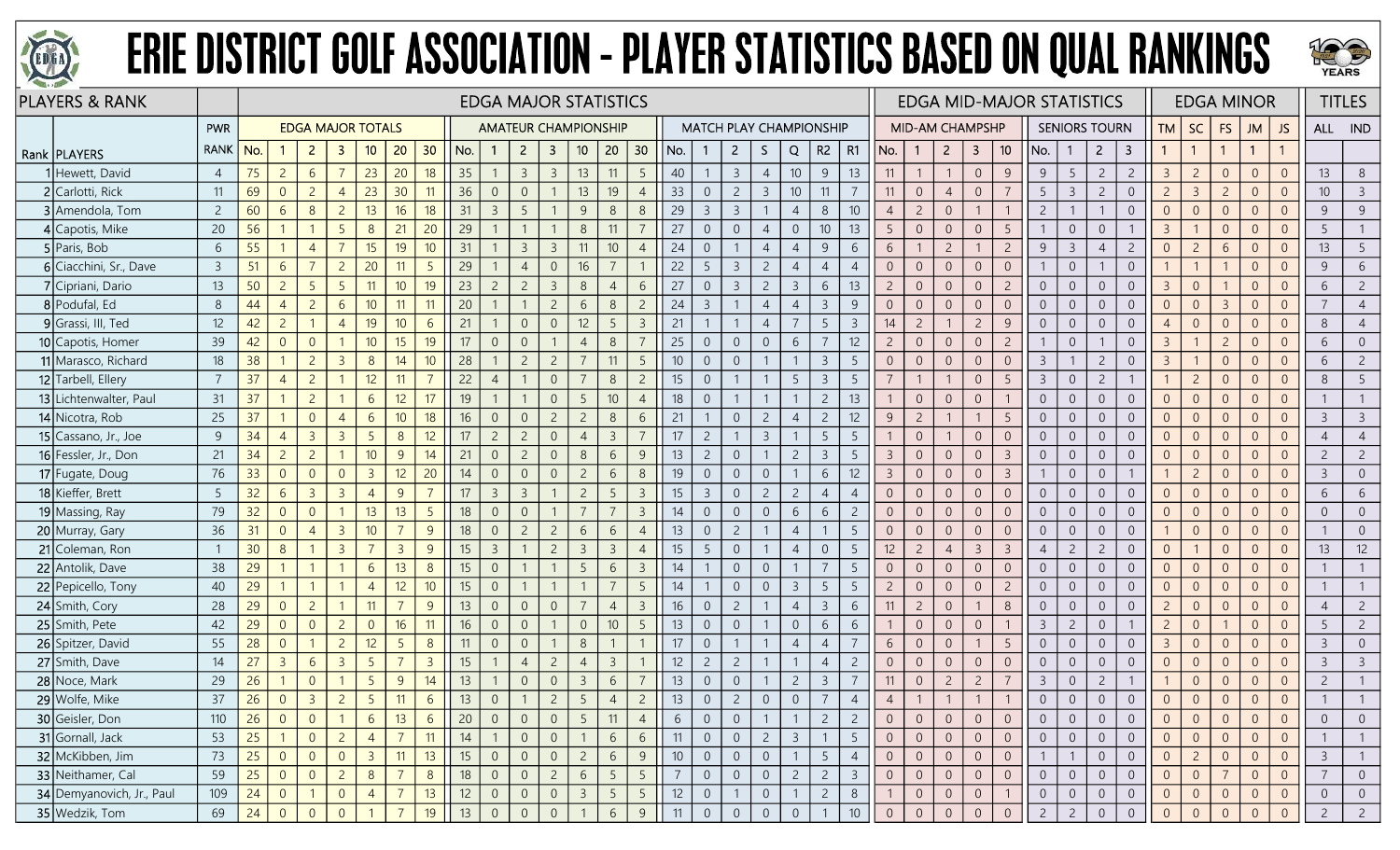



| <b>PLAYERS &amp; RANK</b>    |                |                 |                |                |                |                          |                 |                 | <b>EDGA MAJOR STATISTICS</b> |                |                             |                |                |                 |                 |                 |                                |                |                |                  |                 |                 |                 |                |                 |                | <b>EDGA MID-MAJOR STATISTICS</b> |                 |                |                |                      |                |                | <b>EDGA MINOR</b> |                |                | <b>TITLES</b>  |                |                |
|------------------------------|----------------|-----------------|----------------|----------------|----------------|--------------------------|-----------------|-----------------|------------------------------|----------------|-----------------------------|----------------|----------------|-----------------|-----------------|-----------------|--------------------------------|----------------|----------------|------------------|-----------------|-----------------|-----------------|----------------|-----------------|----------------|----------------------------------|-----------------|----------------|----------------|----------------------|----------------|----------------|-------------------|----------------|----------------|----------------|----------------|----------------|
|                              | PWR            |                 |                |                |                | <b>EDGA MAJOR TOTALS</b> |                 |                 |                              |                | <b>AMATEUR CHAMPIONSHIP</b> |                |                |                 |                 |                 | <b>MATCH PLAY CHAMPIONSHIP</b> |                |                |                  |                 |                 |                 |                | MID-AM CHAMPSHP |                |                                  |                 |                |                | <b>SENIORS TOURN</b> |                | <b>TM</b>      | <b>SC</b>         | FS             | <b>JM</b>      | JS             | ALL IND        |                |
| Rank   PLAYERS               | <b>RANK</b>    | No.             |                | $\overline{2}$ | 3              | 10                       | 20              | 30              | No.                          |                | $\overline{2}$              | $\mathbf{3}$   | 10             | 20              | 30              | No.             |                                | $\overline{2}$ | S.             |                  | Q               | R2              | R1              | No.            | -1              | $2^{\circ}$    | 3                                | 10 <sup>°</sup> | No.            | -1             | $\overline{2}$       | 3              |                | $\overline{1}$    |                | $\mathbf{1}$   |                |                |                |
| 1 Hewett, David              | $\overline{4}$ | 75              | $\overline{2}$ | 6              |                | 23                       | 20 <sup>°</sup> | 18              | 35                           |                | $\overline{3}$              | $\overline{3}$ | 13             | 11              | 5               | 40              |                                | $\overline{3}$ |                | $\overline{4}$   | 10 <sup>°</sup> | 9               | 13              | 11             |                 |                | $\overline{0}$                   | 9               | 9              | 5              | $\overline{c}$       | $\overline{2}$ | $\overline{3}$ | $\overline{2}$    | $\overline{0}$ | $\Omega$       | $\Omega$       | 13             | 8              |
| 2 Carlotti, Rick             | 11             | 69              | $\overline{0}$ | $\overline{2}$ | $\overline{4}$ | 23                       | 30              | 11              | 36                           | $\overline{0}$ | $\overline{0}$              |                | 13             | 19              | $\overline{4}$  | 33              | $\overline{0}$                 | $\overline{c}$ |                | $\overline{3}$   | $10$            | 11              |                 | 11             | $\overline{0}$  | $\overline{4}$ | $\overline{0}$                   | $\overline{7}$  | 5              | $\overline{3}$ | $\overline{c}$       | $\overline{0}$ | $\overline{c}$ | $\overline{3}$    | $\overline{c}$ | $\overline{0}$ | $\Omega$       | 10             | $\overline{3}$ |
| 3 Amendola, Tom              | $\overline{2}$ | 60              | 6              | 8              | $\overline{2}$ | 13                       | 16              | 18              | 31                           | $\overline{3}$ |                             |                | 9              | 8               | 8               | 29              | $\overline{3}$                 | $\overline{3}$ |                |                  | $\overline{4}$  | 8               | 10 <sup>°</sup> | $\overline{4}$ | $\overline{c}$  | $\overline{0}$ |                                  |                 | $\overline{c}$ |                |                      | $\overline{0}$ | $\overline{0}$ | $\overline{0}$    | $\overline{0}$ | $\Omega$       |                | 9              | 9              |
| 4 Capotis, Mike              | 20             | 56              |                |                | -5             | 8                        | 21              | 20              | 29                           |                |                             |                | 8              | 11              |                 | 27              | $\overline{0}$                 |                | $\overline{0}$ | $\overline{4}$   | $\overline{0}$  | 10 <sup>°</sup> | 13              | 5              | $\overline{0}$  | $\overline{0}$ | $\overline{0}$                   | 5               |                | $\overline{0}$ | $\overline{0}$       |                | $\overline{3}$ |                   | $\Omega$       | $\overline{0}$ |                | 5              |                |
| 5 Paris, Bob                 | 6              | 55              |                | $\overline{4}$ |                | 15                       | 19              | 10              | 31                           |                | $\overline{3}$              | $\overline{3}$ | 11             | 10 <sup>°</sup> | $\overline{4}$  | 24              | $\overline{0}$                 |                |                | $\overline{4}$   | $\overline{4}$  | 9               | 6               | 6              |                 | $\overline{2}$ |                                  | $\overline{2}$  | 9              | $\overline{3}$ | $\overline{4}$       | $\overline{2}$ | $\overline{0}$ | $\overline{2}$    | 6              | $\Omega$       | $\overline{0}$ | 13             | 5              |
| 6 Ciacchini, Sr., Dave       | $\overline{3}$ | 51              | 6              | $\overline{7}$ | $\overline{c}$ | 20                       | 11              | $5\overline{5}$ | 29                           |                | $\overline{4}$              | $\Omega$       | 16             | $\overline{7}$  |                 | 22              | 5                              | $\overline{3}$ |                | $\overline{2}$   | $\overline{4}$  | $\overline{4}$  | $\overline{4}$  | $\overline{0}$ | $\overline{0}$  | $\overline{0}$ | $\overline{0}$                   | $\overline{0}$  |                | $\overline{0}$ |                      | $\overline{0}$ |                | $\mathbf{1}$      |                | $\Omega$       |                | 9              | 6              |
| 7 Cipriani, Dario            | 13             | 50              | $\overline{2}$ | 5              | -5             | 11                       | 10 <sup>°</sup> | 19              | 23                           | $\overline{2}$ | $\overline{2}$              | $\overline{3}$ | 8              | $\overline{4}$  | 6               | 27              | $\overline{0}$                 | $\overline{3}$ |                | $\overline{2}$   | $\overline{3}$  | 6               | 13              | $\overline{2}$ | $\overline{0}$  | $\overline{0}$ | $\overline{0}$                   | $\overline{c}$  | $\overline{0}$ | $\overline{0}$ | $\overline{0}$       | $\overline{0}$ | $\overline{3}$ | $\overline{0}$    |                | $\Omega$       | $\Omega$       | 6              | $\overline{2}$ |
| 8 Podufal, Ed                | 8              | 44              | $\overline{4}$ | $\overline{2}$ | 6              | 10 <sup>°</sup>          | 11              | 11              | 20                           |                |                             | $\overline{2}$ | 6              | 8               | $\overline{c}$  | 24              | 3                              |                | $\overline{4}$ |                  | $\overline{4}$  | $\overline{3}$  | 9               | $\overline{0}$ | $\overline{0}$  | $\overline{0}$ | $\overline{0}$                   | $\overline{0}$  | $\overline{0}$ | $\overline{0}$ | $\overline{0}$       | $\overline{0}$ | $\Omega$       | $\overline{0}$    | $\overline{3}$ | $\Omega$       |                |                | $\overline{4}$ |
| 9 Grassi, III, Ted           | 12             | 42              | $\overline{c}$ |                | $\overline{4}$ | 19                       | 10 <sup>°</sup> | 6               | 21                           |                | $\Omega$                    | $\Omega$       | 12             | 5               | $\overline{3}$  | 21              |                                |                |                | $\overline{4}$   | $\overline{7}$  | 5               | $\overline{3}$  | 14             | $\overline{c}$  |                | $\overline{c}$                   | 9               | $\overline{0}$ | $\overline{0}$ | $\overline{0}$       | $\overline{0}$ | $\overline{4}$ | $\overline{0}$    | $\overline{0}$ | $\Omega$       | $\Omega$       | 8              | $\overline{4}$ |
| <b>10</b> Capotis, Homer     | 39             | 42              | $\Omega$       | $\overline{0}$ |                | 10                       | 15 <sup>2</sup> | 19              | 17                           | $\overline{0}$ |                             |                | $\overline{4}$ | 8               |                 | 25              | $\Omega$                       |                | $\overline{0}$ | $\overline{0}$   | 6               | 7               | 12              | $\overline{2}$ | $\overline{0}$  | $\overline{0}$ | $\overline{0}$                   | $\overline{2}$  |                | $\overline{0}$ |                      | $\overline{0}$ | $\overline{3}$ |                   | $\overline{c}$ | $\Omega$       |                | 6              | $\overline{0}$ |
| 11 Marasco, Richard          | 18             | 38              |                | $\overline{2}$ |                | 8                        | 14              | 10              | 28                           |                |                             |                |                | 11              | 5               | 10 <sup>°</sup> | $\overline{0}$                 | $\Omega$       |                |                  |                 | $\overline{3}$  |                 | $\overline{0}$ | $\Omega$        | $\Omega$       | $\overline{0}$                   | $\Omega$        | $\overline{3}$ |                | 2                    | $\overline{0}$ | $\overline{3}$ |                   | $\Omega$       | $\Omega$       |                | 6              |                |
| 12 Tarbell, Ellery           |                | 37              | $\overline{4}$ | $\overline{2}$ |                | 12                       | 11              | $\overline{7}$  | 22                           | $\overline{4}$ |                             | $\overline{0}$ |                | 8               | $\overline{2}$  | 15              | $\overline{0}$                 |                |                |                  | 5               | $\overline{3}$  | 5               | $\overline{7}$ |                 |                | $\overline{0}$                   | -5              | $\overline{3}$ | $\Omega$       | $\overline{2}$       |                |                | $\overline{2}$    | $\Omega$       | $\Omega$       | $\Omega$       | 8              | 5              |
| 13 Lichtenwalter, Paul       | 31             | 37              |                | $\overline{2}$ |                | 6                        | 12              | 17              | 19                           |                |                             | $\Omega$       | .5             | 10              | $\overline{4}$  | 18              | $\overline{0}$                 |                |                |                  |                 | $\overline{c}$  | 13              |                | $\overline{0}$  | $\overline{0}$ | $\sqrt{0}$                       |                 | $\overline{0}$ | $\overline{0}$ | $\overline{0}$       | $\overline{0}$ | $\overline{0}$ | $\overline{0}$    | $\overline{0}$ | $\Omega$       | $\Omega$       |                |                |
| 14 Nicotra, Rob              | 25             | 37              |                | $\overline{0}$ |                | 6                        | 10 <sup>°</sup> | 18              | 16                           | $\overline{0}$ |                             | $\overline{2}$ | $\overline{2}$ | 8               | 6               | 21              |                                | $\overline{0}$ |                | $\overline{2}$   | $\overline{4}$  | $\overline{2}$  | 12              | 9              | $\overline{c}$  |                |                                  | 5               | $\overline{0}$ | $\overline{0}$ | $\overline{0}$       | $\overline{0}$ | $\Omega$       | $\overline{0}$    | $\Omega$       | $\Omega$       |                | $\overline{3}$ | $\overline{3}$ |
| 15 $\vert$ Cassano, Jr., Joe | 9              | 34              | $\overline{4}$ | $\overline{3}$ | $\overline{3}$ | 5                        | 8               | 12              | 17                           | $\overline{c}$ | $\overline{2}$              | $\overline{0}$ | $\overline{4}$ | $\overline{3}$  |                 | 17              | $\overline{c}$                 |                |                | $\mathbf{3}$     |                 | 5               | -5              |                | $\overline{0}$  |                | $\overline{0}$                   | $\overline{0}$  | $\overline{0}$ | $\overline{0}$ | $\overline{0}$       | $\overline{0}$ | $\overline{0}$ | $\overline{0}$    | $\Omega$       | $\Omega$       |                | $\overline{4}$ |                |
| 16 Fessler, Jr., Don         | 21             | 34              | $\overline{2}$ | $\overline{2}$ |                | 10                       | 9               | 14              | 21                           | $\overline{0}$ | $\overline{2}$              | $\Omega$       | 8              | 6               | 9               | 13              | $\overline{2}$                 | $\overline{0}$ |                |                  | $\overline{2}$  | $\overline{3}$  | 5               | $\mathcal{E}$  | $\overline{0}$  | $\overline{0}$ | $\overline{0}$                   | $\overline{3}$  | $\overline{0}$ | $\overline{0}$ | $\overline{0}$       | $\overline{0}$ | $\overline{0}$ | $\overline{0}$    | $\overline{0}$ | $\overline{0}$ | $\Omega$       | $\overline{c}$ | $\overline{2}$ |
| 17 Fugate, Doug              | 76             | 33              | $\overline{0}$ | $\overline{0}$ | $\overline{0}$ | $\overline{3}$           | 12              | 20              | 14                           | $\overline{0}$ | $\overline{0}$              | $\overline{0}$ | $\overline{c}$ | 6               | 8               | 19              | $\overline{0}$                 | $\sqrt{0}$     |                | $\overline{0}$   |                 | 6               | 12              | $\overline{3}$ | $\overline{0}$  | $\overline{0}$ | $\,0\,$                          | $\overline{3}$  |                | $\overline{0}$ | $\overline{0}$       |                |                | $\overline{c}$    | $\theta$       | $\overline{0}$ | $\Omega$       | $\mathbf{3}$   | $\overline{0}$ |
| 18 Kieffer, Brett            | 5              | 32              | 6              | $\mathbf{3}$   | $\overline{3}$ | $\overline{4}$           | 9               |                 | 17                           | $\overline{3}$ | $\overline{3}$              |                | $\overline{2}$ | 5               | $\overline{3}$  | 15              | $\overline{3}$                 | $\overline{0}$ |                | $\overline{2}$   | $\overline{2}$  | $\overline{4}$  | $\overline{4}$  | $\Omega$       | $\overline{0}$  | $\overline{0}$ | $\overline{0}$                   | $\overline{0}$  | $\overline{0}$ | $\overline{0}$ | $\overline{0}$       | $\overline{0}$ | $\Omega$       | $\overline{0}$    | $\Omega$       | $\Omega$       |                | 6              | 6              |
| 19 Massing, Ray              | 79             | 32              | $\Omega$       | $\overline{0}$ |                | 13                       | 13              | 5               | 18                           | $\overline{0}$ | $\Omega$                    |                |                |                 | $\overline{3}$  | 14              | $\Omega$                       | $\overline{0}$ |                | $\overline{0}$   | 6               | 6               | $\overline{c}$  | $\overline{0}$ | $\overline{0}$  | $\overline{0}$ | $\overline{0}$                   | $\overline{0}$  | $\overline{0}$ | $\overline{0}$ | $\overline{0}$       | $\overline{0}$ | $\overline{0}$ | $\overline{0}$    | $\Omega$       | $\overline{0}$ |                | $\overline{0}$ | $\overline{0}$ |
| 20 Murray, Gary              | 36             | 31              | $\overline{0}$ | $\overline{4}$ | $\overline{3}$ | 10                       |                 | 9               | 18                           | $\overline{0}$ | $\overline{2}$              | $\overline{c}$ | 6              | 6               | $\overline{4}$  | 13              | $\overline{0}$                 | $\overline{c}$ |                |                  | $\overline{4}$  |                 | 5               | $\overline{0}$ | $\overline{0}$  | $\overline{0}$ | $\overline{0}$                   | $\overline{0}$  | $\overline{0}$ | $\overline{0}$ | $\overline{0}$       | $\overline{0}$ |                | $\overline{0}$    | $\overline{0}$ | $\Omega$       | $\overline{0}$ |                | $\overline{0}$ |
| 21 Coleman, Ron              |                | 30 <sup>°</sup> | 8              |                | $\overline{3}$ | $\overline{7}$           | $\overline{3}$  | 9               | 15                           | $\overline{3}$ |                             | $\overline{c}$ | $\overline{3}$ | $\overline{3}$  | $\overline{4}$  | 15              | 5                              |                | $\overline{0}$ |                  | $\overline{4}$  | $\overline{0}$  | -5              | 12             | $\overline{2}$  | $\overline{4}$ | $\overline{3}$                   | $\overline{3}$  | $\overline{4}$ | $\overline{c}$ | $\overline{c}$       | $\overline{0}$ | $\overline{0}$ |                   | $\theta$       | $\Omega$       | $\Omega$       | 13             | 12             |
| 22 Antolik, Dave             | 38             | 29              |                |                |                | 6                        | 13              | 8               | 15                           | $\overline{0}$ |                             |                | 5              | 6               | $\overline{3}$  | 14              |                                | $\sqrt{0}$     | $\mathbf 0$    |                  |                 | $\overline{7}$  |                 | $\overline{0}$ | $\overline{0}$  | $\overline{0}$ | $\sqrt{0}$                       | $\overline{0}$  | $\overline{0}$ | $\overline{0}$ | $\overline{0}$       | $\overline{0}$ | $\Omega$       | $\overline{0}$    | $\overline{0}$ | $\Omega$       |                |                |                |
| 22 Pepicello, Tony           | 40             | 29              |                |                |                | $\overline{A}$           | 12              | 10              | 15                           | $\overline{0}$ |                             |                |                |                 | 5               | 14              |                                |                | $\overline{0}$ | $\overline{0}$   | $\overline{3}$  | 5               | -5              | $\overline{2}$ | $\overline{0}$  | $\overline{0}$ | $\overline{0}$                   | $\overline{2}$  | $\overline{0}$ | $\overline{0}$ | $\overline{0}$       | $\overline{0}$ | $\overline{0}$ | $\overline{0}$    | $\Omega$       | $\Omega$       |                |                |                |
| 24 Smith, Cory               | 28             | 29              | $\overline{0}$ | $\overline{2}$ |                | 11                       |                 | 9               | 13                           | $\overline{0}$ | $\overline{0}$              | $\Omega$       |                | $\overline{4}$  | $\overline{3}$  | 16              | $\overline{0}$                 | $\overline{c}$ |                |                  | $\overline{4}$  | $\overline{3}$  | 6               | 11             | $\overline{c}$  | $\overline{0}$ |                                  | 8               | $\overline{0}$ | $\overline{0}$ | $\overline{0}$       | $\overline{0}$ | $\overline{c}$ | $\overline{0}$    | $\overline{0}$ | $\Omega$       | $\Omega$       | $\overline{4}$ | $\overline{2}$ |
| 25 Smith, Pete               | 42             | 29              | $\overline{0}$ | $\overline{0}$ | $\overline{2}$ | $\overline{0}$           | 16              | 11              | 16                           | $\overline{0}$ | $\Omega$                    |                | $\overline{0}$ | $10$            | $5\overline{)}$ | 13              | $\overline{0}$                 |                | $\overline{0}$ |                  | $\overline{0}$  | 6               | 6               |                | $\overline{0}$  | $\overline{0}$ | $\overline{0}$                   | $\overline{1}$  | $\overline{3}$ | $\overline{c}$ | $\overline{0}$       |                | $\overline{c}$ | $\overline{0}$    |                | $\overline{0}$ | $\Omega$       | 5              | $\overline{c}$ |
| 26 Spitzer, David            | 55             | 28              | $\overline{0}$ |                | $\overline{2}$ | 12                       | $\overline{5}$  | 8               | 11                           | $\overline{0}$ |                             |                | 8              |                 |                 | 17              | $\overline{0}$                 |                |                |                  | $\overline{4}$  | $\overline{4}$  |                 | 6              | $\overline{0}$  | $\overline{0}$ |                                  | 5               | $\overline{0}$ | $\overline{0}$ | $\overline{0}$       | $\overline{0}$ | $\overline{3}$ | $\overline{0}$    | $\overline{0}$ | $\overline{0}$ |                | 3              | $\overline{0}$ |
| 27 Smith, Dave               | 14             | 27              | $\overline{3}$ | 6              | $\overline{3}$ | -5                       |                 | $\overline{3}$  | 15                           |                | $\overline{4}$              | $\overline{2}$ | $\overline{4}$ | $\overline{3}$  |                 | 12              | 2                              |                | $\overline{2}$ |                  |                 | $\overline{4}$  | 2               | $\overline{0}$ | $\overline{0}$  | $\overline{0}$ | $\overline{0}$                   | $\Omega$        | $\overline{0}$ | $\overline{0}$ | $\overline{0}$       | $\overline{0}$ | $\Omega$       | $\overline{0}$    | $\Omega$       | $\overline{0}$ | $\Omega$       | $\mathbf{3}$   | $\overline{3}$ |
| 28 Noce, Mark                | 29             | 26              |                | $\overline{0}$ |                | 5                        | 9               | 14              | 13                           |                | $\Omega$                    | $\overline{0}$ | $\overline{3}$ | 6               | $\overline{7}$  | 13              | $\overline{0}$                 | $\sqrt{0}$     |                |                  | $\overline{c}$  | $\overline{3}$  |                 | 11             | $\overline{0}$  | $\overline{c}$ | $\overline{c}$                   | $\overline{7}$  | $\overline{3}$ | $\overline{0}$ | $\overline{c}$       |                |                | $\overline{0}$    | $\overline{0}$ | $\overline{0}$ | $\overline{0}$ | $\overline{c}$ |                |
| 29 Wolfe, Mike               | 37             | 26              | $\overline{0}$ | $\overline{3}$ | $\overline{2}$ | 5                        | 11              | 6               | 13                           | $\overline{0}$ |                             | $\overline{c}$ | 5              | $\overline{4}$  | $\overline{2}$  | 13              | $\Omega$                       | $\overline{2}$ | $\overline{0}$ |                  | $\overline{0}$  | 7               |                 |                |                 |                |                                  |                 | $\overline{0}$ | $\overline{0}$ | $\overline{0}$       | $\overline{0}$ | $\overline{0}$ | $\overline{0}$    | $\overline{0}$ | $\overline{0}$ | $\Omega$       |                |                |
| 30 Geisler, Don              | 110            | 26              | $\overline{0}$ | $\overline{0}$ |                | 6                        | 13              | 6               | 20                           | $\overline{0}$ |                             | $\overline{0}$ | 5              | -11             | $\overline{4}$  | 6               | 0                              |                | $\overline{0}$ |                  |                 | $\overline{2}$  | $\overline{c}$  | $\overline{0}$ | $\overline{0}$  | $\overline{0}$ | $\overline{0}$                   | $\overline{0}$  | $\overline{0}$ | $\overline{0}$ | $\overline{0}$       | $\overline{0}$ | $\overline{0}$ | $\overline{0}$    | $\overline{0}$ | $\overline{0}$ | $\overline{0}$ | $\overline{0}$ | $\overline{0}$ |
| 31 Gornall, Jack             | 53             | 25              |                | $\overline{0}$ | $\overline{2}$ | $\overline{4}$           |                 | 11              | 14                           |                | $\overline{0}$              | $\overline{0}$ |                | 6               | 6               | 11              | $\overline{0}$                 | $\overline{0}$ |                | $2 \overline{ }$ | $\overline{3}$  |                 | -5              | $\overline{0}$ | $\overline{0}$  | $\overline{0}$ | $\overline{0}$                   | $\overline{0}$  | $\overline{0}$ | $\overline{0}$ | $\overline{0}$       | $\overline{0}$ | $\overline{0}$ | $\overline{0}$    | $\overline{0}$ | $\overline{0}$ | $\overline{0}$ |                |                |
| 32 McKibben, Jim             | 73             | 25              | $\overline{0}$ | $\overline{0}$ | $\overline{0}$ | $\overline{3}$           | 11              | 13              | 15                           | $\overline{0}$ | $\overline{0}$              | $\overline{0}$ | $\overline{c}$ | 6               | 9               | 10 <sup>°</sup> | $\overline{0}$                 | $\overline{0}$ |                | $\overline{0}$   | $\overline{1}$  | $5\overline{)}$ | $\overline{4}$  | $\overline{0}$ | $\overline{0}$  | $\overline{0}$ | $\overline{0}$                   | $\overline{0}$  |                | $\mathbf{1}$   | $\overline{0}$       | $\overline{0}$ | $\overline{0}$ | $\overline{2}$    | $\overline{0}$ | $\overline{0}$ | $\overline{0}$ | $\mathbf{3}$   |                |
| 33 Neithamer, Cal            | 59             | 25              | $\overline{0}$ | $\overline{0}$ | $\overline{2}$ | $8\phantom{.}$           |                 | 8               | 18                           | $\overline{0}$ | $\overline{0}$              | $\overline{2}$ | $\sqrt{6}$     | 5               | 5               | $\overline{7}$  | $\sqrt{0}$                     | $\overline{0}$ |                | $\overline{0}$   | $\overline{c}$  | $\overline{2}$  | $\overline{3}$  | $\overline{0}$ | $\overline{0}$  | $\overline{0}$ | $\overline{0}$                   | $\overline{0}$  | $\overline{0}$ | $\overline{0}$ | $\overline{0}$       | $\overline{0}$ | $\overline{0}$ | $\overline{0}$    |                | $\overline{0}$ | $\overline{0}$ | $\overline{7}$ | $\overline{0}$ |
| 34 Demyanovich, Jr., Paul    | 109            | 24              | $\overline{0}$ |                | $\overline{0}$ | $\overline{4}$           |                 | 13              | 12                           | $\overline{0}$ |                             | $\overline{0}$ | $\overline{3}$ | 5               | $5\overline{)}$ | 12              | $\overline{0}$                 |                |                | $\boldsymbol{0}$ |                 | $\overline{2}$  | 8               |                | $\overline{0}$  | $\overline{0}$ | $\overline{0}$                   |                 | $\overline{0}$ | $\overline{0}$ | $\overline{0}$       | $\overline{0}$ | $\overline{0}$ | $\overline{0}$    | $\overline{0}$ |                | $\overline{0}$ | $\overline{0}$ | $\overline{0}$ |
| 35 Wedzik, Tom               | 69             | 24              | $\overline{0}$ | $\Omega$       | $\overline{0}$ |                          |                 | 19              | 13                           | $\overline{0}$ | $\overline{0}$              | $\overline{0}$ |                | $6\phantom{.}6$ | 9               | 11              | $\overline{0}$                 | $\overline{0}$ |                | $\overline{0}$   | $\sqrt{0}$      |                 | 10 <sup>°</sup> | $\overline{0}$ | $\sqrt{0}$      | $\overline{0}$ | $\overline{0}$                   | $\overline{0}$  | $\overline{2}$ | $\overline{c}$ | $\overline{0}$       | $\overline{0}$ | $\overline{0}$ | $\overline{0}$    | $\overline{0}$ | $\overline{0}$ | $\sqrt{0}$     | $2^{\circ}$    | $\overline{2}$ |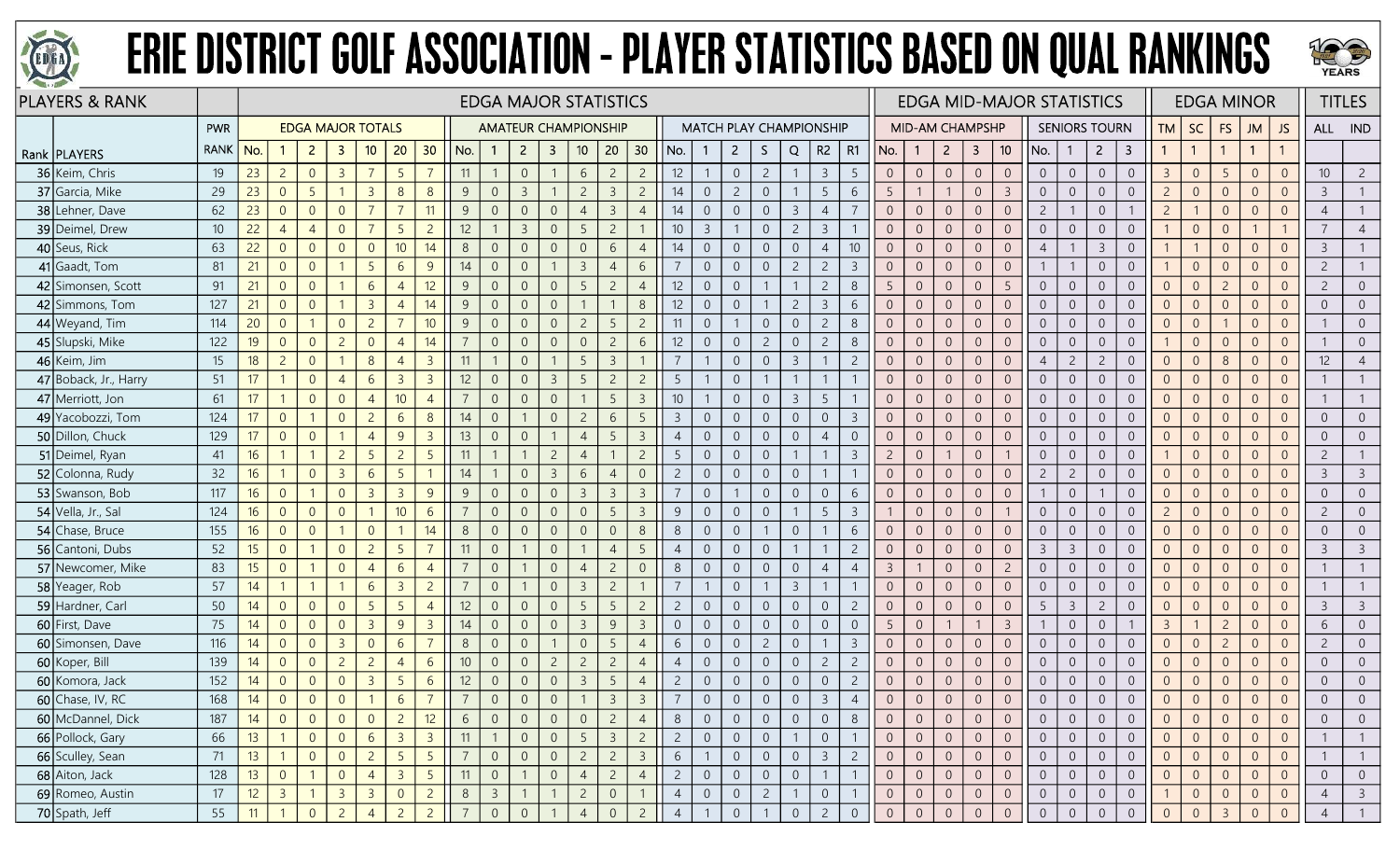



| <b>PLAYERS &amp; RANK</b> |             |                  |                |                |                          |                 |                 |                 |                |                         |                |                         | <b>EDGA MAJOR STATISTICS</b> |                |                 |                 |                                |                |                  |                |                |                 |                |                 |                |                         |                 | <b>EDGA MID-MAJOR STATISTICS</b> |                |                      |                |                |                |                | <b>EDGA MINOR</b> |                |                 | <b>TITLES</b>  |
|---------------------------|-------------|------------------|----------------|----------------|--------------------------|-----------------|-----------------|-----------------|----------------|-------------------------|----------------|-------------------------|------------------------------|----------------|-----------------|-----------------|--------------------------------|----------------|------------------|----------------|----------------|-----------------|----------------|-----------------|----------------|-------------------------|-----------------|----------------------------------|----------------|----------------------|----------------|----------------|----------------|----------------|-------------------|----------------|-----------------|----------------|
|                           | PWR         |                  |                |                | <b>EDGA MAJOR TOTALS</b> |                 |                 |                 |                |                         |                |                         | <b>AMATEUR CHAMPIONSHIP</b>  |                |                 |                 | <b>MATCH PLAY CHAMPIONSHIP</b> |                |                  |                |                |                 |                | MID-AM CHAMPSHP |                |                         |                 |                                  |                | <b>SENIORS TOURN</b> |                | <b>TM</b>      | <b>SC</b>      | <b>FS</b>      | JM                | JS             | ALL IND         |                |
| Rank   PLAYERS            | <b>RANK</b> | No.              |                | $\overline{2}$ | -3                       | 10              | 20 <sub>2</sub> | 30              | No.            | $\mathbf{1}$            | $\overline{2}$ | $\overline{\mathbf{3}}$ | 10 <sup>°</sup>              | 20             | 30              | No.             |                                | $\overline{2}$ | S.               | Q              |                | $R2 \mid R1$    | No.            | $\mathbf{1}$    | $2^{\circ}$    | $\overline{\mathbf{3}}$ | 10 <sup>°</sup> | No.                              | $\mathbf{1}$   | $\overline{2}$       | 3              |                | $\overline{1}$ |                | $\mathbf{1}$      |                |                 |                |
| 36 Keim, Chris            | 19          | 23               | $\overline{c}$ | $\overline{0}$ | $\overline{3}$           | $\overline{7}$  | 5               | $\overline{7}$  | 11             |                         | $\overline{0}$ |                         | 6                            | $\overline{c}$ | $\overline{c}$  | 12              |                                | $\overline{0}$ | $\overline{c}$   |                | $\overline{3}$ | -5              | $\overline{0}$ | $\overline{0}$  | $\overline{0}$ | $\sqrt{0}$              | $\overline{0}$  | $\overline{0}$                   | $\overline{0}$ | $\overline{0}$       | $\overline{0}$ | $\overline{3}$ | $\overline{0}$ | 5              | $\Omega$          | $\Omega$       | 10 <sup>°</sup> | $\overline{2}$ |
| 37 Garcia, Mike           | 29          | 23               | $\Omega$       | 5              |                          | $\overline{3}$  | 8               | 8               | 9              | $\overline{0}$          |                |                         | $\overline{c}$               | $\overline{3}$ | $\overline{2}$  | 14              | $\Omega$                       | $\overline{2}$ | $\overline{0}$   |                | 5              | 6               | 5              |                 |                | $\overline{0}$          | $\overline{3}$  | $\overline{0}$                   | $\overline{0}$ | $\overline{0}$       | $\overline{0}$ | $\overline{2}$ | $\overline{0}$ | $\Omega$       | $\Omega$          |                | $\overline{3}$  |                |
| 38 Lehner, Dave           | 62          | 23               | $\overline{0}$ | $\overline{0}$ | $\Omega$                 |                 |                 | 11              | 9              | $\overline{0}$          |                | $\Omega$                |                              | $\overline{3}$ | $\overline{4}$  | 14              | $\Omega$                       | $\overline{0}$ | $\overline{0}$   | $\overline{3}$ | $\overline{4}$ |                 | $\overline{0}$ | $\overline{0}$  | $\Omega$       | $\overline{0}$          | $\Omega$        | $\overline{2}$                   |                | $\overline{0}$       |                | $\overline{c}$ |                | $\Omega$       | $\Omega$          |                | $\overline{4}$  |                |
| 39 Deimel, Drew           | 10          | 22               | $\overline{4}$ | $\overline{4}$ | $\overline{0}$           |                 | $\overline{5}$  | $\overline{2}$  | 12             |                         | $\overline{3}$ | $\Omega$                | .5                           | $\overline{c}$ |                 | 10 <sup>°</sup> | $\overline{3}$                 |                | $\overline{0}$   | $\overline{2}$ | $\overline{3}$ |                 | $\overline{0}$ | $\overline{0}$  | $\overline{0}$ | $\overline{0}$          | $\overline{0}$  | $\overline{0}$                   | $\overline{0}$ | $\overline{0}$       | $\overline{0}$ |                | $\overline{0}$ | $\overline{0}$ |                   |                | 7               | $\overline{4}$ |
| 40 Seus, Rick             | 63          | 22               | $\overline{0}$ | $\overline{0}$ | $\overline{0}$           | $\overline{0}$  | 10 <sup>°</sup> | 14              | 8              | $\overline{0}$          | $\Omega$       | $\Omega$                | $\overline{0}$               | 6              | $\overline{4}$  | 14              | $\overline{0}$                 | $\overline{0}$ | $\boldsymbol{0}$ | $\sqrt{0}$     | $\overline{4}$ | 10 <sup>°</sup> | $\overline{0}$ | $\overline{0}$  | $\overline{0}$ | $\sqrt{0}$              | $\overline{0}$  | $\overline{4}$                   |                | $\overline{3}$       | $\overline{0}$ |                |                | $\overline{0}$ | $\Omega$          | $\Omega$       | $\overline{3}$  |                |
| 41 Gaadt, Tom             | 81          | 21               | $\overline{0}$ | $\overline{0}$ |                          | 5 <sup>5</sup>  | 6               | 9               | 14             | $\overline{0}$          |                |                         | $\overline{3}$               | $\overline{4}$ | 6               |                 | $\Omega$                       | $\overline{0}$ | $\overline{0}$   | $\overline{c}$ | $\overline{c}$ |                 | $\overline{0}$ | $\overline{0}$  | $\overline{0}$ | $\overline{0}$          | $\overline{0}$  |                                  |                | $\overline{0}$       | $\overline{0}$ |                | $\overline{0}$ | $\Omega$       | $\Omega$          |                | $\overline{c}$  |                |
| 42 Simonsen, Scott        | 91          | 21               | $\overline{0}$ | $\overline{0}$ |                          | 6               | $\overline{4}$  | 12              | 9              | $\overline{0}$          | $\Omega$       | $\overline{0}$          | 5                            | $\overline{c}$ | $\overline{4}$  | 12              | $\Omega$                       | $\overline{0}$ |                  |                | $\overline{c}$ | 8               | 5              | $\overline{0}$  | $\overline{0}$ | $\overline{0}$          | 5               | $\overline{0}$                   | $\overline{0}$ | $\overline{0}$       | $\overline{0}$ | $\overline{0}$ | $\overline{0}$ | $\overline{c}$ | $\overline{0}$    |                | $\overline{c}$  | $\overline{0}$ |
| 42 Simmons, Tom           | 127         | 21               | $\overline{0}$ | $\overline{0}$ |                          | $\overline{3}$  | $\overline{4}$  | 14              | 9              | $\overline{0}$          | $\Omega$       | $\overline{0}$          |                              |                | 8               | 12              | $\overline{0}$                 | $\overline{0}$ |                  | $\overline{2}$ | $\overline{3}$ | 6               | $\overline{0}$ | $\overline{0}$  | $\overline{0}$ | $\overline{0}$          | $\overline{0}$  | $\overline{0}$                   | $\overline{0}$ | $\overline{0}$       | $\overline{0}$ | $\overline{0}$ | $\overline{0}$ | $\overline{0}$ | $\Omega$          | $\Omega$       | $\overline{0}$  | $\overline{0}$ |
| 44 Weyand, Tim            | 114         | 20 <sup>°</sup>  | $\overline{0}$ |                | $\overline{0}$           | $\overline{c}$  |                 | 10              | 9              | $\overline{0}$          |                | $\overline{0}$          | $\overline{c}$               | 5              | $\overline{2}$  | 11              | $\overline{0}$                 |                | $\overline{0}$   | $\overline{0}$ | $\overline{c}$ | 8               | $\overline{0}$ | $\overline{0}$  | $\overline{0}$ | $\overline{0}$          | $\overline{0}$  | $\overline{0}$                   | $\overline{0}$ | $\overline{0}$       | $\overline{0}$ | $\overline{0}$ | $\overline{0}$ |                | $\Omega$          | $\Omega$       |                 | $\overline{0}$ |
| 45 Slupski, Mike          | 122         | 19               | $\overline{0}$ | $\overline{0}$ | $\overline{2}$           | $\overline{0}$  | $\overline{4}$  | 14              |                | $\overline{0}$          |                | $\Omega$                | $\Omega$                     | $\overline{2}$ | 6               | 12              | $\overline{0}$                 | $\overline{0}$ | $\overline{2}$   | $\overline{0}$ | $\overline{c}$ | 8               | $\overline{0}$ | $\overline{0}$  | $\overline{0}$ | $\overline{0}$          | $\overline{0}$  | $\overline{0}$                   | $\overline{0}$ | $\overline{0}$       | $\overline{0}$ |                | $\overline{0}$ | $\overline{0}$ | $\Omega$          |                |                 | $\overline{0}$ |
| 46 Keim, Jim              | 15          | 18               | $\overline{2}$ | $\overline{0}$ |                          | 8               | $\overline{4}$  | $\overline{3}$  | 11             |                         | $\Omega$       |                         | 5                            | $\overline{3}$ |                 | $\overline{7}$  |                                | $\overline{0}$ | $\overline{0}$   | $\overline{3}$ | -1             | 2               | $\overline{0}$ | $\overline{0}$  | $\overline{0}$ | $\overline{0}$          | $\overline{0}$  | $\overline{4}$                   | $\overline{2}$ | $\overline{2}$       | $\overline{0}$ | $\Omega$       | $\overline{0}$ | 8              | $\Omega$          | $\Omega$       | 12              | $\overline{4}$ |
| 47 Boback, Jr., Harry     | 51          | 17               |                | $\overline{0}$ | $\overline{4}$           | 6               | $\overline{3}$  | $\overline{3}$  | 12             | $\overline{0}$          | $\Omega$       | $\overline{3}$          | 5                            | $\overline{c}$ | $\overline{2}$  | 5               |                                | $\overline{0}$ |                  | $\overline{1}$ | $\mathbf{1}$   |                 | $\overline{0}$ | $\overline{0}$  | $\overline{0}$ | $\overline{0}$          | $\overline{0}$  | $\overline{0}$                   | $\overline{0}$ | $\overline{0}$       | $\overline{0}$ | $\overline{0}$ | $\overline{0}$ | $\Omega$       | $\Omega$          | $\Omega$       |                 |                |
| 47 Merriott, Jon          | 61          | 17               |                | $\overline{0}$ | $\overline{0}$           | $\overline{4}$  | 10 <sup>1</sup> | $\overline{4}$  |                | $\overline{0}$          | $\Omega$       | $\overline{0}$          |                              | 5              | $\mathbf{3}$    | 10              |                                | $\overline{0}$ | $\overline{0}$   | $\overline{3}$ | 5              |                 | $\overline{0}$ | $\overline{0}$  | $\overline{0}$ | $\overline{0}$          | $\overline{0}$  | $\overline{0}$                   | $\overline{0}$ | $\overline{0}$       | $\overline{0}$ | $\overline{0}$ | $\overline{0}$ | $\overline{0}$ | $\Omega$          | $\Omega$       |                 |                |
| 49 Yacobozzi, Tom         | 124         | 17 <sup>17</sup> | $\Omega$       |                | $\overline{0}$           | $\overline{2}$  | 6               | 8               | 14             | $\overline{0}$          |                | $\Omega$                | $\overline{c}$               | 6              | 5               | $\overline{3}$  | $\overline{0}$                 | $\overline{0}$ | $\overline{0}$   | $\theta$       | $\overline{0}$ |                 | $\overline{0}$ | $\overline{0}$  | $\overline{0}$ | $\overline{0}$          | $\Omega$        | $\overline{0}$                   | $\overline{0}$ | $\Omega$             | $\overline{0}$ | $\Omega$       | $\overline{0}$ | $\Omega$       | $\Omega$          |                | $\overline{0}$  | $\overline{0}$ |
| 50 Dillon, Chuck          | 129         | 17 <sup>17</sup> | $\Omega$       | $\Omega$       |                          | $\overline{4}$  | 9               | $\overline{3}$  | 13             | $\overline{0}$          | $\Omega$       |                         | $\overline{4}$               | -5             | $\overline{3}$  | $\overline{4}$  | $\overline{0}$                 | $\overline{0}$ | $\overline{0}$   | $\overline{0}$ | $\overline{4}$ | $\overline{0}$  | $\overline{0}$ | $\overline{0}$  | $\overline{0}$ | $\overline{0}$          | $\Omega$        | $\overline{0}$                   | $\overline{0}$ | $\overline{0}$       | $\overline{0}$ | $\Omega$       | $\overline{0}$ | $\overline{0}$ | $\Omega$          | $\Omega$       | $\overline{0}$  | $\overline{0}$ |
| 51 Deimel, Ryan           | 41          | 16               |                |                | $\overline{c}$           | 5               | $\overline{2}$  | 5               | 11             |                         |                | $\overline{c}$          | $\overline{4}$               |                | $\overline{2}$  | 5               | $\overline{0}$                 | $\overline{0}$ | $\mathbf 0$      |                | $\mathbf{1}$   | $\overline{3}$  | $\overline{2}$ | $\overline{0}$  |                | $\theta$                |                 | $\overline{0}$                   | $\overline{0}$ | $\overline{0}$       | $\overline{0}$ |                | $\overline{0}$ | $\overline{0}$ | $\Omega$          | $\Omega$       | $\overline{c}$  |                |
| 52 Colonna, Rudy          | 32          | 16               |                | $\overline{0}$ | $\overline{3}$           | 6               | $\overline{5}$  |                 | 14             |                         | $\Omega$       | $\overline{3}$          | 6                            | $\overline{4}$ | $\overline{0}$  | $\overline{2}$  | $\overline{0}$                 | $\overline{0}$ | $\overline{0}$   | $\overline{0}$ | $\overline{1}$ |                 | $\overline{0}$ | $\overline{0}$  | $\overline{0}$ | $\overline{0}$          | $\overline{0}$  | $\overline{2}$                   | $\overline{2}$ | $\overline{0}$       | $\overline{0}$ | $\Omega$       | $\overline{0}$ | $\overline{0}$ | $\Omega$          | $\Omega$       | $\mathbf{3}$    | $\overline{3}$ |
| 53 Swanson, Bob           | 117         | 16 <sup>1</sup>  | $\overline{0}$ |                | $\overline{0}$           | 3               | $\mathcal{B}$   | 9               | 9              | $\overline{0}$          |                | $\Omega$                | $\overline{3}$               | $\overline{3}$ | $\overline{3}$  |                 | $\overline{0}$                 |                | $\overline{0}$   | $\overline{0}$ | $\overline{0}$ | 6               | $\overline{0}$ | $\Omega$        | $\overline{0}$ | $\overline{0}$          | $\Omega$        |                                  | $\overline{0}$ |                      | $\Omega$       | $\Omega$       | $\overline{0}$ | $\Omega$       | $\Omega$          |                | $\overline{0}$  | $\overline{0}$ |
| 54 Vella, Jr., Sal        | 124         | 16 <sup>1</sup>  | $\overline{0}$ | $\overline{0}$ | $\Omega$                 |                 | 10 <sup>°</sup> | 6               |                | $\overline{0}$          | $\Omega$       | $\overline{0}$          | $\Omega$                     | 5              | $\overline{3}$  | 9               | $\overline{0}$                 | $\overline{0}$ | $\overline{0}$   |                | 5              | $\overline{3}$  |                | $\overline{0}$  | $\overline{0}$ | $\overline{0}$          |                 | $\overline{0}$                   | $\overline{0}$ | $\overline{0}$       | $\overline{0}$ | $\overline{c}$ | $\overline{0}$ | $\overline{0}$ | $\Omega$          | $\Omega$       | $\overline{2}$  | $\overline{0}$ |
| 54 Chase, Bruce           | 155         | 16               | $\overline{0}$ | $\overline{0}$ |                          | $\overline{0}$  |                 | 14              | 8              | $\overline{0}$          |                | $\overline{0}$          | $\overline{0}$               | $\overline{0}$ | $8\phantom{1}$  | 8               | $\overline{0}$                 | $\sqrt{0}$     |                  | $\sqrt{0}$     | $\mathbf{1}$   | 6               | $\overline{0}$ | $\overline{0}$  | $\overline{0}$ | $\overline{0}$          | $\overline{0}$  | $\overline{0}$                   | $\overline{0}$ | $\overline{0}$       | $\overline{0}$ | $\overline{0}$ | $\overline{0}$ | $\overline{0}$ | $\overline{0}$    | $\Omega$       | $\overline{0}$  | $\overline{0}$ |
| 56 Cantoni, Dubs          | 52          | 15 <sup>15</sup> | $\Omega$       |                | $\overline{0}$           | $\overline{c}$  | $\overline{5}$  | $\overline{7}$  | 11             | $\overline{0}$          |                | $\overline{0}$          |                              | $\overline{4}$ | 5               | $\overline{4}$  | $\Omega$                       | $\overline{0}$ | $\overline{0}$   |                |                | $\overline{c}$  | $\overline{0}$ | $\overline{0}$  | $\overline{0}$ | $\overline{0}$          | $\Omega$        | $\overline{3}$                   | $\overline{3}$ | $\overline{0}$       | $\overline{0}$ | $\Omega$       | $\overline{0}$ | $\overline{0}$ | $\Omega$          |                | 3               | $\mathcal{E}$  |
| 57 Newcomer, Mike         | 83          | 15 <sup>15</sup> | $\Omega$       |                | $\overline{0}$           |                 | 6               | $\overline{4}$  |                | $\overline{0}$          |                | $\overline{0}$          | $\overline{4}$               | $\overline{c}$ | $\overline{0}$  | 8               | $\overline{0}$                 | $\overline{0}$ | $\overline{0}$   | $\overline{0}$ | $\overline{4}$ |                 | 3              |                 | $\overline{0}$ | $\overline{0}$          | $\overline{2}$  | $\overline{0}$                   | $\overline{0}$ | $\overline{0}$       | $\overline{0}$ | $\overline{0}$ | $\overline{0}$ | $\Omega$       | $\Omega$          |                |                 |                |
| 58 Yeager, Rob            | 57          | 14               |                |                |                          | 6               | $\overline{3}$  | $\overline{2}$  |                | $\overline{0}$          |                | $\overline{0}$          | $\overline{3}$               | $\overline{c}$ |                 | $\overline{7}$  |                                | $\overline{0}$ |                  | $\overline{3}$ | $\mathbf{1}$   |                 | $\overline{0}$ | $\overline{0}$  | $\overline{0}$ | $\overline{0}$          | $\overline{0}$  | $\overline{0}$                   | $\overline{0}$ | $\overline{0}$       | $\overline{0}$ | $\overline{0}$ | $\overline{0}$ | $\overline{0}$ | $\Omega$          | $\Omega$       |                 |                |
| 59 Hardner, Carl          | 50          | 14               | $\overline{0}$ | $\overline{0}$ | $\overline{0}$           | $5\overline{)}$ | $\overline{5}$  | $\overline{4}$  | 12             | $\overline{0}$          | $\Omega$       | $\overline{0}$          | 5                            | 5              | $\overline{2}$  | $\overline{2}$  | $\overline{0}$                 | $\overline{0}$ | $\overline{0}$   | $\overline{0}$ | $\overline{0}$ | $\overline{2}$  | $\overline{0}$ | $\overline{0}$  | $\overline{0}$ | $\overline{0}$          | $\overline{0}$  | 5                                | $\overline{3}$ | $\overline{c}$       | $\overline{0}$ | $\overline{0}$ | $\overline{0}$ | $\overline{0}$ | $\overline{0}$    | $\overline{0}$ | 3               | $\overline{3}$ |
| 60 First, Dave            | 75          | 14               | $\overline{0}$ | $\overline{0}$ | $\overline{0}$           | $\overline{3}$  | 9               | $\overline{3}$  | 14             | $\overline{0}$          |                | $\Omega$                | $\overline{3}$               | 9              | $\overline{3}$  | $\overline{0}$  | $\overline{0}$                 | $\overline{0}$ | $\mathbf 0$      | $\overline{0}$ | $\overline{0}$ | $\Omega$        | 5              | $\overline{0}$  |                |                         | $\overline{3}$  |                                  | $\overline{0}$ | $\overline{0}$       |                | $\overline{3}$ |                | $\overline{c}$ | $\Omega$          |                | 6               | $\overline{0}$ |
| 60 Simonsen, Dave         | 116         | 14               | $\overline{0}$ | $\overline{0}$ | -3                       | $\overline{0}$  | 6               |                 | 8              | $\overline{0}$          | $\Omega$       |                         | $\overline{0}$               | 5              | $\overline{4}$  | 6               | $\overline{0}$                 | $\overline{0}$ | $\overline{2}$   | $\overline{0}$ |                | -3              | $\overline{0}$ | $\overline{0}$  | $\overline{0}$ | $\overline{0}$          | $\overline{0}$  | $\overline{0}$                   | $\overline{0}$ | $\overline{0}$       | $\overline{0}$ | $\overline{0}$ | $\overline{0}$ | $\overline{2}$ | $\overline{0}$    | $\Omega$       | $\overline{2}$  | $\overline{0}$ |
| 60 Koper, Bill            | 139         | 14               | $\overline{0}$ | $\overline{0}$ | $\overline{c}$           | $\overline{c}$  | $\overline{4}$  | 6               | 10             | $\overline{0}$          | $\Omega$       | $\overline{2}$          | $\overline{c}$               | $\overline{c}$ | $\overline{4}$  | $\overline{4}$  | $\overline{0}$                 | $\overline{0}$ | $\boldsymbol{0}$ | $\overline{0}$ | $\overline{c}$ | $\overline{2}$  | $\overline{0}$ | $\overline{0}$  | $\overline{0}$ | $\overline{0}$          | $\overline{0}$  | $\overline{0}$                   | $\overline{0}$ | $\overline{0}$       | $\overline{0}$ | $\Omega$       | $\overline{0}$ | $\overline{0}$ | $\overline{0}$    | $\Omega$       | $\overline{0}$  | $\overline{0}$ |
| 60 Komora, Jack           | 152         | 14               | $\overline{0}$ | $\overline{0}$ | $\overline{0}$           | $\overline{3}$  | 5               | 6               | 12             | $\overline{0}$          |                | $\overline{0}$          | $\overline{3}$               | 5              | $\overline{4}$  | $\overline{c}$  | $\overline{0}$                 | $\overline{0}$ | $\overline{0}$   | $\overline{0}$ | $\overline{0}$ | $\overline{c}$  | $\overline{0}$ | $\overline{0}$  | $\overline{0}$ | $\sqrt{0}$              | $\overline{0}$  | $\overline{0}$                   | $\overline{0}$ | $\overline{0}$       | $\overline{0}$ | $\overline{0}$ | $\overline{0}$ | $\overline{0}$ | $\Omega$          | $\Omega$       | $\overline{0}$  | $\overline{0}$ |
| $60$ Chase, IV, RC        | 168         | 14               | $\overline{0}$ | $\overline{0}$ | $\overline{0}$           |                 | 6               | $\overline{7}$  |                | $\Omega$                |                | $\Omega$                |                              | $\overline{3}$ | $\overline{3}$  |                 | $\overline{0}$                 | $\overline{0}$ | $\overline{0}$   | $\overline{0}$ | $\overline{3}$ |                 | $\overline{0}$ | $\overline{0}$  | $\overline{0}$ | $\overline{0}$          |                 | $\overline{0}$                   | $\overline{0}$ | $\overline{0}$       | $\Omega$       | $\overline{0}$ | $\overline{0}$ | $\Omega$       | $\Omega$          |                | $\overline{0}$  |                |
| 60 McDannel, Dick         | 187         | 14               | $\overline{0}$ | $\overline{0}$ | $\overline{0}$           | $\overline{0}$  | 2               | 12              | 6              | $\overline{0}$          | $\Omega$       | $\overline{0}$          | $\overline{0}$               | $\overline{2}$ | $\overline{4}$  | 8               | 0                              | $\overline{0}$ | $\overline{0}$   | $\overline{0}$ | $\overline{0}$ | 8               | $\overline{0}$ | $\overline{0}$  | $\overline{0}$ | $\overline{0}$          | $\overline{0}$  | $\overline{0}$                   | $\overline{0}$ | $\overline{0}$       | $\overline{0}$ | $\overline{0}$ | $\overline{0}$ | $\overline{0}$ | $\overline{0}$    | $\overline{0}$ | $\overline{0}$  | $\overline{0}$ |
| 66 Pollock, Gary          | 66          | 13               |                | $\overline{0}$ | $\overline{0}$           | 6               | $\overline{3}$  | $\overline{3}$  | $\vert$ 11     |                         | $\overline{0}$ | $\overline{0}$          | 5                            | $\overline{3}$ | $2\overline{ }$ | $\overline{2}$  | $\overline{0}$                 | $\overline{0}$ | $\overline{0}$   | $\overline{1}$ | $\overline{0}$ |                 | $\overline{0}$ | $\overline{0}$  | $\overline{0}$ | $\overline{0}$          | $\overline{0}$  | $\overline{0}$                   | $\overline{0}$ | $\overline{0}$       | $\overline{0}$ | $\overline{0}$ | $\overline{0}$ | $\overline{0}$ | $\Omega$          | $\overline{0}$ |                 |                |
| 66 Sculley, Sean          | 71          | 13 <sup>7</sup>  |                | $\overline{0}$ | $\overline{0}$           | $\overline{2}$  | 5 <sup>5</sup>  | $5\overline{)}$ | $\overline{7}$ | $\overline{0}$          | $\overline{0}$ | $\overline{0}$          | $\overline{c}$               | $\overline{2}$ | $\overline{3}$  | 6               |                                | $\overline{0}$ | $\overline{0}$   | $\overline{0}$ | $\overline{3}$ | $\overline{c}$  | $\overline{0}$ | $\overline{0}$  | $\overline{0}$ | $\overline{0}$          | $\overline{0}$  | $\sqrt{0}$                       | $\overline{0}$ | $\overline{0}$       | $\overline{0}$ | $\overline{0}$ | $\overline{0}$ | $\overline{0}$ | $\overline{0}$    | $\overline{0}$ |                 |                |
| 68 Aiton, Jack            | 128         | 13 <sup>7</sup>  | $\overline{0}$ |                | $\overline{0}$           | $\overline{4}$  | $\overline{3}$  | 5 <sup>5</sup>  | $\vert$ 11     | $\overline{0}$          |                | $\overline{0}$          | $\overline{4}$               | $\overline{2}$ | $\overline{4}$  | $\overline{2}$  | $\overline{0}$                 | $\overline{0}$ | $\overline{0}$   | $\overline{0}$ | $\overline{1}$ |                 | $\overline{0}$ | $\overline{0}$  | $\overline{0}$ | $\overline{0}$          | $\overline{0}$  | $\overline{0}$                   | $\overline{0}$ | $\overline{0}$       | $\overline{0}$ | $\overline{0}$ | $\overline{0}$ | $\overline{0}$ | $\Omega$          | $\overline{0}$ | $\overline{0}$  | $\overline{0}$ |
| 69 Romeo, Austin          | 17          | 12               | $\overline{3}$ |                | $\overline{3}$           | $\overline{3}$  | $\overline{0}$  | $\overline{2}$  | 8              | $\overline{\mathbf{3}}$ |                | -1                      | $\overline{2}$               | $\overline{0}$ |                 | $\overline{4}$  | $\overline{0}$                 | $\overline{0}$ | $2^{\circ}$      | $\overline{1}$ | $\overline{0}$ |                 | $\overline{0}$ | $\overline{0}$  | $\overline{0}$ | $\overline{0}$          | $\overline{0}$  | $\overline{0}$                   | $\overline{0}$ | $\overline{0}$       | $\overline{0}$ |                | $\overline{0}$ | $\overline{0}$ | $\overline{0}$    | $\overline{0}$ | 4               | $\overline{3}$ |
| 70 Spath, Jeff            | 55          | 11               |                | $\overline{0}$ | $\overline{2}$           | $\overline{4}$  | $\overline{2}$  | $\overline{2}$  |                | $\overline{0}$          | $\Omega$       |                         | $\overline{4}$               | $\overline{0}$ | $\overline{2}$  | $\overline{4}$  |                                | $\overline{0}$ |                  | $\sqrt{0}$     | $\overline{2}$ | $\overline{0}$  | $\overline{0}$ | $\overline{0}$  | $\sqrt{0}$     | $\overline{0}$          | $\Omega$        | $\overline{0}$                   | $\overline{0}$ | $\overline{0}$       | $\overline{0}$ | $\overline{0}$ | $\overline{0}$ | $\overline{3}$ | $\Omega$          |                | $\overline{4}$  |                |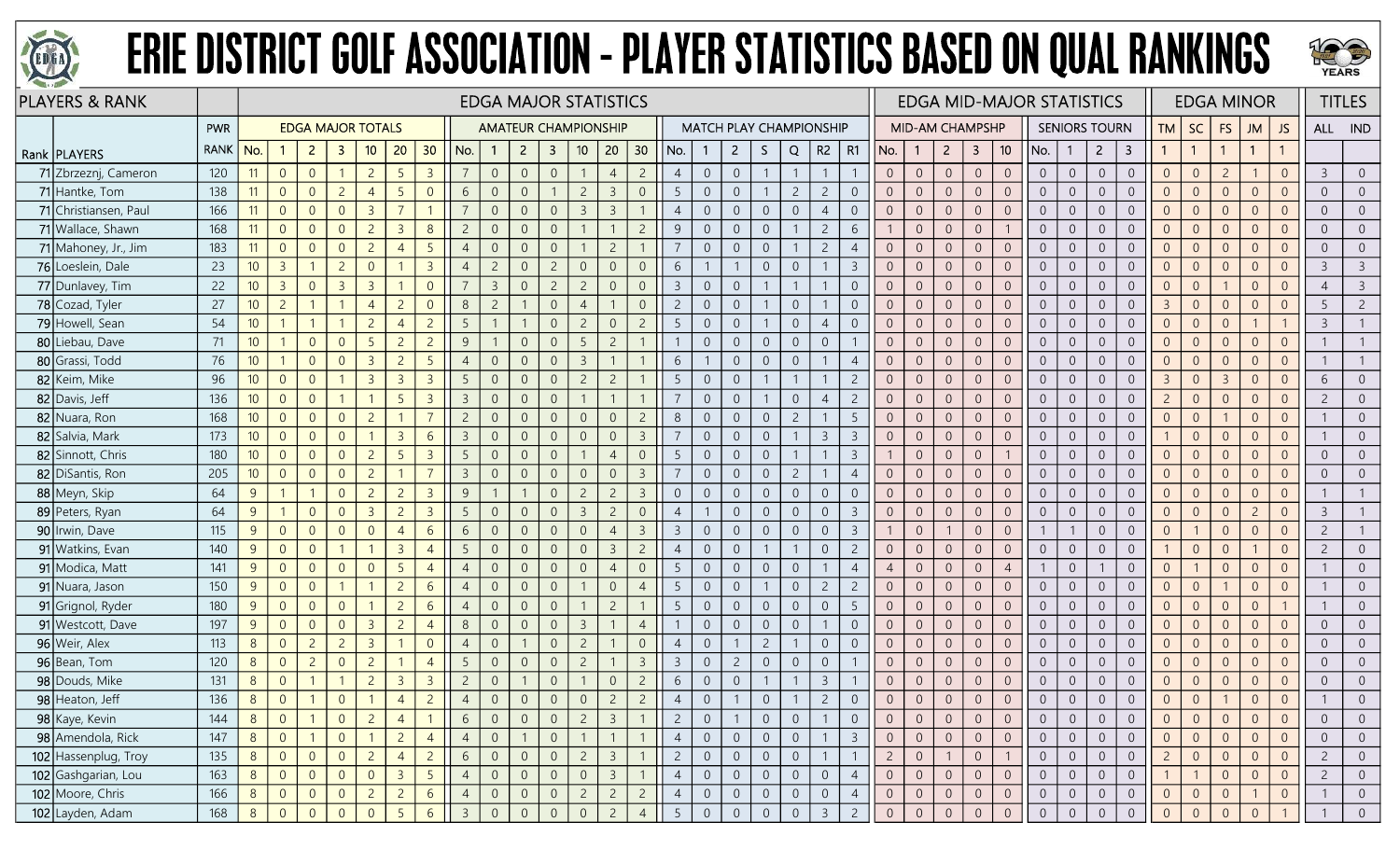



| <b>PLAYERS &amp; RANK</b> |             |                 |                |                |                          |                |                 |                 |                |                |                |                         | <b>EDGA MAJOR STATISTICS</b> |                |                |                |                |                |                  |                |                                |                |                |                        |                |                         |                 | <b>EDGA MID-MAJOR STATISTICS</b> |                |                      |                  |                |                |                | <b>EDGA MINOR</b> |                |                | <b>TITLES</b>  |
|---------------------------|-------------|-----------------|----------------|----------------|--------------------------|----------------|-----------------|-----------------|----------------|----------------|----------------|-------------------------|------------------------------|----------------|----------------|----------------|----------------|----------------|------------------|----------------|--------------------------------|----------------|----------------|------------------------|----------------|-------------------------|-----------------|----------------------------------|----------------|----------------------|------------------|----------------|----------------|----------------|-------------------|----------------|----------------|----------------|
|                           | PWR         |                 |                |                | <b>EDGA MAJOR TOTALS</b> |                |                 |                 |                |                |                |                         | <b>AMATEUR CHAMPIONSHIP</b>  |                |                |                |                |                |                  |                | <b>MATCH PLAY CHAMPIONSHIP</b> |                |                | <b>MID-AM CHAMPSHP</b> |                |                         |                 |                                  |                | <b>SENIORS TOURN</b> |                  | <b>TM</b>      | <b>SC</b>      | <b>FS</b>      | <b>JM</b>         | JS             | ALL IND        |                |
| Rank   PLAYERS            | <b>RANK</b> | No.             |                | $\overline{2}$ | -3                       | 10             | 20              | 30              | No.            | $\mathbf{1}$   | $\overline{2}$ | $\overline{\mathbf{3}}$ | 10                           | 20             | 30             | No.            |                | $\overline{2}$ | S.               | Q              | $R2$   R1                      |                | No.            | $\overline{1}$         | $2^{\circ}$    | $\overline{\mathbf{3}}$ | 10 <sup>°</sup> | No.                              | $\mathbf{1}$   | $\overline{2}$       | 3                |                | $\overline{1}$ |                | $\mathbf{1}$      |                |                |                |
| 71 Zbrzeznj, Cameron      | 120         | 11              | $\overline{0}$ | $\overline{0}$ |                          | $\overline{c}$ | 5               | $\overline{3}$  |                | $\overline{0}$ | $\overline{0}$ | $\overline{0}$          |                              | $\overline{4}$ | $\overline{2}$ | $\overline{4}$ | $\overline{0}$ | $\overline{0}$ |                  |                | -1                             |                | $\overline{0}$ | $\overline{0}$         | $\overline{0}$ | $\sqrt{0}$              | $\overline{0}$  | $\overline{0}$                   | $\overline{0}$ | $\overline{0}$       | $\overline{0}$   | $\overline{0}$ | $\overline{0}$ | $\overline{c}$ |                   | $\Omega$       | 3              | $\overline{0}$ |
| 71 Hantke, Tom            | 138         | 11              | $\overline{0}$ | $\overline{0}$ | $\overline{2}$           | $\overline{4}$ | $5\overline{)}$ | $\Omega$        | 6              | $\overline{0}$ |                |                         | $\overline{c}$               | $\overline{3}$ | $\overline{0}$ | 5              | $\Omega$       | $\overline{0}$ |                  | $\overline{c}$ | $\overline{c}$                 | $\Omega$       | $\Omega$       | $\overline{0}$         | $\overline{0}$ | $\overline{0}$          | $\overline{0}$  | $\overline{0}$                   | $\overline{0}$ | $\overline{0}$       | $\overline{0}$   | $\Omega$       | $\overline{0}$ | $\overline{0}$ | $\Omega$          | $\Omega$       | $\overline{0}$ | $\overline{0}$ |
| 71 Christiansen, Paul     | 166         | 11              | $\overline{0}$ | $\overline{0}$ | $\overline{0}$           | $\overline{3}$ |                 |                 |                | $\overline{0}$ |                | $\overline{0}$          | $\overline{3}$               | $\overline{3}$ |                | $\overline{4}$ | $\Omega$       | $\overline{0}$ | $\overline{0}$   | $\overline{0}$ | $\overline{4}$                 | $\overline{0}$ | $\overline{0}$ | $\overline{0}$         | $\overline{0}$ | $\overline{0}$          | $\overline{0}$  | $\overline{0}$                   | $\overline{0}$ | $\Omega$             | $\overline{0}$   | $\overline{0}$ | $\overline{0}$ | $\Omega$       | $\Omega$          |                | $\overline{0}$ | $\overline{0}$ |
| 71 Wallace, Shawn         | 168         | 11              | $\overline{0}$ | $\overline{0}$ | $\overline{0}$           | $\overline{c}$ | $\overline{3}$  | 8               | $\overline{c}$ | $\overline{0}$ | $\Omega$       | $\overline{0}$          |                              |                | $\overline{2}$ | 9              | $\overline{0}$ | $\overline{0}$ | $\boldsymbol{0}$ |                | $\overline{c}$                 | 6              |                | $\overline{0}$         | $\overline{0}$ | $\overline{0}$          |                 | $\overline{0}$                   | $\overline{0}$ | $\overline{0}$       | $\overline{0}$   | $\Omega$       | $\overline{0}$ | $\overline{0}$ | $\Omega$          | $\overline{0}$ | $\overline{0}$ | $\overline{0}$ |
| 71 Mahoney, Jr., Jim      | 183         | 11              | $\overline{0}$ | $\overline{0}$ | $\overline{0}$           | $\overline{c}$ | $\overline{4}$  | $5\overline{)}$ | $\overline{4}$ | $\overline{0}$ | $\Omega$       | $\overline{0}$          |                              | $\overline{2}$ |                | $\overline{7}$ | $\overline{0}$ | $\overline{0}$ | $\overline{0}$   |                | $\overline{2}$                 |                | $\overline{0}$ | $\overline{0}$         | $\overline{0}$ | $\sqrt{0}$              | $\overline{0}$  | $\overline{0}$                   | $\overline{0}$ | $\overline{0}$       | $\overline{0}$   | $\overline{0}$ | $\overline{0}$ | $\theta$       | $\Omega$          | $\Omega$       | $\overline{0}$ | $\overline{0}$ |
| 76 Loeslein, Dale         | 23          | 10 <sup>°</sup> | $\overline{3}$ |                | $\overline{2}$           | $\overline{0}$ |                 | $\overline{3}$  | $\overline{4}$ | $\overline{2}$ |                | $\overline{c}$          | $\Omega$                     | $\overline{0}$ | $\overline{0}$ | 6              |                |                | $\overline{0}$   | $\overline{0}$ |                                | -3             | $\overline{0}$ | $\overline{0}$         | $\overline{0}$ | $\overline{0}$          | $\overline{0}$  | $\overline{0}$                   | $\overline{0}$ | $\overline{0}$       | $\overline{0}$   | $\Omega$       | $\overline{0}$ | $\overline{0}$ | $\Omega$          | $\Omega$       | 3              | $\overline{3}$ |
| 77 Dunlavey, Tim          | 22          | 10 <sup>°</sup> | $\overline{3}$ | $\overline{0}$ | $\overline{3}$           | $\overline{3}$ |                 | $\overline{0}$  |                | $\overline{3}$ | $\Omega$       | $\overline{2}$          | $\overline{c}$               | $\overline{0}$ | $\overline{0}$ | $\overline{3}$ | $\Omega$       | $\overline{0}$ |                  |                |                                | $\Omega$       | $\overline{0}$ | $\overline{0}$         | $\overline{0}$ | $\overline{0}$          | $\overline{0}$  | $\overline{0}$                   | $\overline{0}$ | $\overline{0}$       | $\overline{0}$   | $\overline{0}$ | $\overline{0}$ |                | $\overline{0}$    |                | $\overline{4}$ | $\overline{3}$ |
| 78 Cozad, Tyler           | 27          | 10 <sup>1</sup> | $\overline{c}$ |                |                          | $\overline{4}$ | $\overline{2}$  | $\Omega$        | 8              | $\overline{2}$ |                | $\overline{0}$          | $\overline{4}$               |                | $\overline{0}$ | $\overline{2}$ | $\overline{0}$ | $\overline{0}$ |                  | $\overline{0}$ |                                | $\overline{0}$ | $\overline{0}$ | $\overline{0}$         | $\overline{0}$ | $\overline{0}$          | $\overline{0}$  | $\overline{0}$                   | $\overline{0}$ | $\overline{0}$       | $\overline{0}$   | $\overline{3}$ | $\overline{0}$ | $\overline{0}$ | $\Omega$          | $\Omega$       | 5              | $\overline{2}$ |
| 79 Howell, Sean           | 54          | 10 <sup>°</sup> |                | $\overline{1}$ |                          | $\overline{2}$ | $\overline{4}$  | $\overline{2}$  | 5              | $\mathbf{1}$   |                | $\overline{0}$          | $\overline{c}$               | $\overline{0}$ | $\overline{2}$ | 5              | $\overline{0}$ | $\overline{0}$ |                  | $\overline{0}$ | $\overline{4}$                 | $\overline{0}$ | $\overline{0}$ | $\overline{0}$         | $\overline{0}$ | $\overline{0}$          | $\overline{0}$  | $\overline{0}$                   | $\overline{0}$ | $\overline{0}$       | $\overline{0}$   | $\overline{0}$ | $\overline{0}$ | $\overline{0}$ |                   |                | $\mathbf{3}$   |                |
| 80 Liebau, Dave           | 71          | 10 <sup>1</sup> |                | $\overline{0}$ | $\overline{0}$           | 5 <sup>5</sup> | $\overline{2}$  | $\overline{2}$  | 9              |                | $\overline{0}$ | $\overline{0}$          | 5                            | $\overline{2}$ |                |                | $\overline{0}$ | $\overline{0}$ | $\overline{0}$   | $\overline{0}$ | $\overline{0}$                 |                | $\overline{0}$ | $\overline{0}$         | $\overline{0}$ | $\overline{0}$          | $\overline{0}$  | $\overline{0}$                   | $\overline{0}$ | $\overline{0}$       | $\overline{0}$   | $\overline{0}$ | $\overline{0}$ | $\overline{0}$ | $\Omega$          | $\Omega$       |                |                |
| 80 Grassi, Todd           | 76          | 10 <sup>°</sup> |                | $\overline{0}$ | $\Omega$                 | $\overline{3}$ | $\overline{2}$  | -5              | $\overline{4}$ | $\overline{0}$ | $\Omega$       | $\Omega$                | $\overline{3}$               |                |                | 6              |                | $\overline{0}$ | $\overline{0}$   | $\overline{0}$ | -1                             | $\overline{4}$ | $\overline{0}$ | $\overline{0}$         | $\overline{0}$ | $\overline{0}$          | $\overline{0}$  | $\overline{0}$                   | $\overline{0}$ | $\overline{0}$       | $\overline{0}$   | $\Omega$       | $\overline{0}$ | $\overline{0}$ | $\overline{0}$    | $\Omega$       |                |                |
| 82 Keim, Mike             | 96          | 10 <sup>1</sup> | $\overline{0}$ | $\overline{0}$ |                          | $\overline{3}$ | $\overline{3}$  | $\overline{3}$  | 5              | $\mathbf{0}$   | $\overline{0}$ | $\overline{0}$          | $\overline{c}$               | $\overline{c}$ |                | 5              | $\overline{0}$ | $\overline{0}$ |                  | $\overline{1}$ | $\mathbf{1}$                   | $\overline{c}$ | $\overline{0}$ | $\overline{0}$         | $\overline{0}$ | $\mathbf{0}$            | $\overline{0}$  | $\overline{0}$                   | $\overline{0}$ | $\overline{0}$       | $\overline{0}$   | $\overline{3}$ | $\overline{0}$ | $\overline{3}$ | $\overline{0}$    | $\Omega$       | 6              | $\overline{0}$ |
| 82 Davis, Jeff            | 136         | 10 <sup>1</sup> | $\overline{0}$ | $\overline{0}$ |                          |                | -5              | $\overline{3}$  | $\overline{3}$ | $\overline{0}$ |                | $\overline{0}$          |                              |                |                | $\overline{7}$ | $\overline{0}$ | $\overline{0}$ |                  | $\overline{0}$ | $\overline{4}$                 | $\overline{2}$ | $\overline{0}$ | $\overline{0}$         | $\overline{0}$ | $\overline{0}$          | $\overline{0}$  | $\overline{0}$                   | $\overline{0}$ | $\overline{0}$       | $\overline{0}$   | $\overline{2}$ | $\overline{0}$ | $\overline{0}$ | $\overline{0}$    | $\Omega$       | $\overline{2}$ | $\overline{0}$ |
| 82 Nuara, Ron             | 168         | 10 <sup>°</sup> | $\overline{0}$ | $\overline{0}$ | $\overline{0}$           | $\overline{c}$ |                 | $\overline{7}$  | $\overline{c}$ | $\overline{0}$ |                | $\Omega$                | $\Omega$                     | $\overline{0}$ | $\overline{2}$ | 8              | $\overline{0}$ | $\overline{0}$ | $\overline{0}$   | $\overline{c}$ |                                |                | $\overline{0}$ | $\overline{0}$         | $\overline{0}$ | $\overline{0}$          | $\overline{0}$  | $\overline{0}$                   | $\overline{0}$ | $\overline{0}$       | $\overline{0}$   | $\overline{0}$ | $\overline{0}$ |                | $\Omega$          |                |                | $\overline{0}$ |
| 82 Salvia, Mark           | 173         | 10 <sup>°</sup> | $\overline{0}$ | $\overline{0}$ | $\overline{0}$           |                | $\overline{3}$  | 6               | $\overline{3}$ | $\overline{0}$ | $\Omega$       | $\Omega$                | $\Omega$                     | $\overline{0}$ | $\overline{3}$ |                | $\overline{0}$ | $\overline{0}$ | $\overline{0}$   |                | $\overline{3}$                 | -3             | $\overline{0}$ | $\overline{0}$         | $\overline{0}$ | $\overline{0}$          | $\Omega$        | $\overline{0}$                   | $\overline{0}$ | $\overline{0}$       | $\overline{0}$   |                | $\overline{0}$ | $\overline{0}$ | $\Omega$          | $\Omega$       |                | $\overline{0}$ |
| 82 Sinnott, Chris         | 180         | 10 <sup>°</sup> | $\overline{0}$ | $\overline{0}$ | $\overline{0}$           | $\overline{2}$ | $5\overline{)}$ | $\overline{3}$  | 5              | $\overline{0}$ | $\Omega$       | $\Omega$                |                              | $\overline{4}$ | $\overline{0}$ | 5              | $\overline{0}$ | $\overline{0}$ | $\mathbf 0$      |                | $\mathbf{1}$                   | $\overline{3}$ |                | $\overline{0}$         | $\overline{0}$ | $\sqrt{0}$              |                 | $\overline{0}$                   | $\overline{0}$ | $\overline{0}$       | $\overline{0}$   | $\Omega$       | $\overline{0}$ | $\overline{0}$ | $\Omega$          | $\Omega$       | $\overline{0}$ | $\overline{0}$ |
| 82 DiSantis, Ron          | 205         | 10 <sup>°</sup> | $\overline{0}$ | $\overline{0}$ | $\overline{0}$           | $\overline{2}$ |                 | $\overline{7}$  | $\overline{3}$ | $\overline{0}$ |                | $\overline{0}$          | $\overline{0}$               | $\overline{0}$ | $\overline{3}$ | $\overline{7}$ | $\Omega$       | $\overline{0}$ | $\overline{0}$   | $\overline{2}$ | $\mathbf{1}$                   | $\overline{4}$ | $\overline{0}$ | $\overline{0}$         | $\overline{0}$ | $\overline{0}$          | $\overline{0}$  | $\overline{0}$                   | $\overline{0}$ | $\overline{0}$       | $\overline{0}$   | $\Omega$       | $\overline{0}$ | $\overline{0}$ | $\Omega$          | $\Omega$       | $\overline{0}$ | $\overline{0}$ |
| 88 Meyn, Skip             | 64          | 9               |                |                | $\Omega$                 | $\overline{2}$ | $\overline{2}$  | $\overline{3}$  | 9              |                |                | $\Omega$                |                              | $\overline{2}$ | $\overline{3}$ | $\Omega$       | $\Omega$       | $\Omega$       | $\overline{0}$   | $\overline{0}$ | $\overline{0}$                 | $\Omega$       | $\overline{0}$ | $\Omega$               | $\Omega$       | $\overline{0}$          | $\Omega$        | $\overline{0}$                   | $\overline{0}$ | $\Omega$             | $\overline{0}$   | $\overline{0}$ | $\overline{0}$ | $\Omega$       | $\Omega$          |                |                |                |
| 89 Peters, Ryan           | 64          | 9               |                | $\Omega$       | $\Omega$                 | $\overline{3}$ | $\overline{2}$  | $\overline{3}$  | -5             | $\overline{0}$ | $\Omega$       | $\Omega$                | $\overline{3}$               | $\overline{2}$ | $\overline{0}$ | $\overline{4}$ |                | $\overline{0}$ | $\overline{0}$   | $\overline{0}$ | $\overline{0}$                 | -3             | $\overline{0}$ | $\overline{0}$         | $\overline{0}$ | $\overline{0}$          | $\overline{0}$  | $\overline{0}$                   | $\overline{0}$ | $\overline{0}$       | $\overline{0}$   | $\overline{0}$ | $\overline{0}$ | $\overline{0}$ | $\overline{2}$    | $\Omega$       | $\mathbf{3}$   |                |
| 90 Irwin, Dave            | 115         | 9               | $\overline{0}$ | $\overline{0}$ | $\overline{0}$           | $\overline{0}$ | $\overline{4}$  | 6               | 6              | $\overline{0}$ | $\Omega$       | $\overline{0}$          | $\overline{0}$               | $\overline{4}$ | $\overline{3}$ | $\mathbf{3}$   | $\overline{0}$ | $\overline{0}$ | $\boldsymbol{0}$ | $\sqrt{0}$     | $\overline{0}$                 | $\overline{3}$ |                | $\overline{0}$         |                | $\overline{0}$          | $\overline{0}$  |                                  | $\overline{1}$ | $\overline{0}$       | $\overline{0}$   | $\overline{0}$ |                | $\overline{0}$ | $\overline{0}$    | $\Omega$       | $\overline{c}$ |                |
| 91 Watkins, Evan          | 140         | 9               | $\overline{0}$ | $\overline{0}$ |                          |                | $\overline{3}$  | $\overline{4}$  | 5              | $\overline{0}$ |                | $\Omega$                | $\Omega$                     | $\overline{3}$ | $\overline{2}$ | $\overline{4}$ | $\Omega$       | $\overline{0}$ |                  |                | $\overline{0}$                 | $\overline{c}$ | $\overline{0}$ | $\overline{0}$         | $\overline{0}$ | $\overline{0}$          | $\overline{0}$  | $\overline{0}$                   | $\overline{0}$ | $\overline{0}$       | $\Omega$         |                | $\overline{0}$ | $\overline{0}$ |                   | $\Omega$       | $\overline{2}$ | $\overline{0}$ |
| 91 Modica, Matt           | 141         | 9               | $\overline{0}$ | $\overline{0}$ | $\overline{0}$           | $\overline{0}$ | $\overline{5}$  | $\overline{4}$  |                | $\overline{0}$ |                | 0                       | $\Omega$                     | $\overline{4}$ | $\overline{0}$ | 5              | $\overline{0}$ | $\overline{0}$ | $\overline{0}$   | $\overline{0}$ |                                |                | $\overline{4}$ | $\overline{0}$         | $\overline{0}$ | $\overline{0}$          | $\overline{4}$  |                                  | $\overline{0}$ |                      | $\overline{0}$   | $\overline{0}$ |                | $\Omega$       | $\Omega$          |                |                | $\overline{0}$ |
| 91 Nuara, Jason           | 150         | 9               | $\overline{0}$ | $\overline{0}$ |                          |                | $\overline{c}$  | 6               | $\overline{4}$ | $\overline{0}$ | $\Omega$       | $\overline{0}$          |                              | $\overline{0}$ | $\overline{4}$ | 5              | $\overline{0}$ | $\overline{0}$ |                  | $\overline{0}$ | $\overline{c}$                 | $\overline{c}$ | $\overline{0}$ | $\overline{0}$         | $\overline{0}$ | $\overline{0}$          | $\overline{0}$  | $\overline{0}$                   | $\overline{0}$ | $\overline{0}$       | $\overline{0}$   | $\overline{0}$ | $\overline{0}$ |                | $\overline{0}$    | $\Omega$       |                | $\overline{0}$ |
| 91 Grignol, Ryder         | 180         | 9               | $\overline{0}$ | $\overline{0}$ | $\overline{0}$           |                | $\overline{c}$  | 6               | $\overline{4}$ | $\overline{0}$ | $\Omega$       | $\overline{0}$          |                              | $\overline{c}$ |                | 5              | $\overline{0}$ | $\overline{0}$ | $\overline{0}$   | $\overline{0}$ | $\overline{0}$                 | -5             | $\overline{0}$ | $\overline{0}$         | $\overline{0}$ | $\overline{0}$          | $\overline{0}$  | $\overline{0}$                   | $\overline{0}$ | $\overline{0}$       | $\overline{0}$   | $\overline{0}$ | $\overline{0}$ | $\overline{0}$ | $\overline{0}$    |                |                | $\overline{0}$ |
| 91 Westcott, Dave         | 197         | 9               | $\overline{0}$ | $\overline{0}$ | $\overline{0}$           | $\overline{3}$ | $\overline{2}$  | $\overline{4}$  | 8              | $\overline{0}$ |                | $\Omega$                | $\overline{3}$               |                | $\overline{4}$ |                | $\overline{0}$ | $\overline{0}$ | $\boldsymbol{0}$ | $\overline{0}$ | $\mathbf{1}$                   | $\Omega$       | $\Omega$       | $\overline{0}$         | $\overline{0}$ | $\overline{0}$          | $\overline{0}$  | $\overline{0}$                   | $\overline{0}$ | $\overline{0}$       | $\overline{0}$   | $\Omega$       | $\overline{0}$ | $\Omega$       | $\Omega$          | $\Omega$       | $\overline{0}$ | $\overline{0}$ |
| 96 Weir, Alex             | 113         | 8 <sup>°</sup>  | $\overline{0}$ | $\overline{2}$ | $\overline{2}$           | $\overline{3}$ |                 | $\overline{0}$  |                | $\overline{0}$ |                | $\overline{0}$          | $\overline{c}$               |                | $\overline{0}$ | $\overline{4}$ | $\overline{0}$ |                | $\overline{2}$   |                | $\overline{0}$                 | $\overline{0}$ | $\overline{0}$ | $\overline{0}$         | $\overline{0}$ | $\overline{0}$          | $\overline{0}$  | $\overline{0}$                   | $\overline{0}$ | $\overline{0}$       | $\overline{0}$   | $\overline{0}$ | $\overline{0}$ | $\overline{0}$ | $\overline{0}$    | $\Omega$       | $\overline{0}$ | $\overline{0}$ |
| 96 Bean, Tom              | 120         | 8               | $\overline{0}$ | $\overline{c}$ | $\overline{0}$           | $\overline{c}$ |                 | $\overline{4}$  | -5             | $\overline{0}$ |                | $\overline{0}$          | $\overline{c}$               |                | $\overline{3}$ | $\overline{3}$ | $\overline{0}$ | $\overline{c}$ | $\boldsymbol{0}$ | $\overline{0}$ | $\overline{0}$                 |                | $\overline{0}$ | $\overline{0}$         | $\overline{0}$ | $\sqrt{0}$              | $\overline{0}$  | $\overline{0}$                   | $\overline{0}$ | $\overline{0}$       | $\overline{0}$   | $\overline{0}$ | $\overline{0}$ | $\overline{0}$ | $\overline{0}$    | $\Omega$       | $\overline{0}$ | $\overline{0}$ |
| 98 Douds, Mike            | 131         | $\,8\,$         | $\overline{0}$ |                |                          | $\overline{c}$ | $\overline{3}$  | $\overline{3}$  | $\overline{c}$ | $\overline{0}$ |                | $\overline{0}$          |                              | $\overline{0}$ | $\overline{2}$ | 6              | $\overline{0}$ | $\overline{0}$ |                  |                | $\overline{3}$                 |                | $\overline{0}$ | $\overline{0}$         | $\overline{0}$ | $\sqrt{0}$              | $\overline{0}$  | $\overline{0}$                   | $\overline{0}$ | $\overline{0}$       | $\overline{0}$   | $\overline{0}$ | $\overline{0}$ | $\overline{0}$ | $\Omega$          | $\overline{0}$ | $\overline{0}$ | $\overline{0}$ |
| 98 Heaton, Jeff           | 136         | $8\phantom{.}$  | $\overline{0}$ |                | $\overline{0}$           |                | $\overline{4}$  | $\overline{c}$  |                | $\Omega$       |                | $\overline{0}$          | $\Omega$                     | $\overline{2}$ | $\overline{2}$ |                | $\overline{0}$ |                | $\overline{0}$   |                | $\overline{2}$                 | $\Omega$       | $\overline{0}$ | $\overline{0}$         | $\overline{0}$ | $\mathbf{0}$            | $\Omega$        | $\overline{0}$                   | $\overline{0}$ | $\Omega$             | $\Omega$         | $\overline{0}$ | $\overline{0}$ |                | $\Omega$          |                |                |                |
| 98 Kaye, Kevin            | 144         | 8 <sup>8</sup>  | $\overline{0}$ |                | $\overline{0}$           | $\overline{2}$ | $\overline{4}$  |                 | 6              | $\overline{0}$ |                | $\overline{0}$          | $\overline{c}$               | $\overline{3}$ |                | $\mathbf{2}$   | $\overline{0}$ |                | $\overline{0}$   | $\overline{0}$ | -1                             | $\overline{0}$ | $\overline{0}$ | $\overline{0}$         | $\overline{0}$ | $\overline{0}$          | $\overline{0}$  | $\overline{0}$                   | $\overline{0}$ | $\overline{0}$       | $\overline{0}$   | $\overline{0}$ | $\overline{0}$ | $\overline{0}$ | $\overline{0}$    | $\overline{0}$ | $\overline{0}$ | $\overline{0}$ |
| 98 Amendola, Rick         | 147         | 8               | $\overline{0}$ |                | $\overline{0}$           |                | $\overline{2}$  | $\overline{4}$  | $\overline{4}$ | $\overline{0}$ |                | $\overline{0}$          |                              |                |                | $\overline{4}$ | $\overline{0}$ | $\overline{0}$ | $\overline{0}$   | $\overline{0}$ | $\overline{1}$                 | $\overline{3}$ | $\overline{0}$ | $\overline{0}$         | $\overline{0}$ | $\overline{0}$          | $\overline{0}$  | $\overline{0}$                   | $\overline{0}$ | $\overline{0}$       | $\overline{0}$   | $\overline{0}$ | $\overline{0}$ | $\overline{0}$ | $\Omega$          | $\overline{0}$ | $\overline{0}$ | $\overline{0}$ |
| 102 Hassenplug, Troy      | 135         | 8               | $\overline{0}$ | $\overline{0}$ | $\overline{0}$           | $\overline{2}$ | $\overline{4}$  | $\overline{2}$  | 6              | $\overline{0}$ | $\overline{0}$ | $\overline{0}$          | $2^{\circ}$                  | $\overline{3}$ |                | $\overline{c}$ | $\overline{0}$ | $\overline{0}$ | $\overline{0}$   | $\sqrt{0}$     | $\overline{1}$                 |                | $2^{\circ}$    | $\overline{0}$         |                | $\overline{0}$          |                 | $\sqrt{0}$                       | $\overline{0}$ | $\overline{0}$       | $\boldsymbol{0}$ | $\overline{2}$ | $\overline{0}$ | $\overline{0}$ | $\Omega$          | $\overline{0}$ | $\overline{2}$ | $\overline{0}$ |
| 102 Gashgarian, Lou       | 163         | 8               | $\overline{0}$ | $\overline{0}$ | $\overline{0}$           | $\overline{0}$ | $\overline{3}$  | $5\overline{)}$ | $\overline{4}$ | $\overline{0}$ | $\Omega$       | $\overline{0}$          | $\overline{0}$               | $\overline{3}$ |                | $\overline{4}$ | $\overline{0}$ | $\overline{0}$ | $\overline{0}$   | $\overline{0}$ | $\overline{0}$                 | $\overline{4}$ | $\overline{0}$ | $\overline{0}$         | $\overline{0}$ | $\overline{0}$          | $\overline{0}$  | $\overline{0}$                   | $\overline{0}$ | $\overline{0}$       | $\overline{0}$   |                |                | $\overline{0}$ | $\Omega$          | $\overline{0}$ | $\overline{2}$ | $\overline{0}$ |
| 102 Moore, Chris          | 166         | 8 <sup>1</sup>  | $\overline{0}$ | $\overline{0}$ | $\overline{0}$           | $\overline{2}$ | $\overline{2}$  | 6               | $\overline{4}$ | $\overline{0}$ | $\overline{0}$ | $\overline{0}$          | $\overline{2}$               | $\overline{2}$ | $2^{\circ}$    | $\overline{4}$ | $\overline{0}$ | $\overline{0}$ | $\overline{0}$   | $\overline{0}$ | $\overline{0}$                 | $\overline{4}$ | $\overline{0}$ | $\overline{0}$         | $\overline{0}$ | $\overline{0}$          | $\overline{0}$  | $\overline{0}$                   | $\overline{0}$ | $\overline{0}$       | $\overline{0}$   | $\overline{0}$ | $\overline{0}$ | $\overline{0}$ |                   | $\overline{0}$ | $\mathbf{1}$   | $\overline{0}$ |
| 102 Layden, Adam          | 168         | 8               | $\overline{0}$ | $\Omega$       | $\overline{0}$           | $\overline{0}$ | $5\overline{)}$ | 6               | $\overline{3}$ | $\Omega$       | $\Omega$       | $\overline{0}$          | $\Omega$                     | $\overline{2}$ | $\overline{4}$ | 5              | $\overline{0}$ | $\overline{0}$ | $\overline{0}$   | $\overline{0}$ | $\overline{3}$                 | $\overline{c}$ | $\overline{0}$ | $\overline{0}$         | $\sqrt{0}$     | $\overline{0}$          | $\Omega$        | $\overline{0}$                   | $\overline{0}$ | $\overline{0}$       | $\Omega$         | $\overline{0}$ | $\Omega$       | $\Omega$       |                   |                |                | $\overline{0}$ |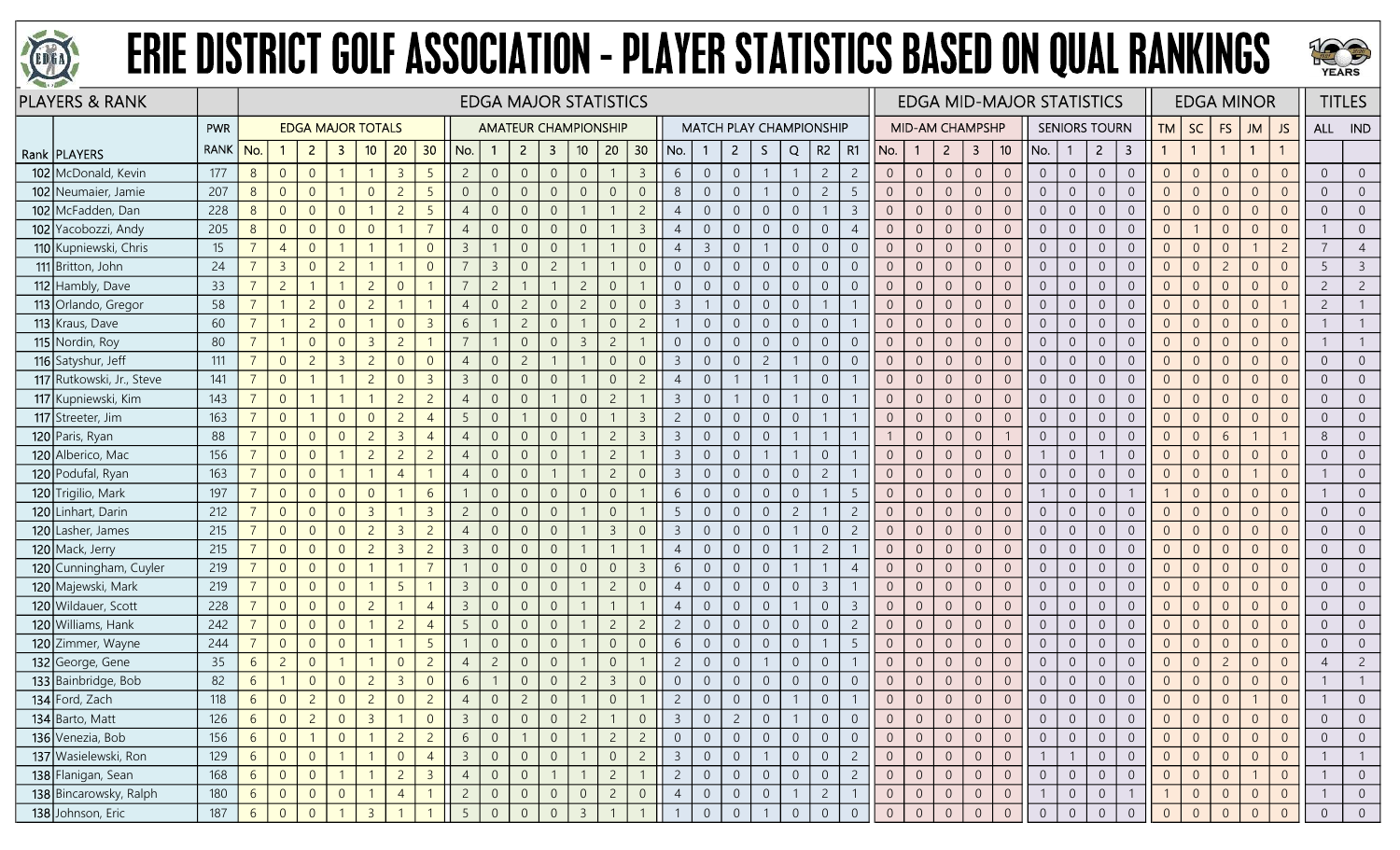



| <b>PLAYERS &amp; RANK</b> |             |                 |                |                          |                |                |                |                |                         |                |                |                         | <b>EDGA MAJOR STATISTICS</b> |                |                |                |                |                |                                |                |                |                |                |                |                        |                         |                 | <b>EDGA MID-MAJOR STATISTICS</b> |                |                      |                |                |                |                | <b>EDGA MINOR</b> |                |                | <b>TITLES</b>  |
|---------------------------|-------------|-----------------|----------------|--------------------------|----------------|----------------|----------------|----------------|-------------------------|----------------|----------------|-------------------------|------------------------------|----------------|----------------|----------------|----------------|----------------|--------------------------------|----------------|----------------|----------------|----------------|----------------|------------------------|-------------------------|-----------------|----------------------------------|----------------|----------------------|----------------|----------------|----------------|----------------|-------------------|----------------|----------------|----------------|
|                           | PWR         |                 |                | <b>EDGA MAJOR TOTALS</b> |                |                |                |                |                         |                |                |                         | <b>AMATEUR CHAMPIONSHIP</b>  |                |                |                |                |                | <b>MATCH PLAY CHAMPIONSHIP</b> |                |                |                |                |                | <b>MID-AM CHAMPSHP</b> |                         |                 |                                  |                | <b>SENIORS TOURN</b> |                | <b>TM</b>      | <b>SC</b>      | <b>FS</b>      | JM                | JS             | ALL IND        |                |
| Rank   PLAYERS            | <b>RANK</b> | No.             |                | $\overline{2}$           | -3             | 10             | 20             | 30             | No.                     | $\mathbf{1}$   | $\overline{2}$ | $\overline{\mathbf{3}}$ | 10 <sub>1</sub>              | 20             | 30             | No.            |                | $2^{\circ}$    | S.                             | Q              |                | $R2 \mid R1$   | No.            | $\mathbf{1}$   | $2^{\circ}$            | $\overline{\mathbf{3}}$ | 10 <sup>°</sup> | No.                              | $\mathbf{1}$   | $\overline{2}$       | 3              |                | $\overline{1}$ |                | $\mathbf{1}$      |                |                |                |
| 102 McDonald, Kevin       | 177         | 8 <sup>°</sup>  | $\overline{0}$ | $\overline{0}$           |                |                | $\overline{3}$ | 5              | $\overline{2}$          | $\overline{0}$ | $\overline{0}$ | $\overline{0}$          | $\overline{0}$               |                | $\overline{3}$ | 6              | $\theta$       | $\overline{0}$ |                                |                | $\overline{c}$ | $\overline{c}$ | $\overline{0}$ | $\overline{0}$ | $\overline{0}$         | $\sqrt{0}$              | $\overline{0}$  | $\overline{0}$                   | $\overline{0}$ | $\overline{0}$       | $\overline{0}$ | $\overline{0}$ | $\overline{0}$ | $\overline{0}$ | $\Omega$          | $\Omega$       | $\overline{0}$ | $\overline{0}$ |
| 102 Neumaier, Jamie       | 207         | $8\phantom{1}$  | $\overline{0}$ | $\overline{0}$           |                | $\overline{0}$ | $\overline{2}$ | 5              | $\overline{0}$          | $\overline{0}$ |                | $\overline{0}$          | $\Omega$                     | $\Omega$       | $\overline{0}$ | 8              | $\Omega$       | $\overline{0}$ |                                | $\overline{0}$ | $\overline{c}$ | $\overline{5}$ | $\overline{0}$ | $\overline{0}$ | $\overline{0}$         | $\overline{0}$          | $\overline{0}$  | $\overline{0}$                   | $\overline{0}$ | $\overline{0}$       | $\overline{0}$ | $\Omega$       | $\overline{0}$ | $\Omega$       | $\Omega$          | $\Omega$       | $\overline{0}$ | $\overline{0}$ |
| 102 McFadden, Dan         | 228         | 8 <sup>°</sup>  | $\overline{0}$ | $\overline{0}$           | $\Omega$       |                | $\overline{2}$ | 5              |                         | $\overline{0}$ |                | $\overline{0}$          |                              |                | $\overline{2}$ | $\overline{4}$ | $\Omega$       | $\overline{0}$ | $\overline{0}$                 | $\theta$       | -1             | -3             | $\Omega$       | $\overline{0}$ | $\overline{0}$         | $\overline{0}$          | $\overline{0}$  | $\overline{0}$                   | $\overline{0}$ | $\overline{0}$       | $\overline{0}$ | $\overline{0}$ | $\overline{0}$ | $\overline{0}$ | $\overline{0}$    |                | $\overline{0}$ | $\overline{0}$ |
| 102 Yacobozzi, Andy       | 205         | $8\phantom{.}$  | $\overline{0}$ | $\overline{0}$           | $\overline{0}$ | $\overline{0}$ |                | $\overline{7}$ | $\overline{4}$          | $\overline{0}$ | $\Omega$       | $\overline{0}$          | $\Omega$                     |                | $\overline{3}$ | $\overline{4}$ | $\overline{0}$ | $\overline{0}$ | $\boldsymbol{0}$               | $\overline{0}$ | $\overline{0}$ | $\overline{4}$ | $\overline{0}$ | $\overline{0}$ | $\overline{0}$         | $\overline{0}$          | $\overline{0}$  | $\overline{0}$                   | $\overline{0}$ | $\sqrt{0}$           | $\overline{0}$ | $\overline{0}$ |                | $\overline{0}$ | $\Omega$          | $\overline{0}$ |                | $\overline{0}$ |
| 110 Kupniewski, Chris     | 15          | $\overline{7}$  | $\overline{4}$ | $\overline{0}$           |                |                |                | $\overline{0}$ | $\overline{3}$          | $\mathbf{1}$   | $\overline{0}$ | $\overline{0}$          |                              |                | $\overline{0}$ | $\overline{4}$ | $\overline{3}$ | $\overline{0}$ |                                | $\sqrt{0}$     | $\overline{0}$ | $\overline{0}$ | $\overline{0}$ | $\overline{0}$ | $\overline{0}$         | $\mathbf 0$             | $\mathbf{0}$    | $\overline{0}$                   | $\overline{0}$ | $\overline{0}$       | $\overline{0}$ | $\overline{0}$ | $\overline{0}$ | $\theta$       |                   | $\overline{c}$ | 7              | $\overline{4}$ |
| 111 Britton, John         | 24          | $\overline{7}$  | $\overline{3}$ | $\overline{0}$           | $\overline{2}$ |                |                | $\Omega$       |                         | $\overline{3}$ |                | $\overline{c}$          |                              |                | $\overline{0}$ | $\overline{0}$ | $\overline{0}$ | $\overline{0}$ | $\overline{0}$                 | $\overline{0}$ | $\overline{0}$ | $\Omega$       | $\overline{0}$ | $\overline{0}$ | $\overline{0}$         | $\overline{0}$          | $\overline{0}$  | $\overline{0}$                   | $\overline{0}$ | $\overline{0}$       | $\overline{0}$ | $\Omega$       | $\overline{0}$ | $\overline{2}$ | $\Omega$          | $\overline{0}$ | 5              | $\mathbf{3}$   |
| 112 Hambly, Dave          | 33          | $\overline{7}$  | $\overline{2}$ |                          |                | $\overline{c}$ | $\overline{0}$ |                |                         | $\overline{c}$ |                |                         | $\overline{c}$               | $\overline{0}$ |                | $\overline{0}$ | $\Omega$       | $\overline{0}$ | $\overline{0}$                 | $\overline{0}$ | $\overline{0}$ | $\overline{0}$ | $\overline{0}$ | $\overline{0}$ | $\overline{0}$         | $\overline{0}$          | $\overline{0}$  | $\overline{0}$                   | $\overline{0}$ | $\overline{0}$       | $\overline{0}$ | $\overline{0}$ | $\overline{0}$ | $\overline{0}$ | $\overline{0}$    |                | $\overline{c}$ | $\overline{2}$ |
| 113 Orlando, Gregor       | 58          | $\overline{7}$  |                | $\overline{2}$           | $\overline{0}$ | $\overline{c}$ |                |                | $\overline{4}$          | $\overline{0}$ | $\overline{2}$ | $\overline{0}$          | $\overline{c}$               | $\overline{0}$ | $\overline{0}$ | $\overline{3}$ |                | $\overline{0}$ | $\mathbf 0$                    | $\sqrt{0}$     | $\mathbf{1}$   |                | $\overline{0}$ | $\overline{0}$ | $\overline{0}$         | $\overline{0}$          | $\overline{0}$  | $\overline{0}$                   | $\overline{0}$ | $\overline{0}$       | $\overline{0}$ | $\overline{0}$ | $\overline{0}$ | $\overline{0}$ | $\overline{0}$    |                | $\overline{c}$ |                |
| 113 Kraus, Dave           | 60          | $\overline{7}$  |                | $\overline{2}$           | $\overline{0}$ |                | $\overline{0}$ | $\overline{3}$ | 6                       |                | $\overline{c}$ | $\overline{0}$          |                              | $\overline{0}$ | $\overline{2}$ | $\mathbf{1}$   | $\overline{0}$ | $\overline{0}$ | $\overline{0}$                 | $\overline{0}$ | $\overline{0}$ |                | $\overline{0}$ | $\overline{0}$ | $\overline{0}$         | $\overline{0}$          | $\overline{0}$  | $\overline{0}$                   | $\overline{0}$ | $\overline{0}$       | $\overline{0}$ | $\overline{0}$ | $\overline{0}$ | $\overline{0}$ | $\overline{0}$    | $\Omega$       |                |                |
| 115 Nordin, Roy           | 80          | $\overline{7}$  |                | $\overline{0}$           | $\overline{0}$ | $\overline{3}$ | $\overline{2}$ |                | $\overline{7}$          |                | $\overline{0}$ | $\overline{0}$          | $\overline{3}$               | $\overline{c}$ |                | $\overline{0}$ | $\overline{0}$ | $\overline{0}$ | $\overline{0}$                 | $\overline{0}$ | $\overline{0}$ | $\overline{0}$ | $\overline{0}$ | $\overline{0}$ | $\overline{0}$         | $\overline{0}$          | $\overline{0}$  | $\overline{0}$                   | $\overline{0}$ | $\overline{0}$       | $\overline{0}$ | $\overline{0}$ | $\overline{0}$ | $\overline{0}$ | $\Omega$          | $\Omega$       |                |                |
| 116 Satyshur, Jeff        | 111         | $\overline{7}$  | $\overline{0}$ | $\overline{2}$           | $\overline{3}$ | $\overline{2}$ | $\Omega$       | $\Omega$       | $\overline{4}$          | $\overline{0}$ | 2              |                         |                              | $\overline{0}$ | $\overline{0}$ | $\overline{3}$ | $\overline{0}$ | $\overline{0}$ | $\overline{2}$                 |                | $\overline{0}$ | $\Omega$       | $\overline{0}$ | $\overline{0}$ | $\overline{0}$         | $\overline{0}$          | $\overline{0}$  | $\overline{0}$                   | $\overline{0}$ | $\overline{0}$       | $\overline{0}$ | $\overline{0}$ | $\overline{0}$ | $\overline{0}$ | $\overline{0}$    | $\Omega$       | $\overline{0}$ | $\overline{0}$ |
| 117 Rutkowski, Jr., Steve | 141         | $\overline{7}$  | $\overline{0}$ |                          |                | $\overline{2}$ | $\Omega$       | $\overline{3}$ | $\overline{\mathbf{3}}$ | $\overline{0}$ | $\overline{0}$ | $\overline{0}$          |                              | $\overline{0}$ | $\overline{2}$ | $\overline{4}$ | $\overline{0}$ |                |                                |                | $\overline{0}$ |                | $\overline{0}$ | $\overline{0}$ | $\overline{0}$         | $\mathbf{0}$            | $\overline{0}$  | $\overline{0}$                   | $\overline{0}$ | $\overline{0}$       | $\overline{0}$ | $\overline{0}$ | $\overline{0}$ | $\Omega$       | $\Omega$          | $\Omega$       | $\overline{0}$ | $\overline{0}$ |
| 117 Kupniewski, Kim       | 143         | $\overline{7}$  | $\overline{0}$ |                          |                |                | $\overline{2}$ | $\overline{2}$ | $\overline{4}$          | $\overline{0}$ |                |                         | $\overline{0}$               | $\overline{2}$ |                | $\overline{3}$ | $\overline{0}$ |                | $\overline{0}$                 |                | $\overline{0}$ |                | $\overline{0}$ | $\overline{0}$ | $\overline{0}$         | $\overline{0}$          | $\overline{0}$  | $\overline{0}$                   | $\overline{0}$ | $\overline{0}$       | $\overline{0}$ | $\overline{0}$ | $\overline{0}$ | $\overline{0}$ | $\Omega$          | $\Omega$       | $\overline{0}$ | $\overline{0}$ |
| 117 Streeter, Jim         | 163         | $\overline{7}$  | $\overline{0}$ |                          | $\overline{0}$ | $\overline{0}$ | $\overline{2}$ | $\overline{4}$ | 5                       | $\overline{0}$ |                | $\overline{0}$          | $\Omega$                     |                | $\overline{3}$ | $\overline{c}$ | $\Omega$       | $\overline{0}$ | $\overline{0}$                 | $\theta$       |                |                | $\overline{0}$ | $\overline{0}$ | $\Omega$               | $\overline{0}$          | $\overline{0}$  | $\overline{0}$                   | $\overline{0}$ | $\Omega$             | $\overline{0}$ | $\Omega$       | $\overline{0}$ | $\Omega$       | $\Omega$          |                | $\overline{0}$ | $\overline{0}$ |
| 120 Paris, Ryan           | 88          |                 | $\overline{0}$ | $\overline{0}$           | $\Omega$       | $\overline{2}$ | $\overline{3}$ | $\overline{4}$ | $\overline{4}$          | $\overline{0}$ | $\Omega$       | $\Omega$                |                              | $\overline{2}$ | $\overline{3}$ | $\overline{3}$ | $\overline{0}$ | $\overline{0}$ | $\overline{0}$                 |                | $\overline{1}$ |                |                | $\overline{0}$ | $\overline{0}$         | $\overline{0}$          |                 | $\overline{0}$                   | $\overline{0}$ | $\overline{0}$       | $\overline{0}$ | $\overline{0}$ | $\overline{0}$ | 6              |                   |                | 8              | $\overline{0}$ |
| 120 Alberico, Mac         | 156         | $\overline{7}$  | $\overline{0}$ | $\overline{0}$           |                | $\overline{c}$ | $\overline{2}$ | $\overline{2}$ | $\overline{4}$          | $\overline{0}$ | $\Omega$       | $\overline{0}$          |                              | $\overline{c}$ |                | $\overline{3}$ | $\overline{0}$ | $\overline{0}$ |                                |                | $\overline{0}$ |                | $\overline{0}$ | $\overline{0}$ | $\overline{0}$         | $\sqrt{0}$              | $\overline{0}$  |                                  | $\overline{0}$ |                      | $\overline{0}$ | $\overline{0}$ | $\overline{0}$ | $\overline{0}$ | $\Omega$          | $\Omega$       | $\overline{0}$ | $\overline{0}$ |
| 120 Podufal, Ryan         | 163         |                 | $\overline{0}$ | $\overline{0}$           |                |                | $\overline{4}$ |                | $\overline{4}$          | $\overline{0}$ |                |                         |                              | $\overline{c}$ | $\overline{0}$ | $\overline{3}$ | $\Omega$       | $\overline{0}$ | $\overline{0}$                 | $\overline{0}$ | $\overline{c}$ |                | $\overline{0}$ | $\overline{0}$ | $\overline{0}$         | $\overline{0}$          | $\overline{0}$  | $\overline{0}$                   | $\overline{0}$ | $\overline{0}$       | $\overline{0}$ | $\Omega$       | $\overline{0}$ | $\overline{0}$ |                   | $\Omega$       |                | $\overline{0}$ |
| 120 Trigilio, Mark        | 197         |                 | $\overline{0}$ | $\overline{0}$           | $\Omega$       | $\overline{0}$ |                | 6              |                         | $\overline{0}$ |                | $\Omega$                | $\Omega$                     | $\overline{0}$ |                | 6              | $\Omega$       | $\overline{0}$ | $\overline{0}$                 | $\overline{0}$ |                |                | $\overline{0}$ | $\Omega$       | $\overline{0}$         | $\overline{0}$          | $\overline{0}$  |                                  | $\overline{0}$ | $\overline{0}$       |                |                | $\overline{0}$ | $\Omega$       | $\Omega$          |                |                | $\overline{0}$ |
| 120 Linhart, Darin        | 212         |                 | $\overline{0}$ | $\overline{0}$           | $\Omega$       | $\overline{3}$ |                | $\overline{3}$ | $\overline{c}$          | $\overline{0}$ | $\overline{0}$ | $\Omega$                |                              | $\overline{0}$ |                | -5             | $\overline{0}$ | $\overline{0}$ | $\overline{0}$                 | $\overline{c}$ |                | $\overline{2}$ | $\overline{0}$ | $\overline{0}$ | $\overline{0}$         | $\overline{0}$          | $\overline{0}$  | $\overline{0}$                   | $\overline{0}$ | $\overline{0}$       | $\overline{0}$ | $\Omega$       | $\overline{0}$ | $\overline{0}$ | $\Omega$          | $\Omega$       | $\overline{0}$ | $\overline{0}$ |
| 120 Lasher, James         | 215         | $\overline{7}$  | $\overline{0}$ | $\overline{0}$           | $\overline{0}$ | $\overline{c}$ | $\overline{3}$ | $\overline{c}$ | $\overline{4}$          | $\mathbf{0}$   | $\Omega$       | $\overline{0}$          |                              | $\overline{3}$ | $\overline{0}$ | $\mathbf{3}$   | $\overline{0}$ | $\overline{0}$ | $\overline{0}$                 |                | $\sqrt{0}$     | $\overline{c}$ | $\overline{0}$ | $\overline{0}$ | $\overline{0}$         | $\sqrt{0}$              | $\overline{0}$  | $\overline{0}$                   | $\overline{0}$ | $\sqrt{0}$           | $\overline{0}$ | $\overline{0}$ | $\overline{0}$ | $\overline{0}$ | $\overline{0}$    | $\Omega$       | $\overline{0}$ | $\overline{0}$ |
| 120 Mack, Jerry           | 215         | $\overline{7}$  | $\overline{0}$ | $\overline{0}$           | $\overline{0}$ | $\overline{c}$ | $\overline{3}$ | $\overline{2}$ | $\overline{3}$          | $\overline{0}$ | $\Omega$       | $\Omega$                |                              |                |                | $\overline{4}$ | $\Omega$       | $\overline{0}$ | $\overline{0}$                 |                | $\overline{c}$ |                | $\overline{0}$ | $\overline{0}$ | $\overline{0}$         | $\overline{0}$          | $\overline{0}$  | $\overline{0}$                   | $\overline{0}$ | $\overline{0}$       | $\overline{0}$ | $\overline{0}$ | $\overline{0}$ | $\overline{0}$ | $\Omega$          |                | $\overline{0}$ | $\overline{0}$ |
| 120 Cunningham, Cuyler    | 219         |                 | $\overline{0}$ | $\overline{0}$           | $\overline{0}$ |                |                |                |                         | $\overline{0}$ |                | 0                       | $\Omega$                     | $\overline{0}$ | $\overline{3}$ | 6              | $\Omega$       | $\overline{0}$ | $\overline{0}$                 |                | $\mathbf{1}$   |                | $\Omega$       | $\overline{0}$ | $\overline{0}$         | $\overline{0}$          | $\overline{0}$  | $\overline{0}$                   | $\overline{0}$ | $\overline{0}$       | $\overline{0}$ | $\overline{0}$ | $\overline{0}$ | $\Omega$       | $\Omega$          |                | $\overline{0}$ | $\overline{0}$ |
| 120 Majewski, Mark        | 219         | $\overline{7}$  | $\overline{0}$ | $\overline{0}$           | $\overline{0}$ |                | 5              |                | $\overline{3}$          | $\overline{0}$ | $\Omega$       | $\overline{0}$          |                              | $\overline{c}$ | $\overline{0}$ | $\overline{4}$ | $\overline{0}$ | $\overline{0}$ | $\mathbf 0$                    | $\overline{0}$ | $\overline{3}$ |                | $\overline{0}$ | $\overline{0}$ | $\overline{0}$         | $\sqrt{0}$              | $\overline{0}$  | $\overline{0}$                   | $\overline{0}$ | $\overline{0}$       | $\overline{0}$ | $\overline{0}$ | $\overline{0}$ | $\overline{0}$ | $\overline{0}$    | $\Omega$       | $\overline{0}$ | $\overline{0}$ |
| 120 Wildauer, Scott       | 228         | $\overline{7}$  | $\overline{0}$ | $\overline{0}$           | $\overline{0}$ | $\overline{2}$ |                | $\overline{4}$ | $\overline{3}$          | $\overline{0}$ | $\overline{0}$ | $\overline{0}$          |                              |                |                | $\overline{4}$ | $\overline{0}$ | $\overline{0}$ | $\overline{0}$                 |                | $\overline{0}$ | $\overline{3}$ | $\overline{0}$ | $\overline{0}$ | $\overline{0}$         | $\overline{0}$          | $\overline{0}$  | $\overline{0}$                   | $\overline{0}$ | $\overline{0}$       | $\overline{0}$ | $\overline{0}$ | $\overline{0}$ | $\overline{0}$ | $\overline{0}$    | $\Omega$       | $\overline{0}$ | $\overline{0}$ |
| 120 Williams, Hank        | 242         | $\overline{7}$  | $\overline{0}$ | $\overline{0}$           | $\overline{0}$ |                | $\overline{2}$ | $\overline{4}$ | 5                       | $\overline{0}$ |                | $\overline{0}$          |                              | $\overline{c}$ | $\overline{2}$ | $\overline{c}$ | $\overline{0}$ | $\overline{0}$ | $\boldsymbol{0}$               | $\overline{0}$ | $\overline{0}$ | $\overline{c}$ | $\overline{0}$ | $\overline{0}$ | $\overline{0}$         | $\overline{0}$          | $\overline{0}$  | $\overline{0}$                   | $\overline{0}$ | $\overline{0}$       | $\overline{0}$ | $\Omega$       | $\overline{0}$ | $\Omega$       | $\Omega$          |                | $\overline{0}$ | $\overline{0}$ |
| 120 Zimmer, Wayne         | 244         |                 | $\overline{0}$ | $\overline{0}$           | $\overline{0}$ |                |                | -5             |                         | $\overline{0}$ | $\Omega$       | $\overline{0}$          |                              | $\overline{0}$ | $\overline{0}$ | 6              | $\overline{0}$ | $\overline{0}$ | $\overline{0}$                 | $\overline{0}$ | -1             | -5             | $\overline{0}$ | $\overline{0}$ | $\overline{0}$         | $\overline{0}$          | $\overline{0}$  | $\overline{0}$                   | $\overline{0}$ | $\overline{0}$       | $\overline{0}$ | $\overline{0}$ | $\overline{0}$ | $\overline{0}$ | $\overline{0}$    | $\Omega$       | $\overline{0}$ | $\overline{0}$ |
| 132 George, Gene          | 35          | 6               | $\overline{c}$ | $\overline{0}$           |                |                | $\Omega$       | $\overline{c}$ |                         | $\overline{c}$ | $\Omega$       | $\overline{0}$          |                              | $\overline{0}$ |                | $\overline{c}$ | $\overline{0}$ | $\sqrt{0}$     |                                | $\sqrt{0}$     | $\overline{0}$ |                | $\overline{0}$ | $\overline{0}$ | $\overline{0}$         | $\sqrt{0}$              | $\overline{0}$  | $\overline{0}$                   | $\overline{0}$ | $\overline{0}$       | $\overline{0}$ | $\overline{0}$ | $\overline{0}$ | $\overline{c}$ | $\overline{0}$    | $\Omega$       | $\overline{4}$ | $\overline{2}$ |
| 133 Bainbridge, Bob       | 82          | $6\phantom{.}6$ |                | $\overline{0}$           | $\overline{0}$ | $\overline{c}$ | $\overline{3}$ | $\overline{0}$ | 6                       |                | $\Omega$       | $\overline{0}$          | $\overline{2}$               | $\overline{3}$ | $\overline{0}$ | $\overline{0}$ | $\overline{0}$ | $\overline{0}$ | $\boldsymbol{0}$               | $\overline{0}$ | $\overline{0}$ | $\Omega$       | $\overline{0}$ | $\overline{0}$ | $\overline{0}$         | $\sqrt{0}$              | $\overline{0}$  | $\overline{0}$                   | $\overline{0}$ | $\overline{0}$       | $\overline{0}$ | $\overline{0}$ | $\overline{0}$ | $\overline{0}$ | $\Omega$          | $\overline{0}$ |                |                |
| 134 Ford, Zach            | 118         | 6               | $\overline{0}$ | $\overline{2}$           | $\overline{0}$ | $\overline{c}$ | $\Omega$       | $\overline{2}$ |                         | $\Omega$       | $\overline{2}$ | $\Omega$                |                              | $\overline{0}$ |                | $\overline{2}$ | $\Omega$       | $\overline{0}$ | $\overline{0}$                 |                | $\Omega$       |                | $\overline{0}$ | $\overline{0}$ | $\overline{0}$         | $\overline{0}$          |                 | $\Omega$                         | $\overline{0}$ | $\Omega$             | $\Omega$       | $\Omega$       | $\overline{0}$ |                |                   |                |                |                |
| 134 Barto, Matt           | 126         | $6\overline{6}$ | $\overline{0}$ | $\overline{2}$           | $\overline{0}$ | $\overline{3}$ |                | $\overline{0}$ | $\overline{3}$          | $\overline{0}$ |                | $\overline{0}$          | $\overline{c}$               |                | $\overline{0}$ | $\overline{3}$ | 0              | $\overline{2}$ | $\overline{0}$                 |                | $\overline{0}$ | $\overline{0}$ | $\overline{0}$ | $\overline{0}$ | $\overline{0}$         | $\overline{0}$          | $\overline{0}$  | $\overline{0}$                   | $\overline{0}$ | $\overline{0}$       | $\overline{0}$ | $\overline{0}$ | $\overline{0}$ | $\overline{0}$ | $\overline{0}$    | $\overline{0}$ | $\overline{0}$ | $\overline{0}$ |
| 136 Venezia, Bob          | 156         | $6\overline{6}$ | $\overline{0}$ | $\overline{1}$           | $\overline{0}$ |                | $\overline{2}$ | $\overline{2}$ | 6                       | $\overline{0}$ |                | $\overline{0}$          |                              | $\overline{2}$ | $\overline{2}$ | $\overline{0}$ | $\overline{0}$ | $\overline{0}$ | $\overline{0}$                 | $\overline{0}$ | $\overline{0}$ | $\overline{0}$ | $\overline{0}$ | $\overline{0}$ | $\overline{0}$         | $\overline{0}$          | $\overline{0}$  | $\overline{0}$                   | $\overline{0}$ | $\overline{0}$       | $\overline{0}$ | $\overline{0}$ | $\overline{0}$ | $\overline{0}$ | $\Omega$          | $\overline{0}$ | $\overline{0}$ | $\overline{0}$ |
| 137 Wasielewski, Ron      | 129         | $6\overline{6}$ | $\overline{0}$ | $\overline{0}$           |                |                | $\overline{0}$ | $\overline{4}$ | $\overline{3}$          | $\overline{0}$ | $\overline{0}$ | $\overline{0}$          |                              | $\overline{0}$ | $\overline{2}$ | $\overline{3}$ | $\sqrt{0}$     | $\overline{0}$ |                                | $\sqrt{0}$     | $\overline{0}$ | $\overline{c}$ | $\overline{0}$ | $\overline{0}$ | $\overline{0}$         | $\overline{0}$          | $\overline{0}$  |                                  |                | $\overline{0}$       | $\overline{0}$ | $\overline{0}$ | $\overline{0}$ | $\overline{0}$ | $\overline{0}$    | $\overline{0}$ |                |                |
| 138 Flanigan, Sean        | 168         | $6\overline{6}$ | $\overline{0}$ | $\overline{0}$           |                |                | $\overline{2}$ | $\overline{3}$ | $\overline{4}$          | $\overline{0}$ | $\overline{0}$ |                         |                              | $\overline{2}$ |                | $\overline{2}$ | $\overline{0}$ | $\overline{0}$ | $\overline{0}$                 | $\overline{0}$ | $\overline{0}$ | $\overline{2}$ | $\overline{0}$ | $\overline{0}$ | $\overline{0}$         | $\overline{0}$          | $\overline{0}$  | $\overline{0}$                   | $\overline{0}$ | $\overline{0}$       | $\overline{0}$ | $\overline{0}$ | $\overline{0}$ | $\overline{0}$ |                   | $\overline{0}$ |                | $\overline{0}$ |
| 138 Bincarowsky, Ralph    | 180         | $6\overline{6}$ | $\overline{0}$ | $\overline{0}$           | $\overline{0}$ |                | $\overline{4}$ | $\mathbf{1}$   | $\overline{2}$          | $\overline{0}$ | $\overline{0}$ | $\overline{0}$          | $\sqrt{0}$                   | $\overline{2}$ | $\overline{0}$ | $\overline{4}$ | $\overline{0}$ | $\overline{0}$ | $\boldsymbol{0}$               | $\overline{1}$ | $\overline{2}$ |                | $\overline{0}$ | $\overline{0}$ | $\overline{0}$         | $\overline{0}$          | $\overline{0}$  |                                  | $\overline{0}$ | $\overline{0}$       | $\overline{1}$ |                | $\overline{0}$ | $\overline{0}$ | $\overline{0}$    | $\overline{0}$ | $\mathbf{1}$   | $\overline{0}$ |
| 138 Johnson, Eric         | 187         | $6\overline{6}$ | $\overline{0}$ | $\overline{0}$           |                | $\overline{3}$ |                |                | 5                       | $\Omega$       | $\Omega$       | $\overline{0}$          | $\overline{3}$               |                |                |                | $\overline{0}$ | $\overline{0}$ |                                | $\overline{0}$ | $\overline{0}$ | $\overline{0}$ | $\overline{0}$ | $\overline{0}$ | $\sqrt{0}$             | $\overline{0}$          | $\Omega$        | $\overline{0}$                   | $\overline{0}$ | $\overline{0}$       | $\overline{0}$ | $\overline{0}$ | $\overline{0}$ | $\Omega$       | $\Omega$          | $\Omega$       | $\overline{0}$ | $\overline{0}$ |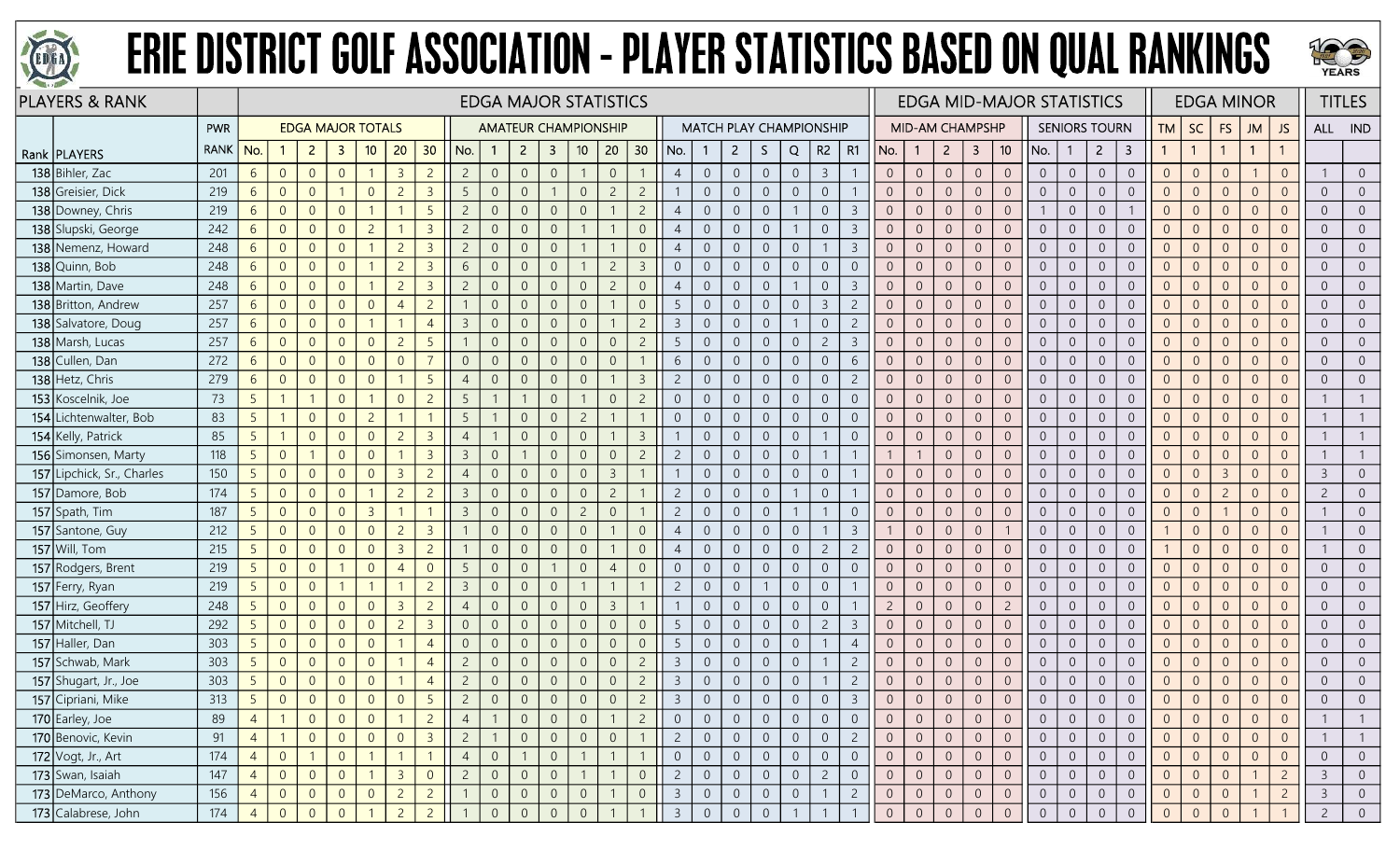



| <b>PLAYERS &amp; RANK</b>  |             |                 |                |                          |                |                |                |                 |                |                |                |                         | <b>EDGA MAJOR STATISTICS</b> |                |                |                |                |                |                  |                |                                |                |                |                 |                |                         |                 | <b>EDGA MID-MAJOR STATISTICS</b> |                |                      |                |                |                | <b>EDGA MINOR</b> |                |                |                | <b>TITLES</b>  |
|----------------------------|-------------|-----------------|----------------|--------------------------|----------------|----------------|----------------|-----------------|----------------|----------------|----------------|-------------------------|------------------------------|----------------|----------------|----------------|----------------|----------------|------------------|----------------|--------------------------------|----------------|----------------|-----------------|----------------|-------------------------|-----------------|----------------------------------|----------------|----------------------|----------------|----------------|----------------|-------------------|----------------|----------------|----------------|----------------|
|                            | PWR         |                 |                | <b>EDGA MAJOR TOTALS</b> |                |                |                |                 |                |                |                |                         | <b>AMATEUR CHAMPIONSHIP</b>  |                |                |                |                |                |                  |                | <b>MATCH PLAY CHAMPIONSHIP</b> |                |                | MID-AM CHAMPSHP |                |                         |                 |                                  |                | <b>SENIORS TOURN</b> |                | <b>TM</b>      | <b>SC</b>      | <b>FS</b>         | JM             | JS             | ALL IND        |                |
| Rank   PLAYERS             | <b>RANK</b> | No.             |                | $\overline{2}$           | -3             | 10             | 20             | 30              | No.            | $\mathbf{1}$   | $\overline{2}$ | $\overline{\mathbf{3}}$ | 10                           | 20             | 30             | No.            |                | $\overline{2}$ | S.               | Q              | $R2 \mid R1$                   |                | No.            | $\mathbf{1}$    | $2^{\circ}$    | $\overline{\mathbf{3}}$ | 10 <sup>°</sup> | No.                              | $\mathbf{1}$   | $\overline{2}$       | 3              |                | $\overline{1}$ |                   | $\mathbf{1}$   |                |                |                |
| 138 Bihler, Zac            | 201         | $6\overline{6}$ | $\overline{0}$ | $\overline{0}$           | $\overline{0}$ |                | $\overline{3}$ | $\overline{2}$  | $\overline{2}$ | $\overline{0}$ | $\overline{0}$ | $\overline{0}$          |                              | $\sqrt{0}$     |                | $\overline{4}$ | $\overline{0}$ | $\overline{0}$ | $\overline{0}$   | $\overline{0}$ | $\overline{3}$                 |                | $\overline{0}$ | $\overline{0}$  | $\overline{0}$ | $\sqrt{0}$              | $\overline{0}$  | $\overline{0}$                   | $\overline{0}$ | $\overline{0}$       | $\overline{0}$ | $\overline{0}$ | $\overline{0}$ | $\overline{0}$    |                | $\Omega$       |                | $\overline{0}$ |
| 138 Greisier, Dick         | 219         | 6               | $\overline{0}$ | $\overline{0}$           |                | $\overline{0}$ | $\overline{2}$ | $\overline{3}$  | 5              | $\overline{0}$ |                |                         | $\overline{0}$               | $\overline{c}$ | $\overline{2}$ |                | $\Omega$       | $\overline{0}$ | $\overline{0}$   | $\overline{0}$ | $\overline{0}$                 |                | $\Omega$       | $\overline{0}$  | $\overline{0}$ | $\overline{0}$          | $\overline{0}$  | $\overline{0}$                   | $\overline{0}$ | $\overline{0}$       | $\overline{0}$ | $\Omega$       | $\overline{0}$ | $\overline{0}$    | $\Omega$       | $\Omega$       | $\overline{0}$ | $\overline{0}$ |
| 138 Downey, Chris          | 219         | 6               | $\overline{0}$ | $\overline{0}$           | $\Omega$       |                |                | 5               | $\overline{c}$ | $\overline{0}$ |                | $\overline{0}$          | $\overline{0}$               |                | $\overline{2}$ | $\overline{4}$ | $\Omega$       | $\overline{0}$ | $\overline{0}$   |                | $\overline{0}$                 | -3             | $\overline{0}$ | $\overline{0}$  | $\overline{0}$ | $\overline{0}$          | $\overline{0}$  |                                  | $\overline{0}$ | $\overline{0}$       |                | $\overline{0}$ | $\overline{0}$ | $\Omega$          | $\overline{0}$ |                | $\overline{0}$ | $\overline{0}$ |
| 138 Slupski, George        | 242         | $6\overline{6}$ | $\overline{0}$ | $\overline{0}$           | $\overline{0}$ | $\overline{c}$ |                | $\overline{3}$  | $\overline{2}$ | $\overline{0}$ | $\Omega$       | $\overline{0}$          |                              |                | $\overline{0}$ | $\overline{4}$ | $\overline{0}$ | $\overline{0}$ | $\overline{0}$   |                | $\overline{0}$                 | $\overline{3}$ | $\overline{0}$ | $\overline{0}$  | $\overline{0}$ | $\overline{0}$          | $\overline{0}$  | $\overline{0}$                   | $\overline{0}$ | $\overline{0}$       | $\overline{0}$ | $\overline{0}$ | $\overline{0}$ | $\overline{0}$    | $\Omega$       | $\overline{0}$ | $\overline{0}$ | $\overline{0}$ |
| 138 Nemenz, Howard         | 248         | $6\overline{6}$ | $\overline{0}$ | $\overline{0}$           | $\overline{0}$ |                | $\overline{c}$ | $\overline{3}$  | $\overline{c}$ | $\overline{0}$ | $\Omega$       | $\overline{0}$          |                              |                | $\overline{0}$ | $\overline{4}$ | $\overline{0}$ | $\overline{0}$ | $\boldsymbol{0}$ | $\sqrt{0}$     | $\overline{1}$                 | $\overline{3}$ | $\overline{0}$ | $\overline{0}$  | $\sqrt{0}$     | $\,0\,$                 | $\overline{0}$  | $\overline{0}$                   | $\overline{0}$ | $\overline{0}$       | $\overline{0}$ | $\overline{0}$ | $\overline{0}$ | $\theta$          | $\Omega$       | $\Omega$       | $\overline{0}$ | $\overline{0}$ |
| 138 Quinn, Bob             | 248         | $6\overline{6}$ | $\overline{0}$ | $\overline{0}$           | $\overline{0}$ |                | $\overline{2}$ | $\overline{3}$  | 6              | $\overline{0}$ |                | $\overline{0}$          |                              | $\overline{c}$ | $\overline{3}$ | $\overline{0}$ | $\overline{0}$ | $\overline{0}$ | $\overline{0}$   | $\overline{0}$ | $\overline{0}$                 | $\overline{0}$ | $\overline{0}$ | $\overline{0}$  | $\overline{0}$ | $\overline{0}$          | $\overline{0}$  | $\overline{0}$                   | $\overline{0}$ | $\overline{0}$       | $\overline{0}$ | $\overline{0}$ | $\overline{0}$ | $\overline{0}$    | $\Omega$       | $\Omega$       | $\overline{0}$ | $\overline{0}$ |
| 138 Martin, Dave           | 248         | $6\overline{6}$ | $\overline{0}$ | $\overline{0}$           | $\overline{0}$ |                | $\overline{c}$ | $\overline{3}$  | $\overline{2}$ | $\overline{0}$ | $\Omega$       | $\overline{0}$          | $\overline{0}$               | $\overline{c}$ | $\overline{0}$ | $\overline{4}$ | $\overline{0}$ | $\overline{0}$ | $\overline{0}$   |                | $\overline{0}$                 | -3             | $\overline{0}$ | $\overline{0}$  | $\overline{0}$ | $\overline{0}$          | $\overline{0}$  | $\overline{0}$                   | $\overline{0}$ | $\overline{0}$       | $\overline{0}$ | $\overline{0}$ | $\overline{0}$ | $\overline{0}$    | $\overline{0}$ |                | $\overline{0}$ | $\overline{0}$ |
| 138 Britton, Andrew        | 257         | 6               | $\overline{0}$ | $\overline{0}$           | $\overline{0}$ | $\overline{0}$ | $\overline{4}$ | $\overline{2}$  |                | $\overline{0}$ | $\Omega$       | $\overline{0}$          | $\overline{0}$               |                | $\overline{0}$ | 5              | $\overline{0}$ | $\overline{0}$ | $\boldsymbol{0}$ | $\overline{0}$ | $\overline{3}$                 | $\overline{2}$ | $\overline{0}$ | $\overline{0}$  | $\overline{0}$ | $\overline{0}$          | $\overline{0}$  | $\overline{0}$                   | $\overline{0}$ | $\overline{0}$       | $\overline{0}$ | $\overline{0}$ | $\overline{0}$ | $\overline{0}$    | $\Omega$       | $\overline{0}$ | $\overline{0}$ | $\overline{0}$ |
| 138 Salvatore, Doug        | 257         | 6               | $\overline{0}$ | $\overline{0}$           | $\overline{0}$ |                |                | $\overline{4}$  | $\overline{3}$ | $\overline{0}$ |                | $\overline{0}$          | $\overline{0}$               |                | $\overline{2}$ | $\overline{3}$ | $\overline{0}$ | $\overline{0}$ | $\overline{0}$   |                | $\overline{0}$                 | $\overline{c}$ | $\overline{0}$ | $\overline{0}$  | $\overline{0}$ | $\overline{0}$          | $\overline{0}$  | $\overline{0}$                   | $\overline{0}$ | $\overline{0}$       | $\overline{0}$ | $\overline{0}$ | $\overline{0}$ | $\overline{0}$    | $\overline{0}$ | $\Omega$       | $\overline{0}$ | $\overline{0}$ |
| 138 Marsh, Lucas           | 257         | 6               | $\overline{0}$ | $\overline{0}$           | $\overline{0}$ | $\overline{0}$ | $\overline{2}$ | 5               |                | $\overline{0}$ |                | $\overline{0}$          | $\overline{0}$               | $\overline{0}$ | $\overline{2}$ | 5              | $\overline{0}$ | $\overline{0}$ | $\overline{0}$   | $\overline{0}$ | $\overline{c}$                 | -3             | $\overline{0}$ | $\overline{0}$  | $\overline{0}$ | $\overline{0}$          | $\overline{0}$  | $\overline{0}$                   | $\overline{0}$ | $\overline{0}$       | $\overline{0}$ | $\overline{0}$ | $\overline{0}$ | $\overline{0}$    | $\Omega$       |                | $\overline{0}$ | $\overline{0}$ |
| 138 Cullen, Dan            | 272         | $6\overline{6}$ | $\overline{0}$ | $\overline{0}$           | $\Omega$       | $\overline{0}$ | $\overline{0}$ | $\overline{7}$  | $\overline{0}$ | $\overline{0}$ | $\Omega$       | $\overline{0}$          | $\overline{0}$               | $\overline{0}$ |                | 6              | $\overline{0}$ | $\overline{0}$ | $\overline{0}$   | $\overline{0}$ | $\overline{0}$                 | 6              | $\overline{0}$ | $\overline{0}$  | $\overline{0}$ | $\overline{0}$          | $\overline{0}$  | $\overline{0}$                   | $\overline{0}$ | $\overline{0}$       | $\overline{0}$ | $\overline{0}$ | $\overline{0}$ | $\overline{0}$    | $\overline{0}$ | $\Omega$       | $\overline{0}$ | $\overline{0}$ |
| 138 Hetz, Chris            | 279         | $6\overline{6}$ | $\overline{0}$ | $\overline{0}$           | $\overline{0}$ | $\overline{0}$ |                | 5               | $\overline{4}$ | $\overline{0}$ | $\Omega$       | $\overline{0}$          | $\overline{0}$               |                | $\overline{3}$ | $\overline{2}$ | $\overline{0}$ | $\overline{0}$ | $\boldsymbol{0}$ | $\overline{0}$ | $\overline{0}$                 | $\overline{2}$ | $\overline{0}$ | $\overline{0}$  | $\overline{0}$ | $\mathbf{0}$            | $\overline{0}$  | $\overline{0}$                   | $\overline{0}$ | $\overline{0}$       | $\overline{0}$ | $\overline{0}$ | $\overline{0}$ | $\overline{0}$    | $\Omega$       | $\Omega$       | $\overline{0}$ | $\overline{0}$ |
| 153 Koscelnik, Joe         | 73          | 5 <sup>5</sup>  |                |                          | $\overline{0}$ |                | $\overline{0}$ | $\overline{2}$  | -5             |                |                | $\overline{0}$          |                              | $\overline{0}$ | $\overline{2}$ | $\overline{0}$ | $\overline{0}$ | $\overline{0}$ | $\overline{0}$   | $\overline{0}$ | $\overline{0}$                 | $\overline{0}$ | $\overline{0}$ | $\overline{0}$  | $\overline{0}$ | $\overline{0}$          | $\overline{0}$  | $\overline{0}$                   | $\overline{0}$ | $\overline{0}$       | $\overline{0}$ | $\overline{0}$ | $\overline{0}$ | $\overline{0}$    | $\Omega$       | $\Omega$       |                |                |
| 154 Lichtenwalter, Bob     | 83          | 5               |                | $\overline{0}$           | $\overline{0}$ | $\overline{c}$ |                |                 | 5              |                |                | $\Omega$                | $\overline{c}$               |                |                | $\Omega$       | $\Omega$       | $\overline{0}$ | $\overline{0}$   | $\sqrt{0}$     | $\overline{0}$                 | $\overline{0}$ | $\overline{0}$ | $\overline{0}$  | $\overline{0}$ | $\overline{0}$          | $\overline{0}$  | $\overline{0}$                   | $\overline{0}$ | $\overline{0}$       | $\overline{0}$ | $\overline{0}$ | $\overline{0}$ | $\Omega$          | $\Omega$       |                |                |                |
| 154 Kelly, Patrick         | 85          | 5               |                | $\overline{0}$           | $\Omega$       | $\overline{0}$ | $\overline{2}$ | $\overline{3}$  | $\overline{4}$ |                | $\Omega$       | $\Omega$                | $\Omega$                     |                | $\overline{3}$ |                | $\overline{0}$ | $\overline{0}$ | $\overline{0}$   | $\overline{0}$ | $\mathbf{1}$                   | $\overline{0}$ | $\overline{0}$ | $\overline{0}$  | $\overline{0}$ | $\overline{0}$          | $\overline{0}$  | $\overline{0}$                   | $\overline{0}$ | $\overline{0}$       | $\overline{0}$ | $\overline{0}$ | $\overline{0}$ | $\overline{0}$    | $\Omega$       | $\Omega$       |                |                |
| 156 Simonsen, Marty        | 118         | 5 <sup>1</sup>  | $\overline{0}$ |                          | $\Omega$       | $\overline{0}$ |                | $\overline{3}$  | $\overline{3}$ | $\overline{0}$ |                | $\overline{0}$          | $\Omega$                     | $\theta$       | $\overline{2}$ | $\overline{2}$ | $\overline{0}$ | $\overline{0}$ | $\mathbf 0$      | $\mathbf{0}$   | $\overline{1}$                 |                |                |                 | $\overline{0}$ | $\sqrt{0}$              | $\overline{0}$  | $\overline{0}$                   | $\overline{0}$ | $\overline{0}$       | $\overline{0}$ | $\overline{0}$ | $\overline{0}$ | $\overline{0}$    | $\Omega$       | $\Omega$       |                |                |
| 157 Lipchick, Sr., Charles | 150         | 5 <sup>5</sup>  | $\overline{0}$ | $\overline{0}$           | $\overline{0}$ | $\overline{0}$ | $\overline{3}$ | $\overline{c}$  | $\overline{4}$ | $\overline{0}$ |                | $\Omega$                | $\overline{0}$               | $\overline{3}$ |                |                | $\overline{0}$ | $\overline{0}$ | $\overline{0}$   | $\overline{0}$ | $\overline{0}$                 |                | $\overline{0}$ | $\overline{0}$  | $\overline{0}$ | $\overline{0}$          | $\overline{0}$  | $\overline{0}$                   | $\overline{0}$ | $\overline{0}$       | $\overline{0}$ | $\Omega$       | $\overline{0}$ | $\overline{3}$    | $\Omega$       | $\Omega$       | $\mathbf{3}$   | $\overline{0}$ |
| 157 Damore, Bob            | 174         | 5 <sup>5</sup>  | $\overline{0}$ | $\overline{0}$           | $\Omega$       |                | $\overline{2}$ | $\overline{c}$  | -3             | $\overline{0}$ |                | $\Omega$                | $\Omega$                     | $\overline{c}$ |                | $\overline{2}$ | $\Omega$       | $\overline{0}$ | $\overline{0}$   |                | $\overline{0}$                 |                | $\overline{0}$ | $\Omega$        | $\overline{0}$ | $\overline{0}$          | $\overline{0}$  | $\overline{0}$                   | $\overline{0}$ | $\Omega$             | $\overline{0}$ | $\Omega$       | $\overline{0}$ |                   | $\Omega$       |                | $\overline{c}$ | $\overline{0}$ |
| 157 Spath, Tim             | 187         | 5 <sup>1</sup>  | $\overline{0}$ | $\overline{0}$           | $\Omega$       | $\overline{3}$ |                |                 | $\overline{3}$ | $\overline{0}$ | $\Omega$       | $\Omega$                | $\overline{2}$               | $\overline{0}$ |                | $\overline{2}$ | $\overline{0}$ | $\overline{0}$ | $\overline{0}$   |                | $\mathbf{1}$                   | $\Omega$       | $\overline{0}$ | $\overline{0}$  | $\overline{0}$ | $\overline{0}$          | $\overline{0}$  | $\overline{0}$                   | $\overline{0}$ | $\overline{0}$       | $\overline{0}$ | $\overline{0}$ | $\overline{0}$ |                   | $\overline{0}$ | $\Omega$       |                | $\overline{0}$ |
| 157 Santone, Guy           | 212         | 5 <sup>1</sup>  | $\overline{0}$ | $\overline{0}$           | $\overline{0}$ | $\overline{0}$ | $\overline{2}$ | $\overline{3}$  |                | $\overline{0}$ | $\Omega$       | $\overline{0}$          | $\overline{0}$               |                | $\overline{0}$ | $\overline{4}$ | $\overline{0}$ | $\overline{0}$ | $\boldsymbol{0}$ | $\sqrt{0}$     | $\overline{1}$                 | $\overline{3}$ |                | $\overline{0}$  | $\overline{0}$ | $\,0\,$                 |                 | $\overline{0}$                   | $\overline{0}$ | $\overline{0}$       | $\overline{0}$ |                | $\overline{0}$ | $\overline{0}$    | $\overline{0}$ | $\overline{0}$ |                | $\overline{0}$ |
| 157 Will, Tom              | 215         | 5 <sup>1</sup>  | $\overline{0}$ | $\overline{0}$           | $\overline{0}$ | $\overline{0}$ | $\overline{3}$ | $\overline{c}$  |                | $\overline{0}$ |                | $\Omega$                | $\Omega$                     |                | $\overline{0}$ | $\overline{4}$ | $\Omega$       | $\overline{0}$ | $\overline{0}$   | $\overline{0}$ | $\overline{2}$                 | $\overline{2}$ | $\overline{0}$ | $\overline{0}$  | $\overline{0}$ | $\overline{0}$          | $\overline{0}$  | $\overline{0}$                   | $\overline{0}$ | $\overline{0}$       | $\overline{0}$ |                | $\overline{0}$ | $\overline{0}$    | $\Omega$       |                |                | $\overline{0}$ |
| 157 Rodgers, Brent         | 219         | 5 <sup>5</sup>  | $\overline{0}$ | $\overline{0}$           |                | $\overline{0}$ |                | $\overline{0}$  | -5             | $\overline{0}$ |                |                         | $\overline{0}$               | $\overline{4}$ | $\overline{0}$ | $\overline{0}$ | $\overline{0}$ | $\overline{0}$ | $\overline{0}$   | $\overline{0}$ | $\overline{0}$                 | $\overline{0}$ | $\overline{0}$ | $\overline{0}$  | $\overline{0}$ | $\overline{0}$          | $\overline{0}$  | $\overline{0}$                   | $\overline{0}$ | $\overline{0}$       | $\overline{0}$ | $\overline{0}$ | $\overline{0}$ | $\Omega$          | $\overline{0}$ |                | $\overline{0}$ | $\overline{0}$ |
| 157 Ferry, Ryan            | 219         | 5 <sup>1</sup>  | $\overline{0}$ | $\overline{0}$           |                |                |                | $\overline{2}$  | $\overline{3}$ | $\overline{0}$ | $\Omega$       | $\overline{0}$          |                              |                |                | $\overline{2}$ | $\overline{0}$ | $\overline{0}$ |                  | $\sqrt{0}$     | $\overline{0}$                 |                | $\overline{0}$ | $\overline{0}$  | $\overline{0}$ | $\overline{0}$          | $\overline{0}$  | $\overline{0}$                   | $\overline{0}$ | $\overline{0}$       | $\overline{0}$ | $\overline{0}$ | $\overline{0}$ | $\overline{0}$    | $\overline{0}$ | $\Omega$       | $\overline{0}$ | $\overline{0}$ |
| 157 Hirz, Geoffery         | 248         | 5 <sup>1</sup>  | $\overline{0}$ | $\overline{0}$           | $\overline{0}$ | $\overline{0}$ | $\overline{3}$ | $\overline{c}$  | $\overline{4}$ | $\overline{0}$ | $\overline{0}$ | $\overline{0}$          | $\overline{0}$               | $\overline{3}$ |                | $\mathbf{1}$   | $\overline{0}$ | $\overline{0}$ | $\overline{0}$   | $\overline{0}$ | $\overline{0}$                 |                | $\overline{2}$ | $\overline{0}$  | $\overline{0}$ | $\overline{0}$          | $\overline{2}$  | $\overline{0}$                   | $\overline{0}$ | $\overline{0}$       | $\overline{0}$ | $\overline{0}$ | $\overline{0}$ | $\overline{0}$    | $\overline{0}$ | $\overline{0}$ | $\overline{0}$ | $\overline{0}$ |
| 157 Mitchell, TJ           | 292         | 5 <sup>5</sup>  | $\overline{0}$ | $\overline{0}$           | $\overline{0}$ | $\overline{0}$ | $\overline{2}$ | $\overline{3}$  | $\overline{0}$ | $\overline{0}$ |                | $\Omega$                | $\Omega$                     | $\overline{0}$ | $\overline{0}$ | 5              | $\overline{0}$ | $\overline{0}$ | $\boldsymbol{0}$ | $\theta$       | $\overline{c}$                 | $\overline{3}$ | $\overline{0}$ | $\overline{0}$  | $\overline{0}$ | $\overline{0}$          | $\overline{0}$  | $\overline{0}$                   | $\overline{0}$ | $\overline{0}$       | $\overline{0}$ | $\Omega$       | $\overline{0}$ | $\Omega$          | $\Omega$       |                | $\overline{0}$ | $\overline{0}$ |
| 157 Haller, Dan            | 303         | 5 <sup>5</sup>  | $\overline{0}$ | $\overline{0}$           | $\overline{0}$ | $\overline{0}$ |                | $\overline{4}$  | $\overline{0}$ | $\overline{0}$ | $\Omega$       | 0                       | $\overline{0}$               | $\overline{0}$ | $\overline{0}$ | 5              | $\overline{0}$ | $\overline{0}$ | $\overline{0}$   | $\overline{0}$ | -1                             | $\overline{4}$ | $\overline{0}$ | $\overline{0}$  | $\overline{0}$ | $\overline{0}$          | $\overline{0}$  | $\overline{0}$                   | $\overline{0}$ | $\overline{0}$       | $\overline{0}$ | $\overline{0}$ | $\overline{0}$ | $\overline{0}$    | $\overline{0}$ | $\Omega$       | $\overline{0}$ | $\overline{0}$ |
| 157 Schwab, Mark           | 303         | 5 <sup>1</sup>  | $\overline{0}$ | $\overline{0}$           | $\overline{0}$ | $\overline{0}$ |                | $\overline{4}$  | $\overline{c}$ | $\overline{0}$ | $\Omega$       | $\Omega$                | $\overline{0}$               | $\overline{0}$ | $\overline{c}$ | $\overline{3}$ | $\overline{0}$ | $\overline{0}$ | $\boldsymbol{0}$ | $\mathbb O$    |                                | $\overline{2}$ | $\overline{0}$ | $\overline{0}$  | $\overline{0}$ | $\sqrt{0}$              | $\overline{0}$  | $\overline{0}$                   | $\overline{0}$ | $\overline{0}$       | $\overline{0}$ | $\overline{0}$ | $\overline{0}$ | $\overline{0}$    | $\overline{0}$ | $\Omega$       | $\overline{0}$ | $\overline{0}$ |
| 157 Shugart, Jr., Joe      | 303         | 5               | $\overline{0}$ | $\overline{0}$           | $\overline{0}$ | $\overline{0}$ |                | $\overline{4}$  | $\overline{2}$ | $\overline{0}$ |                | $\overline{0}$          | $\overline{0}$               | $\sqrt{0}$     | $\overline{2}$ | $\overline{3}$ | $\overline{0}$ | $\overline{0}$ | $\overline{0}$   | $\overline{0}$ |                                | $\overline{c}$ | $\overline{0}$ | $\overline{0}$  | $\overline{0}$ | $\sqrt{0}$              | $\overline{0}$  | $\overline{0}$                   | $\overline{0}$ | $\overline{0}$       | $\overline{0}$ | $\overline{0}$ | $\overline{0}$ | $\overline{0}$    | $\Omega$       | $\overline{0}$ | $\overline{0}$ | $\overline{0}$ |
| 157 Cipriani, Mike         | 313         | 5               | $\overline{0}$ | $\overline{0}$           | $\overline{0}$ | $\overline{0}$ | $\Omega$       | $5\overline{)}$ | $\overline{2}$ | $\overline{0}$ |                | $\overline{0}$          | $\Omega$                     | $\overline{0}$ | $\overline{2}$ | $\overline{3}$ | $\overline{0}$ | $\overline{0}$ | $\overline{0}$   | $\theta$       | $\Omega$                       | $\overline{3}$ | $\overline{0}$ | $\overline{0}$  | $\overline{0}$ | $\mathbf{0}$            |                 | $\overline{0}$                   | $\overline{0}$ | $\overline{0}$       | $\Omega$       | $\overline{0}$ | $\overline{0}$ | $\Omega$          | $\Omega$       |                | $\overline{0}$ | $\Omega$       |
| 170 Earley, Joe            | 89          | $\overline{4}$  |                | $\overline{0}$           | $\overline{0}$ | $\overline{0}$ |                | $\overline{2}$  | $\overline{4}$ |                | $\Omega$       | $\overline{0}$          | $\overline{0}$               |                | $\overline{2}$ | $\overline{0}$ | $\Omega$       | $\overline{0}$ | $\overline{0}$   | $\overline{0}$ | $\overline{0}$                 | $\overline{0}$ | $\overline{0}$ | $\overline{0}$  | $\overline{0}$ | $\overline{0}$          | $\overline{0}$  | $\overline{0}$                   | $\overline{0}$ | $\overline{0}$       | $\overline{0}$ | $\overline{0}$ | $\overline{0}$ | $\overline{0}$    | $\overline{0}$ | $\overline{0}$ |                |                |
| 170 Benovic, Kevin         | 91          | $\overline{4}$  |                | $\overline{0}$           | $\overline{0}$ | $\overline{0}$ | $\overline{0}$ | $\overline{3}$  | $\overline{2}$ |                | $\overline{0}$ | $\overline{0}$          | $\overline{0}$               | $\overline{0}$ |                | $\overline{2}$ | $\overline{0}$ | $\overline{0}$ | $\overline{0}$   | $\overline{0}$ | $\overline{0}$                 | $\overline{2}$ | $\overline{0}$ | $\overline{0}$  | $\overline{0}$ | $\overline{0}$          | $\overline{0}$  | $\overline{0}$                   | $\overline{0}$ | $\overline{0}$       | $\overline{0}$ | $\overline{0}$ | $\overline{0}$ | $\overline{0}$    | $\Omega$       | $\overline{0}$ |                |                |
| 172 Vogt, Jr., Art         | 174         | $\overline{4}$  | $\overline{0}$ |                          | $\overline{0}$ |                |                | $\overline{1}$  | $\overline{4}$ | $\overline{0}$ |                | $\overline{0}$          |                              |                |                | $\overline{0}$ | $\sqrt{0}$     | $\overline{0}$ | $\overline{0}$   | $\overline{0}$ | $\overline{0}$                 | $\overline{0}$ | $\overline{0}$ | $\overline{0}$  | $\overline{0}$ | $\overline{0}$          | $\overline{0}$  | $\overline{0}$                   | $\overline{0}$ | $\overline{0}$       | $\overline{0}$ | $\overline{0}$ | $\overline{0}$ | $\overline{0}$    | $\Omega$       | $\overline{0}$ | $\overline{0}$ | $\overline{0}$ |
| 173 Swan, Isaiah           | 147         | $\overline{4}$  | $\overline{0}$ | $\overline{0}$           | $\overline{0}$ |                | $\overline{3}$ | $\overline{0}$  | $\overline{2}$ | $\overline{0}$ | $\Omega$       | $\overline{0}$          |                              |                | $\overline{0}$ | $\overline{2}$ | $\overline{0}$ | $\overline{0}$ | $\overline{0}$   | $\overline{0}$ | $\overline{2}$                 | $\overline{0}$ | $\overline{0}$ | $\overline{0}$  | $\overline{0}$ | $\overline{0}$          | $\overline{0}$  | $\overline{0}$                   | $\overline{0}$ | $\overline{0}$       | $\overline{0}$ | $\overline{0}$ | $\overline{0}$ | $\overline{0}$    |                | $\overline{2}$ | $\overline{3}$ | $\overline{0}$ |
| 173 DeMarco, Anthony       | 156         | $\overline{4}$  | $\overline{0}$ | $\overline{0}$           | $\overline{0}$ | $\overline{0}$ | $\overline{2}$ | $\overline{2}$  |                | $\overline{0}$ | $\overline{0}$ | $\overline{0}$          | $\overline{0}$               |                | $\overline{0}$ | $\overline{3}$ | $\overline{0}$ | $\overline{0}$ | $\overline{0}$   | $\overline{0}$ | $\overline{1}$                 | $\overline{2}$ | $\overline{0}$ | $\overline{0}$  | $\overline{0}$ | $\overline{0}$          | $\overline{0}$  | $\overline{0}$                   | $\overline{0}$ | $\overline{0}$       | $\overline{0}$ | $\overline{0}$ | $\overline{0}$ | $\overline{0}$    |                | $\overline{2}$ | $\mathbf{3}$   | $\overline{0}$ |
| 173 Calabrese, John        | 174         | $\overline{4}$  | $\overline{0}$ | $\Omega$                 | $\overline{0}$ |                | $\overline{z}$ | $\overline{2}$  |                | $\Omega$       | $\Omega$       | $\Omega$                | $\Omega$                     |                |                | $\overline{3}$ | $\Omega$       | $\overline{0}$ | $\overline{0}$   |                |                                |                | $\overline{0}$ | $\overline{0}$  | $\sqrt{0}$     | $\overline{0}$          | $\overline{0}$  | $\overline{0}$                   | $\overline{0}$ | $\overline{0}$       | $\overline{0}$ | $\overline{0}$ | $\Omega$       | $\Omega$          |                |                | $\overline{2}$ | $\overline{0}$ |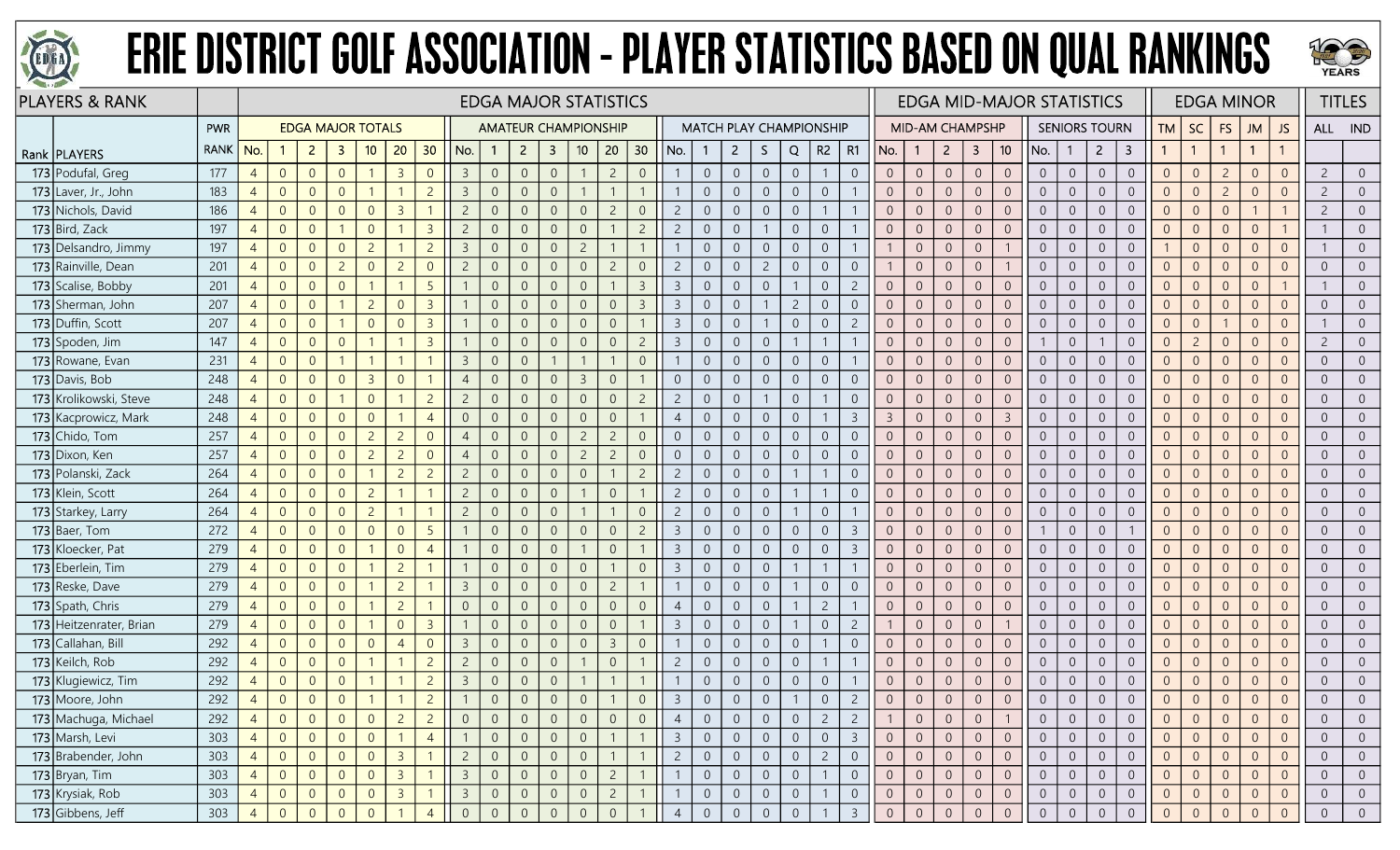



| <b>PLAYERS &amp; RANK</b> |             |                |                |                |                          |                |                |                |                         |                | <b>EDGA MAJOR STATISTICS</b> |                         |                |                |                |                |                                |                |                  |                |                |                |                |                        |                |                |                 | <b>EDGA MID-MAJOR STATISTICS</b> |                |                      |                |                |                | <b>EDGA MINOR</b> |                |                |                | <b>TITLES</b>  |
|---------------------------|-------------|----------------|----------------|----------------|--------------------------|----------------|----------------|----------------|-------------------------|----------------|------------------------------|-------------------------|----------------|----------------|----------------|----------------|--------------------------------|----------------|------------------|----------------|----------------|----------------|----------------|------------------------|----------------|----------------|-----------------|----------------------------------|----------------|----------------------|----------------|----------------|----------------|-------------------|----------------|----------------|----------------|----------------|
|                           | PWR         |                |                |                | <b>EDGA MAJOR TOTALS</b> |                |                |                |                         |                | <b>AMATEUR CHAMPIONSHIP</b>  |                         |                |                |                |                | <b>MATCH PLAY CHAMPIONSHIP</b> |                |                  |                |                |                |                | <b>MID-AM CHAMPSHP</b> |                |                |                 |                                  |                | <b>SENIORS TOURN</b> |                | TM             | <b>SC</b>      | FS                | <b>JM</b>      | JS             | ALL IND        |                |
| Rank   PLAYERS            | <b>RANK</b> | No.            |                | $\overline{2}$ | 3                        | 10             | 20             | 30             | No.                     |                | $\overline{2}$               | $\overline{\mathbf{3}}$ | 10             | 20             | 30             | No.            |                                | $\overline{2}$ | S.               | Q              | $R2 \mid R1$   |                | No.            | -1                     | $2^{\circ}$    | 3              | 10 <sup>°</sup> | No.                              | -1             | $\overline{2}$       | 3              |                | $\mathbf{1}$   |                   | $\mathbf{1}$   |                |                |                |
| 173 Podufal, Greg         | 177         | $\overline{4}$ | $\overline{0}$ | $\overline{0}$ | $\overline{0}$           |                | $\overline{3}$ | $\overline{0}$ | $\overline{3}$          | $\overline{0}$ | $\overline{0}$               | $\overline{0}$          |                | $\overline{2}$ | $\overline{0}$ |                | $\overline{0}$                 | $\overline{0}$ | $\overline{0}$   | $\overline{0}$ | -1             | $\overline{0}$ | $\overline{0}$ | $\overline{0}$         | $\overline{0}$ | $\sqrt{0}$     | $\overline{0}$  | $\overline{0}$                   | $\overline{0}$ | $\overline{0}$       | $\overline{0}$ | $\overline{0}$ | $\overline{0}$ | $\overline{2}$    | $\Omega$       | $\Omega$       | $\overline{c}$ | $\overline{0}$ |
| 173 Laver, Jr., John      | 183         | $\overline{4}$ | $\overline{0}$ | $\overline{0}$ | $\overline{0}$           |                |                | $\overline{2}$ | $\overline{3}$          | $\overline{0}$ | $\Omega$                     | $\overline{0}$          |                |                |                | $\mathbf{1}$   | $\overline{0}$                 | $\overline{0}$ | $\overline{0}$   | $\overline{0}$ | $\overline{0}$ |                | $\overline{0}$ | $\overline{0}$         | $\overline{0}$ | $\overline{0}$ | $\overline{0}$  | $\overline{0}$                   | $\overline{0}$ | $\overline{0}$       | $\overline{0}$ | $\Omega$       | $\overline{0}$ | $\overline{2}$    | $\overline{0}$ | $\Omega$       | $\overline{c}$ | $\overline{0}$ |
| 173 Nichols, David        | 186         | $\overline{4}$ | $\overline{0}$ | $\overline{0}$ | $\overline{0}$           | $\overline{0}$ | $\overline{3}$ |                |                         | $\overline{0}$ |                              | $\Omega$                | $\Omega$       | $\overline{c}$ | $\overline{0}$ | $\overline{2}$ | $\overline{0}$                 | $\overline{0}$ | $\overline{0}$   | $\theta$       |                |                | $\overline{0}$ | $\Omega$               | $\overline{0}$ | $\overline{0}$ | $\Omega$        | $\overline{0}$                   | $\overline{0}$ | $\Omega$             | $\overline{0}$ | $\Omega$       | $\overline{0}$ | $\Omega$          |                |                | $\overline{c}$ |                |
| 173 Bird, Zack            | 197         | $\overline{4}$ | $\overline{0}$ | $\Omega$       |                          | $\overline{0}$ |                | $\overline{3}$ | $\overline{2}$          | $\overline{0}$ | $\Omega$                     | $\Omega$                | $\Omega$       |                | $\overline{2}$ | $\overline{2}$ | $\overline{0}$                 | $\overline{0}$ |                  | $\overline{0}$ | $\overline{0}$ |                | $\overline{0}$ | $\overline{0}$         | $\overline{0}$ | $\overline{0}$ | $\Omega$        | $\overline{0}$                   | $\overline{0}$ | $\overline{0}$       | $\overline{0}$ | $\Omega$       | $\overline{0}$ | $\overline{0}$    | $\Omega$       |                |                | $\overline{0}$ |
| 173 Delsandro, Jimmy      | 197         | $\overline{4}$ | $\overline{0}$ | $\overline{0}$ | $\Omega$                 | $\overline{2}$ |                | $\overline{c}$ | $\overline{3}$          | $\overline{0}$ | $\Omega$                     | $\Omega$                | $\overline{c}$ |                |                |                | $\overline{0}$                 | $\overline{0}$ | $\overline{0}$   | $\overline{0}$ | $\overline{0}$ |                |                | $\overline{0}$         | $\overline{0}$ | $\sqrt{0}$     |                 | $\overline{0}$                   | $\overline{0}$ | $\overline{0}$       | $\overline{0}$ |                | $\overline{0}$ | $\Omega$          | $\Omega$       | $\overline{0}$ |                | $\overline{0}$ |
| 173 Rainville, Dean       | 201         | $\overline{4}$ | $\overline{0}$ | $\overline{0}$ | $\overline{2}$           | $\overline{0}$ | $\overline{2}$ | $\Omega$       | $\overline{2}$          | $\overline{0}$ | $\overline{0}$               | $\Omega$                | $\overline{0}$ | $\overline{c}$ | $\overline{0}$ | $\overline{2}$ | $\overline{0}$                 | $\overline{0}$ | $2^{\circ}$      | $\overline{0}$ | $\overline{0}$ | $\overline{0}$ |                | $\overline{0}$         | $\overline{0}$ | $\overline{0}$ |                 | $\overline{0}$                   | $\overline{0}$ | $\overline{0}$       | $\overline{0}$ | $\Omega$       | $\overline{0}$ | $\overline{0}$    | $\Omega$       | $\Omega$       | $\overline{0}$ | $\overline{0}$ |
| 173 Scalise, Bobby        | 201         | $\overline{4}$ | $\overline{0}$ | $\overline{0}$ | $\Omega$                 |                |                | 5              |                         | $\overline{0}$ |                              | $\Omega$                | $\Omega$       |                | $\overline{3}$ | $\overline{3}$ | $\overline{0}$                 | $\overline{0}$ | $\overline{0}$   |                | $\overline{0}$ |                | $\Omega$       | $\overline{0}$         | $\overline{0}$ | $\overline{0}$ | $\overline{0}$  | $\overline{0}$                   | $\overline{0}$ | $\overline{0}$       | $\overline{0}$ | $\overline{0}$ | $\overline{0}$ | $\Omega$          | $\Omega$       |                |                | $\overline{0}$ |
| 173 Sherman, John         | 207         | $\overline{4}$ | $\overline{0}$ | $\overline{0}$ |                          | $\overline{c}$ | $\Omega$       | $\overline{3}$ |                         | $\overline{0}$ | $\Omega$                     | $\Omega$                | $\Omega$       | $\overline{0}$ | $\overline{3}$ | $\overline{3}$ | $\overline{0}$                 | $\overline{0}$ |                  | $\overline{c}$ | $\overline{0}$ | $\Omega$       | $\overline{0}$ | $\overline{0}$         | $\overline{0}$ | $\overline{0}$ | $\overline{0}$  | $\overline{0}$                   | $\overline{0}$ | $\overline{0}$       | $\overline{0}$ | $\Omega$       | $\overline{0}$ | $\overline{0}$    | $\Omega$       | $\Omega$       | $\overline{0}$ | $\overline{0}$ |
| 173 Duffin, Scott         | 207         | $\overline{4}$ | $\overline{0}$ | $\overline{0}$ |                          | $\overline{0}$ | $\overline{0}$ | $\overline{3}$ |                         | $\mathbf{0}$   | $\Omega$                     | $\overline{0}$          | $\overline{0}$ | $\overline{0}$ |                | $\mathbf{3}$   | $\overline{0}$                 | $\overline{0}$ |                  | $\mathbf 0$    | $\overline{0}$ | $\overline{c}$ | $\overline{0}$ | $\overline{0}$         | $\overline{0}$ | $\,0\,$        | $\overline{0}$  | $\overline{0}$                   | $\overline{0}$ | $\overline{0}$       | $\overline{0}$ | $\overline{0}$ | $\overline{0}$ |                   | $\overline{0}$ | $\overline{0}$ |                | $\overline{0}$ |
| 173 Spoden, Jim           | 147         | $\overline{4}$ | $\overline{0}$ | $\overline{0}$ | $\overline{0}$           |                |                | $\overline{3}$ |                         | $\overline{0}$ | $\Omega$                     | $\overline{0}$          | $\Omega$       | $\overline{0}$ | $\overline{2}$ | $\overline{3}$ | $\Omega$                       | $\overline{0}$ | $\overline{0}$   |                | $\mathbf{1}$   |                | $\overline{0}$ | $\overline{0}$         | $\overline{0}$ | $\overline{0}$ | $\overline{0}$  |                                  | $\overline{0}$ |                      | $\overline{0}$ | $\Omega$       | $\overline{2}$ | $\overline{0}$    | $\overline{0}$ | $\Omega$       | $\overline{2}$ | $\overline{0}$ |
| 173 Rowane, Evan          | 231         | $\overline{4}$ | $\overline{0}$ | $\overline{0}$ |                          |                |                |                | $\overline{3}$          | $\overline{0}$ | $\Omega$                     |                         |                |                | $\overline{0}$ |                | $\overline{0}$                 | $\overline{0}$ | $\overline{0}$   | $\overline{0}$ | $\overline{0}$ |                | $\overline{0}$ | $\overline{0}$         | $\overline{0}$ | $\overline{0}$ | $\overline{0}$  | $\overline{0}$                   | $\overline{0}$ | $\overline{0}$       | $\overline{0}$ | $\overline{0}$ | $\overline{0}$ | $\Omega$          | $\overline{0}$ |                | $\overline{0}$ | $\overline{0}$ |
| 173 Davis, Bob            | 248         | $\overline{4}$ | $\overline{0}$ | $\overline{0}$ | $\overline{0}$           | $\overline{3}$ | $\Omega$       |                | $\overline{4}$          | $\overline{0}$ | $\Omega$                     | $\overline{0}$          | $\overline{3}$ | $\overline{0}$ |                | $\Omega$       | $\overline{0}$                 | $\overline{0}$ | $\boldsymbol{0}$ | $\overline{0}$ | $\overline{0}$ | $\overline{0}$ | $\overline{0}$ | $\overline{0}$         | $\overline{0}$ | $\overline{0}$ | $\overline{0}$  | $\overline{0}$                   | $\overline{0}$ | $\overline{0}$       | $\overline{0}$ | $\overline{0}$ | $\overline{0}$ | $\overline{0}$    | $\overline{0}$ | $\Omega$       | $\overline{0}$ | $\overline{0}$ |
| 173 Krolikowski, Steve    | 248         | $\overline{4}$ | $\overline{0}$ | $\overline{0}$ |                          | $\overline{0}$ |                | $\overline{2}$ | $\overline{2}$          | $\overline{0}$ | $\Omega$                     | $\overline{0}$          | $\overline{0}$ | $\overline{0}$ | $\overline{2}$ | $\overline{2}$ | $\overline{0}$                 | $\overline{0}$ |                  | $\overline{0}$ | $\overline{1}$ | $\overline{0}$ | $\overline{0}$ | $\overline{0}$         | $\overline{0}$ | $\overline{0}$ | $\overline{0}$  | $\overline{0}$                   | $\overline{0}$ | $\overline{0}$       | $\overline{0}$ | $\overline{0}$ | $\overline{0}$ | $\overline{0}$    | $\overline{0}$ | $\overline{0}$ | $\overline{0}$ | $\overline{0}$ |
| 173 Kacprowicz, Mark      | 248         | $\overline{4}$ | $\overline{0}$ | $\overline{0}$ | $\overline{0}$           | $\overline{0}$ |                | $\overline{4}$ | $\overline{0}$          | $\overline{0}$ |                              | $\overline{0}$          | $\overline{0}$ | $\overline{0}$ |                | $\overline{4}$ | $\overline{0}$                 | $\sqrt{0}$     | $\boldsymbol{0}$ | $\theta$       |                | $\overline{3}$ | $\overline{3}$ | $\overline{0}$         | $\sqrt{0}$     | $\sqrt{0}$     | $\overline{3}$  | $\overline{0}$                   | $\overline{0}$ | $\theta$             | $\overline{0}$ | $\overline{0}$ | $\overline{0}$ | $\Omega$          | $\Omega$       |                | $\overline{0}$ | $\overline{0}$ |
| 173 Chido, Tom            | 257         | $\overline{4}$ | $\overline{0}$ | $\overline{0}$ | $\overline{0}$           | $\overline{2}$ | $\overline{2}$ | $\Omega$       |                         | $\overline{0}$ |                              | $\overline{0}$          | $\overline{c}$ | $\overline{c}$ | $\overline{0}$ | $\Omega$       | $\Omega$                       | $\overline{0}$ | $\overline{0}$   | $\overline{0}$ | $\overline{0}$ | $\overline{0}$ | $\overline{0}$ | $\overline{0}$         | $\overline{0}$ | $\overline{0}$ | $\overline{0}$  | $\overline{0}$                   | $\overline{0}$ | $\overline{0}$       | $\overline{0}$ | $\overline{0}$ | $\overline{0}$ | $\Omega$          | $\overline{0}$ |                | $\overline{0}$ | $\overline{0}$ |
| 173 Dixon, Ken            | 257         | $\overline{4}$ | $\overline{0}$ | $\overline{0}$ | $\overline{0}$           | $\overline{c}$ | $\overline{c}$ | $\Omega$       | $\overline{4}$          | $\overline{0}$ | $\Omega$                     | $\overline{0}$          | $\overline{c}$ | $\overline{c}$ | $\overline{0}$ | $\overline{0}$ | $\overline{0}$                 | $\overline{0}$ | $\boldsymbol{0}$ | $\theta$       | $\overline{0}$ | $\overline{0}$ | $\overline{0}$ | $\overline{0}$         | $\overline{0}$ | $\,0\,$        | $\overline{0}$  | $\overline{0}$                   | $\overline{0}$ | $\sqrt{0}$           | $\overline{0}$ | $\overline{0}$ | $\overline{0}$ | $\overline{0}$    | $\Omega$       | $\Omega$       | $\overline{0}$ | $\overline{0}$ |
| 173 Polanski, Zack        | 264         | $\overline{4}$ | $\overline{0}$ | $\overline{0}$ | $\overline{0}$           |                | $\overline{c}$ | $\overline{c}$ | $\overline{2}$          | $\overline{0}$ | $\Omega$                     | $\overline{0}$          | $\overline{0}$ |                | $\overline{2}$ | $\overline{2}$ | $\overline{0}$                 | $\sqrt{0}$     | $\overline{0}$   | $\overline{1}$ | $\overline{1}$ | $\overline{0}$ | $\overline{0}$ | $\overline{0}$         | $\overline{0}$ | $\overline{0}$ | $\overline{0}$  | $\overline{0}$                   | $\overline{0}$ | $\overline{0}$       | $\overline{0}$ | $\overline{0}$ | $\overline{0}$ | $\overline{0}$    | $\overline{0}$ | $\Omega$       | $\overline{0}$ | $\overline{0}$ |
| 173 Klein, Scott          | 264         | $\overline{4}$ | $\overline{0}$ | $\overline{0}$ | $\overline{0}$           | $\overline{c}$ |                |                | $\overline{2}$          | $\overline{0}$ |                              | $\overline{0}$          |                | $\overline{0}$ |                | $\overline{2}$ | $\Omega$                       | $\overline{0}$ | $\overline{0}$   |                | $\overline{1}$ | $\overline{0}$ | $\overline{0}$ | $\overline{0}$         | $\overline{0}$ | $\overline{0}$ | $\overline{0}$  | $\overline{0}$                   | $\overline{0}$ | $\overline{0}$       | $\overline{0}$ | $\Omega$       | $\overline{0}$ | $\overline{0}$    | $\Omega$       |                | $\overline{0}$ | $\overline{0}$ |
| 173 Starkey, Larry        | 264         | $\overline{4}$ | $\overline{0}$ | $\overline{0}$ | $\overline{0}$           | $\overline{2}$ |                |                | $\overline{c}$          | $\overline{0}$ | $\Omega$                     | $\overline{0}$          |                |                | $\overline{0}$ | $\overline{2}$ | $\Omega$                       | $\overline{0}$ | $\overline{0}$   |                | $\overline{0}$ |                | $\overline{0}$ | $\overline{0}$         | $\overline{0}$ | $\overline{0}$ | $\overline{0}$  | $\overline{0}$                   | $\overline{0}$ | $\overline{0}$       | $\overline{0}$ | $\overline{0}$ | $\overline{0}$ | $\Omega$          | $\overline{0}$ |                | $\overline{0}$ | $\overline{0}$ |
| 173 Baer, Tom             | 272         | $\overline{4}$ | $\overline{0}$ | $\overline{0}$ | $\overline{0}$           | $\overline{0}$ | $\Omega$       | 5              |                         | $\mathbf{0}$   | $\overline{0}$               | $\overline{0}$          | $\overline{0}$ | $\overline{0}$ | $\overline{2}$ | $\overline{3}$ | $\overline{0}$                 | $\overline{0}$ | $\boldsymbol{0}$ | $\sqrt{0}$     | $\overline{0}$ | $\overline{3}$ | $\overline{0}$ | $\overline{0}$         | $\overline{0}$ | $\mathbf{0}$   | $\overline{0}$  |                                  | $\overline{0}$ | $\overline{0}$       |                | $\overline{0}$ | $\overline{0}$ | $\overline{0}$    | $\Omega$       | $\overline{0}$ | $\overline{0}$ | $\overline{0}$ |
| 173 Kloecker, Pat         | 279         | $\overline{4}$ | $\overline{0}$ | $\overline{0}$ | $\overline{0}$           |                | $\overline{0}$ | $\overline{4}$ |                         | $\overline{0}$ |                              | $\overline{0}$          |                | $\overline{0}$ |                | $\overline{3}$ | $\overline{0}$                 | $\overline{0}$ | $\overline{0}$   | $\overline{0}$ | $\overline{0}$ | -3             | $\overline{0}$ | $\overline{0}$         | $\overline{0}$ | $\overline{0}$ | $\overline{0}$  | $\overline{0}$                   | $\overline{0}$ | $\overline{0}$       | $\overline{0}$ | $\overline{0}$ | $\overline{0}$ | $\overline{0}$    | $\Omega$       | $\Omega$       | $\overline{0}$ | $\overline{0}$ |
| 173 Eberlein, Tim         | 279         | $\overline{4}$ | $\overline{0}$ | $\overline{0}$ | $\overline{0}$           |                | $\overline{2}$ |                |                         | $\overline{0}$ |                              | $\overline{0}$          | $\Omega$       |                | $\overline{0}$ | $\overline{3}$ | $\overline{0}$                 | $\overline{0}$ | $\overline{0}$   |                | $\mathbf{1}$   |                | $\overline{0}$ | $\overline{0}$         | $\overline{0}$ | $\overline{0}$ | $\overline{0}$  | $\overline{0}$                   | $\overline{0}$ | $\overline{0}$       | $\overline{0}$ | $\overline{0}$ | $\overline{0}$ | $\Omega$          | $\Omega$       |                | $\overline{0}$ | $\overline{0}$ |
| 173 Reske, Dave           | 279         | $\overline{4}$ | $\overline{0}$ | $\overline{0}$ | $\overline{0}$           |                | $\overline{c}$ |                | $\overline{3}$          | $\overline{0}$ | $\overline{0}$               | $\overline{0}$          | $\overline{0}$ | $\overline{2}$ |                |                | $\overline{0}$                 | $\overline{0}$ | $\overline{0}$   |                | $\overline{0}$ | $\overline{0}$ | $\overline{0}$ | $\overline{0}$         | $\overline{0}$ | $\overline{0}$ | $\overline{0}$  | $\overline{0}$                   | $\overline{0}$ | $\overline{0}$       | $\overline{0}$ | $\overline{0}$ | $\overline{0}$ | $\overline{0}$    | $\overline{0}$ |                | $\overline{0}$ | $\overline{0}$ |
| 173 Spath, Chris          | 279         | $\overline{4}$ | $\overline{0}$ | $\overline{0}$ | $\overline{0}$           |                | $\overline{2}$ |                | $\overline{0}$          | $\overline{0}$ | $\Omega$                     | $\overline{0}$          | $\overline{0}$ | $\overline{0}$ | $\overline{0}$ | $\overline{4}$ | $\overline{0}$                 | $\overline{0}$ | $\overline{0}$   |                | $\overline{c}$ |                | $\overline{0}$ | $\overline{0}$         | $\overline{0}$ | $\overline{0}$ | $\overline{0}$  | $\overline{0}$                   | $\overline{0}$ | $\overline{0}$       | $\overline{0}$ | $\overline{0}$ | $\overline{0}$ | $\overline{0}$    | $\Omega$       | $\overline{0}$ | $\overline{0}$ | $\overline{0}$ |
| 173 Heitzenrater, Brian   | 279         | $\overline{4}$ | $\overline{0}$ | $\overline{0}$ | $\overline{0}$           |                | $\overline{0}$ | $\overline{3}$ |                         | $\overline{0}$ | $\Omega$                     | $\overline{0}$          | $\overline{0}$ | $\overline{0}$ |                | $\overline{3}$ | $\overline{0}$                 | $\overline{0}$ | $\overline{0}$   |                | $\overline{0}$ | $\overline{2}$ |                | $\overline{0}$         | $\overline{0}$ | $\overline{0}$ |                 | $\overline{0}$                   | $\overline{0}$ | $\overline{0}$       | $\overline{0}$ | $\overline{0}$ | $\overline{0}$ | $\overline{0}$    | $\Omega$       | $\Omega$       | $\overline{0}$ | $\overline{0}$ |
| 173 Callahan, Bill        | 292         | $\overline{4}$ | $\overline{0}$ | $\overline{0}$ | $\overline{0}$           | $\overline{0}$ | $\overline{4}$ | $\Omega$       | $\overline{3}$          | $\overline{0}$ | $\overline{0}$               | $\overline{0}$          | $\overline{0}$ | $\overline{3}$ | $\overline{0}$ |                | $\overline{0}$                 | $\overline{0}$ | $\overline{0}$   | $\overline{0}$ | $\mathbf{1}$   | $\overline{0}$ | $\overline{0}$ | $\overline{0}$         | $\overline{0}$ | $\overline{0}$ | $\overline{0}$  | $\overline{0}$                   | $\overline{0}$ | $\overline{0}$       | $\overline{0}$ | $\overline{0}$ | $\overline{0}$ | $\Omega$          | $\Omega$       | $\overline{0}$ | $\overline{0}$ | $\overline{0}$ |
| 173 Keilch, Rob           | 292         | $\overline{4}$ | $\overline{0}$ | $\overline{0}$ | $\Omega$                 |                |                | $\overline{c}$ | $\overline{c}$          | $\overline{0}$ | $\Omega$                     | $\overline{0}$          |                | $\overline{0}$ |                | $\overline{2}$ | $\Omega$                       | $\overline{0}$ | $\overline{0}$   | $\overline{0}$ | $\mathbf{1}$   |                | $\overline{0}$ | $\overline{0}$         | $\overline{0}$ | $\overline{0}$ | $\overline{0}$  | $\overline{0}$                   | $\overline{0}$ | $\overline{0}$       | $\overline{0}$ | $\overline{0}$ | $\overline{0}$ | $\overline{0}$    | $\overline{0}$ | $\Omega$       | $\overline{0}$ | $\overline{0}$ |
| 173 Klugiewicz, Tim       | 292         | $\overline{4}$ | $\overline{0}$ | $\overline{0}$ | $\overline{0}$           |                |                | $\overline{2}$ | $\overline{3}$          | $\overline{0}$ | $\Omega$                     | $\overline{0}$          |                |                |                |                | $\overline{0}$                 | $\overline{0}$ | $\overline{0}$   | $\overline{0}$ | $\overline{0}$ |                | $\overline{0}$ | $\overline{0}$         | $\overline{0}$ | $\overline{0}$ | $\overline{0}$  | $\overline{0}$                   | $\overline{0}$ | $\overline{0}$       | $\overline{0}$ | $\overline{0}$ | $\overline{0}$ | $\Omega$          | $\Omega$       | $\Omega$       | $\overline{0}$ | $\overline{0}$ |
| 173 Moore, John           | 292         | $\overline{4}$ | $\overline{0}$ | $\overline{0}$ | $\overline{0}$           |                |                | $\overline{2}$ |                         | $\overline{0}$ | $\overline{0}$               | $\overline{0}$          | $\overline{0}$ |                | $\overline{0}$ | $\overline{3}$ | $\sqrt{0}$                     | $\overline{0}$ | $\overline{0}$   |                | $\overline{0}$ |                | $\overline{0}$ | $\overline{0}$         | $\overline{0}$ | $\sqrt{0}$     | $\overline{0}$  | $\overline{0}$                   | $\overline{0}$ | $\overline{0}$       | $\overline{0}$ | $\overline{0}$ | $\overline{0}$ | $\Omega$          | $\overline{0}$ |                | $\overline{0}$ |                |
| 173 Machuga, Michael      | 292         | $\overline{4}$ | $\overline{0}$ | $\overline{0}$ | $\overline{0}$           | $\overline{0}$ | $\overline{c}$ | $\overline{2}$ | $\overline{0}$          | $\overline{0}$ |                              | $\overline{0}$          | $\overline{0}$ | $\overline{0}$ | $\overline{0}$ | $\overline{4}$ | $\theta$                       | $\overline{0}$ | $\overline{0}$   | $\overline{0}$ | $\overline{c}$ | 2              |                | $\overline{0}$         | $\overline{0}$ | $\overline{0}$ |                 | $\overline{0}$                   | $\overline{0}$ | $\overline{0}$       | $\overline{0}$ | $\overline{0}$ | $\overline{0}$ | $\overline{0}$    | $\overline{0}$ | $\overline{0}$ | $\overline{0}$ | $\overline{0}$ |
| 173 Marsh, Levi           | 303         | $\overline{4}$ | $\overline{0}$ | $\overline{0}$ | $\overline{0}$           | $\overline{0}$ |                | $\overline{4}$ |                         | $\overline{0}$ | $\overline{0}$               | $\overline{0}$          | $\overline{0}$ |                |                | $\overline{3}$ | $\overline{0}$                 | $\overline{0}$ | $\overline{0}$   | $\overline{0}$ | $\overline{0}$ | $\overline{3}$ | $\overline{0}$ | $\overline{0}$         | $\overline{0}$ | $\overline{0}$ | $\overline{0}$  | $\overline{0}$                   | $\overline{0}$ | $\overline{0}$       | $\overline{0}$ | $\overline{0}$ | $\overline{0}$ | $\overline{0}$    | $\overline{0}$ | $\overline{0}$ | $\overline{0}$ | $\overline{0}$ |
| 173 Brabender, John       | 303         | $\overline{4}$ | $\overline{0}$ | $\overline{0}$ | $\overline{0}$           | $\overline{0}$ | $\overline{3}$ |                | $\overline{c}$          | $\overline{0}$ | $\overline{0}$               | $\overline{0}$          | $\sqrt{0}$     |                |                | $\overline{2}$ | $\overline{0}$                 | $\overline{0}$ | $\overline{0}$   | $\sqrt{0}$     | $\overline{2}$ | $\overline{0}$ | $\overline{0}$ | $\overline{0}$         | $\overline{0}$ | $\overline{0}$ | $\sqrt{0}$      | $\overline{0}$                   | $\overline{0}$ | $\overline{0}$       | $\overline{0}$ | $\overline{0}$ | $\overline{0}$ | $\overline{0}$    | $\overline{0}$ | $\overline{0}$ | $\overline{0}$ | $\overline{0}$ |
| $173$ Bryan, Tim          | 303         | $\overline{4}$ | $\overline{0}$ | $\overline{0}$ | $\overline{0}$           | $\overline{0}$ | $\overline{3}$ |                | $\vert$ 3               | $\overline{0}$ | $\overline{0}$               | $\overline{0}$          | $\overline{0}$ | $\overline{2}$ |                | $\mathbf{1}$   | $\overline{0}$                 | $\overline{0}$ | $\overline{0}$   | $\overline{0}$ | $\overline{1}$ | $\overline{0}$ | $\overline{0}$ | $\overline{0}$         | $\overline{0}$ | $\overline{0}$ | $\overline{0}$  | $\overline{0}$                   | $\overline{0}$ | $\overline{0}$       | $\overline{0}$ | $\overline{0}$ | $\overline{0}$ | $\overline{0}$    | $\overline{0}$ | $\overline{0}$ | $\overline{0}$ | $\overline{0}$ |
| 173 Krysiak, Rob          | 303         | $\overline{4}$ | $\overline{0}$ | $\overline{0}$ | $\overline{0}$           | $\overline{0}$ | $\overline{3}$ |                | $\overline{\mathbf{3}}$ | $\overline{0}$ | $\overline{0}$               | $\overline{0}$          | $\overline{0}$ | $\overline{2}$ |                |                | $\overline{0}$                 | $\overline{0}$ | $\overline{0}$   | $\overline{0}$ |                | $\overline{0}$ | $\overline{0}$ | $\overline{0}$         | $\overline{0}$ | $\overline{0}$ | $\overline{0}$  | $\overline{0}$                   | $\overline{0}$ | $\overline{0}$       | $\overline{0}$ | $\overline{0}$ | $\overline{0}$ | $\overline{0}$    | $\overline{0}$ | $\overline{0}$ | $\overline{0}$ | $\overline{0}$ |
| 173 Gibbens, Jeff         | 303         | $\overline{4}$ | $\overline{0}$ | $\Omega$       | $\overline{0}$           | $\overline{0}$ |                | $\overline{4}$ | $\overline{0}$          | $\overline{0}$ | $\Omega$                     | $\Omega$                | $\Omega$       | $\overline{0}$ |                | $\overline{4}$ | $\overline{0}$                 | $\sqrt{0}$     | $\overline{0}$   | $\overline{0}$ |                | $\overline{3}$ | $\overline{0}$ | $\mathbf{0}$           | $\sqrt{0}$     | $\mathbf{0}$   | $\Omega$        | $\overline{0}$                   | $\overline{0}$ | $\overline{0}$       | $\overline{0}$ | $\overline{0}$ | $\overline{0}$ | $\Omega$          | $\Omega$       |                | $\overline{0}$ | $\overline{0}$ |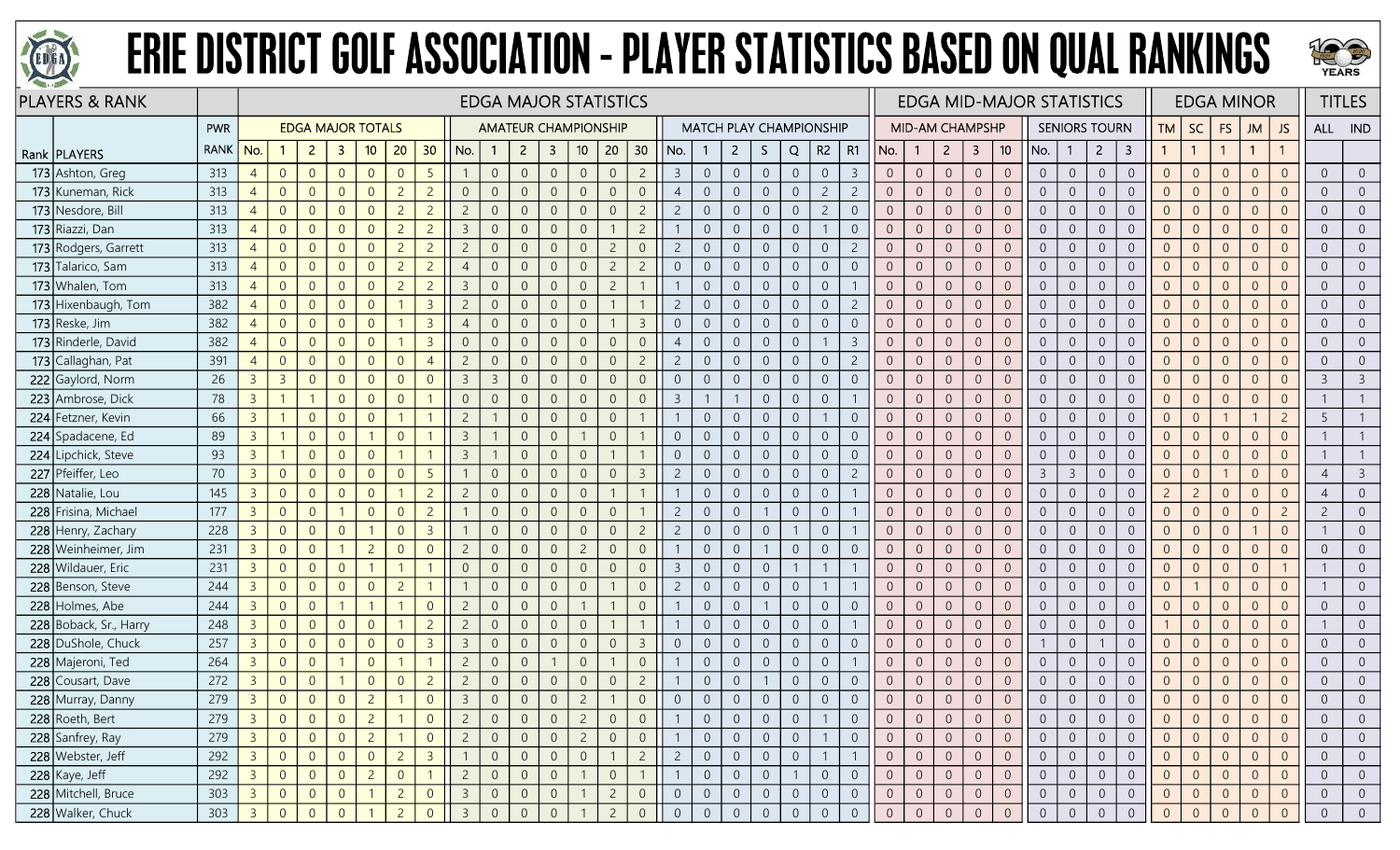



|     | <b>PLAYERS &amp; RANK</b> |             |                |                |                          |                |                |                |                |                |                | <b>EDGA MAJOR STATISTICS</b> |                |                 |                |                |                |                |                |                  |                |                                |                |                | <b>EDGA MID-MAJOR STATISTICS</b> |                |                |                 |                |                |                      |                         |                |                |                | <b>EDGA MINOR</b> |                |                | <b>TITLES</b>  |
|-----|---------------------------|-------------|----------------|----------------|--------------------------|----------------|----------------|----------------|----------------|----------------|----------------|------------------------------|----------------|-----------------|----------------|----------------|----------------|----------------|----------------|------------------|----------------|--------------------------------|----------------|----------------|----------------------------------|----------------|----------------|-----------------|----------------|----------------|----------------------|-------------------------|----------------|----------------|----------------|-------------------|----------------|----------------|----------------|
|     |                           | PWR         |                |                | <b>EDGA MAJOR TOTALS</b> |                |                |                |                |                |                | <b>AMATEUR CHAMPIONSHIP</b>  |                |                 |                |                |                |                |                |                  |                | <b>MATCH PLAY CHAMPIONSHIP</b> |                |                | <b>MID-AM CHAMPSHP</b>           |                |                |                 |                |                | <b>SENIORS TOURN</b> |                         | <b>TM</b>      | SC             | <b>FS</b>      | <b>JM</b>         | <b>JS</b>      |                | ALL IND        |
|     | Rank   PLAYERS            | <b>RANK</b> | No.            |                | $\overline{2}$           | -3             | 10             | 20             | 30             | No.            |                | $\overline{2}$               | $\mathbf{3}$   | 10 <sup>°</sup> | 20             | 30             | No.            |                | $\mathbf{2}$   | S.               | Q              | R2                             | R1             | No.            |                                  | $\overline{2}$ | $\mathbf{3}$   | 10 <sup>°</sup> | No.            |                | $\overline{2}$       | $\overline{\mathbf{3}}$ | $\mathbf{1}$   | $\overline{1}$ |                | $\mathbf{1}$      |                |                |                |
|     | 173 Ashton, Greg          | 313         | $\overline{4}$ | $\overline{0}$ | $\overline{0}$           | $\overline{0}$ | $\overline{0}$ | $\Omega$       | 5              |                | $\overline{0}$ | $\overline{0}$               | $\overline{0}$ | $\overline{0}$  | $\overline{0}$ | $\overline{2}$ | $\mathbf{3}$   | $\overline{0}$ | $\overline{0}$ | $\overline{0}$   | $\overline{0}$ | $\overline{0}$                 | $\overline{3}$ | $\overline{0}$ | $\overline{0}$                   | $\overline{0}$ | $\theta$       | $\overline{0}$  | $\overline{0}$ | $\overline{0}$ | $\overline{0}$       | $\overline{0}$          | $\overline{0}$ | $\overline{0}$ | $\overline{0}$ | $\overline{0}$    | $\overline{0}$ | $\overline{0}$ | $\Omega$       |
|     | 173 Kuneman, Rick         | 313         | $\overline{4}$ | $\overline{0}$ | $\overline{0}$           | $\overline{0}$ | $\overline{0}$ | $\overline{c}$ | $\overline{2}$ | $\overline{0}$ | $\overline{0}$ | $\Omega$                     | $\overline{0}$ | $\overline{0}$  | $\overline{0}$ | $\overline{0}$ | $\overline{4}$ | $\overline{0}$ | $\overline{0}$ | $\overline{0}$   | $\overline{0}$ | $\overline{2}$                 | $\overline{c}$ | $\overline{0}$ | $\overline{0}$                   | $\overline{0}$ | $\overline{0}$ | $\overline{0}$  | $\overline{0}$ | $\overline{0}$ | $\overline{0}$       | $\overline{0}$          | $\overline{0}$ | $\overline{0}$ | $\overline{0}$ | $\overline{0}$    | $\overline{0}$ | $\overline{0}$ |                |
|     | 173 Nesdore, Bill         | 313         | $\overline{4}$ | $\overline{0}$ | $\overline{0}$           | $\Omega$       | $\overline{0}$ | $\overline{2}$ | $\overline{c}$ | $\overline{c}$ | $\overline{0}$ | $\Omega$                     | 0              | $\overline{0}$  | $\overline{0}$ | $\overline{2}$ | $\overline{2}$ | $\overline{0}$ | $\overline{0}$ | $\overline{0}$   | $\overline{0}$ | $\overline{c}$                 | $\overline{0}$ | $\overline{0}$ | $\overline{0}$                   | $\Omega$       | $\overline{0}$ | $\overline{0}$  | $\overline{0}$ | $\overline{0}$ | $\overline{0}$       | $\overline{0}$          | $\overline{0}$ | $\overline{0}$ | $\overline{0}$ | $\overline{0}$    | $\Omega$       | $\overline{0}$ |                |
|     | 173 Riazzi, Dan           | 313         | $\overline{4}$ | $\overline{0}$ | $\overline{0}$           | $\Omega$       | $\overline{0}$ | $\overline{c}$ | $\overline{c}$ | $\overline{3}$ | $\overline{0}$ | $\Omega$                     | $\Omega$       | $\overline{0}$  |                | $\overline{2}$ |                | $\overline{0}$ | $\overline{0}$ | $\boldsymbol{0}$ | $\overline{0}$ |                                | $\overline{0}$ | $\overline{0}$ | $\overline{0}$                   | $\overline{0}$ | $\overline{0}$ | $\overline{0}$  | $\overline{0}$ | $\overline{0}$ | $\overline{0}$       | $\overline{0}$          | $\overline{0}$ | $\overline{0}$ | $\overline{0}$ | $\overline{0}$    | $\overline{0}$ | $\overline{0}$ | $\Omega$       |
|     | 173 Rodgers, Garrett      | 313         | $\overline{4}$ | $\overline{0}$ | $\overline{0}$           | $\overline{0}$ | $\overline{0}$ | $\overline{c}$ | $\overline{c}$ | $\overline{c}$ | $\overline{0}$ | $\Omega$                     | $\overline{0}$ | $\overline{0}$  | $\overline{c}$ | $\overline{0}$ | $\overline{2}$ | $\overline{0}$ | $\overline{0}$ | $\overline{0}$   | $\overline{0}$ | $\overline{0}$                 | $\overline{c}$ | $\overline{0}$ | $\overline{0}$                   | $\overline{0}$ | $\theta$       | $\overline{0}$  | $\overline{0}$ | $\overline{0}$ | $\overline{0}$       | $\overline{0}$          | $\overline{0}$ | $\overline{0}$ | $\theta$       | $\overline{0}$    | $\overline{0}$ | $\overline{0}$ | $\overline{0}$ |
|     | 173 Talarico, Sam         | 313         | $\overline{4}$ | $\overline{0}$ | $\overline{0}$           | $\Omega$       | $\overline{0}$ | $\overline{c}$ | $\overline{c}$ | $\overline{4}$ | $\overline{0}$ |                              | $\Omega$       | $\Omega$        | $\overline{c}$ | $\overline{2}$ | $\Omega$       | $\overline{0}$ | $\overline{0}$ | $\boldsymbol{0}$ | $\sqrt{0}$     | $\overline{0}$                 | $\overline{0}$ | $\Omega$       | $\overline{0}$                   | $\sqrt{0}$     | $\overline{0}$ | $\overline{0}$  | $\overline{0}$ | $\overline{0}$ | $\overline{0}$       | $\sqrt{0}$              | $\overline{0}$ | $\overline{0}$ | $\theta$       | $\overline{0}$    | $\Omega$       | $\overline{0}$ |                |
|     | 173 Whalen, Tom           | 313         | $\overline{4}$ | $\overline{0}$ | $\overline{0}$           | $\overline{0}$ | $\overline{0}$ | $\overline{c}$ | $\overline{c}$ | $\overline{3}$ | $\overline{0}$ |                              | 0              | $\overline{0}$  | $\overline{c}$ |                |                | $\overline{0}$ | $\overline{0}$ | $\overline{0}$   | $\overline{0}$ | $\overline{0}$                 |                | $\overline{0}$ | $\overline{0}$                   | $\Omega$       | $\overline{0}$ | $\overline{0}$  | $\overline{0}$ | $\overline{0}$ | $\overline{0}$       | $\overline{0}$          | $\overline{0}$ | $\overline{0}$ | $\overline{0}$ | $\Omega$          | $\Omega$       | $\overline{0}$ |                |
|     | 173 Hixenbaugh, Tom       | 382         | $\overline{4}$ | $\overline{0}$ | $\overline{0}$           | $\overline{0}$ | $\overline{0}$ |                | $\overline{3}$ | $\overline{c}$ | $\overline{0}$ | $\Omega$                     | $\theta$       | $\theta$        |                |                | $\overline{c}$ | $\overline{0}$ | $\sqrt{0}$     | $\boldsymbol{0}$ | $\theta$       | $\overline{0}$                 | $\overline{2}$ | $\overline{0}$ | $\theta$                         | $\sqrt{0}$     | $\mathbb O$    | $\overline{0}$  | $\overline{0}$ | $\overline{0}$ | $\sqrt{0}$           | $\boldsymbol{0}$        | $\mathbf 0$    | $\overline{0}$ | $\overline{0}$ | $\overline{0}$    | $\overline{0}$ | $\overline{0}$ | $\overline{0}$ |
|     | 173 Reske, Jim            | 382         | $\overline{4}$ | $\overline{0}$ | $\overline{0}$           | $\overline{0}$ | $\overline{0}$ |                | $\overline{3}$ | $\overline{4}$ | $\mathbf{0}$   | $\Omega$                     | $\overline{0}$ | $\sqrt{0}$      |                | $\overline{3}$ | $\overline{0}$ | $\overline{0}$ | $\sqrt{0}$     | $\mathbf 0$      | $\sqrt{0}$     | $\overline{0}$                 | $\overline{0}$ | $\overline{0}$ | $\overline{0}$                   | $\overline{0}$ | $\mathbb O$    | $\overline{0}$  | $\overline{0}$ | $\overline{0}$ | $\overline{0}$       | $\boldsymbol{0}$        | $\overline{0}$ | $\overline{0}$ | $\theta$       | $\overline{0}$    | $\overline{0}$ | $\overline{0}$ | $\overline{0}$ |
|     | 173 Rinderle, David       | 382         | $\overline{4}$ | $\overline{0}$ | $\overline{0}$           | $\Omega$       | $\overline{0}$ |                | $\overline{3}$ | $\overline{0}$ | $\overline{0}$ |                              | $\Omega$       | $\overline{0}$  | $\Omega$       | $\overline{0}$ | $\overline{4}$ | $\overline{0}$ | $\overline{0}$ | $\overline{0}$   | $\overline{0}$ | $\mathbf{1}$                   | $\overline{3}$ | $\overline{0}$ | $\overline{0}$                   | $\overline{0}$ | $\overline{0}$ | $\overline{0}$  | $\overline{0}$ | $\overline{0}$ | $\overline{0}$       | $\overline{0}$          | $\overline{0}$ | $\overline{0}$ | $\overline{0}$ | $\overline{0}$    |                | $\overline{0}$ |                |
|     | 173 Callaghan, Pat        | 391         | $\overline{4}$ | $\overline{0}$ | $\overline{0}$           | $\Omega$       | $\overline{0}$ | $\Omega$       | $\overline{4}$ | $\overline{c}$ | $\overline{0}$ |                              | $\Omega$       | $\overline{0}$  | $\overline{0}$ | $\overline{2}$ | $\overline{2}$ | $\Omega$       | $\overline{0}$ | $\overline{0}$   | $\overline{0}$ | $\overline{0}$                 | $\overline{2}$ | $\overline{0}$ | $\overline{0}$                   | $\overline{0}$ | $\overline{0}$ | $\overline{0}$  | $\overline{0}$ | $\overline{0}$ | $\overline{0}$       | $\overline{0}$          | $\overline{0}$ | $\overline{0}$ | $\overline{0}$ | $\overline{0}$    |                | $\overline{0}$ |                |
|     | 222 Gaylord, Norm         | 26          | 3 <sup>7</sup> | $\overline{3}$ | $\overline{0}$           | $\overline{0}$ | $\overline{0}$ | $\Omega$       | $\Omega$       | $\overline{3}$ | $\overline{3}$ | $\Omega$                     | $\overline{0}$ | $\overline{0}$  | $\overline{0}$ | $\overline{0}$ | $\overline{0}$ | $\overline{0}$ | $\overline{0}$ | $\overline{0}$   | $\overline{0}$ | $\overline{0}$                 | $\overline{0}$ | $\overline{0}$ | $\overline{0}$                   | $\overline{0}$ | $\overline{0}$ | $\overline{0}$  | $\overline{0}$ | $\overline{0}$ | $\overline{0}$       | $\mathbf 0$             | $\overline{0}$ | $\overline{0}$ | $\overline{0}$ | $\overline{0}$    | $\overline{0}$ | $\overline{3}$ | $\overline{3}$ |
|     | 223 Ambrose, Dick         | 78          | $\overline{3}$ | $\overline{1}$ | $\overline{1}$           | $\overline{0}$ | $\overline{0}$ | $\overline{0}$ |                | $\overline{0}$ | $\mathbf{0}$   | $\Omega$                     | $\overline{0}$ | $\overline{0}$  | $\overline{0}$ | $\overline{0}$ | $\mathbf{3}$   |                |                | $\mathbf 0$      | $\sqrt{0}$     | $\overline{0}$                 |                | $\overline{0}$ | $\overline{0}$                   | $\overline{0}$ | $\mathbb O$    | $\overline{0}$  | $\overline{0}$ | $\overline{0}$ | $\overline{0}$       | $\mathbf 0$             | $\overline{0}$ | $\overline{0}$ | $\sqrt{0}$     | $\overline{0}$    | $\overline{0}$ |                |                |
|     | 224 Fetzner, Kevin        | 66          | $\overline{3}$ |                | $\overline{0}$           | $\Omega$       | $\overline{0}$ |                |                | $\overline{c}$ |                |                              | $\Omega$       | $\overline{0}$  | $\overline{0}$ |                |                | $\Omega$       | $\overline{0}$ | $\overline{0}$   | $\overline{0}$ | $\mathbf{1}$                   | $\Omega$       | $\overline{0}$ | $\overline{0}$                   | $\overline{0}$ | $\overline{0}$ | $\overline{0}$  | $\overline{0}$ | $\overline{0}$ | $\overline{0}$       | $\overline{0}$          | $\overline{0}$ | $\overline{0}$ |                |                   | $\overline{2}$ | 5              |                |
|     | 224 Spadacene, Ed         | 89          | $\overline{3}$ | $\mathbf{1}$   | $\overline{0}$           | $\overline{0}$ |                | $\Omega$       |                | $\overline{3}$ |                | $\overline{0}$               | $\overline{0}$ |                 | $\overline{0}$ |                | $\overline{0}$ | $\overline{0}$ | $\overline{0}$ | $\overline{0}$   | $\overline{0}$ | $\overline{0}$                 | $\overline{0}$ | $\overline{0}$ | $\overline{0}$                   | $\overline{0}$ | $\overline{0}$ | $\overline{0}$  | $\overline{0}$ | $\overline{0}$ | $\overline{0}$       | $\overline{0}$          | $\overline{0}$ | $\overline{0}$ | $\overline{0}$ | $\overline{0}$    | $\Omega$       |                |                |
|     | 224 Lipchick, Steve       | 93          | 3 <sup>7</sup> | $\overline{1}$ | $\overline{0}$           | $\overline{0}$ | $\overline{0}$ |                |                | $\overline{3}$ |                | $\Omega$                     | $\overline{0}$ | $\overline{0}$  |                |                | $\overline{0}$ | $\overline{0}$ | $\overline{0}$ | $\overline{0}$   | $\overline{0}$ | $\overline{0}$                 | $\overline{0}$ | $\overline{0}$ | $\overline{0}$                   | $\overline{0}$ | $\overline{0}$ | $\overline{0}$  | $\overline{0}$ | $\overline{0}$ | $\overline{0}$       | $\overline{0}$          | $\overline{0}$ | $\overline{0}$ | $\overline{0}$ | $\overline{0}$    | $\overline{0}$ |                |                |
|     | 227 Pfeiffer, Leo         | 70          | 3 <sup>7</sup> | $\overline{0}$ | $\overline{0}$           | $\overline{0}$ | $\overline{0}$ | $\Omega$       | 5              |                | $\overline{0}$ | $\Omega$                     | $\overline{0}$ | $\overline{0}$  | $\overline{0}$ | $\overline{3}$ | $\overline{2}$ | $\overline{0}$ | $\overline{0}$ | $\overline{0}$   | $\overline{0}$ | $\overline{0}$                 | $\overline{2}$ | $\overline{0}$ | $\overline{0}$                   | $\overline{0}$ | $\theta$       | $\overline{0}$  | $\overline{3}$ | $\overline{3}$ | $\overline{0}$       | $\overline{0}$          | $\overline{0}$ | $\overline{0}$ | $\overline{1}$ | $\overline{0}$    | $\overline{0}$ | $\overline{4}$ | $\overline{3}$ |
|     | 228 Natalie, Lou          | 145         | $\overline{3}$ | $\overline{0}$ | $\overline{0}$           | $\overline{0}$ | $\overline{0}$ |                | $\overline{2}$ | $\overline{c}$ | $\overline{0}$ |                              | 0              | $\overline{0}$  |                |                |                | $\overline{0}$ | $\overline{0}$ | $\overline{0}$   | $\overline{0}$ | $\overline{0}$                 |                | $\overline{0}$ | $\overline{0}$                   | $\overline{0}$ | $\overline{0}$ | $\overline{0}$  | $\overline{0}$ | $\overline{0}$ | $\overline{0}$       | $\overline{0}$          | $\overline{2}$ | $\overline{2}$ | $\overline{0}$ | $\overline{0}$    | $\overline{0}$ | $\overline{4}$ |                |
|     | 228 Frisina, Michael      | 177         | 3 <sup>7</sup> | $\overline{0}$ | $\overline{0}$           |                | $\overline{0}$ | $\Omega$       | $\overline{2}$ |                | $\overline{0}$ | $\Omega$                     | $\Omega$       | $\overline{0}$  | $\overline{0}$ |                | $\overline{2}$ | $\overline{0}$ | $\overline{0}$ |                  | $\overline{0}$ | $\overline{0}$                 |                | $\overline{0}$ | $\overline{0}$                   | $\overline{0}$ | $\overline{0}$ | $\overline{0}$  | $\overline{0}$ | $\overline{0}$ | $\overline{0}$       | $\overline{0}$          | $\overline{0}$ | $\overline{0}$ | $\overline{0}$ | $\overline{0}$    | $\overline{2}$ | $\overline{2}$ | $\overline{0}$ |
|     | 228 Henry, Zachary        | 228         | 3 <sup>7</sup> | $\overline{0}$ | $\overline{0}$           | $\overline{0}$ |                | $\Omega$       | $\overline{3}$ |                | $\overline{0}$ | $\Omega$                     | $\Omega$       | $\overline{0}$  | $\overline{0}$ | $\overline{2}$ | $\overline{2}$ | $\overline{0}$ | $\overline{0}$ | $\overline{0}$   |                | $\overline{0}$                 |                | $\overline{0}$ | $\overline{0}$                   | $\overline{0}$ | $\overline{0}$ | $\overline{0}$  | $\overline{0}$ | $\overline{0}$ | $\overline{0}$       | $\overline{0}$          | $\overline{0}$ | $\overline{0}$ | $\overline{0}$ |                   | $\overline{0}$ |                | $\overline{0}$ |
|     | 228 Weinheimer, Jim       | 231         | $\overline{3}$ | $\overline{0}$ | $\overline{0}$           |                | $\overline{2}$ | $\Omega$       | $\Omega$       | $\overline{c}$ | $\overline{0}$ |                              | $\overline{0}$ | $\overline{2}$  | $\overline{0}$ | $\overline{0}$ |                | $\Omega$       | $\overline{0}$ |                  | $\overline{0}$ | $\overline{0}$                 | $\Omega$       | $\overline{0}$ | $\overline{0}$                   | $\overline{0}$ | $\overline{0}$ | $\overline{0}$  | $\overline{0}$ | $\overline{0}$ | $\overline{0}$       | $\overline{0}$          | $\overline{0}$ | $\overline{0}$ | $\overline{0}$ | $\overline{0}$    |                | $\overline{0}$ |                |
| 228 | Wildauer, Eric            | 231         | $\overline{3}$ | $\overline{0}$ | $\overline{0}$           | $\Omega$       |                |                |                | $\overline{0}$ | $\overline{0}$ |                              | $\Omega$       | $\overline{0}$  | $\overline{0}$ | $\overline{0}$ | $\overline{3}$ | $\overline{0}$ | $\overline{0}$ | $\overline{0}$   |                |                                |                | $\overline{0}$ | $\overline{0}$                   | $\overline{0}$ | $\theta$       | $\overline{0}$  | $\overline{0}$ | $\overline{0}$ | $\overline{0}$       | $\overline{0}$          | $\overline{0}$ | $\overline{0}$ | $\overline{0}$ | $\Omega$          |                |                |                |
|     | 228 Benson, Steve         | 244         | $\overline{3}$ | $\overline{0}$ | $\overline{0}$           | $\overline{0}$ | $\overline{0}$ | $\overline{2}$ |                |                | $\overline{0}$ | $\Omega$                     | $\Omega$       | $\Omega$        |                | $\overline{0}$ | $\overline{c}$ | $\overline{0}$ | $\overline{0}$ | $\overline{0}$   | $\overline{0}$ | $\mathbf{1}$                   |                | $\overline{0}$ | $\overline{0}$                   | $\overline{0}$ | $\overline{0}$ | $\overline{0}$  | $\overline{0}$ | $\overline{0}$ | $\overline{0}$       | $\overline{0}$          | $\overline{0}$ |                | $\overline{0}$ | $\overline{0}$    | $\overline{0}$ |                | $\overline{0}$ |
|     | 228 Holmes, Abe           | 244         | $\overline{3}$ | $\overline{0}$ | $\overline{0}$           |                |                |                | $\Omega$       | $\overline{c}$ | $\mathbf{0}$   | $\Omega$                     | $\Omega$       |                 |                | $\overline{0}$ |                | $\overline{0}$ | $\overline{0}$ |                  | $\mathbf{0}$   | $\overline{0}$                 | $\overline{0}$ | $\overline{0}$ | $\overline{0}$                   | $\overline{0}$ | $\sqrt{0}$     | $\overline{0}$  | $\overline{0}$ | $\overline{0}$ | $\overline{0}$       | $\overline{0}$          | $\overline{0}$ | $\overline{0}$ | $\theta$       | $\overline{0}$    | $\overline{0}$ | $\overline{0}$ | $\Omega$       |
|     | 228 Boback, Sr., Harry    | 248         | 3 <sup>7</sup> | $\overline{0}$ | $\overline{0}$           | $\overline{0}$ | $\overline{0}$ |                | $\overline{2}$ | $\overline{2}$ | $\overline{0}$ |                              | $\Omega$       | $\overline{0}$  |                |                |                | $\overline{0}$ | $\overline{0}$ | $\overline{0}$   | $\overline{0}$ | $\overline{0}$                 |                | $\overline{0}$ | $\overline{0}$                   | $\overline{0}$ | $\overline{0}$ | $\overline{0}$  | $\overline{0}$ | $\overline{0}$ | $\overline{0}$       | $\overline{0}$          |                | $\overline{0}$ | $\overline{0}$ | $\overline{0}$    | $\overline{0}$ |                | $\overline{0}$ |
|     | 228 DuShole, Chuck        | 257         | 3 <sup>7</sup> | $\overline{0}$ | $\overline{0}$           | $\Omega$       | $\overline{0}$ | $\Omega$       | $\overline{3}$ | $\overline{3}$ | $\overline{0}$ | $\Omega$                     | $\Omega$       | $\overline{0}$  | $\overline{0}$ | $\overline{3}$ | $\overline{0}$ | $\overline{0}$ | $\overline{0}$ | $\overline{0}$   | $\overline{0}$ | $\overline{0}$                 | $\Omega$       | $\overline{0}$ | $\overline{0}$                   | $\overline{0}$ | $\overline{0}$ | $\overline{0}$  |                | $\overline{0}$ |                      | $\overline{0}$          | $\overline{0}$ | $\overline{0}$ | $\overline{0}$ | $\overline{0}$    | $\Omega$       | $\overline{0}$ |                |
|     | 228 Majeroni, Ted         | 264         | 3 <sup>7</sup> | $\overline{0}$ | $\overline{0}$           |                | $\overline{0}$ |                |                | $\overline{c}$ | $\overline{0}$ | $\Omega$                     |                | $\overline{0}$  |                | $\overline{0}$ |                | $\overline{0}$ | $\overline{0}$ | $\boldsymbol{0}$ | $\overline{0}$ | $\overline{0}$                 |                | $\overline{0}$ | $\overline{0}$                   | $\overline{0}$ | $\overline{0}$ | $\overline{0}$  | $\overline{0}$ | $\overline{0}$ | $\overline{0}$       | $\overline{0}$          | $\overline{0}$ | $\overline{0}$ | $\overline{0}$ | $\overline{0}$    | $\overline{0}$ | $\overline{0}$ | $\overline{0}$ |
|     | 228 Cousart, Dave         | 272         | $\overline{3}$ | $\theta$       | $\overline{0}$           |                | $\overline{0}$ | $\Omega$       | $\overline{c}$ | $\overline{c}$ | $\overline{0}$ | $\Omega$                     | $\overline{0}$ | $\overline{0}$  | $\overline{0}$ | $\overline{2}$ |                | $\overline{0}$ | $\overline{0}$ |                  | $\sqrt{0}$     | $\overline{0}$                 | $\overline{0}$ | $\overline{0}$ | $\sqrt{0}$                       | $\overline{0}$ | $\theta$       | $\overline{0}$  | $\overline{0}$ | $\overline{0}$ | $\overline{0}$       | $\boldsymbol{0}$        | $\sqrt{0}$     | $\overline{0}$ | $\mathbf 0$    | $\overline{0}$    | $\overline{0}$ | $\overline{0}$ | $\overline{0}$ |
|     | 228 Murray, Danny         | 279         | 3 <sup>7</sup> | $\overline{0}$ | $\overline{0}$           | $\overline{0}$ | $\overline{2}$ |                | $\overline{0}$ | $\overline{3}$ | $\Omega$       | $\Omega$                     | $\overline{0}$ | $\overline{2}$  |                | $\overline{0}$ | $\Omega$       | $\overline{0}$ | $\overline{0}$ | $\overline{0}$   | $\overline{0}$ | $\overline{0}$                 | $\Omega$       | $\overline{0}$ | $\overline{0}$                   | $\overline{0}$ | $\overline{0}$ | $\Omega$        | $\overline{0}$ | $\overline{0}$ | $\overline{0}$       | $\overline{0}$          | $\overline{0}$ | $\overline{0}$ | $\overline{0}$ | $\overline{0}$    | $\Omega$       | $\overline{0}$ |                |
|     | 228 Roeth, Bert           | 279         | $\overline{3}$ | $\overline{0}$ | $\overline{0}$           |                | $\overline{2}$ |                | $\theta$       |                | $\overline{0}$ |                              | $\overline{0}$ | $\overline{c}$  | $\overline{0}$ | $\overline{0}$ |                |                | $\overline{0}$ | $\overline{0}$   | $\overline{0}$ |                                | $\overline{0}$ | $\overline{0}$ | $\overline{0}$                   | $\overline{0}$ | $\overline{0}$ | $\overline{0}$  | $\overline{0}$ | $\overline{0}$ | $\overline{0}$       | $\overline{0}$          |                | $\overline{0}$ | $\overline{0}$ | $\overline{0}$    | $\overline{0}$ | $\overline{0}$ |                |
|     | 228 Sanfrey, Ray          | 279         | 3 <sup>1</sup> | $\overline{0}$ | $\overline{0}$           | $\overline{0}$ | $\overline{2}$ |                | $\overline{0}$ | $\overline{2}$ | $\overline{0}$ | $\overline{0}$               | $\overline{0}$ | $2^{\circ}$     | $\overline{0}$ | $\overline{0}$ |                | $\overline{0}$ | $\overline{0}$ | $\overline{0}$   | $\overline{0}$ |                                | $\overline{0}$ | $\overline{0}$ | $\overline{0}$                   | $\overline{0}$ | $\overline{0}$ | $\overline{0}$  | $\overline{0}$ | $\overline{0}$ | $\overline{0}$       | $\overline{0}$          | $\overline{0}$ | $\overline{0}$ | $\overline{0}$ | $\overline{0}$    | $\overline{0}$ | $\overline{0}$ | $\overline{0}$ |
|     | 228 Webster, Jeff         | 292         | 3 <sup>1</sup> | $\overline{0}$ | $\overline{0}$           | $\overline{0}$ | $\overline{0}$ | $\overline{2}$ | $\overline{3}$ |                | $\overline{0}$ | $\overline{0}$               | $\overline{0}$ | $\mathbf 0$     |                | $\overline{2}$ | $\overline{2}$ | $\sqrt{0}$     | $\overline{0}$ | $\overline{0}$   | $\overline{0}$ | $\overline{1}$                 |                | $\overline{0}$ | $\overline{0}$                   | $\sqrt{0}$     | $\sqrt{0}$     | $\sqrt{0}$      | $\overline{0}$ | $\overline{0}$ | $\overline{0}$       | $\boldsymbol{0}$        | $\overline{0}$ | $\overline{0}$ | $\overline{0}$ | $\overline{0}$    | $\overline{0}$ | $\overline{0}$ | $\overline{0}$ |
|     | $228$ Kaye, Jeff          | 292         | 3 <sup>1</sup> | $\overline{0}$ | $\overline{0}$           | $\overline{0}$ | $\overline{2}$ | $\overline{0}$ |                | $\overline{c}$ | $\overline{0}$ | $\overline{0}$               | $\sqrt{0}$     |                 | $\,0\,$        |                |                | $\sqrt{0}$     | $\overline{0}$ | $\mathsf{O}$     |                | $\overline{0}$                 | $\overline{0}$ | $\mathbf{0}$   | $\overline{0}$                   | $\overline{0}$ | $\mathbf 0$    | $\overline{0}$  | $\overline{0}$ | $\overline{0}$ | $\overline{0}$       | $\boldsymbol{0}$        | $\mathbf 0$    | $\mathbf 0$    | $\mathbf 0$    | $\overline{0}$    | $\overline{0}$ | $\sqrt{0}$     | $\overline{0}$ |
|     | 228 Mitchell, Bruce       | 303         | 3 <sup>1</sup> | $\overline{0}$ | $\overline{0}$           | $\overline{0}$ |                | $\overline{2}$ | $\overline{0}$ | $\overline{3}$ | $\overline{0}$ | $\overline{0}$               | $\overline{0}$ |                 | $\overline{2}$ | $\overline{0}$ | $\overline{0}$ | $\overline{0}$ | $\overline{0}$ | $\overline{0}$   | $\overline{0}$ | $\overline{0}$                 | $\overline{0}$ | $\overline{0}$ | $\overline{0}$                   | $\overline{0}$ | $\overline{0}$ | $\overline{0}$  | $\overline{0}$ | $\overline{0}$ | $\overline{0}$       | $\overline{0}$          | $\overline{0}$ | $\overline{0}$ | $\overline{0}$ | $\overline{0}$    | $\overline{0}$ | $\overline{0}$ | $\overline{0}$ |
|     | 228 Walker, Chuck         | 303         | 3 <sup>1</sup> | $\overline{0}$ | $\overline{0}$           | $\overline{0}$ |                | $\overline{c}$ | $\overline{0}$ | $\overline{3}$ | $\overline{0}$ |                              | $\overline{0}$ |                 | $\overline{c}$ | $\overline{0}$ | $\overline{0}$ | $\mathbf{0}$   | $\overline{0}$ | $\overline{0}$   | $\sqrt{0}$     | $\overline{0}$                 | $\mathbf 0$    | $\overline{0}$ | $\mathbf 0$                      | $\mathbf 0$    | $\sqrt{0}$     | $\overline{0}$  | $\overline{0}$ | $\overline{0}$ | $\overline{0}$       | $\boldsymbol{0}$        | $\overline{0}$ | $\overline{0}$ | $\overline{0}$ | $\overline{0}$    | $\overline{0}$ | $\mathbf 0$    | $\overline{0}$ |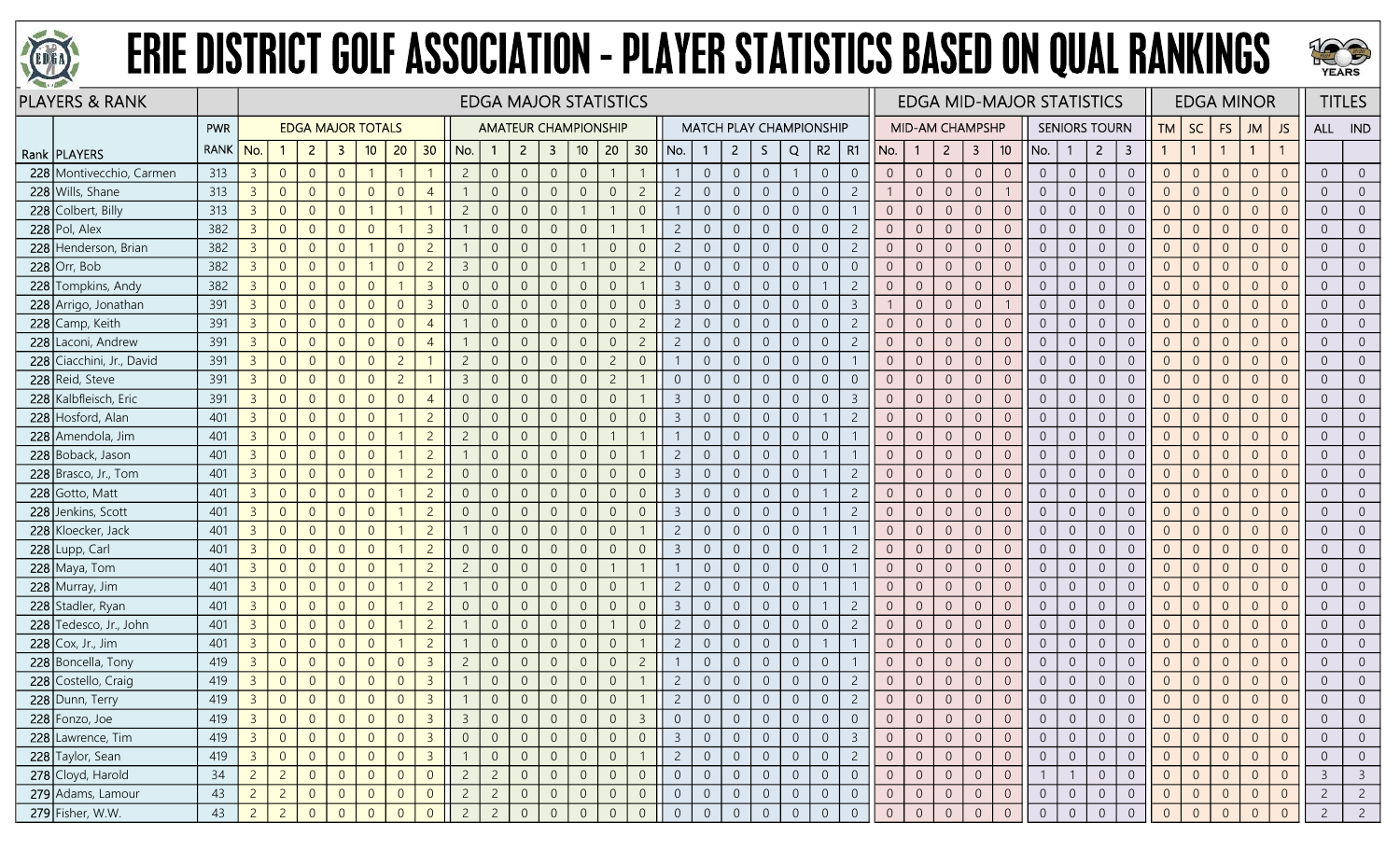



|     | <b>PLAYERS &amp; RANK</b> |            |                |                |                          |                |                |                |                |                |                | <b>EDGA MAJOR STATISTICS</b> |                         |                 |                |                |                |                |                |                |                |                                |                |                |                 |                |                |                 | <b>EDGA MID-MAJOR STATISTICS</b> |                |                      |                  |                |                |                | <b>EDGA MINOR</b> |                |                | <b>TITLES</b>           |
|-----|---------------------------|------------|----------------|----------------|--------------------------|----------------|----------------|----------------|----------------|----------------|----------------|------------------------------|-------------------------|-----------------|----------------|----------------|----------------|----------------|----------------|----------------|----------------|--------------------------------|----------------|----------------|-----------------|----------------|----------------|-----------------|----------------------------------|----------------|----------------------|------------------|----------------|----------------|----------------|-------------------|----------------|----------------|-------------------------|
|     |                           | <b>PWR</b> |                |                | <b>EDGA MAJOR TOTALS</b> |                |                |                |                |                |                | <b>AMATEUR CHAMPIONSHIP</b>  |                         |                 |                |                |                |                |                |                |                | <b>MATCH PLAY CHAMPIONSHIP</b> |                |                | MID-AM CHAMPSHP |                |                |                 |                                  |                | <b>SENIORS TOURN</b> |                  | <b>TM</b>      | <b>SC</b>      | <b>FS</b>      | <b>JM</b>         | JS             | ALL IND        |                         |
|     | Rank   PLAYERS            | RANK   No. |                |                | $\overline{2}$           | 3              | 10             | 20             | 30             | No.            |                | $\overline{2}$               | $\overline{\mathbf{3}}$ | 10 <sup>°</sup> | 20             | 30             | No.            |                | $2^{\circ}$    | S.             | Q              | R <sub>2</sub>                 | R1             | No.            | $\mathbf{1}$    | $2^{\circ}$    | $\overline{3}$ | 10 <sup>°</sup> | No.                              | $\mathbf{1}$   | $\overline{2}$       | 3                |                | $\overline{1}$ |                | $\mathbf{1}$      |                |                |                         |
|     | 228 Montivecchio, Carmen  | 313        | 3 <sup>7</sup> | $\overline{0}$ | $\overline{0}$           | $\overline{0}$ |                |                |                | $\overline{2}$ | $\overline{0}$ | $\overline{0}$               | $\overline{0}$          | $\overline{0}$  |                |                |                | $\overline{0}$ | $\overline{0}$ | $\overline{0}$ | -1             | $\overline{0}$                 | $\overline{0}$ | $\overline{0}$ | $\overline{0}$  | $\overline{0}$ | $\overline{0}$ | $\overline{0}$  | $\overline{0}$                   | $\overline{0}$ | $\overline{0}$       | $\overline{0}$   | $\overline{0}$ | $\overline{0}$ | $\overline{0}$ | $\Omega$          | $\Omega$       | $\overline{0}$ | $\overline{0}$          |
|     | 228 Wills, Shane          | 313        | $\overline{3}$ | $\overline{0}$ | $\overline{0}$           | $\Omega$       | $\overline{0}$ | $\Omega$       | $\overline{A}$ |                | $\overline{0}$ |                              | $\overline{0}$          | $\overline{0}$  | $\overline{0}$ | $\overline{c}$ | $\overline{c}$ | $\overline{0}$ | $\overline{0}$ | $\overline{0}$ | $\overline{0}$ | $\overline{0}$                 | $\overline{c}$ |                | $\overline{0}$  | $\overline{0}$ | $\overline{0}$ |                 | $\overline{0}$                   | $\overline{0}$ | $\overline{0}$       | $\overline{0}$   | $\Omega$       | $\overline{0}$ | $\Omega$       | $\Omega$          | $\Omega$       | $\overline{0}$ | $\overline{0}$          |
| 228 | Colbert, Billy            | 313        | $\overline{3}$ | $\overline{0}$ | $\overline{0}$           | $\overline{0}$ |                |                |                | -2             | $\Omega$       |                              | -0                      |                 |                | $\overline{0}$ |                | $\overline{0}$ | $\overline{0}$ | $\overline{0}$ | $\overline{0}$ | $\overline{0}$                 |                | $\Omega$       | $\overline{0}$  | $\overline{0}$ | $\overline{0}$ | $\overline{0}$  | $\overline{0}$                   | $\overline{0}$ | $\Omega$             | $\overline{0}$   | $\overline{0}$ | $\overline{0}$ | $\Omega$       | $\overline{0}$    |                | $\overline{0}$ | $\overline{0}$          |
|     | $228$ Pol, Alex           | 382        | $\overline{3}$ | $\overline{0}$ | $\overline{0}$           | $\overline{0}$ | $\Omega$       |                | $\overline{3}$ |                | $\overline{0}$ | $\Omega$                     | $\overline{0}$          | $\overline{0}$  |                |                | $\overline{2}$ | $\overline{0}$ | $\overline{0}$ | $\overline{0}$ | $\overline{0}$ | $\overline{0}$                 | $\overline{2}$ | $\overline{0}$ | $\overline{0}$  | $\overline{0}$ | $\overline{0}$ | $\overline{0}$  | $\overline{0}$                   | $\overline{0}$ | $\overline{0}$       | $\overline{0}$   | $\Omega$       | $\overline{0}$ | $\overline{0}$ | $\Omega$          | $\Omega$       | $\overline{0}$ | $\overline{0}$          |
| 228 | Henderson, Brian          | 382        | $\overline{3}$ | $\overline{0}$ | $\overline{0}$           | $\overline{0}$ |                | $\Omega$       | $\overline{c}$ |                | $\overline{0}$ | $\overline{0}$               | $\overline{0}$          |                 | $\overline{0}$ | $\sqrt{0}$     | $\overline{2}$ | $\overline{0}$ | $\overline{0}$ | $\overline{0}$ | $\overline{0}$ | $\overline{0}$                 | $\overline{2}$ | $\overline{0}$ | $\overline{0}$  | $\overline{0}$ | $\theta$       | $\overline{0}$  | $\overline{0}$                   | $\overline{0}$ | $\overline{0}$       | $\overline{0}$   | $\overline{0}$ | $\overline{0}$ | $\overline{0}$ | $\Omega$          | $\Omega$       | $\overline{0}$ | $\overline{0}$          |
|     | $228$ Orr, Bob            | 382        | $\overline{3}$ | $\overline{0}$ | $\overline{0}$           | $\overline{0}$ |                | $\Omega$       | $\overline{c}$ | $\overline{3}$ | $\overline{0}$ |                              | $\overline{0}$          |                 | $\overline{0}$ | $\overline{c}$ | $\overline{0}$ | $\overline{0}$ | $\overline{0}$ | $\mathbf 0$    | $\overline{0}$ | $\overline{0}$                 | $\Omega$       | $\Omega$       | $\overline{0}$  | $\overline{0}$ | $\overline{0}$ | $\Omega$        | $\overline{0}$                   | $\overline{0}$ | $\overline{0}$       | $\overline{0}$   | $\overline{0}$ | $\overline{0}$ | $\Omega$       | $\Omega$          | $\Omega$       | $\overline{0}$ | $\overline{0}$          |
|     | 228 Tompkins, Andy        | 382        | $\overline{3}$ | $\overline{0}$ | $\overline{0}$           | $\Omega$       | $\Omega$       |                | $\overline{3}$ | $\Omega$       | $\overline{0}$ | $\Omega$                     | $\overline{0}$          | $\overline{0}$  | $\overline{0}$ |                | $\overline{3}$ | $\overline{0}$ | $\overline{0}$ | $\overline{0}$ | $\overline{0}$ |                                | $\overline{2}$ | $\overline{0}$ | $\overline{0}$  | $\overline{0}$ | $\overline{0}$ | $\overline{0}$  | $\overline{0}$                   | $\overline{0}$ | $\overline{0}$       | $\overline{0}$   | $\overline{0}$ | $\overline{0}$ | $\overline{0}$ | $\overline{0}$    |                | $\overline{0}$ | $\overline{0}$          |
|     | 228 Arrigo, Jonathan      | 391        | 3 <sup>7</sup> | $\overline{0}$ | $\overline{0}$           | $\overline{0}$ | $\overline{0}$ | $\Omega$       | $\overline{3}$ | $\overline{0}$ | $\overline{0}$ | $\overline{0}$               | $\overline{0}$          | $\mathbf 0$     | $\overline{0}$ | $\overline{0}$ | $\overline{3}$ | $\overline{0}$ | $\overline{0}$ | $\overline{0}$ | $\overline{0}$ | $\overline{0}$                 | $\overline{3}$ |                | $\overline{0}$  | $\overline{0}$ | $\overline{0}$ |                 | $\overline{0}$                   | $\overline{0}$ | $\overline{0}$       | $\overline{0}$   | $\overline{0}$ | $\overline{0}$ | $\overline{0}$ | $\Omega$          | $\Omega$       | $\overline{0}$ | $\overline{0}$          |
|     | 228 Camp, Keith           | 391        | 3 <sup>7</sup> | $\overline{0}$ | $\overline{0}$           | $\overline{0}$ | $\overline{0}$ | $\overline{0}$ | $\overline{4}$ |                | $\overline{0}$ | $\overline{0}$               | $\overline{0}$          | $\overline{0}$  | $\overline{0}$ | $\overline{2}$ | $\overline{2}$ | $\overline{0}$ | $\overline{0}$ | $\overline{0}$ | $\overline{0}$ | $\overline{0}$                 | $\overline{c}$ | $\overline{0}$ | $\overline{0}$  | $\overline{0}$ | $\overline{0}$ | $\overline{0}$  | $\overline{0}$                   | $\overline{0}$ | $\overline{0}$       | $\overline{0}$   | $\overline{0}$ | $\overline{0}$ | $\overline{0}$ | $\Omega$          | $\Omega$       | $\overline{0}$ | $\overline{0}$          |
|     | 228 Laconi, Andrew        | 391        | 3 <sup>7</sup> | $\overline{0}$ | $\overline{0}$           | $\overline{0}$ | $\Omega$       | $\Omega$       | $\overline{4}$ |                | $\overline{0}$ | $\overline{0}$               | $\overline{0}$          | $\overline{0}$  | $\overline{0}$ | $\overline{2}$ | $\overline{2}$ | $\overline{0}$ | $\overline{0}$ | $\overline{0}$ | $\overline{0}$ | $\overline{0}$                 | $\overline{2}$ | $\overline{0}$ | $\overline{0}$  | $\overline{0}$ | $\overline{0}$ | $\Omega$        | $\overline{0}$                   | $\overline{0}$ | $\overline{0}$       | $\overline{0}$   | $\overline{0}$ | $\overline{0}$ | $\overline{0}$ | $\Omega$          | $\Omega$       | $\overline{0}$ | $\overline{0}$          |
|     | 228 Ciacchini, Jr., David | 391        | 3 <sup>1</sup> | $\overline{0}$ | $\overline{0}$           | $\overline{0}$ | $\Omega$       | $\overline{2}$ |                | $\overline{c}$ | $\overline{0}$ | $\Omega$                     | $\overline{0}$          | $\overline{0}$  | $\overline{c}$ | $\overline{0}$ |                | $\overline{0}$ | $\overline{0}$ | $\overline{0}$ | $\overline{0}$ | $\overline{0}$                 |                | $\overline{0}$ | $\overline{0}$  | $\Omega$       | $\overline{0}$ | $\overline{0}$  | $\overline{0}$                   | $\overline{0}$ | $\overline{0}$       | $\overline{0}$   | $\Omega$       | $\overline{0}$ | $\Omega$       | $\overline{0}$    | $\Omega$       | $\overline{0}$ | $\overline{0}$          |
|     | 228 Reid, Steve           | 391        | 3 <sup>7</sup> | $\overline{0}$ | $\overline{0}$           | $\overline{0}$ | $\overline{0}$ | $\overline{c}$ |                | $\overline{3}$ | $\overline{0}$ | $\Omega$                     | $\overline{0}$          | $\overline{0}$  | $\overline{c}$ |                | $\overline{0}$ | $\overline{0}$ | $\overline{0}$ | $\overline{0}$ | $\overline{0}$ | $\overline{0}$                 | $\overline{0}$ | $\overline{0}$ | $\overline{0}$  | $\overline{0}$ | $\overline{0}$ | $\overline{0}$  | $\overline{0}$                   | $\overline{0}$ | $\overline{0}$       | $\overline{0}$   | $\overline{0}$ | $\overline{0}$ | $\Omega$       | $\Omega$          | $\Omega$       | $\overline{0}$ | $\overline{0}$          |
|     | 228 Kalbfleisch, Eric     | 391        | 3 <sup>7</sup> | $\overline{0}$ | $\overline{0}$           | $\overline{0}$ | $\overline{0}$ | $\overline{0}$ | $\overline{4}$ | $\overline{0}$ | $\overline{0}$ | $\overline{0}$               | $\overline{0}$          | $\overline{0}$  | $\overline{0}$ |                | $\overline{3}$ | $\overline{0}$ | $\overline{0}$ | $\overline{0}$ | $\overline{0}$ | $\overline{0}$                 | 3              | $\overline{0}$ | $\overline{0}$  | $\overline{0}$ | $\overline{0}$ | $\overline{0}$  | $\overline{0}$                   | $\overline{0}$ | $\overline{0}$       | $\overline{0}$   | $\overline{0}$ | $\overline{0}$ | $\overline{0}$ | $\Omega$          | $\Omega$       | $\overline{0}$ | $\overline{0}$          |
| 228 | Hosford, Alan             | 401        | $\overline{3}$ | $\overline{0}$ | $\overline{0}$           | $\Omega$       | $\overline{0}$ |                | $\overline{c}$ | $\overline{0}$ | $\Omega$       |                              | $\overline{0}$          | $\overline{0}$  | $\overline{0}$ | $\overline{0}$ | $\overline{3}$ | $\overline{0}$ | $\overline{0}$ | $\overline{0}$ | $\overline{0}$ |                                |                | $\Omega$       | $\overline{0}$  | $\overline{0}$ | $\overline{0}$ | $\overline{0}$  | $\overline{0}$                   | $\overline{0}$ | $\overline{0}$       | $\overline{0}$   | $\overline{0}$ | $\overline{0}$ | $\Omega$       | $\Omega$          |                | $\overline{0}$ | $\overline{0}$          |
|     | 228 Amendola, Jim         | 401        | $\overline{3}$ | $\overline{0}$ | $\overline{0}$           | $\Omega$       | $\Omega$       |                | $\overline{c}$ | $\overline{c}$ | $\overline{0}$ | $\Omega$                     | $\overline{0}$          | $\overline{0}$  |                |                |                | $\overline{0}$ | $\overline{0}$ | $\overline{0}$ | $\overline{0}$ | $\overline{0}$                 |                | $\overline{0}$ | $\overline{0}$  | $\overline{0}$ | $\overline{0}$ | $\overline{0}$  | $\overline{0}$                   | $\overline{0}$ | $\overline{0}$       | $\overline{0}$   | $\Omega$       | $\overline{0}$ | $\Omega$       | $\Omega$          | $\Omega$       | $\overline{0}$ | $\overline{0}$          |
|     | 228 Boback, Jason         | 401        | $\overline{3}$ | $\overline{0}$ | $\overline{0}$           | $\Omega$       | $\overline{0}$ |                | $\overline{c}$ |                | $\overline{0}$ | $\Omega$                     | $\overline{0}$          | $\overline{0}$  | $\overline{0}$ |                | $\overline{2}$ | $\overline{0}$ | $\overline{0}$ | $\sqrt{0}$     | $\sqrt{0}$     | $\mathbf{1}$                   |                | $\overline{0}$ | $\overline{0}$  | $\overline{0}$ | $\overline{0}$ | $\overline{0}$  | $\overline{0}$                   | $\overline{0}$ | $\overline{0}$       | $\overline{0}$   | $\overline{0}$ | $\overline{0}$ | $\overline{0}$ | $\Omega$          | $\Omega$       | $\overline{0}$ | $\overline{0}$          |
|     | $228$ Brasco, Jr., Tom    | 401        | 3 <sup>7</sup> | $\overline{0}$ | $\overline{0}$           | $\Omega$       | $\overline{0}$ |                | $\overline{c}$ | $\overline{0}$ | $\overline{0}$ | $\Omega$                     | $\overline{0}$          | $\overline{0}$  | $\overline{0}$ | $\overline{0}$ | $\overline{3}$ | $\overline{0}$ | $\overline{0}$ | $\overline{0}$ | $\overline{0}$ | $\mathbf{1}$                   | $\overline{2}$ | $\overline{0}$ | $\overline{0}$  | $\overline{0}$ | $\overline{0}$ | $\overline{0}$  | $\overline{0}$                   | $\overline{0}$ | $\overline{0}$       | $\overline{0}$   | $\Omega$       | $\overline{0}$ | $\overline{0}$ | $\Omega$          | $\Omega$       | $\overline{0}$ | $\overline{0}$          |
|     | 228 Gotto, Matt           | 401        | 3 <sup>7</sup> | $\overline{0}$ | $\overline{0}$           | $\Omega$       | $\Omega$       |                | $\overline{2}$ | $\overline{0}$ | $\Omega$       |                              | $\Omega$                | $\overline{0}$  | $\overline{0}$ | $\overline{0}$ | $\overline{3}$ | $\overline{0}$ | $\overline{0}$ | $\Omega$       | $\overline{0}$ |                                |                | $\Omega$       | $\overline{0}$  | $\Omega$       | $\overline{0}$ | $\Omega$        | $\overline{0}$                   | $\overline{0}$ | $\Omega$             | $\overline{0}$   | $\overline{0}$ | $\overline{0}$ | $\Omega$       | $\Omega$          |                | $\overline{0}$ | $\overline{0}$          |
|     | 228 Jenkins, Scott        | 401        | 3 <sup>1</sup> | $\overline{0}$ | $\overline{0}$           | $\Omega$       | $\Omega$       |                | $\overline{2}$ | $\overline{0}$ | $\overline{0}$ | $\Omega$                     | $\overline{0}$          | $\overline{0}$  | $\overline{0}$ | $\overline{0}$ | $\overline{3}$ | $\overline{0}$ | $\overline{0}$ | $\overline{0}$ | $\overline{0}$ |                                | $\overline{2}$ | $\overline{0}$ | $\overline{0}$  | $\overline{0}$ | $\overline{0}$ | $\overline{0}$  | $\overline{0}$                   | $\overline{0}$ | $\overline{0}$       | $\overline{0}$   | $\overline{0}$ | $\overline{0}$ | $\overline{0}$ | $\Omega$          | $\Omega$       | $\overline{0}$ | $\overline{0}$          |
|     | 228 Kloecker, Jack        | 401        | 3 <sup>7</sup> | $\overline{0}$ | $\overline{0}$           | $\overline{0}$ | $\overline{0}$ |                | $\overline{c}$ |                | $\overline{0}$ | $\Omega$                     | $\overline{0}$          | $\overline{0}$  | $\overline{0}$ |                | $\overline{c}$ | $\overline{0}$ | $\overline{0}$ | $\overline{0}$ | $\overline{0}$ | $\mathbf{1}$                   |                | $\overline{0}$ | $\overline{0}$  | $\overline{0}$ | $\overline{0}$ | $\overline{0}$  | $\overline{0}$                   | $\overline{0}$ | $\overline{0}$       | $\overline{0}$   | $\overline{0}$ | $\overline{0}$ | $\Omega$       | $\overline{0}$    | $\Omega$       | $\overline{0}$ | $\overline{0}$          |
|     | 228 Lupp, Carl            | 401        | 3 <sup>7</sup> | $\overline{0}$ | $\overline{0}$           | $\Omega$       | $\Omega$       |                | $\overline{c}$ | $\overline{0}$ | $\overline{0}$ |                              | $\overline{0}$          | $\overline{0}$  | $\overline{0}$ | $\overline{0}$ | $\overline{3}$ | $\overline{0}$ | $\overline{0}$ | $\overline{0}$ | $\overline{0}$ | $\mathbf{1}$                   | $\overline{2}$ | $\overline{0}$ | $\overline{0}$  | $\overline{0}$ | $\overline{0}$ | $\overline{0}$  | $\overline{0}$                   | $\overline{0}$ | $\Omega$             | $\overline{0}$   | $\overline{0}$ | $\overline{0}$ | $\Omega$       | $\Omega$          |                | $\overline{0}$ | $\overline{0}$          |
|     | 228 Maya, Tom             | 401        | 3 <sup>7</sup> | $\overline{0}$ | $\overline{0}$           | $\Omega$       | $\overline{0}$ |                | $\overline{c}$ | 2              | $\Omega$       |                              | -0                      | $\overline{0}$  |                |                |                | $\overline{0}$ | $\overline{0}$ | $\overline{0}$ | $\overline{0}$ | $\overline{0}$                 |                | $\Omega$       | $\overline{0}$  | $\overline{0}$ | $\overline{0}$ | $\overline{0}$  | $\overline{0}$                   | $\overline{0}$ | $\Omega$             | $\overline{0}$   | $\overline{0}$ | $\overline{0}$ | $\Omega$       | $\Omega$          |                | $\overline{0}$ | $\overline{0}$          |
|     | 228 Murray, Jim           | 401        | $\overline{3}$ | $\overline{0}$ | $\overline{0}$           | $\Omega$       | $\overline{0}$ |                | $\overline{c}$ |                | $\overline{0}$ | $\Omega$                     | $\overline{0}$          | $\overline{0}$  | $\overline{0}$ |                | $\overline{2}$ | $\overline{0}$ | $\overline{0}$ | $\overline{0}$ | $\overline{0}$ | $\mathbf{1}$                   |                | $\overline{0}$ | $\overline{0}$  | $\overline{0}$ | $\overline{0}$ | $\overline{0}$  | $\overline{0}$                   | $\overline{0}$ | $\overline{0}$       | $\overline{0}$   | $\overline{0}$ | $\overline{0}$ | $\overline{0}$ | $\overline{0}$    | $\Omega$       | $\overline{0}$ | $\overline{0}$          |
|     | 228 Stadler, Ryan         | 401        | 3 <sup>7</sup> | $\overline{0}$ | $\overline{0}$           | $\overline{0}$ | $\overline{0}$ |                | $\overline{2}$ | $\overline{0}$ | $\overline{0}$ | $\overline{0}$               | $\overline{0}$          | $\overline{0}$  | $\overline{0}$ | $\overline{0}$ | $\overline{3}$ | $\overline{0}$ | $\overline{0}$ | $\overline{0}$ | $\overline{0}$ | $\overline{1}$                 | $\overline{2}$ | $\overline{0}$ | $\overline{0}$  | $\overline{0}$ | $\overline{0}$ | $\overline{0}$  | $\overline{0}$                   | $\overline{0}$ | $\overline{0}$       | $\overline{0}$   | $\overline{0}$ | $\overline{0}$ | $\overline{0}$ | $\overline{0}$    | $\Omega$       | $\overline{0}$ | $\overline{0}$          |
|     | 228 Tedesco, Jr., John    | 401        | $\overline{3}$ | $\overline{0}$ | $\overline{0}$           | $\Omega$       | $\overline{0}$ |                | $\overline{c}$ |                | $\overline{0}$ |                              | $\overline{0}$          | $\overline{0}$  |                | $\overline{0}$ | $\overline{c}$ | $\overline{0}$ | $\overline{0}$ | $\overline{0}$ | $\overline{0}$ | $\overline{0}$                 | $\overline{2}$ | $\overline{0}$ | $\overline{0}$  | $\overline{0}$ | $\overline{0}$ | $\Omega$        | $\overline{0}$                   | $\overline{0}$ | $\overline{0}$       | $\Omega$         | $\Omega$       | $\overline{0}$ | $\Omega$       | $\Omega$          | $\Omega$       | $\overline{0}$ | $\overline{0}$          |
| 228 | Cox, Jr., Jim             | 401        | $\overline{3}$ | $\overline{0}$ | $\overline{0}$           | $\overline{0}$ | $\overline{0}$ |                | $\overline{2}$ |                | $\overline{0}$ | $\Omega$                     | $\overline{0}$          | $\overline{0}$  | $\overline{0}$ |                | $\overline{c}$ | $\overline{0}$ | $\overline{0}$ | $\overline{0}$ | $\overline{0}$ | -1                             |                | $\overline{0}$ | $\overline{0}$  | $\overline{0}$ | $\overline{0}$ | $\overline{0}$  | $\overline{0}$                   | $\overline{0}$ | $\overline{0}$       | $\overline{0}$   | $\overline{0}$ | $\overline{0}$ | $\overline{0}$ | $\Omega$          | $\Omega$       | $\overline{0}$ | $\overline{0}$          |
|     | 228 Boncella, Tony        | 419        | $\overline{3}$ | $\overline{0}$ | $\overline{0}$           | $\overline{0}$ | $\overline{0}$ | $\Omega$       | $\overline{3}$ | $\overline{c}$ | $\overline{0}$ | $\Omega$                     | $\overline{0}$          | $\overline{0}$  | $\overline{0}$ | $\overline{c}$ |                | $\overline{0}$ | $\overline{0}$ | $\overline{0}$ | $\overline{0}$ | $\overline{0}$                 |                | $\overline{0}$ | $\sqrt{0}$      | $\overline{0}$ | $\overline{0}$ | $\overline{0}$  | $\overline{0}$                   | $\overline{0}$ | $\overline{0}$       | $\overline{0}$   | $\overline{0}$ | $\overline{0}$ | $\overline{0}$ | $\overline{0}$    | $\Omega$       | $\overline{0}$ | $\overline{0}$          |
| 228 | Costello, Craig           | 419        | $\overline{3}$ | $\overline{0}$ | $\overline{0}$           | $\overline{0}$ | $\overline{0}$ | $\Omega$       | $\overline{3}$ |                | $\overline{0}$ |                              | $\overline{0}$          | $\overline{0}$  | $\overline{0}$ |                | $\overline{c}$ | $\overline{0}$ | $\overline{0}$ | $\overline{0}$ | $\overline{0}$ | $\overline{0}$                 | $\overline{c}$ | $\overline{0}$ | $\overline{0}$  | $\overline{0}$ | $\overline{0}$ | $\overline{0}$  | $\overline{0}$                   | $\overline{0}$ | $\overline{0}$       | $\overline{0}$   | $\overline{0}$ | $\overline{0}$ | $\overline{0}$ | $\Omega$          | $\overline{0}$ | $\overline{0}$ | $\overline{0}$          |
|     | 228 Dunn, Terry           | 419        | $\overline{3}$ | $\overline{0}$ | $\overline{0}$           | $\overline{0}$ | $\overline{0}$ | $\Omega$       | $\overline{3}$ |                |                | $\Omega$                     | $\overline{0}$          | $\overline{0}$  | $\overline{0}$ |                | $\overline{2}$ | $\overline{0}$ | $\overline{0}$ | $\overline{0}$ | $\overline{0}$ | $\overline{0}$                 | $\overline{c}$ | $\overline{0}$ | $\overline{0}$  | $\overline{0}$ | $\mathbf{0}$   | $\overline{0}$  | $\overline{0}$                   | $\overline{0}$ | $\overline{0}$       | $\overline{0}$   | $\overline{0}$ | $\overline{0}$ | $\Omega$       | $\Omega$          |                | $\overline{0}$ | $\overline{0}$          |
|     | 228 Fonzo, Joe            | 419        | 3 <sup>7</sup> | $\overline{0}$ | $\overline{0}$           | $\overline{0}$ | $\overline{0}$ | $\overline{0}$ | $\overline{3}$ | 3              | $\overline{0}$ |                              | $\overline{0}$          | $\overline{0}$  | $\overline{0}$ | $\overline{3}$ | $\overline{0}$ | $\overline{0}$ | $\overline{0}$ | $\overline{0}$ | $\overline{0}$ | $\overline{0}$                 | $\overline{0}$ | $\overline{0}$ | $\overline{0}$  | $\overline{0}$ | $\overline{0}$ | $\overline{0}$  | $\overline{0}$                   | $\overline{0}$ | $\overline{0}$       | $\overline{0}$   | $\overline{0}$ | $\overline{0}$ | $\overline{0}$ | $\overline{0}$    | $\overline{0}$ | $\overline{0}$ | $\overline{0}$          |
|     | 228 Lawrence, Tim         | 419        | 3 <sup>1</sup> | $\overline{0}$ | $\overline{0}$           | $\overline{0}$ | $\overline{0}$ | $\overline{0}$ | $\overline{3}$ | $\overline{0}$ | $\overline{0}$ | $\overline{0}$               | $\overline{0}$          | $\overline{0}$  | $\overline{0}$ | $\overline{0}$ | $\overline{3}$ | $\overline{0}$ | $\overline{0}$ | $\overline{0}$ | $\overline{0}$ | $\overline{0}$                 | $\overline{3}$ | $\overline{0}$ | $\overline{0}$  | $\overline{0}$ | $\overline{0}$ | $\overline{0}$  | $\overline{0}$                   | $\overline{0}$ | $\overline{0}$       | $\overline{0}$   | $\overline{0}$ | $\overline{0}$ | $\overline{0}$ | $\Omega$          | $\overline{0}$ | $\overline{0}$ | $\overline{0}$          |
|     | 228 Taylor, Sean          | 419        | 3 <sup>1</sup> | $\overline{0}$ | $\overline{0}$           | $\overline{0}$ | $\overline{0}$ | $\sqrt{0}$     | $\overline{3}$ |                | $\overline{0}$ | $\overline{0}$               | $\overline{0}$          | $\overline{0}$  | $\mathbf 0$    |                | $\overline{2}$ | $\mathbf 0$    | $\overline{0}$ | $\overline{0}$ | $\overline{0}$ | $\overline{0}$                 | $\overline{c}$ | $\overline{0}$ | $\overline{0}$  | $\overline{0}$ | $\overline{0}$ | $\overline{0}$  | $\overline{0}$                   | $\overline{0}$ | $\overline{0}$       | $\boldsymbol{0}$ | $\overline{0}$ | $\overline{0}$ | $\overline{0}$ | $\Omega$          | $\overline{0}$ | $\overline{0}$ | $\overline{0}$          |
|     | 278 Cloyd, Harold         | 34         | $2 \quad$      | $\overline{2}$ | $\overline{0}$           | $\overline{0}$ | $\overline{0}$ | $\Omega$       | $\overline{0}$ | $\overline{c}$ | $\overline{2}$ | $\Omega$                     | $\overline{0}$          | $\overline{0}$  | $\overline{0}$ | $\overline{0}$ | $\overline{0}$ | $\overline{0}$ | $\overline{0}$ | $\overline{0}$ | $\overline{0}$ | $\overline{0}$                 | $\overline{0}$ | $\overline{0}$ | $\overline{0}$  | $\overline{0}$ | $\overline{0}$ | $\overline{0}$  |                                  |                | $\overline{0}$       | $\overline{0}$   | $\overline{0}$ | $\overline{0}$ | $\overline{0}$ | $\Omega$          | $\overline{0}$ | $\overline{3}$ | $\overline{\mathbf{3}}$ |
|     | 279 Adams, Lamour         | 43         | $2 \quad$      | $\overline{2}$ | $\overline{0}$           | $\overline{0}$ | $\overline{0}$ | $\overline{0}$ | $\overline{0}$ | $\overline{c}$ | $\overline{2}$ | $\overline{0}$               | $\overline{0}$          | $\overline{0}$  | $\overline{0}$ | $\overline{0}$ | $\overline{0}$ | $\overline{0}$ | $\overline{0}$ | $\overline{0}$ | $\overline{0}$ | $\overline{0}$                 | $\overline{0}$ | $\overline{0}$ | $\overline{0}$  | $\overline{0}$ | $\overline{0}$ | $\overline{0}$  | $\overline{0}$                   | $\overline{0}$ | $\overline{0}$       | $\overline{0}$   | $\overline{0}$ | $\overline{0}$ | $\overline{0}$ | $\overline{0}$    | $\overline{0}$ | $\overline{2}$ | $\overline{2}$          |
|     | 279 Fisher, W.W.          | 43         | $2 \mid$       | $\overline{2}$ | $\overline{0}$           | $\overline{0}$ | $\Omega$       | $\Omega$       | $\overline{0}$ | $\overline{2}$ | $\overline{2}$ | $\Omega$                     | $\overline{0}$          | $\overline{0}$  | $\overline{0}$ | $\overline{0}$ | $\overline{0}$ | $\overline{0}$ | $\overline{0}$ | $\overline{0}$ | $\overline{0}$ | $\overline{0}$                 | $\overline{0}$ | $\overline{0}$ | $\overline{0}$  | $\sqrt{0}$     | $\mathbf{0}$   | $\Omega$        | $\overline{0}$                   | $\overline{0}$ | $\overline{0}$       | $\overline{0}$   | $\overline{0}$ | $\overline{0}$ | $\Omega$       | $\Omega$          | $\overline{0}$ | $\overline{2}$ | $\overline{2}$          |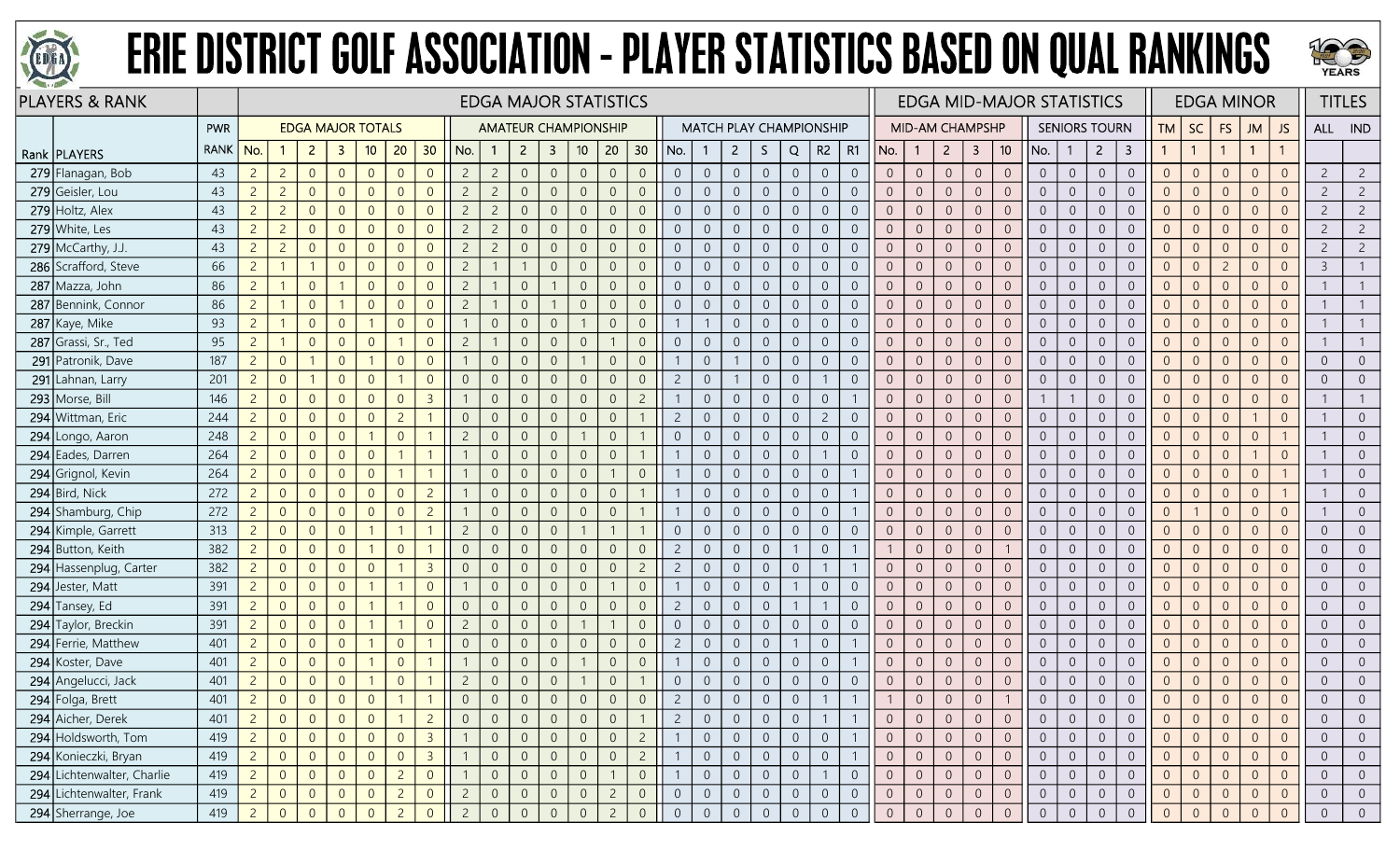



| <b>PLAYERS &amp; RANK</b>  |             |                |                |                |                          |                |                |                |                | <b>EDGA MAJOR STATISTICS</b> |                |                         |                 |                |                |                |                                |                |                |                |                |                |                |                 |                  |                         |                     | <b>EDGA MID-MAJOR STATISTICS</b> |                |                      |                         |                |                |                | <b>EDGA MINOR</b> |                |                | <b>TITLES</b>  |
|----------------------------|-------------|----------------|----------------|----------------|--------------------------|----------------|----------------|----------------|----------------|------------------------------|----------------|-------------------------|-----------------|----------------|----------------|----------------|--------------------------------|----------------|----------------|----------------|----------------|----------------|----------------|-----------------|------------------|-------------------------|---------------------|----------------------------------|----------------|----------------------|-------------------------|----------------|----------------|----------------|-------------------|----------------|----------------|----------------|
|                            | <b>PWR</b>  |                |                |                | <b>EDGA MAJOR TOTALS</b> |                |                |                |                | <b>AMATEUR CHAMPIONSHIP</b>  |                |                         |                 |                |                |                | <b>MATCH PLAY CHAMPIONSHIP</b> |                |                |                |                |                |                | MID-AM CHAMPSHP |                  |                         |                     |                                  |                | <b>SENIORS TOURN</b> |                         | TM             | <b>SC</b>      | <b>FS</b>      | <b>JM</b>         | JS.            |                | ALL IND        |
| Rank   PLAYERS             | <b>RANK</b> | No.            |                | 2 <sup>1</sup> | $\mathbf{3}$             | 10             | 20             | 30             | No.            | -1                           | $\overline{2}$ | $\overline{\mathbf{3}}$ | 10 <sup>°</sup> | 20             | 30             | No.            |                                | $\overline{2}$ | S.             | Q              | R2             | R1             | No.            | $\overline{1}$  | $\overline{2}$   | $\overline{\mathbf{3}}$ | 10                  | No.                              |                | $2^{\circ}$          | $\overline{\mathbf{3}}$ | $\mathbf{1}$   |                |                | $\overline{1}$    | $\mathbf{1}$   |                |                |
| 279 Flanagan, Bob          | 43          | $\overline{c}$ | $\overline{2}$ | $\overline{0}$ | $\overline{0}$           | $\overline{0}$ | $\overline{0}$ | $\overline{0}$ | $\overline{2}$ | $\overline{c}$               | $\overline{0}$ | $\overline{0}$          | $\overline{0}$  | $\overline{0}$ | $\overline{0}$ | $\overline{0}$ | $\overline{0}$                 | $\overline{0}$ | $\overline{0}$ | $\overline{0}$ | $\overline{0}$ | $\overline{0}$ | $\overline{0}$ | $\overline{0}$  | $\overline{0}$   | $\overline{0}$          | $\overline{0}$      | $\overline{0}$                   | $\overline{0}$ | $\overline{0}$       | $\boldsymbol{0}$        | $\overline{0}$ | $\overline{0}$ | $\overline{0}$ | $\overline{0}$    | $\overline{0}$ | 2              | $\overline{2}$ |
| 279 Geisler, Lou           | 43          | $\overline{2}$ | $\overline{2}$ | $\overline{0}$ | $\overline{0}$           | $\overline{0}$ | $\overline{0}$ | $\overline{0}$ | $\overline{c}$ | $\overline{2}$               | $\overline{0}$ | $\overline{0}$          | $\overline{0}$  | $\overline{0}$ | $\overline{0}$ | $\overline{0}$ | $\overline{0}$                 | $\overline{0}$ | $\overline{0}$ | $\overline{0}$ | $\overline{0}$ | $\overline{0}$ | $\Omega$       | $\overline{0}$  | $\sqrt{0}$       | $\overline{0}$          | $\mathbf{0}$        | $\overline{0}$                   | $\overline{0}$ | $\overline{0}$       | $\boldsymbol{0}$        | $\Omega$       | $\Omega$       | $\overline{0}$ | $\overline{0}$    | $\overline{0}$ | $\overline{c}$ | $\overline{2}$ |
| 279 Holtz, Alex            | 43          | $\overline{c}$ | $\overline{2}$ | $\overline{0}$ | $\overline{0}$           | $\overline{0}$ | $\overline{0}$ | $\overline{0}$ | $\overline{2}$ | $\overline{c}$               | $\overline{0}$ | $\overline{0}$          | $\overline{0}$  | $\overline{0}$ | $\Omega$       | $\overline{0}$ | $\overline{0}$                 | $\overline{0}$ | $\Omega$       | $\overline{0}$ | $\overline{0}$ | $\overline{0}$ | $\Omega$       | $\overline{0}$  | $\overline{0}$   | $\overline{0}$          | $\overline{0}$      | $\overline{0}$                   | $\overline{0}$ | $\overline{0}$       | $\overline{0}$          | $\overline{0}$ | $\Omega$       | $\overline{0}$ | $\overline{0}$    | $\overline{0}$ | $\overline{c}$ | $\overline{2}$ |
| 279 White, Les             | 43          | $\overline{2}$ | $\overline{2}$ | $\overline{0}$ | $\overline{0}$           | $\overline{0}$ | $\overline{0}$ | $\overline{0}$ | $\overline{2}$ | $\overline{2}$               | $\overline{0}$ | $\overline{0}$          | $\overline{0}$  | $\overline{0}$ | $\Omega$       | $\overline{0}$ | $\overline{0}$                 | $\overline{0}$ | $\overline{0}$ | $\overline{0}$ | $\overline{0}$ | $\overline{0}$ | $\Omega$       | $\overline{0}$  | $\sqrt{0}$       | $\overline{0}$          | $\overline{0}$      | $\overline{0}$                   | $\overline{0}$ | $\overline{0}$       | $\boldsymbol{0}$        | $\overline{0}$ | $\Omega$       | $\overline{0}$ | $\overline{0}$    | $\overline{0}$ | $\overline{c}$ | $\overline{2}$ |
| $279$ McCarthy, J.J.       | 43          | $\overline{2}$ | $\overline{2}$ | $\overline{0}$ | $\overline{0}$           | $\overline{0}$ | $\overline{0}$ | $\overline{0}$ | $\overline{2}$ | $\overline{2}$               | $\overline{0}$ | $\overline{0}$          | $\overline{0}$  | $\overline{0}$ | $\overline{0}$ | $\overline{0}$ | $\boldsymbol{0}$               | $\overline{0}$ | $\overline{0}$ | $\overline{0}$ | $\overline{0}$ | $\overline{0}$ | $\overline{0}$ | $\overline{0}$  | $\boldsymbol{0}$ | $\overline{0}$          | $\mathbf 0$         | $\overline{0}$                   | $\overline{0}$ | $\sqrt{0}$           | $\overline{0}$          | $\overline{0}$ | $\overline{0}$ | $\overline{0}$ | $\overline{0}$    | $\overline{0}$ | $\overline{c}$ | $\overline{2}$ |
| 286 Scrafford, Steve       | 66          | $\overline{2}$ |                |                | $\overline{0}$           | $\overline{0}$ | $\overline{0}$ | $\overline{0}$ | $\overline{2}$ |                              |                | $\overline{0}$          | $\Omega$        | $\overline{0}$ | $\overline{0}$ | $\overline{0}$ | $\overline{0}$                 | $\overline{0}$ | $\Omega$       | $\overline{0}$ | $\overline{0}$ | $\overline{0}$ |                | $\Omega$        | $\sqrt{0}$       | $\overline{0}$          | $\overline{0}$      | $\overline{0}$                   | $\Omega$       | $\overline{0}$       | $\boldsymbol{0}$        | $\Omega$       | $\Omega$       | $\overline{2}$ | $\Omega$          | $\overline{0}$ | $\overline{3}$ |                |
| 287<br>Mazza, John         | 86          | $\overline{c}$ |                | $\overline{0}$ |                          | $\overline{0}$ | $\overline{0}$ | $\overline{0}$ | $\overline{2}$ |                              | $\overline{0}$ |                         | $\overline{0}$  | $\overline{0}$ | $\overline{0}$ | $\overline{0}$ | $\overline{0}$                 | $\overline{0}$ | $\overline{0}$ | $\overline{0}$ | $\overline{0}$ | $\overline{0}$ | $\Omega$       | $\overline{0}$  | $\overline{0}$   | $\overline{0}$          | $\overline{0}$      | $\overline{0}$                   | $\overline{0}$ | $\overline{0}$       | $\boldsymbol{0}$        | $\overline{0}$ | $\Omega$       | $\overline{0}$ | $\Omega$          | $\overline{0}$ |                |                |
| 287 Bennink, Connor        | 86          | $\overline{2}$ |                | $\overline{0}$ |                          | $\overline{0}$ | $\overline{0}$ | $\overline{0}$ | $\overline{c}$ |                              | $\overline{0}$ |                         | $\theta$        | $\overline{0}$ | $\overline{0}$ | $\sqrt{0}$     | $\overline{0}$                 | $\overline{0}$ | $\mathbf{0}$   | $\overline{0}$ | $\sqrt{0}$     | $\sqrt{0}$     | $\Omega$       | $\overline{0}$  | $\mathbf 0$      | $\sqrt{0}$              | $\overline{0}$      | $\overline{0}$                   | $\overline{0}$ | $\sqrt{0}$           | $\mathbf 0$             | $\overline{0}$ | $\overline{0}$ | $\theta$       | $\overline{0}$    | $\overline{0}$ |                |                |
| 287 Kaye, Mike             | 93          | $\overline{c}$ |                | $\overline{0}$ | $\overline{0}$           | -1             | $\theta$       | $\overline{0}$ |                | $\overline{0}$               | $\overline{0}$ | $\boldsymbol{0}$        |                 | $\overline{0}$ | $\overline{0}$ |                |                                | $\overline{0}$ | $\overline{0}$ | $\overline{0}$ | $\sqrt{0}$     | $\overline{0}$ | $\overline{0}$ | $\overline{0}$  | $\mathbf 0$      | $\overline{0}$          | $\mathbf 0$         | $\overline{0}$                   | $\overline{0}$ | $\sqrt{0}$           | $\boldsymbol{0}$        | $\overline{0}$ | $\overline{0}$ | $\overline{0}$ | $\overline{0}$    | $\overline{0}$ |                |                |
| 287 Grassi, Sr., Ted       | 95          | $\overline{2}$ |                | $\overline{0}$ | $\overline{0}$           | $\overline{0}$ | $\mathbf{1}$   | $\overline{0}$ | $\overline{c}$ |                              | $\Omega$       | $\overline{0}$          | $\Omega$        |                | $\overline{0}$ | $\overline{0}$ | $\Omega$                       | $\overline{0}$ | $\Omega$       | $\overline{0}$ | $\overline{0}$ | $\overline{0}$ |                | $\overline{0}$  | $\overline{0}$   | $\overline{0}$          | $\overline{0}$      | $\overline{0}$                   | $\overline{0}$ | $\overline{0}$       | $\boldsymbol{0}$        | $\Omega$       | $\overline{0}$ | $\overline{0}$ | $\overline{0}$    | $\overline{0}$ |                |                |
| 291<br>Patronik, Dave      | 187         | $\overline{c}$ | $\overline{0}$ |                | $\overline{0}$           |                | $\overline{0}$ | $\overline{0}$ |                | $\overline{0}$               | $\overline{0}$ | $\overline{0}$          |                 | $\overline{0}$ | $\Omega$       |                | $\overline{0}$                 |                | $\overline{0}$ | $\overline{0}$ | $\overline{0}$ | $\overline{0}$ | $\Omega$       | $\overline{0}$  | $\overline{0}$   | $\overline{0}$          | $\overline{0}$      | $\overline{0}$                   | $\Omega$       | $\overline{0}$       | $\mathbf 0$             | $\overline{0}$ | $\Omega$       | $\overline{0}$ | $\overline{0}$    | $\overline{0}$ | $\Omega$       | $\overline{0}$ |
| 291 Lahnan, Larry          | 201         | $2^{\circ}$    | $\overline{0}$ |                | $\overline{0}$           | $\overline{0}$ |                | $\overline{0}$ | $\overline{0}$ | $\overline{0}$               | $\overline{0}$ | $\overline{0}$          | $\overline{0}$  | $\overline{0}$ | $\overline{0}$ | $\overline{c}$ | $\overline{0}$                 |                | $\overline{0}$ | $\overline{0}$ |                | $\overline{0}$ | $\Omega$       | $\overline{0}$  | $\overline{0}$   | $\overline{0}$          | $\overline{0}$      | $\overline{0}$                   | $\overline{0}$ | $\overline{0}$       | $\overline{0}$          | $\overline{0}$ | $\Omega$       | $\overline{0}$ | $\overline{0}$    | $\overline{0}$ | $\Omega$       | $\overline{0}$ |
| 293 Morse, Bill            | 146         | $\overline{2}$ | $\overline{0}$ | $\overline{0}$ | $\overline{0}$           | $\overline{0}$ | $\overline{0}$ | $\overline{3}$ |                | $\sqrt{0}$                   | $\sqrt{0}$     | $\overline{0}$          | $\,0\,$         | $\overline{0}$ | $\overline{c}$ |                | $\overline{0}$                 | $\overline{0}$ | $\sqrt{0}$     | $\overline{0}$ | $\sqrt{0}$     |                | $\overline{0}$ | $\overline{0}$  | $\mathbf 0$      | $\overline{0}$          | $\mathsf{O}\xspace$ | $\mathbf{1}$                     |                | $\overline{0}$       | $\overline{0}$          | $\Omega$       | $\overline{0}$ | $\overline{0}$ | $\overline{0}$    | $\overline{0}$ |                |                |
| 294 Wittman, Eric          | 244         | $\overline{2}$ | $\overline{0}$ | $\overline{0}$ | $\overline{0}$           | $\overline{0}$ | $\overline{2}$ |                | $\overline{0}$ | $\overline{0}$               | $\overline{0}$ | $\overline{0}$          | $\overline{0}$  | $\overline{0}$ |                | $\overline{2}$ | $\overline{0}$                 | $\overline{0}$ | $\Omega$       | $\overline{0}$ | $\overline{2}$ | $\overline{0}$ |                | $\overline{0}$  | $\overline{0}$   | $\overline{0}$          | $\overline{0}$      | $\overline{0}$                   | $\Omega$       | $\overline{0}$       | $\overline{0}$          | $\Omega$       | $\Omega$       | $\overline{0}$ |                   | $\overline{0}$ |                | $\Omega$       |
| 294 Longo, Aaron           | 248         | $\overline{2}$ | $\overline{0}$ | $\overline{0}$ | $\overline{0}$           |                | $\overline{0}$ |                | $\overline{c}$ | $\overline{0}$               | $\overline{0}$ | $\overline{0}$          |                 | $\overline{0}$ |                | $\overline{0}$ | $\overline{0}$                 | $\overline{0}$ | $\overline{0}$ | $\overline{0}$ | $\overline{0}$ | $\overline{0}$ | $\overline{0}$ | $\overline{0}$  | $\overline{0}$   | $\overline{0}$          | $\overline{0}$      | $\overline{0}$                   | $\overline{0}$ | $\overline{0}$       | $\mathbf 0$             | $\overline{0}$ | $\Omega$       | $\overline{0}$ | $\overline{0}$    |                |                | $\overline{0}$ |
| 294 Eades, Darren          | 264         | $2^{\circ}$    | $\overline{0}$ | $\overline{0}$ | $\overline{0}$           | $\overline{0}$ | $\mathbf{1}$   |                |                | $\overline{0}$               | $\overline{0}$ | $\overline{0}$          | $\overline{0}$  | $\overline{0}$ | $\mathbf{1}$   |                | $\overline{0}$                 | $\overline{0}$ | $\overline{0}$ | $\overline{0}$ |                | $\overline{0}$ | $\overline{0}$ | $\overline{0}$  | $\boldsymbol{0}$ | $\overline{0}$          | $\sqrt{0}$          | $\overline{0}$                   | $\overline{0}$ | $\overline{0}$       | $\mathbf 0$             | $\overline{0}$ | $\overline{0}$ | $\overline{0}$ |                   | $\overline{0}$ |                | $\overline{0}$ |
| 294 Grignol, Kevin         | 264         | $2^{\circ}$    | $\overline{0}$ | $\overline{0}$ | $\overline{0}$           | $\overline{0}$ | $\overline{1}$ | $\mathbf 1$    |                | $\overline{0}$               | $\overline{0}$ | $\overline{0}$          | $\overline{0}$  | $\overline{1}$ | $\overline{0}$ |                | $\overline{0}$                 | $\overline{0}$ | $\overline{0}$ | $\overline{0}$ | $\overline{0}$ |                | $\overline{0}$ | $\overline{0}$  | $\sqrt{0}$       | $\overline{0}$          | $\overline{0}$      | $\overline{0}$                   | $\overline{0}$ | $\overline{0}$       | $\boldsymbol{0}$        | $\overline{0}$ | $\overline{0}$ | $\overline{0}$ | $\overline{0}$    |                |                | $\overline{0}$ |
| 294 Bird, Nick             | 272         | $\overline{2}$ | $\overline{0}$ | $\overline{0}$ | $\overline{0}$           | $\overline{0}$ | $\overline{0}$ | $\overline{2}$ |                | $\overline{0}$               | $\overline{0}$ | $\overline{0}$          | $\overline{0}$  | $\overline{0}$ |                |                | $\overline{0}$                 | $\overline{0}$ | $\overline{0}$ | $\overline{0}$ | $\overline{0}$ |                | $\overline{0}$ | $\overline{0}$  | $\overline{0}$   | $\overline{0}$          | $\overline{0}$      | $\overline{0}$                   | $\overline{0}$ | $\overline{0}$       | $\overline{0}$          | $\overline{0}$ | $\overline{0}$ | $\overline{0}$ | $\overline{0}$    |                |                | $\overline{0}$ |
| 294 Shamburg, Chip         | 272         | $\overline{2}$ | $\overline{0}$ | $\overline{0}$ | $\overline{0}$           | $\overline{0}$ | $\overline{0}$ | $\overline{2}$ |                | $\overline{0}$               | $\Omega$       | $\overline{0}$          | $\overline{0}$  | $\overline{0}$ |                |                | $\overline{0}$                 | $\overline{0}$ | $\overline{0}$ | $\overline{0}$ | $\overline{0}$ |                | $\overline{0}$ | $\Omega$        | $\overline{0}$   | $\overline{0}$          | $\overline{0}$      | $\overline{0}$                   | $\overline{0}$ | $\overline{0}$       | $\overline{0}$          | $\overline{0}$ |                | $\overline{0}$ | $\overline{0}$    | $\overline{0}$ |                | $\overline{0}$ |
| 294 Kimple, Garrett        | 313         | $\overline{2}$ | $\overline{0}$ | $\overline{0}$ | $\overline{0}$           | $\mathbf{1}$   | $\overline{1}$ |                | $\overline{c}$ | $\overline{0}$               | $\overline{0}$ | $\overline{0}$          |                 | $\overline{1}$ |                | $\overline{0}$ | $\overline{0}$                 | $\overline{0}$ | $\overline{0}$ | $\overline{0}$ | $\mathsf{O}$   | $\overline{0}$ | $\overline{0}$ | $\overline{0}$  | $\sqrt{0}$       | $\overline{0}$          | $\mathbf{0}$        | $\overline{0}$                   | $\sqrt{0}$     | $\overline{0}$       | $\overline{0}$          | $\overline{0}$ | $\Omega$       | $\overline{0}$ | $\overline{0}$    | $\overline{0}$ | $\Omega$       | $\overline{0}$ |
| 294 Button, Keith          | 382         | $\overline{2}$ | $\overline{0}$ | $\overline{0}$ | $\overline{0}$           |                | $\overline{0}$ |                | $\overline{0}$ | $\overline{0}$               | $\Omega$       | $\overline{0}$          | $\overline{0}$  | $\overline{0}$ | $\overline{0}$ | $\overline{2}$ | $\overline{0}$                 | $\overline{0}$ | $\overline{0}$ |                | $\overline{0}$ |                |                | $\overline{0}$  | $\overline{0}$   | $\overline{0}$          |                     | $\overline{0}$                   | $\Omega$       | $\overline{0}$       | $\sqrt{0}$              |                | $\Omega$       | $\overline{0}$ | $\Omega$          | $\overline{0}$ | $\Omega$       | $\overline{0}$ |
| 294 Hassenplug, Carter     | 382         | $\overline{c}$ | $\overline{0}$ | $\overline{0}$ | $\overline{0}$           | $\overline{0}$ |                | $\overline{3}$ | $\overline{0}$ | $\overline{0}$               | $\overline{0}$ | $\overline{0}$          | $\theta$        | $\overline{0}$ | $\overline{c}$ | $\overline{c}$ | $\overline{0}$                 | $\overline{0}$ | $\Omega$       | $\overline{0}$ |                |                |                | $\Omega$        | $\Omega$         | $\overline{0}$          | $\sqrt{0}$          | $\overline{0}$                   | $\Omega$       | $\overline{0}$       | $\boldsymbol{0}$        | $\Omega$       | $\Omega$       | $\Omega$       | $\Omega$          | $\overline{0}$ |                | $\Omega$       |
| 294 Jester, Matt           | 391         | $\overline{2}$ | $\overline{0}$ | $\overline{0}$ | $\overline{0}$           |                |                | $\overline{0}$ |                | $\overline{0}$               | $\overline{0}$ | $\overline{0}$          | $\overline{0}$  |                | $\overline{0}$ |                | $\overline{0}$                 | $\overline{0}$ | $\Omega$       |                | $\overline{0}$ | $\overline{0}$ | $\Omega$       | $\Omega$        | $\overline{0}$   | $\overline{0}$          | $\overline{0}$      | $\overline{0}$                   | $\overline{0}$ | $\overline{0}$       | $\overline{0}$          | $\Omega$       | $\Omega$       | $\overline{0}$ | $\overline{0}$    | $\overline{0}$ | $\Omega$       | $\overline{0}$ |
| 294 Tansey, Ed             | 391         | $\overline{c}$ | $\overline{0}$ | $\overline{0}$ | $\overline{0}$           |                |                | $\overline{0}$ | $\overline{0}$ | $\sqrt{0}$                   | $\overline{0}$ | $\overline{0}$          | $\theta$        | $\overline{0}$ | $\overline{0}$ | $\overline{c}$ | $\overline{0}$                 | $\overline{0}$ | $\Omega$       |                |                | $\overline{0}$ | $\Omega$       | $\overline{0}$  | $\sqrt{0}$       | $\overline{0}$          | $\mathbf{0}$        | $\overline{0}$                   | $\overline{0}$ | $\overline{0}$       | $\mathbf 0$             | $\Omega$       | $\Omega$       | $\overline{0}$ | $\overline{0}$    | $\overline{0}$ | $\Omega$       | $\overline{0}$ |
| 294 Taylor, Breckin        | 391         | $2^{\circ}$    | $\overline{0}$ | $\overline{0}$ | $\overline{0}$           |                | $\mathbf{1}$   | $\overline{0}$ | $\overline{2}$ | $\overline{0}$               | $\overline{0}$ | $\overline{0}$          |                 |                | $\overline{0}$ | $\overline{0}$ | $\overline{0}$                 | $\overline{0}$ | $\overline{0}$ | $\overline{0}$ | $\overline{0}$ | $\overline{0}$ |                | $\overline{0}$  | $\overline{0}$   | $\overline{0}$          | $\overline{0}$      | $\overline{0}$                   | $\overline{0}$ | $\overline{0}$       | $\sqrt{0}$              | $\Omega$       | $\Omega$       | $\overline{0}$ | $\overline{0}$    | $\overline{0}$ | $\Omega$       | $\overline{0}$ |
| 294 Ferrie, Matthew        | 401         | $\overline{2}$ | $\overline{0}$ | $\overline{0}$ | $\overline{0}$           |                | $\overline{0}$ |                | $\overline{0}$ | $\overline{0}$               | $\overline{0}$ | $\overline{0}$          | $\overline{0}$  | $\overline{0}$ | $\Omega$       | $\overline{2}$ | $\overline{0}$                 | $\overline{0}$ | $\overline{0}$ |                | $\overline{0}$ |                | $\overline{0}$ | $\overline{0}$  | $\overline{0}$   | $\overline{0}$          | $\overline{0}$      | $\overline{0}$                   | $\overline{0}$ | $\overline{0}$       | $\mathbf 0$             | $\overline{0}$ | $\Omega$       | $\overline{0}$ | $\overline{0}$    | $\overline{0}$ | $\Omega$       | $\overline{0}$ |
| 294 Koster, Dave           | 401         | $\overline{2}$ | $\overline{0}$ | $\overline{0}$ | $\overline{0}$           |                | $\overline{0}$ |                |                | $\overline{0}$               | $\Omega$       | $\overline{0}$          |                 | $\overline{0}$ | $\Omega$       |                | $\overline{0}$                 | $\overline{0}$ | $\overline{0}$ | $\overline{0}$ | $\overline{0}$ |                | $\overline{0}$ | $\Omega$        | $\overline{0}$   | $\overline{0}$          | $\overline{0}$      | $\overline{0}$                   | $\overline{0}$ | $\overline{0}$       | $\boldsymbol{0}$        | $\Omega$       | $\Omega$       | $\overline{0}$ | $\overline{0}$    | $\overline{0}$ | $\Omega$       | $\overline{0}$ |
| 294 Angelucci, Jack        | 401         | $\overline{c}$ | $\overline{0}$ | $\overline{0}$ | $\overline{0}$           |                | $\overline{0}$ |                | $\overline{c}$ | $\overline{0}$               | $\sqrt{0}$     | $\overline{0}$          |                 | $\overline{0}$ |                | $\overline{0}$ | $\overline{0}$                 | $\overline{0}$ | $\overline{0}$ | $\overline{0}$ | $\sqrt{0}$     | $\overline{0}$ | $\overline{0}$ | $\theta$        | $\boldsymbol{0}$ | $\overline{0}$          | $\,0\,$             | $\overline{0}$                   | $\overline{0}$ | $\theta$             | $\mathbf 0$             | $\overline{0}$ | $\overline{0}$ | $\theta$       | $\overline{0}$    | $\overline{0}$ | $\Omega$       | $\overline{0}$ |
| 294 Folga, Brett           | 401         | $\overline{2}$ | $\overline{0}$ | $\overline{0}$ | $\overline{0}$           | $\overline{0}$ |                |                | $\overline{0}$ | $\overline{0}$               | $\Omega$       | $\overline{0}$          | $\Omega$        | $\overline{0}$ | $\Omega$       | $\overline{c}$ | $\overline{0}$                 | $\overline{0}$ | $\Omega$       | $\overline{0}$ |                |                |                | $\Omega$        | $\overline{0}$   | $\overline{0}$          |                     |                                  | $\overline{0}$ | $\overline{0}$       | $\overline{0}$          | $\overline{0}$ | $\Omega$       | $\overline{0}$ | $\overline{0}$    | $\overline{0}$ |                |                |
| 294 Aicher, Derek          | 401         | $\overline{c}$ | $\overline{0}$ | $\overline{0}$ | $\overline{0}$           | $\overline{0}$ |                | $\overline{2}$ | $\overline{0}$ | $\overline{0}$               | $\overline{0}$ | $\overline{0}$          | $\overline{0}$  | 0              |                | $\overline{c}$ | $\overline{0}$                 | $\overline{0}$ | $\mathbf 0$    | $\overline{0}$ |                |                |                | $\overline{0}$  | $\overline{0}$   | $\overline{0}$          | $\overline{0}$      | $\overline{0}$                   |                | $\overline{0}$       | $\overline{0}$          |                |                | $\overline{0}$ | $\overline{0}$    | $\overline{0}$ |                | $\overline{0}$ |
| 294 Holdsworth, Tom        | 419         | $2^{\circ}$    | $\overline{0}$ | $\overline{0}$ | $\overline{0}$           | $\overline{0}$ | $\overline{0}$ | $\overline{3}$ |                | $\overline{0}$               | $\overline{0}$ | $\overline{0}$          | $\overline{0}$  | $\overline{0}$ | $\overline{2}$ |                | $\overline{0}$                 | $\overline{0}$ | $\overline{0}$ | $\overline{0}$ | $\overline{0}$ |                | $\overline{0}$ | $\overline{0}$  | $\overline{0}$   | $\overline{0}$          | $\overline{0}$      | $\overline{0}$                   | $\overline{0}$ | $\overline{0}$       | $\overline{0}$          | $\overline{0}$ | $\overline{0}$ | $\overline{0}$ | $\overline{0}$    | $\overline{0}$ | $\Omega$       | $\overline{0}$ |
| 294 Konieczki, Bryan       | 419         | 2 <sup>7</sup> | $\overline{0}$ | $\overline{0}$ | $\overline{0}$           | $\overline{0}$ | $\overline{0}$ | $\overline{3}$ |                | $\overline{0}$               | $\overline{0}$ | $\overline{0}$          | $\overline{0}$  | $\overline{0}$ | $\overline{2}$ |                | $\overline{0}$                 | $\overline{0}$ | $\overline{0}$ | $\overline{0}$ | $\overline{0}$ |                | $\overline{0}$ | $\overline{0}$  | $\overline{0}$   | $\overline{0}$          | $\mathsf{O}$        | $\overline{0}$                   | $\overline{0}$ | $\overline{0}$       | $\overline{0}$          | $\overline{0}$ | $\overline{0}$ | $\overline{0}$ | $\overline{0}$    | $\overline{0}$ | $\overline{0}$ | $\overline{0}$ |
| 294 Lichtenwalter, Charlie | 419         | $2^{\circ}$    | $\overline{0}$ | $\overline{0}$ | $\overline{0}$           | $\overline{0}$ | $\overline{2}$ | $\overline{0}$ |                | $\overline{0}$               | $\overline{0}$ | $\overline{0}$          | $\mathbf 0$     |                | $\,0\,$        |                | $\overline{0}$                 | $\overline{0}$ | $\,0\,$        | $\overline{0}$ |                | $\overline{0}$ | $\overline{0}$ | $\overline{0}$  | $\mathbf 0$      | $\overline{0}$          | $\overline{0}$      | $\overline{0}$                   | $\overline{0}$ | $\overline{0}$       | $\overline{0}$          | $\overline{0}$ | $\overline{0}$ | $\overline{0}$ | $\overline{0}$    | $\overline{0}$ | $\Omega$       | $\overline{0}$ |
| 294 Lichtenwalter, Frank   | 419         | $\overline{2}$ | $\overline{0}$ | $\overline{0}$ | $\overline{0}$           | $\overline{0}$ | $\overline{2}$ | $\overline{0}$ | $\overline{2}$ | $\overline{0}$               | $\overline{0}$ | $\overline{0}$          | $\overline{0}$  | $\overline{2}$ | $\overline{0}$ | $\overline{0}$ | $\overline{0}$                 | $\overline{0}$ | $\overline{0}$ | $\overline{0}$ | $\overline{0}$ | $\overline{0}$ | $\overline{0}$ | $\overline{0}$  | $\boldsymbol{0}$ | $\overline{0}$          | $\mathbf{0}$        | $\overline{0}$                   | $\overline{0}$ | $\overline{0}$       | $\overline{0}$          | $\overline{0}$ |                | $\overline{0}$ | $\overline{0}$    | $\overline{0}$ | $\overline{0}$ | $\overline{0}$ |
| 294 Sherrange, Joe         | 419         | $\overline{2}$ | $\overline{0}$ | $\Omega$       | $\Omega$                 | $\Omega$       | $\overline{2}$ | $\Omega$       | $\overline{z}$ | $\Omega$                     | $\overline{0}$ | $\Omega$                |                 | $\overline{2}$ |                | $\overline{0}$ | $\overline{0}$                 | $\Omega$       |                | $\overline{0}$ | $\Omega$       | $\overline{0}$ | $\Omega$       |                 |                  | $\Omega$                |                     |                                  | $\Omega$       |                      | $\overline{0}$          |                |                |                | $\Omega$          |                |                | $\overline{0}$ |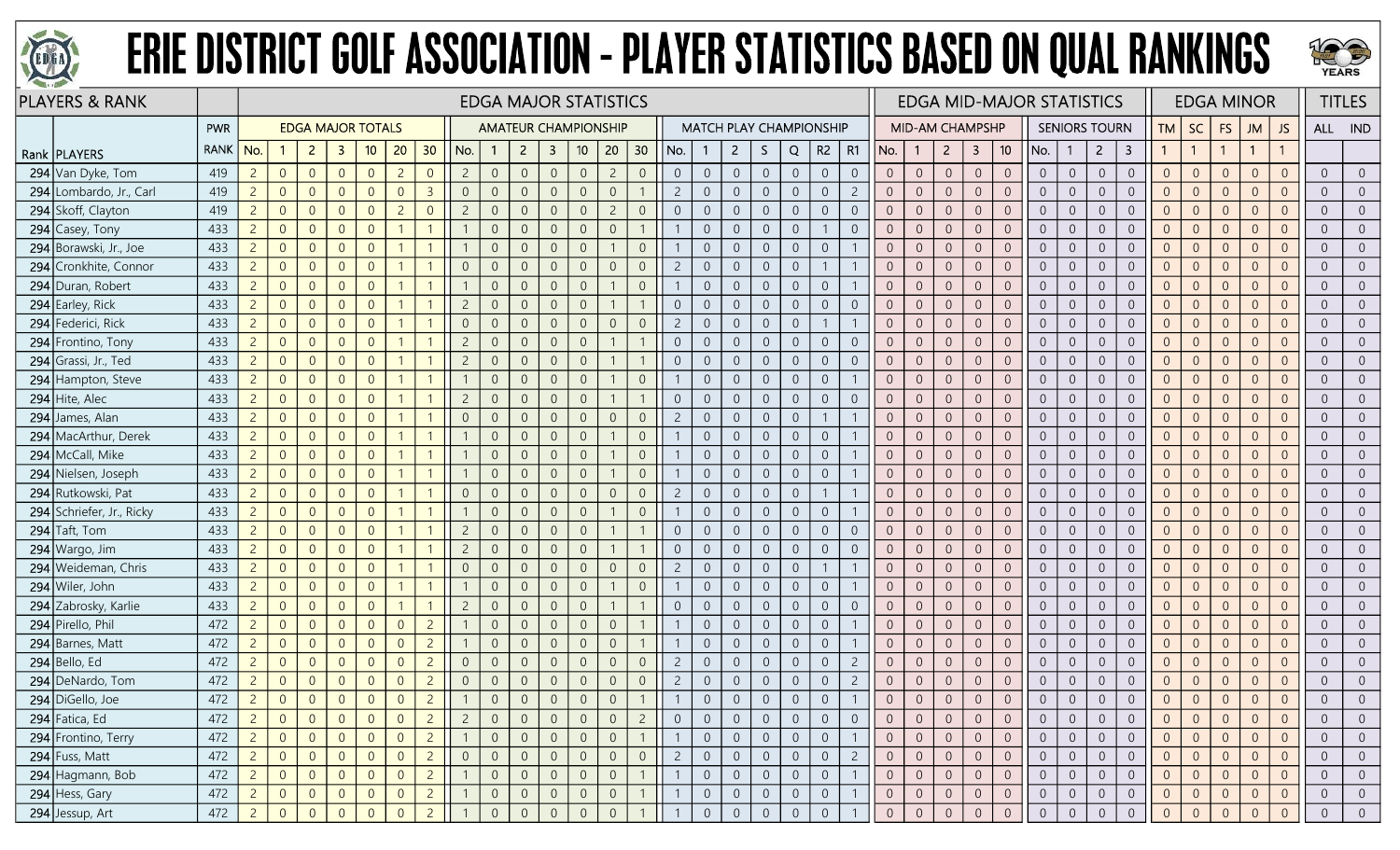



|     | <b>PLAYERS &amp; RANK</b> |             |                |                |                |                          |                |                |                |                |                |                |                | <b>EDGA MAJOR STATISTICS</b> |                |                 |                |                |                |                |                |                                |                |                |                 |                  |                |                 | <b>EDGA MID-MAJOR STATISTICS</b> |                |                      |                |                |                |                | <b>EDGA MINOR</b> |                |                  | <b>TITLES</b>  |
|-----|---------------------------|-------------|----------------|----------------|----------------|--------------------------|----------------|----------------|----------------|----------------|----------------|----------------|----------------|------------------------------|----------------|-----------------|----------------|----------------|----------------|----------------|----------------|--------------------------------|----------------|----------------|-----------------|------------------|----------------|-----------------|----------------------------------|----------------|----------------------|----------------|----------------|----------------|----------------|-------------------|----------------|------------------|----------------|
|     |                           | <b>PWR</b>  |                |                |                | <b>EDGA MAJOR TOTALS</b> |                |                |                |                |                |                |                | <b>AMATEUR CHAMPIONSHIP</b>  |                |                 |                |                |                |                |                | <b>MATCH PLAY CHAMPIONSHIP</b> |                |                | MID-AM CHAMPSHP |                  |                |                 |                                  |                | <b>SENIORS TOURN</b> |                | TМ             | SC             | <b>FS</b>      | JM                | <b>JS</b>      | ALL IND          |                |
|     | Rank   PLAYERS            | <b>RANK</b> | No.            |                | $\overline{2}$ | -3                       | 10             | 20             | 30             | No.            |                | $\overline{2}$ | $\mathbf{3}$   | 10 <sub>10</sub>             | 20             | 30 <sub>2</sub> | No.            |                | $\mathbf{2}$   | S.             | Q              | R2                             | R1             | No.            | $\mathbf{1}$    | $\overline{2}$   | 3              | 10 <sup>°</sup> | No.                              | -1             | $\overline{2}$       | 3              |                | $\overline{1}$ |                | $\mathbf{1}$      |                |                  |                |
|     | 294 Van Dyke, Tom         | 419         | $\overline{2}$ | $\overline{0}$ | $\overline{0}$ | $\overline{0}$           | $\overline{0}$ | $\overline{c}$ | $\overline{0}$ | $\overline{2}$ | $\overline{0}$ | $\overline{0}$ | $\overline{0}$ | $\overline{0}$               | $\overline{2}$ | $\overline{0}$  | $\overline{0}$ | $\overline{0}$ | $\overline{0}$ | $\overline{0}$ | $\overline{0}$ | $\overline{0}$                 | $\overline{0}$ | $\overline{0}$ | $\overline{0}$  | $\overline{0}$   | $\overline{0}$ | $\overline{0}$  | $\overline{0}$                   | $\overline{0}$ | $\overline{0}$       | $\overline{0}$ | $\overline{0}$ | $\overline{0}$ | $\overline{0}$ | $\Omega$          | $\Omega$       | $\overline{0}$   | $\overline{0}$ |
|     | 294 Lombardo, Jr., Carl   | 419         | $2 \quad$      | $\overline{0}$ | $\overline{0}$ | $\overline{0}$           | $\overline{0}$ | $\Omega$       | $\overline{3}$ | $\overline{0}$ | $\overline{0}$ | $\overline{0}$ | $\overline{0}$ | $\overline{0}$               | $\overline{0}$ |                 | $\overline{2}$ | $\overline{0}$ | $\overline{0}$ | $\overline{0}$ | $\overline{0}$ | $\overline{0}$                 | $\overline{2}$ | $\overline{0}$ | $\overline{0}$  | $\overline{0}$   | $\overline{0}$ | $\Omega$        | $\overline{0}$                   | $\overline{0}$ | $\overline{0}$       | $\Omega$       | $\overline{0}$ | $\overline{0}$ | $\overline{0}$ | $\Omega$          | $\Omega$       | $\overline{0}$   | $\overline{0}$ |
|     | 294 Skoff, Clayton        | 419         | 2 <sup>2</sup> | $\overline{0}$ | $\overline{0}$ | $\Omega$                 | $\overline{0}$ | 2              | $\Omega$       | $\overline{c}$ | $\overline{0}$ | $\Omega$       | -0             | $\overline{0}$               | $\overline{c}$ | $\overline{0}$  | $\overline{0}$ | $\overline{0}$ | $\overline{0}$ | $\overline{0}$ | $\overline{0}$ | $\overline{0}$                 | $\overline{0}$ | $\overline{0}$ | $\overline{0}$  | $\Omega$         | $\overline{0}$ | $\overline{0}$  | $\overline{0}$                   | $\overline{0}$ | $\overline{0}$       | $\overline{0}$ | $\overline{0}$ | $\overline{0}$ | $\Omega$       | $\overline{0}$    |                | $\overline{0}$   | $\overline{0}$ |
|     | 294 Casey, Tony           | 433         | $2 \mid$       | $\overline{0}$ | $\overline{0}$ | $\Omega$                 | $\overline{0}$ |                |                |                | $\overline{0}$ | $\overline{0}$ | $\overline{0}$ | $\mathbf 0$                  | $\overline{0}$ |                 |                | $\overline{0}$ | $\overline{0}$ | $\overline{0}$ | $\overline{0}$ | $\mathbf{1}$                   | $\Omega$       | $\overline{0}$ | $\overline{0}$  | $\overline{0}$   | $\overline{0}$ | $\overline{0}$  | $\overline{0}$                   | $\overline{0}$ | $\overline{0}$       | $\overline{0}$ | $\overline{0}$ | $\overline{0}$ | $\overline{0}$ | $\Omega$          | $\Omega$       | $\overline{0}$   | $\overline{0}$ |
|     | 294 Borawski, Jr., Joe    | 433         | $2^{\circ}$    | $\overline{0}$ | $\overline{0}$ | $\overline{0}$           | $\overline{0}$ |                |                |                | $\overline{0}$ | $\overline{0}$ | $\overline{0}$ | $\overline{0}$               |                | $\overline{0}$  |                | $\overline{0}$ | $\overline{0}$ | $\overline{0}$ | $\overline{0}$ | $\overline{0}$                 |                | $\overline{0}$ | $\overline{0}$  | $\overline{0}$   | $\overline{0}$ | $\overline{0}$  | $\overline{0}$                   | $\overline{0}$ | $\overline{0}$       | $\overline{0}$ | $\overline{0}$ | $\overline{0}$ | $\overline{0}$ | $\overline{0}$    | $\Omega$       | $\overline{0}$   | $\overline{0}$ |
|     | 294 Cronkhite, Connor     | 433         | 2 <sup>7</sup> | $\overline{0}$ | $\overline{0}$ | $\Omega$                 | $\overline{0}$ |                |                | $\Omega$       | $\overline{0}$ |                | $\overline{0}$ | $\overline{0}$               | $\overline{0}$ | $\overline{0}$  | $\overline{2}$ | $\overline{0}$ | $\overline{0}$ | $\mathbf 0$    | $\sqrt{0}$     | $\mathbf{1}$                   |                | $\overline{0}$ | $\overline{0}$  | $\overline{0}$   | $\overline{0}$ | $\overline{0}$  | $\overline{0}$                   | $\overline{0}$ | $\Omega$             | $\Omega$       | $\Omega$       | $\overline{0}$ | $\Omega$       | $\Omega$          |                | $\overline{0}$   | $\overline{0}$ |
|     | 294 Duran, Robert         | 433         | $2^{\circ}$    | $\overline{0}$ | $\overline{0}$ | $\overline{0}$           | $\overline{0}$ |                |                |                | $\overline{0}$ |                | -0             | $\overline{0}$               |                | $\overline{0}$  |                | $\overline{0}$ | $\overline{0}$ | $\overline{0}$ | $\overline{0}$ | $\overline{0}$                 |                | $\overline{0}$ | $\overline{0}$  | $\overline{0}$   | $\overline{0}$ | $\overline{0}$  | $\overline{0}$                   | $\overline{0}$ | $\overline{0}$       | $\overline{0}$ | $\overline{0}$ | $\overline{0}$ | $\overline{0}$ | $\Omega$          |                | $\overline{0}$   | $\overline{0}$ |
|     | 294 Earley, Rick          | 433         | 2 <sup>7</sup> | $\overline{0}$ | $\overline{0}$ | $\overline{0}$           | $\overline{0}$ |                |                | $\overline{c}$ | $\Omega$       | $\Omega$       | $\overline{0}$ | $\mathbf 0$                  |                |                 | $\overline{0}$ | $\overline{0}$ | $\overline{0}$ | $\mathbf 0$    | $\mathbb O$    | $\overline{0}$                 | $\overline{0}$ | $\overline{0}$ | $\theta$        | $\sqrt{0}$       | $\overline{0}$ | $\overline{0}$  | $\overline{0}$                   | $\overline{0}$ | $\overline{0}$       | $\overline{0}$ | $\overline{0}$ | $\overline{0}$ | $\overline{0}$ | $\Omega$          | $\Omega$       | $\overline{0}$   | $\overline{0}$ |
|     | 294 Federici, Rick        | 433         | 2 <sup>7</sup> | $\overline{0}$ | $\overline{0}$ | $\overline{0}$           | $\overline{0}$ |                |                | $\overline{0}$ | $\overline{0}$ | $\overline{0}$ | $\overline{0}$ | $\mathbf 0$                  | $\overline{0}$ | $\overline{0}$  | $\overline{2}$ | $\overline{0}$ | $\overline{0}$ | $\overline{0}$ | $\overline{0}$ | $\overline{1}$                 |                | $\overline{0}$ | $\overline{0}$  | $\overline{0}$   | $\overline{0}$ | $\overline{0}$  | $\overline{0}$                   | $\overline{0}$ | $\overline{0}$       | $\overline{0}$ | $\overline{0}$ | $\overline{0}$ | $\theta$       | $\overline{0}$    | $\Omega$       | $\overline{0}$   | $\overline{0}$ |
|     | 294 Frontino, Tony        | 433         | $2^{\circ}$    | $\overline{0}$ | $\overline{0}$ | $\Omega$                 | $\overline{0}$ |                |                | $\overline{c}$ | $\Omega$       | $\Omega$       | $\overline{0}$ | $\overline{0}$               |                |                 | $\overline{0}$ | $\overline{0}$ | $\overline{0}$ | $\overline{0}$ | $\overline{0}$ | $\overline{0}$                 | $\Omega$       | $\overline{0}$ | $\overline{0}$  | $\overline{0}$   | $\overline{0}$ | $\Omega$        | $\overline{0}$                   | $\overline{0}$ | $\overline{0}$       | $\Omega$       | $\Omega$       | $\overline{0}$ | $\overline{0}$ | $\Omega$          | $\Omega$       | $\overline{0}$   | $\overline{0}$ |
| 294 | Grassi, Jr., Ted          | 433         | $2^{\circ}$    | $\overline{0}$ | $\overline{0}$ | $\Omega$                 | $\overline{0}$ |                |                | $\overline{c}$ | $\overline{0}$ | $\Omega$       | -0             | $\overline{0}$               |                |                 | $\overline{0}$ | $\overline{0}$ | $\overline{0}$ | $\overline{0}$ | $\overline{0}$ | $\overline{0}$                 | $\overline{0}$ | $\overline{0}$ | $\overline{0}$  | $\overline{0}$   | $\overline{0}$ | $\overline{0}$  | $\overline{0}$                   | $\overline{0}$ | $\Omega$             | $\overline{0}$ | $\overline{0}$ | $\overline{0}$ | $\Omega$       | $\overline{0}$    |                | $\overline{0}$   | $\overline{0}$ |
|     | 294 Hampton, Steve        | 433         | $2 \mid$       | $\overline{0}$ | $\overline{0}$ | $\Omega$                 | $\overline{0}$ |                |                |                | $\overline{0}$ | $\Omega$       | $\overline{0}$ | $\overline{0}$               |                | $\overline{0}$  |                | $\overline{0}$ | $\overline{0}$ | $\overline{0}$ | $\overline{0}$ | $\overline{0}$                 |                | $\overline{0}$ | $\overline{0}$  | $\overline{0}$   | $\overline{0}$ | $\overline{0}$  | $\overline{0}$                   | $\overline{0}$ | $\overline{0}$       | $\overline{0}$ | $\overline{0}$ | $\overline{0}$ | $\overline{0}$ | $\Omega$          | $\Omega$       | $\overline{0}$   | $\overline{0}$ |
| 294 | Hite, Alec                | 433         | $2 \mid$       | $\overline{0}$ | $\overline{0}$ | $\overline{0}$           | $\overline{0}$ |                |                | $\overline{c}$ | $\overline{0}$ | $\overline{0}$ | $\overline{0}$ | $\overline{0}$               |                | $\overline{1}$  | $\overline{0}$ | $\overline{0}$ | $\overline{0}$ | $\overline{0}$ | $\overline{0}$ | $\overline{0}$                 | $\overline{0}$ | $\overline{0}$ | $\overline{0}$  | $\overline{0}$   | $\overline{0}$ | $\overline{0}$  | $\overline{0}$                   | $\overline{0}$ | $\overline{0}$       | $\overline{0}$ | $\overline{0}$ | $\overline{0}$ | $\overline{0}$ | $\Omega$          | $\Omega$       | $\overline{0}$   | $\overline{0}$ |
| 294 | James, Alan               | 433         | $2^{\circ}$    | $\overline{0}$ | $\overline{0}$ | $\Omega$                 | $\overline{0}$ |                |                | $\overline{0}$ | $\Omega$       |                | $\overline{0}$ | $\overline{0}$               | $\overline{0}$ | $\overline{0}$  | $\overline{2}$ | $\overline{0}$ | $\overline{0}$ | $\overline{0}$ | $\overline{0}$ | $\mathbf{1}$                   |                | $\overline{0}$ | $\overline{0}$  | $\overline{0}$   | $\overline{0}$ | $\Omega$        | $\overline{0}$                   | $\overline{0}$ | $\overline{0}$       | $\overline{0}$ | $\overline{0}$ | $\overline{0}$ | $\Omega$       | $\Omega$          | $\Omega$       | $\overline{0}$   | $\overline{0}$ |
| 294 | MacArthur, Derek          | 433         | $2 \mid$       | $\overline{0}$ | $\overline{0}$ | $\overline{0}$           | $\overline{0}$ |                |                |                | $\overline{0}$ | $\Omega$       | $\overline{0}$ | $\overline{0}$               |                | $\overline{0}$  |                | $\overline{0}$ | $\overline{0}$ | $\overline{0}$ | $\overline{0}$ | $\overline{0}$                 |                | $\overline{0}$ | $\overline{0}$  | $\overline{0}$   | $\overline{0}$ | $\overline{0}$  | $\overline{0}$                   | $\overline{0}$ | $\overline{0}$       | $\overline{0}$ | $\overline{0}$ | $\overline{0}$ | $\overline{0}$ | $\overline{0}$    | $\Omega$       | $\overline{0}$   | $\overline{0}$ |
|     | 294 McCall, Mike          | 433         | $2^{\circ}$    | $\overline{0}$ | $\overline{0}$ | $\overline{0}$           | $\overline{0}$ |                |                |                | $\overline{0}$ | $\Omega$       | $\overline{0}$ | $\overline{0}$               |                | $\overline{0}$  |                | $\overline{0}$ | $\overline{0}$ | $\overline{0}$ | $\overline{0}$ | $\overline{0}$                 |                | $\overline{0}$ | $\overline{0}$  | $\overline{0}$   | $\overline{0}$ | $\overline{0}$  | $\overline{0}$                   | $\overline{0}$ | $\overline{0}$       | $\overline{0}$ | $\overline{0}$ | $\overline{0}$ | $\overline{0}$ | $\Omega$          | $\Omega$       | $\overline{0}$   | $\overline{0}$ |
|     | 294 Nielsen, Joseph       | 433         | $2 \mid$       | $\overline{0}$ | $\overline{0}$ | $\overline{0}$           | $\overline{0}$ |                |                |                | $\overline{0}$ | $\Omega$       | $\overline{0}$ | $\overline{0}$               |                | $\overline{0}$  |                | $\overline{0}$ | $\overline{0}$ | $\overline{0}$ | $\overline{0}$ | $\overline{0}$                 |                | $\overline{0}$ | $\overline{0}$  | $\overline{0}$   | $\overline{0}$ | $\overline{0}$  | $\overline{0}$                   | $\overline{0}$ | $\overline{0}$       | $\overline{0}$ | $\overline{0}$ | $\overline{0}$ | $\overline{0}$ | $\Omega$          | $\Omega$       | $\overline{0}$   | $\overline{0}$ |
|     | 294 Rutkowski, Pat        | 433         | $\overline{2}$ | $\overline{0}$ | $\overline{0}$ | $\overline{0}$           | $\overline{0}$ |                |                | $\overline{0}$ | $\overline{0}$ | $\overline{0}$ | $\overline{0}$ | $\overline{0}$               | $\overline{0}$ | $\overline{0}$  | $\overline{2}$ | $\overline{0}$ | $\overline{0}$ | $\overline{0}$ | $\overline{0}$ | $\mathbf{1}$                   |                | $\overline{0}$ | $\overline{0}$  | $\overline{0}$   | $\overline{0}$ | $\overline{0}$  | $\overline{0}$                   | $\overline{0}$ | $\overline{0}$       | $\overline{0}$ | $\overline{0}$ | $\overline{0}$ | $\overline{0}$ | $\Omega$          | $\Omega$       | $\overline{0}$   | $\overline{0}$ |
|     | 294 Schriefer, Jr., Ricky | 433         | $2 \quad$      | $\overline{0}$ | $\overline{0}$ | $\overline{0}$           | $\Omega$       |                |                |                | $\overline{0}$ | $\Omega$       | $\overline{0}$ | $\overline{0}$               |                | $\overline{0}$  |                | $\overline{0}$ | $\overline{0}$ | $\overline{0}$ | $\overline{0}$ | $\overline{0}$                 |                | $\overline{0}$ | $\overline{0}$  | $\overline{0}$   | $\overline{0}$ | $\Omega$        | $\overline{0}$                   | $\overline{0}$ | $\overline{0}$       | $\Omega$       | $\overline{0}$ | $\overline{0}$ | $\overline{0}$ | $\Omega$          | $\Omega$       | $\overline{0}$   | $\overline{0}$ |
|     | $294$ Taft, Tom           | 433         | $2^{\circ}$    | $\overline{0}$ | $\overline{0}$ | $\overline{0}$           | $\overline{0}$ |                |                | $\overline{c}$ | $\overline{0}$ | $\overline{0}$ | $\overline{0}$ | $\overline{0}$               |                |                 | $\overline{0}$ | $\overline{0}$ | $\overline{0}$ | $\overline{0}$ | $\overline{0}$ | $\overline{0}$                 | $\overline{0}$ | $\overline{0}$ | $\overline{0}$  | $\overline{0}$   | $\overline{0}$ | $\overline{0}$  | $\overline{0}$                   | $\overline{0}$ | $\overline{0}$       | $\overline{0}$ | $\overline{0}$ | $\overline{0}$ | $\Omega$       | $\Omega$          | $\overline{0}$ | $\overline{0}$   | $\overline{0}$ |
|     | 294 Wargo, Jim            | 433         | $2^{\circ}$    | $\overline{0}$ | $\overline{0}$ | $\Omega$                 | $\overline{0}$ |                |                | $\overline{2}$ | $\overline{0}$ |                | $\overline{0}$ | $\overline{0}$               |                |                 | $\overline{0}$ | $\overline{0}$ | $\overline{0}$ | $\overline{0}$ | $\overline{0}$ | $\overline{0}$                 |                | $\overline{0}$ | $\overline{0}$  | $\overline{0}$   | $\overline{0}$ | $\overline{0}$  | $\overline{0}$                   | $\overline{0}$ | $\overline{0}$       | $\overline{0}$ | $\Omega$       | $\overline{0}$ | $\Omega$       | $\Omega$          |                | $\overline{0}$   | $\overline{0}$ |
| 294 | Weideman, Chris           | 433         | $\overline{2}$ | $\overline{0}$ | $\overline{0}$ | $\Omega$                 | $\overline{0}$ |                |                | $\overline{0}$ | $\Omega$       |                | $\Omega$       | $\overline{0}$               | $\overline{0}$ | $\sqrt{0}$      | $\overline{2}$ | $\overline{0}$ | $\overline{0}$ | $\sqrt{0}$     | $\overline{0}$ |                                |                | $\overline{0}$ | $\overline{0}$  | $\overline{0}$   | $\sqrt{0}$     | $\overline{0}$  | $\overline{0}$                   | $\overline{0}$ | $\Omega$             | $\overline{0}$ | $\overline{0}$ | $\overline{0}$ | $\Omega$       | $\Omega$          |                | $\overline{0}$   | $\overline{0}$ |
|     | 294 Wiler, John           | 433         | $2^{\circ}$    | $\overline{0}$ | $\overline{0}$ | $\Omega$                 | $\Omega$       |                |                |                | $\overline{0}$ | $\Omega$       | $\overline{0}$ | $\overline{0}$               |                | $\overline{0}$  |                | $\overline{0}$ | $\overline{0}$ | $\overline{0}$ | $\overline{0}$ | $\overline{0}$                 |                | $\overline{0}$ | $\overline{0}$  | $\overline{0}$   | $\overline{0}$ | $\overline{0}$  | $\overline{0}$                   | $\overline{0}$ | $\overline{0}$       | $\overline{0}$ | $\overline{0}$ | $\overline{0}$ | $\overline{0}$ | $\Omega$          | $\Omega$       | $\overline{0}$   | $\overline{0}$ |
|     | 294 Zabrosky, Karlie      | 433         | $\overline{2}$ | $\overline{0}$ | $\overline{0}$ | $\Omega$                 | $\overline{0}$ |                |                | $\overline{c}$ | $\overline{0}$ | $\Omega$       | $\overline{0}$ | $\mathbf 0$                  |                |                 | $\overline{0}$ | $\overline{0}$ | $\overline{0}$ | $\overline{0}$ | $\overline{0}$ | $\overline{0}$                 | $\overline{0}$ | $\overline{0}$ | $\theta$        | $\overline{0}$   | $\sqrt{0}$     | $\overline{0}$  | $\overline{0}$                   | $\overline{0}$ | $\overline{0}$       | $\overline{0}$ | $\overline{0}$ | $\overline{0}$ | $\overline{0}$ | $\Omega$          | $\Omega$       | $\overline{0}$   | $\overline{0}$ |
|     | 294 Pirello, Phil         | 472         | $2 \quad$      | $\overline{0}$ | $\overline{0}$ | $\overline{0}$           | $\overline{0}$ | $\Omega$       | $\overline{2}$ |                | $\overline{0}$ | $\overline{0}$ | $\overline{0}$ | $\overline{0}$               | $\overline{0}$ |                 |                | $\overline{0}$ | $\overline{0}$ | $\overline{0}$ | $\overline{0}$ | $\overline{0}$                 |                | $\overline{0}$ | $\overline{0}$  | $\overline{0}$   | $\overline{0}$ | $\overline{0}$  | $\overline{0}$                   | $\overline{0}$ | $\overline{0}$       | $\Omega$       | $\Omega$       | $\overline{0}$ | $\overline{0}$ | $\Omega$          | $\Omega$       | $\overline{0}$   | $\overline{0}$ |
|     | 294 Barnes, Matt          | 472         | 2 <sup>7</sup> | $\overline{0}$ | $\overline{0}$ | $\overline{0}$           | $\overline{0}$ | $\Omega$       | $\overline{2}$ |                | $\overline{0}$ | $\Omega$       | $\overline{0}$ | $\overline{0}$               | $\overline{0}$ |                 |                | $\overline{0}$ | $\overline{0}$ | $\overline{0}$ | $\overline{0}$ | $\overline{0}$                 |                | $\overline{0}$ | $\overline{0}$  | $\overline{0}$   | $\overline{0}$ | $\overline{0}$  | $\overline{0}$                   | $\overline{0}$ | $\overline{0}$       | $\overline{0}$ | $\overline{0}$ | $\overline{0}$ | $\Omega$       | $\overline{0}$    |                | $\overline{0}$   | $\overline{0}$ |
|     | $294$ Bello, Ed           | 472         | $2^{\circ}$    | $\overline{0}$ | $\overline{0}$ | $\Omega$                 | $\Omega$       | $\Omega$       | $\overline{2}$ | $\Omega$       | $\overline{0}$ | $\Omega$       | $\overline{0}$ | $\overline{0}$               | $\overline{0}$ | $\overline{0}$  | $\overline{c}$ | $\overline{0}$ | $\overline{0}$ | $\overline{0}$ | $\overline{0}$ | $\overline{0}$                 | $\overline{2}$ | $\overline{0}$ | $\overline{0}$  | $\overline{0}$   | $\overline{0}$ | $\overline{0}$  | $\overline{0}$                   | $\overline{0}$ | $\overline{0}$       | $\overline{0}$ | $\overline{0}$ | $\overline{0}$ | $\Omega$       | $\overline{0}$    | $\Omega$       | $\overline{0}$   | $\overline{0}$ |
|     | 294 DeNardo, Tom          | 472         | $\overline{2}$ | $\theta$       | $\overline{0}$ | $\overline{0}$           | $\overline{0}$ | $\Omega$       | $\overline{2}$ | $\overline{0}$ | $\overline{0}$ | $\overline{0}$ | $\overline{0}$ | $\mathbf 0$                  | $\overline{0}$ | $\sqrt{0}$      | $\overline{c}$ | $\overline{0}$ | $\overline{0}$ | $\sqrt{0}$     | $\overline{0}$ | $\overline{0}$                 | $\overline{c}$ | $\overline{0}$ | $\overline{0}$  | $\boldsymbol{0}$ | $\sqrt{0}$     | $\overline{0}$  | $\overline{0}$                   | $\overline{0}$ | $\overline{0}$       | $\overline{0}$ | $\overline{0}$ | $\overline{0}$ | $\overline{0}$ | $\overline{0}$    | $\overline{0}$ | $\overline{0}$   | $\overline{0}$ |
|     | 294 DiGello, Joe          | 472         | $2 \mid$       | $\overline{0}$ | $\overline{0}$ | $\overline{0}$           | $\overline{0}$ | $\Omega$       | $\overline{2}$ |                | $\Omega$       | $\overline{0}$ | $\overline{0}$ | $\overline{0}$               | $\overline{0}$ |                 |                | $\overline{0}$ | $\overline{0}$ | $\overline{0}$ | $\overline{0}$ | $\overline{0}$                 |                | $\overline{0}$ | $\overline{0}$  | $\overline{0}$   | $\overline{0}$ | $\overline{0}$  | $\overline{0}$                   | $\overline{0}$ | $\overline{0}$       | $\overline{0}$ | $\overline{0}$ | $\overline{0}$ | $\Omega$       | $\overline{0}$    | $\overline{0}$ | $\overline{0}$   | $\overline{0}$ |
|     | 294 Fatica, Ed            | 472         | $\overline{2}$ | $\overline{0}$ | $\overline{0}$ |                          | $\overline{0}$ |                | $\overline{2}$ |                |                |                | 0              | $\overline{0}$               | $\overline{0}$ | $\overline{2}$  |                |                | $\overline{0}$ | $\overline{0}$ | $\overline{0}$ | $\overline{0}$                 |                |                | $\overline{0}$  | $\overline{0}$   | $\overline{0}$ | $\overline{0}$  | $\overline{0}$                   | $\overline{0}$ | $\overline{0}$       | $\overline{0}$ | $\overline{0}$ | $\overline{0}$ | $\overline{0}$ |                   |                | $\overline{0}$   | $\overline{0}$ |
|     | 294 Frontino, Terry       | 472         | $2 \mid$       | $\overline{0}$ | $\overline{0}$ | $\overline{0}$           | $\overline{0}$ | $\Omega$       | $\overline{2}$ |                | $\overline{0}$ | $\overline{0}$ | $\overline{0}$ | $\overline{0}$               | $\overline{0}$ |                 |                | $\overline{0}$ | $\overline{0}$ | $\overline{0}$ | $\overline{0}$ | $\overline{0}$                 |                | $\overline{0}$ | $\overline{0}$  | $\overline{0}$   | $\overline{0}$ | $\overline{0}$  | $\overline{0}$                   | $\overline{0}$ | $\overline{0}$       | $\overline{0}$ | $\overline{0}$ | $\overline{0}$ | $\overline{0}$ | $\Omega$          | $\overline{0}$ | $\overline{0}$   | $\overline{0}$ |
|     | 294 Fuss, Matt            | 472         | $2 \mid$       | $\overline{0}$ | $\overline{0}$ | $\overline{0}$           | $\overline{0}$ | $\Omega$       | $\overline{2}$ | $\sqrt{0}$     | $\overline{0}$ | $\overline{0}$ | $\overline{0}$ | $\overline{0}$               | $\overline{0}$ | $\sqrt{0}$      | $\overline{2}$ | $\overline{0}$ | $\overline{0}$ | $\overline{0}$ | $\overline{0}$ | $\overline{0}$                 | $\overline{2}$ | $\overline{0}$ | $\overline{0}$  | $\overline{0}$   | $\overline{0}$ | $\overline{0}$  | $\overline{0}$                   | $\overline{0}$ | $\overline{0}$       | $\overline{0}$ | $\overline{0}$ | $\overline{0}$ | $\overline{0}$ | $\Omega$          | $\overline{0}$ | $\overline{0}$   | $\overline{0}$ |
|     | 294 Hagmann, Bob          | 472         | 2              | $\overline{0}$ | $\overline{0}$ | $\overline{0}$           | $\overline{0}$ | $\overline{0}$ | $\overline{2}$ |                | $\overline{0}$ | $\overline{0}$ | $\overline{0}$ | $\mathbf 0$                  | $\sqrt{0}$     |                 |                | $\mathbf 0$    | $\overline{0}$ | $\overline{0}$ | $\overline{0}$ | $\sqrt{0}$                     |                | $\overline{0}$ | $\sqrt{0}$      | $\overline{0}$   | $\mathbf 0$    | $\overline{0}$  | $\overline{0}$                   | $\overline{0}$ | $\overline{0}$       | $\overline{0}$ | $\overline{0}$ | $\overline{0}$ | $\mathbf{0}$   | $\overline{0}$    | $\sqrt{0}$     | $\boldsymbol{0}$ | $\overline{0}$ |
|     | 294 Hess, Gary            | 472         | $2 \quad$      | $\overline{0}$ | $\overline{0}$ | $\overline{0}$           | $\overline{0}$ | $\overline{0}$ | $\overline{2}$ |                | $\overline{0}$ | $\overline{0}$ | $\overline{0}$ | $\overline{0}$               | $\overline{0}$ |                 |                | $\overline{0}$ | $\overline{0}$ | $\overline{0}$ | $\overline{0}$ | $\overline{0}$                 |                | $\overline{0}$ | $\overline{0}$  | $\overline{0}$   | $\overline{0}$ | $\overline{0}$  | $\overline{0}$                   | $\overline{0}$ | $\overline{0}$       | $\overline{0}$ | $\overline{0}$ | $\overline{0}$ | $\overline{0}$ | $\overline{0}$    | $\overline{0}$ | $\overline{0}$   | $\overline{0}$ |
|     | 294 Jessup, Art           | 472         | 2              | $\overline{0}$ | $\overline{0}$ | $\overline{0}$           | $\Omega$       |                | $\overline{2}$ |                |                |                | $\overline{0}$ | $\overline{0}$               | $\overline{0}$ |                 |                | $\overline{0}$ | $\overline{0}$ | $\overline{0}$ | $\sqrt{0}$     | $\overline{0}$                 |                | $\overline{0}$ | $\theta$        | $\sqrt{0}$       | $\sqrt{0}$     | $\overline{0}$  | $\overline{0}$                   | $\mathbf{0}$   | $\Omega$             | $\Omega$       | $\mathbf{0}$   | $\overline{0}$ | $\Omega$       |                   |                | $\overline{0}$   | $\overline{0}$ |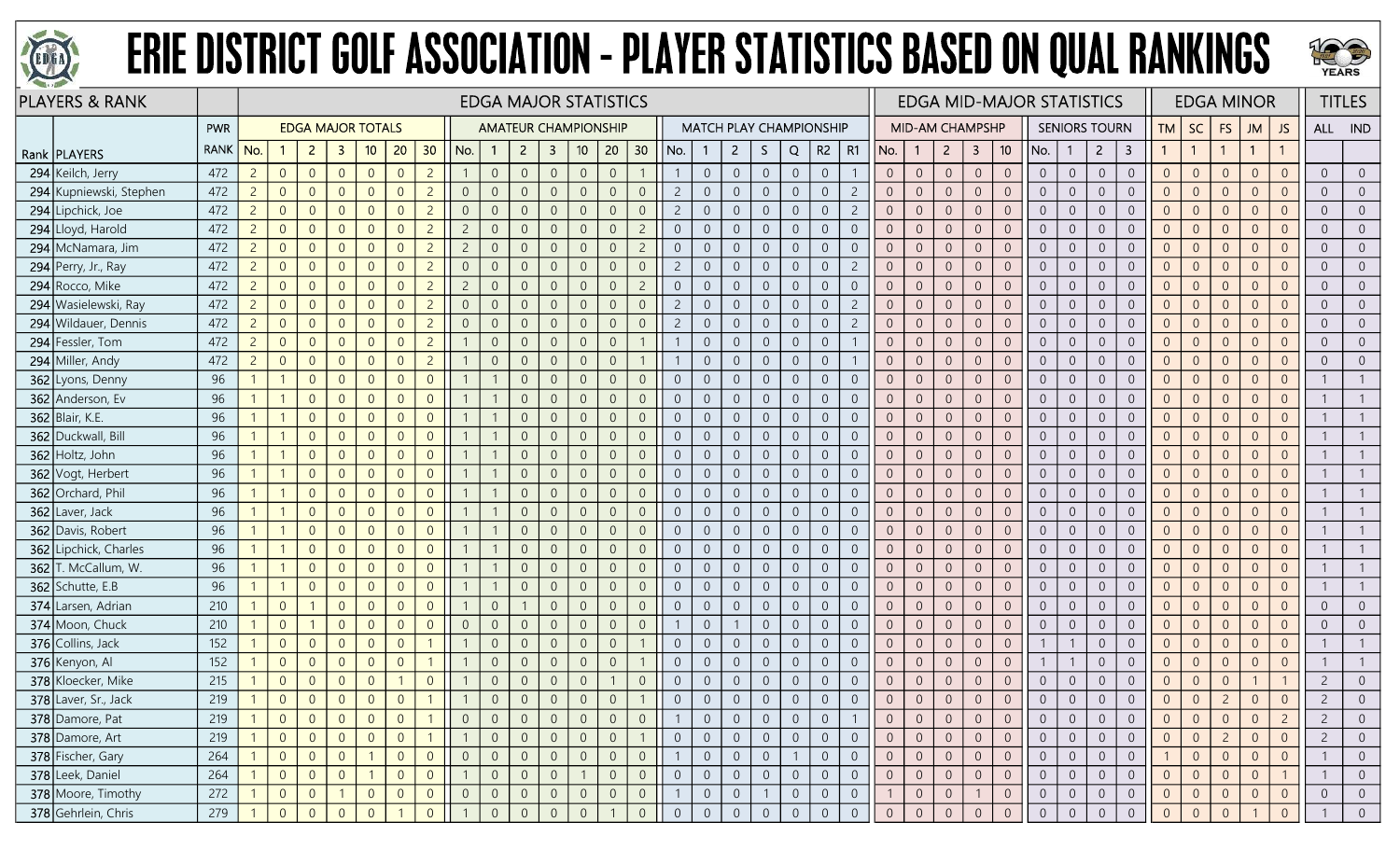



| <b>PLAYERS &amp; RANK</b> |             | <b>EDGA MAJOR STATISTICS</b><br><b>EDGA MAJOR TOTALS</b><br><b>AMATEUR CHAMPIONSHIP</b> |                |                |                |                |                |                 |                |                |                |                         |                 |                |                |                |                                |                |                |                |                | <b>EDGA MID-MAJOR STATISTICS</b> |                |                        |                  |                |                 |                | <b>EDGA MINOR</b> |                      |                         | <b>TITLES</b>  |                |                |                |                |                |                |
|---------------------------|-------------|-----------------------------------------------------------------------------------------|----------------|----------------|----------------|----------------|----------------|-----------------|----------------|----------------|----------------|-------------------------|-----------------|----------------|----------------|----------------|--------------------------------|----------------|----------------|----------------|----------------|----------------------------------|----------------|------------------------|------------------|----------------|-----------------|----------------|-------------------|----------------------|-------------------------|----------------|----------------|----------------|----------------|----------------|----------------|----------------|
|                           | PWR         |                                                                                         |                |                |                |                |                |                 |                |                |                |                         |                 |                |                |                | <b>MATCH PLAY CHAMPIONSHIP</b> |                |                |                |                |                                  |                | <b>MID-AM CHAMPSHP</b> |                  |                |                 |                |                   | <b>SENIORS TOURN</b> |                         | TM             | <b>SC</b>      | FS             | JM             | JS             |                | ALL IND        |
| Rank   PLAYERS            | <b>RANK</b> | No.                                                                                     |                | $\overline{2}$ | 3              | 10             | 20             | 30 <sup>°</sup> | No.            | $\mathbf 1$    | $\overline{2}$ | $\overline{\mathbf{3}}$ | 10 <sup>°</sup> | 20             | 30             | No.            |                                | $\overline{2}$ | S.             | Q              | R <sub>2</sub> | R1                               | No.            | $\mathbf{1}$           | $\overline{2}$   | $\overline{3}$ | 10 <sup>°</sup> | No.            |                   | $\overline{2}$       | $\overline{\mathbf{3}}$ | $\mathbf{1}$   |                |                | $\overline{1}$ | $\mathbf{1}$   |                |                |
| 294 Keilch, Jerry         | 472         | $\overline{c}$                                                                          | $\overline{0}$ | $\overline{0}$ | $\overline{0}$ | $\overline{0}$ | $\overline{0}$ | $\overline{c}$  |                | $\sqrt{0}$     | $\overline{0}$ | $\overline{0}$          | $\overline{0}$  | $\overline{0}$ |                |                | $\overline{0}$                 | $\overline{0}$ | $\overline{0}$ | $\overline{0}$ | $\overline{0}$ |                                  | $\overline{0}$ | $\theta$               | $\sqrt{0}$       | $\overline{0}$ | $\sqrt{0}$      | $\overline{0}$ | $\overline{0}$    | $\overline{0}$       | $\boldsymbol{0}$        | $\overline{0}$ | $\overline{0}$ | $\theta$       | $\overline{0}$ | $\overline{0}$ | $\Omega$       | $\overline{0}$ |
| 294 Kupniewski, Stephen   | 472         | $\overline{2}$                                                                          | $\overline{0}$ | $\overline{0}$ | $\overline{0}$ | $\overline{0}$ | $\overline{0}$ | $\overline{c}$  | $\overline{0}$ | $\overline{0}$ | $\Omega$       | $\overline{0}$          | $\Omega$        | $\overline{0}$ | $\Omega$       | $\overline{2}$ | $\overline{0}$                 | $\overline{0}$ | $\Omega$       | $\overline{0}$ | $\overline{0}$ | $\overline{c}$                   |                | $\overline{0}$         | $\overline{0}$   | $\overline{0}$ | $\overline{0}$  | $\overline{0}$ | $\Omega$          | $\overline{0}$       | $\overline{0}$          | $\Omega$       | $\Omega$       | $\overline{0}$ | $\Omega$       | $\overline{0}$ |                | $\Omega$       |
| 294 Lipchick, Joe         | 472         | $\overline{c}$                                                                          | $\overline{0}$ | $\overline{0}$ | $\overline{0}$ | $\overline{0}$ | $\overline{0}$ | $\overline{c}$  | $\overline{0}$ | $\overline{0}$ | $\overline{0}$ | $\overline{0}$          | $\overline{0}$  | $\overline{0}$ |                | $\overline{2}$ | $\overline{0}$                 | $\overline{0}$ | $\overline{0}$ | $\overline{0}$ | $\overline{0}$ | $\overline{2}$                   | $\Omega$       | 0                      | $\overline{0}$   | $\overline{0}$ | $\overline{0}$  | $\overline{0}$ | $\Omega$          | $\overline{0}$       | $\boldsymbol{0}$        | $\overline{0}$ | $\Omega$       | $\overline{0}$ | $\Omega$       | $\overline{0}$ | $\Omega$       | $\overline{0}$ |
| 294 Lloyd, Harold         | 472         | $\overline{2}$                                                                          | $\overline{0}$ | $\overline{0}$ | $\Omega$       | $\overline{0}$ | $\overline{0}$ | $\overline{2}$  | $\overline{2}$ | $\overline{0}$ | $\overline{0}$ | $\overline{0}$          | $\overline{0}$  | $\overline{0}$ | $\overline{2}$ | $\overline{0}$ | $\overline{0}$                 | $\overline{0}$ | $\overline{0}$ | $\overline{0}$ | $\overline{0}$ | $\overline{0}$                   | $\Omega$       | $\overline{0}$         | $\sqrt{0}$       | $\overline{0}$ | $\overline{0}$  | $\overline{0}$ | $\overline{0}$    | $\overline{0}$       | $\boldsymbol{0}$        | $\overline{0}$ | $\Omega$       | $\overline{0}$ | $\overline{0}$ | $\overline{0}$ | $\Omega$       | $\overline{0}$ |
| 294 McNamara, Jim         | 472         | $\overline{2}$                                                                          | $\overline{0}$ | $\overline{0}$ | $\overline{0}$ | $\overline{0}$ | $\overline{0}$ | $\overline{2}$  | $\overline{2}$ | $\sqrt{0}$     | $\overline{0}$ | $\overline{0}$          | $\overline{0}$  | $\overline{0}$ | $\overline{2}$ | $\overline{0}$ | $\overline{0}$                 | $\overline{0}$ | $\sqrt{0}$     | $\overline{0}$ | $\sqrt{0}$     | $\overline{0}$                   | $\Omega$       | $\overline{0}$         | $\mathbf 0$      | $\overline{0}$ | $\overline{0}$  | $\overline{0}$ | $\overline{0}$    | $\overline{0}$       | $\overline{0}$          | $\Omega$       | $\overline{0}$ | $\overline{0}$ | $\overline{0}$ | $\overline{0}$ | $\Omega$       | $\overline{0}$ |
| 294 Perry, Jr., Ray       | 472         | $2^{\circ}$                                                                             | $\overline{0}$ | $\overline{0}$ | $\overline{0}$ | $\overline{0}$ | $\overline{0}$ | $\overline{c}$  | $\overline{0}$ | $\overline{0}$ | $\overline{0}$ | $\overline{0}$          | $\overline{0}$  | $\overline{0}$ | $\overline{0}$ | $\overline{c}$ | $\overline{0}$                 | $\overline{0}$ | $\Omega$       | $\overline{0}$ | $\overline{0}$ | $\overline{2}$                   |                | $\overline{0}$         | $\overline{0}$   | $\overline{0}$ | $\overline{0}$  | $\overline{0}$ | $\Omega$          | $\overline{0}$       | $\boldsymbol{0}$        | $\Omega$       | $\Omega$       | $\overline{0}$ | $\Omega$       | $\overline{0}$ |                | $\overline{0}$ |
| 294 Rocco, Mike           | 472         | $\overline{2}$                                                                          | $\overline{0}$ | $\overline{0}$ | $\overline{0}$ | $\overline{0}$ | $\overline{0}$ | $\overline{c}$  | $\overline{2}$ | $\overline{0}$ | $\overline{0}$ | $\overline{0}$          | $\overline{0}$  | $\overline{0}$ | $\overline{2}$ | $\overline{0}$ | $\overline{0}$                 | $\overline{0}$ | $\overline{0}$ | $\overline{0}$ | $\overline{0}$ | $\overline{0}$                   | $\Omega$       | $\overline{0}$         | $\overline{0}$   | $\overline{0}$ | $\overline{0}$  | $\overline{0}$ | $\Omega$          | $\overline{0}$       | $\overline{0}$          | $\overline{0}$ | $\Omega$       | $\overline{0}$ | $\overline{0}$ | $\overline{0}$ | $\Omega$       | $\overline{0}$ |
| 294 Wasielewski, Ray      | 472         | $2^{\circ}$                                                                             | $\overline{0}$ | $\overline{0}$ | $\overline{0}$ | $\overline{0}$ | $\overline{0}$ | $\overline{2}$  | $\overline{0}$ | $\overline{0}$ | $\overline{0}$ | $\overline{0}$          | $\overline{0}$  | $\overline{0}$ | $\overline{0}$ | $\overline{2}$ | $\overline{0}$                 | $\overline{0}$ | $\overline{0}$ | $\overline{0}$ | $\sqrt{0}$     | $\overline{c}$                   | $\Omega$       | $\overline{0}$         | $\mathbf 0$      | $\overline{0}$ | $\overline{0}$  | $\overline{0}$ | $\overline{0}$    | $\overline{0}$       | $\mathbf 0$             | $\overline{0}$ | $\overline{0}$ | $\overline{0}$ | $\overline{0}$ | $\overline{0}$ | $\Omega$       | $\overline{0}$ |
| 294 Wildauer, Dennis      | 472         | $2^{\circ}$                                                                             | $\overline{0}$ | $\overline{0}$ | $\overline{0}$ | $\overline{0}$ | $\overline{0}$ | $\overline{2}$  | $\overline{0}$ | $\overline{0}$ | $\overline{0}$ | $\overline{0}$          | $\overline{0}$  | $\overline{0}$ | $\overline{0}$ | $\overline{2}$ | $\overline{0}$                 | $\overline{0}$ | $\overline{0}$ | $\overline{0}$ | $\overline{0}$ | $\overline{2}$                   | $\Omega$       | $\overline{0}$         | $\overline{0}$   | $\overline{0}$ | $\overline{0}$  | $\overline{0}$ | $\overline{0}$    | $\overline{0}$       | $\sqrt{0}$              | $\Omega$       | $\overline{0}$ | $\overline{0}$ | $\overline{0}$ | $\overline{0}$ | $\Omega$       | $\overline{0}$ |
| 294 Fessler, Tom          | 472         | $\overline{2}$                                                                          | $\overline{0}$ | $\overline{0}$ | $\overline{0}$ | $\overline{0}$ | $\overline{0}$ | $\overline{c}$  |                | $\overline{0}$ | $\overline{0}$ | $\overline{0}$          | $\overline{0}$  | $\overline{0}$ |                |                | $\overline{0}$                 | $\overline{0}$ | $\overline{0}$ | $\overline{0}$ | $\overline{0}$ |                                  |                | $\Omega$               | $\overline{0}$   | $\overline{0}$ | $\overline{0}$  | $\overline{0}$ | $\overline{0}$    | $\overline{0}$       | $\boldsymbol{0}$        | $\overline{0}$ | $\Omega$       | $\overline{0}$ | $\overline{0}$ | $\overline{0}$ |                | $\overline{0}$ |
| 294 Miller, Andy          | 472         | $\overline{2}$                                                                          | $\overline{0}$ | $\overline{0}$ | $\overline{0}$ | $\overline{0}$ | $\overline{0}$ | $\overline{c}$  |                | $\overline{0}$ | $\Omega$       | $\overline{0}$          | $\overline{0}$  | $\overline{0}$ |                |                | $\overline{0}$                 | $\overline{0}$ | $\overline{0}$ | $\overline{0}$ | $\overline{0}$ |                                  | $\Omega$       | $\Omega$               | $\overline{0}$   | $\overline{0}$ | $\overline{0}$  | $\overline{0}$ | $\overline{0}$    | $\overline{0}$       | $\overline{0}$          | $\Omega$       | $\Omega$       | $\overline{0}$ | $\overline{0}$ | $\overline{0}$ | $\Omega$       | $\overline{0}$ |
| 362 Lyons, Denny          | 96          |                                                                                         |                | $\overline{0}$ | $\overline{0}$ | $\overline{0}$ | $\overline{0}$ | $\overline{0}$  |                |                | $\overline{0}$ | $\overline{0}$          | $\overline{0}$  | $\overline{0}$ | $\overline{0}$ | $\overline{0}$ | $\overline{0}$                 | $\overline{0}$ | $\overline{0}$ | $\overline{0}$ | $\sqrt{0}$     | $\overline{0}$                   | $\Omega$       | $\overline{0}$         | $\overline{0}$   | $\overline{0}$ | $\overline{0}$  | $\overline{0}$ | $\overline{0}$    | $\overline{0}$       | $\overline{0}$          | $\overline{0}$ | $\Omega$       | $\overline{0}$ | $\overline{0}$ | $\overline{0}$ |                |                |
| 362 Anderson, Ev          | 96          |                                                                                         |                | $\overline{0}$ | $\overline{0}$ | $\overline{0}$ | $\overline{0}$ | $\overline{0}$  |                |                | $\overline{0}$ | $\overline{0}$          | $\overline{0}$  | $\overline{0}$ | $\overline{0}$ | $\overline{0}$ | $\overline{0}$                 | $\overline{0}$ | $\overline{0}$ | $\overline{0}$ | $\overline{0}$ | $\overline{0}$                   |                | $\overline{0}$         | $\overline{0}$   | $\overline{0}$ | $\overline{0}$  | $\overline{0}$ | $\overline{0}$    | $\overline{0}$       | $\overline{0}$          | $\Omega$       | $\overline{0}$ | $\overline{0}$ | $\overline{0}$ | $\overline{0}$ |                |                |
| 362 Blair, K.E.           | 96          |                                                                                         |                | $\overline{0}$ | $\Omega$       | $\overline{0}$ | $\overline{0}$ | $\overline{0}$  |                |                | $\Omega$       | $\overline{0}$          | $\Omega$        | $\overline{0}$ | $\Omega$       | $\overline{0}$ | $\overline{0}$                 | $\overline{0}$ | $\Omega$       | $\overline{0}$ | $\overline{0}$ | $\overline{0}$                   |                | $\Omega$               | $\Omega$         | $\overline{0}$ | $\sqrt{0}$      | $\Omega$       | $\overline{0}$    | $\overline{0}$       | $\sqrt{0}$              | $\overline{0}$ | $\Omega$       | $\Omega$       | $\Omega$       | $\overline{0}$ |                |                |
| 362 Duckwall, Bill        | 96          |                                                                                         |                | $\overline{0}$ | $\overline{0}$ | $\overline{0}$ | $\overline{0}$ | $\overline{0}$  |                |                | $\Omega$       | $\overline{0}$          | $\overline{0}$  | $\overline{0}$ | $\Omega$       | $\overline{0}$ | $\overline{0}$                 | $\overline{0}$ | $\overline{0}$ | $\overline{0}$ | $\overline{0}$ | $\overline{0}$                   | $\Omega$       | $\theta$               | $\overline{0}$   | $\overline{0}$ | $\overline{0}$  | $\overline{0}$ | $\overline{0}$    | $\overline{0}$       | $\overline{0}$          | $\Omega$       | $\Omega$       | $\overline{0}$ | $\overline{0}$ | $\overline{0}$ |                |                |
| 362 Holtz, John           | 96          |                                                                                         |                | $\overline{0}$ | $\overline{0}$ | $\overline{0}$ | $\overline{0}$ | $\overline{0}$  |                |                | $\overline{0}$ | $\overline{0}$          | $\Omega$        | $\overline{0}$ | $\Omega$       | $\overline{0}$ | $\overline{0}$                 | $\overline{0}$ | $\overline{0}$ | $\overline{0}$ | $\overline{0}$ | $\overline{0}$                   | $\overline{0}$ | $\theta$               | $\sqrt{0}$       | $\mathbf{0}$   | $\mathbf{0}$    | $\overline{0}$ | $\overline{0}$    | $\overline{0}$       | $\boldsymbol{0}$        | $\Omega$       | $\Omega$       | $\overline{0}$ | $\overline{0}$ | $\overline{0}$ |                |                |
| 362 Vogt, Herbert         | 96          |                                                                                         |                | $\overline{0}$ | $\Omega$       | $\overline{0}$ | $\overline{0}$ | $\overline{0}$  |                |                | $\Omega$       | $\overline{0}$          | $\overline{0}$  | $\overline{0}$ | $\overline{0}$ | $\overline{0}$ | $\overline{0}$                 | $\overline{0}$ | $\overline{0}$ | $\overline{0}$ | $\overline{0}$ | $\overline{0}$                   |                | $\Omega$               | $\overline{0}$   | $\overline{0}$ | $\overline{0}$  | $\overline{0}$ | $\overline{0}$    | $\overline{0}$       | $\sqrt{0}$              | $\Omega$       | $\Omega$       | $\overline{0}$ | $\overline{0}$ | $\overline{0}$ |                |                |
| 362 Orchard, Phil         | 96          |                                                                                         |                | $\Omega$       | $\Omega$       | $\overline{0}$ | $\overline{0}$ | $\overline{0}$  |                |                | $\Omega$       | $\Omega$                | $\Omega$        | $\overline{0}$ | $\Omega$       | $\overline{0}$ | $\overline{0}$                 | $\overline{0}$ | $\Omega$       | $\overline{0}$ | $\overline{0}$ | $\overline{0}$                   |                | $\Omega$               | $\overline{0}$   | $\overline{0}$ | $\overline{0}$  | $\overline{0}$ | $\Omega$          | $\overline{0}$       | $\overline{0}$          |                | $\Omega$       | $\Omega$       | $\Omega$       | $\overline{0}$ |                |                |
| 362 Laver, Jack           | 96          |                                                                                         |                | $\overline{0}$ | $\Omega$       | $\overline{0}$ | $\overline{0}$ | $\overline{0}$  |                |                | $\Omega$       | $\overline{0}$          | $\overline{0}$  | $\overline{0}$ | $\Omega$       | $\overline{0}$ | $\overline{0}$                 | $\overline{0}$ | $\overline{0}$ | $\overline{0}$ | $\overline{0}$ | $\overline{0}$                   | $\Omega$       | $\Omega$               | $\overline{0}$   | $\overline{0}$ | $\overline{0}$  | $\overline{0}$ | $\overline{0}$    | $\overline{0}$       | $\sqrt{0}$              | $\Omega$       | $\Omega$       | $\overline{0}$ | $\overline{0}$ | $\overline{0}$ |                |                |
| 362 Davis, Robert         | 96          |                                                                                         |                | $\overline{0}$ | $\overline{0}$ | $\overline{0}$ | $\overline{0}$ | $\overline{0}$  |                |                | $\overline{0}$ | $\overline{0}$          | $\overline{0}$  | $\overline{0}$ | $\overline{0}$ | $\overline{0}$ | $\overline{0}$                 | $\overline{0}$ | $\overline{0}$ | $\overline{0}$ | $\sqrt{0}$     | $\overline{0}$                   | $\Omega$       | $\overline{0}$         | $\sqrt{0}$       | $\overline{0}$ | $\mathbf 0$     | $\overline{0}$ | $\overline{0}$    | $\overline{0}$       | $\overline{0}$          | $\overline{0}$ | $\overline{0}$ | $\overline{0}$ | $\overline{0}$ | $\overline{0}$ |                |                |
| 362 Lipchick, Charles     | 96          |                                                                                         |                | $\overline{0}$ | $\Omega$       | $\overline{0}$ | $\overline{0}$ | $\Omega$        |                |                | $\overline{0}$ | $\overline{0}$          | $\Omega$        | $\overline{0}$ | $\Omega$       | $\overline{0}$ | $\overline{0}$                 | $\overline{0}$ | $\Omega$       | $\overline{0}$ | $\overline{0}$ | $\overline{0}$                   |                | $\Omega$               | $\overline{0}$   | $\overline{0}$ | $\overline{0}$  | $\Omega$       | $\Omega$          | $\overline{0}$       | $\mathbf 0$             | $\Omega$       | $\Omega$       | $\overline{0}$ | $\overline{0}$ | $\overline{0}$ |                |                |
| 362 T. McCallum, W.       | 96          |                                                                                         |                | $\overline{0}$ | $\overline{0}$ | $\overline{0}$ | $\overline{0}$ | $\overline{0}$  |                |                | $\overline{0}$ | $\overline{0}$          | $\Omega$        | $\overline{0}$ | $\Omega$       | $\overline{0}$ | $\overline{0}$                 | $\overline{0}$ | $\Omega$       | $\overline{0}$ | $\overline{0}$ | $\overline{0}$                   | $\Omega$       | 0                      | $\overline{0}$   | $\overline{0}$ | $\overline{0}$  | $\overline{0}$ | $\Omega$          | $\overline{0}$       | $\overline{0}$          | $\overline{0}$ | $\Omega$       | $\overline{0}$ | $\overline{0}$ | $\overline{0}$ |                |                |
| $362$ Schutte, E.B        | 96          |                                                                                         |                | $\overline{0}$ | $\overline{0}$ | $\overline{0}$ | $\overline{0}$ | $\overline{0}$  |                |                | $\overline{0}$ | $\overline{0}$          | $\overline{0}$  | $\overline{0}$ | $\Omega$       | $\overline{0}$ | $\overline{0}$                 | $\overline{0}$ | $\overline{0}$ | $\overline{0}$ | $\overline{0}$ | $\overline{0}$                   | $\Omega$       | $\overline{0}$         | $\overline{0}$   | $\overline{0}$ | $\overline{0}$  | $\overline{0}$ | $\overline{0}$    | $\overline{0}$       | $\boldsymbol{0}$        | $\overline{0}$ | $\Omega$       | $\overline{0}$ | $\overline{0}$ | $\overline{0}$ |                |                |
| 374 Larsen, Adrian        | 210         |                                                                                         | $\overline{0}$ |                | $\overline{0}$ | $\overline{0}$ | $\overline{0}$ | $\overline{0}$  |                | $\overline{0}$ |                | $\overline{0}$          | $\overline{0}$  | $\overline{0}$ | $\overline{0}$ | $\overline{0}$ | $\overline{0}$                 | $\overline{0}$ | $\overline{0}$ | $\overline{0}$ | $\overline{0}$ | $\overline{0}$                   | $\overline{0}$ | $\overline{0}$         | $\overline{0}$   | $\overline{0}$ | $\overline{0}$  | $\overline{0}$ | $\overline{0}$    | $\overline{0}$       | $\boldsymbol{0}$        | $\overline{0}$ | $\overline{0}$ | $\overline{0}$ | $\overline{0}$ | $\overline{0}$ | $\Omega$       | $\overline{0}$ |
| 374 Moon, Chuck           | 210         |                                                                                         | $\overline{0}$ |                | $\mathbf{0}$   | $\overline{0}$ | $\overline{0}$ | $\overline{0}$  | $\overline{0}$ | $\overline{0}$ | $\Omega$       | $\overline{0}$          | $\Omega$        | $\overline{0}$ | $\overline{0}$ |                | $\overline{0}$                 |                | $\overline{0}$ | $\overline{0}$ | $\overline{0}$ | $\overline{0}$                   |                | $\Omega$               | $\sqrt{0}$       | $\overline{0}$ | $\overline{0}$  | $\overline{0}$ | $\Omega$          | $\overline{0}$       | $\mathbf 0$             | $\Omega$       | $\Omega$       | $\overline{0}$ | $\Omega$       | $\overline{0}$ |                | $\Omega$       |
| 376 Collins, Jack         | 152         |                                                                                         | $\overline{0}$ | $\overline{0}$ | $\overline{0}$ | $\overline{0}$ | $\overline{0}$ |                 |                | $\overline{0}$ | $\overline{0}$ | $\overline{0}$          | $\overline{0}$  | $\overline{0}$ |                | $\overline{0}$ | $\overline{0}$                 | $\overline{0}$ | $\overline{0}$ | $\overline{0}$ | $\overline{0}$ | $\overline{0}$                   | $\overline{0}$ | $\overline{0}$         | $\overline{0}$   | $\overline{0}$ | $\overline{0}$  |                |                   | $\overline{0}$       | $\overline{0}$          | $\overline{0}$ | $\Omega$       | $\overline{0}$ | $\overline{0}$ | $\overline{0}$ |                |                |
| 376 Kenyon, Al            | 152         |                                                                                         | $\overline{0}$ | $\overline{0}$ | $\overline{0}$ | $\overline{0}$ | $\overline{0}$ |                 |                | $\overline{0}$ | $\overline{0}$ | $\overline{0}$          | $\overline{0}$  | $\overline{0}$ |                | $\overline{0}$ | $\overline{0}$                 | $\overline{0}$ | $\overline{0}$ | $\overline{0}$ | $\sqrt{0}$     | $\overline{0}$                   | $\Omega$       | $\theta$               | $\boldsymbol{0}$ | $\overline{0}$ | $\overline{0}$  |                |                   | $\overline{0}$       | $\mathbf 0$             | $\Omega$       | $\overline{0}$ | $\overline{0}$ | $\overline{0}$ | $\overline{0}$ |                |                |
| 378 Kloecker, Mike        | 215         |                                                                                         | $\overline{0}$ | $\overline{0}$ | $\overline{0}$ | $\overline{0}$ |                | $\overline{0}$  |                | $\overline{0}$ | $\overline{0}$ | $\overline{0}$          | $\overline{0}$  |                | $\Omega$       | $\overline{0}$ | $\overline{0}$                 | $\overline{0}$ | $\overline{0}$ | $\overline{0}$ | $\overline{0}$ | $\overline{0}$                   | $\Omega$       | $\theta$               | $\sqrt{0}$       | $\sqrt{0}$     | $\sqrt{0}$      | $\overline{0}$ | $\overline{0}$    | $\overline{0}$       | $\boldsymbol{0}$        | $\overline{0}$ | $\overline{0}$ | $\overline{0}$ |                |                | $\overline{c}$ | $\overline{0}$ |
| 378 Laver, Sr., Jack      | 219         |                                                                                         | $\overline{0}$ | $\overline{0}$ | $\overline{0}$ | $\overline{0}$ | $\overline{0}$ |                 |                | $\Omega$       | $\overline{0}$ | $\overline{0}$          | $\overline{0}$  | $\overline{0}$ |                | $\Omega$       | $\overline{0}$                 | $\overline{0}$ | $\Omega$       | $\overline{0}$ | $\overline{0}$ | $\overline{0}$                   | $\Omega$       | $\overline{0}$         | $\overline{0}$   | $\mathbf{0}$   | $\overline{0}$  |                | $\overline{0}$    | $\overline{0}$       | $\overline{0}$          | $\overline{0}$ | $\Omega$       | $\overline{2}$ | $\overline{0}$ | $\overline{0}$ | $\overline{c}$ |                |
| 378 Damore, Pat           | 219         |                                                                                         | $\overline{0}$ | $\overline{0}$ | $\overline{0}$ | $\overline{0}$ | $\overline{0}$ |                 | $\overline{0}$ | $\overline{0}$ | $\overline{0}$ | $\overline{0}$          | $\overline{0}$  | $\overline{0}$ | $\overline{0}$ |                | $\overline{0}$                 | $\overline{0}$ | $\overline{0}$ | $\overline{0}$ | $\overline{0}$ |                                  |                | $\overline{0}$         | $\overline{0}$   | $\overline{0}$ | $\overline{0}$  | $\overline{0}$ | $\overline{0}$    | $\overline{0}$       | $\overline{0}$          | $\overline{0}$ | $\overline{0}$ | $\overline{0}$ | $\overline{0}$ | $\overline{2}$ | -2             | $\overline{0}$ |
| 378 Damore, Art           | 219         |                                                                                         | $\overline{0}$ | $\overline{0}$ | $\overline{0}$ | $\overline{0}$ | $\overline{0}$ |                 |                | $\overline{0}$ | $\overline{0}$ | $\overline{0}$          | $\overline{0}$  | $\overline{0}$ |                | $\overline{0}$ | $\overline{0}$                 | $\overline{0}$ | $\overline{0}$ | $\overline{0}$ | $\overline{0}$ | $\overline{0}$                   | $\overline{0}$ | $\overline{0}$         | $\overline{0}$   | $\overline{0}$ | $\overline{0}$  | $\overline{0}$ | $\overline{0}$    | $\overline{0}$       | $\overline{0}$          | $\overline{0}$ | $\overline{0}$ | $\overline{2}$ | $\overline{0}$ | $\overline{0}$ | $\overline{2}$ | $\overline{0}$ |
| 378 Fischer, Gary         | 264         |                                                                                         | $\overline{0}$ | $\overline{0}$ | $\overline{0}$ |                | $\overline{0}$ | $\overline{0}$  | $\overline{0}$ | $\overline{0}$ | $\overline{0}$ | $\overline{0}$          | $\overline{0}$  | $\overline{0}$ | $\sqrt{0}$     |                | $\overline{0}$                 | $\overline{0}$ | $\sqrt{0}$     | $\overline{1}$ | $\overline{0}$ | $\overline{0}$                   | $\overline{0}$ | $\overline{0}$         | $\overline{0}$   | $\overline{0}$ | $\mathbf 0$     | $\overline{0}$ | $\overline{0}$    | $\sqrt{0}$           | $\overline{0}$          |                | $\overline{0}$ | $\overline{0}$ | $\overline{0}$ | $\overline{0}$ |                | $\overline{0}$ |
| 378 Leek, Daniel          | 264         |                                                                                         | $\overline{0}$ | $\overline{0}$ | $\overline{0}$ |                | $\overline{0}$ | $\overline{0}$  |                | $\overline{0}$ | $\overline{0}$ | $\overline{0}$          |                 | $\overline{0}$ | $\overline{0}$ | $\overline{0}$ | $\overline{0}$                 | $\overline{0}$ | $\overline{0}$ | $\overline{0}$ | $\overline{0}$ | $\overline{0}$                   | $\overline{0}$ | $\overline{0}$         | $\overline{0}$   | $\overline{0}$ | $\overline{0}$  | $\overline{0}$ | $\overline{0}$    | $\overline{0}$       | $\overline{0}$          | $\overline{0}$ | $\overline{0}$ | $\overline{0}$ | $\overline{0}$ |                |                | $\overline{0}$ |
| 378 Moore, Timothy        | 272         |                                                                                         | $\overline{0}$ | $\overline{0}$ |                | $\overline{0}$ | $\overline{0}$ | $\overline{0}$  | $\overline{0}$ | $\overline{0}$ | $\overline{0}$ | $\overline{0}$          | $\overline{0}$  | $\overline{0}$ | $\overline{0}$ |                | $\overline{0}$                 | $\overline{0}$ |                | $\overline{0}$ | $\overline{0}$ | $\overline{0}$                   |                | $\overline{0}$         | $\overline{0}$   |                | $\overline{0}$  | $\overline{0}$ | $\overline{0}$    | $\overline{0}$       | $\overline{0}$          | $\overline{0}$ | $\overline{0}$ | $\overline{0}$ | $\overline{0}$ | $\overline{0}$ | $\overline{0}$ | $\overline{0}$ |
| 378 Gehrlein, Chris       | 279         |                                                                                         | $\overline{0}$ | $\Omega$       | $\Omega$       | $\Omega$       |                | $\overline{0}$  |                | $\Omega$       | $\overline{0}$ | $\overline{0}$          | $\Omega$        |                | $\overline{0}$ | $\overline{0}$ | $\overline{0}$                 | $\overline{0}$ | $\Omega$       | $\overline{0}$ | $\overline{0}$ | $\overline{0}$                   | $\overline{0}$ | $\Omega$               | $\overline{0}$   | $\overline{0}$ | $\overline{0}$  | $\Omega$       | $\overline{0}$    | $\Omega$             | $\overline{0}$          |                |                |                |                | $\overline{0}$ |                | $\Omega$       |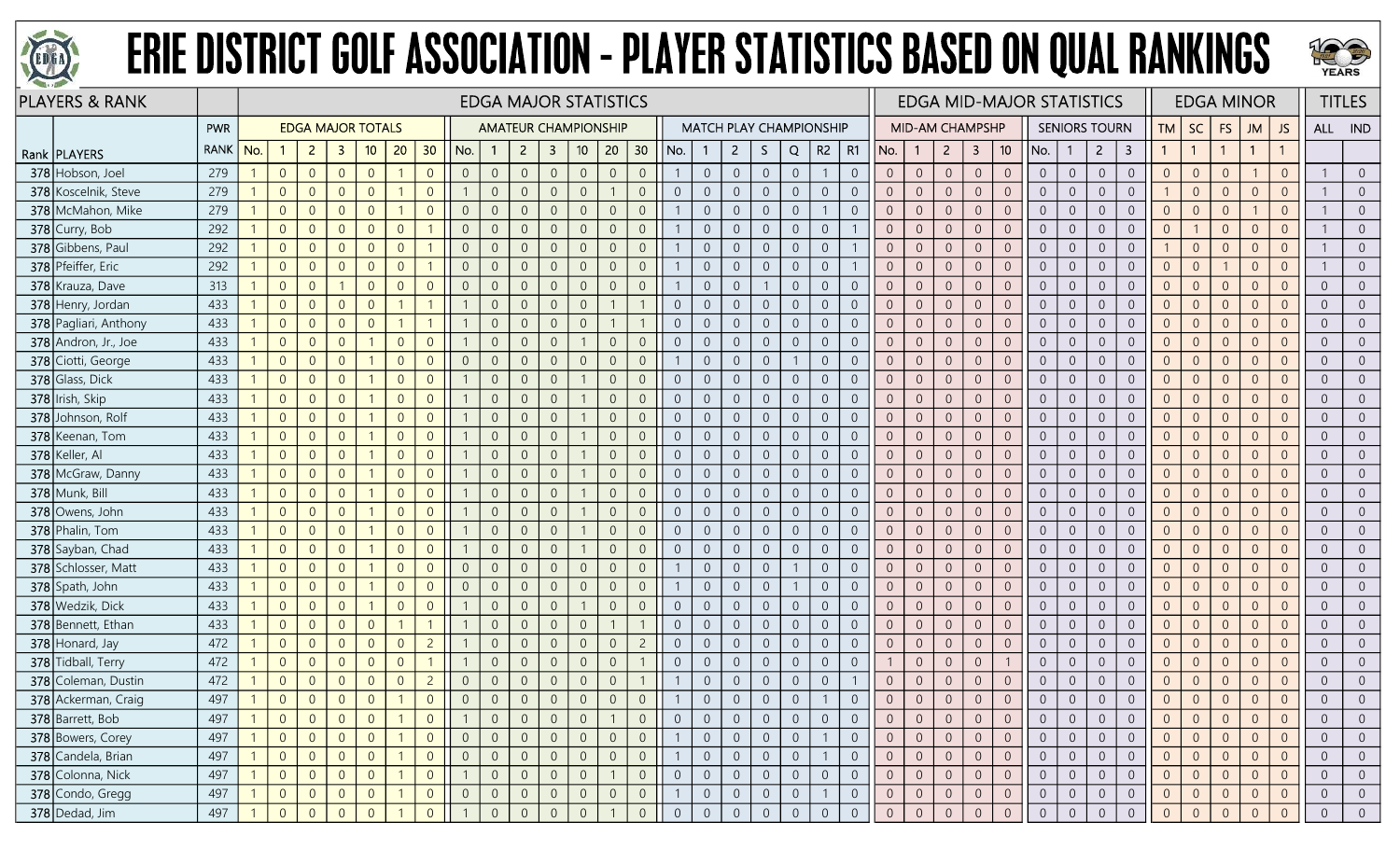



| <b>PLAYERS &amp; RANK</b> |             |     |                |                |                          |                |                 |                |                |                | <b>EDGA MAJOR STATISTICS</b> |                         |                |                |                |                |                |                |                                |                |                |                |                |                        |                |                |                 | <b>EDGA MID-MAJOR STATISTICS</b> |                |                      |                |                |                | <b>EDGA MINOR</b> |                |                |                | <b>TITLES</b>  |
|---------------------------|-------------|-----|----------------|----------------|--------------------------|----------------|-----------------|----------------|----------------|----------------|------------------------------|-------------------------|----------------|----------------|----------------|----------------|----------------|----------------|--------------------------------|----------------|----------------|----------------|----------------|------------------------|----------------|----------------|-----------------|----------------------------------|----------------|----------------------|----------------|----------------|----------------|-------------------|----------------|----------------|----------------|----------------|
|                           | PWR         |     |                |                | <b>EDGA MAJOR TOTALS</b> |                |                 |                |                |                | <b>AMATEUR CHAMPIONSHIP</b>  |                         |                |                |                |                |                |                | <b>MATCH PLAY CHAMPIONSHIP</b> |                |                |                |                | <b>MID-AM CHAMPSHP</b> |                |                |                 |                                  |                | <b>SENIORS TOURN</b> |                | <b>TM</b>      | <b>SC</b>      | FS                | <b>JM</b>      | JS             | ALL IND        |                |
| Rank   PLAYERS            | <b>RANK</b> | No. |                | $\overline{2}$ | 3                        | 10             | 20 <sub>2</sub> | 30             | No.            |                | $\overline{2}$               | $\overline{\mathbf{3}}$ | 10             | 20             | 30             | No.            |                | $\overline{2}$ | S.                             | Q              | $R2 \mid R1$   |                | No.            | $\mathbf{1}$           | $2^{\circ}$    | 3              | 10 <sup>°</sup> | No.                              | $\mathbf{1}$   | $\overline{2}$       | 3              |                | $\overline{1}$ |                   | $\mathbf{1}$   |                |                |                |
| 378 Hobson, Joel          | 279         |     | $\overline{0}$ | $\overline{0}$ | $\overline{0}$           | $\overline{0}$ |                 | $\overline{0}$ | $\overline{0}$ | $\overline{0}$ | $\overline{0}$               | $\overline{0}$          | $\overline{0}$ | $\overline{0}$ | $\overline{0}$ |                | $\overline{0}$ | $\overline{0}$ | $\overline{0}$                 | $\overline{0}$ |                | $\overline{0}$ | $\overline{0}$ | $\overline{0}$         | $\overline{0}$ | $\sqrt{0}$     | $\overline{0}$  | $\overline{0}$                   | $\overline{0}$ | $\overline{0}$       | $\overline{0}$ | $\overline{0}$ | $\overline{0}$ | $\overline{0}$    |                | $\Omega$       |                | $\overline{0}$ |
| 378 Koscelnik, Steve      | 279         |     | $\overline{0}$ | $\overline{0}$ | $\Omega$                 | $\overline{0}$ |                 | $\Omega$       |                | $\overline{0}$ | $\Omega$                     | $\overline{0}$          | $\overline{0}$ |                | $\overline{0}$ | $\overline{0}$ | $\overline{0}$ | $\overline{0}$ | $\overline{0}$                 | $\overline{0}$ | $\overline{0}$ | $\overline{0}$ | $\overline{0}$ | $\overline{0}$         | $\overline{0}$ | $\overline{0}$ | $\overline{0}$  | $\overline{0}$                   | $\overline{0}$ | $\overline{0}$       | $\overline{0}$ |                | $\overline{0}$ | $\overline{0}$    | $\Omega$       | $\overline{0}$ |                | $\overline{0}$ |
| 378 McMahon, Mike         | 279         |     | $\overline{0}$ | $\overline{0}$ | $\Omega$                 | $\Omega$       |                 | $\Omega$       | $\overline{0}$ | $\overline{0}$ |                              | $\Omega$                | $\Omega$       | $\overline{0}$ | $\overline{0}$ |                | $\overline{0}$ | $\overline{0}$ | $\overline{0}$                 | $\sqrt{0}$     |                | $\Omega$       | $\overline{0}$ | $\overline{0}$         | $\overline{0}$ | $\overline{0}$ | $\overline{0}$  | $\overline{0}$                   | $\overline{0}$ | $\Omega$             | $\overline{0}$ | $\overline{0}$ | $\overline{0}$ | $\Omega$          |                |                |                | $\overline{0}$ |
| 378 Curry, Bob            | 292         |     | $\overline{0}$ | $\Omega$       | $\Omega$                 | $\overline{0}$ | $\Omega$        |                | $\overline{0}$ | $\overline{0}$ | $\Omega$                     | $\overline{0}$          | $\Omega$       | $\overline{0}$ | $\overline{0}$ |                | $\overline{0}$ | $\overline{0}$ | $\overline{0}$                 | $\overline{0}$ | $\overline{0}$ |                | $\overline{0}$ | $\overline{0}$         | $\overline{0}$ | $\overline{0}$ | $\overline{0}$  | $\overline{0}$                   | $\overline{0}$ | $\overline{0}$       | $\overline{0}$ | $\overline{0}$ |                | $\overline{0}$    | $\Omega$       | $\Omega$       |                | $\overline{0}$ |
| 378 Gibbens, Paul         | 292         |     | $\overline{0}$ | $\overline{0}$ | $\Omega$                 | $\overline{0}$ | $\Omega$        |                | $\overline{0}$ | $\overline{0}$ |                              | $\overline{0}$          | $\Omega$       | $\overline{0}$ | $\overline{0}$ |                | $\overline{0}$ | $\overline{0}$ | $\overline{0}$                 | $\overline{0}$ | $\overline{0}$ |                | $\overline{0}$ | $\overline{0}$         | $\overline{0}$ | $\sqrt{0}$     | $\overline{0}$  | $\overline{0}$                   | $\overline{0}$ | $\overline{0}$       | $\overline{0}$ |                | $\overline{0}$ | $\Omega$          | $\Omega$       | $\Omega$       |                | $\overline{0}$ |
| 378 Pfeiffer, Eric        | 292         |     | $\overline{0}$ | $\overline{0}$ | $\Omega$                 | $\overline{0}$ | $\Omega$        |                | $\overline{0}$ | $\overline{0}$ |                              | $\overline{0}$          | $\overline{0}$ | $\overline{0}$ | $\overline{0}$ |                | $\overline{0}$ | $\overline{0}$ | $\overline{0}$                 | $\overline{0}$ | $\overline{0}$ |                | $\overline{0}$ | $\overline{0}$         | $\overline{0}$ | $\overline{0}$ | $\overline{0}$  | $\overline{0}$                   | $\overline{0}$ | $\overline{0}$       | $\overline{0}$ | $\Omega$       | $\overline{0}$ |                   | $\Omega$       |                |                | $\overline{0}$ |
| 378 Krauza, Dave          | 313         |     | $\overline{0}$ | $\overline{0}$ |                          | $\overline{0}$ | $\Omega$        | $\Omega$       | $\overline{0}$ | $\overline{0}$ |                              | 0                       | $\Omega$       | $\overline{0}$ | $\Omega$       |                | $\overline{0}$ | $\overline{0}$ |                                | $\overline{0}$ | $\overline{0}$ | $\overline{0}$ | $\overline{0}$ | $\overline{0}$         | $\overline{0}$ | $\overline{0}$ | $\overline{0}$  | $\overline{0}$                   | $\overline{0}$ | $\overline{0}$       | $\overline{0}$ | $\overline{0}$ | $\overline{0}$ | $\Omega$          | $\Omega$       |                | $\overline{0}$ | $\overline{0}$ |
| 378 Henry, Jordan         | 433         |     | $\overline{0}$ | $\overline{0}$ | $\overline{0}$           | $\overline{0}$ |                 |                |                | $\overline{0}$ | $\Omega$                     | $\Omega$                | $\Omega$       |                |                | $\Omega$       | $\overline{0}$ | $\overline{0}$ | $\boldsymbol{0}$               | $\overline{0}$ | $\overline{0}$ | $\overline{0}$ | $\overline{0}$ | $\overline{0}$         | $\overline{0}$ | $\overline{0}$ | $\overline{0}$  | $\overline{0}$                   | $\overline{0}$ | $\overline{0}$       | $\overline{0}$ | $\Omega$       | $\overline{0}$ | $\overline{0}$    | $\overline{0}$ | $\Omega$       | $\overline{0}$ | $\overline{0}$ |
| 378 Pagliari, Anthony     | 433         |     | $\overline{0}$ | $\overline{0}$ | $\overline{0}$           | $\overline{0}$ |                 | $\mathbf{1}$   |                | $\overline{0}$ | $\Omega$                     | $\overline{0}$          | $\overline{0}$ |                |                | $\overline{0}$ | $\overline{0}$ | $\sqrt{0}$     | $\boldsymbol{0}$               | $\sqrt{0}$     | $\overline{0}$ | $\overline{0}$ | $\overline{0}$ | $\overline{0}$         | $\overline{0}$ | $\,0\,$        | $\overline{0}$  | $\overline{0}$                   | $\overline{0}$ | $\overline{0}$       | $\overline{0}$ | $\overline{0}$ | $\overline{0}$ | $\theta$          | $\overline{0}$ | $\Omega$       | $\overline{0}$ | $\overline{0}$ |
| 378 Andron, Jr., Joe      | 433         |     | $\overline{0}$ | $\overline{0}$ | $\overline{0}$           |                | $\Omega$        | $\Omega$       |                | $\overline{0}$ | $\Omega$                     | $\overline{0}$          |                | $\overline{0}$ | $\overline{0}$ | $\overline{0}$ | $\overline{0}$ | $\overline{0}$ | $\overline{0}$                 | $\overline{0}$ | $\overline{0}$ | $\overline{0}$ | $\overline{0}$ | $\overline{0}$         | $\overline{0}$ | $\overline{0}$ | $\overline{0}$  | $\overline{0}$                   | $\overline{0}$ | $\overline{0}$       | $\overline{0}$ | $\overline{0}$ | $\overline{0}$ | $\overline{0}$    | $\overline{0}$ | $\Omega$       | $\overline{0}$ | $\overline{0}$ |
| 378 Ciotti, George        | 433         |     | $\overline{0}$ | $\overline{0}$ | $\Omega$                 |                | $\Omega$        | $\Omega$       | $\overline{0}$ | $\overline{0}$ | $\Omega$                     | 0                       | $\Omega$       | $\overline{0}$ | $\overline{0}$ |                | $\overline{0}$ | $\overline{0}$ | $\overline{0}$                 |                | $\overline{0}$ | $\overline{0}$ | $\overline{0}$ | $\overline{0}$         | $\overline{0}$ | $\overline{0}$ | $\overline{0}$  | $\overline{0}$                   | $\overline{0}$ | $\overline{0}$       | $\overline{0}$ | $\overline{0}$ | $\overline{0}$ | $\Omega$          | $\overline{0}$ |                | $\overline{0}$ | $\overline{0}$ |
| 378 Glass, Dick           | 433         |     | $\overline{0}$ | $\overline{0}$ | $\overline{0}$           |                | $\Omega$        | $\Omega$       |                | $\overline{0}$ | $\Omega$                     | $\overline{0}$          |                | $\overline{0}$ | $\overline{0}$ | $\Omega$       | $\overline{0}$ | $\overline{0}$ | $\boldsymbol{0}$               | $\overline{0}$ | $\overline{0}$ | $\Omega$       | $\overline{0}$ | $\overline{0}$         | $\overline{0}$ | $\overline{0}$ | $\overline{0}$  | $\overline{0}$                   | $\overline{0}$ | $\overline{0}$       | $\overline{0}$ | $\overline{0}$ | $\overline{0}$ | $\overline{0}$    | $\overline{0}$ | $\Omega$       | $\overline{0}$ | $\overline{0}$ |
| 378 Irish, Skip           | 433         |     | $\overline{0}$ | $\overline{0}$ | $\overline{0}$           |                | $\overline{0}$  | $\Omega$       |                | $\overline{0}$ | $\Omega$                     | $\overline{0}$          |                | $\overline{0}$ | $\overline{0}$ | $\overline{0}$ | $\overline{0}$ | $\overline{0}$ | $\overline{0}$                 | $\overline{0}$ | $\overline{0}$ | $\overline{0}$ | $\overline{0}$ | $\overline{0}$         | $\overline{0}$ | $\sqrt{0}$     | $\overline{0}$  | $\overline{0}$                   | $\overline{0}$ | $\overline{0}$       | $\overline{0}$ | $\overline{0}$ | $\overline{0}$ | $\overline{0}$    | $\overline{0}$ | $\overline{0}$ | $\overline{0}$ | $\overline{0}$ |
| 378 Johnson, Rolf         | 433         |     | $\overline{0}$ | $\overline{0}$ | $\overline{0}$           |                | $\overline{0}$  | $\Omega$       |                | $\overline{0}$ |                              | $\overline{0}$          |                | $\mathbf 0$    | $\overline{0}$ | $\overline{0}$ | $\overline{0}$ | $\sqrt{0}$     | $\boldsymbol{0}$               | $\theta$       | $\overline{0}$ | $\overline{0}$ | $\overline{0}$ | $\overline{0}$         | $\mathbf 0$    | $\sqrt{0}$     | $\overline{0}$  | $\overline{0}$                   | $\overline{0}$ | $\sqrt{0}$           | $\overline{0}$ | $\overline{0}$ | $\overline{0}$ | $\theta$          | $\Omega$       |                | $\overline{0}$ | $\overline{0}$ |
| 378 Keenan, Tom           | 433         |     | $\overline{0}$ | $\overline{0}$ | $\overline{0}$           |                | $\Omega$        | $\Omega$       |                | $\overline{0}$ |                              | $\overline{0}$          |                | $\overline{0}$ | $\overline{0}$ | $\Omega$       | $\Omega$       | $\overline{0}$ | $\overline{0}$                 | $\overline{0}$ | $\overline{0}$ | $\overline{0}$ | $\overline{0}$ | $\overline{0}$         | $\overline{0}$ | $\overline{0}$ | $\overline{0}$  | $\overline{0}$                   | $\overline{0}$ | $\overline{0}$       | $\overline{0}$ | $\overline{0}$ | $\overline{0}$ | $\overline{0}$    | $\Omega$       |                | $\overline{0}$ | $\overline{0}$ |
| 378 Keller, Al            | 433         |     | $\overline{0}$ | $\overline{0}$ | $\overline{0}$           |                | $\Omega$        | $\Omega$       |                | $\overline{0}$ | $\Omega$                     | $\overline{0}$          |                | $\overline{0}$ | $\overline{0}$ | $\Omega$       | $\overline{0}$ | $\overline{0}$ | $\boldsymbol{0}$               | $\sqrt{0}$     | $\overline{0}$ | $\overline{0}$ | $\overline{0}$ | $\overline{0}$         | $\overline{0}$ | $\overline{0}$ | $\overline{0}$  | $\overline{0}$                   | $\overline{0}$ | $\overline{0}$       | $\overline{0}$ | $\overline{0}$ | $\overline{0}$ | $\overline{0}$    | $\Omega$       | $\Omega$       | $\overline{0}$ | $\overline{0}$ |
| 378 McGraw, Danny         | 433         |     | $\overline{0}$ | $\overline{0}$ | $\overline{0}$           |                | $\overline{0}$  | $\Omega$       |                | $\overline{0}$ | $\Omega$                     | $\overline{0}$          |                | $\overline{0}$ | $\overline{0}$ | $\overline{0}$ | $\overline{0}$ | $\overline{0}$ | $\overline{0}$                 | $\overline{0}$ | $\overline{0}$ | $\overline{0}$ | $\overline{0}$ | $\overline{0}$         | $\overline{0}$ | $\sqrt{0}$     | $\overline{0}$  | $\overline{0}$                   | $\overline{0}$ | $\overline{0}$       | $\overline{0}$ | $\overline{0}$ | $\overline{0}$ | $\overline{0}$    | $\overline{0}$ | $\Omega$       | $\overline{0}$ | $\overline{0}$ |
| 378 Munk, Bill            | 433         |     | $\overline{0}$ | $\overline{0}$ | $\overline{0}$           |                | $\Omega$        | $\Omega$       |                | $\overline{0}$ |                              | $\overline{0}$          |                | $\overline{0}$ | $\overline{0}$ | $\overline{0}$ | $\overline{0}$ | $\overline{0}$ | $\overline{0}$                 | $\overline{0}$ | $\overline{0}$ | $\overline{0}$ | $\overline{0}$ | $\overline{0}$         | $\overline{0}$ | $\overline{0}$ | $\overline{0}$  | $\overline{0}$                   | $\overline{0}$ | $\overline{0}$       | $\overline{0}$ | $\overline{0}$ | $\overline{0}$ | $\overline{0}$    | $\Omega$       |                | $\overline{0}$ | $\overline{0}$ |
| 378 Owens, John           | 433         |     | $\overline{0}$ | $\overline{0}$ | $\overline{0}$           |                | $\overline{0}$  | $\Omega$       |                | $\overline{0}$ | $\Omega$                     | 0                       |                | $\overline{0}$ | $\overline{0}$ | $\overline{0}$ | $\overline{0}$ | $\overline{0}$ | $\overline{0}$                 | $\overline{0}$ | $\overline{0}$ | $\overline{0}$ | $\overline{0}$ | $\overline{0}$         | $\overline{0}$ | $\overline{0}$ | $\overline{0}$  | $\overline{0}$                   | $\overline{0}$ | $\overline{0}$       | $\overline{0}$ | $\overline{0}$ | $\overline{0}$ | $\Omega$          | $\overline{0}$ |                | $\overline{0}$ | $\overline{0}$ |
| 378 Phalin, Tom           | 433         |     | $\overline{0}$ | $\overline{0}$ | $\overline{0}$           |                | $\overline{0}$  | $\Omega$       |                | $\overline{0}$ |                              | $\overline{0}$          |                | $\overline{0}$ | $\overline{0}$ | $\overline{0}$ | $\overline{0}$ | $\overline{0}$ | $\boldsymbol{0}$               | $\overline{0}$ | $\overline{0}$ | $\overline{0}$ | $\overline{0}$ | $\overline{0}$         | $\overline{0}$ | $\overline{0}$ | $\overline{0}$  | $\overline{0}$                   | $\overline{0}$ | $\overline{0}$       | $\overline{0}$ | $\overline{0}$ | $\overline{0}$ | $\overline{0}$    | $\Omega$       | $\overline{0}$ | $\overline{0}$ | $\overline{0}$ |
| 378 Sayban, Chad          | 433         |     | $\overline{0}$ | $\overline{0}$ | $\overline{0}$           |                | $\overline{0}$  | $\Omega$       |                | $\overline{0}$ |                              | $\overline{0}$          |                | $\overline{0}$ | $\overline{0}$ | $\overline{0}$ | $\overline{0}$ | $\overline{0}$ | $\overline{0}$                 | $\overline{0}$ | $\overline{0}$ | $\overline{0}$ | $\overline{0}$ | $\overline{0}$         | $\overline{0}$ | $\overline{0}$ | $\overline{0}$  | $\overline{0}$                   | $\overline{0}$ | $\overline{0}$       | $\overline{0}$ | $\overline{0}$ | $\overline{0}$ | $\overline{0}$    | $\Omega$       | $\Omega$       | $\overline{0}$ | $\overline{0}$ |
| 378 Schlosser, Matt       | 433         |     | $\overline{0}$ | $\overline{0}$ | $\overline{0}$           |                | $\Omega$        | $\Omega$       | $\overline{0}$ | $\overline{0}$ |                              | $\overline{0}$          | $\overline{0}$ | $\overline{0}$ | $\overline{0}$ |                | $\overline{0}$ | $\overline{0}$ | $\overline{0}$                 |                | $\overline{0}$ | $\overline{0}$ | $\overline{0}$ | $\overline{0}$         | $\overline{0}$ | $\overline{0}$ | $\overline{0}$  | $\overline{0}$                   | $\overline{0}$ | $\overline{0}$       | $\overline{0}$ | $\overline{0}$ | $\overline{0}$ | $\overline{0}$    | $\Omega$       |                | $\overline{0}$ | $\overline{0}$ |
| 378 Spath, John           | 433         |     | $\overline{0}$ | $\overline{0}$ | $\overline{0}$           |                | $\overline{0}$  | $\Omega$       | $\overline{0}$ | $\overline{0}$ | $\Omega$                     | $\overline{0}$          | $\overline{0}$ | $\overline{0}$ | $\overline{0}$ |                | $\overline{0}$ | $\overline{0}$ | $\overline{0}$                 |                | $\overline{0}$ | $\overline{0}$ | $\overline{0}$ | $\overline{0}$         | $\overline{0}$ | $\overline{0}$ | $\overline{0}$  | $\overline{0}$                   | $\overline{0}$ | $\overline{0}$       | $\overline{0}$ | $\overline{0}$ | $\overline{0}$ | $\overline{0}$    | $\overline{0}$ |                | $\overline{0}$ | $\overline{0}$ |
| 378 Wedzik, Dick          | 433         |     | $\overline{0}$ | $\overline{0}$ | $\overline{0}$           |                | $\Omega$        | $\Omega$       |                | $\overline{0}$ | $\Omega$                     | $\overline{0}$          |                | $\overline{0}$ | $\overline{0}$ | $\overline{0}$ | $\overline{0}$ | $\overline{0}$ | $\overline{0}$                 | $\overline{0}$ | $\overline{0}$ | $\overline{0}$ | $\overline{0}$ | $\overline{0}$         | $\overline{0}$ | $\overline{0}$ | $\overline{0}$  | $\overline{0}$                   | $\overline{0}$ | $\overline{0}$       | $\overline{0}$ | $\overline{0}$ | $\overline{0}$ | $\overline{0}$    | $\Omega$       | $\overline{0}$ | $\overline{0}$ | $\overline{0}$ |
| 378 Bennett, Ethan        | 433         |     | $\overline{0}$ | $\overline{0}$ | $\overline{0}$           | $\overline{0}$ |                 | $\mathbf{1}$   |                | $\overline{0}$ |                              | $\overline{0}$          | $\overline{0}$ |                |                | $\overline{0}$ | $\overline{0}$ | $\overline{0}$ | $\overline{0}$                 | $\overline{0}$ | $\overline{0}$ | $\overline{0}$ | $\overline{0}$ | $\overline{0}$         | $\overline{0}$ | $\overline{0}$ | $\overline{0}$  | $\overline{0}$                   | $\overline{0}$ | $\overline{0}$       | $\overline{0}$ | $\overline{0}$ | $\overline{0}$ | $\overline{0}$    | $\Omega$       | $\Omega$       | $\overline{0}$ | $\overline{0}$ |
| 378 Honard, Jay           | 472         |     | $\overline{0}$ | $\overline{0}$ | $\overline{0}$           | $\overline{0}$ | $\Omega$        | $\overline{c}$ |                | $\overline{0}$ | $\overline{0}$               | $\overline{0}$          | $\overline{0}$ | $\overline{0}$ | $\overline{2}$ | $\overline{0}$ | $\overline{0}$ | $\overline{0}$ | $\overline{0}$                 | $\overline{0}$ | $\overline{0}$ | $\overline{0}$ | $\overline{0}$ | $\overline{0}$         | $\overline{0}$ | $\overline{0}$ | $\overline{0}$  | $\overline{0}$                   | $\overline{0}$ | $\overline{0}$       | $\overline{0}$ | $\overline{0}$ | $\overline{0}$ | $\overline{0}$    | $\Omega$       | $\overline{0}$ | $\overline{0}$ | $\overline{0}$ |
| 378 Tidball, Terry        | 472         |     | $\overline{0}$ | $\overline{0}$ | $\Omega$                 | $\overline{0}$ | $\Omega$        |                |                | $\overline{0}$ | $\Omega$                     | $\overline{0}$          | $\Omega$       | $\overline{0}$ |                | $\Omega$       | $\overline{0}$ | $\overline{0}$ | $\overline{0}$                 | $\overline{0}$ | $\overline{0}$ | $\Omega$       |                | $\overline{0}$         | $\overline{0}$ | $\overline{0}$ |                 | $\overline{0}$                   | $\overline{0}$ | $\overline{0}$       | $\overline{0}$ | $\overline{0}$ | $\overline{0}$ | $\Omega$          | $\overline{0}$ | $\Omega$       | $\overline{0}$ | $\overline{0}$ |
| 378 Coleman, Dustin       | 472         |     | $\overline{0}$ | $\overline{0}$ | $\Omega$                 | $\overline{0}$ | $\Omega$        | $\overline{c}$ | $\overline{0}$ | $\overline{0}$ | $\Omega$                     | $\overline{0}$          | $\overline{0}$ | $\overline{0}$ |                |                | $\overline{0}$ | $\overline{0}$ | $\overline{0}$                 | $\overline{0}$ | $\overline{0}$ |                | $\overline{0}$ | $\overline{0}$         | $\overline{0}$ | $\overline{0}$ | $\overline{0}$  | $\overline{0}$                   | $\overline{0}$ | $\overline{0}$       | $\overline{0}$ | $\overline{0}$ | $\overline{0}$ | $\Omega$          | $\Omega$       | $\overline{0}$ | $\overline{0}$ | $\overline{0}$ |
| 378 Ackerman, Craig       | 497         |     | $\overline{0}$ | $\overline{0}$ | $\overline{0}$           | $\overline{0}$ |                 | $\overline{0}$ | $\overline{0}$ | $\overline{0}$ | $\overline{0}$               | $\overline{0}$          | $\overline{0}$ | $\overline{0}$ | $\overline{0}$ |                | $\sqrt{0}$     | $\overline{0}$ | $\overline{0}$                 | $\sqrt{0}$     |                | $\overline{0}$ | $\overline{0}$ | $\overline{0}$         | $\overline{0}$ | $\sqrt{0}$     |                 | $\overline{0}$                   | $\overline{0}$ | $\overline{0}$       | $\overline{0}$ | $\overline{0}$ | $\overline{0}$ | $\Omega$          | $\overline{0}$ |                | $\overline{0}$ | $\Omega$       |
| 378 Barrett, Bob          | 497         |     | $\overline{0}$ | $\overline{0}$ | $\overline{0}$           | $\overline{0}$ |                 | $\overline{0}$ |                | $\overline{0}$ |                              | $\overline{0}$          | 0              |                | $\overline{0}$ | $\overline{0}$ | $\theta$       | $\overline{0}$ | $\overline{0}$                 | $\overline{0}$ | $\overline{0}$ | $\overline{0}$ | $\overline{0}$ | $\overline{0}$         | $\overline{0}$ | $\overline{0}$ | $\overline{0}$  | $\overline{0}$                   | $\overline{0}$ | $\overline{0}$       | $\overline{0}$ | $\overline{0}$ | $\overline{0}$ | $\overline{0}$    | $\overline{0}$ | $\overline{0}$ | $\overline{0}$ | $\overline{0}$ |
| 378 Bowers, Corey         | 497         |     | $\overline{0}$ | $\overline{0}$ | $\overline{0}$           | $\overline{0}$ |                 | $\overline{0}$ | $\overline{0}$ | $\overline{0}$ | $\overline{0}$               | $\overline{0}$          | $\overline{0}$ | $\overline{0}$ | $\overline{0}$ |                | $\overline{0}$ | $\overline{0}$ | $\overline{0}$                 | $\overline{0}$ | $\overline{1}$ | $\overline{0}$ | $\overline{0}$ | $\overline{0}$         | $\overline{0}$ | $\overline{0}$ | $\overline{0}$  | $\overline{0}$                   | $\overline{0}$ | $\overline{0}$       | $\overline{0}$ | $\overline{0}$ | $\overline{0}$ | $\overline{0}$    | $\overline{0}$ | $\overline{0}$ | $\overline{0}$ | $\overline{0}$ |
| 378 Candela, Brian        | 497         |     | $\overline{0}$ | $\overline{0}$ | $\overline{0}$           | $\overline{0}$ |                 | $\overline{0}$ | $\overline{0}$ | $\overline{0}$ | $\overline{0}$               | $\overline{0}$          | $\sqrt{0}$     | $\overline{0}$ | $\overline{0}$ |                | $\sqrt{0}$     | $\overline{0}$ | $\mathsf{O}^-$                 | $\sqrt{0}$     | $\overline{1}$ | $\overline{0}$ | $\overline{0}$ | $\overline{0}$         | $\overline{0}$ | $\overline{0}$ | $\sqrt{0}$      | $\overline{0}$                   | $\overline{0}$ | $\overline{0}$       | $\overline{0}$ | $\overline{0}$ | $\overline{0}$ | $\mathbf{0}$      | $\overline{0}$ | $\overline{0}$ | $\overline{0}$ | $\overline{0}$ |
| 378 Colonna, Nick         | 497         |     | $\sqrt{0}$     | $\overline{0}$ | $\overline{0}$           | $\overline{0}$ |                 | $\overline{0}$ |                | $\overline{0}$ | $\overline{0}$               | $\overline{0}$          | $\overline{0}$ |                | $\overline{0}$ | $\overline{0}$ | $\overline{0}$ | $\overline{0}$ | $\overline{0}$                 | $\overline{0}$ | $\overline{0}$ | $\overline{0}$ | $\overline{0}$ | $\overline{0}$         | $\overline{0}$ | $\overline{0}$ | $\overline{0}$  | $\overline{0}$                   | $\overline{0}$ | $\overline{0}$       | $\overline{0}$ | $\overline{0}$ | $\overline{0}$ | $\overline{0}$    | $\overline{0}$ | $\overline{0}$ | $\overline{0}$ | $\overline{0}$ |
| 378 Condo, Gregg          | 497         |     | $\overline{0}$ | $\overline{0}$ | $\overline{0}$           | $\overline{0}$ |                 | $\overline{0}$ | $\overline{0}$ | $\overline{0}$ | $\overline{0}$               | $\overline{0}$          | $\overline{0}$ | $\overline{0}$ | $\overline{0}$ |                | $\overline{0}$ | $\overline{0}$ | $\overline{0}$                 | $\overline{0}$ |                | $\overline{0}$ | $\overline{0}$ | $\overline{0}$         | $\overline{0}$ | $\overline{0}$ | $\overline{0}$  | $\overline{0}$                   | $\overline{0}$ | $\overline{0}$       | $\overline{0}$ | $\overline{0}$ | $\overline{0}$ | $\overline{0}$    | $\overline{0}$ | $\overline{0}$ | $\overline{0}$ | $\overline{0}$ |
| 378 Dedad, Jim            | 497         |     | $\overline{0}$ | $\Omega$       | $\overline{0}$           | $\overline{0}$ |                 | $\Omega$       |                | $\overline{0}$ | $\Omega$                     | $\Omega$                | $\Omega$       |                | $\overline{0}$ | $\overline{0}$ | $\overline{0}$ | $\overline{0}$ | $\overline{0}$                 | $\overline{0}$ | $\overline{0}$ | $\mathbf 0$    | $\overline{0}$ | $\overline{0}$         | $\sqrt{0}$     | $\mathbf{0}$   | $\Omega$        | $\overline{0}$                   | $\overline{0}$ | $\overline{0}$       | $\overline{0}$ | $\overline{0}$ | $\Omega$       | $\Omega$          | $\Omega$       |                | $\overline{0}$ | $\overline{0}$ |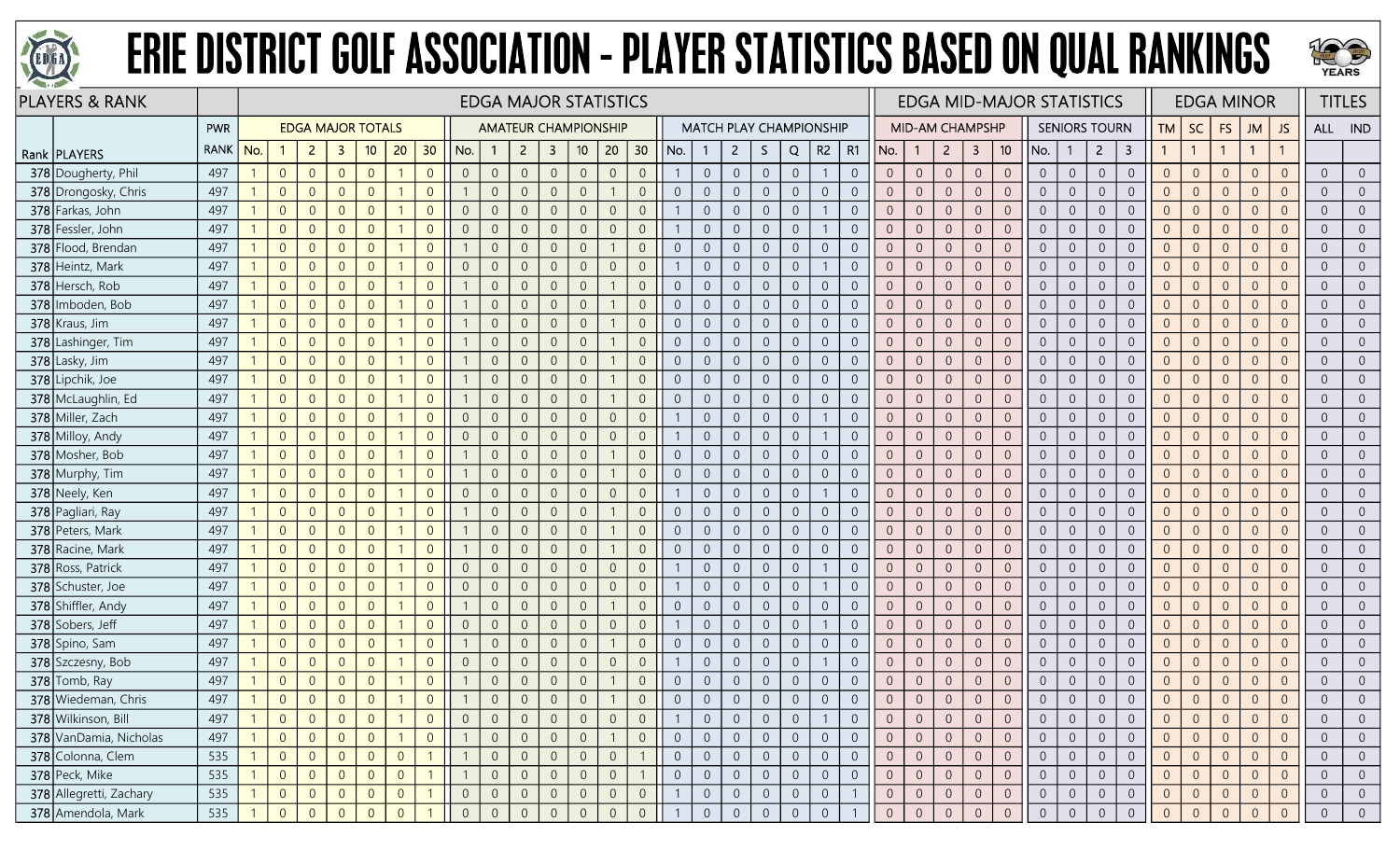



| <b>PLAYERS &amp; RANK</b> |             |     |                |                          |                |                |                |                 |                |                |                |                         | <b>EDGA MAJOR STATISTICS</b> |                |                 |     |                                  |                |                                       |                |                |                |                |                        |                |                |                | <b>EDGA MID-MAJOR STATISTICS</b> |                |                      |                         |                |                |                | <b>EDGA MINOR</b> |                |                | <b>TITLES</b>  |
|---------------------------|-------------|-----|----------------|--------------------------|----------------|----------------|----------------|-----------------|----------------|----------------|----------------|-------------------------|------------------------------|----------------|-----------------|-----|----------------------------------|----------------|---------------------------------------|----------------|----------------|----------------|----------------|------------------------|----------------|----------------|----------------|----------------------------------|----------------|----------------------|-------------------------|----------------|----------------|----------------|-------------------|----------------|----------------|----------------|
|                           | PWR         |     |                | <b>EDGA MAJOR TOTALS</b> |                |                |                |                 |                |                |                |                         | <b>AMATEUR CHAMPIONSHIP</b>  |                |                 |     |                                  |                | <b>MATCH PLAY CHAMPIONSHIP</b>        |                |                |                |                | <b>MID-AM CHAMPSHP</b> |                |                |                |                                  |                | <b>SENIORS TOURN</b> |                         | <b>TM</b>      | <b>SC</b>      | <b>FS</b>      | <b>JM</b>         | JS             |                | ALL IND        |
| Rank   PLAYERS            | <b>RANK</b> | No. |                | $\overline{2}$           | -3             | 10             | 20             | 30 <sub>o</sub> | No.            | $\overline{1}$ | $\overline{2}$ | $\overline{\mathbf{3}}$ | 10                           | 20             | 30 <sup>°</sup> | No. |                                  | $\overline{2}$ | S.                                    | Q              | R2             | R1             | No.            |                        | 2 <sup>1</sup> | $\mathbf{3}$   | 10             | No.                              |                | $\overline{2}$       | $\overline{\mathbf{3}}$ | $\mathbf{1}$   |                |                | $\overline{1}$    |                |                |                |
| 378 Dougherty, Phil       | 497         |     | $\overline{0}$ | $\overline{0}$           | $\overline{0}$ | $\overline{0}$ |                | $\overline{0}$  | $\overline{0}$ | $\overline{0}$ | $\overline{0}$ | $\overline{0}$          | $\overline{0}$               | $\overline{0}$ | $\overline{0}$  |     | $\overline{0}$                   |                | $\overline{0}$<br>$\overline{0}$      | $\overline{0}$ |                | $\overline{0}$ | $\overline{0}$ | $\overline{0}$         | $\overline{0}$ | $\overline{0}$ | $\overline{0}$ | $\overline{0}$                   | $\overline{0}$ | $\overline{0}$       | $\overline{0}$          | $\overline{0}$ | $\overline{0}$ | $\theta$       | $\overline{0}$    | $\overline{0}$ | $\overline{0}$ | $\overline{0}$ |
| 378 Drongosky, Chris      | 497         |     | $\overline{0}$ | $\overline{0}$           | $\Omega$       | $\overline{0}$ |                | $\Omega$        |                | $\overline{0}$ | $\Omega$       | $\overline{0}$          | $\Omega$                     |                | $\overline{0}$  |     | $\overline{0}$<br>$\Omega$       |                | $\overline{0}$<br>$\overline{0}$      | $\overline{0}$ | $\overline{0}$ | $\overline{0}$ | $\Omega$       | $\overline{0}$         | $\overline{0}$ | $\overline{0}$ | $\overline{0}$ | $\overline{0}$                   | $\overline{0}$ | $\overline{0}$       | $\overline{0}$          | $\overline{0}$ | $\overline{0}$ | $\overline{0}$ | $\overline{0}$    | $\overline{0}$ | $\overline{0}$ |                |
| 378 Farkas, John          | 497         |     | $\overline{0}$ | $\overline{0}$           | $\Omega$       | $\overline{0}$ |                | $\overline{0}$  | $\overline{0}$ | $\overline{0}$ | $\overline{0}$ | $\overline{0}$          | $\overline{0}$               | $\overline{0}$ | $\overline{0}$  |     | $\Omega$                         |                | $\overline{0}$<br>$\overline{0}$      | $\overline{0}$ |                | $\overline{0}$ | $\overline{0}$ | $\overline{0}$         | $\overline{0}$ | $\overline{0}$ | $\overline{0}$ | $\overline{0}$                   | $\overline{0}$ | $\overline{0}$       | $\overline{0}$          | $\overline{0}$ | $\overline{0}$ | $\overline{0}$ | $\overline{0}$    | $\overline{0}$ | $\overline{0}$ |                |
| 378 Fessler, John         | 497         |     | $\overline{0}$ | $\overline{0}$           | $\overline{0}$ | $\overline{0}$ |                | $\overline{0}$  | $\overline{0}$ | $\overline{0}$ | $\overline{0}$ | $\overline{0}$          | $\Omega$                     | $\overline{0}$ | $\mathbf 0$     |     | $\overline{0}$                   |                | $\boldsymbol{0}$<br>$\overline{0}$    | $\overline{0}$ |                | $\overline{0}$ | $\overline{0}$ | $\sqrt{0}$             | $\theta$       | $\theta$       | $\overline{0}$ | $\overline{0}$                   | $\overline{0}$ | $\overline{0}$       | $\boldsymbol{0}$        | $\overline{0}$ | $\overline{0}$ | $\overline{0}$ | $\overline{0}$    | $\overline{0}$ | $\overline{0}$ | $\overline{0}$ |
| 378 Flood, Brendan        | 497         |     | $\overline{0}$ | $\overline{0}$           | $\overline{0}$ | $\overline{0}$ |                | $\overline{0}$  |                | $\overline{0}$ | $\overline{0}$ | $\overline{0}$          | $\mathbf 0$                  |                | $\mathbf 0$     |     | $\overline{0}$<br>$\overline{0}$ |                | $\boldsymbol{0}$<br>$\overline{0}$    | $\overline{0}$ | $\sqrt{0}$     | $\overline{0}$ | $\overline{0}$ | $\overline{0}$         | $\overline{0}$ | $\overline{0}$ | $\overline{0}$ | $\overline{0}$                   | $\overline{0}$ | $\overline{0}$       | $\mathbf 0$             | $\mathbf{0}$   | $\overline{0}$ | $\overline{0}$ | $\overline{0}$    | $\overline{0}$ | $\overline{0}$ | $\overline{0}$ |
| 378 Heintz, Mark          | 497         |     | $\overline{0}$ | $\overline{0}$           | $\overline{0}$ | $\overline{0}$ |                | $\overline{0}$  | $\overline{0}$ | $\overline{0}$ | $\overline{0}$ | $\overline{0}$          | $\Omega$                     | $\overline{0}$ | $\mathbf 0$     |     | $\overline{0}$                   |                | $\overline{0}$<br>$\overline{0}$      | $\overline{0}$ |                | $\overline{0}$ | $\overline{0}$ | $\overline{0}$         | $\overline{0}$ | $\overline{0}$ | $\overline{0}$ | $\overline{0}$                   | $\overline{0}$ | $\overline{0}$       | $\overline{0}$          | $\overline{0}$ | $\overline{0}$ | $\overline{0}$ | $\overline{0}$    | $\overline{0}$ | $\overline{0}$ |                |
| 378 Hersch, Rob           | 497         |     | $\overline{0}$ | $\overline{0}$           | $\overline{0}$ | $\overline{0}$ |                | $\overline{0}$  |                | $\overline{0}$ | $\overline{0}$ | $\overline{0}$          | $\Omega$                     |                | $\overline{0}$  |     | $\overline{0}$<br>$\Omega$       |                | $\overline{0}$<br>$\overline{0}$      | $\overline{0}$ | $\overline{0}$ | $\overline{0}$ | $\overline{0}$ | $\overline{0}$         | $\overline{0}$ | $\overline{0}$ | $\overline{0}$ | $\overline{0}$                   | $\overline{0}$ | $\overline{0}$       | $\overline{0}$          | $\overline{0}$ | $\overline{0}$ | $\overline{0}$ | $\overline{0}$    | $\overline{0}$ | $\overline{0}$ | $\overline{0}$ |
| 378 Imboden, Bob          | 497         |     | $\overline{0}$ | $\overline{0}$           | $\Omega$       | $\overline{0}$ |                | $\overline{0}$  |                | $\overline{0}$ | $\overline{0}$ | $\overline{0}$          | $\overline{0}$               |                | $\mathbf 0$     |     | $\overline{0}$<br>$\overline{0}$ | $\overline{0}$ | $\boldsymbol{0}$                      | $\overline{0}$ | $\overline{0}$ | $\overline{0}$ | $\overline{0}$ | $\overline{0}$         | $\overline{0}$ | $\overline{0}$ | $\overline{0}$ | $\overline{0}$                   | $\overline{0}$ | $\overline{0}$       | $\boldsymbol{0}$        | $\overline{0}$ | $\overline{0}$ | $\overline{0}$ | $\overline{0}$    | $\overline{0}$ | $\overline{0}$ | $\overline{0}$ |
| 378 Kraus, Jim            | 497         |     | $\overline{0}$ | $\overline{0}$           | $\overline{0}$ | $\overline{0}$ |                | $\overline{0}$  |                | $\overline{0}$ | $\overline{0}$ | $\overline{0}$          | $\overline{0}$               |                | $\mathbf{0}$    |     | $\overline{0}$<br>$\overline{0}$ |                | $\overline{0}$<br>$\overline{0}$      | $\overline{0}$ | $\overline{0}$ | $\overline{0}$ | $\overline{0}$ | $\overline{0}$         | $\overline{0}$ | $\overline{0}$ | $\overline{0}$ | $\overline{0}$                   | $\overline{0}$ | $\overline{0}$       | $\overline{0}$          | $\overline{0}$ | $\overline{0}$ | $\overline{0}$ | $\overline{0}$    | $\overline{0}$ | $\overline{0}$ | $\overline{0}$ |
| 378 Lashinger, Tim        | 497         |     | $\overline{0}$ | $\overline{0}$           | $\overline{0}$ | $\overline{0}$ |                | $\overline{0}$  |                | $\overline{0}$ | $\theta$       | $\overline{0}$          | $\overline{0}$               |                | $\mathbf 0$     |     | $\overline{0}$<br>$\overline{0}$ |                | $\overline{0}$<br>$\overline{0}$      | $\overline{0}$ | $\overline{0}$ | $\overline{0}$ | $\overline{0}$ | $\overline{0}$         | $\overline{0}$ | $\overline{0}$ | $\overline{0}$ | $\overline{0}$                   | $\overline{0}$ | $\overline{0}$       | $\overline{0}$          | $\overline{0}$ | $\overline{0}$ | $\overline{0}$ | $\overline{0}$    | $\overline{0}$ | $\overline{0}$ |                |
| 378 Lasky, Jim            | 497         |     | $\overline{0}$ | $\overline{0}$           | $\Omega$       | $\overline{0}$ |                | $\overline{0}$  |                | $\overline{0}$ | $\overline{0}$ | $\Omega$                | $\Omega$                     |                | $\overline{0}$  |     | $\overline{0}$<br>$\overline{0}$ | $\overline{0}$ | $\overline{0}$                        | $\overline{0}$ | $\overline{0}$ | $\overline{0}$ | $\overline{0}$ | $\overline{0}$         | $\overline{0}$ | $\overline{0}$ | $\overline{0}$ | $\overline{0}$                   | $\overline{0}$ | $\overline{0}$       | $\overline{0}$          | $\overline{0}$ | $\overline{0}$ | $\overline{0}$ | $\overline{0}$    | $\overline{0}$ | $\overline{0}$ | $\overline{0}$ |
| 378 Lipchik, Joe          | 497         |     | $\overline{0}$ | $\overline{0}$           | $\Omega$       | $\overline{0}$ |                | $\overline{0}$  |                | $\overline{0}$ | $\overline{0}$ | $\overline{0}$          | $\Omega$                     |                | $\mathbf{0}$    |     | $\overline{0}$<br>$\overline{0}$ | $\overline{0}$ | $\overline{0}$                        | $\overline{0}$ | $\overline{0}$ | $\overline{0}$ | $\mathbf{0}$   | $\overline{0}$         | $\overline{0}$ | $\overline{0}$ | $\overline{0}$ | $\overline{0}$                   | $\mathbf 0$    | $\sqrt{0}$           | $\sqrt{0}$              | $\overline{0}$ | $\sqrt{0}$     | $\overline{0}$ | $\overline{0}$    | $\overline{0}$ | $\overline{0}$ | $\overline{0}$ |
| 378 McLaughlin, Ed        | 497         |     | $\overline{0}$ | $\overline{0}$           | $\overline{0}$ | $\overline{0}$ |                | $\overline{0}$  |                | $\overline{0}$ | $\overline{0}$ | $\overline{0}$          | $\overline{0}$               |                | $\overline{0}$  |     | $\overline{0}$<br>$\overline{0}$ | $\overline{0}$ | $\overline{0}$                        | $\overline{0}$ | $\overline{0}$ | $\overline{0}$ | $\overline{0}$ | $\overline{0}$         | $\overline{0}$ | $\overline{0}$ | $\overline{0}$ | $\overline{0}$                   | $\overline{0}$ | $\overline{0}$       | $\overline{0}$          | $\overline{0}$ | $\overline{0}$ | $\overline{0}$ | $\overline{0}$    | $\overline{0}$ | $\overline{0}$ | $\overline{0}$ |
| 378 Miller, Zach          | 497         |     | $\overline{0}$ | $\overline{0}$           | $\Omega$       | $\overline{0}$ |                | $\overline{0}$  | $\overline{0}$ | $\overline{0}$ | $\theta$       | $\overline{0}$          | $\Omega$                     | $\overline{0}$ | $\mathbf{0}$    |     | $\Omega$                         |                | $\overline{0}$<br>$\overline{0}$      | $\overline{0}$ |                | $\overline{0}$ | $\overline{0}$ | $\overline{0}$         | $\Omega$       | $\theta$       | $\overline{0}$ | $\overline{0}$                   | $\overline{0}$ | $\overline{0}$       | $\overline{0}$          | $\overline{0}$ | $\overline{0}$ | $\overline{0}$ | $\Omega$          |                | $\overline{0}$ |                |
| 378 Milloy, Andy          | 497         |     | $\overline{0}$ | $\overline{0}$           | $\Omega$       | $\overline{0}$ |                | $\overline{0}$  | $\overline{0}$ | $\overline{0}$ | $\overline{0}$ | $\overline{0}$          | $\Omega$                     | $\overline{0}$ | $\overline{0}$  |     | $\overline{0}$                   |                | $\overline{0}$<br>$\overline{0}$      | $\overline{0}$ |                | $\overline{0}$ | $\overline{0}$ | $\overline{0}$         | $\overline{0}$ | $\overline{0}$ | $\overline{0}$ | $\overline{0}$                   | $\overline{0}$ | $\overline{0}$       | $\overline{0}$          | $\overline{0}$ | $\overline{0}$ | $\overline{0}$ | $\overline{0}$    | $\overline{0}$ | $\overline{0}$ | $\overline{0}$ |
| 378 Mosher, Bob           | 497         |     | $\overline{0}$ | $\overline{0}$           | $\Omega$       | $\overline{0}$ |                | $\overline{0}$  |                | $\overline{0}$ | $\Omega$       | $\overline{0}$          | $\Omega$                     |                | $\mathbf{0}$    |     | $\overline{0}$<br>$\overline{0}$ |                | $\mathsf{O}\xspace$<br>$\overline{0}$ | $\overline{0}$ | $\overline{0}$ | $\overline{0}$ | $\mathbf{0}$   | $\overline{0}$         | $\theta$       | $\sqrt{0}$     | $\mathbf{0}$   | $\overline{0}$                   | $\overline{0}$ | $\overline{0}$       | $\sqrt{0}$              | $\mathbf{0}$   | $\overline{0}$ | $\overline{0}$ | $\overline{0}$    | $\overline{0}$ | $\overline{0}$ | $\overline{0}$ |
| 378 Murphy, Tim           | 497         |     | $\overline{0}$ | $\overline{0}$           | $\Omega$       | $\overline{0}$ |                | $\overline{0}$  |                | $\overline{0}$ | $\overline{0}$ | $\overline{0}$          | $\Omega$                     |                | $\mathbf{0}$    |     | $\overline{0}$<br>$\overline{0}$ |                | $\overline{0}$<br>$\overline{0}$      | $\overline{0}$ | $\overline{0}$ | $\overline{0}$ | $\overline{0}$ | $\overline{0}$         | $\overline{0}$ | $\overline{0}$ | $\overline{0}$ | $\overline{0}$                   | $\overline{0}$ | $\overline{0}$       | $\overline{0}$          | $\overline{0}$ | $\overline{0}$ | $\overline{0}$ | $\Omega$          | $\overline{0}$ | $\overline{0}$ | $\overline{0}$ |
| 378 Neely, Ken            | 497         |     | $\overline{0}$ | $\Omega$                 | $\Omega$       | $\overline{0}$ |                | $\Omega$        | $\overline{0}$ | $\overline{0}$ | $\Omega$       | $\overline{0}$          |                              | $\overline{0}$ | $\mathbf{0}$    |     | $\Omega$                         | $\Omega$       | $\overline{0}$                        | $\overline{0}$ |                | $\overline{0}$ | $\overline{0}$ | $\overline{0}$         | $\overline{0}$ | $\overline{0}$ | $\overline{0}$ | $\overline{0}$                   | $\overline{0}$ | $\overline{0}$       | $\overline{0}$          | $\overline{0}$ | $\overline{0}$ | $\overline{0}$ | $\overline{0}$    |                | $\overline{0}$ |                |
| 378 Pagliari, Ray         | 497         |     | $\overline{0}$ | $\overline{0}$           | $\Omega$       | $\overline{0}$ |                | $\overline{0}$  |                | $\overline{0}$ | $\overline{0}$ | $\overline{0}$          | $\Omega$                     |                | $\overline{0}$  |     | $\overline{0}$<br>$\overline{0}$ |                | $\overline{0}$<br>$\overline{0}$      | $\overline{0}$ | $\overline{0}$ | $\overline{0}$ | $\overline{0}$ | $\overline{0}$         | $\overline{0}$ | $\overline{0}$ | $\overline{0}$ | $\overline{0}$                   | $\overline{0}$ | $\overline{0}$       | $\overline{0}$          | $\overline{0}$ | $\overline{0}$ | $\overline{0}$ | $\overline{0}$    | $\overline{0}$ | $\overline{0}$ | $\overline{0}$ |
| 378 Peters, Mark          | 497         |     | $\overline{0}$ | $\overline{0}$           | $\overline{0}$ | $\overline{0}$ |                | $\overline{0}$  |                | $\overline{0}$ | $\overline{0}$ | $\overline{0}$          | $\Omega$                     |                | $\mathbf 0$     |     | $\overline{0}$<br>$\overline{0}$ | $\overline{0}$ | $\overline{0}$                        | $\mathbb O$    | $\mathbf 0$    | $\overline{0}$ | $\overline{0}$ | $\overline{0}$         | $\overline{0}$ | $\overline{0}$ | $\overline{0}$ | $\overline{0}$                   | $\mathbf 0$    | $\overline{0}$       | $\sqrt{0}$              | $\overline{0}$ | $\overline{0}$ | $\theta$       | $\overline{0}$    | $\overline{0}$ | $\overline{0}$ | $\overline{0}$ |
| 378 Racine, Mark          | 497         |     | $\overline{0}$ | $\overline{0}$           | $\overline{0}$ | $\overline{0}$ |                | $\overline{0}$  |                | $\overline{0}$ | $\Omega$       | $\overline{0}$          | $\Omega$                     |                | $\mathbf{0}$    |     | $\Omega$<br>$\overline{0}$       |                | $\overline{0}$<br>$\overline{0}$      | $\overline{0}$ | $\overline{0}$ | $\overline{0}$ | $\Omega$       | $\overline{0}$         | $\overline{0}$ | $\overline{0}$ | $\overline{0}$ | $\overline{0}$                   | $\overline{0}$ | $\overline{0}$       | $\overline{0}$          | $\overline{0}$ | $\overline{0}$ | $\overline{0}$ | $\overline{0}$    | $\overline{0}$ | $\overline{0}$ |                |
| 378 Ross, Patrick         | 497         |     | $\overline{0}$ | $\overline{0}$           | $\Omega$       | $\overline{0}$ |                | $\overline{0}$  | $\overline{0}$ | $\overline{0}$ | $\theta$       | $\theta$                | $\Omega$                     | $\overline{0}$ | $\overline{0}$  |     | $\overline{0}$                   | $\overline{0}$ | $\overline{0}$                        | $\overline{0}$ |                | $\overline{0}$ | $\overline{0}$ | $\overline{0}$         | $\overline{0}$ | $\overline{0}$ | $\overline{0}$ | $\overline{0}$                   | $\overline{0}$ | $\overline{0}$       | $\overline{0}$          | $\overline{0}$ | $\overline{0}$ | $\overline{0}$ | $\overline{0}$    | $\Omega$       | $\overline{0}$ |                |
| 378 Schuster, Joe         | 497         |     | $\overline{0}$ | $\overline{0}$           | $\overline{0}$ | $\overline{0}$ |                | $\overline{0}$  | $\overline{0}$ | $\overline{0}$ | $\overline{0}$ | $\overline{0}$          | $\Omega$                     | $\overline{0}$ | $\mathbf 0$     |     | $\overline{0}$                   |                | $\boldsymbol{0}$<br>$\overline{0}$    | $\overline{0}$ |                | $\overline{0}$ | $\overline{0}$ | $\overline{0}$         | $\mathbf 0$    | $\overline{0}$ | $\overline{0}$ | $\overline{0}$                   | $\overline{0}$ | $\overline{0}$       | $\boldsymbol{0}$        | $\mathbf{0}$   | $\overline{0}$ | $\overline{0}$ | $\overline{0}$    | $\overline{0}$ | $\overline{0}$ | $\overline{0}$ |
| 378 Shiffler, Andy        | 497         |     | $\overline{0}$ | $\overline{0}$           | $\overline{0}$ | $\overline{0}$ |                | $\overline{0}$  |                | $\overline{0}$ | $\overline{0}$ | $\overline{0}$          | $\Omega$                     |                | $\overline{0}$  |     | $\overline{0}$<br>$\overline{0}$ |                | $\overline{0}$<br>$\overline{0}$      | $\overline{0}$ | $\sqrt{0}$     | $\overline{0}$ | $\overline{0}$ | $\overline{0}$         | $\overline{0}$ | $\overline{0}$ | $\overline{0}$ | $\overline{0}$                   | $\overline{0}$ | $\overline{0}$       | $\boldsymbol{0}$        | $\overline{0}$ | $\overline{0}$ | $\overline{0}$ | $\overline{0}$    | $\overline{0}$ | $\overline{0}$ | $\overline{0}$ |
| 378 Sobers, Jeff          | 497         |     | $\overline{0}$ | $\overline{0}$           | $\Omega$       | $\overline{0}$ |                | $\overline{0}$  | $\overline{0}$ | $\overline{0}$ | $\overline{0}$ | $\overline{0}$          | $\Omega$                     | $\overline{0}$ | $\mathbf{0}$    |     | $\overline{0}$                   |                | $\overline{0}$<br>$\overline{0}$      | $\overline{0}$ |                | $\overline{0}$ | $\overline{0}$ | $\overline{0}$         | $\theta$       | $\theta$       | $\overline{0}$ | $\overline{0}$                   | $\overline{0}$ | $\overline{0}$       | $\mathbf 0$             | $\overline{0}$ | $\overline{0}$ | $\theta$       | $\overline{0}$    | $\overline{0}$ | $\overline{0}$ | $\overline{0}$ |
| 378 Spino, Sam            | 497         |     | $\overline{0}$ | $\overline{0}$           | $\overline{0}$ | $\overline{0}$ |                | $\overline{0}$  |                | $\overline{0}$ | $\overline{0}$ | $\overline{0}$          | $\Omega$                     |                | $\overline{0}$  |     | $\overline{0}$<br>$\overline{0}$ |                | $\overline{0}$<br>$\overline{0}$      | $\overline{0}$ | $\overline{0}$ | $\overline{0}$ | $\overline{0}$ | $\overline{0}$         | $\overline{0}$ | $\overline{0}$ | $\overline{0}$ | $\overline{0}$                   | $\overline{0}$ | $\overline{0}$       | $\overline{0}$          | $\overline{0}$ | $\overline{0}$ | $\overline{0}$ | $\overline{0}$    | $\overline{0}$ | $\overline{0}$ | $\overline{0}$ |
| 378 Szczesny, Bob         | 497         |     | $\overline{0}$ | $\theta$                 | $\overline{0}$ | $\overline{0}$ |                | $\overline{0}$  | $\overline{0}$ | $\overline{0}$ | $\overline{0}$ | $\overline{0}$          | $\Omega$                     | $\overline{0}$ | $\mathbf 0$     |     | $\overline{0}$                   |                | $\boldsymbol{0}$<br>$\overline{0}$    | $\overline{0}$ |                | $\overline{0}$ | $\sqrt{0}$     | $\sqrt{0}$             | $\mathbf 0$    | $\mathbb O$    | $\overline{0}$ | $\overline{0}$                   | $\overline{0}$ | $\overline{0}$       | $\boldsymbol{0}$        | $\sqrt{0}$     | $\overline{0}$ | $\mathbf 0$    | $\overline{0}$    | $\overline{0}$ | $\overline{0}$ | $\overline{0}$ |
| 378 Tomb, Ray             | 497         |     | $\overline{0}$ | $\sqrt{0}$               | $\overline{0}$ | $\overline{0}$ |                | $\overline{0}$  |                | $\overline{0}$ | $\overline{0}$ | $\overline{0}$          | $\overline{0}$               |                | $\overline{0}$  |     | $\overline{0}$<br>$\overline{0}$ |                | $\overline{0}$<br>$\overline{0}$      | $\overline{0}$ | $\sqrt{0}$     | $\overline{0}$ | $\overline{0}$ | $\overline{0}$         | $\theta$       | $\mathbb O$    | $\overline{0}$ | $\overline{0}$                   | $\overline{0}$ | $\overline{0}$       | $\boldsymbol{0}$        | $\sqrt{0}$     | $\overline{0}$ | $\mathbf 0$    | $\overline{0}$    | $\overline{0}$ | $\sqrt{0}$     | $\overline{0}$ |
| 378 Wiedeman, Chris       | 497         |     | $\overline{0}$ | $\Omega$                 | $\overline{0}$ | $\overline{0}$ |                | $\overline{0}$  |                | $\Omega$       | $\Omega$       | $\Omega$                |                              |                | $\overline{0}$  |     |                                  |                | $\overline{0}$<br>$\overline{0}$      | $\overline{0}$ | $\Omega$       | $\overline{0}$ | $\overline{0}$ | $\overline{0}$         | $\sqrt{0}$     | $\overline{0}$ | $\overline{0}$ | $\overline{0}$                   | $\overline{0}$ | $\overline{0}$       | $\overline{0}$          | $\overline{0}$ | $\overline{0}$ | $\overline{0}$ | $\overline{0}$    | $\Omega$       | $\overline{0}$ |                |
| 378 Wilkinson, Bill       | 497         |     | $\overline{0}$ | $\overline{0}$           | $\overline{0}$ | $\overline{0}$ |                | $\overline{0}$  | $\overline{0}$ | $\overline{0}$ | $\overline{0}$ | $\overline{0}$          | $\overline{0}$               | $\overline{0}$ | $\overline{0}$  |     |                                  |                | $\overline{0}$<br>$\overline{0}$      | $\overline{0}$ |                | $\overline{0}$ | $\overline{0}$ | $\overline{0}$         | $\overline{0}$ | $\overline{0}$ | $\overline{0}$ | $\overline{0}$                   | $\overline{0}$ | $\overline{0}$       | $\overline{0}$          | $\overline{0}$ | $\overline{0}$ | $\overline{0}$ | $\overline{0}$    | $\overline{0}$ | $\overline{0}$ |                |
| 378 VanDamia, Nicholas    | 497         |     | $\overline{0}$ | $\overline{0}$           | $\overline{0}$ | $\overline{0}$ |                | $\overline{0}$  | $\overline{1}$ | $\overline{0}$ | $\overline{0}$ | $\overline{0}$          | $\overline{0}$               |                | $\overline{0}$  |     | $\overline{0}$<br>$\overline{0}$ |                | $\overline{0}$<br>$\overline{0}$      | $\overline{0}$ | $\overline{0}$ | $\overline{0}$ | $\overline{0}$ | $\overline{0}$         | $\overline{0}$ | $\overline{0}$ | $\overline{0}$ | $\overline{0}$                   | $\overline{0}$ | $\overline{0}$       | $\overline{0}$          | $\overline{0}$ | $\overline{0}$ | $\overline{0}$ | $\overline{0}$    | $\overline{0}$ | $\overline{0}$ | $\overline{0}$ |
| 378 Colonna, Clem         | 535         |     | $\overline{0}$ | $\overline{0}$           | $\overline{0}$ | $\overline{0}$ | $\overline{0}$ |                 |                | $\overline{0}$ | $\overline{0}$ | $\overline{0}$          | $\sqrt{0}$                   | $\overline{0}$ |                 |     | $\overline{0}$<br>$\overline{0}$ |                | $\overline{0}$<br>$\overline{0}$      | $\sqrt{0}$     | $\overline{0}$ | $\overline{0}$ | $\mathbf{0}$   | $\overline{0}$         | $\overline{0}$ | $\overline{0}$ | $\overline{0}$ | $\overline{0}$                   | $\overline{0}$ | $\overline{0}$       | $\mathbf 0$             | $\overline{0}$ | $\overline{0}$ | $\overline{0}$ | $\Omega$          | $\overline{0}$ | $\overline{0}$ | $\overline{0}$ |
| 378 Peck, Mike            | 535         |     | $\overline{0}$ | $\overline{0}$           | $\overline{0}$ | $\overline{0}$ | $\overline{0}$ |                 |                | $\overline{0}$ | $\overline{0}$ | $\overline{0}$          | $\overline{0}$               | $\overline{0}$ |                 |     | $\overline{0}$<br>$\Omega$       | $\overline{0}$ | $\overline{0}$                        | $\overline{0}$ | $\overline{0}$ | $\overline{0}$ | $\overline{0}$ | $\overline{0}$         | $\overline{0}$ | $\overline{0}$ | $\overline{0}$ | $\overline{0}$                   | $\overline{0}$ | $\overline{0}$       | $\overline{0}$          | $\overline{0}$ | $\overline{0}$ | $\overline{0}$ | $\overline{0}$    | $\overline{0}$ | $\overline{0}$ | $\overline{0}$ |
| 378 Allegretti, Zachary   | 535         |     | $\overline{0}$ | $\overline{0}$           | $\overline{0}$ | $\overline{0}$ | $\overline{0}$ |                 | $\overline{0}$ | $\overline{0}$ | $\overline{0}$ | $\overline{0}$          | $\overline{0}$               | $\overline{0}$ | $\overline{0}$  |     | $\overline{0}$                   |                | $\overline{0}$<br>$\overline{0}$      | $\overline{0}$ | $\overline{0}$ |                | $\overline{0}$ | $\overline{0}$         | $\overline{0}$ | $\overline{0}$ | $\overline{0}$ | $\overline{0}$                   | $\overline{0}$ | $\overline{0}$       | $\overline{0}$          | $\overline{0}$ | $\overline{0}$ | $\overline{0}$ | $\overline{0}$    | $\overline{0}$ | $\overline{0}$ | $\overline{0}$ |
| 378 Amendola, Mark        | 535         |     | $\overline{0}$ | $\Omega$                 | $\Omega$       | $\Omega$       | $\Omega$       |                 | $\Omega$       | $\Omega$       | $\overline{0}$ | $\Omega$                | $\Omega$                     | $\overline{0}$ | $\overline{0}$  |     | $\Omega$                         |                | $\overline{0}$<br>$\overline{0}$      | $\overline{0}$ | $\overline{0}$ |                | $\Omega$       | $\overline{0}$         | $\overline{0}$ | $\overline{0}$ | $\Omega$       | $\Omega$                         | $\overline{0}$ | $\overline{0}$       | $\Omega$                | $\overline{0}$ | $\Omega$       | $\Omega$       | $\Omega$          | $\Omega$       | $\overline{0}$ | $\overline{0}$ |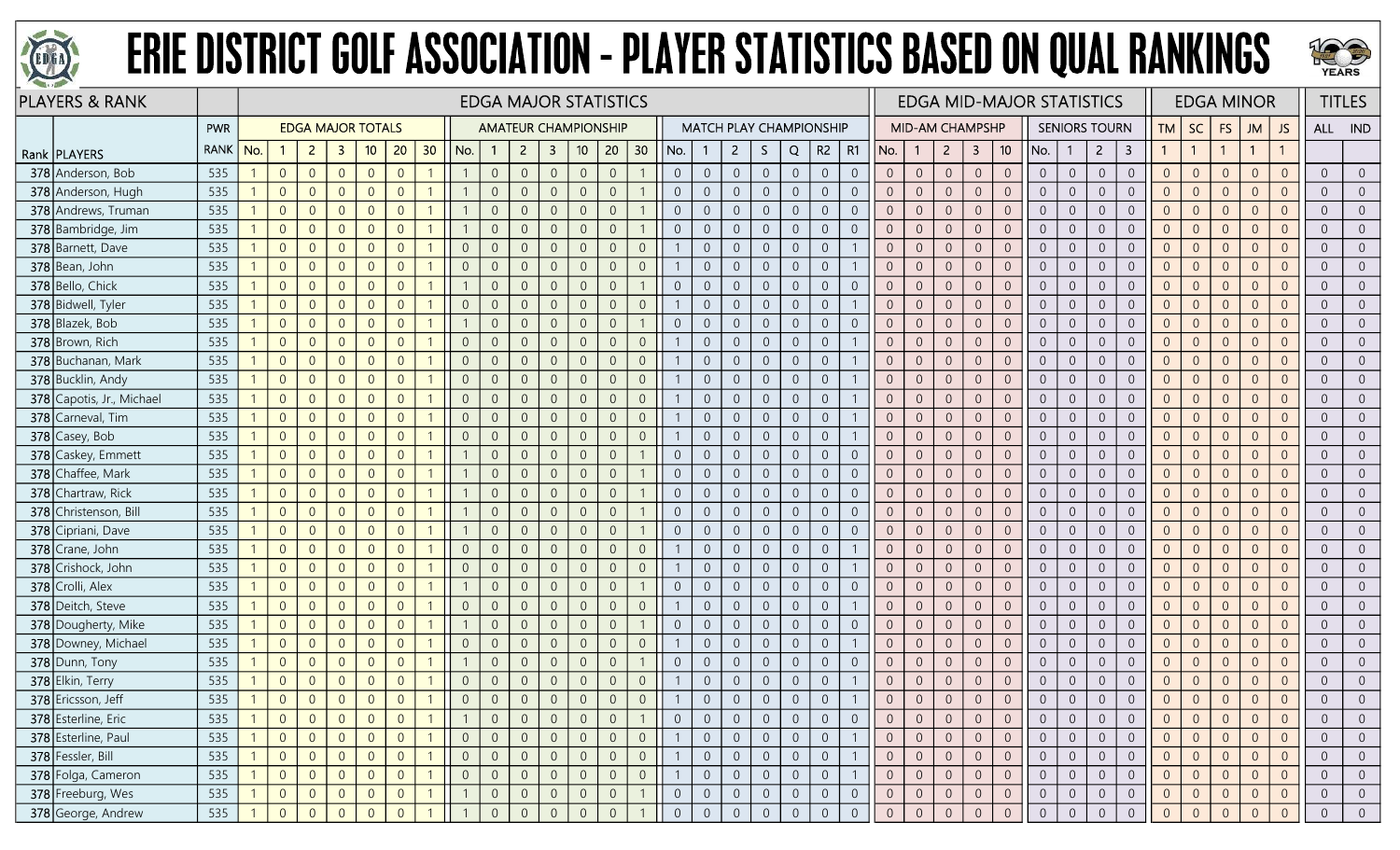



| <b>PLAYERS &amp; RANK</b> |             |     |                |                          |                |                |                |                 |                |                |                | <b>EDGA MAJOR STATISTICS</b> |                             |                |                 |                |                |                                |                     |                |                |                |                     |                 |                  |                | <b>EDGA MID-MAJOR STATISTICS</b> |                |                |                      |                         |                |                | <b>EDGA MINOR</b> |                |                | <b>TITLES</b>  |                |
|---------------------------|-------------|-----|----------------|--------------------------|----------------|----------------|----------------|-----------------|----------------|----------------|----------------|------------------------------|-----------------------------|----------------|-----------------|----------------|----------------|--------------------------------|---------------------|----------------|----------------|----------------|---------------------|-----------------|------------------|----------------|----------------------------------|----------------|----------------|----------------------|-------------------------|----------------|----------------|-------------------|----------------|----------------|----------------|----------------|
|                           | <b>PWR</b>  |     |                | <b>EDGA MAJOR TOTALS</b> |                |                |                |                 |                |                |                |                              | <b>AMATEUR CHAMPIONSHIP</b> |                |                 |                |                | <b>MATCH PLAY CHAMPIONSHIP</b> |                     |                |                |                |                     | MID-AM CHAMPSHP |                  |                |                                  |                |                | <b>SENIORS TOURN</b> |                         | <b>TM</b>      | <b>SC</b>      | <b>FS</b>         | <b>JM</b>      | JS.            |                | ALL IND        |
| Rank   PLAYERS            | <b>RANK</b> | No. |                | $\overline{2}$           | -3             | 10             | 20             | 30 <sub>o</sub> | No.            | $\overline{1}$ | $\overline{2}$ | $\overline{\mathbf{3}}$      | 10                          | 20             | 30 <sub>o</sub> | No.            |                | $\overline{2}$                 | S.                  | Q              | $R2$   R1      |                | No.                 |                 | $2^{\circ}$      | $\overline{3}$ | 10                               | No.            |                | $\overline{2}$       | $\overline{\mathbf{3}}$ | $\mathbf{1}$   | $\overline{1}$ | $\mathbf{1}$      | $\overline{1}$ |                |                |                |
| 378 Anderson, Bob         | 535         |     | $\overline{0}$ | $\overline{0}$           | $\overline{0}$ | $\overline{0}$ | $\overline{0}$ |                 |                | $\overline{0}$ | $\overline{0}$ | $\overline{0}$               | $\overline{0}$              | $\overline{0}$ |                 | $\overline{0}$ | $\overline{0}$ | $\overline{0}$                 | $\overline{0}$      | $\overline{0}$ | $\overline{0}$ | $\overline{0}$ | $\overline{0}$      | $\overline{0}$  | $\overline{0}$   | $\overline{0}$ | $\overline{0}$                   | $\overline{0}$ | $\overline{0}$ | $\overline{0}$       | $\overline{0}$          | $\overline{0}$ | $\overline{0}$ | $\overline{0}$    | $\overline{0}$ | $\overline{0}$ | $\overline{0}$ | $\Omega$       |
| 378 Anderson, Hugh        | 535         |     | $\overline{0}$ | $\overline{0}$           | $\overline{0}$ | $\overline{0}$ | $\overline{0}$ |                 |                | $\overline{0}$ | $\overline{0}$ | $\overline{0}$               | $\Omega$                    | $\overline{0}$ |                 | $\overline{0}$ | $\overline{0}$ | $\overline{0}$                 | $\overline{0}$      | $\overline{0}$ | $\overline{0}$ | $\overline{0}$ | $\Omega$            | $\overline{0}$  | $\overline{0}$   | $\overline{0}$ | $\overline{0}$                   | $\overline{0}$ | $\overline{0}$ | $\overline{0}$       | $\overline{0}$          | $\overline{0}$ | $\overline{0}$ | $\overline{0}$    | $\overline{0}$ | $\overline{0}$ | $\overline{0}$ |                |
| 378 Andrews, Truman       | 535         |     | $\overline{0}$ | $\overline{0}$           | $\Omega$       | $\overline{0}$ | $\Omega$       |                 |                | $\overline{0}$ | $\Omega$       | $\overline{0}$               | $\Omega$                    | $\overline{0}$ |                 | $\Omega$       | $\Omega$       | $\overline{0}$                 | $\overline{0}$      | $\overline{0}$ | $\overline{0}$ | $\overline{0}$ | $\overline{0}$      | $\overline{0}$  | $\overline{0}$   | $\overline{0}$ | $\overline{0}$                   | $\overline{0}$ | $\overline{0}$ | $\overline{0}$       | $\overline{0}$          | $\overline{0}$ | $\overline{0}$ | $\overline{0}$    | $\overline{0}$ | $\Omega$       | $\overline{0}$ |                |
| 378 Bambridge, Jim        | 535         |     | $\overline{0}$ | $\overline{0}$           | $\overline{0}$ | $\overline{0}$ | $\overline{0}$ |                 |                | $\overline{0}$ | $\overline{0}$ | $\overline{0}$               | $\Omega$                    | $\overline{0}$ |                 | $\overline{0}$ | $\overline{0}$ | $\overline{0}$                 | $\boldsymbol{0}$    | $\overline{0}$ | $\overline{0}$ | $\overline{0}$ | $\overline{0}$      | $\overline{0}$  | $\overline{0}$   | $\overline{0}$ | $\overline{0}$                   | $\overline{0}$ | $\overline{0}$ | $\overline{0}$       | $\overline{0}$          | $\overline{0}$ | $\overline{0}$ | $\overline{0}$    | $\overline{0}$ | $\overline{0}$ | $\overline{0}$ | $\Omega$       |
| 378 Barnett, Dave         | 535         |     | $\overline{0}$ | $\overline{0}$           | $\overline{0}$ | $\overline{0}$ | $\overline{0}$ |                 | $\overline{0}$ | $\overline{0}$ | $\overline{0}$ | $\overline{0}$               | $\overline{0}$              | $\overline{0}$ | $\overline{0}$  |                | $\overline{0}$ | $\overline{0}$                 | $\overline{0}$      | $\overline{0}$ | $\overline{0}$ |                | $\overline{0}$      | $\overline{0}$  | $\overline{0}$   | $\overline{0}$ | $\overline{0}$                   | $\overline{0}$ | $\overline{0}$ | $\overline{0}$       | $\boldsymbol{0}$        | $\overline{0}$ | $\overline{0}$ | $\theta$          | $\overline{0}$ | $\overline{0}$ | $\overline{0}$ | $\Omega$       |
| 378 Bean, John            | 535         |     | $\theta$       | $\overline{0}$           | $\overline{0}$ | $\overline{0}$ | $\overline{0}$ |                 | $\overline{0}$ | $\overline{0}$ | $\Omega$       | $\overline{0}$               | $\Omega$                    | $\overline{0}$ | $\mathbf{0}$    |                | $\overline{0}$ | $\overline{0}$                 | $\boldsymbol{0}$    | $\overline{0}$ | $\sqrt{0}$     |                | $\overline{0}$      | $\overline{0}$  | $\mathbf 0$      | $\theta$       | $\overline{0}$                   | $\overline{0}$ | $\mathbf 0$    | $\overline{0}$       | $\sqrt{0}$              | $\overline{0}$ | $\overline{0}$ | $\theta$          | $\overline{0}$ | $\Omega$       | $\overline{0}$ |                |
| 378 Bello, Chick          | 535         |     | $\overline{0}$ | $\overline{0}$           | $\overline{0}$ | $\overline{0}$ | $\overline{0}$ |                 |                | $\overline{0}$ | $\overline{0}$ | $\overline{0}$               | $\overline{0}$              | $\overline{0}$ |                 | $\overline{0}$ | $\overline{0}$ | $\overline{0}$                 | $\overline{0}$      | $\overline{0}$ | $\overline{0}$ | $\overline{0}$ | $\overline{0}$      | $\overline{0}$  | $\overline{0}$   | $\overline{0}$ | $\overline{0}$                   | $\overline{0}$ | $\overline{0}$ | $\overline{0}$       | $\overline{0}$          | $\overline{0}$ | $\overline{0}$ | $\overline{0}$    | $\Omega$       | $\Omega$       | $\overline{0}$ |                |
| 378 Bidwell, Tyler        | 535         |     | $\overline{0}$ | $\overline{0}$           | $\overline{0}$ | $\overline{0}$ | $\overline{0}$ |                 | $\overline{0}$ | $\overline{0}$ | $\overline{0}$ | $\overline{0}$               | $\Omega$                    | $\overline{0}$ | $\mathbf 0$     |                | $\overline{0}$ | $\overline{0}$                 | $\boldsymbol{0}$    | $\overline{0}$ | $\mathbf 0$    |                | $\sqrt{0}$          | $\sqrt{0}$      | $\mathbf 0$      | $\mathbb O$    | $\overline{0}$                   | $\overline{0}$ | $\mathbf 0$    | $\overline{0}$       | $\mathbf 0$             | $\mathbf{0}$   | $\overline{0}$ | $\overline{0}$    | $\overline{0}$ | $\overline{0}$ | $\overline{0}$ | $\overline{0}$ |
| 378 Blazek, Bob           | 535         |     | $\overline{0}$ | $\overline{0}$           | $\overline{0}$ | $\overline{0}$ | $\theta$       |                 |                | $\overline{0}$ | $\overline{0}$ | $\overline{0}$               | $\overline{0}$              | $\overline{0}$ |                 | $\overline{0}$ | $\overline{0}$ | $\overline{0}$                 | $\boldsymbol{0}$    | $\overline{0}$ | $\overline{0}$ | $\overline{0}$ | $\overline{0}$      | $\overline{0}$  | $\theta$         | $\overline{0}$ | $\overline{0}$                   | $\overline{0}$ | $\overline{0}$ | $\sqrt{0}$           | $\boldsymbol{0}$        | $\overline{0}$ | $\overline{0}$ | $\theta$          | $\overline{0}$ | $\overline{0}$ | $\overline{0}$ | $\overline{0}$ |
| 378 Brown, Rich           | 535         |     | $\overline{0}$ | $\overline{0}$           | $\Omega$       | $\overline{0}$ | $\overline{0}$ |                 | $\overline{0}$ | $\overline{0}$ | $\Omega$       | $\overline{0}$               | $\Omega$                    | $\overline{0}$ | $\mathbf 0$     |                | $\overline{0}$ | $\overline{0}$                 | $\overline{0}$      | $\overline{0}$ | $\overline{0}$ |                | $\Omega$            | $\overline{0}$  | $\overline{0}$   | $\overline{0}$ | $\overline{0}$                   | $\overline{0}$ | $\overline{0}$ | $\overline{0}$       | $\overline{0}$          | $\overline{0}$ | $\overline{0}$ | $\overline{0}$    | $\overline{0}$ |                | $\overline{0}$ |                |
| 378 Buchanan, Mark        | 535         |     | $\overline{0}$ | $\overline{0}$           | $\Omega$       | $\overline{0}$ | $\overline{0}$ |                 | $\overline{0}$ | $\overline{0}$ | $\theta$       | $\overline{0}$               | $\Omega$                    | $\overline{0}$ | $\overline{0}$  |                | $\Omega$       | $\overline{0}$                 | $\overline{0}$      | $\overline{0}$ | $\overline{0}$ |                | $\overline{0}$      | $\overline{0}$  | $\overline{0}$   | $\overline{0}$ | $\overline{0}$                   | $\overline{0}$ | $\overline{0}$ | $\overline{0}$       | $\overline{0}$          | $\overline{0}$ | $\overline{0}$ | $\overline{0}$    | $\overline{0}$ | $\Omega$       | $\overline{0}$ | $\overline{0}$ |
| 378 Bucklin, Andy         | 535         |     | $\overline{0}$ | $\overline{0}$           | $\overline{0}$ | $\overline{0}$ | $\overline{0}$ |                 | $\overline{0}$ | $\overline{0}$ | $\overline{0}$ | $\overline{0}$               | $\overline{0}$              | $\overline{0}$ | $\overline{0}$  |                | $\overline{0}$ | $\overline{0}$                 | $\overline{0}$      | $\overline{0}$ | $\overline{0}$ |                | $\overline{0}$      | $\overline{0}$  | $\overline{0}$   | $\overline{0}$ | $\overline{0}$                   | $\overline{0}$ | $\overline{0}$ | $\overline{0}$       | $\sqrt{0}$              | $\overline{0}$ | $\overline{0}$ | $\overline{0}$    | $\overline{0}$ | $\overline{0}$ | $\overline{0}$ | $\overline{0}$ |
| 378 Capotis, Jr., Michael | 535         |     | $\overline{0}$ | $\overline{0}$           | $\overline{0}$ | $\overline{0}$ | $\overline{0}$ |                 | $\overline{0}$ | $\overline{0}$ | $\overline{0}$ | $\overline{0}$               | $\overline{0}$              | $\overline{0}$ | $\mathbf 0$     |                | $\overline{0}$ | $\overline{0}$                 | $\boldsymbol{0}$    | $\overline{0}$ | $\mathbf 0$    |                | $\mathbf{0}$        | $\overline{0}$  | $\overline{0}$   | $\overline{0}$ | $\overline{0}$                   | $\overline{0}$ | $\mathbf 0$    | $\overline{0}$       | $\sqrt{0}$              | $\overline{0}$ | $\overline{0}$ | $\overline{0}$    | $\overline{0}$ | $\overline{0}$ | $\overline{0}$ | $\overline{0}$ |
| 378 Carneval, Tim         | 535         |     | $\overline{0}$ | $\overline{0}$           | $\Omega$       | $\overline{0}$ | $\overline{0}$ |                 | $\overline{0}$ | $\overline{0}$ | $\Omega$       | $\overline{0}$               | $\Omega$                    | $\overline{0}$ | $\overline{0}$  |                | $\Omega$       | $\overline{0}$                 | $\overline{0}$      | $\overline{0}$ | $\overline{0}$ |                | $\overline{0}$      | $\overline{0}$  | $\overline{0}$   | $\overline{0}$ | $\overline{0}$                   | $\overline{0}$ | $\overline{0}$ | $\overline{0}$       | $\overline{0}$          | $\overline{0}$ | $\overline{0}$ | $\overline{0}$    | $\overline{0}$ | $\overline{0}$ | $\overline{0}$ |                |
| 378 Casey, Bob            | 535         |     | $\overline{0}$ | $\overline{0}$           | $\overline{0}$ | $\overline{0}$ | $\overline{0}$ |                 | $\overline{0}$ | $\overline{0}$ | $\overline{0}$ | $\overline{0}$               | $\overline{0}$              | $\overline{0}$ | $\overline{0}$  |                | $\overline{0}$ | $\overline{0}$                 | $\overline{0}$      | $\overline{0}$ | $\overline{0}$ |                | $\overline{0}$      | $\overline{0}$  | $\overline{0}$   | $\overline{0}$ | $\overline{0}$                   | $\overline{0}$ | $\overline{0}$ | $\overline{0}$       | $\overline{0}$          | $\overline{0}$ | $\overline{0}$ | $\overline{0}$    | $\overline{0}$ | $\Omega$       | $\overline{0}$ |                |
| 378 Caskey, Emmett        | 535         |     | $\overline{0}$ | $\overline{0}$           | $\overline{0}$ | $\overline{0}$ | $\overline{0}$ |                 |                | $\overline{0}$ | $\overline{0}$ | $\overline{0}$               | $\overline{0}$              | $\overline{0}$ |                 | $\overline{0}$ | $\overline{0}$ | $\overline{0}$                 | $\overline{0}$      | $\overline{0}$ | $\overline{0}$ | $\overline{0}$ | $\overline{0}$      | $\overline{0}$  | $\overline{0}$   | $\overline{0}$ | $\overline{0}$                   | $\overline{0}$ | $\overline{0}$ | $\overline{0}$       | $\overline{0}$          | $\overline{0}$ | $\overline{0}$ | $\overline{0}$    | $\overline{0}$ | $\overline{0}$ | $\overline{0}$ | $\overline{0}$ |
| 378 Chaffee, Mark         | 535         |     | $\overline{0}$ | $\overline{0}$           | $\overline{0}$ | $\overline{0}$ | $\overline{0}$ |                 |                | $\overline{0}$ | $\overline{0}$ | $\overline{0}$               | $\overline{0}$              | $\overline{0}$ |                 | $\overline{0}$ | $\overline{0}$ | $\overline{0}$                 | $\overline{0}$      | $\overline{0}$ | $\overline{0}$ | $\overline{0}$ | $\overline{0}$      | $\overline{0}$  | $\overline{0}$   | $\overline{0}$ | $\overline{0}$                   | $\overline{0}$ | $\overline{0}$ | $\overline{0}$       | $\sqrt{0}$              | $\overline{0}$ | $\overline{0}$ | $\overline{0}$    | $\overline{0}$ | $\overline{0}$ | $\overline{0}$ | $\overline{0}$ |
| 378 Chartraw, Rick        | 535         |     | $\overline{0}$ | $\overline{0}$           | $\overline{0}$ | $\overline{0}$ | $\overline{0}$ |                 |                | $\overline{0}$ | $\overline{0}$ | $\overline{0}$               | $\overline{0}$              | $\overline{0}$ |                 | $\overline{0}$ | $\overline{0}$ | $\overline{0}$                 | $\overline{0}$      | $\overline{0}$ | $\overline{0}$ | $\overline{0}$ | $\overline{0}$      | $\overline{0}$  | $\overline{0}$   | $\overline{0}$ | $\overline{0}$                   | $\overline{0}$ | $\overline{0}$ | $\overline{0}$       | $\overline{0}$          | $\overline{0}$ | $\overline{0}$ | $\overline{0}$    | $\overline{0}$ | $\overline{0}$ | $\overline{0}$ |                |
| 378 Christenson, Bill     | 535         |     | $\overline{0}$ | $\Omega$                 | $\Omega$       | $\overline{0}$ | $\overline{0}$ |                 |                | $\overline{0}$ | $\overline{0}$ | $\overline{0}$               | $\Omega$                    | $\overline{0}$ |                 | $\overline{0}$ | $\overline{0}$ | $\overline{0}$                 | $\overline{0}$      | $\overline{0}$ | $\overline{0}$ | $\overline{0}$ | $\overline{0}$      | $\overline{0}$  | $\overline{0}$   | $\overline{0}$ | $\overline{0}$                   | $\overline{0}$ | $\overline{0}$ | $\overline{0}$       | $\overline{0}$          | $\overline{0}$ | $\overline{0}$ | $\overline{0}$    | $\overline{0}$ | $\overline{0}$ | $\overline{0}$ | $\overline{0}$ |
| 378 Cipriani, Dave        | 535         |     | $\overline{0}$ | $\overline{0}$           | $\overline{0}$ | $\overline{0}$ | $\overline{0}$ |                 |                | $\overline{0}$ | $\overline{0}$ | $\overline{0}$               | $\Omega$                    | $\overline{0}$ |                 | $\overline{0}$ | $\overline{0}$ | $\overline{0}$                 | $\overline{0}$      | $\overline{0}$ | $\overline{0}$ | $\overline{0}$ | $\sqrt{0}$          | $\overline{0}$  | $\Omega$         | $\overline{0}$ | $\overline{0}$                   | $\overline{0}$ | $\overline{0}$ | $\overline{0}$       | $\overline{0}$          | $\overline{0}$ | $\overline{0}$ | $\overline{0}$    | $\overline{0}$ | $\overline{0}$ | $\overline{0}$ | $\Omega$       |
| 378 Crane, John           | 535         |     | $\overline{0}$ | $\overline{0}$           | $\Omega$       | $\overline{0}$ | $\Omega$       |                 | $\overline{0}$ | $\overline{0}$ | $\overline{0}$ | $\overline{0}$               | $\Omega$                    | $\overline{0}$ | $\overline{0}$  |                | $\overline{0}$ | $\overline{0}$                 | $\overline{0}$      | $\overline{0}$ | $\overline{0}$ |                | $\overline{0}$      | $\overline{0}$  | $\overline{0}$   | $\overline{0}$ | $\overline{0}$                   | $\overline{0}$ | $\overline{0}$ | $\overline{0}$       | $\overline{0}$          | $\overline{0}$ | $\overline{0}$ | $\overline{0}$    | $\overline{0}$ | $\overline{0}$ | $\overline{0}$ |                |
| 378 Crishock, John        | 535         |     | $\overline{0}$ | $\overline{0}$           | $\overline{0}$ | $\overline{0}$ | $\overline{0}$ |                 | $\overline{0}$ | $\overline{0}$ | $\Omega$       | $\overline{0}$               | $\Omega$                    | $\overline{0}$ | $\overline{0}$  |                | $\Omega$       | $\overline{0}$                 | $\overline{0}$      | $\overline{0}$ | $\overline{0}$ |                | $\Omega$            | $\overline{0}$  | $\Omega$         | $\theta$       | $\overline{0}$                   | $\overline{0}$ | $\overline{0}$ | $\overline{0}$       | $\overline{0}$          | $\overline{0}$ | $\overline{0}$ | $\overline{0}$    | $\Omega$       |                | $\overline{0}$ |                |
| 378 Crolli, Alex          | 535         |     | $\overline{0}$ | $\Omega$                 | $\overline{0}$ | $\overline{0}$ | $\overline{0}$ |                 |                | $\overline{0}$ | $\overline{0}$ | $\overline{0}$               | $\overline{0}$              | $\overline{0}$ |                 | $\overline{0}$ | $\overline{0}$ | $\overline{0}$                 | $\overline{0}$      | $\overline{0}$ | $\overline{0}$ | $\overline{0}$ | $\overline{0}$      | $\overline{0}$  | $\overline{0}$   | $\overline{0}$ | $\overline{0}$                   | $\overline{0}$ | $\overline{0}$ | $\overline{0}$       | $\overline{0}$          | $\overline{0}$ | $\overline{0}$ | $\overline{0}$    | $\overline{0}$ | $\overline{0}$ | $\overline{0}$ | $\overline{0}$ |
| 378 Deitch, Steve         | 535         |     | $\overline{0}$ | $\overline{0}$           | $\Omega$       | $\overline{0}$ | $\overline{0}$ |                 | $\overline{0}$ | $\overline{0}$ | $\overline{0}$ | $\overline{0}$               | $\Omega$                    | $\overline{0}$ | $\mathbf{0}$    |                | $\overline{0}$ | $\overline{0}$                 | $\mathsf{O}\xspace$ | $\overline{0}$ | $\sqrt{0}$     |                | $\overline{0}$      | $\overline{0}$  | $\theta$         | $\sqrt{0}$     | $\overline{0}$                   | $\overline{0}$ | $\overline{0}$ | $\overline{0}$       | $\sqrt{0}$              | $\overline{0}$ | $\overline{0}$ | $\overline{0}$    | $\overline{0}$ | $\overline{0}$ | $\overline{0}$ | $\overline{0}$ |
| 378 Dougherty, Mike       | 535         |     | $\overline{0}$ | $\overline{0}$           | $\Omega$       | $\overline{0}$ | $\overline{0}$ |                 |                | $\overline{0}$ | $\overline{0}$ | $\overline{0}$               | $\Omega$                    | $\overline{0}$ |                 | $\overline{0}$ | $\overline{0}$ | $\overline{0}$                 | $\overline{0}$      | $\overline{0}$ | $\overline{0}$ | $\overline{0}$ | $\overline{0}$      | $\overline{0}$  | $\overline{0}$   | $\overline{0}$ | $\overline{0}$                   | $\overline{0}$ | $\overline{0}$ | $\overline{0}$       | $\overline{0}$          | $\overline{0}$ | $\overline{0}$ | $\overline{0}$    | $\Omega$       | $\overline{0}$ | $\overline{0}$ | $\overline{0}$ |
| 378 Downey, Michael       | 535         |     | $\overline{0}$ | $\overline{0}$           | $\overline{0}$ | $\overline{0}$ | $\overline{0}$ |                 | $\overline{0}$ | $\overline{0}$ | $\overline{0}$ | $\overline{0}$               | $\Omega$                    | $\overline{0}$ | $\mathbf{0}$    |                | $\overline{0}$ | $\overline{0}$                 | $\overline{0}$      | $\overline{0}$ | $\overline{0}$ |                | $\overline{0}$      | $\overline{0}$  | $\overline{0}$   | $\overline{0}$ | $\overline{0}$                   | $\overline{0}$ | $\overline{0}$ | $\overline{0}$       | $\overline{0}$          | $\overline{0}$ | $\overline{0}$ | $\overline{0}$    | $\overline{0}$ | $\Omega$       | $\overline{0}$ |                |
| 378 Dunn, Tony            | 535         |     | $\overline{0}$ | $\Omega$                 | $\Omega$       | $\overline{0}$ | $\overline{0}$ |                 |                | $\overline{0}$ | $\Omega$       | $\overline{0}$               | $\Omega$                    | $\overline{0}$ |                 | $\Omega$       | $\overline{0}$ | $\overline{0}$                 | $\overline{0}$      | $\overline{0}$ | $\overline{0}$ | $\overline{0}$ | $\overline{0}$      | $\overline{0}$  | $\overline{0}$   | $\overline{0}$ | $\overline{0}$                   | $\overline{0}$ | $\overline{0}$ | $\overline{0}$       | $\overline{0}$          | $\overline{0}$ | $\overline{0}$ | $\overline{0}$    | $\overline{0}$ | $\overline{0}$ | $\overline{0}$ | $\overline{0}$ |
| 378 Elkin, Terry          | 535         |     | $\overline{0}$ | $\overline{0}$           | $\theta$       | $\overline{0}$ | $\overline{0}$ |                 | $\overline{0}$ | $\overline{0}$ | $\overline{0}$ | $\overline{0}$               | $\overline{0}$              | $\sqrt{0}$     | $\overline{0}$  |                | $\overline{0}$ | $\overline{0}$                 | $\boldsymbol{0}$    | $\overline{0}$ | $\sqrt{0}$     |                | $\overline{0}$      | $\overline{0}$  | $\overline{0}$   | $\overline{0}$ | $\mathbf 0$                      | $\overline{0}$ | $\overline{0}$ | $\overline{0}$       | $\boldsymbol{0}$        | $\overline{0}$ | $\overline{0}$ | $\mathbf 0$       | $\overline{0}$ | $\overline{0}$ | $\overline{0}$ | $\overline{0}$ |
| 378 Ericsson, Jeff        | 535         |     | $\overline{0}$ | $\overline{0}$           | $\overline{0}$ | $\overline{0}$ | $\Omega$       |                 | $\overline{0}$ | $\overline{0}$ | $\overline{0}$ | $\overline{0}$               | $\Omega$                    | $\overline{0}$ | $\overline{0}$  |                | $\overline{0}$ | $\overline{0}$                 | $\overline{0}$      | $\overline{0}$ | $\overline{0}$ |                | $\overline{0}$      | $\overline{0}$  | $\overline{0}$   | $\overline{0}$ | $\Omega$                         | $\overline{0}$ | $\overline{0}$ | $\overline{0}$       | $\overline{0}$          | $\overline{0}$ | $\overline{0}$ | $\overline{0}$    | $\overline{0}$ | $\Omega$       | $\overline{0}$ |                |
| 378 Esterline, Eric       | 535         |     | $\overline{0}$ | $\overline{0}$           | $\overline{0}$ | $\overline{0}$ | $\overline{0}$ |                 |                | $\overline{0}$ |                | $\overline{0}$               |                             | $\overline{0}$ |                 | $\overline{0}$ |                | $\overline{0}$                 | $\overline{0}$      | $\overline{0}$ | $\overline{0}$ | $\overline{0}$ | $\overline{0}$      | $\overline{0}$  | $\overline{0}$   | $\overline{0}$ | $\overline{0}$                   | $\overline{0}$ | $\overline{0}$ | $\overline{0}$       | $\overline{0}$          | $\overline{0}$ | $\overline{0}$ | $\overline{0}$    | $\overline{0}$ | $\overline{0}$ | $\overline{0}$ |                |
| 378 Esterline, Paul       | 535         |     | $\overline{0}$ | $\overline{0}$           | $\overline{0}$ | $\overline{0}$ | $\overline{0}$ |                 | $\overline{0}$ | $\overline{0}$ | $\overline{0}$ | $\overline{0}$               | $\overline{0}$              | $\overline{0}$ | $\overline{0}$  |                | $\overline{0}$ | $\overline{0}$                 | $\overline{0}$      | $\overline{0}$ | $\overline{0}$ |                | $\overline{0}$      | $\overline{0}$  | 0                | $\overline{0}$ | $\overline{0}$                   | $\overline{0}$ | $\overline{0}$ | $\overline{0}$       | $\overline{0}$          | $\overline{0}$ | $\overline{0}$ | $\overline{0}$    | $\overline{0}$ | $\overline{0}$ | $\overline{0}$ | $\overline{0}$ |
| 378 Fessler, Bill         | 535         |     | $\overline{0}$ | $\overline{0}$           | $\overline{0}$ | $\overline{0}$ | $\overline{0}$ |                 | $\overline{0}$ | $\overline{0}$ | $\overline{0}$ | $\overline{0}$               | $\mathbf 0$                 | $\overline{0}$ | $\mathbf 0$     |                | $\overline{0}$ | $\overline{0}$                 | $\overline{0}$      | $\sqrt{0}$     | $\overline{0}$ |                | $\mathsf{O}\xspace$ | $\overline{0}$  | $\mathsf{O}^-$   | $\sqrt{0}$     | $\sqrt{0}$                       | $\overline{0}$ | $\overline{0}$ | $\overline{0}$       | $\overline{0}$          | $\overline{0}$ | $\sqrt{0}$     | $\overline{0}$    | $\overline{0}$ | $\overline{0}$ | $\overline{0}$ | $\overline{0}$ |
| 378 Folga, Cameron        | 535         |     | $\overline{0}$ | $\overline{0}$           | $\overline{0}$ | $\overline{0}$ | $\overline{0}$ |                 | $\overline{0}$ | $\overline{0}$ | $\overline{0}$ | $\overline{0}$               | $\boldsymbol{0}$            | $\mathbf 0$    | $\sqrt{0}$      |                | $\sqrt{0}$     | $\overline{0}$                 | $\boldsymbol{0}$    | $\overline{0}$ | $\overline{0}$ |                | $\mathbf 0$         | $\overline{0}$  | $\boldsymbol{0}$ | $\sqrt{0}$     | $\overline{0}$                   | $\overline{0}$ | $\overline{0}$ | $\sqrt{0}$           | $\boldsymbol{0}$        | $\overline{0}$ | $\mathbf 0$    | $\overline{0}$    | $\overline{0}$ | $\mathbf 0$    | $\overline{0}$ | $\overline{0}$ |
| 378 Freeburg, Wes         | 535         |     | $\overline{0}$ | $\overline{0}$           | $\overline{0}$ | $\overline{0}$ | $\overline{0}$ |                 |                | $\overline{0}$ | $\overline{0}$ | $\overline{0}$               | $\overline{0}$              | $\overline{0}$ |                 | $\overline{0}$ | $\overline{0}$ | $\overline{0}$                 | $\overline{0}$      | $\overline{0}$ | $\overline{0}$ | $\overline{0}$ | $\overline{0}$      | $\overline{0}$  | $\overline{0}$   | $\overline{0}$ | $\overline{0}$                   | $\overline{0}$ | $\overline{0}$ | $\overline{0}$       | $\overline{0}$          | $\overline{0}$ | $\overline{0}$ | $\overline{0}$    | $\overline{0}$ | $\overline{0}$ | $\overline{0}$ | $\overline{0}$ |
| 378 George, Andrew        | 535         |     | $\overline{0}$ |                          | $\overline{0}$ |                |                |                 |                | $\Omega$       | $\Omega$       |                              |                             | $\overline{0}$ |                 |                | $\Omega$       |                                | $\overline{0}$      | $\overline{0}$ | $\Omega$       | $\theta$       | $\overline{0}$      |                 | $\Omega$         | $\mathbf{0}$   | $\Omega$                         | $\Omega$       | $\mathbf{0}$   | $\overline{0}$       | $\Omega$                | $\overline{0}$ |                | $\Omega$          | $\Omega$       |                | $\overline{0}$ | $\Omega$       |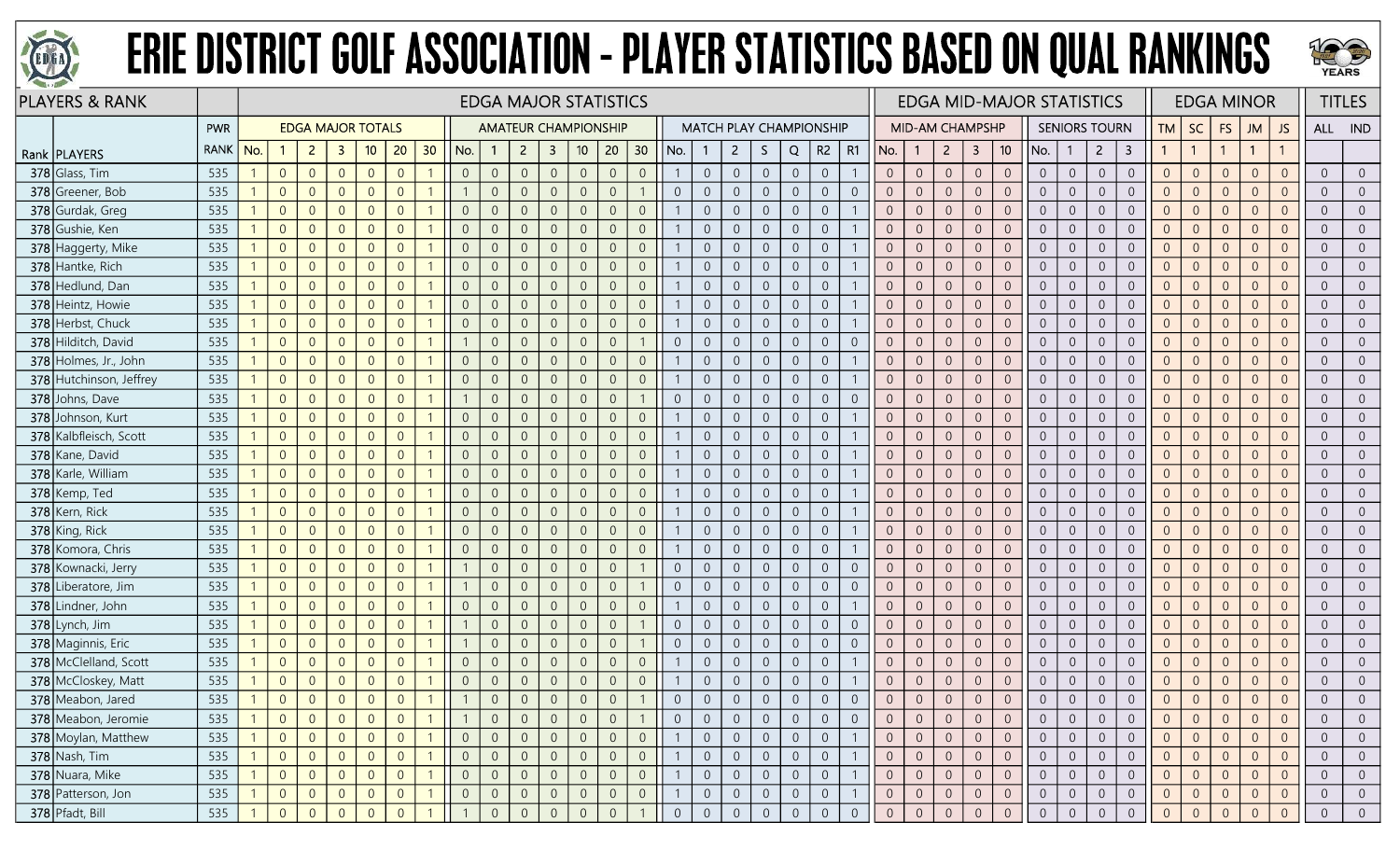



| <b>PLAYERS &amp; RANK</b> |             |     |                |                |                |                |                          |                |                |                |                |                         | <b>EDGA MAJOR STATISTICS</b> |                |                |                |                |                |                                |                |                |                |                |                        |                |                |                | <b>EDGA MID-MAJOR STATISTICS</b> |                |                      |                         |                |                |                | <b>EDGA MINOR</b>       |                |                | <b>TITLES</b>  |
|---------------------------|-------------|-----|----------------|----------------|----------------|----------------|--------------------------|----------------|----------------|----------------|----------------|-------------------------|------------------------------|----------------|----------------|----------------|----------------|----------------|--------------------------------|----------------|----------------|----------------|----------------|------------------------|----------------|----------------|----------------|----------------------------------|----------------|----------------------|-------------------------|----------------|----------------|----------------|-------------------------|----------------|----------------|----------------|
|                           | <b>PWR</b>  |     |                |                |                |                | <b>EDGA MAJOR TOTALS</b> |                |                |                |                |                         | <b>AMATEUR CHAMPIONSHIP</b>  |                |                |                |                |                | <b>MATCH PLAY CHAMPIONSHIP</b> |                |                |                |                | <b>MID-AM CHAMPSHP</b> |                |                |                |                                  |                | <b>SENIORS TOURN</b> |                         | TM             | <b>SC</b>      | FS             | <b>JM</b>               | JS             |                | ALL IND        |
| Rank   PLAYERS            | <b>RANK</b> | No. |                | $\overline{2}$ | $\mathbf{3}$   | 10             | 20                       | 30             | No.            |                | $\overline{2}$ | $\overline{\mathbf{3}}$ | 10 <sub>1</sub>              | 20             | 30             | No.            |                | $\overline{2}$ | S.                             | Q              | R <sub>2</sub> | R1             | No.            | -1                     | $\overline{2}$ | $\mathbf{3}$   | 10             | No.                              |                | $\overline{2}$       | $\overline{\mathbf{3}}$ | $\mathbf{1}$   |                |                | $\overline{\mathbf{1}}$ | $\mathbf{1}$   |                |                |
| 378 Glass, Tim            | 535         |     | $\overline{0}$ | $\overline{0}$ | $\overline{0}$ | $\overline{0}$ | $\overline{0}$           |                | $\overline{0}$ | $\overline{0}$ | $\overline{0}$ | $\overline{0}$          | $\overline{0}$               | $\overline{0}$ | $\Omega$       |                | $\overline{0}$ | $\overline{0}$ | $\overline{0}$                 | $\overline{0}$ | $\overline{0}$ |                | $\overline{0}$ | $\overline{0}$         | $\overline{0}$ | $\overline{0}$ | $\overline{0}$ | $\overline{0}$                   | $\overline{0}$ | $\overline{0}$       | $\boldsymbol{0}$        | $\overline{0}$ | $\overline{0}$ | $\overline{0}$ | $\overline{0}$          | $\overline{0}$ | $\Omega$       | $\overline{0}$ |
| 378 Greener, Bob          | 535         |     | $\Omega$       | $\overline{0}$ | $\overline{0}$ | $\overline{0}$ | $\overline{0}$           |                |                | $\overline{0}$ | $\overline{0}$ | $\overline{0}$          | $\overline{0}$               | $\overline{0}$ |                | $\overline{0}$ | $\overline{0}$ | $\overline{0}$ | $\Omega$                       | $\Omega$       | $\overline{0}$ | $\Omega$       |                | $\Omega$               | $\Omega$       | $\overline{0}$ | $\overline{0}$ | $\overline{0}$                   | $\Omega$       | $\overline{0}$       | $\overline{0}$          | $\Omega$       | $\Omega$       | $\overline{0}$ | $\Omega$                | $\overline{0}$ |                | $\Omega$       |
| 378 Gurdak, Greg          | 535         |     | $\overline{0}$ | $\Omega$       | $\overline{0}$ | $\overline{0}$ | $\overline{0}$           |                | $\overline{0}$ | $\overline{0}$ | $\overline{0}$ | $\overline{0}$          | $\theta$                     | $\overline{0}$ | $\Omega$       |                | $\overline{0}$ | $\overline{0}$ | $\overline{0}$                 | $\overline{0}$ | $\overline{0}$ |                | $\Omega$       | $\Omega$               | $\overline{0}$ | $\overline{0}$ | $\overline{0}$ | $\overline{0}$                   | $\Omega$       | $\overline{0}$       | $\boldsymbol{0}$        | $\overline{0}$ | $\Omega$       | $\overline{0}$ | $\Omega$                | $\overline{0}$ | $\Omega$       | $\overline{0}$ |
| 378 Gushie, Ken           | 535         |     | $\Omega$       | $\overline{0}$ | $\overline{0}$ | $\overline{0}$ | $\overline{0}$           |                | $\overline{0}$ | $\overline{0}$ | $\overline{0}$ | $\overline{0}$          | $\overline{0}$               | $\overline{0}$ | $\Omega$       |                | $\overline{0}$ | $\overline{0}$ | $\Omega$                       | $\overline{0}$ | $\overline{0}$ |                | $\Omega$       | $\Omega$               | $\overline{0}$ | $\overline{0}$ | $\overline{0}$ | $\overline{0}$                   | $\overline{0}$ | $\overline{0}$       | $\mathbf 0$             | $\overline{0}$ | $\Omega$       | $\overline{0}$ | $\overline{0}$          | $\overline{0}$ | $\Omega$       | $\overline{0}$ |
| 378 Haggerty, Mike        | 535         |     | $\overline{0}$ | $\overline{0}$ | $\overline{0}$ | $\overline{0}$ | $\overline{0}$           |                | $\overline{0}$ | $\mathbf{0}$   | $\overline{0}$ | $\overline{0}$          | $\sqrt{0}$                   | $\overline{0}$ | $\Omega$       |                | $\overline{0}$ | $\overline{0}$ | $\overline{0}$                 | $\overline{0}$ | $\overline{0}$ |                | $\overline{0}$ | $\overline{0}$         | $\overline{0}$ | $\overline{0}$ | $\overline{0}$ | $\overline{0}$                   | $\overline{0}$ | $\overline{0}$       | $\boldsymbol{0}$        | $\overline{0}$ | $\Omega$       | $\overline{0}$ | $\overline{0}$          | $\overline{0}$ | $\Omega$       | $\overline{0}$ |
| 378 Hantke, Rich          | 535         |     | $\overline{0}$ | $\overline{0}$ | $\overline{0}$ | $\overline{0}$ | $\overline{0}$           |                | $\overline{0}$ | $\overline{0}$ | $\overline{0}$ | $\overline{0}$          | $\overline{0}$               | $\overline{0}$ | $\Omega$       |                | $\overline{0}$ | $\overline{0}$ | $\Omega$                       | $\overline{0}$ | $\overline{0}$ |                |                | $\Omega$               | $\Omega$       | $\overline{0}$ | $\overline{0}$ | $\overline{0}$                   | $\Omega$       | $\overline{0}$       | $\overline{0}$          | $\Omega$       | $\Omega$       | $\overline{0}$ | $\Omega$                | $\overline{0}$ |                | $\overline{0}$ |
| 378 Hedlund, Dan          | 535         |     | $\overline{0}$ | $\overline{0}$ | $\overline{0}$ | $\Omega$       | $\overline{0}$           |                | $\overline{0}$ | $\overline{0}$ | $\overline{0}$ | $\overline{0}$          | $\overline{0}$               | $\overline{0}$ | $\overline{0}$ |                | $\overline{0}$ | $\overline{0}$ | $\Omega$                       | $\overline{0}$ | $\overline{0}$ |                | $\Omega$       | $\Omega$               | $\overline{0}$ | $\overline{0}$ | $\overline{0}$ | $\overline{0}$                   | $\Omega$       | $\overline{0}$       | $\overline{0}$          | $\overline{0}$ | $\Omega$       | $\overline{0}$ | $\overline{0}$          | $\overline{0}$ | $\Omega$       | $\overline{0}$ |
| 378 Heintz, Howie         | 535         |     | $\overline{0}$ | $\overline{0}$ | $\overline{0}$ | $\overline{0}$ | $\overline{0}$           |                | $\overline{0}$ | $\mathbf{0}$   | $\overline{0}$ | $\overline{0}$          | $\overline{0}$               | $\overline{0}$ | $\overline{0}$ |                | $\overline{0}$ | $\overline{0}$ | $\overline{0}$                 | $\overline{0}$ | $\overline{0}$ |                | $\overline{0}$ | $\theta$               | $\overline{0}$ | $\overline{0}$ | $\mathbf 0$    | $\overline{0}$                   | $\overline{0}$ | $\overline{0}$       | $\boldsymbol{0}$        | $\overline{0}$ | $\Omega$       | $\overline{0}$ | $\overline{0}$          | $\overline{0}$ | $\Omega$       | $\overline{0}$ |
| 378 Herbst, Chuck         | 535         |     | $\overline{0}$ | $\overline{0}$ | $\overline{0}$ | $\overline{0}$ | $\overline{0}$           |                | $\overline{0}$ | $\overline{0}$ | $\overline{0}$ | $\overline{0}$          | $\overline{0}$               | $\overline{0}$ | $\overline{0}$ |                | $\overline{0}$ | $\overline{0}$ | $\Omega$                       | $\overline{0}$ | $\overline{0}$ |                | $\Omega$       | $\overline{0}$         | $\overline{0}$ | $\overline{0}$ | $\overline{0}$ | $\overline{0}$                   | $\Omega$       | $\overline{0}$       | $\sqrt{0}$              | $\overline{0}$ | $\Omega$       | $\overline{0}$ | $\overline{0}$          | $\overline{0}$ | $\Omega$       | $\overline{0}$ |
| 378 Hilditch, David       | 535         |     | $\overline{0}$ | $\overline{0}$ | $\overline{0}$ | $\overline{0}$ | $\overline{0}$           |                |                | $\overline{0}$ | $\overline{0}$ | $\overline{0}$          | $\overline{0}$               | $\overline{0}$ |                | $\overline{0}$ | $\overline{0}$ | $\overline{0}$ | $\overline{0}$                 | $\overline{0}$ | $\overline{0}$ | $\overline{0}$ | $\overline{0}$ | 0                      | $\overline{0}$ | $\overline{0}$ | $\overline{0}$ | $\overline{0}$                   | $\overline{0}$ | $\overline{0}$       | $\boldsymbol{0}$        | $\overline{0}$ | $\Omega$       | $\overline{0}$ | $\overline{0}$          | $\overline{0}$ |                | $\overline{0}$ |
| 378 Holmes, Jr., John     | 535         |     | $\overline{0}$ | $\overline{0}$ | $\overline{0}$ | $\Omega$       | $\overline{0}$           |                | $\overline{0}$ | $\overline{0}$ | $\overline{0}$ | $\overline{0}$          | $\overline{0}$               | $\overline{0}$ | $\Omega$       |                | $\overline{0}$ | $\overline{0}$ | $\Omega$                       | $\overline{0}$ | $\overline{0}$ |                | $\Omega$       | $\Omega$               | $\overline{0}$ | $\overline{0}$ | $\overline{0}$ | $\overline{0}$                   | $\overline{0}$ | $\overline{0}$       | $\overline{0}$          | $\overline{0}$ | $\Omega$       | $\overline{0}$ | $\overline{0}$          | $\overline{0}$ | $\Omega$       | $\overline{0}$ |
| 378 Hutchinson, Jeffrey   | 535         |     | $\overline{0}$ | $\overline{0}$ | $\overline{0}$ | $\overline{0}$ | $\overline{0}$           |                | $\overline{0}$ | $\mathbf{0}$   | $\overline{0}$ | $\overline{0}$          | $\overline{0}$               | $\overline{0}$ | $\Omega$       |                | $\overline{0}$ | $\overline{0}$ | $\overline{0}$                 | $\overline{0}$ | $\overline{0}$ |                | $\overline{0}$ | $\overline{0}$         | $\overline{0}$ | $\overline{0}$ | $\sqrt{0}$     | $\overline{0}$                   | $\overline{0}$ | $\overline{0}$       | $\mathbf 0$             | $\overline{0}$ | $\Omega$       | $\overline{0}$ | $\overline{0}$          | $\overline{0}$ | $\Omega$       | $\overline{0}$ |
| 378 Johns, Dave           | 535         |     | $\overline{0}$ | $\overline{0}$ | $\overline{0}$ | $\overline{0}$ | $\overline{0}$           |                |                | $\overline{0}$ | $\overline{0}$ | $\overline{0}$          | $\overline{0}$               | $\overline{0}$ |                | $\overline{0}$ | $\overline{0}$ | $\overline{0}$ | $\overline{0}$                 | $\overline{0}$ | $\overline{0}$ | $\overline{0}$ |                | $\overline{0}$         | $\overline{0}$ | $\overline{0}$ | $\overline{0}$ | $\overline{0}$                   | $\Omega$       | $\overline{0}$       | $\overline{0}$          | $\overline{0}$ | $\Omega$       | $\overline{0}$ | $\overline{0}$          | $\overline{0}$ | $\Omega$       | $\overline{0}$ |
| 378 Johnson, Kurt         | 535         |     | $\Omega$       | $\overline{0}$ | $\overline{0}$ | $\Omega$       | $\overline{0}$           |                | $\overline{0}$ | $\overline{0}$ | $\overline{0}$ | $\overline{0}$          | $\theta$                     | $\overline{0}$ | $\Omega$       |                | $\overline{0}$ | $\overline{0}$ | $\Omega$                       | $\overline{0}$ | $\overline{0}$ |                |                | $\Omega$               | $\Omega$       | $\overline{0}$ | $\sqrt{0}$     | $\Omega$                         | $\Omega$       | $\overline{0}$       | $\sqrt{0}$              | $\Omega$       | $\Omega$       | $\Omega$       | $\Omega$                | $\overline{0}$ |                | $\overline{0}$ |
| 378 Kalbfleisch, Scott    | 535         |     | $\Omega$       | $\Omega$       | $\overline{0}$ | $\Omega$       | $\overline{0}$           |                | $\overline{0}$ | $\overline{0}$ | $\overline{0}$ | $\overline{0}$          | $\overline{0}$               | $\overline{0}$ | $\Omega$       |                | $\overline{0}$ | $\overline{0}$ | $\Omega$                       | $\overline{0}$ | $\overline{0}$ |                | $\Omega$       | $\Omega$               | $\Omega$       | $\overline{0}$ | $\overline{0}$ | $\overline{0}$                   | $\overline{0}$ | $\overline{0}$       | $\overline{0}$          | $\Omega$       | $\Omega$       | $\overline{0}$ | $\overline{0}$          | $\overline{0}$ | $\Omega$       | $\overline{0}$ |
| 378 Kane, David           | 535         |     | $\overline{0}$ | $\overline{0}$ | $\overline{0}$ | $\Omega$       | $\overline{0}$           |                | $\overline{0}$ | $\mathbf{0}$   | $\overline{0}$ | $\overline{0}$          | $\overline{0}$               | $\overline{0}$ | $\Omega$       |                | $\overline{0}$ | $\overline{0}$ | $\Omega$                       | $\overline{0}$ | $\theta$       |                | $\Omega$       | $\Omega$               | $\Omega$       | $\overline{0}$ | $\mathbf{0}$   | $\overline{0}$                   | $\Omega$       | $\overline{0}$       | $\mathbf 0$             | $\Omega$       | $\Omega$       | $\overline{0}$ | $\overline{0}$          | $\overline{0}$ | $\Omega$       | $\overline{0}$ |
| 378 Karle, William        | 535         |     | $\overline{0}$ | $\overline{0}$ | $\overline{0}$ | $\overline{0}$ | $\overline{0}$           |                | $\overline{0}$ | $\overline{0}$ | $\overline{0}$ | $\overline{0}$          | $\overline{0}$               | $\overline{0}$ | $\Omega$       |                | $\overline{0}$ | $\overline{0}$ | $\Omega$                       | $\overline{0}$ | $\overline{0}$ |                | $\Omega$       | $\Omega$               | $\overline{0}$ | $\overline{0}$ | $\mathbf{0}$   | $\overline{0}$                   | $\Omega$       | $\overline{0}$       | $\sqrt{0}$              | $\Omega$       | $\Omega$       | $\overline{0}$ | $\overline{0}$          | $\overline{0}$ | $\Omega$       | $\overline{0}$ |
| 378 Kemp, Ted             | 535         |     | $\Omega$       | $\Omega$       | $\Omega$       | $\Omega$       | $\overline{0}$           |                | $\Omega$       | $\overline{0}$ | $\Omega$       | $\overline{0}$          | $\overline{0}$               | $\overline{0}$ |                |                | $\overline{0}$ | $\overline{0}$ | $\Omega$                       | $\Omega$       | $\Omega$       |                | $\Omega$       | $\Omega$               | $\Omega$       | $\overline{0}$ | $\overline{0}$ | $\Omega$                         | $\Omega$       | $\overline{0}$       | $\overline{0}$          |                |                | $\Omega$       | $\Omega$                | $\overline{0}$ |                | $\overline{0}$ |
| 378 Kern, Rick            | 535         |     | $\Omega$       | $\overline{0}$ | $\overline{0}$ | $\overline{0}$ | $\overline{0}$           |                | $\overline{0}$ | $\overline{0}$ | $\overline{0}$ | $\overline{0}$          | $\overline{0}$               | $\overline{0}$ | $\Omega$       |                | $\overline{0}$ | $\overline{0}$ | $\overline{0}$                 | $\overline{0}$ | $\overline{0}$ |                | $\Omega$       | $\Omega$               | $\Omega$       | $\overline{0}$ | $\overline{0}$ | $\overline{0}$                   | $\overline{0}$ | $\overline{0}$       | $\overline{0}$          | $\overline{0}$ | $\Omega$       | $\overline{0}$ | $\overline{0}$          | $\overline{0}$ | $\Omega$       | $\overline{0}$ |
| 378 King, Rick            | 535         |     | $\overline{0}$ | $\overline{0}$ | $\overline{0}$ | $\overline{0}$ | $\overline{0}$           |                | $\overline{0}$ | $\overline{0}$ | $\sqrt{0}$     | $\overline{0}$          | $\overline{0}$               | $\overline{0}$ | $\Omega$       |                | $\overline{0}$ | $\overline{0}$ | $\overline{0}$                 | $\overline{0}$ | $\overline{0}$ |                | $\overline{0}$ | $\overline{0}$         | $\overline{0}$ | $\overline{0}$ | $\mathbf 0$    | $\overline{0}$                   | $\overline{0}$ | $\overline{0}$       | $\boldsymbol{0}$        | $\overline{0}$ | $\Omega$       | $\overline{0}$ | $\overline{0}$          | $\overline{0}$ | $\Omega$       | $\overline{0}$ |
| 378 Komora, Chris         | 535         |     | $\overline{0}$ | $\overline{0}$ | $\overline{0}$ | $\overline{0}$ | $\overline{0}$           |                | $\overline{0}$ | $\overline{0}$ | $\overline{0}$ | $\overline{0}$          | $\overline{0}$               | $\overline{0}$ | $\Omega$       |                | $\overline{0}$ | $\overline{0}$ | $\Omega$                       | $\overline{0}$ | $\overline{0}$ |                | $\Omega$       | $\Omega$               | $\overline{0}$ | $\overline{0}$ | $\overline{0}$ | $\overline{0}$                   | $\Omega$       | $\overline{0}$       | $\sqrt{0}$              | $\Omega$       | $\Omega$       | $\overline{0}$ | $\Omega$                | $\overline{0}$ | $\cap$         | $\overline{0}$ |
| 378 Kownacki, Jerry       | 535         |     | $\Omega$       | $\Omega$       | $\overline{0}$ | $\overline{0}$ | $\overline{0}$           |                |                | $\overline{0}$ | $\overline{0}$ | $\overline{0}$          | $\overline{0}$               | $\overline{0}$ |                | $\overline{0}$ | $\overline{0}$ | $\overline{0}$ | $\overline{0}$                 | $\overline{0}$ | $\overline{0}$ | $\overline{0}$ | $\Omega$       | $\Omega$               | $\Omega$       | $\overline{0}$ | $\overline{0}$ | $\overline{0}$                   | $\Omega$       | $\overline{0}$       | $\overline{0}$          | $\overline{0}$ | $\Omega$       | $\overline{0}$ | $\Omega$                | $\overline{0}$ | $\Omega$       | $\overline{0}$ |
| 378 Liberatore, Jim       | 535         |     | $\overline{0}$ | $\overline{0}$ | $\overline{0}$ | $\overline{0}$ | $\overline{0}$           |                |                | $\overline{0}$ | $\overline{0}$ | $\overline{0}$          | $\overline{0}$               | $\overline{0}$ |                | $\overline{0}$ | $\overline{0}$ | $\overline{0}$ | $\Omega$                       | $\overline{0}$ | $\overline{0}$ | $\overline{0}$ | $\overline{0}$ | $\overline{0}$         | $\overline{0}$ | $\overline{0}$ | $\mathbf{0}$   | $\overline{0}$                   | $\overline{0}$ | $\overline{0}$       | $\boldsymbol{0}$        | $\overline{0}$ | $\Omega$       | $\overline{0}$ | $\overline{0}$          | $\overline{0}$ | $\Omega$       | $\overline{0}$ |
| 378 Lindner, John         | 535         |     | $\overline{0}$ | $\overline{0}$ | $\overline{0}$ | $\overline{0}$ | $\overline{0}$           | -1             | $\overline{0}$ | $\overline{0}$ | $\sqrt{0}$     | $\overline{0}$          | $\overline{0}$               | $\overline{0}$ | $\overline{0}$ |                | $\overline{0}$ | $\overline{0}$ | $\overline{0}$                 | $\overline{0}$ | $\overline{0}$ |                | $\Omega$       | $\overline{0}$         | $\overline{0}$ | $\overline{0}$ | $\overline{0}$ | $\overline{0}$                   | $\overline{0}$ | $\overline{0}$       | $\overline{0}$          | $\overline{0}$ | $\Omega$       | $\overline{0}$ | $\overline{0}$          | $\overline{0}$ | $\Omega$       | $\overline{0}$ |
| 378 Lynch, Jim            | 535         |     | $\Omega$       | $\overline{0}$ | $\overline{0}$ | $\overline{0}$ | $\overline{0}$           |                |                | $\overline{0}$ | $\overline{0}$ | $\overline{0}$          | $\overline{0}$               | $\overline{0}$ |                | $\overline{0}$ | $\overline{0}$ | $\overline{0}$ | $\Omega$                       | $\overline{0}$ | $\overline{0}$ | $\Omega$       |                | $\Omega$               | $\overline{0}$ | $\overline{0}$ | $\overline{0}$ | $\overline{0}$                   | $\Omega$       | $\overline{0}$       | $\mathbf 0$             | $\Omega$       | $\Omega$       | $\Omega$       | $\Omega$                | $\overline{0}$ |                | $\overline{0}$ |
| 378 Maginnis, Eric        | 535         |     | $\overline{0}$ | $\overline{0}$ | $\overline{0}$ | $\overline{0}$ | $\overline{0}$           |                |                | $\overline{0}$ | $\overline{0}$ | $\overline{0}$          | $\overline{0}$               | $\overline{0}$ |                | $\overline{0}$ | $\overline{0}$ | $\overline{0}$ | $\overline{0}$                 | $\overline{0}$ | $\overline{0}$ | $\overline{0}$ | $\overline{0}$ | 0                      | $\overline{0}$ | $\overline{0}$ | $\overline{0}$ | $\overline{0}$                   | $\overline{0}$ | $\overline{0}$       | $\overline{0}$          | $\overline{0}$ | $\Omega$       | $\overline{0}$ | $\overline{0}$          | $\overline{0}$ | $\Omega$       | $\overline{0}$ |
| 378 McClelland, Scott     | 535         |     | $\overline{0}$ | $\overline{0}$ | $\overline{0}$ | $\overline{0}$ | $\overline{0}$           |                | $\overline{0}$ | $\mathbf{0}$   | $\overline{0}$ | $\overline{0}$          | $\mathbb O$                  | $\overline{0}$ | $\Omega$       |                | $\overline{0}$ | $\overline{0}$ | $\Omega$                       | $\overline{0}$ | $\overline{0}$ |                | $\Omega$       | $\Omega$               | $\overline{0}$ | $\overline{0}$ | $\sqrt{0}$     | $\overline{0}$                   | $\Omega$       | $\overline{0}$       | $\boldsymbol{0}$        | $\Omega$       | $\Omega$       | $\overline{0}$ | $\overline{0}$          | $\overline{0}$ |                | $\overline{0}$ |
| 378 McCloskey, Matt       | 535         |     | $\overline{0}$ | $\overline{0}$ | $\overline{0}$ | $\overline{0}$ | $\overline{0}$           |                | $\overline{0}$ | $\overline{0}$ | $\overline{0}$ | $\overline{0}$          | $\theta$                     | $\overline{0}$ | $\Omega$       |                | $\overline{0}$ | $\overline{0}$ | $\overline{0}$                 | $\Omega$       | $\overline{0}$ |                | $\Omega$       | $\overline{0}$         | $\overline{0}$ | $\overline{0}$ | $\overline{0}$ | $\overline{0}$                   | $\overline{0}$ | $\overline{0}$       | $\boldsymbol{0}$        | $\overline{0}$ | $\overline{0}$ | $\overline{0}$ | $\overline{0}$          | $\overline{0}$ | $\Omega$       | $\overline{0}$ |
| 378 Meabon, Jared         | 535         |     | $\Omega$       | $\Omega$       | $\overline{0}$ | $\overline{0}$ | $\Omega$                 |                |                | $\Omega$       | $\overline{0}$ | $\overline{0}$          | $\overline{0}$               | $\overline{0}$ |                |                | $\overline{0}$ | $\Omega$       |                                | $\overline{0}$ | $\Omega$       |                |                | $\Omega$               | $\Omega$       | $\overline{0}$ | $\overline{0}$ |                                  | $\Omega$       | $\overline{0}$       | $\overline{0}$          | $\Omega$       | $\Omega$       |                | $\Omega$                | $\Omega$       |                |                |
| 378 Meabon, Jeromie       | 535         |     | $\overline{0}$ | $\overline{0}$ | $\overline{0}$ | $\overline{0}$ | $\overline{0}$           |                |                | $\overline{0}$ | $\overline{0}$ | $\overline{0}$          | $\overline{0}$               | $\overline{0}$ |                | $\overline{0}$ | $\overline{0}$ | $\overline{0}$ | $\overline{0}$                 | $\overline{0}$ | $\overline{0}$ | $\overline{0}$ |                | $\overline{0}$         | $\theta$       | $\overline{0}$ | $\overline{0}$ | $\overline{0}$                   |                | $\overline{0}$       | $\overline{0}$          | $\overline{0}$ |                | $\overline{0}$ | $\overline{0}$          | $\overline{0}$ |                | $\overline{0}$ |
| 378 Moylan, Matthew       | 535         |     | $\overline{0}$ | $\overline{0}$ | $\overline{0}$ | $\overline{0}$ | $\overline{0}$           | $\overline{1}$ | $\overline{0}$ | $\overline{0}$ | $\overline{0}$ | $\overline{0}$          | $\overline{0}$               | $\overline{0}$ | $\overline{0}$ |                | $\overline{0}$ | $\overline{0}$ | $\overline{0}$                 | $\overline{0}$ | $\overline{0}$ |                | $\overline{0}$ | $\overline{0}$         | $\overline{0}$ | $\overline{0}$ | $\overline{0}$ | $\overline{0}$                   | $\overline{0}$ | $\overline{0}$       | $\overline{0}$          | $\overline{0}$ | $\Omega$       | $\overline{0}$ | $\overline{0}$          | $\overline{0}$ | $\Omega$       | $\overline{0}$ |
| $378$ Nash, Tim           | 535         |     | $\overline{0}$ | $\overline{0}$ | $\overline{0}$ | $\overline{0}$ | $\overline{0}$           |                | $\overline{0}$ | $\overline{0}$ | $\overline{0}$ | $\overline{0}$          | $\overline{0}$               | $\overline{0}$ | $\overline{0}$ |                | $\overline{0}$ | $\overline{0}$ | $\overline{0}$                 | $\overline{0}$ | $\sqrt{0}$     |                | $\overline{0}$ | $\overline{0}$         | $\overline{0}$ | $\overline{0}$ | $\overline{0}$ | $\overline{0}$                   |                | $\overline{0}$       | $\overline{0}$          | $\overline{0}$ | $\Omega$       | $\overline{0}$ | $\overline{0}$          | $\overline{0}$ | $\Omega$       | $\overline{0}$ |
| 378 Nuara, Mike           | 535         |     | $\overline{0}$ | $\overline{0}$ | $\overline{0}$ | $\overline{0}$ | $\overline{0}$           |                | $\overline{0}$ | $\overline{0}$ | $\overline{0}$ | $\overline{0}$          | $\overline{0}$               | $\overline{0}$ | $\overline{0}$ |                | $\overline{0}$ | $\overline{0}$ | $\overline{0}$                 | $\overline{0}$ | $\overline{0}$ |                | $\overline{0}$ | $\overline{0}$         | $\overline{0}$ | $\overline{0}$ | $\overline{0}$ | $\overline{0}$                   | $\overline{0}$ | $\overline{0}$       | $\overline{0}$          | $\overline{0}$ | $\Omega$       | $\overline{0}$ | $\overline{0}$          | $\overline{0}$ |                | $\overline{0}$ |
| 378 Patterson, Jon        | 535         |     | $\overline{0}$ | $\overline{0}$ | $\overline{0}$ | $\overline{0}$ | $\overline{0}$           | $\overline{1}$ | $\overline{0}$ | $\overline{0}$ | $\overline{0}$ | $\overline{0}$          | $\overline{0}$               | $\overline{0}$ | $\overline{0}$ |                | $\overline{0}$ | $\overline{0}$ | $\overline{0}$                 | $\overline{0}$ | $\overline{0}$ |                | $\overline{0}$ | $\overline{0}$         | $\overline{0}$ | $\overline{0}$ | $\overline{0}$ | $\overline{0}$                   | $\overline{0}$ | $\overline{0}$       | $\overline{0}$          | $\overline{0}$ | $\overline{0}$ | $\overline{0}$ | $\overline{0}$          | $\overline{0}$ | $\overline{0}$ | $\overline{0}$ |
| 378 Pfadt, Bill           | 535         |     | $\Omega$       | $\Omega$       | $\Omega$       | $\overline{0}$ | $\Omega$                 |                |                | $\Omega$       | $\overline{0}$ | $\overline{0}$          | $\overline{0}$               | $\overline{0}$ |                | $\overline{0}$ | $\overline{0}$ | $\overline{0}$ | $\Omega$                       | $\overline{0}$ | $\overline{0}$ | $\Omega$       | $\overline{0}$ |                        | $\Omega$       | $\overline{0}$ | $\Omega$       | $\Omega$                         | $\Omega$       |                      | $\overline{0}$          |                |                |                | $\Omega$                |                |                | $\Omega$       |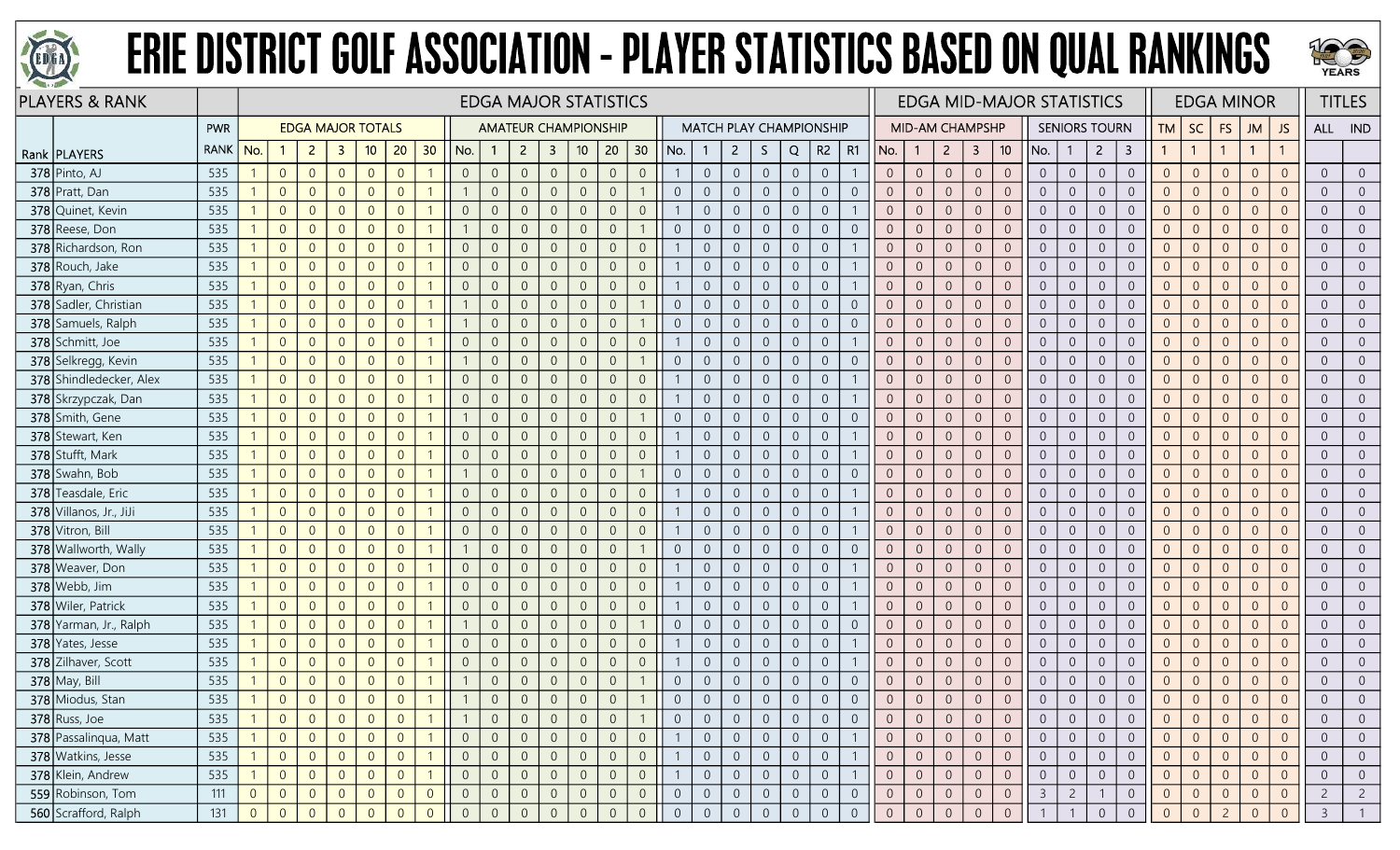



| <b>PLAYERS &amp; RANK</b> |            |                |                |                          |                |                |                 |                |                |                | <b>EDGA MAJOR STATISTICS</b> |                         |                 |                |                 |                |                |                |                |                |                                |                |                |                        |                  |                |                 | <b>EDGA MID-MAJOR STATISTICS</b> |                |                      |                |                |                |                | <b>EDGA MINOR</b> |                |                | <b>TITLES</b>  |
|---------------------------|------------|----------------|----------------|--------------------------|----------------|----------------|-----------------|----------------|----------------|----------------|------------------------------|-------------------------|-----------------|----------------|-----------------|----------------|----------------|----------------|----------------|----------------|--------------------------------|----------------|----------------|------------------------|------------------|----------------|-----------------|----------------------------------|----------------|----------------------|----------------|----------------|----------------|----------------|-------------------|----------------|----------------|----------------|
|                           | <b>PWR</b> |                |                | <b>EDGA MAJOR TOTALS</b> |                |                |                 |                |                |                | <b>AMATEUR CHAMPIONSHIP</b>  |                         |                 |                |                 |                |                |                |                |                | <b>MATCH PLAY CHAMPIONSHIP</b> |                |                | <b>MID-AM CHAMPSHP</b> |                  |                |                 |                                  |                | <b>SENIORS TOURN</b> |                | <b>TM</b>      | <b>SC</b>      | <b>FS</b>      | <b>JM</b>         | <b>JS</b>      | ALL IND        |                |
| Rank   PLAYERS            | RANK   No. |                |                | $\overline{2}$           | 3              | 10             | 20 <sup>°</sup> | 30             | No.            | $\mathbf{1}$   | $\overline{2}$               | $\overline{\mathbf{3}}$ | 10 <sup>°</sup> | 20             | 30 <sub>2</sub> | No.            |                | $2^{\circ}$    | S.             | Q              | R <sub>2</sub>                 | R1             | No.            | $\mathbf{1}$           | $2^{\circ}$      | $\overline{3}$ | 10 <sup>°</sup> | No.                              | $\mathbf{1}$   | $\overline{2}$       | 3              |                | $\overline{1}$ |                | $\mathbf{1}$      |                |                |                |
| $378$ Pinto, AJ           | 535        |                | $\overline{0}$ | $\overline{0}$           | $\overline{0}$ | $\overline{0}$ | $\overline{0}$  |                | $\overline{0}$ | $\overline{0}$ | $\overline{0}$               | $\overline{0}$          | $\overline{0}$  | $\overline{0}$ | $\overline{0}$  |                | $\overline{0}$ | $\overline{0}$ | $\overline{0}$ | $\overline{0}$ | $\overline{0}$                 |                | $\overline{0}$ | $\overline{0}$         | $\overline{0}$   | $\overline{0}$ | $\overline{0}$  | $\overline{0}$                   | $\overline{0}$ | $\overline{0}$       | $\overline{0}$ | $\overline{0}$ | $\overline{0}$ | $\overline{0}$ | $\Omega$          | $\Omega$       | $\overline{0}$ | $\overline{0}$ |
| 378 Pratt, Dan            | 535        |                | $\overline{0}$ | $\overline{0}$           | $\Omega$       | $\Omega$       | $\Omega$        |                |                | $\Omega$       |                              | $\overline{0}$          | $\overline{0}$  | $\overline{0}$ |                 | $\overline{0}$ | $\overline{0}$ | $\overline{0}$ | $\overline{0}$ | $\overline{0}$ | $\overline{0}$                 | $\Omega$       | $\Omega$       | $\overline{0}$         | $\overline{0}$   | $\overline{0}$ | $\Omega$        | $\overline{0}$                   | $\overline{0}$ | $\overline{0}$       | $\Omega$       | $\Omega$       | $\overline{0}$ | $\Omega$       | $\Omega$          | $\Omega$       | $\overline{0}$ | $\overline{0}$ |
| 378 Quinet, Kevin         | 535        |                | $\overline{0}$ | $\overline{0}$           | $\Omega$       | $\Omega$       |                 |                | $\overline{0}$ | $\Omega$       | $\Omega$                     | $\overline{0}$          | $\overline{0}$  | $\overline{0}$ | $\overline{0}$  |                | $\overline{0}$ | $\overline{0}$ | $\overline{0}$ | $\overline{0}$ | $\overline{0}$                 |                | $\Omega$       | $\overline{0}$         | $\overline{0}$   | $\overline{0}$ | $\Omega$        | $\overline{0}$                   | $\overline{0}$ | $\Omega$             | $\overline{0}$ | $\overline{0}$ | $\overline{0}$ | $\Omega$       | $\overline{0}$    | $\Omega$       | $\overline{0}$ | $\overline{0}$ |
| 378 Reese, Don            | 535        |                | $\overline{0}$ | $\overline{0}$           | $\Omega$       | $\Omega$       | $\Omega$        |                |                | $\overline{0}$ | $\Omega$                     | $\overline{0}$          | $\overline{0}$  | $\overline{0}$ |                 | $\overline{0}$ | $\overline{0}$ | $\overline{0}$ | $\overline{0}$ | $\overline{0}$ | $\overline{0}$                 | $\Omega$       | $\overline{0}$ | $\overline{0}$         | $\overline{0}$   | $\overline{0}$ | $\overline{0}$  | $\overline{0}$                   | $\overline{0}$ | $\overline{0}$       | $\overline{0}$ | $\Omega$       | $\overline{0}$ | $\overline{0}$ | $\Omega$          | $\Omega$       | $\overline{0}$ | $\overline{0}$ |
| 378 Richardson, Ron       | 535        |                | $\overline{0}$ | $\overline{0}$           | $\overline{0}$ | $\overline{0}$ | $\Omega$        |                | $\overline{0}$ | $\overline{0}$ | $\overline{0}$               | $\overline{0}$          | $\overline{0}$  | $\overline{0}$ | $\overline{0}$  |                | $\overline{0}$ | $\overline{0}$ | $\overline{0}$ | $\overline{0}$ | $\overline{0}$                 |                | $\overline{0}$ | $\sqrt{0}$             | $\overline{0}$   | $\sqrt{0}$     | $\overline{0}$  | $\overline{0}$                   | $\overline{0}$ | $\overline{0}$       | $\overline{0}$ | $\overline{0}$ | $\overline{0}$ | $\overline{0}$ | $\Omega$          | $\Omega$       | $\overline{0}$ | $\overline{0}$ |
| 378 Rouch, Jake           | 535        |                | $\overline{0}$ | $\overline{0}$           | $\Omega$       | $\overline{0}$ | $\Omega$        |                | $\overline{0}$ | $\overline{0}$ |                              | $\overline{0}$          | $\overline{0}$  | $\overline{0}$ | $\overline{0}$  |                | $\overline{0}$ | $\overline{0}$ | $\mathbf 0$    | $\overline{0}$ | $\overline{0}$                 |                | $\overline{0}$ | $\overline{0}$         | $\overline{0}$   | $\overline{0}$ | $\Omega$        | $\overline{0}$                   | $\overline{0}$ | $\overline{0}$       | $\overline{0}$ | $\Omega$       | $\overline{0}$ | $\overline{0}$ | $\Omega$          | $\Omega$       | $\overline{0}$ | $\overline{0}$ |
| 378 Ryan, Chris           | 535        |                | $\overline{0}$ | $\overline{0}$           | $\Omega$       | $\Omega$       | $\Omega$        |                | $\overline{0}$ | $\overline{0}$ | $\Omega$                     | $\overline{0}$          | $\overline{0}$  | $\overline{0}$ | $\overline{0}$  |                | $\overline{0}$ | $\overline{0}$ | $\overline{0}$ | $\overline{0}$ | $\overline{0}$                 |                | $\overline{0}$ | $\overline{0}$         | $\Omega$         | $\overline{0}$ | $\overline{0}$  | $\overline{0}$                   | $\overline{0}$ | $\overline{0}$       | $\overline{0}$ | $\overline{0}$ | $\overline{0}$ | $\overline{0}$ | $\overline{0}$    | $\Omega$       | $\overline{0}$ | $\overline{0}$ |
| 378 Sadler, Christian     | 535        |                | $\overline{0}$ | $\overline{0}$           | $\overline{0}$ | $\overline{0}$ | $\Omega$        |                |                | $\overline{0}$ | $\Omega$                     | $\overline{0}$          | $\mathbf 0$     | $\overline{0}$ |                 | $\overline{0}$ | $\overline{0}$ | $\overline{0}$ | $\overline{0}$ | $\overline{0}$ | $\overline{0}$                 | $\overline{0}$ | $\overline{0}$ | $\overline{0}$         | $\overline{0}$   | $\overline{0}$ | $\overline{0}$  | $\overline{0}$                   | $\overline{0}$ | $\overline{0}$       | $\overline{0}$ | $\overline{0}$ | $\overline{0}$ | $\overline{0}$ | $\Omega$          | $\Omega$       | $\overline{0}$ | $\overline{0}$ |
| 378 Samuels, Ralph        | 535        |                | $\overline{0}$ | $\overline{0}$           | $\overline{0}$ | $\overline{0}$ | $\Omega$        |                |                | $\overline{0}$ | $\Omega$                     | $\overline{0}$          | $\overline{0}$  | $\overline{0}$ |                 | $\overline{0}$ | $\overline{0}$ | $\overline{0}$ | $\overline{0}$ | $\overline{0}$ | $\overline{0}$                 | $\overline{0}$ | $\overline{0}$ | $\overline{0}$         | $\overline{0}$   | $\overline{0}$ | $\overline{0}$  | $\overline{0}$                   | $\overline{0}$ | $\overline{0}$       | $\overline{0}$ | $\overline{0}$ | $\overline{0}$ | $\overline{0}$ | $\Omega$          | $\Omega$       | $\overline{0}$ | $\overline{0}$ |
| 378 Schmitt, Joe          | 535        |                | $\overline{0}$ | $\overline{0}$           | $\overline{0}$ | $\overline{0}$ | $\Omega$        |                | $\overline{0}$ | $\overline{0}$ | $\theta$                     | $\overline{0}$          | $\overline{0}$  | $\overline{0}$ | $\overline{0}$  |                | $\overline{0}$ | $\overline{0}$ | $\overline{0}$ | $\overline{0}$ | $\overline{0}$                 |                | $\overline{0}$ | $\overline{0}$         | $\overline{0}$   | $\overline{0}$ | $\Omega$        | $\overline{0}$                   | $\overline{0}$ | $\overline{0}$       | $\overline{0}$ | $\overline{0}$ | $\overline{0}$ | $\Omega$       | $\Omega$          | $\Omega$       | $\overline{0}$ | $\overline{0}$ |
| 378 Selkregg, Kevin       | 535        |                | $\overline{0}$ | $\overline{0}$           | $\overline{0}$ | $\Omega$       | $\Omega$        |                |                | $\overline{0}$ | $\Omega$                     | $\overline{0}$          | $\overline{0}$  | $\overline{0}$ |                 | $\overline{0}$ | $\overline{0}$ | $\overline{0}$ | $\overline{0}$ | $\overline{0}$ | $\overline{0}$                 | $\Omega$       | $\overline{0}$ | $\overline{0}$         | $\Omega$         | $\overline{0}$ | $\Omega$        | $\overline{0}$                   | $\overline{0}$ | $\overline{0}$       | $\Omega$       | $\Omega$       | $\overline{0}$ | $\Omega$       | $\overline{0}$    | $\Omega$       | $\overline{0}$ | $\overline{0}$ |
| 378 Shindledecker, Alex   | 535        |                | $\overline{0}$ | $\overline{0}$           | $\overline{0}$ | $\Omega$       | $\Omega$        |                | $\overline{0}$ | $\overline{0}$ | $\Omega$                     | $\overline{0}$          | $\overline{0}$  | $\overline{0}$ | $\overline{0}$  |                | $\overline{0}$ | $\overline{0}$ | $\sqrt{0}$     | $\overline{0}$ | $\overline{0}$                 |                | $\overline{0}$ | $\overline{0}$         | $\overline{0}$   | $\overline{0}$ | $\overline{0}$  | $\overline{0}$                   | $\overline{0}$ | $\overline{0}$       | $\overline{0}$ | $\overline{0}$ | $\overline{0}$ | $\Omega$       | $\Omega$          | $\Omega$       | $\overline{0}$ | $\overline{0}$ |
| 378 Skrzypczak, Dan       | 535        |                | $\overline{0}$ | $\overline{0}$           | $\overline{0}$ | $\overline{0}$ | $\overline{0}$  |                | $\overline{0}$ | $\overline{0}$ | $\overline{0}$               | $\overline{0}$          | $\overline{0}$  | $\overline{0}$ | $\overline{0}$  |                | $\overline{0}$ | $\overline{0}$ | $\overline{0}$ | $\overline{0}$ | $\overline{0}$                 |                | $\overline{0}$ | $\overline{0}$         | $\overline{0}$   | $\overline{0}$ | $\overline{0}$  | $\overline{0}$                   | $\overline{0}$ | $\overline{0}$       | $\overline{0}$ | $\overline{0}$ | $\overline{0}$ | $\overline{0}$ | $\Omega$          | $\Omega$       | $\overline{0}$ | $\overline{0}$ |
| 378 Smith, Gene           | 535        |                | $\overline{0}$ | $\overline{0}$           | $\Omega$       | $\Omega$       | $\Omega$        |                |                | $\Omega$       |                              | $\Omega$                | $\overline{0}$  | $\overline{0}$ |                 | $\overline{0}$ | $\overline{0}$ | $\overline{0}$ | $\overline{0}$ | $\theta$       | $\overline{0}$                 | $\Omega$       | $\overline{0}$ | $\overline{0}$         | $\overline{0}$   | $\overline{0}$ | $\overline{0}$  | $\overline{0}$                   | $\overline{0}$ | $\Omega$             | $\overline{0}$ | $\Omega$       | $\overline{0}$ | $\Omega$       | $\Omega$          |                | $\overline{0}$ | $\overline{0}$ |
| 378 Stewart, Ken          | 535        |                | $\overline{0}$ | $\overline{0}$           | $\Omega$       | $\Omega$       | $\Omega$        |                | $\overline{0}$ | $\overline{0}$ | $\Omega$                     | $\overline{0}$          | $\overline{0}$  | $\overline{0}$ | $\overline{0}$  |                | $\overline{0}$ | $\overline{0}$ | $\overline{0}$ | $\overline{0}$ | $\overline{0}$                 |                | $\overline{0}$ | $\overline{0}$         | $\overline{0}$   | $\overline{0}$ | $\overline{0}$  | $\overline{0}$                   | $\overline{0}$ | $\overline{0}$       | $\overline{0}$ | $\overline{0}$ | $\overline{0}$ | $\overline{0}$ | $\Omega$          | $\Omega$       | $\overline{0}$ | $\overline{0}$ |
| 378 Stufft, Mark          | 535        |                | $\overline{0}$ | $\overline{0}$           | $\Omega$       | $\overline{0}$ | $\Omega$        |                | $\overline{0}$ | $\overline{0}$ | $\Omega$                     | $\overline{0}$          | $\mathbf 0$     | $\overline{0}$ | $\sqrt{0}$      |                | $\mathbf 0$    | $\overline{0}$ | $\overline{0}$ | $\overline{0}$ | $\overline{0}$                 |                | $\overline{0}$ | $\overline{0}$         | $\Omega$         | $\overline{0}$ | $\overline{0}$  | $\overline{0}$                   | $\overline{0}$ | $\overline{0}$       | $\overline{0}$ | $\overline{0}$ | $\overline{0}$ | $\overline{0}$ | $\Omega$          | $\Omega$       | $\overline{0}$ | $\overline{0}$ |
| 378 Swahn, Bob            | 535        |                | $\overline{0}$ | $\overline{0}$           | $\Omega$       | $\overline{0}$ | $\Omega$        |                |                | $\overline{0}$ | $\Omega$                     | $\overline{0}$          | $\overline{0}$  | $\overline{0}$ |                 | $\overline{0}$ | $\overline{0}$ | $\overline{0}$ | $\overline{0}$ | $\overline{0}$ | $\overline{0}$                 | $\Omega$       | $\overline{0}$ | $\overline{0}$         | $\overline{0}$   | $\overline{0}$ | $\Omega$        | $\overline{0}$                   | $\overline{0}$ | $\overline{0}$       | $\overline{0}$ | $\Omega$       | $\overline{0}$ | $\overline{0}$ | $\Omega$          | $\Omega$       | $\overline{0}$ | $\overline{0}$ |
| 378 Teasdale, Eric        | 535        |                | $\overline{0}$ | $\overline{0}$           | $\Omega$       | $\Omega$       |                 |                | $\Omega$       | $\Omega$       |                              | -0                      | $\overline{0}$  | $\overline{0}$ | $\overline{0}$  |                | $\Omega$       | $\overline{0}$ | $\Omega$       | $\overline{0}$ | $\overline{0}$                 |                | $\Omega$       | $\overline{0}$         | $\Omega$         | $\overline{0}$ | $\Omega$        | $\overline{0}$                   | $\overline{0}$ | $\Omega$             | $\overline{0}$ | $\Omega$       | $\overline{0}$ | $\Omega$       | $\Omega$          |                | $\overline{0}$ | $\overline{0}$ |
| 378 Villanos, Jr., JiJi   | 535        |                | $\overline{0}$ | $\overline{0}$           | $\Omega$       | $\Omega$       | $\Omega$        |                | $\overline{0}$ | $\overline{0}$ | $\Omega$                     | $\overline{0}$          | $\overline{0}$  | $\overline{0}$ | $\overline{0}$  |                | $\overline{0}$ | $\overline{0}$ | $\overline{0}$ | $\overline{0}$ | $\overline{0}$                 |                | $\overline{0}$ | $\overline{0}$         | $\overline{0}$   | $\overline{0}$ | $\Omega$        | $\overline{0}$                   | $\overline{0}$ | $\overline{0}$       | $\Omega$       | $\overline{0}$ | $\overline{0}$ | $\overline{0}$ | $\Omega$          | $\Omega$       | $\overline{0}$ | $\overline{0}$ |
| 378 Vitron, Bill          | 535        |                | $\overline{0}$ | $\overline{0}$           | $\overline{0}$ | $\overline{0}$ | $\Omega$        |                | $\overline{0}$ | $\overline{0}$ | $\Omega$                     | $\overline{0}$          | $\overline{0}$  | $\overline{0}$ | $\overline{0}$  |                | $\overline{0}$ | $\overline{0}$ | $\overline{0}$ | $\overline{0}$ | $\overline{0}$                 |                | $\overline{0}$ | $\overline{0}$         | $\overline{0}$   | $\overline{0}$ | $\overline{0}$  | $\overline{0}$                   | $\overline{0}$ | $\overline{0}$       | $\overline{0}$ | $\overline{0}$ | $\overline{0}$ | $\Omega$       | $\overline{0}$    | $\Omega$       | $\overline{0}$ | $\overline{0}$ |
| 378 Wallworth, Wally      | 535        |                | $\overline{0}$ | $\overline{0}$           | $\Omega$       | $\Omega$       | $\Omega$        |                |                | $\overline{0}$ | $\Omega$                     | $\overline{0}$          | $\overline{0}$  | $\overline{0}$ |                 | $\overline{0}$ | $\overline{0}$ | $\overline{0}$ | $\overline{0}$ | $\overline{0}$ | $\overline{0}$                 | $\Omega$       | $\overline{0}$ | $\overline{0}$         | $\overline{0}$   | $\overline{0}$ | $\Omega$        | $\overline{0}$                   | $\overline{0}$ | $\overline{0}$       | $\overline{0}$ | $\overline{0}$ | $\overline{0}$ | $\overline{0}$ | $\Omega$          |                | $\overline{0}$ | $\overline{0}$ |
| 378 Weaver, Don           | 535        |                | $\overline{0}$ | $\overline{0}$           | $\Omega$       | $\Omega$       |                 |                | $\overline{0}$ | $\Omega$       |                              | -0                      | $\overline{0}$  | $\overline{0}$ | $\overline{0}$  |                | $\overline{0}$ | $\overline{0}$ | $\overline{0}$ | $\overline{0}$ | $\overline{0}$                 |                | $\Omega$       | $\overline{0}$         | $\overline{0}$   | $\overline{0}$ | $\overline{0}$  | $\overline{0}$                   | $\overline{0}$ | $\overline{0}$       | $\overline{0}$ | $\overline{0}$ | $\overline{0}$ | $\Omega$       | $\Omega$          | $\Omega$       | $\overline{0}$ | $\overline{0}$ |
| 378 Webb, Jim             | 535        |                | $\overline{0}$ | $\overline{0}$           | $\overline{0}$ | $\overline{0}$ | $\Omega$        |                | $\overline{0}$ | $\overline{0}$ | $\Omega$                     | $\overline{0}$          | $\mathbf 0$     | $\overline{0}$ | $\overline{0}$  |                | $\overline{0}$ | $\overline{0}$ | $\overline{0}$ | $\overline{0}$ | $\overline{0}$                 |                | $\overline{0}$ | $\overline{0}$         | $\overline{0}$   | $\overline{0}$ | $\overline{0}$  | $\overline{0}$                   | $\overline{0}$ | $\overline{0}$       | $\overline{0}$ | $\overline{0}$ | $\overline{0}$ | $\overline{0}$ | $\overline{0}$    | $\Omega$       | $\overline{0}$ | $\overline{0}$ |
| 378 Wiler, Patrick        | 535        |                | $\overline{0}$ | $\overline{0}$           | $\overline{0}$ | $\overline{0}$ | $\Omega$        |                | $\overline{0}$ | $\overline{0}$ | $\overline{0}$               | $\overline{0}$          | $\overline{0}$  | $\overline{0}$ | $\sqrt{0}$      |                | $\overline{0}$ | $\overline{0}$ | $\overline{0}$ | $\overline{0}$ | $\overline{0}$                 |                | $\overline{0}$ | $\overline{0}$         | $\overline{0}$   | $\overline{0}$ | $\overline{0}$  | $\overline{0}$                   | $\overline{0}$ | $\overline{0}$       | $\overline{0}$ | $\overline{0}$ | $\overline{0}$ | $\overline{0}$ | $\overline{0}$    | $\Omega$       | $\overline{0}$ | $\overline{0}$ |
| 378 Yarman, Jr., Ralph    | 535        |                | $\overline{0}$ | $\overline{0}$           | $\Omega$       | $\Omega$       | $\Omega$        |                |                | $\overline{0}$ | $\Omega$                     | $\overline{0}$          | $\overline{0}$  | $\overline{0}$ | $\mathbf{1}$    | $\overline{0}$ | $\overline{0}$ | $\overline{0}$ | $\overline{0}$ | $\overline{0}$ | $\overline{0}$                 | $\Omega$       | $\overline{0}$ | $\overline{0}$         | $\overline{0}$   | $\overline{0}$ | $\Omega$        | $\overline{0}$                   | $\overline{0}$ | $\overline{0}$       | $\overline{0}$ | $\Omega$       | $\overline{0}$ | $\Omega$       | $\Omega$          | $\Omega$       | $\overline{0}$ | $\overline{0}$ |
| 378 Yates, Jesse          | 535        |                | $\overline{0}$ | $\overline{0}$           | $\overline{0}$ | $\overline{0}$ | $\Omega$        |                | $\Omega$       | $\overline{0}$ | $\Omega$                     | $\overline{0}$          | $\overline{0}$  | $\overline{0}$ | $\overline{0}$  |                | $\overline{0}$ | $\overline{0}$ | $\overline{0}$ | $\overline{0}$ | $\overline{0}$                 |                | $\overline{0}$ | $\overline{0}$         | $\Omega$         | $\overline{0}$ | $\overline{0}$  | $\overline{0}$                   | $\overline{0}$ | $\overline{0}$       | $\overline{0}$ | $\overline{0}$ | $\overline{0}$ | $\Omega$       | $\Omega$          | $\Omega$       | $\overline{0}$ | $\overline{0}$ |
| 378 Zilhaver, Scott       | 535        |                | $\overline{0}$ | $\overline{0}$           | $\overline{0}$ | $\overline{0}$ | $\Omega$        |                | $\overline{0}$ | $\Omega$       | $\Omega$                     | $\overline{0}$          | $\mathbf 0$     | $\overline{0}$ | $\overline{0}$  |                | $\overline{0}$ | $\overline{0}$ | $\overline{0}$ | $\overline{0}$ | $\overline{0}$                 |                | $\overline{0}$ | $\sqrt{0}$             | $\overline{0}$   | $\overline{0}$ | $\overline{0}$  | $\overline{0}$                   | $\overline{0}$ | $\overline{0}$       | $\overline{0}$ | $\overline{0}$ | $\overline{0}$ | $\overline{0}$ | $\overline{0}$    | $\Omega$       | $\overline{0}$ | $\overline{0}$ |
| <b>378</b> May, Bill      | 535        |                | $\overline{0}$ | $\overline{0}$           | $\overline{0}$ | $\overline{0}$ | $\Omega$        |                |                | $\overline{0}$ |                              | $\overline{0}$          | $\overline{0}$  | $\overline{0}$ |                 | $\overline{0}$ | $\overline{0}$ | $\overline{0}$ | $\overline{0}$ | $\overline{0}$ | $\boldsymbol{0}$               | $\overline{0}$ | $\overline{0}$ | $\sqrt{0}$             | $\overline{0}$   | $\sqrt{0}$     | $\overline{0}$  | $\overline{0}$                   | $\overline{0}$ | $\overline{0}$       | $\theta$       | $\overline{0}$ | $\overline{0}$ | $\overline{0}$ | $\Omega$          | $\Omega$       | $\overline{0}$ | $\overline{0}$ |
| 378 Miodus, Stan          | 535        |                | $\overline{0}$ | $\Omega$                 | $\overline{0}$ | $\Omega$       |                 |                |                |                | $\Omega$                     | $\overline{0}$          | $\overline{0}$  | $\overline{0}$ |                 |                | $\overline{0}$ | $\overline{0}$ | $\overline{0}$ | $\overline{0}$ | $\overline{0}$                 | $\Omega$       | $\overline{0}$ | $\overline{0}$         | $\overline{0}$   | $\overline{0}$ | $\Omega$        | $\overline{0}$                   | $\overline{0}$ | $\overline{0}$       | $\Omega$       | $\overline{0}$ | $\overline{0}$ | $\Omega$       | $\Omega$          |                | $\overline{0}$ | $\overline{0}$ |
| 378 Russ, Joe             | 535        |                | $\overline{0}$ | $\overline{0}$           | $\overline{0}$ | $\overline{0}$ | $\theta$        |                |                | $\overline{0}$ |                              | $\overline{0}$          | $\overline{0}$  | $\overline{0}$ |                 | $\overline{0}$ | $\overline{0}$ | $\overline{0}$ | $\overline{0}$ | $\overline{0}$ | $\overline{0}$                 | $\overline{0}$ | $\overline{0}$ | $\overline{0}$         | $\overline{0}$   | $\overline{0}$ | $\overline{0}$  | $\overline{0}$                   | $\overline{0}$ | $\overline{0}$       | $\overline{0}$ | $\overline{0}$ | $\overline{0}$ | $\overline{0}$ | $\overline{0}$    | $\overline{0}$ | $\overline{0}$ | $\overline{0}$ |
| 378 Passalinqua, Matt     | 535        |                | $\overline{0}$ | $\overline{0}$           | $\overline{0}$ | $\overline{0}$ | $\overline{0}$  |                | $\overline{0}$ | $\overline{0}$ | $\Omega$                     | $\overline{0}$          | $\overline{0}$  | $\overline{0}$ | $\overline{0}$  |                | $\overline{0}$ | $\overline{0}$ | $\overline{0}$ | $\overline{0}$ | $\overline{0}$                 |                | $\overline{0}$ | $\overline{0}$         | $\overline{0}$   | $\overline{0}$ | $\overline{0}$  | $\overline{0}$                   | $\overline{0}$ | $\overline{0}$       | $\overline{0}$ | $\overline{0}$ | $\overline{0}$ | $\overline{0}$ | $\Omega$          | $\overline{0}$ | $\overline{0}$ | $\overline{0}$ |
| 378 Watkins, Jesse        | 535        |                | $\overline{0}$ | $\overline{0}$           | $\overline{0}$ | $\overline{0}$ | $\overline{0}$  |                | $\overline{0}$ | $\overline{0}$ |                              | $\overline{0}$          | $\overline{0}$  | $\overline{0}$ | $\sqrt{0}$      |                | $\overline{0}$ | $\overline{0}$ | $\overline{0}$ | $\overline{0}$ | $\overline{0}$                 |                | $\overline{0}$ | $\overline{0}$         | $\boldsymbol{0}$ | $\overline{0}$ | $\overline{0}$  | $\overline{0}$                   | $\overline{0}$ | $\overline{0}$       | $\overline{0}$ | $\overline{0}$ | $\overline{0}$ | $\overline{0}$ |                   | $\overline{0}$ | $\overline{0}$ | $\overline{0}$ |
| 378 Klein, Andrew         | 535        |                | $\overline{0}$ | $\overline{0}$           | $\overline{0}$ | $\overline{0}$ | $\Omega$        |                | $\overline{0}$ | $\overline{0}$ |                              | $\overline{0}$          | $\overline{0}$  | $\overline{0}$ | $\overline{0}$  |                | $\overline{0}$ | $\overline{0}$ | $\overline{0}$ | $\overline{0}$ | $\overline{0}$                 |                | $\overline{0}$ | $\overline{0}$         | $\overline{0}$   | $\overline{0}$ | $\overline{0}$  | $\overline{0}$                   | $\overline{0}$ | $\overline{0}$       | $\overline{0}$ | $\overline{0}$ | $\overline{0}$ | $\overline{0}$ |                   | $\overline{0}$ | $\overline{0}$ | $\overline{0}$ |
| 559 Robinson, Tom         | 111        | $\overline{0}$ | $\overline{0}$ | $\overline{0}$           | $\overline{0}$ | $\overline{0}$ | $\overline{0}$  | $\overline{0}$ | $\overline{0}$ | $\overline{0}$ | $\overline{0}$               | $\overline{0}$          | $\overline{0}$  | $\overline{0}$ | $\overline{0}$  | $\overline{0}$ | $\overline{0}$ | $\overline{0}$ | $\overline{0}$ | $\overline{0}$ | $\overline{0}$                 | $\overline{0}$ | $\overline{0}$ | $\overline{0}$         | $\overline{0}$   | $\overline{0}$ | $\overline{0}$  | $\overline{3}$                   | $\overline{2}$ |                      | $\overline{0}$ | $\overline{0}$ | $\overline{0}$ | $\overline{0}$ | $\overline{0}$    | $\overline{0}$ | $\overline{2}$ | $\overline{2}$ |
| 560 Scrafford, Ralph      | 131        | $\overline{0}$ | $\overline{0}$ | $\overline{0}$           | $\overline{0}$ | $\Omega$       |                 | $\Omega$       | $\Omega$       |                | $\Omega$                     | $\Omega$                | $\overline{0}$  | $\overline{0}$ | $\overline{0}$  | $\overline{0}$ | $\overline{0}$ | $\overline{0}$ | $\overline{0}$ | $\overline{0}$ | $\overline{0}$                 | $\overline{0}$ | $\overline{0}$ | $\theta$               | $\overline{0}$   | $\Omega$       |                 |                                  |                |                      |                | $\Omega$       |                |                |                   |                | $\mathcal{E}$  |                |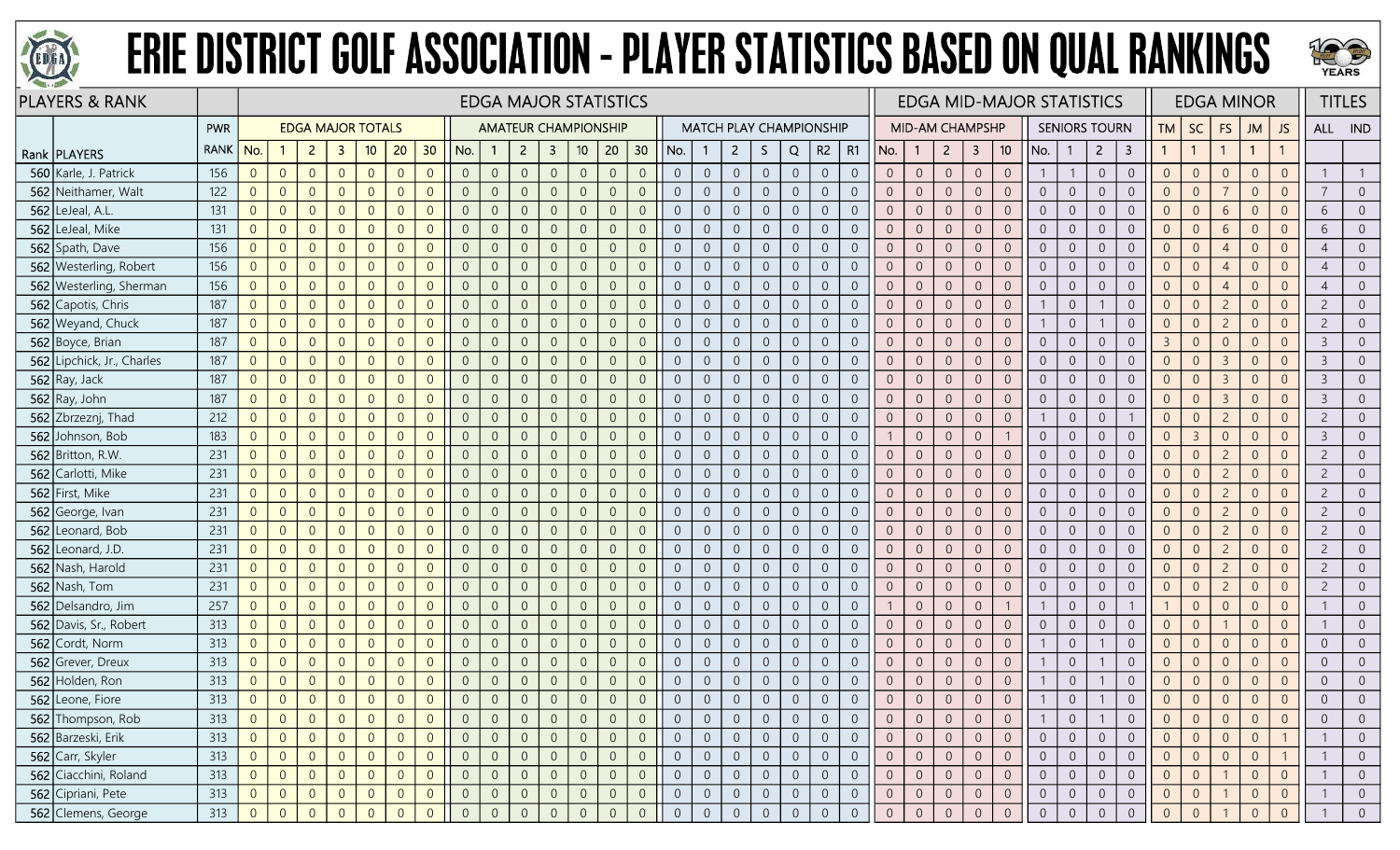



|     | <b>PLAYERS &amp; RANK</b>  |             |                  |                |                |                          |                |                |                |                |                | <b>EDGA MAJOR STATISTICS</b> |                         |                 |                |                  |                |                |                                |                  |                |                |                |                | <b>EDGA MID-MAJOR STATISTICS</b> |                |                |                 |                |                |                      |                         |                |                |                | <b>EDGA MINOR</b> |                |                | <b>TITLES</b>  |
|-----|----------------------------|-------------|------------------|----------------|----------------|--------------------------|----------------|----------------|----------------|----------------|----------------|------------------------------|-------------------------|-----------------|----------------|------------------|----------------|----------------|--------------------------------|------------------|----------------|----------------|----------------|----------------|----------------------------------|----------------|----------------|-----------------|----------------|----------------|----------------------|-------------------------|----------------|----------------|----------------|-------------------|----------------|----------------|----------------|
|     |                            | PWR         |                  |                |                | <b>EDGA MAJOR TOTALS</b> |                |                |                |                |                | <b>AMATEUR CHAMPIONSHIP</b>  |                         |                 |                |                  |                |                | <b>MATCH PLAY CHAMPIONSHIP</b> |                  |                |                |                |                | <b>MID-AM CHAMPSHP</b>           |                |                |                 |                |                | <b>SENIORS TOURN</b> |                         | <b>TM</b>      | SC             | FS             | <b>JM</b>         | JS             | ALL IND        |                |
|     | Rank   PLAYERS             | <b>RANK</b> | No.              | -1             | $\overline{2}$ | $\mathbf{3}$             | 10             | 20             | 30             | No.            |                | $\overline{2}$               | $\overline{\mathbf{3}}$ | 10 <sub>1</sub> | 20             | 30 <sub>o</sub>  | No.            |                | $\overline{2}$                 | S.               | Q              | R2             | R1             | No.            | -1                               | $\overline{2}$ | $\mathbf{3}$   | 10 <sup>°</sup> | No.            | $\overline{1}$ | $\overline{2}$       | $\overline{\mathbf{3}}$ | $\mathbf{1}$   | $\overline{1}$ | $\mathbf{1}$   | $\overline{1}$    |                |                |                |
| 560 | Karle, J. Patrick          | 156         | $\overline{0}$   | $\overline{0}$ | $\overline{0}$ | $\overline{0}$           | $\overline{0}$ | $\overline{0}$ | $\overline{0}$ | $\overline{0}$ | $\overline{0}$ | $\overline{0}$               | $\overline{0}$          | $\sqrt{0}$      | $\overline{0}$ | $\overline{0}$   | $\overline{0}$ | $\theta$       | $\overline{0}$                 | $\overline{0}$   | $\overline{0}$ | $\overline{0}$ | $\overline{0}$ | $\overline{0}$ | $\sqrt{0}$                       | $\overline{0}$ | $\theta$       | $\overline{0}$  |                |                | $\overline{0}$       | $\overline{0}$          | $\overline{0}$ | $\overline{0}$ | $\overline{0}$ | $\overline{0}$    | $\overline{0}$ |                |                |
|     | 562 Neithamer, Walt        | 122         | $\overline{0}$   | $\overline{0}$ | $\overline{0}$ | $\overline{0}$           | $\overline{0}$ | $\Omega$       | $\Omega$       | $\overline{0}$ | $\overline{0}$ | $\Omega$                     | $\overline{0}$          | $\overline{0}$  | $\overline{0}$ | $\overline{0}$   | $\overline{0}$ | $\overline{0}$ | $\overline{0}$                 | $\overline{0}$   | $\overline{0}$ | $\overline{0}$ | $\overline{0}$ | $\overline{0}$ | $\overline{0}$                   | $\overline{0}$ | $\overline{0}$ | $\overline{0}$  | $\overline{0}$ | $\overline{0}$ | $\overline{0}$       | $\overline{0}$          | $\overline{0}$ | $\overline{0}$ | $\overline{7}$ | $\overline{0}$    | $\overline{0}$ | 7              | $\Omega$       |
|     | $562$ LeJeal, A.L.         | 131         | $\overline{0}$   | $\overline{0}$ | $\overline{0}$ | $\Omega$                 | $\overline{0}$ |                | $\Omega$       | $\overline{0}$ | $\overline{0}$ |                              | $\Omega$                | $\Omega$        | $\overline{0}$ | $\overline{0}$   | $\Omega$       | $\overline{0}$ | $\overline{0}$                 | $\overline{0}$   | $\theta$       | $\overline{0}$ | $\Omega$       | $\overline{0}$ | $\overline{0}$                   | $\overline{0}$ | $\theta$       | $\overline{0}$  | $\overline{0}$ | $\overline{0}$ | $\overline{0}$       | $\overline{0}$          | $\overline{0}$ | $\overline{0}$ | 6              | $\Omega$          |                | 6              |                |
|     | 562 LeJeal, Mike           | 131         | $\overline{0}$   | $\overline{0}$ | $\overline{0}$ | $\overline{0}$           | $\overline{0}$ | $\Omega$       | $\Omega$       | $\overline{0}$ | $\overline{0}$ | $\Omega$                     | $\overline{0}$          | $\overline{0}$  | $\overline{0}$ | $\overline{0}$   | $\overline{0}$ | $\overline{0}$ | $\overline{0}$                 | $\overline{0}$   | $\overline{0}$ | $\overline{0}$ | $\overline{0}$ | $\overline{0}$ | $\overline{0}$                   | $\overline{0}$ | $\overline{0}$ | $\overline{0}$  | $\overline{0}$ | $\overline{0}$ | $\overline{0}$       | $\overline{0}$          | $\overline{0}$ | $\overline{0}$ | 6              | $\overline{0}$    | $\overline{0}$ | 6              | $\overline{0}$ |
|     | 562 Spath, Dave            | 156         | $\overline{0}$   | $\overline{0}$ | $\overline{0}$ | $\overline{0}$           | $\overline{0}$ | $\Omega$       | $\Omega$       | $\overline{0}$ | $\mathbf{0}$   | $\Omega$                     | $\overline{0}$          | $\sqrt{0}$      | $\overline{0}$ | $\overline{0}$   | $\overline{0}$ | $\sqrt{0}$     | $\overline{0}$                 | $\mathbf 0$      | $\mathbf{0}$   | $\overline{0}$ | $\overline{0}$ | $\overline{0}$ | $\overline{0}$                   | $\sqrt{0}$     | $\mathbf{0}$   | $\overline{0}$  | $\overline{0}$ | $\overline{0}$ | $\overline{0}$       | $\mathbf 0$             | $\overline{0}$ | $\overline{0}$ | $\overline{4}$ | $\overline{0}$    | $\overline{0}$ | $\overline{4}$ | $\Omega$       |
|     | 562 Westerling, Robert     | 156         | $\overline{0}$   | $\overline{0}$ | $\overline{0}$ | $\overline{0}$           | $\overline{0}$ | $\Omega$       | $\Omega$       | $\overline{0}$ | $\overline{0}$ |                              | $\overline{0}$          | $\overline{0}$  | $\overline{0}$ | $\overline{0}$   | $\overline{0}$ | $\overline{0}$ | $\overline{0}$                 | $\overline{0}$   | $\overline{0}$ | $\overline{0}$ | $\overline{0}$ | $\overline{0}$ | $\overline{0}$                   | $\overline{0}$ | $\mathbf{0}$   | $\overline{0}$  | $\overline{0}$ | $\overline{0}$ | $\overline{0}$       | $\overline{0}$          | $\overline{0}$ | $\overline{0}$ | $\overline{4}$ | $\overline{0}$    | $\overline{0}$ | $\overline{4}$ |                |
|     | 562 Westerling, Sherman    | 156         | $\overline{0}$   | $\overline{0}$ | $\overline{0}$ | $\overline{0}$           | $\overline{0}$ | $\Omega$       | $\Omega$       | $\overline{0}$ | $\overline{0}$ |                              | $\Omega$                | $\overline{0}$  | $\overline{0}$ | $\overline{0}$   | $\Omega$       | $\overline{0}$ | $\overline{0}$                 | $\overline{0}$   | $\theta$       | $\overline{0}$ | $\overline{0}$ | $\overline{0}$ | $\overline{0}$                   | $\overline{0}$ | $\theta$       | $\overline{0}$  | $\overline{0}$ | $\overline{0}$ | $\overline{0}$       | $\overline{0}$          | $\overline{0}$ | $\overline{0}$ | $\overline{4}$ | $\Omega$          |                |                |                |
|     | 562 Capotis, Chris         | 187         | $\overline{0}$   | $\overline{0}$ | $\overline{0}$ | $\Omega$                 | $\overline{0}$ | $\Omega$       | $\Omega$       | $\overline{0}$ | $\overline{0}$ | $\Omega$                     | $\overline{0}$          | $\overline{0}$  | $\overline{0}$ | $\overline{0}$   | $\overline{0}$ | $\overline{0}$ | $\overline{0}$                 | $\mathbf 0$      | $\overline{0}$ | $\overline{0}$ | $\overline{0}$ | $\overline{0}$ | $\sqrt{0}$                       | $\overline{0}$ | $\theta$       | $\overline{0}$  |                | $\overline{0}$ |                      | $\boldsymbol{0}$        | $\overline{0}$ | $\overline{0}$ | $\overline{2}$ | $\overline{0}$    | $\overline{0}$ | $\overline{c}$ | $\Omega$       |
|     | 562 Weyand, Chuck          | 187         | $\overline{0}$   | $\overline{0}$ | $\overline{0}$ | $\overline{0}$           | $\overline{0}$ | $\Omega$       | $\overline{0}$ | $\overline{0}$ | $\mathbf{0}$   | $\Omega$                     | $\overline{0}$          | $\overline{0}$  | $\overline{0}$ | $\overline{0}$   | $\overline{0}$ | $\overline{0}$ | $\overline{0}$                 | $\boldsymbol{0}$ | $\mathbf 0$    | $\sqrt{0}$     | $\overline{0}$ | $\overline{0}$ | $\overline{0}$                   | $\overline{0}$ | $\mathbb O$    | $\overline{0}$  |                | $\overline{0}$ |                      | $\overline{0}$          | $\overline{0}$ | $\overline{0}$ | $\overline{c}$ | $\overline{0}$    | $\overline{0}$ | $\overline{c}$ | $\overline{0}$ |
|     | 562 Boyce, Brian           | 187         | $\overline{0}$   | $\overline{0}$ | $\overline{0}$ | $\overline{0}$           | $\overline{0}$ | $\Omega$       | $\Omega$       | $\overline{0}$ | $\overline{0}$ |                              | $\overline{0}$          | $\overline{0}$  | $\overline{0}$ | $\overline{0}$   | $\overline{0}$ | $\overline{0}$ | $\overline{0}$                 | $\boldsymbol{0}$ | $\overline{0}$ | $\overline{0}$ | $\overline{0}$ | $\overline{0}$ | $\overline{0}$                   | $\overline{0}$ | $\overline{0}$ | $\overline{0}$  | $\overline{0}$ | $\overline{0}$ | $\overline{0}$       | $\overline{0}$          | $\overline{3}$ | $\overline{0}$ | $\overline{0}$ | $\overline{0}$    | $\overline{0}$ | $\overline{3}$ | $\Omega$       |
|     | 562 Lipchick, Jr., Charles | 187         | $\overline{0}$   | $\overline{0}$ | $\overline{0}$ | $\overline{0}$           | $\overline{0}$ |                | $\Omega$       | $\overline{0}$ | $\overline{0}$ | $\Omega$                     | $\overline{0}$          | $\overline{0}$  | $\overline{0}$ | $\overline{0}$   | $\overline{0}$ | $\overline{0}$ | $\overline{0}$                 | $\overline{0}$   | $\overline{0}$ | $\overline{0}$ | $\overline{0}$ | $\overline{0}$ | $\overline{0}$                   | $\overline{0}$ | $\overline{0}$ | $\overline{0}$  | $\overline{0}$ | $\overline{0}$ | $\overline{0}$       | $\overline{0}$          | $\overline{0}$ | $\overline{0}$ | $\overline{3}$ | $\overline{0}$    | $\overline{0}$ | $\overline{3}$ |                |
|     | 562 Ray, Jack              | 187         | $\overline{0}$   | $\overline{0}$ | $\overline{0}$ | $\overline{0}$           | $\overline{0}$ | $\Omega$       | $\Omega$       | $\overline{0}$ | $\overline{0}$ | $\Omega$                     | $\overline{0}$          | $\sqrt{0}$      | $\overline{0}$ | $\overline{0}$   | $\Omega$       | $\overline{0}$ | $\overline{0}$                 | $\boldsymbol{0}$ | $\overline{0}$ | $\overline{0}$ | $\overline{0}$ | $\overline{0}$ | $\overline{0}$                   | $\sqrt{0}$     | $\theta$       | $\overline{0}$  | $\overline{0}$ | $\overline{0}$ | $\overline{0}$       | $\boldsymbol{0}$        | $\overline{0}$ | $\overline{0}$ | $\overline{3}$ | $\overline{0}$    | $\overline{0}$ | $\mathcal{E}$  | $\Omega$       |
|     | 562 Ray, John              | 187         | $\overline{0}$   | $\overline{0}$ | $\overline{0}$ | $\overline{0}$           | $\overline{0}$ | $\Omega$       | $\overline{0}$ | $\overline{0}$ | $\mathbf{0}$   | $\Omega$                     | $\overline{0}$          | $\sqrt{0}$      | $\overline{0}$ | $\overline{0}$   | $\overline{0}$ | $\overline{0}$ | $\overline{0}$                 | $\overline{0}$   | $\overline{0}$ | $\overline{0}$ | $\overline{0}$ | $\overline{0}$ | $\overline{0}$                   | $\overline{0}$ | $\overline{0}$ | $\overline{0}$  | $\overline{0}$ | $\overline{0}$ | $\overline{0}$       | $\boldsymbol{0}$        | $\overline{0}$ | $\overline{0}$ | $\overline{3}$ | $\overline{0}$    | $\overline{0}$ | $\overline{3}$ | $\overline{0}$ |
|     | 562 Zbrzeznj, Thad         | 212         | $\boldsymbol{0}$ | $\overline{0}$ | $\overline{0}$ | $\overline{0}$           | $\overline{0}$ | $\Omega$       | $\Omega$       | $\,0\,$        | $\mathbf{0}$   |                              | $\overline{0}$          | $\overline{0}$  | $\mathbf 0$    | $\overline{0}$   | $\mathbf{0}$   | $\sqrt{0}$     | $\sqrt{0}$                     | $\boldsymbol{0}$ | $\sqrt{0}$     | $\overline{0}$ | $\theta$       | $\overline{0}$ | $\mathbf{0}$                     | $\mathbf 0$    | $\theta$       | $\overline{0}$  |                | $\overline{0}$ | $\theta$             |                         | $\,0\,$        | $\mathbf 0$    | $\overline{c}$ | $\overline{0}$    | $\overline{0}$ | $\overline{c}$ |                |
|     | 562 Johnson, Bob           | 183         | $\overline{0}$   | $\overline{0}$ | $\overline{0}$ | $\Omega$                 | $\overline{0}$ | $\Omega$       | $\Omega$       | $\overline{0}$ | $\overline{0}$ |                              | $\overline{0}$          | $\overline{0}$  | $\overline{0}$ | $\overline{0}$   | $\overline{0}$ | $\Omega$       | $\overline{0}$                 | $\overline{0}$   | $\overline{0}$ | $\overline{0}$ | $\overline{0}$ |                | $\overline{0}$                   | $\overline{0}$ | $\theta$       |                 | $\overline{0}$ | $\overline{0}$ | $\overline{0}$       | $\overline{0}$          | $\overline{0}$ | $\overline{3}$ | $\overline{0}$ | $\overline{0}$    | $\Omega$       | $\mathbf{3}$   | $\overline{0}$ |
|     | 562 Britton, R.W.          | 231         | $\overline{0}$   | $\overline{0}$ | $\overline{0}$ | $\overline{0}$           | $\overline{0}$ | $\Omega$       | $\Omega$       | $\overline{0}$ | $\mathbf{0}$   | $\Omega$                     | $\overline{0}$          | $\mathbf 0$     | $\overline{0}$ | $\overline{0}$   | $\overline{0}$ | $\overline{0}$ | $\overline{0}$                 | $\boldsymbol{0}$ | $\sqrt{0}$     | $\overline{0}$ | $\overline{0}$ | $\sqrt{0}$     | $\overline{0}$                   | $\sqrt{0}$     | $\mathbf 0$    | $\overline{0}$  | $\overline{0}$ | $\overline{0}$ | $\overline{0}$       | $\mathbf 0$             | $\mathbf{0}$   | $\overline{0}$ | $\overline{2}$ | $\overline{0}$    | $\overline{0}$ | $\overline{c}$ |                |
|     | 562 Carlotti, Mike         | 231         | $\overline{0}$   | $\overline{0}$ | $\overline{0}$ | $\overline{0}$           | $\overline{0}$ | $\overline{0}$ | $\overline{0}$ | $\overline{0}$ | $\mathbf{0}$   | $\Omega$                     | $\overline{0}$          | $\overline{0}$  | $\overline{0}$ | $\overline{0}$   | $\overline{0}$ | $\overline{0}$ | $\overline{0}$                 | $\boldsymbol{0}$ | $\sqrt{0}$     | $\overline{0}$ | $\overline{0}$ | $\overline{0}$ | $\overline{0}$                   | $\overline{0}$ | $\overline{0}$ | $\overline{0}$  | $\overline{0}$ | $\overline{0}$ | $\overline{0}$       | $\boldsymbol{0}$        | $\overline{0}$ | $\overline{0}$ | $\overline{c}$ | $\overline{0}$    | $\overline{0}$ | $\overline{c}$ | $\overline{0}$ |
|     | 562 First, Mike            | 231         | $\overline{0}$   | $\overline{0}$ | $\overline{0}$ | $\Omega$                 | $\overline{0}$ | $\Omega$       | $\overline{0}$ | $\overline{0}$ | $\overline{0}$ |                              | $\Omega$                | $\overline{0}$  | $\overline{0}$ | $\overline{0}$   | $\overline{0}$ | $\overline{0}$ | $\overline{0}$                 | $\overline{0}$   | $\theta$       | $\overline{0}$ | $\overline{0}$ | $\overline{0}$ | $\overline{0}$                   | $\overline{0}$ | $\overline{0}$ | $\overline{0}$  | $\overline{0}$ | $\overline{0}$ | $\overline{0}$       | $\mathbf 0$             | $\overline{0}$ | $\overline{0}$ | $\overline{2}$ | $\overline{0}$    | $\overline{0}$ | $\overline{c}$ |                |
|     | 562 George, Ivan           | 231         | $\overline{0}$   | $\overline{0}$ | $\overline{0}$ | $\overline{0}$           | $\overline{0}$ | $\Omega$       | $\Omega$       | $\overline{0}$ | $\overline{0}$ | $\Omega$                     | $\overline{0}$          | $\overline{0}$  | $\overline{0}$ | $\overline{0}$   | $\overline{0}$ | $\overline{0}$ | $\overline{0}$                 | $\boldsymbol{0}$ | $\overline{0}$ | $\overline{0}$ | $\overline{0}$ | $\overline{0}$ | $\overline{0}$                   | $\overline{0}$ | $\overline{0}$ | $\overline{0}$  | $\overline{0}$ | $\overline{0}$ | $\overline{0}$       | $\overline{0}$          | $\overline{0}$ | $\overline{0}$ | $\overline{2}$ | $\overline{0}$    | $\overline{0}$ | $\overline{c}$ | $\overline{0}$ |
|     | 562 Leonard, Bob           | 231         | $\overline{0}$   | $\overline{0}$ | $\overline{0}$ | $\overline{0}$           | $\overline{0}$ | $\Omega$       | $\Omega$       | $\overline{0}$ | $\mathbf{0}$   | $\Omega$                     | $\overline{0}$          | $\sqrt{0}$      | $\overline{0}$ | $\overline{0}$   | $\overline{0}$ | $\overline{0}$ | $\overline{0}$                 | $\overline{0}$   | $\sqrt{0}$     | $\overline{0}$ | $\overline{0}$ | $\overline{0}$ | $\overline{0}$                   | $\sqrt{0}$     | $\mathbf{0}$   | $\overline{0}$  | $\overline{0}$ | $\overline{0}$ | $\overline{0}$       | $\sqrt{0}$              | $\mathbf{0}$   | $\overline{0}$ | $\overline{2}$ | $\overline{0}$    | $\overline{0}$ | $\overline{c}$ | $\Omega$       |
|     | $562$ Leonard, J.D.        | 231         | $\overline{0}$   | $\overline{0}$ | $\overline{0}$ | $\overline{0}$           | $\overline{0}$ | $\overline{0}$ | $\overline{0}$ | $\overline{0}$ | $\overline{0}$ |                              | $\overline{0}$          | $\overline{0}$  | $\overline{0}$ | $\overline{0}$   | $\overline{0}$ | $\overline{0}$ | $\overline{0}$                 | $\boldsymbol{0}$ | $\overline{0}$ | $\overline{0}$ | $\overline{0}$ | $\overline{0}$ | $\overline{0}$                   | $\overline{0}$ | $\overline{0}$ | $\overline{0}$  | $\overline{0}$ | $\overline{0}$ | $\overline{0}$       | $\overline{0}$          | $\overline{0}$ | $\overline{0}$ | $\overline{2}$ | $\overline{0}$    | $\overline{0}$ | $\overline{c}$ | $\overline{0}$ |
|     | 562 Nash, Harold           | 231         | $\overline{0}$   | $\overline{0}$ | $\overline{0}$ | $\overline{0}$           | $\overline{0}$ | $\Omega$       | $\overline{0}$ | $\overline{0}$ | $\overline{0}$ |                              | $\overline{0}$          | $\overline{0}$  | $\overline{0}$ | $\overline{0}$   | $\overline{0}$ | $\overline{0}$ | $\overline{0}$                 | $\overline{0}$   | $\overline{0}$ | $\overline{0}$ | $\overline{0}$ | $\overline{0}$ | $\overline{0}$                   | $\overline{0}$ | $\overline{0}$ | $\overline{0}$  | $\overline{0}$ | $\overline{0}$ | $\overline{0}$       | $\overline{0}$          | $\overline{0}$ | $\overline{0}$ | $\overline{2}$ | $\overline{0}$    | $\overline{0}$ | $\overline{c}$ |                |
|     | 562 Nash, Tom              | 231         | $\overline{0}$   | $\overline{0}$ | $\overline{0}$ | $\overline{0}$           | $\overline{0}$ | $\Omega$       | $\Omega$       | $\overline{0}$ | $\overline{0}$ | $\Omega$                     | $\overline{0}$          | $\overline{0}$  | $\overline{0}$ | $\overline{0}$   | $\overline{0}$ | $\overline{0}$ | $\overline{0}$                 | $\overline{0}$   | $\overline{0}$ | $\overline{0}$ | $\overline{0}$ | $\overline{0}$ | $\overline{0}$                   | $\overline{0}$ | $\overline{0}$ | $\overline{0}$  | $\overline{0}$ | $\overline{0}$ | $\overline{0}$       | $\overline{0}$          | $\overline{0}$ | $\overline{0}$ | $\overline{2}$ | $\overline{0}$    | $\Omega$       | $\overline{c}$ | $\overline{0}$ |
|     | 562 Delsandro, Jim         | 257         | $\overline{0}$   | $\overline{0}$ | $\overline{0}$ | $\overline{0}$           | $\overline{0}$ | $\Omega$       | $\Omega$       | $\overline{0}$ | $\overline{0}$ | $\overline{0}$               | $\overline{0}$          | $\overline{0}$  | $\overline{0}$ | $\overline{0}$   | $\overline{0}$ | $\overline{0}$ | $\overline{0}$                 | $\overline{0}$   | $\overline{0}$ | $\overline{0}$ | $\overline{0}$ |                | $\overline{0}$                   | $\overline{0}$ | $\overline{0}$ | $\overline{1}$  |                | $\overline{0}$ | $\overline{0}$       |                         |                | $\overline{0}$ | $\overline{0}$ | $\overline{0}$    | $\overline{0}$ |                | $\overline{0}$ |
|     | 562 Davis, Sr., Robert     | 313         | $\overline{0}$   | $\overline{0}$ | $\overline{0}$ | $\overline{0}$           | $\overline{0}$ | $\Omega$       | $\overline{0}$ | $\overline{0}$ | $\mathbf{0}$   | $\Omega$                     | $\overline{0}$          | $\sqrt{0}$      | $\overline{0}$ | $\overline{0}$   | $\overline{0}$ | $\overline{0}$ | $\overline{0}$                 | $\overline{0}$   | $\overline{0}$ | $\overline{0}$ | $\overline{0}$ | $\overline{0}$ | $\overline{0}$                   | $\overline{0}$ | $\mathbf{0}$   | $\overline{0}$  | $\overline{0}$ | $\overline{0}$ | $\overline{0}$       | $\sqrt{0}$              | $\overline{0}$ | $\overline{0}$ | $\overline{1}$ | $\overline{0}$    | $\overline{0}$ |                | $\overline{0}$ |
|     | 562 Cordt, Norm            | 313         | $\overline{0}$   | $\overline{0}$ | $\overline{0}$ | $\overline{0}$           | $\overline{0}$ | $\Omega$       | $\Omega$       | $\overline{0}$ | $\overline{0}$ | $\Omega$                     | $\overline{0}$          | $\overline{0}$  | $\overline{0}$ | $\overline{0}$   | $\overline{0}$ | $\overline{0}$ | $\overline{0}$                 | $\overline{0}$   | $\overline{0}$ | $\overline{0}$ | $\overline{0}$ | $\overline{0}$ | $\overline{0}$                   | $\overline{0}$ | $\overline{0}$ | $\overline{0}$  |                | $\overline{0}$ |                      | $\overline{0}$          | $\overline{0}$ | $\overline{0}$ | $\overline{0}$ | $\overline{0}$    | $\overline{0}$ | $\overline{0}$ |                |
|     | 562 Grever, Dreux          | 313         | $\overline{0}$   | $\overline{0}$ | $\overline{0}$ | $\Omega$                 | $\overline{0}$ | $\Omega$       | $\Omega$       | $\overline{0}$ | $\overline{0}$ | $\Omega$                     | $\overline{0}$          | $\overline{0}$  | $\overline{0}$ | $\overline{0}$   | $\Omega$       | $\overline{0}$ | $\overline{0}$                 | $\overline{0}$   | $\overline{0}$ | $\overline{0}$ | $\overline{0}$ | $\overline{0}$ | $\overline{0}$                   | $\overline{0}$ | $\overline{0}$ | $\overline{0}$  |                | $\overline{0}$ |                      | $\overline{0}$          | $\overline{0}$ | $\overline{0}$ | $\overline{0}$ | $\overline{0}$    | $\overline{0}$ | $\overline{0}$ | $\overline{0}$ |
|     | 562 Holden, Ron            | 313         | $\overline{0}$   | $\overline{0}$ | $\overline{0}$ | $\overline{0}$           | $\overline{0}$ | $\Omega$       | $\Omega$       | $\overline{0}$ | $\overline{0}$ | $\Omega$                     | $\overline{0}$          | $\overline{0}$  | $\overline{0}$ | $\overline{0}$   | $\overline{0}$ | $\overline{0}$ | $\overline{0}$                 | $\boldsymbol{0}$ | $\overline{0}$ | $\overline{0}$ | $\overline{0}$ | $\overline{0}$ | $\overline{0}$                   | $\overline{0}$ | $\overline{0}$ | $\overline{0}$  |                | $\overline{0}$ |                      | $\overline{0}$          | $\overline{0}$ | $\overline{0}$ | $\overline{0}$ | $\overline{0}$    | $\overline{0}$ | $\overline{0}$ | $\overline{0}$ |
|     | 562 Leone, Fiore           | 313         | $\overline{0}$   | $\overline{0}$ | $\overline{0}$ | $\overline{0}$           | $\overline{0}$ | $\Omega$       | $\overline{0}$ | $\overline{0}$ | $\Omega$       | $\overline{0}$               | $\overline{0}$          | $\sqrt{0}$      | $\overline{0}$ | $\overline{0}$   |                | $\sqrt{0}$     | $\overline{0}$                 | $\overline{0}$   | $\overline{0}$ | $\overline{0}$ | $\overline{0}$ | $\overline{0}$ | $\mathbf{0}$                     | $\overline{0}$ | $\theta$       | $\overline{0}$  |                | $\overline{0}$ |                      | $\mathbf 0$             | $\overline{0}$ | $\overline{0}$ | $\overline{0}$ | $\overline{0}$    | $\Omega$       | $\overline{0}$ |                |
|     | 562 Thompson, Rob          | 313         | $\overline{0}$   | $\Omega$       | $\overline{0}$ | $\Omega$                 | $\overline{0}$ |                |                | $\overline{0}$ | $\overline{0}$ |                              | $\theta$                | $\overline{0}$  | -0             | $\overline{0}$   | $\overline{0}$ |                | $\overline{0}$                 | $\overline{0}$   | $\overline{0}$ | $\overline{0}$ | $\overline{0}$ | $\overline{0}$ | $\overline{0}$                   | $\overline{0}$ | $\overline{0}$ | $\overline{0}$  |                | $\Omega$       |                      | $\overline{0}$          |                | $\overline{0}$ | $\overline{0}$ | $\Omega$          | 0              | $\overline{0}$ |                |
|     | 562 Barzeski, Erik         | 313         | $\overline{0}$   | $\overline{0}$ | $\overline{0}$ | $\overline{0}$           | $\overline{0}$ | $\Omega$       | $\overline{0}$ | $\overline{0}$ | $\overline{0}$ | $\overline{0}$               | $\overline{0}$          | $\overline{0}$  | $\overline{0}$ | $\overline{0}$   | $\overline{0}$ | $\overline{0}$ | $\overline{0}$                 | $\overline{0}$   | $\overline{0}$ | $\overline{0}$ | $\overline{0}$ | $\overline{0}$ | $\overline{0}$                   | $\overline{0}$ | $\overline{0}$ | $\overline{0}$  | $\overline{0}$ | $\overline{0}$ | $\overline{0}$       | $\overline{0}$          | $\overline{0}$ | $\overline{0}$ | $\overline{0}$ | $\overline{0}$    |                |                | $\Omega$       |
|     | 562 Carr, Skyler           | 313         | $\overline{0}$   | $\overline{0}$ | $\overline{0}$ | $\overline{0}$           | $\overline{0}$ | $\Omega$       | $\overline{0}$ | $\overline{0}$ | $\overline{0}$ | $\overline{0}$               | $\overline{0}$          | $\sqrt{0}$      | $\overline{0}$ | $\boldsymbol{0}$ | $\overline{0}$ | $\overline{0}$ | $\overline{0}$                 | $\overline{0}$   | $\sqrt{0}$     | $\overline{0}$ | $\overline{0}$ | $\overline{0}$ | $\overline{0}$                   | $\overline{0}$ | $\overline{0}$ | $\overline{0}$  | $\overline{0}$ | $\overline{0}$ | $\overline{0}$       | $\boldsymbol{0}$        | $\overline{0}$ | $\overline{0}$ | $\overline{0}$ | $\overline{0}$    |                |                | $\overline{0}$ |
|     | 562 Ciacchini, Roland      | 313         | $\overline{0}$   | $\overline{0}$ | $\overline{0}$ | $\overline{0}$           | $\overline{0}$ | $\Omega$       | $\overline{0}$ | $\overline{0}$ | $\overline{0}$ |                              | $\overline{0}$          | $\sqrt{0}$      | $\overline{0}$ | $\overline{0}$   | $\overline{0}$ | $\overline{0}$ | $\overline{0}$                 | $\overline{0}$   | $\overline{0}$ | $\overline{0}$ | $\overline{0}$ | $\overline{0}$ | $\overline{0}$                   | $\overline{0}$ | $\overline{0}$ | $\overline{0}$  | $\overline{0}$ | $\overline{0}$ | $\overline{0}$       | $\boldsymbol{0}$        | $\overline{0}$ | $\overline{0}$ |                | $\overline{0}$    | $\overline{0}$ |                | $\overline{0}$ |
|     | 562 Cipriani, Pete         | 313         | $\overline{0}$   | $\theta$       | $\overline{0}$ | $\overline{0}$           | $\overline{0}$ |                | $\overline{0}$ | $\overline{0}$ | $\overline{0}$ | $\theta$                     | $\overline{0}$          | $\overline{0}$  | $\overline{0}$ | $\overline{0}$   | $\overline{0}$ | $\overline{0}$ | $\overline{0}$                 | $\overline{0}$   | $\overline{0}$ | $\overline{0}$ | $\overline{0}$ | $\overline{0}$ | $\overline{0}$                   | $\overline{0}$ | $\overline{0}$ | $\overline{0}$  | $\overline{0}$ | $\overline{0}$ | $\overline{0}$       | $\overline{0}$          | $\overline{0}$ | $\overline{0}$ |                | $\overline{0}$    | $\overline{0}$ |                | $\overline{0}$ |
|     | 562 Clemens, George        | 313         | $\overline{0}$   | $\overline{0}$ | $\overline{0}$ | $\overline{0}$           | $\Omega$       |                | $\Omega$       | $\overline{0}$ | $\Omega$       | $\Omega$                     |                         | $\Omega$        | $\overline{0}$ | $\Omega$         | $\Omega$       | $\overline{0}$ | $\overline{0}$                 | $\overline{0}$   | $\overline{0}$ | $\overline{0}$ | $\mathbf 0$    | $\overline{0}$ | $\overline{0}$                   | $\overline{0}$ | $\mathbf{0}$   | $\Omega$        | $\overline{0}$ | $\overline{0}$ | $\overline{0}$       | $\overline{0}$          | $\overline{0}$ | $\Omega$       |                | $\Omega$          |                |                | $\Omega$       |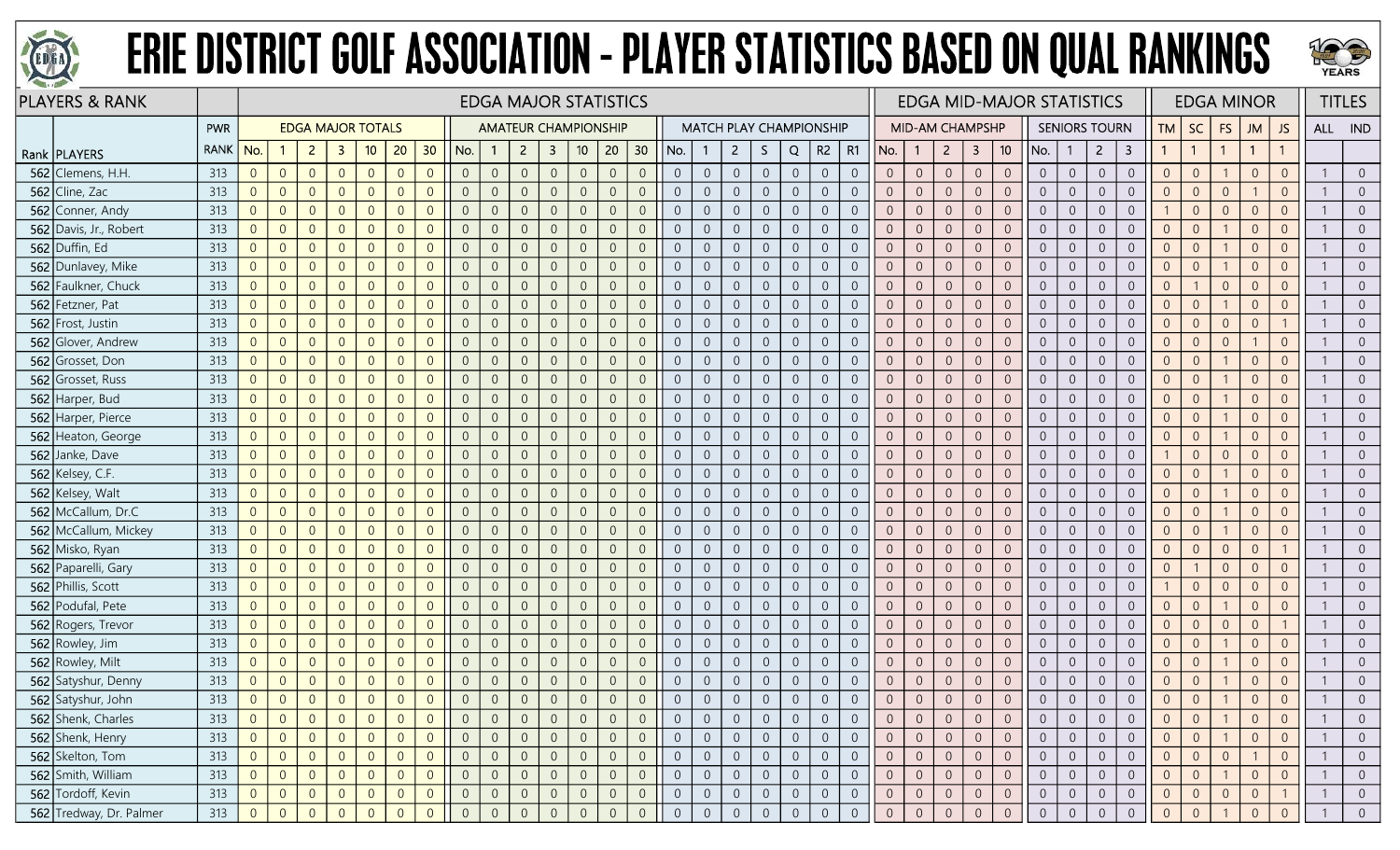



|     | <b>PLAYERS &amp; RANK</b> |             |                |                |                |                |                          |                |                |                |                |                |                         | <b>EDGA MAJOR STATISTICS</b> |                |                 |                |                |                |                  |                |                                |                |                |                        |                  |                |                 | <b>EDGA MID-MAJOR STATISTICS</b> |                |                      |                |                |                | <b>EDGA MINOR</b> |                |                |         | <b>TITLES</b>  |
|-----|---------------------------|-------------|----------------|----------------|----------------|----------------|--------------------------|----------------|----------------|----------------|----------------|----------------|-------------------------|------------------------------|----------------|-----------------|----------------|----------------|----------------|------------------|----------------|--------------------------------|----------------|----------------|------------------------|------------------|----------------|-----------------|----------------------------------|----------------|----------------------|----------------|----------------|----------------|-------------------|----------------|----------------|---------|----------------|
|     |                           | <b>PWR</b>  |                |                |                |                | <b>EDGA MAJOR TOTALS</b> |                |                |                |                |                |                         | <b>AMATEUR CHAMPIONSHIP</b>  |                |                 |                |                |                |                  |                | <b>MATCH PLAY CHAMPIONSHIP</b> |                |                | <b>MID-AM CHAMPSHP</b> |                  |                |                 |                                  |                | <b>SENIORS TOURN</b> |                | <b>TM</b>      | SC             | <b>FS</b>         | <b>JM</b>      | JS.            | ALL IND |                |
|     | Rank   PLAYERS            | <b>RANK</b> | No.            |                | $\overline{2}$ | $\mathbf{3}$   | 10                       | 20             | 30             | No.            | $\overline{1}$ | $\overline{2}$ | $\overline{\mathbf{3}}$ | 10                           | 20             | 30 <sup>°</sup> | No.            |                | $2^{\circ}$    | S.               | Q              | R2                             | R1             | No.            | $\mathbf{1}$           | $2^{\circ}$      | $\overline{3}$ | 10 <sub>1</sub> | No.                              | $\mathbf{1}$   | $\overline{2}$       | 3              |                | $\overline{1}$ |                   | $\mathbf{1}$   |                |         |                |
|     | 562 Clemens, H.H          | 313         | $\overline{0}$ | $\overline{0}$ | $\overline{0}$ | $\overline{0}$ | $\theta$                 | $\overline{0}$ | $\overline{0}$ | $\overline{0}$ | $\overline{0}$ | $\overline{0}$ | $\overline{0}$          | $\overline{0}$               | $\overline{0}$ | $\overline{0}$  | $\overline{0}$ | $\overline{0}$ | $\overline{0}$ | $\overline{0}$   | $\sqrt{0}$     | $\overline{0}$                 | $\overline{0}$ | $\overline{0}$ | $\overline{0}$         | $\sqrt{0}$       | $\overline{0}$ | $\overline{0}$  | $\overline{0}$                   | $\overline{0}$ | $\overline{0}$       | $\overline{0}$ | $\overline{0}$ | $\overline{0}$ |                   | $\Omega$       | $\Omega$       |         | $\overline{0}$ |
|     | 562 Cline, Zac            | 313         | $\overline{0}$ | $\overline{0}$ | $\overline{0}$ |                | $\Omega$                 | $\overline{0}$ | $\Omega$       | $\Omega$       | $\overline{0}$ | $\Omega$       | $\overline{0}$          | $\overline{0}$               | $\overline{0}$ | $\overline{0}$  | $\overline{0}$ | $\overline{0}$ | $\overline{0}$ | $\overline{0}$   | $\overline{0}$ | $\overline{0}$                 |                | $\overline{0}$ | $\overline{0}$         | $\overline{0}$   | $\overline{0}$ | $\Omega$        | $\overline{0}$                   | $\overline{0}$ | $\Omega$             | $\Omega$       | $\Omega$       | $\overline{0}$ | $\Omega$          |                | $\Omega$       |         | $\overline{0}$ |
|     | 562 Conner, Andy          | 313         | $\overline{0}$ | $\overline{0}$ | $\overline{0}$ |                |                          | $\overline{0}$ | $\overline{0}$ | $\overline{0}$ | $\overline{0}$ | $\overline{0}$ | $\overline{0}$          | $\mathbf 0$                  | $\overline{0}$ | $\overline{0}$  | $\overline{0}$ | $\overline{0}$ | $\overline{0}$ | $\overline{0}$   | $\sqrt{0}$     | $\overline{0}$                 | $\Omega$       | $\overline{0}$ | $\overline{0}$         | $\overline{0}$   | $\overline{0}$ | $\overline{0}$  | $\overline{0}$                   | $\overline{0}$ | $\Omega$             | $\overline{0}$ |                | $\overline{0}$ | $\Omega$          | $\Omega$       |                |         | $\overline{0}$ |
|     | 562 Davis, Jr., Robert    | 313         | $\overline{0}$ | $\overline{0}$ | $\overline{0}$ | $\Omega$       | $\overline{0}$           | $\overline{0}$ | $\overline{0}$ | $\Omega$       | $\overline{0}$ | $\overline{0}$ | $\overline{0}$          | $\mathbf 0$                  | $\overline{0}$ | $\overline{0}$  | $\overline{0}$ | $\overline{0}$ | $\overline{0}$ | $\overline{0}$   | $\sqrt{0}$     | $\overline{0}$                 | $\Omega$       | $\overline{0}$ | $\sqrt{0}$             | $\sqrt{0}$       | $\overline{0}$ | $\overline{0}$  | $\overline{0}$                   | $\overline{0}$ | $\overline{0}$       | $\overline{0}$ | $\Omega$       | $\overline{0}$ |                   | $\Omega$       | $\overline{0}$ |         | $\overline{0}$ |
|     | 562 Duffin, Ed            | 313         | $\overline{0}$ | $\theta$       | $\overline{0}$ | $\Omega$       | $\overline{0}$           | $\overline{0}$ | $\overline{0}$ | $\overline{0}$ | $\overline{0}$ | $\overline{0}$ | $\overline{0}$          | $\boldsymbol{0}$             | $\sqrt{0}$     | $\overline{0}$  | $\overline{0}$ | $\overline{0}$ | $\overline{0}$ | $\overline{0}$   | $\,0\,$        | $\overline{0}$                 | $\Omega$       | $\overline{0}$ | $\overline{0}$         | $\mathbf 0$      | $\overline{0}$ | $\overline{0}$  | $\overline{0}$                   | $\overline{0}$ | $\overline{0}$       | $\overline{0}$ | $\overline{0}$ | $\overline{0}$ |                   | $\Omega$       | $\overline{0}$ |         | $\overline{0}$ |
|     | 562 Dunlavey, Mike        | 313         | $\overline{0}$ | $\overline{0}$ | $\overline{0}$ |                | $\overline{0}$           | $\overline{0}$ | $\overline{0}$ | $\Omega$       | $\overline{0}$ | $\overline{0}$ | $\overline{0}$          | $\mathbf 0$                  | $\overline{0}$ | $\overline{0}$  | $\overline{0}$ | $\overline{0}$ | $\overline{0}$ | $\overline{0}$   | $\overline{0}$ | $\overline{0}$                 | $\Omega$       | $\overline{0}$ | $\overline{0}$         | $\overline{0}$   | $\overline{0}$ | $\Omega$        | $\overline{0}$                   | $\overline{0}$ | $\Omega$             | $\overline{0}$ | $\overline{0}$ | $\overline{0}$ |                   | $\Omega$       | $\overline{0}$ |         | $\overline{0}$ |
|     | 562 Faulkner, Chuck       | 313         | $\overline{0}$ | $\overline{0}$ | $\overline{0}$ | $\Omega$       | $\Omega$                 | $\overline{0}$ | $\overline{0}$ | $\Omega$       | $\overline{0}$ | $\Omega$       | $\overline{0}$          | $\overline{0}$               | $\overline{0}$ | $\overline{0}$  | $\overline{0}$ | $\overline{0}$ | $\overline{0}$ | $\overline{0}$   | $\overline{0}$ | $\overline{0}$                 | $\Omega$       | $\overline{0}$ | $\overline{0}$         | $\overline{0}$   | $\overline{0}$ | $\overline{0}$  | $\overline{0}$                   | $\overline{0}$ | $\overline{0}$       | $\overline{0}$ | $\overline{0}$ |                | $\overline{0}$    | $\overline{0}$ | $\Omega$       |         | $\overline{0}$ |
|     | 562 Fetzner, Pat          | 313         | $\overline{0}$ | $\overline{0}$ | $\overline{0}$ | $\Omega$       | $\Omega$                 | $\overline{0}$ | $\overline{0}$ | $\overline{0}$ | $\overline{0}$ | $\overline{0}$ | $\overline{0}$          | $\mathbf 0$                  | $\mathbf{0}$   | $\overline{0}$  | $\overline{0}$ | $\overline{0}$ | $\overline{0}$ | $\overline{0}$   | $\overline{0}$ | $\overline{0}$                 | $\overline{0}$ | $\overline{0}$ | $\overline{0}$         | $\overline{0}$   | $\overline{0}$ | $\overline{0}$  | $\overline{0}$                   | $\overline{0}$ | $\overline{0}$       | $\overline{0}$ | $\overline{0}$ | $\overline{0}$ |                   | $\Omega$       | $\overline{0}$ |         | $\overline{0}$ |
|     | 562 Frost, Justin         | 313         | $\overline{0}$ | $\overline{0}$ | $\overline{0}$ | $\Omega$       | $\Omega$                 | $\overline{0}$ | $\overline{0}$ | $\overline{0}$ | $\overline{0}$ | $\overline{0}$ | $\overline{0}$          | $\overline{0}$               | $\mathbf{0}$   | $\overline{0}$  | $\overline{0}$ | $\overline{0}$ | $\overline{0}$ | $\overline{0}$   | $\overline{0}$ | $\overline{0}$                 | $\Omega$       | $\overline{0}$ | $\overline{0}$         | $\overline{0}$   | $\overline{0}$ | $\overline{0}$  | $\overline{0}$                   | $\overline{0}$ | $\overline{0}$       | $\overline{0}$ | $\overline{0}$ | $\overline{0}$ | $\overline{0}$    | $\Omega$       |                |         | $\overline{0}$ |
|     | 562 Glover, Andrew        | 313         | $\overline{0}$ | $\overline{0}$ | $\overline{0}$ |                | $\Omega$                 | $\overline{0}$ | $\overline{0}$ | $\overline{0}$ | $\overline{0}$ | $\overline{0}$ | $\overline{0}$          | $\mathbf 0$                  | $\overline{0}$ | $\overline{0}$  | $\overline{0}$ | $\overline{0}$ | $\overline{0}$ | $\overline{0}$   | $\overline{0}$ | $\overline{0}$                 |                | $\overline{0}$ | $\overline{0}$         | $\overline{0}$   | $\overline{0}$ | $\Omega$        | $\overline{0}$                   | $\overline{0}$ | $\overline{0}$       | $\overline{0}$ | $\overline{0}$ | $\overline{0}$ | $\Omega$          |                | $\overline{0}$ |         | $\overline{0}$ |
|     | 562 Grosset, Don          | 313         | $\overline{0}$ | $\overline{0}$ | $\overline{0}$ | $\Omega$       | $\Omega$                 | $\overline{0}$ | $\overline{0}$ | $\Omega$       | $\overline{0}$ | $\overline{0}$ | $\overline{0}$          | $\overline{0}$               | $\overline{0}$ | $\overline{0}$  | $\overline{0}$ | $\overline{0}$ | $\overline{0}$ | $\overline{0}$   | $\overline{0}$ | $\overline{0}$                 | $\Omega$       | $\overline{0}$ | $\overline{0}$         | $\overline{0}$   | $\overline{0}$ | $\overline{0}$  | $\overline{0}$                   | $\overline{0}$ | $\overline{0}$       | $\overline{0}$ | $\Omega$       | $\overline{0}$ |                   | $\overline{0}$ | $\Omega$       |         | $\overline{0}$ |
| 562 | Grosset, Russ             | 313         | $\overline{0}$ | $\overline{0}$ | $\overline{0}$ | $\Omega$       | $\overline{0}$           | $\overline{0}$ | $\overline{0}$ | $\overline{0}$ | $\overline{0}$ | $\overline{0}$ | $\overline{0}$          | $\overline{0}$               | $\overline{0}$ | $\overline{0}$  | $\overline{0}$ | $\overline{0}$ | $\overline{0}$ | $\overline{0}$   | $\mathbf 0$    | $\overline{0}$                 | $\Omega$       | $\overline{0}$ | $\overline{0}$         | $\overline{0}$   | $\overline{0}$ | $\overline{0}$  | $\overline{0}$                   | $\mathbf{0}$   | $\overline{0}$       | $\overline{0}$ | $\overline{0}$ | $\overline{0}$ |                   | $\Omega$       | $\Omega$       |         | $\overline{0}$ |
|     | 562 Harper, Bud           | 313         | $\overline{0}$ | $\overline{0}$ | $\overline{0}$ |                | $\Omega$                 | $\overline{0}$ | $\overline{0}$ | $\Omega$       | $\overline{0}$ | $\overline{0}$ | $\overline{0}$          | $\overline{0}$               | $\overline{0}$ | $\overline{0}$  | $\overline{0}$ | $\overline{0}$ | $\overline{0}$ | $\overline{0}$   | $\overline{0}$ | $\overline{0}$                 |                | $\overline{0}$ | $\overline{0}$         | $\overline{0}$   | $\overline{0}$ | $\overline{0}$  | $\overline{0}$                   | $\overline{0}$ | $\overline{0}$       | $\overline{0}$ | $\overline{0}$ | $\overline{0}$ |                   | $\Omega$       | $\overline{0}$ |         | $\overline{0}$ |
|     | 562 Harper, Pierce        | 313         | $\overline{0}$ | $\overline{0}$ | $\overline{0}$ |                | $\Omega$                 | $\overline{0}$ | $\overline{0}$ | $\Omega$       | $\overline{0}$ | $\Omega$       | $\overline{0}$          | $\mathbf 0$                  | $\overline{0}$ | $\overline{0}$  | $\overline{0}$ | $\overline{0}$ | $\overline{0}$ | $\overline{0}$   | $\overline{0}$ | $\overline{0}$                 |                | $\overline{0}$ | $\overline{0}$         | $\overline{0}$   | $\Omega$       | $\Omega$        | $\overline{0}$                   | $\overline{0}$ | $\Omega$             | $\overline{0}$ | $\overline{0}$ | $\overline{0}$ |                   | $\Omega$       |                |         | $\overline{0}$ |
|     | 562 Heaton, George        | 313         | $\overline{0}$ | $\overline{0}$ | $\overline{0}$ | $\Omega$       | $\Omega$                 | $\overline{0}$ | $\overline{0}$ | $\Omega$       | $\overline{0}$ | $\overline{0}$ | $\overline{0}$          | $\overline{0}$               | $\overline{0}$ | $\overline{0}$  | $\overline{0}$ | $\overline{0}$ | $\overline{0}$ | $\overline{0}$   | $\overline{0}$ | $\overline{0}$                 | $\Omega$       | $\overline{0}$ | $\overline{0}$         | $\overline{0}$   | $\overline{0}$ | $\overline{0}$  | $\overline{0}$                   | $\overline{0}$ | $\overline{0}$       | $\overline{0}$ | $\overline{0}$ | $\overline{0}$ |                   | $\Omega$       | $\Omega$       |         | $\overline{0}$ |
| 562 | Janke, Dave               | 313         | $\overline{0}$ | $\overline{0}$ | $\overline{0}$ | $\Omega$       | $\Omega$                 | $\overline{0}$ | $\overline{0}$ | $\overline{0}$ | $\overline{0}$ | $\overline{0}$ | $\overline{0}$          | $\mathbf 0$                  | $\sqrt{0}$     | $\overline{0}$  | $\overline{0}$ | $\overline{0}$ | $\overline{0}$ | $\sqrt{0}$       | $\overline{0}$ | $\overline{0}$                 | $\Omega$       | $\overline{0}$ | $\overline{0}$         | $\overline{0}$   | $\overline{0}$ | $\overline{0}$  | $\overline{0}$                   | $\overline{0}$ | $\overline{0}$       | $\overline{0}$ |                | $\overline{0}$ | $\overline{0}$    | $\Omega$       | $\Omega$       |         | $\overline{0}$ |
|     | 562 Kelsey, C.F.          | 313         | $\overline{0}$ | $\overline{0}$ | $\overline{0}$ |                | $\Omega$                 | $\overline{0}$ | $\overline{0}$ | $\overline{0}$ | $\overline{0}$ | $\overline{0}$ | $\overline{0}$          | $\overline{0}$               | $\overline{0}$ | $\overline{0}$  | $\overline{0}$ | $\overline{0}$ | $\overline{0}$ | $\overline{0}$   | $\overline{0}$ | $\overline{0}$                 | $\Omega$       | $\overline{0}$ | $\overline{0}$         | $\overline{0}$   | $\overline{0}$ | $\Omega$        | $\overline{0}$                   | $\overline{0}$ | $\Omega$             | $\Omega$       | $\Omega$       | $\overline{0}$ |                   | $\Omega$       | $\Omega$       |         | $\overline{0}$ |
|     | 562 Kelsey, Walt          | 313         | $\Omega$       | $\overline{0}$ | $\Omega$       |                | $\Omega$                 | $\overline{0}$ | $\Omega$       |                | $\Omega$       | $\Omega$       | $\overline{0}$          | $\overline{0}$               | $\overline{0}$ | $\overline{0}$  | $\overline{0}$ | $\overline{0}$ | $\overline{0}$ | $\overline{0}$   | $\overline{0}$ | $\overline{0}$                 | $\Omega$       | $\overline{0}$ | $\overline{0}$         | $\overline{0}$   | $\overline{0}$ | $\Omega$        | $\overline{0}$                   | $\overline{0}$ | $\Omega$             | $\overline{0}$ | $\overline{0}$ | $\overline{0}$ |                   | $\Omega$       |                |         | $\overline{0}$ |
|     | 562 McCallum, Dr.C        | 313         | $\overline{0}$ | $\overline{0}$ | $\overline{0}$ | $\Omega$       | $\Omega$                 | $\overline{0}$ | $\overline{0}$ | $\Omega$       | $\overline{0}$ | $\overline{0}$ | $\overline{0}$          | $\overline{0}$               | $\overline{0}$ | $\overline{0}$  | $\overline{0}$ | $\overline{0}$ | $\overline{0}$ | $\overline{0}$   | $\overline{0}$ | $\overline{0}$                 | $\Omega$       | $\overline{0}$ | $\overline{0}$         | $\overline{0}$   | $\overline{0}$ | $\overline{0}$  | $\overline{0}$                   | $\overline{0}$ | $\overline{0}$       | $\overline{0}$ | $\overline{0}$ | $\overline{0}$ |                   | $\overline{0}$ | $\Omega$       |         | $\overline{0}$ |
|     | 562 McCallum, Mickey      | 313         | $\overline{0}$ | $\overline{0}$ | $\overline{0}$ | $\Omega$       | $\overline{0}$           | $\overline{0}$ | $\overline{0}$ | $\overline{0}$ | $\overline{0}$ | $\overline{0}$ | $\overline{0}$          | $\mathbf 0$                  | $\sqrt{0}$     | $\overline{0}$  | $\overline{0}$ | $\overline{0}$ | $\overline{0}$ | $\overline{0}$   | $\mathbf 0$    | $\overline{0}$                 | $\Omega$       | $\overline{0}$ | $\overline{0}$         | $\overline{0}$   | $\overline{0}$ | $\overline{0}$  | $\overline{0}$                   | $\overline{0}$ | $\overline{0}$       | $\overline{0}$ | $\overline{0}$ | $\overline{0}$ |                   | $\overline{0}$ | $\overline{0}$ |         | $\overline{0}$ |
|     | 562 Misko, Ryan           | 313         | $\overline{0}$ | $\overline{0}$ | $\overline{0}$ |                | $\overline{0}$           | $\overline{0}$ | $\overline{0}$ | $\Omega$       | $\overline{0}$ | $\overline{0}$ | $\overline{0}$          | $\mathbf 0$                  | $\overline{0}$ | $\overline{0}$  | $\overline{0}$ | $\overline{0}$ | $\overline{0}$ | $\overline{0}$   | $\overline{0}$ | $\overline{0}$                 |                | $\overline{0}$ | $\overline{0}$         | $\overline{0}$   | $\overline{0}$ | $\Omega$        | $\overline{0}$                   | $\overline{0}$ | $\overline{0}$       | $\Omega$       | $\overline{0}$ | $\overline{0}$ | $\Omega$          | $\Omega$       |                |         | $\overline{0}$ |
|     | 562 Paparelli, Gary       | 313         | $\overline{0}$ | $\overline{0}$ | $\overline{0}$ |                | $\Omega$                 | $\overline{0}$ | $\overline{0}$ |                | $\overline{0}$ | $\overline{0}$ | $\overline{0}$          | $\overline{0}$               | $\overline{0}$ | $\overline{0}$  | $\overline{0}$ | $\overline{0}$ | $\overline{0}$ | $\overline{0}$   | $\sqrt{0}$     | $\overline{0}$                 | $\Omega$       | $\overline{0}$ | $\overline{0}$         | $\overline{0}$   | $\Omega$       | $\overline{0}$  | $\overline{0}$                   | $\overline{0}$ | $\overline{0}$       | $\overline{0}$ | $\overline{0}$ |                | $\Omega$          | $\Omega$       | $\Omega$       |         | $\overline{0}$ |
|     | 562 Phillis, Scott        | 313         | $\overline{0}$ | $\overline{0}$ | $\overline{0}$ | $\Omega$       | $\overline{0}$           | $\overline{0}$ | $\overline{0}$ | $\Omega$       | $\overline{0}$ | $\overline{0}$ | $\overline{0}$          | $\mathbf 0$                  | $\mathbf{0}$   | $\overline{0}$  | $\overline{0}$ | $\overline{0}$ | $\overline{0}$ | $\boldsymbol{0}$ | $\sqrt{0}$     | $\overline{0}$                 | $\overline{0}$ | $\overline{0}$ | $\overline{0}$         | $\sqrt{0}$       | $\overline{0}$ | $\overline{0}$  | $\overline{0}$                   | $\overline{0}$ | $\overline{0}$       | $\overline{0}$ |                | $\overline{0}$ | $\overline{0}$    | $\overline{0}$ | $\Omega$       |         | $\overline{0}$ |
|     | 562 Podufal, Pete         | 313         | $\overline{0}$ | $\overline{0}$ | $\overline{0}$ | $\Omega$       | $\Omega$                 | $\overline{0}$ | $\overline{0}$ | $\Omega$       | $\overline{0}$ | $\overline{0}$ | $\overline{0}$          | $\overline{0}$               | $\overline{0}$ | $\overline{0}$  | $\overline{0}$ | $\overline{0}$ | $\overline{0}$ | $\overline{0}$   | $\sqrt{0}$     | $\overline{0}$                 | $\overline{0}$ | $\overline{0}$ | $\overline{0}$         | $\sqrt{0}$       | $\overline{0}$ | $\overline{0}$  | $\overline{0}$                   | $\overline{0}$ | $\overline{0}$       | $\overline{0}$ | $\overline{0}$ | $\overline{0}$ |                   | $\Omega$       | $\overline{0}$ |         | $\overline{0}$ |
|     | 562 Rogers, Trevor        | 313         | $\overline{0}$ | $\overline{0}$ | $\overline{0}$ |                | $\Omega$                 | $\overline{0}$ | $\overline{0}$ | $\Omega$       | $\overline{0}$ | $\overline{0}$ | $\overline{0}$          | $\mathbf 0$                  | $\overline{0}$ | $\overline{0}$  | $\overline{0}$ | $\overline{0}$ | $\overline{0}$ | $\overline{0}$   | $\overline{0}$ | $\overline{0}$                 |                | $\overline{0}$ | $\overline{0}$         | $\overline{0}$   | $\overline{0}$ | $\Omega$        | $\overline{0}$                   | $\overline{0}$ | $\overline{0}$       | $\Omega$       | $\overline{0}$ | $\overline{0}$ | $\Omega$          | $\Omega$       |                |         | $\overline{0}$ |
|     | 562 Rowley, Jim           | 313         | $\overline{0}$ | $\overline{0}$ | $\overline{0}$ |                | $\Omega$                 | $\overline{0}$ | $\overline{0}$ | $\Omega$       | $\overline{0}$ | $\overline{0}$ | $\overline{0}$          | $\overline{0}$               | $\overline{0}$ | $\overline{0}$  | $\overline{0}$ | $\overline{0}$ | $\overline{0}$ | $\overline{0}$   | $\overline{0}$ | $\overline{0}$                 | $\overline{0}$ | $\overline{0}$ | $\overline{0}$         | $\overline{0}$   | $\overline{0}$ | $\overline{0}$  | $\overline{0}$                   | $\overline{0}$ | $\overline{0}$       | $\overline{0}$ | $\overline{0}$ | $\overline{0}$ |                   | $\Omega$       | $\overline{0}$ |         | $\overline{0}$ |
|     | 562 Rowley, Milt          | 313         | $\overline{0}$ | $\overline{0}$ | $\overline{0}$ | $\Omega$       | $\Omega$                 | $\overline{0}$ | $\overline{0}$ | $\overline{0}$ | $\overline{0}$ | $\overline{0}$ | $\overline{0}$          | $\mathbf 0$                  | $\overline{0}$ | $\overline{0}$  | $\overline{0}$ | $\overline{0}$ | $\overline{0}$ | $\boldsymbol{0}$ | $\sqrt{0}$     | $\overline{0}$                 | $\Omega$       | $\overline{0}$ | $\theta$               | $\boldsymbol{0}$ | $\overline{0}$ | $\overline{0}$  | $\overline{0}$                   | $\overline{0}$ | $\overline{0}$       | $\overline{0}$ | $\overline{0}$ | $\overline{0}$ |                   | $\Omega$       | $\Omega$       |         | $\overline{0}$ |
|     | 562 Satyshur, Denny       | 313         | $\overline{0}$ | $\theta$       | $\overline{0}$ |                | $\overline{0}$           | $\overline{0}$ | $\overline{0}$ | $\overline{0}$ | $\overline{0}$ | $\overline{0}$ | $\overline{0}$          | $\mathbf 0$                  | $\overline{0}$ | $\overline{0}$  | $\sqrt{0}$     | $\overline{0}$ | $\overline{0}$ | $\overline{0}$   | $\sqrt{0}$     | $\overline{0}$                 |                | $\overline{0}$ | $\overline{0}$         | $\boldsymbol{0}$ | $\overline{0}$ | $\overline{0}$  | $\overline{0}$                   | $\overline{0}$ | $\overline{0}$       | $\overline{0}$ | $\overline{0}$ | $\overline{0}$ |                   | $\overline{0}$ | $\overline{0}$ |         | $\overline{0}$ |
|     | 562 Satyshur, John        | 313         | $\overline{0}$ | $\overline{0}$ | $\Omega$       | $\Omega$       | $\overline{0}$           | $\overline{0}$ | $\overline{0}$ |                |                | $\overline{0}$ | $\overline{0}$          | $\overline{0}$               | $\overline{0}$ | $\overline{0}$  |                | $\overline{0}$ | $\overline{0}$ | $\overline{0}$   | $\overline{0}$ | $\Omega$                       |                | $\overline{0}$ | $\overline{0}$         | $\sqrt{0}$       | $\Omega$       |                 | $\overline{0}$                   | $\overline{0}$ |                      | $\Omega$       | $\overline{0}$ | $\overline{0}$ |                   | $\Omega$       |                |         | $\Omega$       |
|     | 562 Shenk, Charles        | 313         | $\overline{0}$ | $\overline{0}$ | $\overline{0}$ |                | $\overline{0}$           | $\overline{0}$ | $\overline{0}$ |                | $\overline{0}$ | $\overline{0}$ | $\overline{0}$          | $\overline{0}$               | $\overline{0}$ | $\overline{0}$  | $\overline{0}$ | $\overline{0}$ | $\overline{0}$ | $\overline{0}$   | $\overline{0}$ | $\overline{0}$                 | $\overline{0}$ | $\overline{0}$ | $\overline{0}$         | $\overline{0}$   | $\overline{0}$ | $\overline{0}$  | $\overline{0}$                   | $\overline{0}$ | $\overline{0}$       | $\overline{0}$ | $\overline{0}$ | $\overline{0}$ |                   | $\overline{0}$ | $\overline{0}$ |         | $\overline{0}$ |
|     | 562 Shenk, Henry          | 313         | $\overline{0}$ | $\overline{0}$ | $\overline{0}$ | $\Omega$       | $\overline{0}$           | $\overline{0}$ | $\overline{0}$ | $\Omega$       | $\overline{0}$ | $\overline{0}$ | $\overline{0}$          | $\overline{0}$               | $\overline{0}$ | $\overline{0}$  | $\overline{0}$ | $\overline{0}$ | $\overline{0}$ | $\overline{0}$   | $\overline{0}$ | $\overline{0}$                 | $\overline{0}$ | $\overline{0}$ | $\overline{0}$         | $\overline{0}$   | $\overline{0}$ | $\overline{0}$  | $\overline{0}$                   | $\overline{0}$ | $\overline{0}$       | $\overline{0}$ | $\overline{0}$ | $\overline{0}$ |                   | $\Omega$       | $\overline{0}$ |         | $\overline{0}$ |
|     | 562 Skelton, Tom          | 313         | $\overline{0}$ | $\overline{0}$ | $\overline{0}$ |                | $\overline{0}$           | $\overline{0}$ | $\overline{0}$ | $\overline{0}$ | $\overline{0}$ | $\mathbf 0$    | $\overline{0}$          | $\overline{0}$               | $\overline{0}$ | $\overline{0}$  | $\overline{0}$ | $\overline{0}$ | $\overline{0}$ | $\overline{0}$   | $\overline{0}$ | $\overline{0}$                 |                | $\overline{0}$ | $\overline{0}$         | $\overline{0}$   | $\overline{0}$ | $\overline{0}$  | $\overline{0}$                   | $\overline{0}$ | $\overline{0}$       | $\overline{0}$ | $\overline{0}$ | $\overline{0}$ | $\overline{0}$    |                | $\overline{0}$ |         | $\overline{0}$ |
|     | 562 Smith, William        | 313         | $\overline{0}$ | $\overline{0}$ | $\overline{0}$ |                | $\overline{0}$           | $\overline{0}$ | $\overline{0}$ |                | $\overline{0}$ | $\overline{0}$ | $\overline{0}$          | $\overline{0}$               | $\overline{0}$ | $\overline{0}$  | $\overline{0}$ | $\overline{0}$ | $\overline{0}$ | $\overline{0}$   | $\overline{0}$ | $\overline{0}$                 | $\overline{0}$ | $\overline{0}$ | $\overline{0}$         | $\overline{0}$   | $\overline{0}$ | $\overline{0}$  | $\overline{0}$                   | $\overline{0}$ | $\overline{0}$       | $\overline{0}$ | $\overline{0}$ | $\overline{0}$ |                   | $\Omega$       | $\overline{0}$ |         | $\overline{0}$ |
|     | 562 Tordoff, Kevin        | 313         | $\overline{0}$ | $\overline{0}$ | $\overline{0}$ | $\overline{0}$ | $\overline{0}$           | $\overline{0}$ | $\overline{0}$ | $\overline{0}$ | $\overline{0}$ | $\overline{0}$ | $\overline{0}$          | $\overline{0}$               | $\overline{0}$ | $\overline{0}$  | $\overline{0}$ | $\overline{0}$ | $\overline{0}$ | $\overline{0}$   | $\overline{0}$ | $\overline{0}$                 | $\overline{0}$ | $\overline{0}$ | $\overline{0}$         | $\overline{0}$   | $\overline{0}$ | $\overline{0}$  | $\overline{0}$                   | $\overline{0}$ | $\overline{0}$       | $\overline{0}$ | $\overline{0}$ | $\overline{0}$ | $\overline{0}$    | $\overline{0}$ |                |         | $\overline{0}$ |
|     | 562 Tredway, Dr. Palmer   | 313         | $\overline{0}$ | $\overline{0}$ | $\Omega$       |                |                          | $\Omega$       | $\Omega$       |                |                | $\overline{0}$ | $\overline{0}$          | $\overline{0}$               | $\overline{0}$ | $\overline{0}$  | $\overline{0}$ | $\overline{0}$ | $\overline{0}$ | $\overline{0}$   | $\overline{0}$ | $\overline{0}$                 | $\Omega$       | $\overline{0}$ | $\overline{0}$         | $\overline{0}$   | $\overline{0}$ |                 | $\overline{0}$                   | $\overline{0}$ |                      |                | $\overline{0}$ |                |                   |                |                |         | $\overline{0}$ |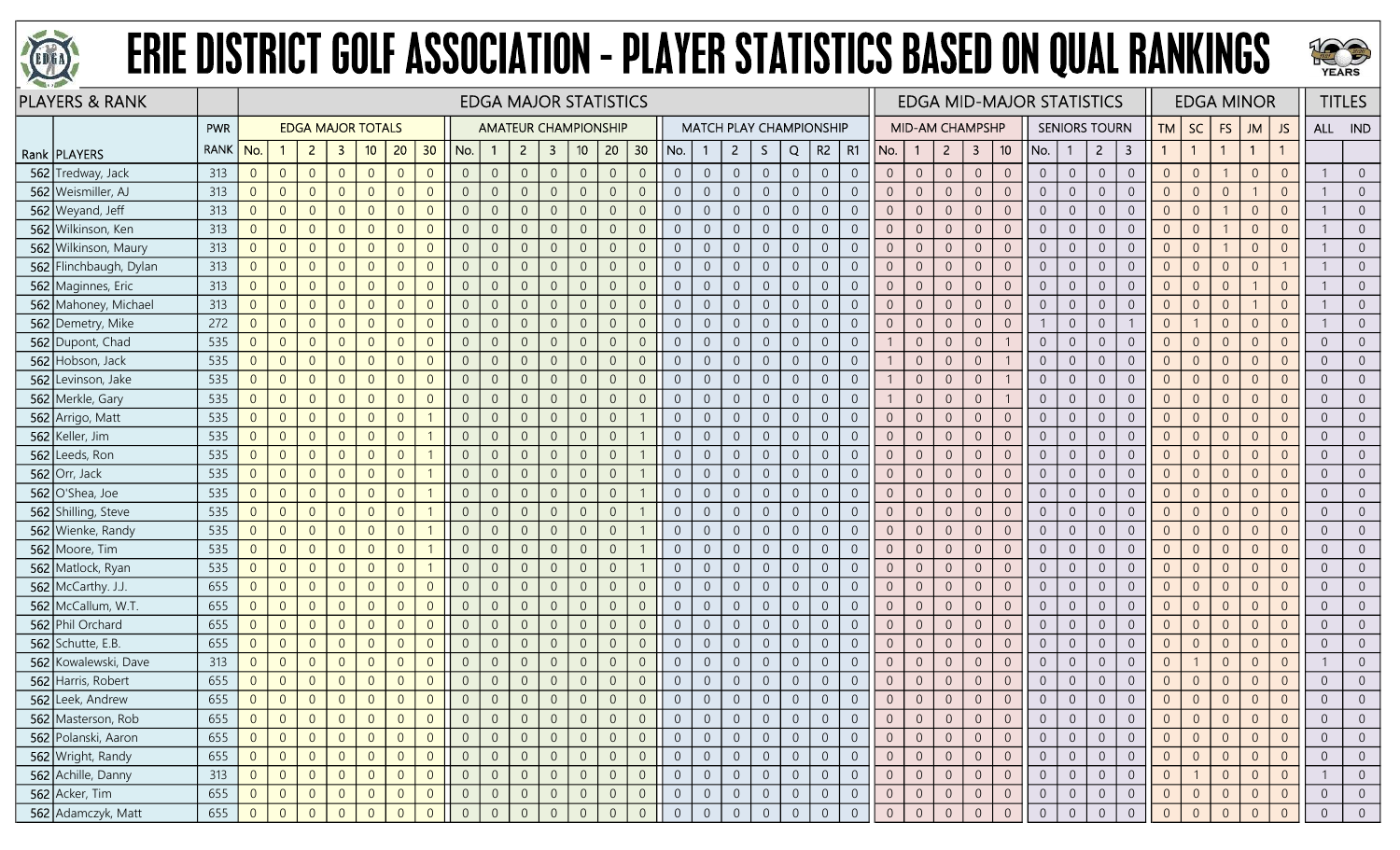



| <b>PLAYERS &amp; RANK</b> |             |                | <b>EDGA MAJOR STATISTICS</b><br><b>EDGA MAJOR TOTALS</b><br><b>AMATEUR CHAMPIONSHIP</b><br><b>MATCH PLAY CHAMPIONSHIP</b> |                |                         |                |                |                 |                |                |                |                         |                 |                |                |     |                                  |                |                |                |                |                | <b>EDGA MID-MAJOR STATISTICS</b> |                        |                  |                |                |                |                  | <b>EDGA MINOR</b>    |                         |                | <b>TITLES</b>  |                |                |                |                |                |
|---------------------------|-------------|----------------|---------------------------------------------------------------------------------------------------------------------------|----------------|-------------------------|----------------|----------------|-----------------|----------------|----------------|----------------|-------------------------|-----------------|----------------|----------------|-----|----------------------------------|----------------|----------------|----------------|----------------|----------------|----------------------------------|------------------------|------------------|----------------|----------------|----------------|------------------|----------------------|-------------------------|----------------|----------------|----------------|----------------|----------------|----------------|----------------|
|                           | PWR         |                |                                                                                                                           |                |                         |                |                |                 |                |                |                |                         |                 |                |                |     |                                  |                |                |                |                |                |                                  | <b>MID-AM CHAMPSHP</b> |                  |                |                |                |                  | <b>SENIORS TOURN</b> |                         | TM             | <b>SC</b>      | <b>FS</b>      | <b>JM</b>      | JS.            |                | ALL IND        |
| Rank   PLAYERS            | <b>RANK</b> | No.            |                                                                                                                           | $\overline{2}$ | $\overline{\mathbf{3}}$ | 10             | 20             | 30 <sup>°</sup> | No.            | $\mathbf{1}$   | $\overline{2}$ | $\overline{\mathbf{3}}$ | 10 <sup>°</sup> | 20             | 30             | No. |                                  | $\overline{2}$ | S.             | Q              | R <sub>2</sub> | R1             | No.                              | $\mathbf{1}$           | $\overline{2}$   | 3              | 10             | No.            |                  | $\overline{2}$       | $\overline{\mathbf{3}}$ |                |                |                | $\overline{1}$ | $\mathbf{1}$   |                |                |
| 562 Tredway, Jack         | 313         | $\overline{0}$ | $\overline{0}$                                                                                                            | $\overline{0}$ | $\overline{0}$          | $\overline{0}$ | $\overline{0}$ | $\overline{0}$  | $\overline{0}$ | $\sqrt{0}$     | $\overline{0}$ | $\overline{0}$          | $\overline{0}$  | $\overline{0}$ | $\overline{0}$ |     | $\overline{0}$<br>$\overline{0}$ | $\overline{0}$ | $\overline{0}$ | $\overline{0}$ | $\overline{0}$ | $\overline{0}$ | $\overline{0}$                   | $\theta$               | $\sqrt{0}$       | $\overline{0}$ | $\overline{0}$ | $\overline{0}$ | $\overline{0}$   | $\overline{0}$       | $\boldsymbol{0}$        | $\overline{0}$ | $\overline{0}$ |                | $\overline{0}$ | $\overline{0}$ |                | $\overline{0}$ |
| 562 Weismiller, AJ        | 313         | $\overline{0}$ | $\Omega$                                                                                                                  | $\overline{0}$ | $\overline{0}$          | $\overline{0}$ | $\overline{0}$ | $\overline{0}$  | $\overline{0}$ | $\overline{0}$ | $\overline{0}$ | $\overline{0}$          | $\overline{0}$  | $\overline{0}$ | $\overline{0}$ |     | $\overline{0}$<br>$\Omega$       | $\overline{0}$ | $\Omega$       | $\overline{0}$ | $\overline{0}$ | $\overline{0}$ |                                  | $\Omega$               | $\overline{0}$   | $\overline{0}$ | $\overline{0}$ | $\overline{0}$ | $\Omega$         | $\overline{0}$       | $\overline{0}$          | $\Omega$       | $\Omega$       | $\overline{0}$ |                | $\overline{0}$ |                | $\Omega$       |
| 562 Weyand, Jeff          | 313         | $\overline{0}$ | $\overline{0}$                                                                                                            | $\overline{0}$ | $\overline{0}$          | $\overline{0}$ | $\overline{0}$ | $\overline{0}$  | $\overline{0}$ | $\overline{0}$ | $\overline{0}$ | $\overline{0}$          | $\overline{0}$  | $\overline{0}$ | $\Omega$       |     | $\overline{0}$<br>$\overline{0}$ | $\overline{0}$ | $\overline{0}$ | $\overline{0}$ | $\overline{0}$ | $\overline{0}$ | $\overline{0}$                   | 0                      | $\overline{0}$   | $\overline{0}$ | $\overline{0}$ | $\overline{0}$ | $\Omega$         | $\overline{0}$       | $\boldsymbol{0}$        | 0              | $\Omega$       |                | $\Omega$       | $\overline{0}$ |                | $\overline{0}$ |
| 562 Wilkinson, Ken        | 313         | $\overline{0}$ | $\overline{0}$                                                                                                            | $\overline{0}$ | $\Omega$                | $\overline{0}$ | $\overline{0}$ | $\overline{0}$  | $\overline{0}$ | $\overline{0}$ | $\overline{0}$ | $\overline{0}$          | $\overline{0}$  | $\overline{0}$ | $\overline{0}$ |     | $\overline{0}$<br>$\overline{0}$ | $\overline{0}$ | $\overline{0}$ | $\overline{0}$ | $\overline{0}$ | $\overline{0}$ | $\Omega$                         | $\overline{0}$         | $\mathbf 0$      | $\overline{0}$ | $\overline{0}$ | $\overline{0}$ | $\overline{0}$   | $\overline{0}$       | $\mathbf 0$             | $\overline{0}$ | $\Omega$       |                | $\overline{0}$ | $\overline{0}$ |                | $\overline{0}$ |
| 562 Wilkinson, Maury      | 313         | $\overline{0}$ | $\overline{0}$                                                                                                            | $\overline{0}$ | $\overline{0}$          | $\overline{0}$ | $\overline{0}$ | $\overline{0}$  | $\overline{0}$ | $\mathbf 0$    | $\overline{0}$ | $\overline{0}$          | $\sqrt{0}$      | $\overline{0}$ | $\overline{0}$ |     | $\overline{0}$<br>$\overline{0}$ | $\overline{0}$ | $\sqrt{0}$     | $\overline{0}$ | $\mathbf 0$    | $\overline{0}$ | $\Omega$                         | $\overline{0}$         | $\mathbf 0$      | $\overline{0}$ | $\mathbf 0$    | $\overline{0}$ | $\overline{0}$   | $\overline{0}$       | $\boldsymbol{0}$        | $\Omega$       | $\overline{0}$ |                | $\overline{0}$ | $\overline{0}$ |                | $\overline{0}$ |
| 562 Flinchbaugh, Dylan    | 313         | $\overline{0}$ | $\overline{0}$                                                                                                            | $\overline{0}$ | $\overline{0}$          | $\overline{0}$ | $\overline{0}$ | $\overline{0}$  | $\overline{0}$ | $\overline{0}$ | $\overline{0}$ | $\overline{0}$          | $\overline{0}$  | $\overline{0}$ | $\overline{0}$ |     | $\overline{0}$<br>$\overline{0}$ | $\overline{0}$ | $\Omega$       | $\overline{0}$ | $\overline{0}$ | $\overline{0}$ |                                  | $\overline{0}$         | $\overline{0}$   | $\overline{0}$ | $\overline{0}$ | $\overline{0}$ | $\overline{0}$   | $\overline{0}$       | $\mathbf 0$             | $\Omega$       | $\overline{0}$ | $\overline{0}$ | $\Omega$       |                |                | $\overline{0}$ |
| 562 Maginnes, Eric        | 313         | $\overline{0}$ | $\overline{0}$                                                                                                            | $\overline{0}$ | $\overline{0}$          | $\overline{0}$ | $\overline{0}$ | $\overline{0}$  | $\overline{0}$ | $\overline{0}$ | $\overline{0}$ | $\overline{0}$          | $\overline{0}$  | $\overline{0}$ | $\overline{0}$ |     | $\overline{0}$<br>$\overline{0}$ | $\overline{0}$ | $\overline{0}$ | $\overline{0}$ | $\overline{0}$ | $\overline{0}$ | $\Omega$                         | $\Omega$               | $\overline{0}$   | $\overline{0}$ | $\overline{0}$ | $\overline{0}$ | $\Omega$         | $\overline{0}$       | $\overline{0}$          | $\overline{0}$ | $\Omega$       | $\overline{0}$ |                | $\overline{0}$ |                | $\overline{0}$ |
| 562 Mahoney, Michael      | 313         | $\overline{0}$ | $\overline{0}$                                                                                                            | $\overline{0}$ | $\overline{0}$          | $\overline{0}$ | $\overline{0}$ | $\overline{0}$  | $\overline{0}$ | $\overline{0}$ | $\overline{0}$ | $\overline{0}$          | $\overline{0}$  | $\overline{0}$ | $\overline{0}$ |     | $\overline{0}$<br>$\overline{0}$ | $\overline{0}$ | $\overline{0}$ | $\overline{0}$ | $\sqrt{0}$     | $\overline{0}$ | $\Omega$                         | $\overline{0}$         | $\mathbf 0$      | $\overline{0}$ | $\overline{0}$ | $\overline{0}$ | $\overline{0}$   | $\overline{0}$       | $\mathbf 0$             | $\overline{0}$ | $\Omega$       | $\overline{0}$ |                | $\overline{0}$ |                | $\overline{0}$ |
| 562 Demetry, Mike         | 272         | $\sqrt{0}$     | $\overline{0}$                                                                                                            | $\overline{0}$ | $\overline{0}$          | $\overline{0}$ | $\overline{0}$ | $\overline{0}$  | $\overline{0}$ | $\overline{0}$ | $\overline{0}$ | $\overline{0}$          | $\overline{0}$  | $\overline{0}$ | $\overline{0}$ |     | $\overline{0}$<br>$\overline{0}$ | $\overline{0}$ | $\overline{0}$ | $\overline{0}$ | $\overline{0}$ | $\overline{0}$ |                                  | $\overline{0}$         | $\overline{0}$   | $\overline{0}$ | $\overline{0}$ |                | $\overline{0}$   | $\overline{0}$       |                         | $\overline{0}$ |                | $\overline{0}$ | $\overline{0}$ | $\overline{0}$ |                | $\overline{0}$ |
| 562 Dupont, Chad          | 535         | $\overline{0}$ | $\overline{0}$                                                                                                            | $\overline{0}$ | $\overline{0}$          | $\overline{0}$ | $\overline{0}$ | $\overline{0}$  | $\overline{0}$ | $\overline{0}$ | $\overline{0}$ | $\overline{0}$          | $\overline{0}$  | $\overline{0}$ | $\overline{0}$ |     | $\overline{0}$<br>$\overline{0}$ | $\overline{0}$ | $\overline{0}$ | $\overline{0}$ | $\overline{0}$ | $\overline{0}$ |                                  | $\overline{0}$         | $\overline{0}$   | $\overline{0}$ |                | $\overline{0}$ | $\overline{0}$   | $\overline{0}$       | $\boldsymbol{0}$        | $\overline{0}$ | $\overline{0}$ | $\overline{0}$ | $\overline{0}$ | $\overline{0}$ |                | $\overline{0}$ |
| 562 Hobson, Jack          | 535         | $\overline{0}$ | $\overline{0}$                                                                                                            | $\overline{0}$ | $\overline{0}$          | $\overline{0}$ | $\overline{0}$ | $\overline{0}$  | $\overline{0}$ | $\overline{0}$ | $\overline{0}$ | $\overline{0}$          | $\overline{0}$  | $\overline{0}$ | $\Omega$       |     | $\overline{0}$<br>$\overline{0}$ | $\overline{0}$ | $\overline{0}$ | $\overline{0}$ | $\overline{0}$ | $\overline{0}$ |                                  | $\overline{0}$         | $\overline{0}$   | $\overline{0}$ |                | $\overline{0}$ | $\overline{0}$   | $\overline{0}$       | $\overline{0}$          | $\Omega$       | $\Omega$       | $\overline{0}$ | $\overline{0}$ | $\overline{0}$ | $\Omega$       | $\overline{0}$ |
| 562 Levinson, Jake        | 535         | $\overline{0}$ | $\overline{0}$                                                                                                            | $\overline{0}$ | $\overline{0}$          | $\overline{0}$ | $\overline{0}$ | $\overline{0}$  | $\overline{0}$ | $\overline{0}$ | $\overline{0}$ | $\overline{0}$          | $\overline{0}$  | $\overline{0}$ | $\overline{0}$ |     | $\overline{0}$<br>$\overline{0}$ | $\overline{0}$ | $\overline{0}$ | $\overline{0}$ | $\sqrt{0}$     | $\overline{0}$ |                                  | $\overline{0}$         | $\sqrt{0}$       | $\overline{0}$ |                | $\overline{0}$ | $\overline{0}$   | $\overline{0}$       | $\overline{0}$          | $\overline{0}$ | $\Omega$       | $\overline{0}$ | $\overline{0}$ | $\overline{0}$ | $\Omega$       | $\overline{0}$ |
| 562 Merkle, Gary          | 535         | $\overline{0}$ | $\overline{0}$                                                                                                            | $\overline{0}$ | $\overline{0}$          | $\overline{0}$ | $\overline{0}$ | $\overline{0}$  | $\overline{0}$ | $\overline{0}$ | $\overline{0}$ | $\overline{0}$          | $\overline{0}$  | $\overline{0}$ | $\overline{0}$ |     | $\overline{0}$<br>$\overline{0}$ | $\overline{0}$ | $\overline{0}$ | $\overline{0}$ | $\overline{0}$ | $\overline{0}$ |                                  | $\overline{0}$         | $\overline{0}$   | $\overline{0}$ |                | $\overline{0}$ | $\overline{0}$   | $\overline{0}$       | $\overline{0}$          | $\Omega$       | $\overline{0}$ | $\overline{0}$ | $\overline{0}$ | $\overline{0}$ | $\Omega$       | $\overline{0}$ |
| 562 Arrigo, Matt          | 535         | $\Omega$       | $\overline{0}$                                                                                                            | $\overline{0}$ | $\overline{0}$          | $\overline{0}$ | $\overline{0}$ |                 | $\overline{0}$ | $\overline{0}$ | $\overline{0}$ | $\overline{0}$          | $\Omega$        | $\overline{0}$ |                |     | $\overline{0}$<br>$\overline{0}$ | $\overline{0}$ | $\Omega$       | $\overline{0}$ | $\overline{0}$ | $\overline{0}$ |                                  | $\Omega$               | $\sqrt{0}$       | $\overline{0}$ | $\sqrt{0}$     | $\Omega$       | $\Omega$         | $\overline{0}$       | $\sqrt{0}$              |                | $\Omega$       | $\Omega$       | $\Omega$       | $\overline{0}$ |                | $\overline{0}$ |
| 562 Keller, Jim           | 535         | $\overline{0}$ | $\overline{0}$                                                                                                            | $\overline{0}$ | $\overline{0}$          | $\overline{0}$ | $\overline{0}$ |                 | $\overline{0}$ | $\overline{0}$ | $\overline{0}$ | $\overline{0}$          | $\overline{0}$  | $\overline{0}$ |                |     | $\overline{0}$<br>$\overline{0}$ | $\overline{0}$ | $\overline{0}$ | $\overline{0}$ | $\overline{0}$ | $\overline{0}$ | $\Omega$                         | $\theta$               | $\overline{0}$   | $\overline{0}$ | $\overline{0}$ | $\overline{0}$ | $\overline{0}$   | $\overline{0}$       | $\overline{0}$          | $\Omega$       | $\Omega$       | $\overline{0}$ | $\overline{0}$ | $\overline{0}$ | $\Omega$       | $\overline{0}$ |
| 562 Leeds, Ron            | 535         | $\Omega$       | $\overline{0}$                                                                                                            | $\overline{0}$ | $\overline{0}$          | $\overline{0}$ | $\overline{0}$ |                 | $\overline{0}$ | $\sqrt{0}$     | $\overline{0}$ | $\overline{0}$          | $\Omega$        | $\overline{0}$ |                |     | $\overline{0}$<br>$\overline{0}$ | $\overline{0}$ | $\overline{0}$ | $\overline{0}$ | $\overline{0}$ | $\overline{0}$ | $\Omega$                         | $\theta$               | $\sqrt{0}$       | $\mathbf{0}$   | $\mathbf{0}$   | $\overline{0}$ | $\overline{0}$   | $\overline{0}$       | $\boldsymbol{0}$        | $\Omega$       | $\Omega$       | $\overline{0}$ | $\overline{0}$ | $\overline{0}$ | $\Omega$       | $\overline{0}$ |
| 562 Orr, Jack             | 535         | $\overline{0}$ | $\overline{0}$                                                                                                            | $\overline{0}$ | $\overline{0}$          | $\overline{0}$ | $\overline{0}$ |                 | $\overline{0}$ | $\overline{0}$ | $\overline{0}$ | $\overline{0}$          | $\Omega$        | $\overline{0}$ |                |     | $\overline{0}$<br>$\overline{0}$ | $\overline{0}$ | $\overline{0}$ | $\overline{0}$ | $\overline{0}$ | $\overline{0}$ |                                  | $\Omega$               | $\overline{0}$   | $\overline{0}$ | $\overline{0}$ | $\overline{0}$ | $\overline{0}$   | $\overline{0}$       | $\mathbf 0$             | $\Omega$       | $\Omega$       | $\overline{0}$ | $\overline{0}$ | $\overline{0}$ | $\Omega$       | $\overline{0}$ |
| 562 O'Shea, Joe           | 535         | $\overline{0}$ | $\overline{0}$                                                                                                            | $\overline{0}$ | $\Omega$                | $\overline{0}$ | $\overline{0}$ |                 | $\overline{0}$ | $\overline{0}$ | $\Omega$       | $\overline{0}$          | $\Omega$        | $\overline{0}$ |                |     | $\overline{0}$<br>$\Omega$       | $\overline{0}$ | $\Omega$       | $\overline{0}$ | $\overline{0}$ | $\overline{0}$ |                                  | $\Omega$               | $\overline{0}$   | $\overline{0}$ | $\overline{0}$ | $\overline{0}$ | $\Omega$         | $\overline{0}$       | $\overline{0}$          |                | $\Omega$       | $\Omega$       | $\Omega$       | $\overline{0}$ |                | $\overline{0}$ |
| 562 Shilling, Steve       | 535         | $\overline{0}$ | $\overline{0}$                                                                                                            | $\overline{0}$ | $\Omega$                | $\overline{0}$ | $\overline{0}$ |                 | $\overline{0}$ | $\overline{0}$ | $\overline{0}$ | $\overline{0}$          | $\overline{0}$  | $\overline{0}$ |                |     | $\overline{0}$<br>$\overline{0}$ | $\overline{0}$ | $\overline{0}$ | $\overline{0}$ | $\overline{0}$ | $\overline{0}$ | $\Omega$                         | $\Omega$               | $\overline{0}$   | $\overline{0}$ | $\overline{0}$ | $\overline{0}$ | $\overline{0}$   | $\overline{0}$       | $\sqrt{0}$              | $\Omega$       | $\Omega$       | $\overline{0}$ | $\overline{0}$ | $\overline{0}$ | $\Omega$       | $\overline{0}$ |
| 562 Wienke, Randy         | 535         | $\sqrt{0}$     | $\overline{0}$                                                                                                            | $\overline{0}$ | $\overline{0}$          | $\overline{0}$ | $\overline{0}$ |                 | $\overline{0}$ | $\overline{0}$ | $\overline{0}$ | $\overline{0}$          | $\overline{0}$  | $\overline{0}$ |                |     | $\overline{0}$<br>$\overline{0}$ | $\overline{0}$ | $\overline{0}$ | $\overline{0}$ | $\sqrt{0}$     | $\sqrt{0}$     | $\Omega$                         | $\overline{0}$         | $\sqrt{0}$       | $\overline{0}$ | $\mathbf 0$    | $\overline{0}$ | $\overline{0}$   | $\overline{0}$       | $\boldsymbol{0}$        | $\overline{0}$ | $\overline{0}$ | $\overline{0}$ | $\overline{0}$ | $\overline{0}$ | $\Omega$       | $\overline{0}$ |
| 562 Moore, Tim            | 535         | $\overline{0}$ | $\overline{0}$                                                                                                            | $\overline{0}$ | $\overline{0}$          | $\overline{0}$ | $\overline{0}$ |                 | $\overline{0}$ | $\overline{0}$ | $\overline{0}$ | $\overline{0}$          | $\Omega$        | $\overline{0}$ |                |     | $\overline{0}$<br>$\overline{0}$ | $\overline{0}$ | $\Omega$       | $\overline{0}$ | $\overline{0}$ | $\overline{0}$ |                                  | $\Omega$               | $\overline{0}$   | $\overline{0}$ | $\overline{0}$ | $\overline{0}$ | $\Omega$         | $\overline{0}$       | $\sqrt{0}$              | $\Omega$       | $\Omega$       | $\overline{0}$ | $\Omega$       | $\overline{0}$ | $\Omega$       | $\overline{0}$ |
| 562 Matlock, Ryan         | 535         | $\overline{0}$ | $\overline{0}$                                                                                                            | $\overline{0}$ | $\overline{0}$          | $\overline{0}$ | $\overline{0}$ |                 | $\overline{0}$ | $\overline{0}$ | $\overline{0}$ | $\overline{0}$          | $\overline{0}$  | $\overline{0}$ |                |     | $\overline{0}$<br>$\overline{0}$ | $\overline{0}$ | $\Omega$       | $\overline{0}$ | $\overline{0}$ | $\overline{0}$ | $\Omega$                         | 0                      | $\overline{0}$   | $\overline{0}$ | $\overline{0}$ | $\overline{0}$ | $\overline{0}$   | $\overline{0}$       | $\overline{0}$          |                | $\Omega$       | $\overline{0}$ | $\overline{0}$ | $\overline{0}$ | $\Omega$       | $\overline{0}$ |
| 562 McCarthy. J.J.        | 655         | $\overline{0}$ | $\overline{0}$                                                                                                            | $\overline{0}$ | $\mathbf{0}$            | $\overline{0}$ | $\overline{0}$ | $\overline{0}$  | $\overline{0}$ | $\overline{0}$ | $\overline{0}$ | $\overline{0}$          | $\overline{0}$  | $\overline{0}$ | $\Omega$       |     | $\overline{0}$<br>$\overline{0}$ | $\overline{0}$ | $\overline{0}$ | $\overline{0}$ | $\sqrt{0}$     | $\overline{0}$ | $\overline{0}$                   | $\overline{0}$         | $\sqrt{0}$       | $\overline{0}$ | $\overline{0}$ | $\overline{0}$ | $\overline{0}$   | $\overline{0}$       | $\boldsymbol{0}$        | $\overline{0}$ | $\Omega$       | $\overline{0}$ | $\overline{0}$ | $\overline{0}$ | $\Omega$       | $\overline{0}$ |
| 562 McCallum, W.T.        | 655         | $\sqrt{0}$     | $\overline{0}$                                                                                                            | $\overline{0}$ | $\overline{0}$          | $\overline{0}$ | $\overline{0}$ | $\overline{0}$  | $\overline{0}$ | $\overline{0}$ | $\overline{0}$ | $\overline{0}$          | $\overline{0}$  | $\overline{0}$ | $\overline{0}$ |     | $\overline{0}$<br>$\overline{0}$ | $\overline{0}$ | $\overline{0}$ | $\overline{0}$ | $\overline{0}$ | $\overline{0}$ | $\overline{0}$                   | $\overline{0}$         | $\overline{0}$   | $\overline{0}$ | $\overline{0}$ | $\overline{0}$ | $\overline{0}$   | $\overline{0}$       | $\boldsymbol{0}$        | $\overline{0}$ | $\overline{0}$ | $\overline{0}$ | $\overline{0}$ | $\overline{0}$ | $\Omega$       | $\overline{0}$ |
| 562 Phil Orchard          | 655         | $\overline{0}$ | $\overline{0}$                                                                                                            | $\overline{0}$ | $\mathbf{0}$            | $\overline{0}$ | $\overline{0}$ | $\overline{0}$  | $\overline{0}$ | $\overline{0}$ | $\overline{0}$ | $\overline{0}$          | $\overline{0}$  | $\overline{0}$ | $\overline{0}$ |     | $\overline{0}$<br>$\overline{0}$ | $\overline{0}$ | $\Omega$       | $\overline{0}$ | $\overline{0}$ | $\overline{0}$ |                                  | $\Omega$               | $\sqrt{0}$       | $\overline{0}$ | $\overline{0}$ | $\overline{0}$ | $\overline{0}$   | $\overline{0}$       | $\mathbf 0$             | $\Omega$       | $\Omega$       | $\overline{0}$ | $\Omega$       | $\overline{0}$ |                | $\overline{0}$ |
| $562$ Schutte, E.B.       | 655         | $\overline{0}$ | $\overline{0}$                                                                                                            | $\overline{0}$ | $\overline{0}$          | $\overline{0}$ | $\overline{0}$ | $\overline{0}$  | $\overline{0}$ | $\overline{0}$ | $\overline{0}$ | $\overline{0}$          | $\overline{0}$  | $\overline{0}$ | $\overline{0}$ |     | $\overline{0}$<br>$\overline{0}$ | $\overline{0}$ | $\overline{0}$ | $\overline{0}$ | $\overline{0}$ | $\overline{0}$ | $\overline{0}$                   | $\overline{0}$         | $\overline{0}$   | $\overline{0}$ | $\overline{0}$ | $\overline{0}$ | $\overline{0}$   | $\overline{0}$       | $\overline{0}$          | $\overline{0}$ | $\Omega$       | $\overline{0}$ | $\overline{0}$ | $\overline{0}$ | $\Omega$       | $\overline{0}$ |
| 562 Kowalewski, Dave      | 313         | $\overline{0}$ | $\overline{0}$                                                                                                            | $\overline{0}$ | $\overline{0}$          | $\overline{0}$ | $\overline{0}$ | $\overline{0}$  | $\overline{0}$ | $\overline{0}$ | $\overline{0}$ | $\overline{0}$          | $\overline{0}$  | $\overline{0}$ | $\Omega$       |     | $\overline{0}$<br>$\overline{0}$ | $\overline{0}$ | $\overline{0}$ | $\overline{0}$ | $\sqrt{0}$     | $\overline{0}$ | $\Omega$                         | $\theta$               | $\mathbf 0$      | $\overline{0}$ | $\sqrt{0}$     | $\overline{0}$ | $\overline{0}$   | $\overline{0}$       | $\mathbf 0$             | $\Omega$       |                | $\overline{0}$ | $\overline{0}$ | $\overline{0}$ |                | $\overline{0}$ |
| 562 Harris, Robert        | 655         | $\sqrt{0}$     | $\theta$                                                                                                                  | $\overline{0}$ | $\overline{0}$          | $\overline{0}$ | $\overline{0}$ | $\overline{0}$  | $\overline{0}$ | $\sqrt{0}$     | $\overline{0}$ | $\overline{0}$          | $\overline{0}$  | $\overline{0}$ | $\overline{0}$ |     | $\overline{0}$<br>$\overline{0}$ | $\overline{0}$ | $\overline{0}$ | $\overline{0}$ | $\overline{0}$ | $\overline{0}$ | $\Omega$                         | $\theta$               | $\boldsymbol{0}$ | $\sqrt{0}$     | $\sqrt{0}$     | $\overline{0}$ | $\boldsymbol{0}$ | $\overline{0}$       | $\mathbf 0$             | $\Omega$       | $\overline{0}$ | $\theta$       | $\overline{0}$ | $\overline{0}$ | $\Omega$       | $\overline{0}$ |
| 562 Leek, Andrew          | 655         | $\overline{0}$ | $\overline{0}$                                                                                                            | $\overline{0}$ | $\overline{0}$          | $\overline{0}$ | $\overline{0}$ | $\overline{0}$  | $\overline{0}$ | $\Omega$       | $\Omega$       | $\overline{0}$          | $\Omega$        | $\overline{0}$ |                |     | $\Omega$                         | $\Omega$       |                | $\overline{0}$ | $\Omega$       | $\overline{0}$ |                                  | $\Omega$               | $\overline{0}$   | $\overline{0}$ | $\Omega$       |                | $\Omega$         | $\overline{0}$       | $\overline{0}$          | $\Omega$       | $\Omega$       | $\Omega$       | $\overline{0}$ | $\overline{0}$ |                |                |
| 562 Masterson, Rob        | 655         | $\overline{0}$ | $\overline{0}$                                                                                                            | $\overline{0}$ | $\overline{0}$          | $\overline{0}$ | $\overline{0}$ | $\overline{0}$  | $\overline{0}$ | $\overline{0}$ | $\overline{0}$ | $\overline{0}$          | $\overline{0}$  | $\overline{0}$ | $\overline{0}$ |     | $\overline{0}$<br>$\overline{0}$ | $\overline{0}$ | $\overline{0}$ | $\overline{0}$ | $\overline{0}$ | $\overline{0}$ |                                  | $\theta$               | $\overline{0}$   | $\overline{0}$ | $\overline{0}$ | $\overline{0}$ | $\Omega$         | $\overline{0}$       | $\overline{0}$          | $\overline{0}$ |                | $\overline{0}$ | $\overline{0}$ | $\overline{0}$ |                | $\overline{0}$ |
| 562 Polanski, Aaron       | 655         | $\overline{0}$ | $\overline{0}$                                                                                                            | $\overline{0}$ | $\overline{0}$          | $\overline{0}$ | $\overline{0}$ | $\overline{0}$  | $\overline{0}$ | $\overline{0}$ | $\overline{0}$ | $\overline{0}$          | $\overline{0}$  | $\overline{0}$ | $\overline{0}$ |     | $\overline{0}$<br>$\overline{0}$ | $\overline{0}$ | $\overline{0}$ | $\overline{0}$ | $\overline{0}$ | $\overline{0}$ | $\overline{0}$                   | $\overline{0}$         | $\overline{0}$   | $\overline{0}$ | $\overline{0}$ | $\overline{0}$ | $\overline{0}$   | $\overline{0}$       | $\overline{0}$          | $\overline{0}$ | $\Omega$       | $\overline{0}$ | $\overline{0}$ | $\overline{0}$ | $\Omega$       | $\overline{0}$ |
| 562 Wright, Randy         | 655         | $\overline{0}$ | $\overline{0}$                                                                                                            | $\overline{0}$ | $\overline{0}$          | $\overline{0}$ | $\overline{0}$ | $\overline{0}$  | $\overline{0}$ | $\overline{0}$ | $\overline{0}$ | $\overline{0}$          | $\overline{0}$  | $\overline{0}$ | $\overline{0}$ |     | $\overline{0}$<br>$\overline{0}$ | $\overline{0}$ | $\sqrt{0}$     | $\overline{0}$ | $\overline{0}$ | $\overline{0}$ | $\overline{0}$                   | $\overline{0}$         | $\overline{0}$   | $\overline{0}$ | $\mathsf{O}$   | $\overline{0}$ | $\overline{0}$   | $\overline{0}$       | $\overline{0}$          | $\overline{0}$ | $\overline{0}$ | $\overline{0}$ | $\overline{0}$ | $\overline{0}$ | $\overline{0}$ | $\overline{0}$ |
| 562 Achille, Danny        | 313         | $\overline{0}$ | $\overline{0}$                                                                                                            | $\overline{0}$ | $\overline{0}$          | $\overline{0}$ | $\overline{0}$ | $\overline{0}$  | $\overline{0}$ | $\overline{0}$ | $\overline{0}$ | $\overline{0}$          | $\overline{0}$  | $\overline{0}$ | $\overline{0}$ |     | $\overline{0}$<br>$\overline{0}$ | $\overline{0}$ | $\overline{0}$ | $\overline{0}$ | $\overline{0}$ | $\overline{0}$ | $\overline{0}$                   | $\overline{0}$         | $\overline{0}$   | $\overline{0}$ | $\overline{0}$ | $\overline{0}$ | $\overline{0}$   | $\overline{0}$       | $\overline{0}$          | $\overline{0}$ |                | $\overline{0}$ | $\overline{0}$ | $\overline{0}$ |                | $\overline{0}$ |
| 562 Acker, Tim            | 655         | $\overline{0}$ | $\overline{0}$                                                                                                            | $\overline{0}$ | $\overline{0}$          | $\overline{0}$ | $\overline{0}$ | $\overline{0}$  | $\overline{0}$ | $\overline{0}$ | $\overline{0}$ | $\overline{0}$          | $\overline{0}$  | $\overline{0}$ | $\overline{0}$ |     | $\overline{0}$<br>$\overline{0}$ | $\overline{0}$ | $\overline{0}$ | $\overline{0}$ | $\overline{0}$ | $\overline{0}$ | $\overline{0}$                   | $\overline{0}$         | $\overline{0}$   | $\overline{0}$ | $\overline{0}$ | $\overline{0}$ | $\overline{0}$   | $\overline{0}$       | $\overline{0}$          | $\overline{0}$ | $\overline{0}$ | $\overline{0}$ | $\overline{0}$ | $\overline{0}$ | $\overline{0}$ | $\overline{0}$ |
| 562 Adamczyk, Matt        | 655         | $\Omega$       | $\overline{0}$                                                                                                            | $\Omega$       | $\Omega$                | $\Omega$       | $\overline{0}$ | $\Omega$        | $\overline{0}$ | $\Omega$       | $\overline{0}$ | $\overline{0}$          | $\Omega$        | $\Omega$       | $\Omega$       |     | $\overline{0}$<br>$\overline{0}$ | $\Omega$       | $\Omega$       | $\overline{0}$ | $\Omega$       | $\overline{0}$ | $\Omega$                         |                        | $\Omega$         | $\overline{0}$ | $\Omega$       |                | $\Omega$         |                      | $\Omega$                |                |                |                | $\Omega$       |                |                | $\Omega$       |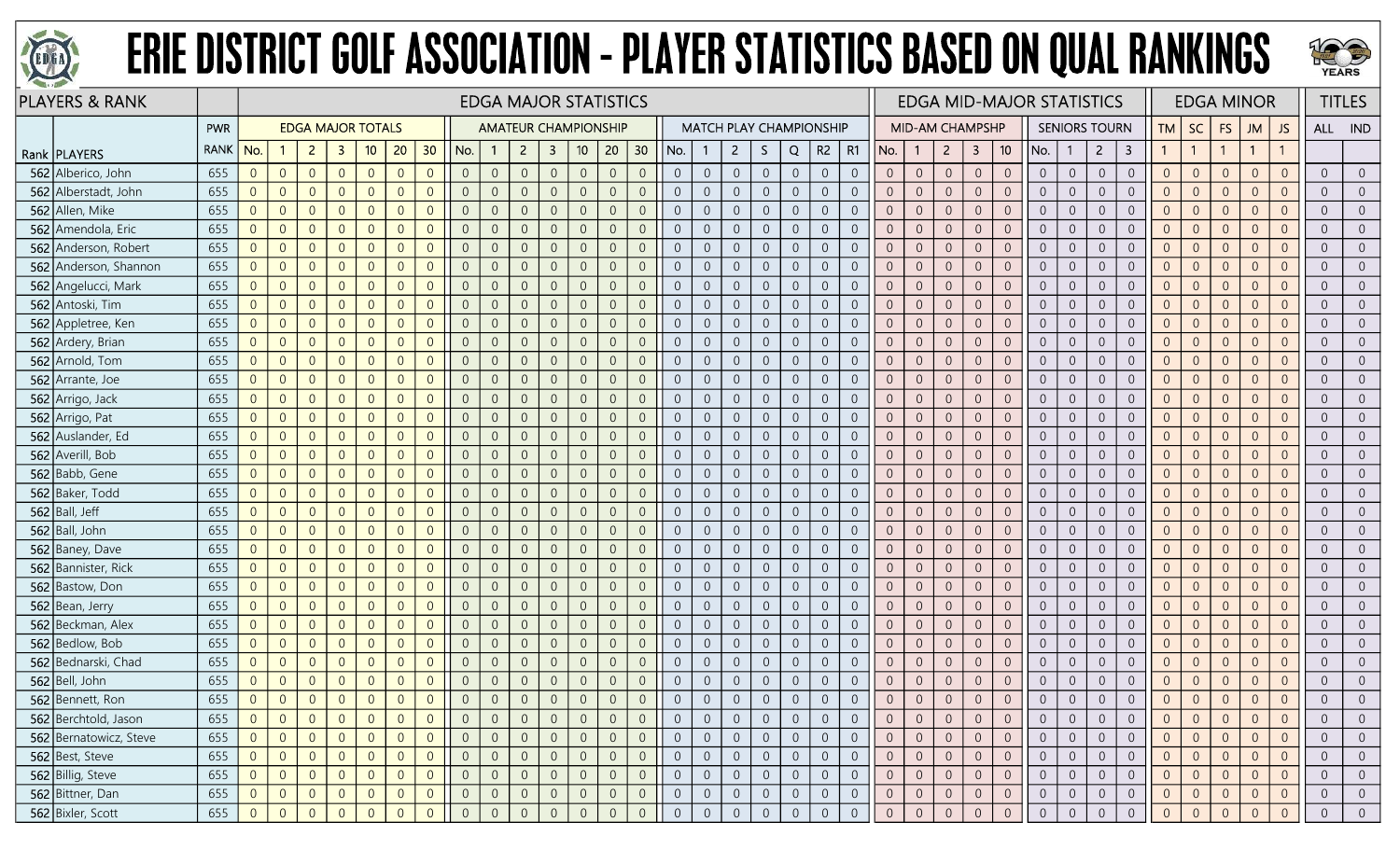



| <b>PLAYERS &amp; RANK</b> |             |                | <b>EDGA MAJOR STATISTICS</b><br><b>EDGA MAJOR TOTALS</b><br><b>AMATEUR CHAMPIONSHIP</b><br><b>MATCH PLAY CHAMPIONSHIP</b> |                |                |                |                |                |                |                |                |                         |                 |                |                |                |                  |                |                  |                |                |                |                | <b>EDGA MID-MAJOR STATISTICS</b> |                  |                |                |                |                |                      | <b>EDGA MINOR</b>       |                |                | <b>TITLES</b>  |                |                |                |                |
|---------------------------|-------------|----------------|---------------------------------------------------------------------------------------------------------------------------|----------------|----------------|----------------|----------------|----------------|----------------|----------------|----------------|-------------------------|-----------------|----------------|----------------|----------------|------------------|----------------|------------------|----------------|----------------|----------------|----------------|----------------------------------|------------------|----------------|----------------|----------------|----------------|----------------------|-------------------------|----------------|----------------|----------------|----------------|----------------|----------------|----------------|
|                           | <b>PWR</b>  |                |                                                                                                                           |                |                |                |                |                |                |                |                |                         |                 |                |                |                |                  |                |                  |                |                |                |                | <b>MID-AM CHAMPSHP</b>           |                  |                |                |                |                | <b>SENIORS TOURN</b> |                         |                | $TM \mid SC$   | <b>FS</b>      | <b>JM</b>      | JS.            |                | ALL IND        |
| Rank   PLAYERS            | <b>RANK</b> | No.            |                                                                                                                           | $\overline{2}$ | $\mathbf{3}$   | 10             | 20             | 30             | No.            | -1             | $\overline{2}$ | $\overline{\mathbf{3}}$ | 10 <sup>°</sup> | 20             | 30             | No.            |                  | $\overline{2}$ | S.               | Q              | R <sub>2</sub> | R1             | No.            | $\overline{1}$                   | $\overline{2}$   | $\mathbf{3}$   | 10             | No.            |                | $\overline{2}$       | $\overline{\mathbf{3}}$ | $\mathbf{1}$   |                |                | $\overline{1}$ | $\mathbf{1}$   |                |                |
| 562 Alberico, John        | 655         | $\overline{0}$ | $\overline{0}$                                                                                                            | $\overline{0}$ | $\overline{0}$ | $\overline{0}$ | $\overline{0}$ | $\overline{0}$ | $\overline{0}$ | $\overline{0}$ | $\overline{0}$ | $\overline{0}$          | $\overline{0}$  | $\overline{0}$ | $\overline{0}$ | $\overline{0}$ | $\overline{0}$   | $\overline{0}$ | $\overline{0}$   | $\overline{0}$ | $\overline{0}$ | $\overline{0}$ | $\overline{0}$ | $\overline{0}$                   | $\overline{0}$   | $\overline{0}$ | $\overline{0}$ | $\overline{0}$ | $\overline{0}$ | $\overline{0}$       | $\overline{0}$          | $\overline{0}$ | $\overline{0}$ | $\overline{0}$ | $\overline{0}$ | $\overline{0}$ | $\Omega$       | $\overline{0}$ |
| 562 Alberstadt, John      | 655         | $\overline{0}$ | $\overline{0}$                                                                                                            | $\overline{0}$ | $\overline{0}$ | $\overline{0}$ | $\overline{0}$ | $\overline{0}$ | $\overline{0}$ | $\overline{0}$ | $\overline{0}$ | $\overline{0}$          | $\overline{0}$  | $\overline{0}$ | $\overline{0}$ | $\overline{0}$ | $\overline{0}$   | $\overline{0}$ | $\Omega$         | $\overline{0}$ | $\overline{0}$ | $\overline{0}$ |                | $\Omega$                         | $\sqrt{0}$       | $\overline{0}$ | $\overline{0}$ | $\overline{0}$ | $\overline{0}$ | $\overline{0}$       | $\mathbf 0$             | $\Omega$       | $\Omega$       | $\overline{0}$ | $\overline{0}$ | $\overline{0}$ | $\Omega$       | $\overline{0}$ |
| 562 Allen, Mike           | 655         | $\overline{0}$ | $\overline{0}$                                                                                                            | $\overline{0}$ | $\overline{0}$ | $\overline{0}$ | $\overline{0}$ | $\overline{0}$ | $\overline{0}$ | $\overline{0}$ | $\overline{0}$ | $\overline{0}$          | $\overline{0}$  | $\overline{0}$ | $\Omega$       | $\overline{0}$ | $\overline{0}$   | $\overline{0}$ | $\Omega$         | $\overline{0}$ | $\overline{0}$ | $\overline{0}$ | $\Omega$       | 0                                | $\overline{0}$   | $\overline{0}$ | $\overline{0}$ | $\overline{0}$ | $\overline{0}$ | $\overline{0}$       | $\overline{0}$          | $\overline{0}$ |                | $\overline{0}$ | $\overline{0}$ | $\overline{0}$ | $\Omega$       | $\overline{0}$ |
| 562 Amendola, Eric        | 655         | $\overline{0}$ | $\overline{0}$                                                                                                            | $\overline{0}$ | $\overline{0}$ | $\overline{0}$ | $\overline{0}$ | $\overline{0}$ | $\overline{0}$ | $\overline{0}$ | $\overline{0}$ | $\overline{0}$          | $\overline{0}$  | $\overline{0}$ | $\Omega$       | $\overline{0}$ | $\overline{0}$   | $\overline{0}$ | $\Omega$         | $\overline{0}$ | $\overline{0}$ | $\overline{0}$ | $\Omega$       | $\overline{0}$                   | $\sqrt{0}$       | $\overline{0}$ | $\overline{0}$ | $\overline{0}$ | $\overline{0}$ | $\overline{0}$       | $\mathbf 0$             | $\overline{0}$ | $\Omega$       | $\overline{0}$ | $\overline{0}$ | $\overline{0}$ | $\Omega$       | $\overline{0}$ |
| 562 Anderson, Robert      | 655         | $\overline{0}$ | $\overline{0}$                                                                                                            | $\overline{0}$ | $\overline{0}$ | $\overline{0}$ | $\overline{0}$ | $\overline{0}$ | $\overline{0}$ | $\overline{0}$ | $\overline{0}$ | $\overline{0}$          | $\overline{0}$  | $\overline{0}$ | $\overline{0}$ | $\overline{0}$ | $\boldsymbol{0}$ | $\overline{0}$ | $\overline{0}$   | $\overline{0}$ | $\overline{0}$ | $\overline{0}$ | $\overline{0}$ | $\overline{0}$                   | $\boldsymbol{0}$ | $\overline{0}$ | $\mathbf 0$    | $\overline{0}$ | $\overline{0}$ | $\overline{0}$       | $\overline{0}$          | $\overline{0}$ | $\overline{0}$ | $\overline{0}$ | $\overline{0}$ | $\overline{0}$ | $\Omega$       | $\overline{0}$ |
| 562 Anderson, Shannon     | 655         | $\mathbf 0$    | $\overline{0}$                                                                                                            | $\overline{0}$ | $\overline{0}$ | $\overline{0}$ | $\overline{0}$ | $\overline{0}$ | $\overline{0}$ | $\overline{0}$ | $\overline{0}$ | $\overline{0}$          | $\theta$        | $\overline{0}$ | $\overline{0}$ | $\overline{0}$ | $\overline{0}$   | $\overline{0}$ | $\Omega$         | $\overline{0}$ | $\overline{0}$ | $\overline{0}$ |                | $\overline{0}$                   | $\sqrt{0}$       | $\overline{0}$ | $\overline{0}$ | $\overline{0}$ | $\overline{0}$ | $\overline{0}$       | $\boldsymbol{0}$        |                | $\Omega$       | $\overline{0}$ | $\Omega$       | $\overline{0}$ |                | $\overline{0}$ |
| 562 Angelucci, Mark       | 655         | $\overline{0}$ | $\overline{0}$                                                                                                            | $\overline{0}$ | $\overline{0}$ | $\overline{0}$ | $\overline{0}$ | $\overline{0}$ | $\overline{0}$ | $\overline{0}$ | $\overline{0}$ | $\overline{0}$          | $\overline{0}$  | $\overline{0}$ | $\overline{0}$ | $\overline{0}$ | $\overline{0}$   | $\overline{0}$ | $\overline{0}$   | $\overline{0}$ | $\overline{0}$ | $\overline{0}$ | $\Omega$       | $\overline{0}$                   | $\overline{0}$   | $\overline{0}$ | $\overline{0}$ | $\overline{0}$ | $\overline{0}$ | $\overline{0}$       | $\boldsymbol{0}$        | $\overline{0}$ | $\Omega$       | $\overline{0}$ | $\Omega$       | $\overline{0}$ |                | $\overline{0}$ |
| 562 Antoski, Tim          | 655         | $\sqrt{0}$     | $\overline{0}$                                                                                                            | $\overline{0}$ | $\overline{0}$ | $\overline{0}$ | $\overline{0}$ | $\overline{0}$ | $\overline{0}$ | $\sqrt{0}$     | $\overline{0}$ | $\overline{0}$          | $\mathbf{0}$    | $\overline{0}$ | $\overline{0}$ | $\overline{0}$ | $\overline{0}$   | $\overline{0}$ | $\sqrt{0}$       | $\overline{0}$ | $\sqrt{0}$     | $\overline{0}$ | $\Omega$       | $\overline{0}$                   | $\mathbf 0$      | $\sqrt{0}$     | $\mathbf{0}$   | $\overline{0}$ | $\overline{0}$ | $\overline{0}$       | $\boldsymbol{0}$        | $\Omega$       | $\overline{0}$ | $\theta$       | $\overline{0}$ | $\overline{0}$ | $\Omega$       | $\overline{0}$ |
| 562 Appletree, Ken        | 655         | $\mathbf 0$    | $\overline{0}$                                                                                                            | $\overline{0}$ | $\mathbf{0}$   | $\overline{0}$ | $\overline{0}$ | $\overline{0}$ | $\overline{0}$ | $\overline{0}$ | $\overline{0}$ | $\overline{0}$          | $\sqrt{0}$      | $\overline{0}$ | $\overline{0}$ | $\overline{0}$ | $\overline{0}$   | $\overline{0}$ | $\overline{0}$   | $\overline{0}$ | $\sqrt{0}$     | $\overline{0}$ | $\overline{0}$ | $\theta$                         | $\mathbf 0$      | $\overline{0}$ | $\overline{0}$ | $\overline{0}$ | $\overline{0}$ | $\sqrt{0}$           | $\boldsymbol{0}$        | $\overline{0}$ | $\overline{0}$ | $\overline{0}$ | $\overline{0}$ | $\overline{0}$ | $\Omega$       | $\mathbf 0$    |
| 562 Ardery, Brian         | 655         | $\overline{0}$ | $\overline{0}$                                                                                                            | $\overline{0}$ | $\Omega$       | $\overline{0}$ | $\overline{0}$ | $\overline{0}$ | $\overline{0}$ | $\overline{0}$ | $\Omega$       | $\overline{0}$          | $\overline{0}$  | $\overline{0}$ | $\overline{0}$ | $\overline{0}$ | $\overline{0}$   | $\overline{0}$ | $\Omega$         | $\overline{0}$ | $\overline{0}$ | $\overline{0}$ |                | $\overline{0}$                   | $\overline{0}$   | $\overline{0}$ | $\overline{0}$ | $\overline{0}$ | $\overline{0}$ | $\overline{0}$       | $\boldsymbol{0}$        | $\Omega$       | $\overline{0}$ | $\overline{0}$ | $\Omega$       | $\overline{0}$ |                | $\overline{0}$ |
| 562 Arnold, Tom           | 655         | $\overline{0}$ | $\overline{0}$                                                                                                            | $\overline{0}$ | $\overline{0}$ | $\overline{0}$ | $\overline{0}$ | $\overline{0}$ | $\overline{0}$ | $\overline{0}$ | $\overline{0}$ | $\overline{0}$          | $\overline{0}$  | $\overline{0}$ | $\Omega$       | $\overline{0}$ | $\overline{0}$   | $\overline{0}$ | $\overline{0}$   | $\overline{0}$ | $\overline{0}$ | $\overline{0}$ | $\Omega$       | $\Omega$                         | $\overline{0}$   | $\overline{0}$ | $\overline{0}$ | $\overline{0}$ | $\overline{0}$ | $\overline{0}$       | $\boldsymbol{0}$        | $\overline{0}$ | $\Omega$       | $\overline{0}$ | $\overline{0}$ | $\overline{0}$ | $\Omega$       | $\overline{0}$ |
| 562 Arrante, Joe          | 655         | $\overline{0}$ | $\overline{0}$                                                                                                            | $\overline{0}$ | $\overline{0}$ | $\overline{0}$ | $\overline{0}$ | $\overline{0}$ | $\overline{0}$ | $\overline{0}$ | $\overline{0}$ | $\overline{0}$          | $\overline{0}$  | $\Omega$       | $\overline{0}$ | $\overline{0}$ | $\overline{0}$   | $\overline{0}$ | $\overline{0}$   | $\overline{0}$ | $\overline{0}$ | $\overline{0}$ | $\overline{0}$ | $\overline{0}$                   | $\sqrt{0}$       | $\overline{0}$ | $\overline{0}$ | $\overline{0}$ | $\overline{0}$ | $\overline{0}$       | $\overline{0}$          | $\overline{0}$ | $\Omega$       | $\overline{0}$ | $\overline{0}$ | $\overline{0}$ | $\Omega$       | $\overline{0}$ |
| 562 Arrigo, Jack          | 655         | $\overline{0}$ | $\overline{0}$                                                                                                            | $\overline{0}$ | $\overline{0}$ | $\overline{0}$ | $\overline{0}$ | $\overline{0}$ | $\overline{0}$ | $\overline{0}$ | $\sqrt{0}$     | $\overline{0}$          | $\overline{0}$  | $\overline{0}$ | $\overline{0}$ | $\overline{0}$ | $\boldsymbol{0}$ | $\overline{0}$ | $\overline{0}$   | $\overline{0}$ | $\sqrt{0}$     | $\overline{0}$ | $\Omega$       | $\overline{0}$                   | $\mathbf 0$      | $\overline{0}$ | $\mathbf 0$    | $\overline{0}$ | $\overline{0}$ | $\overline{0}$       | $\overline{0}$          | $\Omega$       | $\overline{0}$ | $\overline{0}$ | $\overline{0}$ | $\overline{0}$ | $\Omega$       | $\overline{0}$ |
| 562 Arrigo, Pat           | 655         | $\overline{0}$ | $\overline{0}$                                                                                                            | $\overline{0}$ | $\overline{0}$ | $\overline{0}$ | $\overline{0}$ | $\overline{0}$ | $\overline{0}$ | $\overline{0}$ | $\Omega$       | $\overline{0}$          | $\overline{0}$  | $\Omega$       | $\overline{0}$ | $\overline{0}$ | $\overline{0}$   | $\overline{0}$ | $\Omega$         | $\overline{0}$ | $\overline{0}$ | $\overline{0}$ |                | $\overline{0}$                   | $\overline{0}$   | $\overline{0}$ | $\overline{0}$ | $\overline{0}$ | $\Omega$       | $\overline{0}$       | $\overline{0}$          | $\Omega$       | $\Omega$       | $\Omega$       | $\Omega$       | $\overline{0}$ |                | $\overline{0}$ |
| 562 Auslander, Ed         | 655         | $\overline{0}$ | $\overline{0}$                                                                                                            | $\overline{0}$ | $\overline{0}$ | $\overline{0}$ | $\overline{0}$ | $\overline{0}$ | $\overline{0}$ | $\overline{0}$ | $\overline{0}$ | $\overline{0}$          | $\overline{0}$  | $\overline{0}$ | $\Omega$       | $\overline{0}$ | $\overline{0}$   | $\overline{0}$ | $\overline{0}$   | $\overline{0}$ | $\overline{0}$ | $\overline{0}$ | $\overline{0}$ | $\overline{0}$                   | $\overline{0}$   | $\overline{0}$ | $\overline{0}$ | $\overline{0}$ | $\overline{0}$ | $\overline{0}$       | $\sqrt{0}$              | $\overline{0}$ | $\Omega$       | $\overline{0}$ | $\overline{0}$ | $\overline{0}$ | $\Omega$       | $\overline{0}$ |
| 562 Averill, Bob          | 655         | $\overline{0}$ | $\overline{0}$                                                                                                            | $\overline{0}$ | $\overline{0}$ | $\overline{0}$ | $\overline{0}$ | $\overline{0}$ | $\overline{0}$ | $\overline{0}$ | $\overline{0}$ | $\overline{0}$          | $\overline{0}$  | $\overline{0}$ | $\overline{0}$ | $\overline{0}$ | $\overline{0}$   | $\overline{0}$ | $\overline{0}$   | $\overline{0}$ | $\sqrt{0}$     | $\overline{0}$ | $\overline{0}$ | $\overline{0}$                   | $\boldsymbol{0}$ | $\overline{0}$ | $\overline{0}$ | $\overline{0}$ | $\overline{0}$ | $\overline{0}$       | $\overline{0}$          | $\overline{0}$ | $\overline{0}$ | $\overline{0}$ | $\overline{0}$ | $\overline{0}$ | $\Omega$       | $\overline{0}$ |
| 562 Babb, Gene            | 655         | $\overline{0}$ | $\overline{0}$                                                                                                            | $\overline{0}$ | $\overline{0}$ | $\overline{0}$ | $\overline{0}$ | $\overline{0}$ | $\overline{0}$ | $\overline{0}$ | $\overline{0}$ | $\overline{0}$          | $\overline{0}$  | $\overline{0}$ | $\overline{0}$ | $\overline{0}$ | $\overline{0}$   | $\overline{0}$ | $\overline{0}$   | $\overline{0}$ | $\overline{0}$ | $\overline{0}$ | $\Omega$       | $\overline{0}$                   | $\sqrt{0}$       | $\overline{0}$ | $\overline{0}$ | $\overline{0}$ | $\overline{0}$ | $\overline{0}$       | $\sqrt{0}$              | $\overline{0}$ | $\overline{0}$ | $\overline{0}$ | $\overline{0}$ | $\overline{0}$ | $\Omega$       | $\overline{0}$ |
| 562 Baker, Todd           | 655         | $\overline{0}$ | $\overline{0}$                                                                                                            | $\overline{0}$ | $\overline{0}$ | $\overline{0}$ | $\overline{0}$ | $\overline{0}$ | $\overline{0}$ | $\overline{0}$ | $\overline{0}$ | $\overline{0}$          | $\overline{0}$  | $\overline{0}$ | $\overline{0}$ | $\overline{0}$ | $\overline{0}$   | $\overline{0}$ | $\overline{0}$   | $\overline{0}$ | $\overline{0}$ | $\overline{0}$ | $\overline{0}$ | $\overline{0}$                   | $\overline{0}$   | $\overline{0}$ | $\overline{0}$ | $\overline{0}$ | $\overline{0}$ | $\overline{0}$       | $\overline{0}$          | $\overline{0}$ | $\overline{0}$ | $\overline{0}$ | $\overline{0}$ | $\overline{0}$ |                | $\overline{0}$ |
| $562$ Ball, Jeff          | 655         | $\overline{0}$ | $\overline{0}$                                                                                                            | $\overline{0}$ | $\overline{0}$ | $\overline{0}$ | $\overline{0}$ | $\overline{0}$ | $\overline{0}$ | $\overline{0}$ | $\overline{0}$ | $\overline{0}$          | $\overline{0}$  | $\overline{0}$ | $\Omega$       | $\overline{0}$ | $\overline{0}$   | $\overline{0}$ | $\overline{0}$   | $\overline{0}$ | $\overline{0}$ | $\overline{0}$ | $\Omega$       | $\Omega$                         | $\overline{0}$   | $\overline{0}$ | $\overline{0}$ | $\overline{0}$ | $\overline{0}$ | $\overline{0}$       | $\overline{0}$          | $\overline{0}$ | $\Omega$       | $\overline{0}$ | $\overline{0}$ | $\overline{0}$ | $\Omega$       | $\overline{0}$ |
| 562 Ball, John            | 655         | $\Omega$       | $\overline{0}$                                                                                                            | $\overline{0}$ | $\overline{0}$ | $\overline{0}$ | $\overline{0}$ | $\overline{0}$ | $\overline{0}$ | $\overline{0}$ | $\overline{0}$ | $\overline{0}$          | $\overline{0}$  | $\Omega$       | $\overline{0}$ | $\overline{0}$ | $\overline{0}$   | $\overline{0}$ | $\overline{0}$   | $\overline{0}$ | $\mathbf{0}$   | $\overline{0}$ | $\overline{0}$ | $\overline{0}$                   | $\sqrt{0}$       | $\overline{0}$ | $\mathbf{0}$   | $\overline{0}$ | $\sqrt{0}$     | $\overline{0}$       | $\overline{0}$          | $\overline{0}$ | $\Omega$       | $\overline{0}$ | $\overline{0}$ | $\overline{0}$ | $\Omega$       | $\overline{0}$ |
| 562 Baney, Dave           | 655         | $\overline{0}$ | $\overline{0}$                                                                                                            | $\overline{0}$ | $\overline{0}$ | $\overline{0}$ | $\overline{0}$ | $\overline{0}$ | $\overline{0}$ | $\overline{0}$ | $\overline{0}$ | $\overline{0}$          | $\overline{0}$  | $\overline{0}$ | $\overline{0}$ | $\overline{0}$ | $\overline{0}$   | $\overline{0}$ | $\overline{0}$   | $\overline{0}$ | $\overline{0}$ | $\overline{0}$ |                | $\overline{0}$                   | $\overline{0}$   | $\overline{0}$ | $\overline{0}$ | $\overline{0}$ | $\Omega$       | $\overline{0}$       | $\sqrt{0}$              |                | $\Omega$       | $\overline{0}$ | $\overline{0}$ | $\overline{0}$ | $\Omega$       | $\overline{0}$ |
| 562 Bannister, Rick       | 655         | $\overline{0}$ | $\overline{0}$                                                                                                            | $\overline{0}$ | $\overline{0}$ | $\overline{0}$ | $\overline{0}$ | $\overline{0}$ | $\overline{0}$ | $\overline{0}$ | $\overline{0}$ | $\overline{0}$          | $\Omega$        | $\overline{0}$ | $\Omega$       | $\overline{0}$ | $\overline{0}$   | $\overline{0}$ | $\Omega$         | $\overline{0}$ | $\overline{0}$ | $\overline{0}$ | $\Omega$       | $\Omega$                         | $\sqrt{0}$       | $\overline{0}$ | $\sqrt{0}$     | $\Omega$       | $\Omega$       | $\overline{0}$       | $\mathbf 0$             | $\Omega$       | $\Omega$       | $\Omega$       | $\Omega$       | $\overline{0}$ |                | $\Omega$       |
| 562 Bastow, Don           | 655         | $\Omega$       | $\overline{0}$                                                                                                            | $\overline{0}$ | $\overline{0}$ | $\overline{0}$ | $\overline{0}$ | $\overline{0}$ | $\overline{0}$ | $\overline{0}$ | $\overline{0}$ | $\overline{0}$          | $\overline{0}$  | $\overline{0}$ | $\overline{0}$ | $\overline{0}$ | $\overline{0}$   | $\overline{0}$ | $\overline{0}$   | $\overline{0}$ | $\overline{0}$ | $\overline{0}$ | $\Omega$       | $\Omega$                         | $\overline{0}$   | $\overline{0}$ | $\overline{0}$ | $\overline{0}$ | $\overline{0}$ | $\overline{0}$       | $\overline{0}$          | $\Omega$       | $\Omega$       | $\overline{0}$ | $\overline{0}$ | $\overline{0}$ | $\Omega$       | $\overline{0}$ |
| 562 Bean, Jerry           | 655         | $\overline{0}$ | $\overline{0}$                                                                                                            | $\overline{0}$ | $\overline{0}$ | $\overline{0}$ | $\overline{0}$ | $\overline{0}$ | $\overline{0}$ | $\overline{0}$ | $\overline{0}$ | $\overline{0}$          | $\theta$        | $\overline{0}$ | $\overline{0}$ | $\overline{0}$ | $\overline{0}$   | $\overline{0}$ | $\overline{0}$   | $\overline{0}$ | $\mathbf{0}$   | $\overline{0}$ | $\Omega$       | $\overline{0}$                   | $\sqrt{0}$       | $\overline{0}$ | $\mathbf{0}$   | $\overline{0}$ | $\sqrt{0}$     | $\overline{0}$       | $\mathbf 0$             | $\Omega$       | $\Omega$       | $\overline{0}$ | $\overline{0}$ | $\overline{0}$ | $\Omega$       | $\overline{0}$ |
| 562 Beckman, Alex         | 655         | $\overline{0}$ | $\overline{0}$                                                                                                            | $\overline{0}$ | $\overline{0}$ | $\overline{0}$ | $\overline{0}$ | $\overline{0}$ | $\overline{0}$ | $\overline{0}$ | $\overline{0}$ | $\overline{0}$          | $\overline{0}$  | $\overline{0}$ | $\overline{0}$ | $\overline{0}$ | $\overline{0}$   | $\overline{0}$ | $\overline{0}$   | $\overline{0}$ | $\overline{0}$ | $\overline{0}$ |                | $\overline{0}$                   | $\overline{0}$   | $\overline{0}$ | $\overline{0}$ | $\overline{0}$ | $\overline{0}$ | $\overline{0}$       | $\mathbf 0$             | $\Omega$       | $\Omega$       | $\overline{0}$ | $\overline{0}$ | $\overline{0}$ | $\Omega$       | $\overline{0}$ |
| 562 Bedlow, Bob           | 655         | $\overline{0}$ | $\overline{0}$                                                                                                            | $\overline{0}$ | $\overline{0}$ | $\overline{0}$ | $\overline{0}$ | $\overline{0}$ | $\overline{0}$ | $\overline{0}$ | $\overline{0}$ | $\overline{0}$          | $\overline{0}$  | $\overline{0}$ | $\Omega$       | $\overline{0}$ | $\overline{0}$   | $\overline{0}$ | $\Omega$         | $\overline{0}$ | $\overline{0}$ | $\overline{0}$ | $\overline{0}$ | $\overline{0}$                   | $\overline{0}$   | $\overline{0}$ | $\overline{0}$ | $\overline{0}$ | $\overline{0}$ | $\overline{0}$       | $\mathbf 0$             | $\overline{0}$ | $\Omega$       | $\overline{0}$ | $\overline{0}$ | $\overline{0}$ | $\Omega$       | $\overline{0}$ |
| 562 Bednarski, Chad       | 655         | $\overline{0}$ | $\overline{0}$                                                                                                            | $\overline{0}$ | $\overline{0}$ | $\overline{0}$ | $\overline{0}$ | $\overline{0}$ | $\overline{0}$ | $\overline{0}$ | $\overline{0}$ | $\overline{0}$          | $\overline{0}$  | $\overline{0}$ | $\Omega$       | $\overline{0}$ | $\overline{0}$   | $\overline{0}$ | $\Omega$         | $\overline{0}$ | $\overline{0}$ | $\overline{0}$ | $\Omega$       | $\overline{0}$                   | $\overline{0}$   | $\overline{0}$ | $\overline{0}$ | $\overline{0}$ | $\overline{0}$ | $\overline{0}$       | $\boldsymbol{0}$        | $\Omega$       | $\Omega$       | $\overline{0}$ | $\overline{0}$ | $\overline{0}$ | $\Omega$       | $\overline{0}$ |
| 562 Bell, John            | 655         | $\sqrt{0}$     | $\overline{0}$                                                                                                            | $\overline{0}$ | $\overline{0}$ | $\overline{0}$ | $\overline{0}$ | $\overline{0}$ | $\overline{0}$ | $\sqrt{0}$     | $\sqrt{0}$     | $\overline{0}$          | $\theta$        | $\overline{0}$ | $\overline{0}$ | $\overline{0}$ | $\overline{0}$   | $\overline{0}$ | $\sqrt{0}$       | $\overline{0}$ | $\sqrt{0}$     | $\overline{0}$ | $\Omega$       | $\theta$                         | $\sqrt{0}$       | $\overline{0}$ | $\mathbf 0$    | $\overline{0}$ | $\overline{0}$ | $\theta$             | $\boldsymbol{0}$        | $\overline{0}$ | $\overline{0}$ | $\theta$       | $\overline{0}$ | $\overline{0}$ | $\Omega$       | $\overline{0}$ |
| 562 Bennett, Ron          | 655         | $\overline{0}$ | $\overline{0}$                                                                                                            | $\overline{0}$ | $\overline{0}$ | $\overline{0}$ | $\overline{0}$ | $\overline{0}$ | $\overline{0}$ | $\overline{0}$ | $\Omega$       | $\overline{0}$          | $\Omega$        | $\overline{0}$ | $\overline{0}$ | $\overline{0}$ | $\overline{0}$   | $\overline{0}$ | $\Omega$         | $\overline{0}$ | $\overline{0}$ | $\overline{0}$ | $\overline{0}$ | $\overline{0}$                   | $\sqrt{0}$       | $\overline{0}$ | $\overline{0}$ |                | $\overline{0}$ | $\overline{0}$       | $\overline{0}$          | $\overline{0}$ | $\overline{0}$ | $\overline{0}$ | $\overline{0}$ | $\overline{0}$ |                | $\Omega$       |
| 562 Berchtold, Jason      | 655         | $\overline{0}$ | $\overline{0}$                                                                                                            | $\overline{0}$ | $\overline{0}$ | $\overline{0}$ | $\overline{0}$ | $\overline{0}$ | $\overline{0}$ | $\overline{0}$ | $\overline{0}$ | $\overline{0}$          | $\overline{0}$  | 0              |                | $\overline{0}$ | 0                | $\overline{0}$ |                  | $\overline{0}$ | $\overline{0}$ | $\overline{0}$ |                | $\overline{0}$                   | $\overline{0}$   | -0             | $\overline{0}$ | $\overline{0}$ | $\overline{0}$ | $\overline{0}$       | $\overline{0}$          |                |                | $\overline{0}$ |                | $\overline{0}$ |                | $\overline{0}$ |
| 562 Bernatowicz, Steve    | 655         | $\overline{0}$ | $\overline{0}$                                                                                                            | $\overline{0}$ | $\overline{0}$ | $\overline{0}$ | $\overline{0}$ | $\overline{0}$ | $\overline{0}$ | $\overline{0}$ | $\overline{0}$ | $\overline{0}$          | $\overline{0}$  | $\overline{0}$ | $\overline{0}$ | $\overline{0}$ | $\overline{0}$   | $\overline{0}$ | $\overline{0}$   | $\overline{0}$ | $\overline{0}$ | $\overline{0}$ | $\overline{0}$ | $\overline{0}$                   | $\overline{0}$   | $\overline{0}$ | $\overline{0}$ | $\overline{0}$ | $\overline{0}$ | $\overline{0}$       | $\overline{0}$          | $\overline{0}$ | $\Omega$       | $\overline{0}$ | $\overline{0}$ | $\overline{0}$ | $\Omega$       | $\overline{0}$ |
| 562 Best, Steve           | 655         | $\overline{0}$ | $\overline{0}$                                                                                                            | $\overline{0}$ | $\overline{0}$ | $\overline{0}$ | $\overline{0}$ | $\overline{0}$ | $\overline{0}$ | $\overline{0}$ | $\overline{0}$ | $\overline{0}$          | $\overline{0}$  | $\overline{0}$ | $\overline{0}$ | $\overline{0}$ | $\overline{0}$   | $\overline{0}$ | $\overline{0}$   | $\overline{0}$ | $\overline{0}$ | $\overline{0}$ | $\overline{0}$ | $\overline{0}$                   | $\overline{0}$   | $\overline{0}$ | $\overline{0}$ | $\overline{0}$ | $\overline{0}$ | $\overline{0}$       | $\overline{0}$          | $\overline{0}$ | $\overline{0}$ | $\overline{0}$ | $\overline{0}$ | $\overline{0}$ | $\Omega$       | $\overline{0}$ |
| 562 Billig, Steve         | 655         | $\overline{0}$ | $\overline{0}$                                                                                                            | $\overline{0}$ | $\overline{0}$ | $\overline{0}$ | $\overline{0}$ | $\overline{0}$ | $\overline{0}$ | $\overline{0}$ | $\overline{0}$ | $\overline{0}$          | $\mathbf 0$     | $\overline{0}$ | $\overline{0}$ | $\overline{0}$ | $\overline{0}$   | $\overline{0}$ | $\boldsymbol{0}$ | $\overline{0}$ | $\sqrt{0}$     | $\overline{0}$ | $\overline{0}$ | $\overline{0}$                   | $\mathbf 0$      | $\overline{0}$ | $\overline{0}$ | $\overline{0}$ | $\overline{0}$ | $\overline{0}$       | $\overline{0}$          | $\overline{0}$ | $\overline{0}$ | $\overline{0}$ | $\overline{0}$ | $\overline{0}$ | $\Omega$       | $\overline{0}$ |
| 562 Bittner, Dan          | 655         | $\overline{0}$ | $\overline{0}$                                                                                                            | $\overline{0}$ | $\overline{0}$ | $\overline{0}$ | $\overline{0}$ | $\overline{0}$ | $\overline{0}$ | $\overline{0}$ | $\overline{0}$ | $\overline{0}$          | $\overline{0}$  | $\overline{0}$ | $\overline{0}$ | $\overline{0}$ | $\overline{0}$   | $\overline{0}$ | $\overline{0}$   | $\overline{0}$ | $\overline{0}$ | $\overline{0}$ | $\overline{0}$ | $\overline{0}$                   | $\overline{0}$   | $\overline{0}$ | $\overline{0}$ | $\overline{0}$ | $\overline{0}$ | $\overline{0}$       | $\overline{0}$          | $\overline{0}$ |                | $\overline{0}$ | $\overline{0}$ | $\overline{0}$ | $\overline{0}$ | $\overline{0}$ |
| 562 Bixler, Scott         | 655         |                | $\overline{0}$                                                                                                            | $\Omega$       | $\Omega$       | $\Omega$       | $\Omega$       | $\Omega$       | $\Omega$       | $\Omega$       | $\overline{0}$ |                         |                 | $\Omega$       |                | $\Omega$       | $\overline{0}$   |                |                  | $\Omega$       | $\Omega$       | $\Omega$       |                |                                  |                  | $\Omega$       |                |                |                |                      | $\Omega$                |                |                |                |                |                |                | $\overline{0}$ |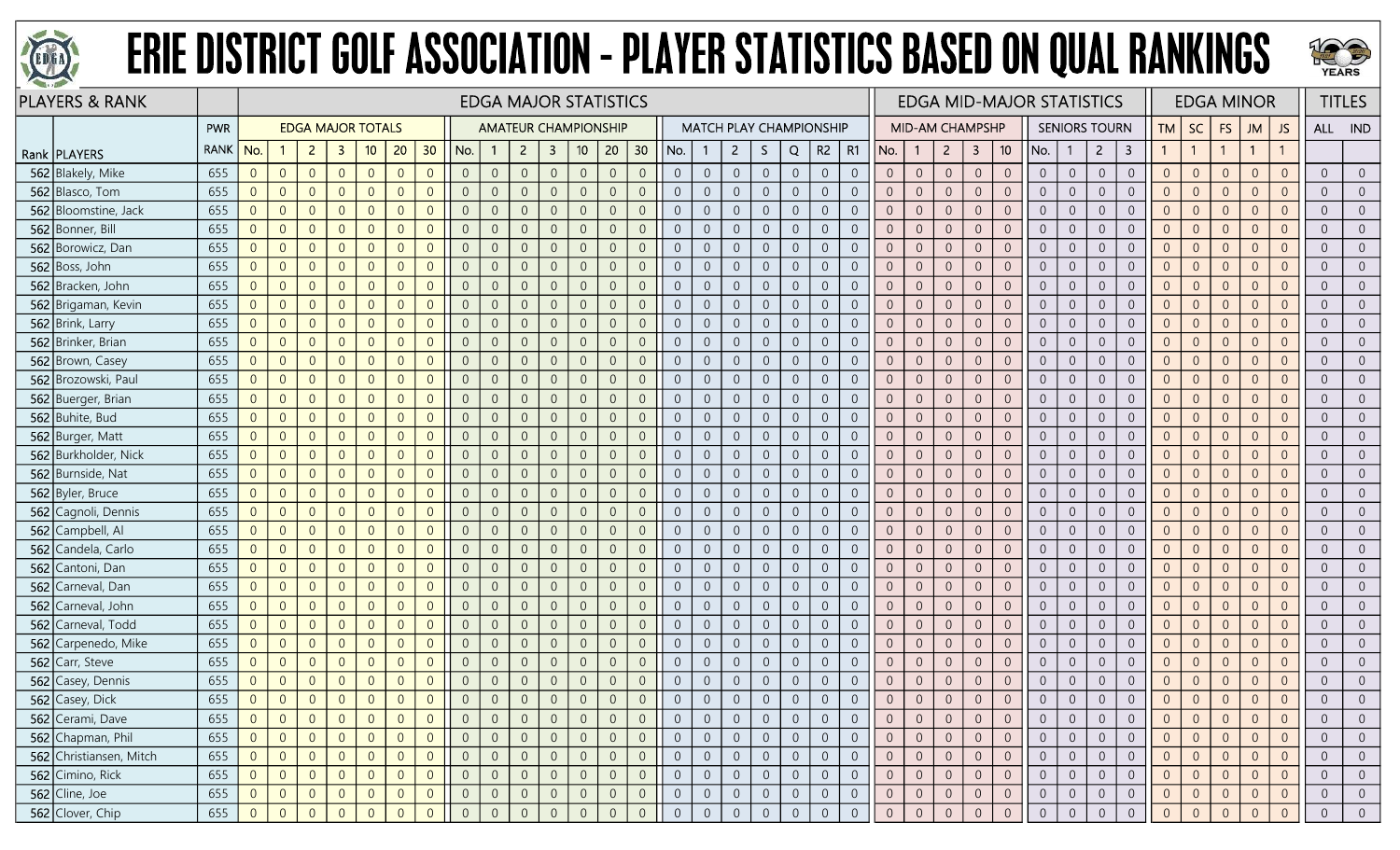



|     | <b>PLAYERS &amp; RANK</b> |             |                |                |                |                          |                |                |                |                |                | <b>EDGA MAJOR STATISTICS</b> |                |                  |                |                 |                  |                |                |                |                |                                |                |                |                 |                  |                |                 | <b>EDGA MID-MAJOR STATISTICS</b> |                |                      |                |                |                |                | <b>EDGA MINOR</b> |                |                | <b>TITLES</b>  |
|-----|---------------------------|-------------|----------------|----------------|----------------|--------------------------|----------------|----------------|----------------|----------------|----------------|------------------------------|----------------|------------------|----------------|-----------------|------------------|----------------|----------------|----------------|----------------|--------------------------------|----------------|----------------|-----------------|------------------|----------------|-----------------|----------------------------------|----------------|----------------------|----------------|----------------|----------------|----------------|-------------------|----------------|----------------|----------------|
|     |                           | <b>PWR</b>  |                |                |                | <b>EDGA MAJOR TOTALS</b> |                |                |                |                |                | <b>AMATEUR CHAMPIONSHIP</b>  |                |                  |                |                 |                  |                |                |                |                | <b>MATCH PLAY CHAMPIONSHIP</b> |                |                | MID-AM CHAMPSHP |                  |                |                 |                                  |                | <b>SENIORS TOURN</b> |                | TМ             | SC             | <b>FS</b>      | <b>ML</b>         | <b>JS</b>      | ALL IND        |                |
|     | Rank   PLAYERS            | <b>RANK</b> | No.            |                | $\overline{2}$ | -3                       | 10             | 20             | 30             | No.            |                | $\overline{2}$               | $\mathbf{3}$   | 10 <sub>10</sub> | 20             | 30 <sub>2</sub> | No.              |                | $\mathbf{2}$   | S.             | Q              | R2                             | R1             | No.            | $\mathbf{1}$    | $\overline{2}$   | 3              | 10 <sup>°</sup> | No.                              | -1             | $\overline{2}$       | 3              |                | $\overline{1}$ |                | $\mathbf{1}$      |                |                |                |
|     | 562 Blakely, Mike         | 655         | $\overline{0}$ | $\overline{0}$ | $\overline{0}$ | $\overline{0}$           | $\overline{0}$ | $\Omega$       | $\overline{0}$ | $\overline{0}$ | $\overline{0}$ | $\overline{0}$               | $\overline{0}$ | $\overline{0}$   | $\overline{0}$ | $\overline{0}$  | $\overline{0}$   | $\overline{0}$ | $\overline{0}$ | $\overline{0}$ | $\overline{0}$ | $\overline{0}$                 | $\overline{0}$ | $\overline{0}$ | $\overline{0}$  | $\overline{0}$   | $\overline{0}$ | $\overline{0}$  | $\overline{0}$                   | $\overline{0}$ | $\overline{0}$       | $\overline{0}$ | $\overline{0}$ | $\overline{0}$ | $\overline{0}$ | $\Omega$          | $\Omega$       | $\overline{0}$ | $\overline{0}$ |
|     | 562 Blasco, Tom           | 655         | $\overline{0}$ | $\overline{0}$ | $\overline{0}$ | $\overline{0}$           | $\overline{0}$ | $\Omega$       | $\Omega$       | $\overline{0}$ | $\overline{0}$ | $\Omega$                     | $\overline{0}$ | $\overline{0}$   | $\overline{0}$ | $\overline{0}$  | $\overline{0}$   | $\overline{0}$ | $\overline{0}$ | $\overline{0}$ | $\overline{0}$ | $\overline{0}$                 | $\Omega$       | $\overline{0}$ | $\overline{0}$  | $\overline{0}$   | $\overline{0}$ | $\Omega$        | $\overline{0}$                   | $\overline{0}$ | $\overline{0}$       | $\overline{0}$ | $\overline{0}$ | $\overline{0}$ | $\overline{0}$ | $\Omega$          | $\Omega$       | $\overline{0}$ | $\overline{0}$ |
|     | 562 Bloomstine, Jack      | 655         | $\overline{0}$ | $\overline{0}$ | $\overline{0}$ | $\Omega$                 | $\overline{0}$ |                | $\Omega$       | $\Omega$       | $\overline{0}$ | $\Omega$                     | -0             | $\overline{0}$   | $\overline{0}$ | $\overline{0}$  | $\overline{0}$   | $\overline{0}$ | $\overline{0}$ | $\overline{0}$ | $\overline{0}$ | $\overline{0}$                 | $\overline{0}$ | $\Omega$       | $\overline{0}$  | $\overline{0}$   | $\overline{0}$ | $\overline{0}$  | $\overline{0}$                   | $\overline{0}$ | $\Omega$             | $\overline{0}$ | $\overline{0}$ | $\overline{0}$ | $\Omega$       | $\overline{0}$    |                | $\overline{0}$ | $\overline{0}$ |
|     | 562 Bonner, Bill          | 655         | $\overline{0}$ | $\overline{0}$ | $\overline{0}$ | $\Omega$                 | $\overline{0}$ | $\Omega$       | $\Omega$       | $\overline{0}$ | $\overline{0}$ | $\overline{0}$               | $\overline{0}$ | $\overline{0}$   | $\overline{0}$ | $\overline{0}$  | $\overline{0}$   | $\overline{0}$ | $\overline{0}$ | $\overline{0}$ | $\overline{0}$ | $\overline{0}$                 | $\Omega$       | $\overline{0}$ | $\overline{0}$  | $\overline{0}$   | $\overline{0}$ | $\overline{0}$  | $\overline{0}$                   | $\overline{0}$ | $\overline{0}$       | $\overline{0}$ | $\overline{0}$ | $\overline{0}$ | $\overline{0}$ | $\Omega$          | $\Omega$       | $\overline{0}$ | $\overline{0}$ |
|     | 562 Borowicz, Dan         | 655         | $\overline{0}$ | $\overline{0}$ | $\overline{0}$ | $\overline{0}$           | $\overline{0}$ | $\Omega$       | $\overline{0}$ | $\overline{0}$ | $\overline{0}$ | $\overline{0}$               | $\overline{0}$ | $\overline{0}$   | $\overline{0}$ | $\overline{0}$  | $\overline{0}$   | $\overline{0}$ | $\overline{0}$ | $\overline{0}$ | $\overline{0}$ | $\overline{0}$                 | $\overline{0}$ | $\overline{0}$ | $\overline{0}$  | $\overline{0}$   | $\overline{0}$ | $\overline{0}$  | $\overline{0}$                   | $\overline{0}$ | $\overline{0}$       | $\overline{0}$ | $\overline{0}$ | $\overline{0}$ | $\overline{0}$ | $\overline{0}$    | $\Omega$       | $\overline{0}$ | $\overline{0}$ |
|     | 562 Boss, John            | 655         | $\mathbf 0$    | $\overline{0}$ | $\overline{0}$ | $\Omega$                 | $\Omega$       | $\Omega$       | $\Omega$       | $\overline{0}$ | $\overline{0}$ |                              | $\overline{0}$ | $\overline{0}$   | $\overline{0}$ | $\overline{0}$  | $\overline{0}$   | $\overline{0}$ | $\overline{0}$ | $\theta$       | $\overline{0}$ | $\overline{0}$                 | $\Omega$       | $\overline{0}$ | $\overline{0}$  | $\overline{0}$   | $\overline{0}$ | $\overline{0}$  | $\overline{0}$                   | $\overline{0}$ | $\overline{0}$       | $\overline{0}$ | $\Omega$       | $\overline{0}$ | $\Omega$       | $\Omega$          |                | $\overline{0}$ | $\overline{0}$ |
|     | 562 Bracken, John         | 655         | $\overline{0}$ | $\overline{0}$ | $\overline{0}$ | $\overline{0}$           | $\overline{0}$ | $\Omega$       | $\overline{0}$ | $\overline{0}$ | $\overline{0}$ |                              | $\overline{0}$ | $\overline{0}$   | $\overline{0}$ | $\overline{0}$  | $\overline{0}$   | $\overline{0}$ | $\overline{0}$ | $\overline{0}$ | $\overline{0}$ | $\overline{0}$                 | $\overline{0}$ | $\overline{0}$ | $\overline{0}$  | $\overline{0}$   | $\overline{0}$ | $\overline{0}$  | $\overline{0}$                   | $\overline{0}$ | $\overline{0}$       | $\overline{0}$ | $\overline{0}$ | $\overline{0}$ | $\Omega$       | $\Omega$          |                | $\overline{0}$ | $\overline{0}$ |
|     | 562 Brigaman, Kevin       | 655         | $\overline{0}$ | $\overline{0}$ | $\overline{0}$ | $\overline{0}$           | $\overline{0}$ | $\Omega$       | $\overline{0}$ | $\overline{0}$ | $\overline{0}$ | $\Omega$                     | $\overline{0}$ | $\mathbf 0$      | $\overline{0}$ | $\overline{0}$  | $\boldsymbol{0}$ | $\overline{0}$ | $\sqrt{0}$     | $\mathbf 0$    | $\mathbb O$    | $\overline{0}$                 | $\overline{0}$ | $\overline{0}$ | $\theta$        | $\sqrt{0}$       | $\sqrt{0}$     | $\overline{0}$  | $\overline{0}$                   | $\overline{0}$ | $\overline{0}$       | $\overline{0}$ | $\overline{0}$ | $\overline{0}$ | $\overline{0}$ | $\Omega$          | $\Omega$       | $\overline{0}$ | $\overline{0}$ |
|     | 562 Brink, Larry          | 655         | $\overline{0}$ | $\overline{0}$ | $\overline{0}$ | $\overline{0}$           | $\overline{0}$ | $\overline{0}$ | $\overline{0}$ | $\overline{0}$ | $\overline{0}$ | $\overline{0}$               | $\overline{0}$ | $\mathbf 0$      | $\overline{0}$ | $\overline{0}$  | $\overline{0}$   | $\overline{0}$ | $\overline{0}$ | $\overline{0}$ | $\overline{0}$ | $\overline{0}$                 | $\overline{0}$ | $\overline{0}$ | $\overline{0}$  | $\boldsymbol{0}$ | $\overline{0}$ | $\mathbf{0}$    | $\overline{0}$                   | $\overline{0}$ | $\overline{0}$       | $\overline{0}$ | $\overline{0}$ | $\overline{0}$ | $\theta$       | $\overline{0}$    | $\Omega$       | $\overline{0}$ | $\overline{0}$ |
|     | 562 Brinker, Brian        | 655         | $\overline{0}$ | $\overline{0}$ | $\overline{0}$ | $\Omega$                 | $\overline{0}$ | $\Omega$       | $\Omega$       | $\overline{0}$ | $\overline{0}$ | $\Omega$                     | $\overline{0}$ | $\overline{0}$   | $\overline{0}$ | $\overline{0}$  | $\overline{0}$   | $\overline{0}$ | $\overline{0}$ | $\overline{0}$ | $\overline{0}$ | $\overline{0}$                 | $\Omega$       | $\overline{0}$ | $\overline{0}$  | $\overline{0}$   | $\overline{0}$ | $\Omega$        | $\overline{0}$                   | $\overline{0}$ | $\overline{0}$       | $\overline{0}$ | $\Omega$       | $\overline{0}$ | $\overline{0}$ | $\Omega$          |                | $\overline{0}$ | $\overline{0}$ |
|     | 562 Brown, Casey          | 655         | $\overline{0}$ | $\overline{0}$ | $\overline{0}$ | $\Omega$                 | $\Omega$       | $\Omega$       | $\Omega$       | $\overline{0}$ | $\overline{0}$ | $\Omega$                     | $\overline{0}$ | $\overline{0}$   | $\overline{0}$ | $\overline{0}$  | $\overline{0}$   | $\overline{0}$ | $\overline{0}$ | $\overline{0}$ | $\overline{0}$ | $\overline{0}$                 | $\overline{0}$ | $\Omega$       | $\overline{0}$  | $\overline{0}$   | $\overline{0}$ | $\overline{0}$  | $\overline{0}$                   | $\overline{0}$ | $\overline{0}$       | $\overline{0}$ | $\overline{0}$ | $\overline{0}$ | $\Omega$       | $\overline{0}$    |                | $\overline{0}$ | $\overline{0}$ |
|     | 562 Brozowski, Paul       | 655         | $\overline{0}$ | $\overline{0}$ | $\overline{0}$ | $\overline{0}$           | $\overline{0}$ | $\Omega$       | $\overline{0}$ | $\overline{0}$ | $\overline{0}$ | $\Omega$                     | $\overline{0}$ | $\overline{0}$   | $\overline{0}$ | $\overline{0}$  | $\overline{0}$   | $\overline{0}$ | $\overline{0}$ | $\overline{0}$ | $\overline{0}$ | $\overline{0}$                 | $\overline{0}$ | $\overline{0}$ | $\overline{0}$  | $\overline{0}$   | $\overline{0}$ | $\overline{0}$  | $\overline{0}$                   | $\overline{0}$ | $\overline{0}$       | $\overline{0}$ | $\overline{0}$ | $\overline{0}$ | $\overline{0}$ | $\Omega$          | $\Omega$       | $\overline{0}$ | $\overline{0}$ |
|     | 562 Buerger, Brian        | 655         | $\overline{0}$ | $\overline{0}$ | $\overline{0}$ | $\overline{0}$           | $\overline{0}$ | $\overline{0}$ | $\overline{0}$ | $\overline{0}$ | $\overline{0}$ | $\overline{0}$               | $\overline{0}$ | $\mathbf 0$      | $\overline{0}$ | $\overline{0}$  | $\overline{0}$   | $\overline{0}$ | $\overline{0}$ | $\overline{0}$ | $\overline{0}$ | $\overline{0}$                 | $\overline{0}$ | $\overline{0}$ | $\overline{0}$  | $\overline{0}$   | $\overline{0}$ | $\overline{0}$  | $\overline{0}$                   | $\overline{0}$ | $\overline{0}$       | $\overline{0}$ | $\overline{0}$ | $\overline{0}$ | $\overline{0}$ | $\Omega$          | $\Omega$       | $\overline{0}$ | $\overline{0}$ |
|     | 562 Buhite, Bud           | 655         | $\overline{0}$ | $\overline{0}$ | $\overline{0}$ | $\Omega$                 | $\overline{0}$ | $\Omega$       | $\Omega$       | $\overline{0}$ | $\overline{0}$ |                              | $\overline{0}$ | $\overline{0}$   | $\overline{0}$ | $\overline{0}$  | $\overline{0}$   | $\overline{0}$ | $\overline{0}$ | $\overline{0}$ | $\overline{0}$ | $\overline{0}$                 | $\Omega$       | $\overline{0}$ | $\overline{0}$  | $\overline{0}$   | $\overline{0}$ | $\overline{0}$  | $\overline{0}$                   | $\overline{0}$ | $\Omega$             | $\overline{0}$ | $\overline{0}$ | $\overline{0}$ | $\Omega$       | $\Omega$          | $\Omega$       | $\sqrt{0}$     | $\overline{0}$ |
|     | 562 Burger, Matt          | 655         | $\overline{0}$ | $\overline{0}$ | $\overline{0}$ | $\overline{0}$           | $\Omega$       | $\Omega$       | $\overline{0}$ | $\overline{0}$ | $\overline{0}$ | $\Omega$                     | $\overline{0}$ | $\overline{0}$   | $\overline{0}$ | $\overline{0}$  | $\overline{0}$   | $\overline{0}$ | $\overline{0}$ | $\overline{0}$ | $\overline{0}$ | $\overline{0}$                 | $\overline{0}$ | $\overline{0}$ | $\overline{0}$  | $\overline{0}$   | $\overline{0}$ | $\overline{0}$  | $\overline{0}$                   | $\overline{0}$ | $\Omega$             | $\overline{0}$ | $\overline{0}$ | $\overline{0}$ | $\Omega$       | $\overline{0}$    |                | $\overline{0}$ | $\overline{0}$ |
|     | 562 Burkholder, Nick      | 655         | $\overline{0}$ | $\overline{0}$ | $\overline{0}$ | $\overline{0}$           | $\overline{0}$ | $\Omega$       | $\overline{0}$ | $\overline{0}$ | $\overline{0}$ | $\overline{0}$               | $\overline{0}$ | $\overline{0}$   | $\overline{0}$ | $\overline{0}$  | $\overline{0}$   | $\overline{0}$ | $\overline{0}$ | $\overline{0}$ | $\overline{0}$ | $\overline{0}$                 | $\overline{0}$ | $\overline{0}$ | $\overline{0}$  | $\overline{0}$   | $\overline{0}$ | $\overline{0}$  | $\overline{0}$                   | $\overline{0}$ | $\overline{0}$       | $\overline{0}$ | $\overline{0}$ | $\overline{0}$ | $\overline{0}$ | $\Omega$          | $\overline{0}$ | $\overline{0}$ | $\overline{0}$ |
|     | 562 Burnside, Nat         | 655         | $\overline{0}$ | $\overline{0}$ | $\overline{0}$ | $\overline{0}$           | $\overline{0}$ | $\overline{0}$ | $\overline{0}$ | $\overline{0}$ | $\overline{0}$ | $\overline{0}$               | $\overline{0}$ | $\overline{0}$   | $\overline{0}$ | $\overline{0}$  | $\overline{0}$   | $\overline{0}$ | $\overline{0}$ | $\overline{0}$ | $\overline{0}$ | $\overline{0}$                 | $\overline{0}$ | $\overline{0}$ | $\overline{0}$  | $\overline{0}$   | $\overline{0}$ | $\overline{0}$  | $\overline{0}$                   | $\overline{0}$ | $\overline{0}$       | $\overline{0}$ | $\overline{0}$ | $\overline{0}$ | $\overline{0}$ | $\Omega$          | $\Omega$       | $\overline{0}$ | $\overline{0}$ |
|     | 562 Byler, Bruce          | 655         | $\overline{0}$ | $\overline{0}$ | $\overline{0}$ | $\overline{0}$           | $\overline{0}$ | $\Omega$       | $\overline{0}$ | $\overline{0}$ | $\overline{0}$ | $\overline{0}$               | $\overline{0}$ | $\overline{0}$   | $\overline{0}$ | $\overline{0}$  | $\overline{0}$   | $\overline{0}$ | $\overline{0}$ | $\overline{0}$ | $\overline{0}$ | $\overline{0}$                 | $\overline{0}$ | $\overline{0}$ | $\overline{0}$  | $\overline{0}$   | $\overline{0}$ | $\overline{0}$  | $\overline{0}$                   | $\overline{0}$ | $\overline{0}$       | $\overline{0}$ | $\overline{0}$ | $\overline{0}$ | $\overline{0}$ | $\Omega$          | $\Omega$       | $\overline{0}$ | $\overline{0}$ |
|     | 562 Cagnoli, Dennis       | 655         | $\overline{0}$ | $\overline{0}$ | $\overline{0}$ | $\overline{0}$           | $\overline{0}$ | $\Omega$       | $\Omega$       | $\overline{0}$ | $\overline{0}$ | $\Omega$                     | $\overline{0}$ | $\overline{0}$   | $\overline{0}$ | $\overline{0}$  | $\overline{0}$   | $\overline{0}$ | $\overline{0}$ | $\overline{0}$ | $\overline{0}$ | $\overline{0}$                 | $\overline{0}$ | $\overline{0}$ | $\overline{0}$  | $\Omega$         | $\overline{0}$ | $\overline{0}$  | $\overline{0}$                   | $\overline{0}$ | $\overline{0}$       | $\overline{0}$ | $\overline{0}$ | $\overline{0}$ | $\overline{0}$ | $\Omega$          | $\Omega$       | $\overline{0}$ | $\overline{0}$ |
|     | 562 Campbell, Al          | 655         | $\overline{0}$ | $\overline{0}$ | $\overline{0}$ | $\overline{0}$           | $\Omega$       | $\Omega$       | $\overline{0}$ | $\overline{0}$ | $\overline{0}$ | $\overline{0}$               | $\overline{0}$ | $\mathbf 0$      | $\overline{0}$ | $\overline{0}$  | $\overline{0}$   | $\overline{0}$ | $\overline{0}$ | $\sqrt{0}$     | $\overline{0}$ | $\overline{0}$                 | $\overline{0}$ | $\overline{0}$ | $\overline{0}$  | $\overline{0}$   | $\overline{0}$ | $\overline{0}$  | $\overline{0}$                   | $\overline{0}$ | $\overline{0}$       | $\overline{0}$ | $\overline{0}$ | $\overline{0}$ | $\Omega$       | $\Omega$          | $\overline{0}$ | $\overline{0}$ | $\overline{0}$ |
|     | 562 Candela, Carlo        | 655         | $\overline{0}$ | $\overline{0}$ | $\overline{0}$ | $\Omega$                 | $\overline{0}$ | $\Omega$       | $\Omega$       | $\overline{0}$ | $\overline{0}$ |                              | $\overline{0}$ | $\overline{0}$   | $\overline{0}$ | $\overline{0}$  | $\overline{0}$   | $\overline{0}$ | $\overline{0}$ | $\overline{0}$ | $\overline{0}$ | $\overline{0}$                 |                | $\overline{0}$ | $\overline{0}$  | $\overline{0}$   | $\overline{0}$ | $\overline{0}$  | $\overline{0}$                   | $\overline{0}$ | $\Omega$             | $\overline{0}$ | $\Omega$       | $\overline{0}$ | $\Omega$       | $\Omega$          |                | $\overline{0}$ | $\overline{0}$ |
| 562 | Cantoni, Dan              | 655         | $\overline{0}$ | $\overline{0}$ | $\overline{0}$ | $\Omega$                 | $\Omega$       | $\Omega$       | $\Omega$       | $\overline{0}$ | $\Omega$       |                              | $\overline{0}$ | $\overline{0}$   | $\overline{0}$ | $\overline{0}$  | $\overline{0}$   | $\overline{0}$ | $\overline{0}$ | $\theta$       | $\overline{0}$ | $\overline{0}$                 | $\overline{0}$ | $\Omega$       | $\overline{0}$  | $\overline{0}$   | $\overline{0}$ | $\overline{0}$  | $\overline{0}$                   | $\overline{0}$ | $\Omega$             | $\overline{0}$ | $\overline{0}$ | $\overline{0}$ | $\Omega$       | $\Omega$          |                | $\overline{0}$ | $\overline{0}$ |
|     | 562 Carneval, Dan         | 655         | $\overline{0}$ | $\overline{0}$ | $\overline{0}$ | $\overline{0}$           | $\Omega$       | $\Omega$       | $\Omega$       | $\overline{0}$ | $\overline{0}$ | $\overline{0}$               | $\overline{0}$ | $\overline{0}$   | $\overline{0}$ | $\overline{0}$  | $\overline{0}$   | $\overline{0}$ | $\overline{0}$ | $\overline{0}$ | $\overline{0}$ | $\overline{0}$                 | $\overline{0}$ | $\overline{0}$ | $\overline{0}$  | $\overline{0}$   | $\overline{0}$ | $\overline{0}$  | $\overline{0}$                   | $\overline{0}$ | $\overline{0}$       | $\overline{0}$ | $\overline{0}$ | $\overline{0}$ | $\overline{0}$ | $\Omega$          | $\Omega$       | $\overline{0}$ | $\overline{0}$ |
| 562 | Carneval, John            | 655         | $\overline{0}$ | $\overline{0}$ | $\overline{0}$ | $\Omega$                 | $\overline{0}$ | $\Omega$       | $\overline{0}$ | $\overline{0}$ | $\overline{0}$ | $\Omega$                     | $\overline{0}$ | $\mathbf 0$      | $\overline{0}$ | $\sqrt{0}$      | $\overline{0}$   | $\overline{0}$ | $\overline{0}$ | $\theta$       | $\overline{0}$ | $\overline{0}$                 | $\Omega$       | $\overline{0}$ | $\theta$        | $\overline{0}$   | $\sqrt{0}$     | $\overline{0}$  | $\overline{0}$                   | $\overline{0}$ | $\overline{0}$       | $\overline{0}$ | $\overline{0}$ | $\overline{0}$ | $\overline{0}$ | $\Omega$          | $\Omega$       | $\overline{0}$ | $\overline{0}$ |
|     | 562 Carneval, Todd        | 655         | $\overline{0}$ | $\overline{0}$ | $\overline{0}$ | $\overline{0}$           | $\overline{0}$ | $\Omega$       | $\overline{0}$ | $\overline{0}$ | $\overline{0}$ | $\Omega$                     | $\overline{0}$ | $\overline{0}$   | $\overline{0}$ | $\overline{0}$  | $\overline{0}$   | $\overline{0}$ | $\overline{0}$ | $\overline{0}$ | $\overline{0}$ | $\overline{0}$                 | $\overline{0}$ | $\overline{0}$ | $\overline{0}$  | $\overline{0}$   | $\overline{0}$ | $\overline{0}$  | $\overline{0}$                   | $\overline{0}$ | $\overline{0}$       | $\Omega$       | $\Omega$       | $\overline{0}$ | $\overline{0}$ | $\Omega$          | $\Omega$       | $\overline{0}$ | $\overline{0}$ |
| 562 | Carpenedo, Mike           | 655         | $\overline{0}$ | $\overline{0}$ | $\overline{0}$ | $\overline{0}$           | $\overline{0}$ | $\Omega$       | $\overline{0}$ | $\overline{0}$ | $\overline{0}$ | $\Omega$                     | $\overline{0}$ | $\overline{0}$   | $\overline{0}$ | $\overline{0}$  | $\overline{0}$   | $\overline{0}$ | $\overline{0}$ | $\overline{0}$ | $\overline{0}$ | $\overline{0}$                 | $\overline{0}$ | $\overline{0}$ | $\overline{0}$  | $\overline{0}$   | $\overline{0}$ | $\overline{0}$  | $\overline{0}$                   | $\overline{0}$ | $\overline{0}$       | $\overline{0}$ | $\overline{0}$ | $\overline{0}$ | $\Omega$       | $\overline{0}$    |                | $\overline{0}$ | $\overline{0}$ |
|     | 562 Carr, Steve           | 655         | $\overline{0}$ | $\overline{0}$ | $\overline{0}$ | $\Omega$                 | $\Omega$       | $\Omega$       | $\Omega$       | $\overline{0}$ | $\overline{0}$ | $\Omega$                     | $\overline{0}$ | $\overline{0}$   | $\overline{0}$ | $\overline{0}$  | $\overline{0}$   | $\overline{0}$ | $\overline{0}$ | $\overline{0}$ | $\overline{0}$ | $\overline{0}$                 | $\Omega$       | $\overline{0}$ | $\overline{0}$  | $\overline{0}$   | $\overline{0}$ | $\overline{0}$  | $\overline{0}$                   | $\overline{0}$ | $\overline{0}$       | $\overline{0}$ | $\Omega$       | $\overline{0}$ | $\Omega$       | $\overline{0}$    | $\Omega$       | $\overline{0}$ | $\overline{0}$ |
|     | 562 Casey, Dennis         | 655         | $\overline{0}$ | $\theta$       | $\overline{0}$ | $\overline{0}$           | $\overline{0}$ | $\Omega$       | $\overline{0}$ | $\overline{0}$ | $\overline{0}$ | $\Omega$                     | $\overline{0}$ | $\mathbf 0$      | $\overline{0}$ | $\sqrt{0}$      | $\overline{0}$   | $\overline{0}$ | $\overline{0}$ | $\overline{0}$ | $\overline{0}$ | $\overline{0}$                 | $\overline{0}$ | $\overline{0}$ | $\overline{0}$  | $\overline{0}$   | $\sqrt{0}$     | $\overline{0}$  | $\overline{0}$                   | $\overline{0}$ | $\overline{0}$       | $\theta$       | $\overline{0}$ | $\overline{0}$ | $\overline{0}$ | $\overline{0}$    | $\overline{0}$ | $\overline{0}$ | $\overline{0}$ |
|     | 562 Casey, Dick           | 655         | $\overline{0}$ | $\overline{0}$ | $\overline{0}$ | $\overline{0}$           | $\overline{0}$ | $\Omega$       | $\overline{0}$ | $\overline{0}$ |                | $\overline{0}$               | $\overline{0}$ | $\overline{0}$   | $\overline{0}$ | $\overline{0}$  |                  | $\overline{0}$ | $\overline{0}$ | $\overline{0}$ | $\overline{0}$ | $\overline{0}$                 | $\overline{0}$ | $\overline{0}$ | $\overline{0}$  | $\overline{0}$   | $\overline{0}$ | $\overline{0}$  | $\overline{0}$                   | $\overline{0}$ | $\overline{0}$       | $\overline{0}$ | $\overline{0}$ | $\overline{0}$ |                | $\overline{0}$    | $\overline{0}$ | $\overline{0}$ | $\overline{0}$ |
|     | 562 Cerami, Dave          | 655         | $\overline{0}$ | $\overline{0}$ | $\overline{0}$ |                          | $\overline{0}$ |                | 0              |                | $\overline{0}$ |                              | 0              | $\overline{0}$   | $\overline{0}$ | $\overline{0}$  |                  |                | $\overline{0}$ | $\overline{0}$ | $\overline{0}$ | $\overline{0}$                 |                |                | $\overline{0}$  | $\overline{0}$   |                |                 | $\overline{0}$                   | 0              | $\overline{0}$       | $\overline{0}$ |                | $\overline{0}$ |                |                   |                | $\overline{0}$ | $\overline{0}$ |
|     | 562 Chapman, Phil         | 655         | 0              | $\overline{0}$ | $\overline{0}$ | $\overline{0}$           | $\overline{0}$ | $\Omega$       | $\overline{0}$ | $\overline{0}$ | $\overline{0}$ | $\overline{0}$               | $\overline{0}$ | $\overline{0}$   | $\overline{0}$ | $\overline{0}$  | $\overline{0}$   | $\overline{0}$ | $\overline{0}$ | $\overline{0}$ | $\overline{0}$ | $\overline{0}$                 | $\overline{0}$ | $\overline{0}$ | $\overline{0}$  | $\overline{0}$   | $\overline{0}$ | $\overline{0}$  | $\overline{0}$                   | $\overline{0}$ | $\overline{0}$       | $\overline{0}$ | $\overline{0}$ | $\overline{0}$ | $\overline{0}$ | $\Omega$          | $\overline{0}$ | $\overline{0}$ | $\overline{0}$ |
|     | 562 Christiansen, Mitch   | 655         | $\overline{0}$ | $\overline{0}$ | $\overline{0}$ | $\overline{0}$           | $\overline{0}$ | $\Omega$       | $\overline{0}$ | $\overline{0}$ | $\overline{0}$ | $\overline{0}$               | $\overline{0}$ | $\overline{0}$   | $\overline{0}$ | $\overline{0}$  | $\overline{0}$   | $\overline{0}$ | $\overline{0}$ | $\overline{0}$ | $\overline{0}$ | $\overline{0}$                 | $\overline{0}$ | $\overline{0}$ | $\overline{0}$  | $\overline{0}$   | $\overline{0}$ | $\overline{0}$  | $\overline{0}$                   | $\overline{0}$ | $\overline{0}$       | $\overline{0}$ | $\overline{0}$ | $\overline{0}$ | $\overline{0}$ | $\Omega$          | $\overline{0}$ | $\overline{0}$ | $\overline{0}$ |
|     | 562 Cimino, Rick          | 655         | $\overline{0}$ | $\overline{0}$ | $\overline{0}$ | $\overline{0}$           | $\overline{0}$ | $\overline{0}$ | $\sqrt{0}$     | $\overline{0}$ | $\overline{0}$ |                              | $\overline{0}$ | $\overline{0}$   | $\sqrt{0}$     | $\overline{0}$  | $\overline{0}$   | $\mathbf 0$    | $\overline{0}$ | $\overline{0}$ | $\overline{0}$ | $\overline{0}$                 | $\overline{0}$ | $\overline{0}$ | $\overline{0}$  | $\boldsymbol{0}$ | $\overline{0}$ | $\overline{0}$  | $\overline{0}$                   | $\overline{0}$ | $\overline{0}$       | $\overline{0}$ | $\overline{0}$ | $\overline{0}$ | $\mathbf{0}$   | $\Omega$          | $\overline{0}$ | $\overline{0}$ | $\overline{0}$ |
|     | 562 Cline, Joe            | 655         | $\overline{0}$ | $\overline{0}$ | $\overline{0}$ | $\overline{0}$           | $\overline{0}$ |                | $\overline{0}$ | $\overline{0}$ | $\overline{0}$ |                              | $\overline{0}$ | $\overline{0}$   | $\overline{0}$ | $\overline{0}$  | $\overline{0}$   | $\overline{0}$ | $\overline{0}$ | $\overline{0}$ | $\overline{0}$ | $\overline{0}$                 | $\overline{0}$ | $\overline{0}$ | $\overline{0}$  | $\overline{0}$   | $\overline{0}$ | $\overline{0}$  | $\overline{0}$                   | $\overline{0}$ | $\overline{0}$       | $\overline{0}$ | $\overline{0}$ | $\overline{0}$ | $\overline{0}$ |                   | $\overline{0}$ | $\overline{0}$ | $\overline{0}$ |
|     | 562 Clover, Chip          | 655         | $\Omega$       | $\overline{0}$ | $\Omega$       |                          |                |                |                |                |                |                              |                | $\Omega$         | $\overline{0}$ | $\Omega$        |                  | $\overline{0}$ | $\overline{0}$ | $\overline{0}$ | $\overline{0}$ | $\Omega$                       | $\Omega$       | $\Omega$       |                 |                  | $\Omega$       |                 | $\Omega$                         | $\Omega$       |                      |                |                |                |                |                   |                | $\Omega$       | $\overline{0}$ |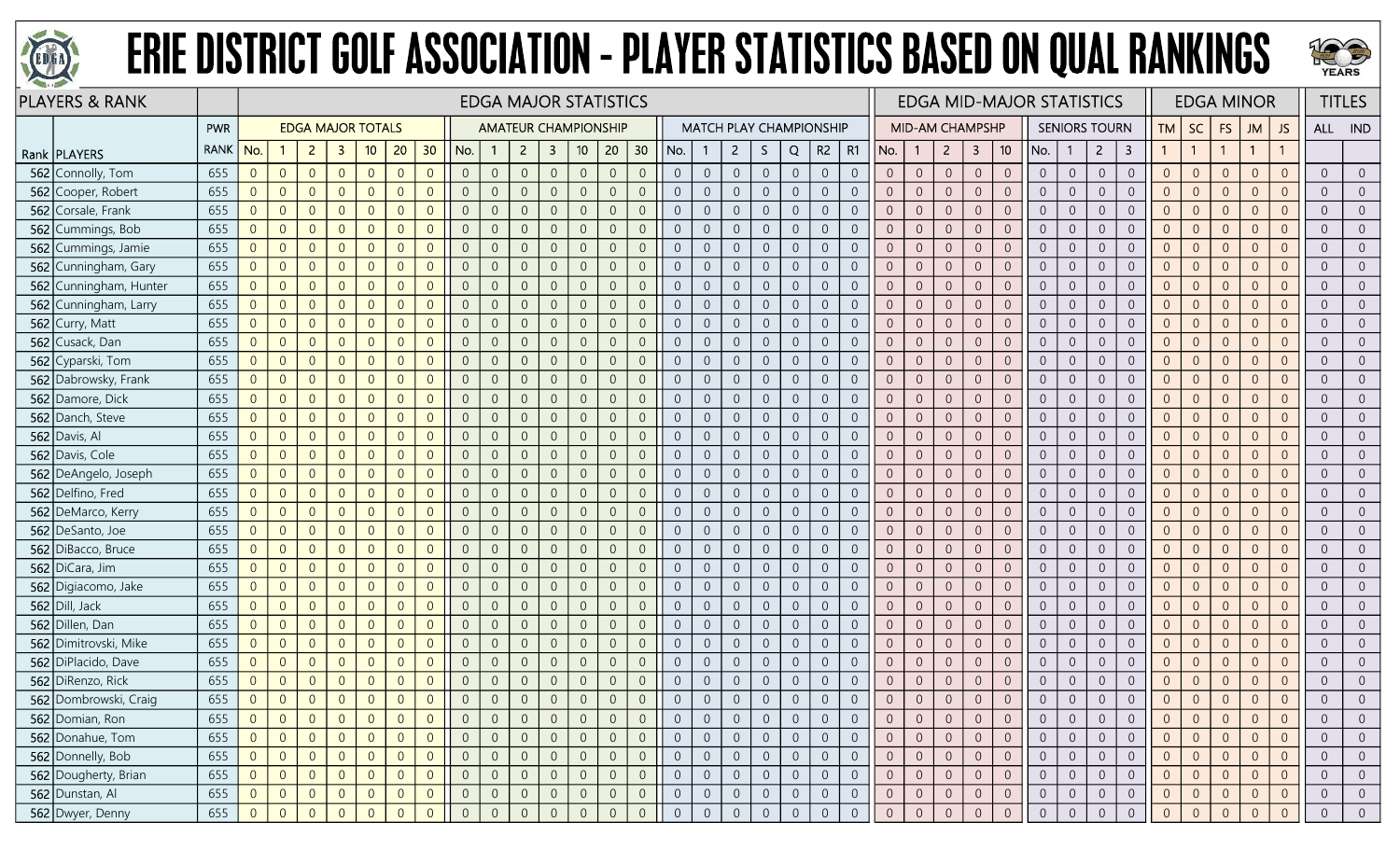



| <b>PLAYERS &amp; RANK</b> |             | <b>EDGA MAJOR STATISTICS</b><br><b>EDGA MAJOR TOTALS</b><br><b>AMATEUR CHAMPIONSHIP</b><br><b>MATCH PLAY CHAMPIONSHIP</b> |                |                |                |                |                |                 |                |                |                |                         |                 |                |                |                |                |                |                |                |                | <b>EDGA MID-MAJOR STATISTICS</b> |                |                        |                  |                |                     |                | <b>EDGA MINOR</b> |                      |                         | <b>TITLES</b>  |                |                |                |                |                |                |
|---------------------------|-------------|---------------------------------------------------------------------------------------------------------------------------|----------------|----------------|----------------|----------------|----------------|-----------------|----------------|----------------|----------------|-------------------------|-----------------|----------------|----------------|----------------|----------------|----------------|----------------|----------------|----------------|----------------------------------|----------------|------------------------|------------------|----------------|---------------------|----------------|-------------------|----------------------|-------------------------|----------------|----------------|----------------|----------------|----------------|----------------|----------------|
|                           | PWR         |                                                                                                                           |                |                |                |                |                |                 |                |                |                |                         |                 |                |                |                |                |                |                |                |                |                                  |                | <b>MID-AM CHAMPSHP</b> |                  |                |                     |                |                   | <b>SENIORS TOURN</b> |                         | TM             | <b>SC</b>      | <b>FS</b>      | <b>JM</b>      | JS.            |                | ALL IND        |
| Rank   PLAYERS            | <b>RANK</b> | No.                                                                                                                       |                | $\overline{2}$ | 3              | 10             | 20             | 30 <sup>°</sup> | No.            | $\mathbf{1}$   | $\overline{2}$ | $\overline{\mathbf{3}}$ | 10 <sup>°</sup> | 20             | 30             | No.            |                | $\overline{2}$ | S.             | Q              | R <sub>2</sub> | R1                               | No.            | $\mathbf{1}$           | $\overline{2}$   | 3              | 10                  | No.            |                   | $\overline{2}$       | $\overline{\mathbf{3}}$ |                |                |                | $\overline{1}$ | $\mathbf{1}$   |                |                |
| 562 Connolly, Tom         | 655         | $\overline{0}$                                                                                                            | $\overline{0}$ | $\overline{0}$ | $\overline{0}$ | $\overline{0}$ | $\overline{0}$ | $\overline{0}$  | $\overline{0}$ | $\sqrt{0}$     | $\overline{0}$ | $\overline{0}$          | $\sqrt{0}$      | $\overline{0}$ | $\overline{0}$ | $\overline{0}$ | $\overline{0}$ | $\overline{0}$ | $\overline{0}$ | $\overline{0}$ | $\overline{0}$ | $\overline{0}$                   | $\overline{0}$ | $\overline{0}$         | $\sqrt{0}$       | $\overline{0}$ | $\sqrt{0}$          | $\overline{0}$ | $\overline{0}$    | $\overline{0}$       | $\boldsymbol{0}$        | $\overline{0}$ | $\overline{0}$ | $\theta$       | $\overline{0}$ | $\overline{0}$ | $\Omega$       | $\overline{0}$ |
| 562 Cooper, Robert        | 655         | $\overline{0}$                                                                                                            | $\overline{0}$ | $\overline{0}$ | $\overline{0}$ | $\overline{0}$ | $\overline{0}$ | $\overline{0}$  | $\overline{0}$ | $\overline{0}$ | $\overline{0}$ | $\overline{0}$          | $\overline{0}$  | $\overline{0}$ | $\Omega$       | $\overline{0}$ | $\overline{0}$ | $\overline{0}$ | $\Omega$       | $\overline{0}$ | $\overline{0}$ | $\overline{0}$                   |                | $\overline{0}$         | $\overline{0}$   | $\overline{0}$ | $\overline{0}$      | $\overline{0}$ | $\Omega$          | $\overline{0}$       | $\overline{0}$          | $\Omega$       | $\Omega$       | $\overline{0}$ | $\Omega$       | $\overline{0}$ |                | $\overline{0}$ |
| 562 Corsale, Frank        | 655         | $\overline{0}$                                                                                                            | $\overline{0}$ | $\overline{0}$ | $\overline{0}$ | $\overline{0}$ | $\overline{0}$ | $\Omega$        | $\overline{0}$ | $\overline{0}$ | $\overline{0}$ | $\overline{0}$          | $\overline{0}$  | $\overline{0}$ | $\Omega$       | $\overline{0}$ | $\overline{0}$ | $\overline{0}$ | $\overline{0}$ | $\overline{0}$ | $\overline{0}$ | $\overline{0}$                   | $\Omega$       | $\theta$               | $\overline{0}$   | $\overline{0}$ | $\overline{0}$      | $\overline{0}$ | $\overline{0}$    | $\overline{0}$       | $\boldsymbol{0}$        | $\overline{0}$ | $\Omega$       | $\overline{0}$ | $\Omega$       | $\overline{0}$ | $\Omega$       | $\overline{0}$ |
| 562 Cummings, Bob         | 655         | $\overline{0}$                                                                                                            | $\overline{0}$ | $\overline{0}$ | $\Omega$       | $\overline{0}$ | $\overline{0}$ | $\overline{0}$  | $\overline{0}$ | $\overline{0}$ | $\overline{0}$ | $\overline{0}$          | $\overline{0}$  | $\overline{0}$ | $\Omega$       | $\overline{0}$ | $\overline{0}$ | $\overline{0}$ | $\overline{0}$ | $\overline{0}$ | $\overline{0}$ | $\overline{0}$                   | $\Omega$       | $\overline{0}$         | $\mathbf 0$      | $\overline{0}$ | $\overline{0}$      | $\overline{0}$ | $\overline{0}$    | $\sqrt{0}$           | $\mathbf 0$             | $\overline{0}$ | $\Omega$       | $\overline{0}$ | $\overline{0}$ | $\overline{0}$ | $\Omega$       | $\overline{0}$ |
| 562 Cummings, Jamie       | 655         | $\mathbf 0$                                                                                                               | $\overline{0}$ | $\overline{0}$ | $\mathbf{0}$   | $\overline{0}$ | $\overline{0}$ | $\overline{0}$  | $\overline{0}$ | $\sqrt{0}$     | $\sqrt{0}$     | $\overline{0}$          | $\sqrt{0}$      | $\overline{0}$ | $\overline{0}$ | $\overline{0}$ | $\overline{0}$ | $\overline{0}$ | $\sqrt{0}$     | $\overline{0}$ | $\sqrt{0}$     | $\overline{0}$                   | $\Omega$       | $\overline{0}$         | $\mathbf 0$      | $\overline{0}$ | $\mathbf 0$         | $\overline{0}$ | $\overline{0}$    | $\sqrt{0}$           | $\boldsymbol{0}$        | $\Omega$       | $\overline{0}$ | $\overline{0}$ | $\overline{0}$ | $\overline{0}$ | $\Omega$       | $\overline{0}$ |
| 562 Cunningham, Gary      | 655         | $\overline{0}$                                                                                                            | $\overline{0}$ | $\overline{0}$ | $\overline{0}$ | $\overline{0}$ | $\overline{0}$ | $\overline{0}$  | $\overline{0}$ | $\overline{0}$ | $\overline{0}$ | $\overline{0}$          | $\Omega$        | $\overline{0}$ | $\overline{0}$ | $\overline{0}$ | $\overline{0}$ | $\overline{0}$ | $\Omega$       | $\overline{0}$ | $\overline{0}$ | $\overline{0}$                   |                | $\overline{0}$         | $\overline{0}$   | $\overline{0}$ | $\overline{0}$      | $\overline{0}$ | $\Omega$          | $\overline{0}$       | $\mathbf 0$             | $\Omega$       | $\Omega$       | $\overline{0}$ | $\Omega$       | $\overline{0}$ |                | $\overline{0}$ |
| 562 Cunningham, Hunter    | 655         | $\overline{0}$                                                                                                            | $\overline{0}$ | $\overline{0}$ | $\overline{0}$ | $\overline{0}$ | $\overline{0}$ | $\overline{0}$  | $\overline{0}$ | $\overline{0}$ | $\overline{0}$ | $\overline{0}$          | $\overline{0}$  | $\overline{0}$ | $\overline{0}$ | $\overline{0}$ | $\overline{0}$ | $\overline{0}$ | $\overline{0}$ | $\overline{0}$ | $\overline{0}$ | $\overline{0}$                   | $\Omega$       | $\Omega$               | $\overline{0}$   | $\overline{0}$ | $\overline{0}$      | $\overline{0}$ | $\Omega$          | $\overline{0}$       | $\overline{0}$          | $\overline{0}$ | $\Omega$       | $\overline{0}$ | $\overline{0}$ | $\overline{0}$ | $\Omega$       | $\overline{0}$ |
| 562 Cunningham, Larry     | 655         | $\overline{0}$                                                                                                            | $\overline{0}$ | $\overline{0}$ | $\overline{0}$ | $\overline{0}$ | $\overline{0}$ | $\overline{0}$  | $\overline{0}$ | $\sqrt{0}$     | $\overline{0}$ | $\overline{0}$          | $\overline{0}$  | $\overline{0}$ | $\overline{0}$ | $\overline{0}$ | $\overline{0}$ | $\overline{0}$ | $\overline{0}$ | $\overline{0}$ | $\sqrt{0}$     | $\overline{0}$                   | $\Omega$       | $\overline{0}$         | $\overline{0}$   | $\overline{0}$ | $\overline{0}$      | $\overline{0}$ | $\overline{0}$    | $\overline{0}$       | $\mathbf 0$             | $\overline{0}$ | $\overline{0}$ | $\overline{0}$ | $\overline{0}$ | $\overline{0}$ | $\Omega$       | $\overline{0}$ |
| 562 Curry, Matt           | 655         | $\sqrt{0}$                                                                                                                | $\overline{0}$ | $\overline{0}$ | $\overline{0}$ | $\overline{0}$ | $\overline{0}$ | $\overline{0}$  | $\overline{0}$ | $\overline{0}$ | $\overline{0}$ | $\overline{0}$          | $\overline{0}$  | $\overline{0}$ | $\overline{0}$ | $\overline{0}$ | $\overline{0}$ | $\overline{0}$ | $\overline{0}$ | $\overline{0}$ | $\overline{0}$ | $\overline{0}$                   | $\Omega$       | $\overline{0}$         | $\overline{0}$   | $\overline{0}$ | $\overline{0}$      | $\overline{0}$ | $\overline{0}$    | $\overline{0}$       | $\sqrt{0}$              | $\Omega$       | $\overline{0}$ | $\overline{0}$ | $\overline{0}$ | $\overline{0}$ | $\Omega$       | $\overline{0}$ |
| 562 Cusack, Dan           | 655         | $\overline{0}$                                                                                                            | $\overline{0}$ | $\overline{0}$ | $\overline{0}$ | $\overline{0}$ | $\overline{0}$ | $\overline{0}$  | $\overline{0}$ | $\overline{0}$ | $\overline{0}$ | $\overline{0}$          | $\overline{0}$  | $\overline{0}$ | $\overline{0}$ | $\overline{0}$ | $\overline{0}$ | $\overline{0}$ | $\overline{0}$ | $\overline{0}$ | $\overline{0}$ | $\overline{0}$                   | $\overline{0}$ | $\overline{0}$         | $\overline{0}$   | $\overline{0}$ | $\mathbf{0}$        | $\overline{0}$ | $\overline{0}$    | $\overline{0}$       | $\mathbf 0$             | $\overline{0}$ | $\overline{0}$ | $\overline{0}$ | $\overline{0}$ | $\overline{0}$ |                | $\overline{0}$ |
| 562 Cyparski, Tom         | 655         | $\overline{0}$                                                                                                            | $\overline{0}$ | $\overline{0}$ | $\overline{0}$ | $\overline{0}$ | $\overline{0}$ | $\overline{0}$  | $\overline{0}$ | $\overline{0}$ | $\overline{0}$ | $\overline{0}$          | $\overline{0}$  | $\overline{0}$ | $\Omega$       | $\overline{0}$ | $\overline{0}$ | $\overline{0}$ | $\overline{0}$ | $\overline{0}$ | $\overline{0}$ | $\overline{0}$                   | $\Omega$       | $\Omega$               | $\overline{0}$   | $\overline{0}$ | $\overline{0}$      | $\overline{0}$ | $\overline{0}$    | $\overline{0}$       | $\overline{0}$          | $\Omega$       | $\Omega$       | $\overline{0}$ | $\overline{0}$ | $\overline{0}$ | $\Omega$       | $\overline{0}$ |
| 562 Dabrowsky, Frank      | 655         | $\overline{0}$                                                                                                            | $\overline{0}$ | $\overline{0}$ | $\overline{0}$ | $\overline{0}$ | $\overline{0}$ | $\overline{0}$  | $\overline{0}$ | $\overline{0}$ | $\overline{0}$ | $\overline{0}$          | $\theta$        | $\overline{0}$ | $\overline{0}$ | $\overline{0}$ | $\overline{0}$ | $\overline{0}$ | $\overline{0}$ | $\overline{0}$ | $\sqrt{0}$     | $\overline{0}$                   | $\overline{0}$ | $\overline{0}$         | $\sqrt{0}$       | $\overline{0}$ | $\overline{0}$      | $\overline{0}$ | $\overline{0}$    | $\overline{0}$       | $\boldsymbol{0}$        | $\overline{0}$ | $\Omega$       | $\overline{0}$ | $\overline{0}$ | $\overline{0}$ | $\Omega$       | $\overline{0}$ |
| 562 Damore, Dick          | 655         | $\overline{0}$                                                                                                            | $\overline{0}$ | $\overline{0}$ | $\overline{0}$ | $\overline{0}$ | $\overline{0}$ | $\overline{0}$  | $\overline{0}$ | $\overline{0}$ | $\overline{0}$ | $\overline{0}$          | $\overline{0}$  | $\overline{0}$ | $\overline{0}$ | $\overline{0}$ | $\overline{0}$ | $\overline{0}$ | $\overline{0}$ | $\overline{0}$ | $\overline{0}$ | $\overline{0}$                   |                | $\overline{0}$         | $\boldsymbol{0}$ | $\overline{0}$ | $\overline{0}$      | $\overline{0}$ | $\overline{0}$    | $\overline{0}$       | $\overline{0}$          | $\Omega$       | $\overline{0}$ | $\overline{0}$ | $\overline{0}$ | $\overline{0}$ | $\Omega$       | $\overline{0}$ |
| 562 Danch, Steve          | 655         | $\overline{0}$                                                                                                            | $\overline{0}$ | $\overline{0}$ | $\overline{0}$ | $\overline{0}$ | $\overline{0}$ | $\overline{0}$  | $\overline{0}$ | $\overline{0}$ | $\overline{0}$ | $\overline{0}$          | $\Omega$        | $\overline{0}$ | $\Omega$       | $\overline{0}$ | $\overline{0}$ | $\overline{0}$ | $\Omega$       | $\overline{0}$ | $\overline{0}$ | $\overline{0}$                   |                | $\Omega$               | $\overline{0}$   | $\overline{0}$ | $\sqrt{0}$          | $\Omega$       | $\Omega$          | $\overline{0}$       | $\sqrt{0}$              |                | $\Omega$       | $\Omega$       | $\Omega$       | $\overline{0}$ |                | $\overline{0}$ |
| 562 Davis, Al             | 655         | $\overline{0}$                                                                                                            | $\overline{0}$ | $\overline{0}$ | $\overline{0}$ | $\overline{0}$ | $\overline{0}$ | $\overline{0}$  | $\overline{0}$ | $\overline{0}$ | $\Omega$       | $\overline{0}$          | $\overline{0}$  | $\overline{0}$ | $\Omega$       | $\overline{0}$ | $\Omega$       | $\overline{0}$ | $\Omega$       | $\overline{0}$ | $\overline{0}$ | $\overline{0}$                   | $\Omega$       | $\Omega$               | $\overline{0}$   | $\overline{0}$ | $\overline{0}$      | $\overline{0}$ | $\overline{0}$    | $\overline{0}$       | $\overline{0}$          | $\Omega$       | $\Omega$       | $\overline{0}$ | $\overline{0}$ | $\overline{0}$ | $\Omega$       | $\overline{0}$ |
| 562 Davis, Cole           | 655         | $\Omega$                                                                                                                  | $\overline{0}$ | $\overline{0}$ | $\overline{0}$ | $\overline{0}$ | $\overline{0}$ | $\overline{0}$  | $\overline{0}$ | $\sqrt{0}$     | $\overline{0}$ | $\overline{0}$          | $\Omega$        | $\overline{0}$ | $\Omega$       | $\overline{0}$ | $\overline{0}$ | $\overline{0}$ | $\Omega$       | $\overline{0}$ | $\mathbf{0}$   | $\overline{0}$                   | $\Omega$       | $\theta$               | $\sqrt{0}$       | $\overline{0}$ | $\mathbf{0}$        | $\overline{0}$ | $\overline{0}$    | $\overline{0}$       | $\boldsymbol{0}$        | $\Omega$       | $\Omega$       | $\overline{0}$ | $\overline{0}$ | $\overline{0}$ | $\Omega$       | $\overline{0}$ |
| 562 DeAngelo, Joseph      | 655         | $\overline{0}$                                                                                                            | $\overline{0}$ | $\overline{0}$ | $\overline{0}$ | $\overline{0}$ | $\overline{0}$ | $\overline{0}$  | $\overline{0}$ | $\overline{0}$ | $\Omega$       | $\overline{0}$          | $\Omega$        | $\overline{0}$ | $\Omega$       | $\overline{0}$ | $\overline{0}$ | $\overline{0}$ | $\overline{0}$ | $\overline{0}$ | $\overline{0}$ | $\overline{0}$                   |                | $\overline{0}$         | $\sqrt{0}$       | $\overline{0}$ | $\overline{0}$      | $\overline{0}$ | $\overline{0}$    | $\overline{0}$       | $\sqrt{0}$              | $\Omega$       | $\Omega$       | $\overline{0}$ | $\overline{0}$ | $\overline{0}$ | $\Omega$       | $\overline{0}$ |
| 562 Delfino, Fred         | 655         | $\overline{0}$                                                                                                            | $\overline{0}$ | $\overline{0}$ | $\Omega$       | $\overline{0}$ | $\overline{0}$ | $\overline{0}$  | $\overline{0}$ | $\overline{0}$ | $\Omega$       | $\Omega$                | $\Omega$        | $\overline{0}$ | $\Omega$       | $\overline{0}$ | $\overline{0}$ | $\overline{0}$ | $\Omega$       | $\overline{0}$ | $\overline{0}$ | $\overline{0}$                   |                | $\Omega$               | $\overline{0}$   | $\overline{0}$ | $\overline{0}$      | $\overline{0}$ | $\Omega$          | $\overline{0}$       | $\overline{0}$          |                | $\Omega$       | $\Omega$       | $\Omega$       | $\overline{0}$ |                | $\overline{0}$ |
| 562 DeMarco, Kerry        | 655         | $\Omega$                                                                                                                  | $\overline{0}$ | $\overline{0}$ | $\Omega$       | $\overline{0}$ | $\overline{0}$ | $\overline{0}$  | $\overline{0}$ | $\overline{0}$ | $\overline{0}$ | $\overline{0}$          | $\overline{0}$  | $\overline{0}$ | $\Omega$       | $\overline{0}$ | $\overline{0}$ | $\overline{0}$ | $\overline{0}$ | $\overline{0}$ | $\overline{0}$ | $\overline{0}$                   | $\Omega$       | $\Omega$               | $\overline{0}$   | $\overline{0}$ | $\overline{0}$      | $\overline{0}$ | $\overline{0}$    | $\overline{0}$       | $\sqrt{0}$              | $\Omega$       | $\Omega$       | $\overline{0}$ | $\overline{0}$ | $\overline{0}$ | $\Omega$       | $\overline{0}$ |
| 562 DeSanto, Joe          | 655         | $\sqrt{0}$                                                                                                                | $\overline{0}$ | $\overline{0}$ | $\overline{0}$ | $\overline{0}$ | $\theta$       | $\overline{0}$  | $\overline{0}$ | $\sqrt{0}$     | $\overline{0}$ | $\overline{0}$          | $\overline{0}$  | $\overline{0}$ | $\overline{0}$ | $\overline{0}$ | $\overline{0}$ | $\overline{0}$ | $\overline{0}$ | $\overline{0}$ | $\sqrt{0}$     | $\sqrt{0}$                       | $\Omega$       | $\overline{0}$         | $\sqrt{0}$       | $\overline{0}$ | $\mathsf{O}\xspace$ | $\overline{0}$ | $\overline{0}$    | $\overline{0}$       | $\boldsymbol{0}$        | $\overline{0}$ | $\overline{0}$ | $\overline{0}$ | $\overline{0}$ | $\overline{0}$ | $\Omega$       | $\overline{0}$ |
| 562 DiBacco, Bruce        | 655         | $\overline{0}$                                                                                                            | $\overline{0}$ | $\overline{0}$ | $\overline{0}$ | $\overline{0}$ | $\overline{0}$ | $\overline{0}$  | $\overline{0}$ | $\overline{0}$ | $\overline{0}$ | $\overline{0}$          | $\Omega$        | $\Omega$       | $\Omega$       | $\overline{0}$ | $\overline{0}$ | $\overline{0}$ | $\Omega$       | $\overline{0}$ | $\overline{0}$ | $\overline{0}$                   |                | $\Omega$               | $\overline{0}$   | $\overline{0}$ | $\overline{0}$      | $\overline{0}$ | $\overline{0}$    | $\overline{0}$       | $\sqrt{0}$              |                | $\Omega$       | $\overline{0}$ | $\Omega$       | $\overline{0}$ | $\Omega$       | $\overline{0}$ |
| 562 DiCara, Jim           | 655         | $\overline{0}$                                                                                                            | $\overline{0}$ | $\overline{0}$ | $\overline{0}$ | $\overline{0}$ | $\overline{0}$ | $\overline{0}$  | $\overline{0}$ | $\overline{0}$ | $\overline{0}$ | $\overline{0}$          | $\overline{0}$  | $\overline{0}$ | $\Omega$       | $\overline{0}$ | $\overline{0}$ | $\overline{0}$ | $\Omega$       | $\overline{0}$ | $\overline{0}$ | $\overline{0}$                   | $\Omega$       | 0                      | $\overline{0}$   | $\overline{0}$ | $\overline{0}$      | $\overline{0}$ | $\Omega$          | $\overline{0}$       | $\boldsymbol{0}$        | 0              | $\Omega$       | $\overline{0}$ | $\Omega$       | $\overline{0}$ | $\Omega$       | $\overline{0}$ |
| 562 Digiacomo, Jake       | 655         | $\overline{0}$                                                                                                            | $\overline{0}$ | $\overline{0}$ | $\overline{0}$ | $\overline{0}$ | $\overline{0}$ | $\overline{0}$  | $\overline{0}$ | $\overline{0}$ | $\overline{0}$ | $\overline{0}$          | $\overline{0}$  | $\overline{0}$ | $\Omega$       | $\overline{0}$ | $\overline{0}$ | $\overline{0}$ | $\overline{0}$ | $\overline{0}$ | $\sqrt{0}$     | $\overline{0}$                   | $\overline{0}$ | $\overline{0}$         | $\mathbf 0$      | $\overline{0}$ | $\overline{0}$      | $\overline{0}$ | $\overline{0}$    | $\overline{0}$       | $\boldsymbol{0}$        | $\overline{0}$ | $\Omega$       | $\overline{0}$ | $\overline{0}$ | $\overline{0}$ | $\Omega$       | $\overline{0}$ |
| 562 Dill, Jack            | 655         | $\sqrt{0}$                                                                                                                | $\overline{0}$ | $\overline{0}$ | $\overline{0}$ | $\overline{0}$ | $\overline{0}$ | $\overline{0}$  | $\overline{0}$ | $\overline{0}$ | $\overline{0}$ | $\overline{0}$          | $\overline{0}$  | $\overline{0}$ | $\overline{0}$ | $\overline{0}$ | $\overline{0}$ | $\overline{0}$ | $\overline{0}$ | $\overline{0}$ | $\overline{0}$ | $\overline{0}$                   | $\Omega$       | $\overline{0}$         | $\boldsymbol{0}$ | $\overline{0}$ | $\overline{0}$      | $\overline{0}$ | $\overline{0}$    | $\overline{0}$       | $\boldsymbol{0}$        | $\overline{0}$ | $\overline{0}$ | $\overline{0}$ | $\overline{0}$ | $\overline{0}$ | $\Omega$       | $\overline{0}$ |
| 562 Dillen, Dan           | 655         | $\overline{0}$                                                                                                            | $\overline{0}$ | $\overline{0}$ | $\overline{0}$ | $\overline{0}$ | $\overline{0}$ | $\overline{0}$  | $\overline{0}$ | $\overline{0}$ | $\overline{0}$ | $\overline{0}$          | $\Omega$        | $\overline{0}$ | $\overline{0}$ | $\overline{0}$ | $\overline{0}$ | $\overline{0}$ | $\Omega$       | $\overline{0}$ | $\overline{0}$ | $\overline{0}$                   |                | $\overline{0}$         | $\sqrt{0}$       | $\overline{0}$ | $\overline{0}$      | $\overline{0}$ | $\overline{0}$    | $\overline{0}$       | $\boldsymbol{0}$        | $\Omega$       | $\Omega$       | $\overline{0}$ | $\Omega$       | $\overline{0}$ |                | $\overline{0}$ |
| 562 Dimitrovski, Mike     | 655         | $\overline{0}$                                                                                                            | $\overline{0}$ | $\overline{0}$ | $\overline{0}$ | $\overline{0}$ | $\overline{0}$ | $\overline{0}$  | $\overline{0}$ | $\overline{0}$ | $\overline{0}$ | $\overline{0}$          | $\overline{0}$  | $\overline{0}$ | $\overline{0}$ | $\overline{0}$ | $\overline{0}$ | $\overline{0}$ | $\overline{0}$ | $\overline{0}$ | $\overline{0}$ | $\overline{0}$                   | $\overline{0}$ | $\overline{0}$         | $\overline{0}$   | $\overline{0}$ | $\overline{0}$      | $\overline{0}$ | $\overline{0}$    | $\overline{0}$       | $\boldsymbol{0}$        | $\overline{0}$ | $\Omega$       | $\overline{0}$ | $\overline{0}$ | $\overline{0}$ | $\Omega$       | $\overline{0}$ |
| 562 DiPlacido, Dave       | 655         | $\overline{0}$                                                                                                            | $\overline{0}$ | $\overline{0}$ | $\overline{0}$ | $\overline{0}$ | $\overline{0}$ | $\overline{0}$  | $\overline{0}$ | $\overline{0}$ | $\theta$       | $\overline{0}$          | $\overline{0}$  | $\overline{0}$ | $\overline{0}$ | $\overline{0}$ | $\overline{0}$ | $\overline{0}$ | $\overline{0}$ | $\overline{0}$ | $\sqrt{0}$     | $\sqrt{0}$                       | $\Omega$       | $\theta$               | $\mathbf 0$      | $\overline{0}$ | $\sqrt{0}$          | $\overline{0}$ | $\overline{0}$    | $\sqrt{0}$           | $\mathbf 0$             | $\Omega$       | $\overline{0}$ | $\overline{0}$ | $\overline{0}$ | $\overline{0}$ |                | $\overline{0}$ |
| 562 DiRenzo, Rick         | 655         | $\sqrt{0}$                                                                                                                | $\overline{0}$ | $\overline{0}$ | $\overline{0}$ | $\overline{0}$ | $\overline{0}$ | $\overline{0}$  | $\overline{0}$ | $\sqrt{0}$     | $\overline{0}$ | $\overline{0}$          | $\overline{0}$  | $\overline{0}$ | $\overline{0}$ | $\overline{0}$ | $\overline{0}$ | $\overline{0}$ | $\overline{0}$ | $\overline{0}$ | $\overline{0}$ | $\theta$                         | $\Omega$       | $\theta$               | $\boldsymbol{0}$ | $\overline{0}$ | $\sqrt{0}$          | $\overline{0}$ | $\overline{0}$    | $\sqrt{0}$           | $\mathbf 0$             | $\overline{0}$ | $\theta$       | $\theta$       | $\overline{0}$ | $\overline{0}$ | $\Omega$       | $\sqrt{0}$     |
| 562 Dombrowski, Craig     | 655         | $\overline{0}$                                                                                                            | $\overline{0}$ | $\Omega$       | $\overline{0}$ | $\overline{0}$ | $\overline{0}$ | $\overline{0}$  | $\overline{0}$ | $\Omega$       | $\Omega$       | $\Omega$                |                 | $\overline{0}$ |                |                | $\Omega$       | $\overline{0}$ |                | $\overline{0}$ |                | $\overline{0}$                   |                | $\overline{0}$         | $\overline{0}$   | $\overline{0}$ | $\Omega$            |                | $\Omega$          | $\overline{0}$       | $\overline{0}$          | $\Omega$       | $\Omega$       |                | $\Omega$       | $\Omega$       |                |                |
| 562 Domian, Ron           | 655         | $\overline{0}$                                                                                                            | $\overline{0}$ | $\overline{0}$ | $\overline{0}$ | $\overline{0}$ | $\overline{0}$ | $\overline{0}$  | $\overline{0}$ | $\overline{0}$ | $\overline{0}$ | $\overline{0}$          | $\overline{0}$  | $\overline{0}$ | $\overline{0}$ | $\overline{0}$ | $\overline{0}$ | $\overline{0}$ | $\theta$       | $\overline{0}$ | $\overline{0}$ | $\overline{0}$                   |                | $\theta$               | $\overline{0}$   | $\overline{0}$ | $\overline{0}$      | $\overline{0}$ | $\Omega$          | $\overline{0}$       | $\overline{0}$          | $\overline{0}$ |                | $\overline{0}$ | $\overline{0}$ | $\overline{0}$ |                | $\overline{0}$ |
| 562 Donahue, Tom          | 655         | $\overline{0}$                                                                                                            | $\overline{0}$ | $\overline{0}$ | $\overline{0}$ | $\overline{0}$ | $\overline{0}$ | $\overline{0}$  | $\overline{0}$ | $\overline{0}$ | $\overline{0}$ | $\overline{0}$          | $\overline{0}$  | $\overline{0}$ | $\overline{0}$ | $\overline{0}$ | $\overline{0}$ | $\overline{0}$ | $\overline{0}$ | $\overline{0}$ | $\overline{0}$ | $\overline{0}$                   | $\overline{0}$ | $\overline{0}$         | $\overline{0}$   | $\overline{0}$ | $\overline{0}$      | $\overline{0}$ | $\overline{0}$    | $\overline{0}$       | $\overline{0}$          | $\overline{0}$ | $\Omega$       | $\overline{0}$ | $\overline{0}$ | $\overline{0}$ | $\Omega$       | $\overline{0}$ |
| 562 Donnelly, Bob         | 655         | $\overline{0}$                                                                                                            | $\overline{0}$ | $\overline{0}$ | $\overline{0}$ | $\overline{0}$ | $\overline{0}$ | $\overline{0}$  | $\overline{0}$ | $\overline{0}$ | $\overline{0}$ | $\overline{0}$          | $\overline{0}$  | $\overline{0}$ | $\sqrt{0}$     | $\overline{0}$ | $\overline{0}$ | $\overline{0}$ | $\sqrt{0}$     | $\overline{0}$ | $\overline{0}$ | $\overline{0}$                   | $\overline{0}$ | $\overline{0}$         | $\overline{0}$   | $\overline{0}$ | $\mathsf{O}$        | $\overline{0}$ | $\overline{0}$    | $\overline{0}$       | $\overline{0}$          | $\overline{0}$ | $\overline{0}$ | $\overline{0}$ | $\overline{0}$ | $\overline{0}$ | $\overline{0}$ | $\overline{0}$ |
| 562 Dougherty, Brian      | 655         | $\overline{0}$                                                                                                            | $\overline{0}$ | $\overline{0}$ | $\overline{0}$ | $\overline{0}$ | $\overline{0}$ | $\overline{0}$  | $\overline{0}$ | $\overline{0}$ | $\overline{0}$ | $\overline{0}$          | $\overline{0}$  | $\overline{0}$ | $\overline{0}$ | $\overline{0}$ | $\overline{0}$ | $\overline{0}$ | $\overline{0}$ | $\overline{0}$ | $\overline{0}$ | $\overline{0}$                   | $\overline{0}$ | $\overline{0}$         | $\overline{0}$   | $\overline{0}$ | $\overline{0}$      | $\overline{0}$ | $\overline{0}$    | $\overline{0}$       | $\overline{0}$          | $\overline{0}$ | $\overline{0}$ | $\overline{0}$ | $\overline{0}$ | $\overline{0}$ | $\overline{0}$ | $\overline{0}$ |
| 562 Dunstan, Al           | 655         | $\overline{0}$                                                                                                            | $\overline{0}$ | $\overline{0}$ | $\overline{0}$ | $\overline{0}$ | $\overline{0}$ | $\overline{0}$  | $\overline{0}$ | $\overline{0}$ | $\overline{0}$ | $\overline{0}$          | $\overline{0}$  | $\overline{0}$ | $\overline{0}$ | $\overline{0}$ | $\overline{0}$ | $\overline{0}$ | $\overline{0}$ | $\overline{0}$ | $\overline{0}$ | $\overline{0}$                   | $\overline{0}$ | $\overline{0}$         | $\overline{0}$   | $\overline{0}$ | $\overline{0}$      | $\overline{0}$ | $\overline{0}$    | $\overline{0}$       | $\overline{0}$          | $\overline{0}$ | $\overline{0}$ | $\overline{0}$ | $\overline{0}$ | $\overline{0}$ | $\overline{0}$ | $\overline{0}$ |
| 562 Dwyer, Denny          | 655         | $\Omega$                                                                                                                  | $\overline{0}$ | $\Omega$       | $\Omega$       | $\Omega$       | $\overline{0}$ | $\overline{0}$  | $\Omega$       | $\Omega$       | $\overline{0}$ | $\overline{0}$          | $\Omega$        | $\Omega$       | $\Omega$       | $\overline{0}$ | $\overline{0}$ | $\Omega$       | $\Omega$       | $\overline{0}$ | $\Omega$       | $\overline{0}$                   | $\Omega$       |                        | $\Omega$         | $\overline{0}$ | $\Omega$            |                | $\overline{0}$    |                      | $\Omega$                |                |                |                | $\Omega$       |                |                | $\Omega$       |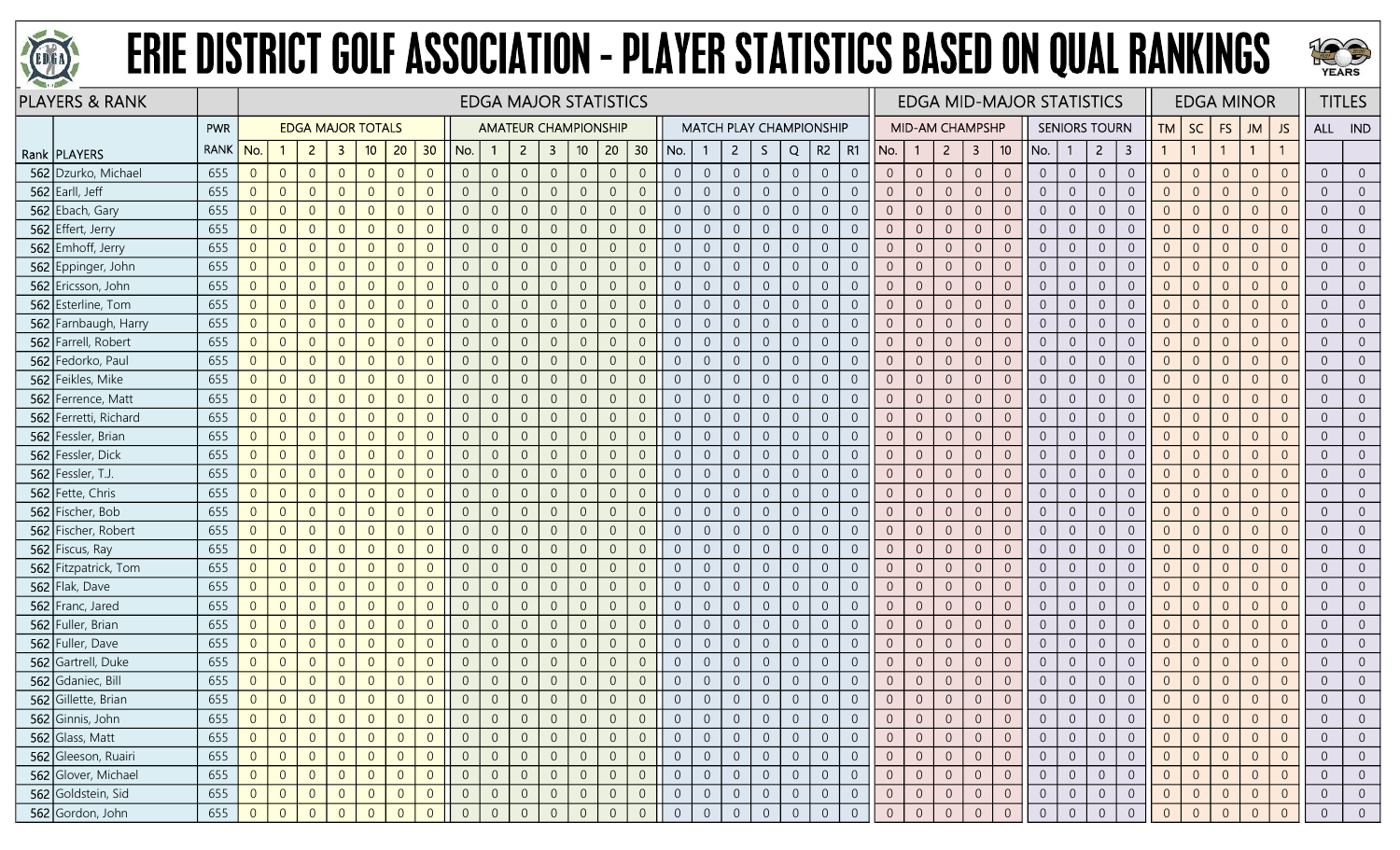



|     | <b>PLAYERS &amp; RANK</b> |             |                |                |                |                          |                |                |                |                |                | <b>EDGA MAJOR STATISTICS</b> |                |                  |                |                 |                |                |                |                     |                |                                |                |                |                 |                |                |                 | <b>EDGA MID-MAJOR STATISTICS</b> |                |                      |                |                |                |                | <b>EDGA MINOR</b> |                |                  | <b>TITLES</b>  |
|-----|---------------------------|-------------|----------------|----------------|----------------|--------------------------|----------------|----------------|----------------|----------------|----------------|------------------------------|----------------|------------------|----------------|-----------------|----------------|----------------|----------------|---------------------|----------------|--------------------------------|----------------|----------------|-----------------|----------------|----------------|-----------------|----------------------------------|----------------|----------------------|----------------|----------------|----------------|----------------|-------------------|----------------|------------------|----------------|
|     |                           | <b>PWR</b>  |                |                |                | <b>EDGA MAJOR TOTALS</b> |                |                |                |                |                | <b>AMATEUR CHAMPIONSHIP</b>  |                |                  |                |                 |                |                |                |                     |                | <b>MATCH PLAY CHAMPIONSHIP</b> |                |                | MID-AM CHAMPSHP |                |                |                 |                                  |                | <b>SENIORS TOURN</b> |                | TМ             | SC             | <b>FS</b>      | JM                | <b>JS</b>      | ALL IND          |                |
|     | Rank   PLAYERS            | <b>RANK</b> | No.            |                | $\overline{2}$ | -3                       | 10             | 20             | 30             | No.            |                | $\overline{2}$               | $\mathbf{3}$   | 10 <sub>10</sub> | 20             | 30 <sub>2</sub> | No.            |                | $\mathbf{2}$   | S.                  | Q              | R2                             | R1             | No.            | $\mathbf{1}$    | $\overline{2}$ | 3              | 10 <sup>°</sup> | No.                              | -1             | $\overline{2}$       | 3              |                | $\overline{1}$ |                | $\mathbf{1}$      |                |                  |                |
|     | 562 Dzurko, Michael       | 655         | $\overline{0}$ | $\overline{0}$ | $\overline{0}$ | $\overline{0}$           | $\overline{0}$ | $\Omega$       | $\overline{0}$ | $\overline{0}$ | $\overline{0}$ | $\overline{0}$               | $\overline{0}$ | $\overline{0}$   | $\overline{0}$ | $\overline{0}$  | $\overline{0}$ | $\overline{0}$ | $\overline{0}$ | $\overline{0}$      | $\overline{0}$ | $\overline{0}$                 | $\overline{0}$ | $\overline{0}$ | $\overline{0}$  | $\overline{0}$ | $\overline{0}$ | $\overline{0}$  | $\overline{0}$                   | $\overline{0}$ | $\overline{0}$       | $\overline{0}$ | $\overline{0}$ | $\overline{0}$ | $\overline{0}$ | $\Omega$          | $\Omega$       | $\overline{0}$   | $\overline{0}$ |
|     | 562 Earll, Jeff           | 655         | $\overline{0}$ | $\overline{0}$ | $\overline{0}$ | $\overline{0}$           | $\overline{0}$ | $\Omega$       | $\Omega$       | $\overline{0}$ | $\overline{0}$ | $\Omega$                     | $\overline{0}$ | $\overline{0}$   | $\overline{0}$ | $\overline{0}$  | $\overline{0}$ | $\overline{0}$ | $\overline{0}$ | $\overline{0}$      | $\overline{0}$ | $\overline{0}$                 | $\Omega$       | $\overline{0}$ | $\overline{0}$  | $\overline{0}$ | $\overline{0}$ | $\Omega$        | $\overline{0}$                   | $\overline{0}$ | $\overline{0}$       | $\Omega$       | $\overline{0}$ | $\overline{0}$ | $\overline{0}$ | $\Omega$          | $\Omega$       | $\overline{0}$   | $\overline{0}$ |
|     | 562 Ebach, Gary           | 655         | $\overline{0}$ | $\overline{0}$ | $\overline{0}$ | $\Omega$                 | $\overline{0}$ |                | $\Omega$       | $\overline{0}$ | $\overline{0}$ | $\Omega$                     | -0             | $\overline{0}$   | $\overline{0}$ | $\overline{0}$  | $\overline{0}$ | $\overline{0}$ | $\overline{0}$ | $\overline{0}$      | $\overline{0}$ | $\overline{0}$                 | $\overline{0}$ | $\overline{0}$ | $\overline{0}$  | $\Omega$       | $\overline{0}$ | $\overline{0}$  | $\overline{0}$                   | $\overline{0}$ | $\overline{0}$       | $\overline{0}$ | $\overline{0}$ | $\overline{0}$ | $\Omega$       | $\overline{0}$    |                | $\overline{0}$   | $\overline{0}$ |
|     | 562 Effert, Jerry         | 655         | $\overline{0}$ | $\overline{0}$ | $\overline{0}$ | $\Omega$                 | $\overline{0}$ | $\Omega$       | $\Omega$       | $\overline{0}$ | $\overline{0}$ | $\overline{0}$               | $\overline{0}$ | $\overline{0}$   | $\overline{0}$ | $\overline{0}$  | $\Omega$       | $\overline{0}$ | $\overline{0}$ | $\overline{0}$      | $\overline{0}$ | $\overline{0}$                 | $\Omega$       | $\overline{0}$ | $\overline{0}$  | $\overline{0}$ | $\overline{0}$ | $\overline{0}$  | $\overline{0}$                   | $\overline{0}$ | $\overline{0}$       | $\overline{0}$ | $\overline{0}$ | $\overline{0}$ | $\overline{0}$ | $\Omega$          | $\Omega$       | $\overline{0}$   | $\overline{0}$ |
|     | 562 Emhoff, Jerry         | 655         | $\overline{0}$ | $\overline{0}$ | $\overline{0}$ | $\overline{0}$           | $\overline{0}$ | $\Omega$       | $\overline{0}$ | $\overline{0}$ | $\overline{0}$ | $\overline{0}$               | $\overline{0}$ | $\overline{0}$   | $\overline{0}$ | $\overline{0}$  | $\overline{0}$ | $\overline{0}$ | $\overline{0}$ | $\overline{0}$      | $\overline{0}$ | $\overline{0}$                 | $\overline{0}$ | $\overline{0}$ | $\overline{0}$  | $\overline{0}$ | $\overline{0}$ | $\overline{0}$  | $\overline{0}$                   | $\overline{0}$ | $\overline{0}$       | $\overline{0}$ | $\overline{0}$ | $\overline{0}$ | $\overline{0}$ | $\overline{0}$    | $\Omega$       | $\overline{0}$   | $\overline{0}$ |
|     | 562 Eppinger, John        | 655         | $\mathbf 0$    | $\overline{0}$ | $\overline{0}$ | $\Omega$                 | $\overline{0}$ | $\Omega$       | $\Omega$       | $\overline{0}$ | $\overline{0}$ |                              | $\overline{0}$ | $\overline{0}$   | $\overline{0}$ | $\overline{0}$  | $\overline{0}$ | $\overline{0}$ | $\overline{0}$ | $\boldsymbol{0}$    | $\overline{0}$ | $\overline{0}$                 | $\Omega$       | $\Omega$       | $\overline{0}$  | $\overline{0}$ | $\overline{0}$ | $\overline{0}$  | $\overline{0}$                   | $\overline{0}$ | $\overline{0}$       | $\overline{0}$ | $\Omega$       | $\overline{0}$ | $\Omega$       | $\Omega$          |                | $\overline{0}$   | $\overline{0}$ |
|     | 562 Ericsson, John        | 655         | $\overline{0}$ | $\overline{0}$ | $\overline{0}$ | $\overline{0}$           | $\overline{0}$ | $\Omega$       | $\overline{0}$ | $\overline{0}$ | $\overline{0}$ |                              | $\overline{0}$ | $\overline{0}$   | $\overline{0}$ | $\overline{0}$  | $\overline{0}$ | $\overline{0}$ | $\overline{0}$ | $\overline{0}$      | $\overline{0}$ | $\overline{0}$                 | $\overline{0}$ | $\overline{0}$ | $\overline{0}$  | $\overline{0}$ | $\overline{0}$ | $\overline{0}$  | $\overline{0}$                   | $\overline{0}$ | $\overline{0}$       | $\overline{0}$ | $\overline{0}$ | $\overline{0}$ | $\overline{0}$ | $\Omega$          |                | $\overline{0}$   | $\overline{0}$ |
|     | 562 Esterline, Tom        | 655         | $\overline{0}$ | $\overline{0}$ | $\overline{0}$ | $\overline{0}$           | $\overline{0}$ | $\Omega$       | $\overline{0}$ | $\overline{0}$ | $\overline{0}$ | $\Omega$                     | $\overline{0}$ | $\mathbf 0$      | $\overline{0}$ | $\overline{0}$  | $\sqrt{0}$     | $\overline{0}$ | $\sqrt{0}$     | $\mathbf 0$         | $\mathbb O$    | $\overline{0}$                 | $\overline{0}$ | $\overline{0}$ | $\theta$        | $\sqrt{0}$     | $\overline{0}$ | $\overline{0}$  | $\overline{0}$                   | $\overline{0}$ | $\overline{0}$       | $\overline{0}$ | $\overline{0}$ | $\overline{0}$ | $\overline{0}$ | $\Omega$          | $\Omega$       | $\overline{0}$   | $\overline{0}$ |
|     | 562 Farnbaugh, Harry      | 655         | $\overline{0}$ | $\overline{0}$ | $\overline{0}$ | $\overline{0}$           | $\overline{0}$ | $\overline{0}$ | $\overline{0}$ | $\overline{0}$ | $\overline{0}$ | $\overline{0}$               | $\overline{0}$ | $\mathbf 0$      | $\overline{0}$ | $\overline{0}$  | $\overline{0}$ | $\overline{0}$ | $\overline{0}$ | $\overline{0}$      | $\overline{0}$ | $\overline{0}$                 | $\overline{0}$ | $\overline{0}$ | $\overline{0}$  | $\overline{0}$ | $\sqrt{0}$     | $\overline{0}$  | $\overline{0}$                   | $\overline{0}$ | $\overline{0}$       | $\overline{0}$ | $\overline{0}$ | $\overline{0}$ | $\theta$       | $\overline{0}$    | $\Omega$       | $\overline{0}$   | $\overline{0}$ |
|     | 562 Farrell, Robert       | 655         | $\overline{0}$ | $\overline{0}$ | $\overline{0}$ | $\Omega$                 | $\overline{0}$ | $\Omega$       | $\Omega$       | $\overline{0}$ | $\overline{0}$ | $\Omega$                     | $\overline{0}$ | $\overline{0}$   | $\overline{0}$ | $\overline{0}$  | $\overline{0}$ | $\overline{0}$ | $\overline{0}$ | $\overline{0}$      | $\overline{0}$ | $\overline{0}$                 | $\Omega$       | $\overline{0}$ | $\overline{0}$  | $\overline{0}$ | $\overline{0}$ | $\Omega$        | $\overline{0}$                   | $\overline{0}$ | $\overline{0}$       | $\overline{0}$ | $\Omega$       | $\overline{0}$ | $\overline{0}$ | $\Omega$          | $\Omega$       | $\overline{0}$   | $\overline{0}$ |
| 562 | Fedorko, Paul             | 655         | $\overline{0}$ | $\overline{0}$ | $\overline{0}$ | $\Omega$                 | $\Omega$       | $\Omega$       | $\Omega$       | 0              | $\overline{0}$ | $\Omega$                     | $\overline{0}$ | $\overline{0}$   | $\overline{0}$ | $\overline{0}$  | $\overline{0}$ | $\overline{0}$ | $\overline{0}$ | $\overline{0}$      | $\overline{0}$ | $\overline{0}$                 | $\overline{0}$ | $\Omega$       | $\overline{0}$  | $\overline{0}$ | $\overline{0}$ | $\overline{0}$  | $\overline{0}$                   | $\overline{0}$ | $\Omega$             | $\overline{0}$ | $\overline{0}$ | $\overline{0}$ | $\Omega$       | $\overline{0}$    |                | $\overline{0}$   | $\overline{0}$ |
|     | 562 Feikles, Mike         | 655         | $\overline{0}$ | $\overline{0}$ | $\overline{0}$ | $\overline{0}$           | $\overline{0}$ | $\Omega$       | $\overline{0}$ | $\overline{0}$ | $\overline{0}$ | $\Omega$                     | $\overline{0}$ | $\overline{0}$   | $\overline{0}$ | $\overline{0}$  | $\overline{0}$ | $\overline{0}$ | $\overline{0}$ | $\overline{0}$      | $\overline{0}$ | $\overline{0}$                 | $\overline{0}$ | $\overline{0}$ | $\overline{0}$  | $\overline{0}$ | $\overline{0}$ | $\overline{0}$  | $\overline{0}$                   | $\overline{0}$ | $\overline{0}$       | $\overline{0}$ | $\overline{0}$ | $\overline{0}$ | $\overline{0}$ | $\Omega$          | $\overline{0}$ | $\overline{0}$   | $\overline{0}$ |
|     | 562 Ferrence, Matt        | 655         | $\overline{0}$ | $\overline{0}$ | $\overline{0}$ | $\overline{0}$           | $\overline{0}$ | $\overline{0}$ | $\overline{0}$ | $\overline{0}$ | $\overline{0}$ | $\overline{0}$               | $\overline{0}$ | $\mathbf 0$      | $\overline{0}$ | $\sqrt{0}$      | $\overline{0}$ | $\overline{0}$ | $\overline{0}$ | $\overline{0}$      | $\overline{0}$ | $\overline{0}$                 | $\overline{0}$ | $\overline{0}$ | $\overline{0}$  | $\overline{0}$ | $\overline{0}$ | $\overline{0}$  | $\overline{0}$                   | $\overline{0}$ | $\overline{0}$       | $\overline{0}$ | $\overline{0}$ | $\overline{0}$ | $\overline{0}$ | $\Omega$          | $\Omega$       | $\overline{0}$   | $\overline{0}$ |
|     | 562 Ferretti, Richard     | 655         | $\overline{0}$ | $\overline{0}$ | $\overline{0}$ | $\Omega$                 | $\overline{0}$ | $\Omega$       | $\Omega$       | $\overline{0}$ | $\overline{0}$ |                              | $\overline{0}$ | $\overline{0}$   | $\overline{0}$ | $\overline{0}$  | $\overline{0}$ | $\overline{0}$ | $\overline{0}$ | $\overline{0}$      | $\overline{0}$ | $\overline{0}$                 | $\Omega$       | $\overline{0}$ | $\overline{0}$  | $\overline{0}$ | $\overline{0}$ | $\overline{0}$  | $\overline{0}$                   | $\overline{0}$ | $\overline{0}$       | $\overline{0}$ | $\overline{0}$ | $\overline{0}$ | $\overline{0}$ | $\Omega$          | $\Omega$       | $\overline{0}$   | $\overline{0}$ |
|     | 562 Fessler, Brian        | 655         | $\overline{0}$ | $\overline{0}$ | $\overline{0}$ | $\overline{0}$           | $\Omega$       | $\Omega$       | $\overline{0}$ | $\overline{0}$ | $\overline{0}$ | $\Omega$                     | $\overline{0}$ | $\overline{0}$   | $\overline{0}$ | $\overline{0}$  | $\overline{0}$ | $\overline{0}$ | $\overline{0}$ | $\overline{0}$      | $\overline{0}$ | $\overline{0}$                 | $\overline{0}$ | $\overline{0}$ | $\overline{0}$  | $\overline{0}$ | $\overline{0}$ | $\overline{0}$  | $\overline{0}$                   | $\overline{0}$ | $\overline{0}$       | $\overline{0}$ | $\overline{0}$ | $\overline{0}$ | $\overline{0}$ | $\overline{0}$    |                | $\overline{0}$   | $\overline{0}$ |
|     | 562 Fessler, Dick         | 655         | $\overline{0}$ | $\overline{0}$ | $\overline{0}$ | $\overline{0}$           | $\overline{0}$ | $\Omega$       | $\overline{0}$ | $\overline{0}$ | $\overline{0}$ | $\overline{0}$               | $\overline{0}$ | $\overline{0}$   | $\overline{0}$ | $\overline{0}$  | $\overline{0}$ | $\overline{0}$ | $\overline{0}$ | $\overline{0}$      | $\overline{0}$ | $\overline{0}$                 | $\overline{0}$ | $\overline{0}$ | $\sqrt{0}$      | $\overline{0}$ | $\overline{0}$ | $\overline{0}$  | $\overline{0}$                   | $\overline{0}$ | $\overline{0}$       | $\overline{0}$ | $\overline{0}$ | $\overline{0}$ | $\overline{0}$ | $\Omega$          | $\Omega$       | $\overline{0}$   | $\overline{0}$ |
|     | 562 Fessler, T.J.         | 655         | $\overline{0}$ | $\overline{0}$ | $\overline{0}$ | $\overline{0}$           | $\overline{0}$ | $\overline{0}$ | $\overline{0}$ | $\overline{0}$ | $\overline{0}$ | $\overline{0}$               | $\overline{0}$ | $\overline{0}$   | $\overline{0}$ | $\overline{0}$  | $\overline{0}$ | $\overline{0}$ | $\overline{0}$ | $\overline{0}$      | $\overline{0}$ | $\overline{0}$                 | $\overline{0}$ | $\overline{0}$ | $\overline{0}$  | $\overline{0}$ | $\overline{0}$ | $\overline{0}$  | $\overline{0}$                   | $\overline{0}$ | $\overline{0}$       | $\overline{0}$ | $\overline{0}$ | $\overline{0}$ | $\overline{0}$ | $\Omega$          | $\Omega$       | $\overline{0}$   | $\overline{0}$ |
|     | 562 Fette, Chris          | 655         | $\overline{0}$ | $\overline{0}$ | $\overline{0}$ | $\overline{0}$           | $\overline{0}$ | $\Omega$       | $\overline{0}$ | $\overline{0}$ | $\overline{0}$ | $\overline{0}$               | $\overline{0}$ | $\overline{0}$   | $\overline{0}$ | $\overline{0}$  | $\overline{0}$ | $\overline{0}$ | $\overline{0}$ | $\overline{0}$      | $\overline{0}$ | $\overline{0}$                 | $\theta$       | $\overline{0}$ | $\overline{0}$  | $\overline{0}$ | $\overline{0}$ | $\overline{0}$  | $\overline{0}$                   | $\overline{0}$ | $\overline{0}$       | $\overline{0}$ | $\overline{0}$ | $\overline{0}$ | $\overline{0}$ | $\Omega$          | $\Omega$       | $\overline{0}$   | $\overline{0}$ |
|     | 562 Fischer, Bob          | 655         | $\overline{0}$ | $\overline{0}$ | $\overline{0}$ | $\overline{0}$           | $\overline{0}$ | $\Omega$       | $\Omega$       | $\overline{0}$ | $\overline{0}$ | $\Omega$                     | $\overline{0}$ | $\overline{0}$   | $\overline{0}$ | $\overline{0}$  | $\overline{0}$ | $\overline{0}$ | $\overline{0}$ | $\overline{0}$      | $\overline{0}$ | $\overline{0}$                 | $\Omega$       | $\overline{0}$ | $\overline{0}$  | $\Omega$       | $\overline{0}$ | $\overline{0}$  | $\overline{0}$                   | $\overline{0}$ | $\overline{0}$       | $\overline{0}$ | $\overline{0}$ | $\overline{0}$ | $\overline{0}$ | $\Omega$          | $\Omega$       | $\overline{0}$   | $\overline{0}$ |
|     | 562 Fischer, Robert       | 655         | $\overline{0}$ | $\overline{0}$ | $\overline{0}$ | $\overline{0}$           | $\Omega$       | $\Omega$       | $\overline{0}$ | $\overline{0}$ | $\overline{0}$ | $\overline{0}$               | $\overline{0}$ | $\overline{0}$   | $\overline{0}$ | $\overline{0}$  | $\overline{0}$ | $\overline{0}$ | $\overline{0}$ | $\overline{0}$      | $\overline{0}$ | $\overline{0}$                 | $\overline{0}$ | $\overline{0}$ | $\overline{0}$  | $\overline{0}$ | $\overline{0}$ | $\overline{0}$  | $\overline{0}$                   | $\overline{0}$ | $\overline{0}$       | $\overline{0}$ | $\overline{0}$ | $\overline{0}$ | $\Omega$       | $\Omega$          | $\overline{0}$ | $\overline{0}$   | $\overline{0}$ |
|     | 562 Fiscus, Ray           | 655         | $\overline{0}$ | $\overline{0}$ | $\overline{0}$ | $\Omega$                 | $\overline{0}$ | $\Omega$       | $\Omega$       | $\overline{0}$ | $\overline{0}$ |                              | $\overline{0}$ | $\overline{0}$   | $\overline{0}$ | $\overline{0}$  | $\overline{0}$ | $\overline{0}$ | $\overline{0}$ | $\overline{0}$      | $\overline{0}$ | $\overline{0}$                 | $\Omega$       | $\overline{0}$ | $\overline{0}$  | $\overline{0}$ | $\overline{0}$ | $\overline{0}$  | $\overline{0}$                   | $\overline{0}$ | $\overline{0}$       | $\overline{0}$ | $\Omega$       | $\overline{0}$ | $\Omega$       | $\Omega$          | $\Omega$       | $\overline{0}$   | $\overline{0}$ |
| 562 | Fitzpatrick, Tom          | 655         | $\overline{0}$ | $\overline{0}$ | $\overline{0}$ | $\Omega$                 | $\Omega$       | $\Omega$       | $\Omega$       | $\overline{0}$ | $\Omega$       |                              | $\overline{0}$ | $\overline{0}$   | $\overline{0}$ | $\overline{0}$  | $\overline{0}$ | $\overline{0}$ | $\overline{0}$ | $\theta$            | $\overline{0}$ | $\overline{0}$                 | $\overline{0}$ | $\Omega$       | $\overline{0}$  | $\overline{0}$ | $\overline{0}$ | $\overline{0}$  | $\overline{0}$                   | $\overline{0}$ | $\Omega$             | $\overline{0}$ | $\overline{0}$ | $\overline{0}$ | $\Omega$       | $\Omega$          |                | $\overline{0}$   | $\overline{0}$ |
|     | 562 Flak, Dave            | 655         | $\overline{0}$ | $\overline{0}$ | $\overline{0}$ | $\overline{0}$           | $\Omega$       | $\Omega$       | $\Omega$       | $\overline{0}$ | $\overline{0}$ | $\overline{0}$               | $\overline{0}$ | $\overline{0}$   | $\overline{0}$ | $\overline{0}$  | $\overline{0}$ | $\overline{0}$ | $\overline{0}$ | $\overline{0}$      | $\overline{0}$ | $\overline{0}$                 | $\overline{0}$ | $\overline{0}$ | $\overline{0}$  | $\overline{0}$ | $\overline{0}$ | $\overline{0}$  | $\overline{0}$                   | $\overline{0}$ | $\overline{0}$       | $\overline{0}$ | $\overline{0}$ | $\overline{0}$ | $\overline{0}$ | $\Omega$          | $\Omega$       | $\overline{0}$   | $\overline{0}$ |
| 562 | Franc, Jared              | 655         | $\overline{0}$ | $\overline{0}$ | $\overline{0}$ | $\Omega$                 | $\overline{0}$ | $\Omega$       | $\overline{0}$ | $\overline{0}$ | $\overline{0}$ | $\Omega$                     | $\overline{0}$ | $\mathbf 0$      | $\overline{0}$ | $\sqrt{0}$      | $\overline{0}$ | $\overline{0}$ | $\overline{0}$ | $\overline{0}$      | $\overline{0}$ | $\overline{0}$                 | $\Omega$       | $\overline{0}$ | $\overline{0}$  | $\overline{0}$ | $\sqrt{0}$     | $\overline{0}$  | $\overline{0}$                   | $\overline{0}$ | $\overline{0}$       | $\overline{0}$ | $\overline{0}$ | $\overline{0}$ | $\overline{0}$ | $\Omega$          | $\Omega$       | $\overline{0}$   | $\overline{0}$ |
|     | 562 Fuller, Brian         | 655         | $\overline{0}$ | $\overline{0}$ | $\overline{0}$ | $\overline{0}$           | $\overline{0}$ | $\Omega$       | $\overline{0}$ | $\overline{0}$ | $\overline{0}$ | $\overline{0}$               | $\overline{0}$ | $\overline{0}$   | $\overline{0}$ | $\overline{0}$  | $\overline{0}$ | $\overline{0}$ | $\overline{0}$ | $\overline{0}$      | $\overline{0}$ | $\overline{0}$                 | $\overline{0}$ | $\overline{0}$ | $\overline{0}$  | $\overline{0}$ | $\overline{0}$ | $\overline{0}$  | $\overline{0}$                   | $\overline{0}$ | $\overline{0}$       | $\Omega$       | $\Omega$       | $\overline{0}$ | $\overline{0}$ | $\Omega$          | $\Omega$       | $\overline{0}$   | $\overline{0}$ |
|     | 562 Fuller, Dave          | 655         | $\overline{0}$ | $\overline{0}$ | $\overline{0}$ | $\overline{0}$           | $\overline{0}$ | $\Omega$       | $\overline{0}$ | $\overline{0}$ | $\overline{0}$ | $\theta$                     | $\overline{0}$ | $\overline{0}$   | $\overline{0}$ | $\overline{0}$  | $\overline{0}$ | $\overline{0}$ | $\overline{0}$ | $\overline{0}$      | $\overline{0}$ | $\overline{0}$                 | $\overline{0}$ | $\overline{0}$ | $\overline{0}$  | $\overline{0}$ | $\overline{0}$ | $\overline{0}$  | $\overline{0}$                   | $\overline{0}$ | $\overline{0}$       | $\overline{0}$ | $\overline{0}$ | $\overline{0}$ | $\Omega$       | $\overline{0}$    |                | $\overline{0}$   | $\overline{0}$ |
|     | 562 Gartrell, Duke        | 655         | $\overline{0}$ | $\overline{0}$ | $\overline{0}$ | $\Omega$                 | $\Omega$       | $\Omega$       | $\Omega$       | $\overline{0}$ | $\overline{0}$ | $\Omega$                     | $\overline{0}$ | $\overline{0}$   | $\overline{0}$ | $\overline{0}$  | $\overline{0}$ | $\overline{0}$ | $\overline{0}$ | $\overline{0}$      | $\overline{0}$ | $\overline{0}$                 | $\Omega$       | $\overline{0}$ | $\overline{0}$  | $\overline{0}$ | $\overline{0}$ | $\overline{0}$  | $\overline{0}$                   | $\overline{0}$ | $\overline{0}$       | $\overline{0}$ | $\Omega$       | $\overline{0}$ | $\Omega$       | $\overline{0}$    | $\Omega$       | $\overline{0}$   | $\overline{0}$ |
|     | 562 Gdaniec, Bill         | 655         | $\overline{0}$ | $\theta$       | $\overline{0}$ | $\overline{0}$           | $\overline{0}$ | $\overline{0}$ | $\overline{0}$ | $\overline{0}$ | $\overline{0}$ | $\overline{0}$               | $\overline{0}$ | $\mathbf 0$      | $\overline{0}$ | $\sqrt{0}$      | $\overline{0}$ | $\overline{0}$ | $\overline{0}$ | $\sqrt{0}$          | $\overline{0}$ | $\overline{0}$                 | $\overline{0}$ | $\overline{0}$ | $\overline{0}$  | $\overline{0}$ | $\sqrt{0}$     | $\overline{0}$  | $\overline{0}$                   | $\overline{0}$ | $\overline{0}$       | $\theta$       | $\overline{0}$ | $\overline{0}$ | $\overline{0}$ | $\overline{0}$    | $\overline{0}$ | $\overline{0}$   | $\overline{0}$ |
|     | 562 Gillette, Brian       | 655         | $\overline{0}$ | $\overline{0}$ | $\overline{0}$ | $\overline{0}$           | $\overline{0}$ | $\Omega$       | $\overline{0}$ | $\overline{0}$ |                | $\overline{0}$               | $\overline{0}$ | $\overline{0}$   | $\overline{0}$ | $\overline{0}$  |                | $\overline{0}$ | $\overline{0}$ | $\overline{0}$      | $\overline{0}$ | $\overline{0}$                 | $\overline{0}$ | $\overline{0}$ | $\overline{0}$  | $\overline{0}$ | $\overline{0}$ | $\overline{0}$  | $\overline{0}$                   | $\overline{0}$ | $\overline{0}$       | $\overline{0}$ | $\overline{0}$ | $\overline{0}$ | $\Omega$       | $\overline{0}$    | $\overline{0}$ | $\overline{0}$   | $\overline{0}$ |
|     | 562 Ginnis, John          | 655         | $\overline{0}$ | $\overline{0}$ | $\overline{0}$ |                          | $\overline{0}$ |                | $\theta$       | $\overline{0}$ | $\overline{0}$ |                              | 0              | $\overline{0}$   | $\overline{0}$ | $\overline{0}$  | $\overline{0}$ | $\overline{0}$ | $\overline{0}$ | $\overline{0}$      | $\overline{0}$ | $\overline{0}$                 | 0              |                | $\overline{0}$  | $\overline{0}$ | $\overline{0}$ | $\overline{0}$  | $\overline{0}$                   | $\overline{0}$ | $\overline{0}$       | $\overline{0}$ | $\theta$       | $\overline{0}$ | $\overline{0}$ |                   |                | $\overline{0}$   | $\overline{0}$ |
|     | 562 Glass, Matt           | 655         | 0              | $\overline{0}$ | $\overline{0}$ | $\overline{0}$           | $\overline{0}$ | $\overline{0}$ | $\overline{0}$ | $\overline{0}$ | $\overline{0}$ | $\overline{0}$               | $\overline{0}$ | $\overline{0}$   | $\overline{0}$ | $\overline{0}$  | $\overline{0}$ | $\overline{0}$ | $\overline{0}$ | $\overline{0}$      | $\overline{0}$ | $\overline{0}$                 | $\overline{0}$ | $\overline{0}$ | $\overline{0}$  | $\overline{0}$ | $\overline{0}$ | $\overline{0}$  | $\overline{0}$                   | $\overline{0}$ | $\overline{0}$       | $\overline{0}$ | $\overline{0}$ | $\overline{0}$ | $\overline{0}$ | $\overline{0}$    | $\overline{0}$ | $\overline{0}$   | $\overline{0}$ |
|     | 562 Gleeson, Ruairi       | 655         | $\overline{0}$ | $\overline{0}$ | $\overline{0}$ | $\overline{0}$           | $\overline{0}$ | $\overline{0}$ | $\overline{0}$ | $\overline{0}$ | $\overline{0}$ | $\overline{0}$               | $\overline{0}$ | $\overline{0}$   | $\circledcirc$ | $\overline{0}$  | $\overline{0}$ | $\overline{0}$ | $\overline{0}$ | $\mathsf{O}\xspace$ | $\overline{0}$ | $\overline{0}$                 | $\overline{0}$ | $\overline{0}$ | $\overline{0}$  | $\overline{0}$ | $\overline{0}$ | $\overline{0}$  | $\overline{0}$                   | $\overline{0}$ | $\overline{0}$       | $\overline{0}$ | $\overline{0}$ | $\overline{0}$ | $\overline{0}$ | $\overline{0}$    | $\overline{0}$ | $\overline{0}$   | $\overline{0}$ |
|     | 562 Glover, Michael       | 655         | $\overline{0}$ | $\overline{0}$ | $\overline{0}$ | $\overline{0}$           | $\overline{0}$ | $\overline{0}$ | $\overline{0}$ | $\sqrt{0}$     | $\overline{0}$ | $\overline{0}$               | $\overline{0}$ | $\mathbf 0$      | $\sqrt{0}$     | $\sqrt{0}$      | $\overline{0}$ | $\mathbf 0$    | $\overline{0}$ | $\overline{0}$      | $\overline{0}$ | $\overline{0}$                 | $\overline{0}$ | $\overline{0}$ | $\mathbf 0$     | $\mathbf 0$    | $\mathbf 0$    | $\overline{0}$  | $\overline{0}$                   | $\overline{0}$ | $\overline{0}$       | $\overline{0}$ | $\overline{0}$ | $\overline{0}$ | $\mathbf{0}$   | $\overline{0}$    | $\sqrt{0}$     | $\boldsymbol{0}$ | $\overline{0}$ |
|     | 562 Goldstein, Sid        | 655         | $\overline{0}$ | $\overline{0}$ | $\overline{0}$ | $\overline{0}$           | $\overline{0}$ | $\overline{0}$ | $\overline{0}$ | $\overline{0}$ | $\overline{0}$ |                              | $\overline{0}$ | $\overline{0}$   | $\overline{0}$ | $\overline{0}$  | $\overline{0}$ | $\overline{0}$ | $\overline{0}$ | $\overline{0}$      | $\overline{0}$ | $\overline{0}$                 | $\overline{0}$ | $\overline{0}$ | $\overline{0}$  | $\overline{0}$ | $\overline{0}$ | $\overline{0}$  | $\overline{0}$                   | $\overline{0}$ | $\overline{0}$       | $\overline{0}$ | $\overline{0}$ | $\overline{0}$ | $\overline{0}$ | $\overline{0}$    | $\overline{0}$ | $\overline{0}$   | $\overline{0}$ |
|     | 562 Gordon, John          | 655         | $\overline{0}$ | $\overline{0}$ | $\overline{0}$ | $\overline{0}$           | $\Omega$       |                | $\overline{0}$ | $\overline{0}$ |                |                              | $\Omega$       | $\overline{0}$   | $\overline{0}$ | $\overline{0}$  | $\Omega$       | $\sqrt{0}$     | $\sqrt{0}$     | $\overline{0}$      | $\sqrt{0}$     | $\overline{0}$                 | $\overline{0}$ | $\overline{0}$ | $\theta$        | $\overline{0}$ | $\overline{0}$ |                 | $\overline{0}$                   | $\overline{0}$ | $\Omega$             |                | $\overline{0}$ | $\Omega$       |                |                   |                | $\overline{0}$   | $\overline{0}$ |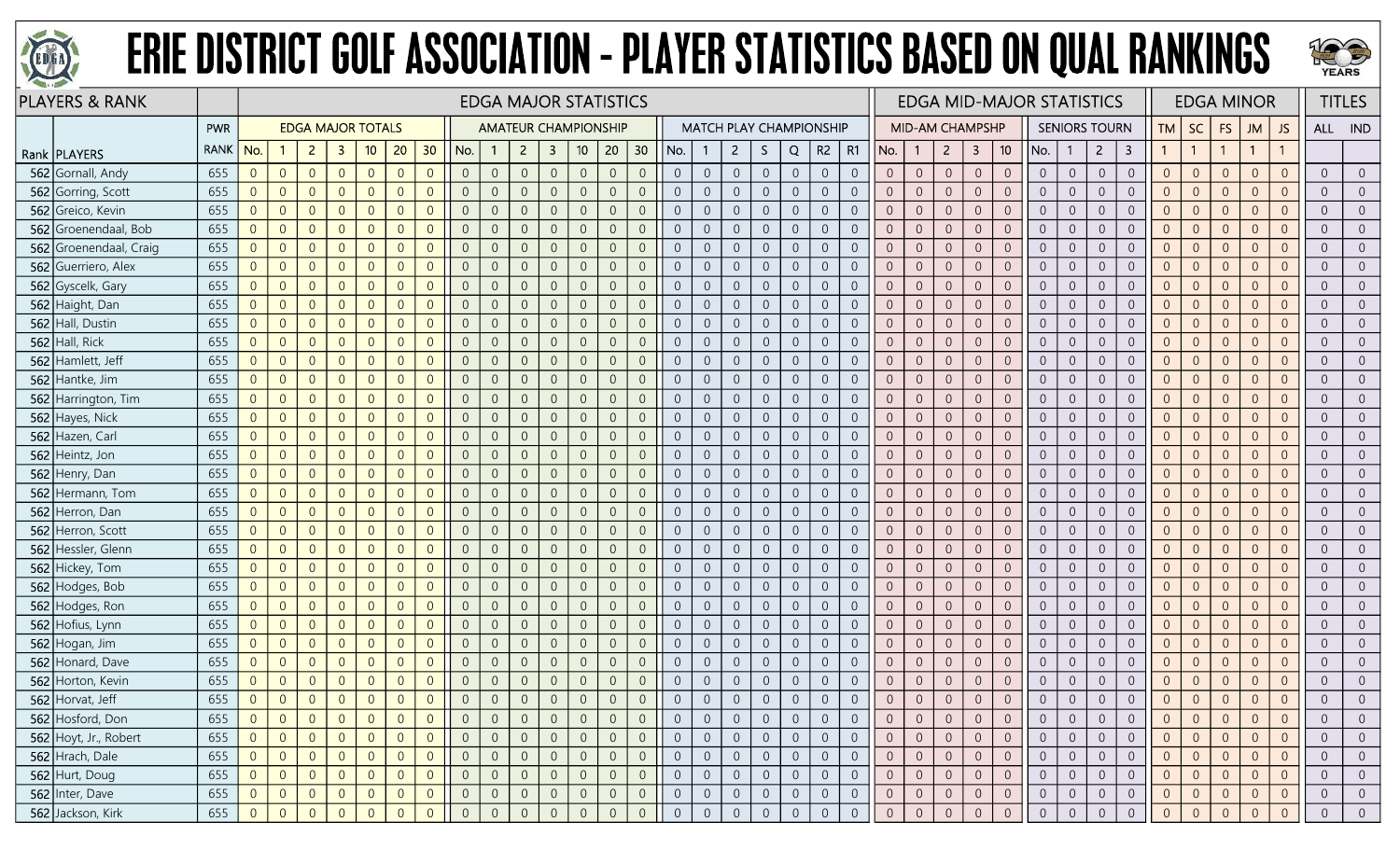



| <b>PLAYERS &amp; RANK</b> |             |                |                |                |                          |                |                |                |                |                | <b>EDGA MAJOR STATISTICS</b> |                         |                 |                |                  |                |                  |                                |                  |                |                |                |                | <b>EDGA MID-MAJOR STATISTICS</b> |                |                                  |                |                |                      |                         |                |                | <b>EDGA MINOR</b> |                |                |                | <b>TITLES</b>  |
|---------------------------|-------------|----------------|----------------|----------------|--------------------------|----------------|----------------|----------------|----------------|----------------|------------------------------|-------------------------|-----------------|----------------|------------------|----------------|------------------|--------------------------------|------------------|----------------|----------------|----------------|----------------|----------------------------------|----------------|----------------------------------|----------------|----------------|----------------------|-------------------------|----------------|----------------|-------------------|----------------|----------------|----------------|----------------|
|                           | PWR         |                |                |                | <b>EDGA MAJOR TOTALS</b> |                |                |                |                |                | <b>AMATEUR CHAMPIONSHIP</b>  |                         |                 |                |                  |                |                  | <b>MATCH PLAY CHAMPIONSHIP</b> |                  |                |                |                |                | <b>MID-AM CHAMPSHP</b>           |                |                                  |                |                | <b>SENIORS TOURN</b> |                         | <b>TM</b>      | SC             | FS                | <b>JM</b>      | JS             | ALL IND        |                |
| Rank   PLAYERS            | <b>RANK</b> | No.            | -1             | $\overline{2}$ | $\mathbf{3}$             | 10             | 20             | 30             | No.            |                | $\overline{2}$               | $\overline{\mathbf{3}}$ | 10 <sub>1</sub> | 20             | 30               | No.            |                  | $\overline{2}$                 | S.               | Q              | R2             | <b>R1</b>      | No.            | -1                               | $\overline{2}$ | $\mathbf{3}$<br>10 <sup>°</sup>  | No.            | -1             | $\overline{2}$       | $\overline{\mathbf{3}}$ | $\mathbf{1}$   | $\overline{1}$ | $\mathbf{1}$      | $\mathbf{1}$   |                |                |                |
| 562 Gornall, Andy         | 655         | $\overline{0}$ | $\overline{0}$ | $\overline{0}$ | $\overline{0}$           | $\overline{0}$ | $\Omega$       | $\overline{0}$ | $\overline{0}$ | $\overline{0}$ | $\overline{0}$               | $\overline{0}$          | $\sqrt{0}$      | $\overline{0}$ | $\overline{0}$   | $\overline{0}$ | $\theta$         | $\overline{0}$                 | $\overline{0}$   | $\overline{0}$ | $\overline{0}$ | $\overline{0}$ | $\overline{0}$ | $\sqrt{0}$                       | $\overline{0}$ | $\theta$<br>$\overline{0}$       | $\overline{0}$ | $\overline{0}$ | $\overline{0}$       | $\overline{0}$          | $\overline{0}$ | $\overline{0}$ | $\overline{0}$    | $\overline{0}$ | $\overline{0}$ | $\overline{0}$ | $\overline{0}$ |
| 562 Gorring, Scott        | 655         | $\overline{0}$ | $\overline{0}$ | $\overline{0}$ | $\overline{0}$           | $\overline{0}$ | $\Omega$       | $\Omega$       | $\overline{0}$ | $\overline{0}$ |                              | $\overline{0}$          | $\overline{0}$  | $\overline{0}$ | $\overline{0}$   | $\overline{0}$ | $\overline{0}$   | $\overline{0}$                 | $\overline{0}$   | $\overline{0}$ | $\overline{0}$ | $\overline{0}$ | $\overline{0}$ | $\overline{0}$                   | $\overline{0}$ | $\overline{0}$<br>$\overline{0}$ | $\overline{0}$ | $\overline{0}$ | $\overline{0}$       | $\overline{0}$          | $\overline{0}$ | $\overline{0}$ | $\overline{0}$    | $\overline{0}$ | $\overline{0}$ | $\overline{0}$ |                |
| 562 Greico, Kevin         | 655         | $\overline{0}$ | $\overline{0}$ | $\overline{0}$ | $\Omega$                 | $\Omega$       |                | $\Omega$       | $\overline{0}$ | $\overline{0}$ |                              | $\Omega$                | $\Omega$        | $\overline{0}$ | $\overline{0}$   | $\Omega$       | $\overline{0}$   | $\overline{0}$                 | $\overline{0}$   | $\theta$       | $\overline{0}$ | $\Omega$       | $\overline{0}$ | $\overline{0}$                   | $\overline{0}$ | $\theta$<br>$\overline{0}$       | $\overline{0}$ | $\overline{0}$ | $\overline{0}$       | $\overline{0}$          | $\overline{0}$ | $\overline{0}$ | $\overline{0}$    | $\Omega$       |                | $\overline{0}$ |                |
| 562 Groenendaal, Bob      | 655         | $\overline{0}$ | $\overline{0}$ | $\overline{0}$ | $\overline{0}$           | $\overline{0}$ | $\Omega$       | $\Omega$       | $\overline{0}$ | $\overline{0}$ | $\Omega$                     | $\Omega$                | $\overline{0}$  | $\overline{0}$ | $\overline{0}$   | $\overline{0}$ | $\overline{0}$   | $\overline{0}$                 | $\overline{0}$   | $\overline{0}$ | $\overline{0}$ | $\overline{0}$ | $\overline{0}$ | $\overline{0}$                   | $\overline{0}$ | $\overline{0}$<br>$\overline{0}$ | $\overline{0}$ | $\overline{0}$ | $\overline{0}$       | $\overline{0}$          | $\overline{0}$ | $\overline{0}$ | $\overline{0}$    | $\overline{0}$ | $\overline{0}$ | $\overline{0}$ | $\overline{0}$ |
| 562 Groenendaal, Craig    | 655         | $\overline{0}$ | $\overline{0}$ | $\overline{0}$ | $\Omega$                 | $\overline{0}$ | $\Omega$       | $\Omega$       | $\overline{0}$ | $\mathbf{0}$   | $\Omega$                     | $\overline{0}$          | $\sqrt{0}$      | $\overline{0}$ | $\overline{0}$   | $\overline{0}$ | $\sqrt{0}$       | $\overline{0}$                 | $\mathbf 0$      | $\mathbf{0}$   | $\overline{0}$ | $\overline{0}$ | $\overline{0}$ | $\overline{0}$                   | $\overline{0}$ | $\overline{0}$<br>$\mathbf{0}$   | $\overline{0}$ | $\overline{0}$ | $\overline{0}$       | $\sqrt{0}$              | $\overline{0}$ | $\overline{0}$ | $\overline{0}$    | $\overline{0}$ | $\overline{0}$ | $\overline{0}$ | $\Omega$       |
| 562 Guerriero, Alex       | 655         | $\overline{0}$ | $\overline{0}$ | $\overline{0}$ | $\overline{0}$           | $\overline{0}$ | $\Omega$       | $\Omega$       | $\overline{0}$ | $\overline{0}$ |                              | $\overline{0}$          | $\overline{0}$  | $\overline{0}$ | $\overline{0}$   | $\overline{0}$ | $\overline{0}$   | $\overline{0}$                 | $\overline{0}$   | $\overline{0}$ | $\overline{0}$ | $\overline{0}$ | $\overline{0}$ | $\overline{0}$                   | $\overline{0}$ | $\overline{0}$<br>$\overline{0}$ | $\overline{0}$ | $\overline{0}$ | $\overline{0}$       | $\overline{0}$          | $\overline{0}$ | $\overline{0}$ | $\overline{0}$    | $\overline{0}$ | $\overline{0}$ | $\overline{0}$ | $\Omega$       |
| 562 Gyscelk, Gary         | 655         | $\overline{0}$ | $\overline{0}$ | $\overline{0}$ | $\overline{0}$           | $\overline{0}$ | $\Omega$       | $\Omega$       | $\overline{0}$ | $\overline{0}$ |                              | 0                       | $\overline{0}$  | $\overline{0}$ | $\overline{0}$   | $\Omega$       | $\overline{0}$   | $\overline{0}$                 | $\boldsymbol{0}$ | $\theta$       | $\overline{0}$ | $\overline{0}$ | $\overline{0}$ | $\overline{0}$                   | $\overline{0}$ | $\overline{0}$<br>$\overline{0}$ | $\overline{0}$ | $\overline{0}$ | $\overline{0}$       | $\overline{0}$          | $\overline{0}$ | $\overline{0}$ | $\overline{0}$    | $\overline{0}$ |                | $\overline{0}$ |                |
| 562 Haight, Dan           | 655         | $\overline{0}$ | $\overline{0}$ | $\overline{0}$ | $\overline{0}$           | $\overline{0}$ | $\Omega$       | $\Omega$       | $\overline{0}$ | $\overline{0}$ | $\Omega$                     | $\overline{0}$          | $\overline{0}$  | $\overline{0}$ | $\overline{0}$   | $\overline{0}$ | $\overline{0}$   | $\overline{0}$                 | $\boldsymbol{0}$ | $\overline{0}$ | $\overline{0}$ | $\overline{0}$ | $\overline{0}$ | $\overline{0}$                   | $\overline{0}$ | $\theta$<br>$\overline{0}$       | $\overline{0}$ | $\overline{0}$ | $\overline{0}$       | $\boldsymbol{0}$        | $\overline{0}$ | $\overline{0}$ | $\overline{0}$    | $\overline{0}$ | $\overline{0}$ | $\overline{0}$ | $\overline{0}$ |
| 562 Hall, Dustin          | 655         | $\overline{0}$ | $\overline{0}$ | $\overline{0}$ | $\overline{0}$           | $\overline{0}$ | $\Omega$       | $\overline{0}$ | $\overline{0}$ | $\overline{0}$ | $\overline{0}$               | $\overline{0}$          | $\overline{0}$  | $\overline{0}$ | $\overline{0}$   | $\overline{0}$ | $\overline{0}$   | $\overline{0}$                 | $\boldsymbol{0}$ | $\mathbf 0$    | $\sqrt{0}$     | $\overline{0}$ | $\overline{0}$ | $\overline{0}$                   | $\overline{0}$ | $\sqrt{0}$<br>$\overline{0}$     | $\overline{0}$ | $\overline{0}$ | $\overline{0}$       | $\overline{0}$          | $\overline{0}$ | $\overline{0}$ | $\overline{0}$    | $\overline{0}$ | $\overline{0}$ | $\overline{0}$ | $\overline{0}$ |
| 562 Hall, Rick            | 655         | $\overline{0}$ | $\overline{0}$ | $\overline{0}$ | $\overline{0}$           | $\overline{0}$ | $\Omega$       | $\Omega$       | $\overline{0}$ | $\overline{0}$ |                              | $\overline{0}$          | $\overline{0}$  | $\overline{0}$ | $\overline{0}$   | $\overline{0}$ | $\overline{0}$   | $\overline{0}$                 | $\boldsymbol{0}$ | $\overline{0}$ | $\overline{0}$ | $\overline{0}$ | $\overline{0}$ | $\overline{0}$                   | $\overline{0}$ | $\overline{0}$<br>$\overline{0}$ | $\overline{0}$ | $\overline{0}$ | $\overline{0}$       | $\overline{0}$          | $\overline{0}$ | $\overline{0}$ | $\overline{0}$    | $\overline{0}$ | $\overline{0}$ | $\overline{0}$ | $\overline{0}$ |
| 562 Hamlett, Jeff         | 655         | $\overline{0}$ | $\overline{0}$ | $\overline{0}$ | $\overline{0}$           | $\overline{0}$ |                | $\Omega$       | $\overline{0}$ | $\overline{0}$ | $\Omega$                     | 0                       | $\overline{0}$  | $\overline{0}$ | $\overline{0}$   | $\overline{0}$ | $\overline{0}$   | $\overline{0}$                 | $\overline{0}$   | $\overline{0}$ | $\overline{0}$ | $\overline{0}$ | $\overline{0}$ | $\overline{0}$                   | $\overline{0}$ | $\overline{0}$<br>$\overline{0}$ | $\overline{0}$ | $\overline{0}$ | $\overline{0}$       | $\overline{0}$          | $\overline{0}$ | $\overline{0}$ | $\overline{0}$    | $\overline{0}$ | $\Omega$       | $\overline{0}$ | $\overline{0}$ |
| 562 Hantke, Jim           | 655         | $\overline{0}$ | $\overline{0}$ | $\overline{0}$ | $\overline{0}$           | $\overline{0}$ | $\Omega$       | $\Omega$       | $\overline{0}$ | $\overline{0}$ | $\Omega$                     | $\overline{0}$          | $\sqrt{0}$      | $\overline{0}$ | $\overline{0}$   | $\Omega$       | $\overline{0}$   | $\overline{0}$                 | $\boldsymbol{0}$ | $\overline{0}$ | $\overline{0}$ | $\overline{0}$ | $\overline{0}$ | $\overline{0}$                   | $\sqrt{0}$     | $\theta$<br>$\overline{0}$       | $\overline{0}$ | $\overline{0}$ | $\overline{0}$       | $\boldsymbol{0}$        | $\overline{0}$ | $\overline{0}$ | $\overline{0}$    | $\overline{0}$ | $\overline{0}$ | $\overline{0}$ | $\overline{0}$ |
| 562 Harrington, Tim       | 655         | $\overline{0}$ | $\overline{0}$ | $\overline{0}$ | $\overline{0}$           | $\overline{0}$ | $\Omega$       | $\overline{0}$ | $\overline{0}$ | $\overline{0}$ | $\Omega$                     | $\overline{0}$          | $\sqrt{0}$      | $\overline{0}$ | $\overline{0}$   | $\overline{0}$ | $\overline{0}$   | $\overline{0}$                 | $\overline{0}$   | $\overline{0}$ | $\overline{0}$ | $\overline{0}$ | $\overline{0}$ | $\overline{0}$                   | $\overline{0}$ | $\overline{0}$<br>$\overline{0}$ | $\overline{0}$ | $\overline{0}$ | $\overline{0}$       | $\boldsymbol{0}$        | $\overline{0}$ | $\overline{0}$ | $\overline{0}$    | $\overline{0}$ | $\overline{0}$ | $\overline{0}$ | $\overline{0}$ |
| 562 Hayes, Nick           | 655         | $\overline{0}$ | $\overline{0}$ | $\overline{0}$ | $\overline{0}$           | $\overline{0}$ | $\Omega$       | $\Omega$       | $\theta$       | $\mathbf{0}$   | $\overline{0}$               | $\overline{0}$          | $\overline{0}$  | $\theta$       | $\overline{0}$   | $\overline{0}$ | $\overline{0}$   | $\sqrt{0}$                     | $\boldsymbol{0}$ | $\theta$       | $\overline{0}$ | $\overline{0}$ | $\overline{0}$ | $\overline{0}$                   | $\sqrt{0}$     | $\sqrt{0}$<br>$\overline{0}$     | $\overline{0}$ | $\overline{0}$ | $\mathbf 0$          | $\boldsymbol{0}$        | $\sqrt{0}$     | $\sqrt{0}$     | $\theta$          | $\overline{0}$ | $\overline{0}$ | $\overline{0}$ |                |
| 562 Hazen, Carl           | 655         | $\overline{0}$ | $\overline{0}$ | $\overline{0}$ | $\Omega$                 | $\overline{0}$ | $\Omega$       | $\Omega$       | $\overline{0}$ | $\overline{0}$ |                              | 0                       | $\overline{0}$  | $\overline{0}$ | $\overline{0}$   | $\overline{0}$ | $\Omega$         | $\overline{0}$                 | $\overline{0}$   | $\overline{0}$ | $\overline{0}$ | $\overline{0}$ | $\overline{0}$ | $\overline{0}$                   | $\overline{0}$ | $\overline{0}$<br>$\overline{0}$ | $\overline{0}$ | $\overline{0}$ | $\overline{0}$       | $\overline{0}$          | $\overline{0}$ | $\overline{0}$ | $\overline{0}$    | $\overline{0}$ | $\overline{0}$ | $\overline{0}$ | $\overline{0}$ |
| 562 Heintz, Jon           | 655         | $\overline{0}$ | $\overline{0}$ | $\overline{0}$ | $\overline{0}$           | $\overline{0}$ | $\Omega$       | $\Omega$       | $\overline{0}$ | $\mathbf{0}$   | $\Omega$                     | $\overline{0}$          | $\mathbf 0$     | $\overline{0}$ | $\overline{0}$   | $\overline{0}$ | $\overline{0}$   | $\overline{0}$                 | $\boldsymbol{0}$ | $\sqrt{0}$     | $\overline{0}$ | $\overline{0}$ | $\overline{0}$ | $\overline{0}$                   | $\sqrt{0}$     | $\mathbb O$<br>$\overline{0}$    | $\overline{0}$ | $\overline{0}$ | $\overline{0}$       | $\mathbf 0$             | $\mathbf 0$    | $\overline{0}$ | $\overline{0}$    | $\overline{0}$ | $\overline{0}$ | $\overline{0}$ | $\overline{0}$ |
| 562 Henry, Dan            | 655         | $\overline{0}$ | $\overline{0}$ | $\overline{0}$ | $\overline{0}$           | $\overline{0}$ | $\overline{0}$ | $\overline{0}$ | $\overline{0}$ | $\overline{0}$ | $\overline{0}$               | $\overline{0}$          | $\overline{0}$  | $\overline{0}$ | $\overline{0}$   | $\overline{0}$ | $\overline{0}$   | $\overline{0}$                 | $\boldsymbol{0}$ | $\sqrt{0}$     | $\overline{0}$ | $\overline{0}$ | $\overline{0}$ | $\overline{0}$                   | $\overline{0}$ | $\overline{0}$<br>$\overline{0}$ | $\overline{0}$ | $\overline{0}$ | $\overline{0}$       | $\boldsymbol{0}$        | $\overline{0}$ | $\overline{0}$ | $\overline{0}$    | $\overline{0}$ | $\overline{0}$ | $\overline{0}$ | $\overline{0}$ |
| 562 Hermann, Tom          | 655         | $\overline{0}$ | $\overline{0}$ | $\overline{0}$ | $\Omega$                 | $\overline{0}$ | $\Omega$       | $\overline{0}$ | $\overline{0}$ | $\overline{0}$ |                              | $\Omega$                | $\overline{0}$  | $\overline{0}$ | $\overline{0}$   | $\overline{0}$ | $\overline{0}$   | $\overline{0}$                 | $\overline{0}$   | $\overline{0}$ | $\overline{0}$ | $\overline{0}$ | $\overline{0}$ | $\overline{0}$                   | $\overline{0}$ | $\overline{0}$<br>$\overline{0}$ | $\overline{0}$ | $\overline{0}$ | $\overline{0}$       | $\overline{0}$          | $\overline{0}$ | $\overline{0}$ | $\overline{0}$    | $\overline{0}$ | $\overline{0}$ | $\overline{0}$ |                |
| 562 Herron, Dan           | 655         | $\overline{0}$ | $\overline{0}$ | $\overline{0}$ | $\overline{0}$           | $\overline{0}$ | $\Omega$       | $\Omega$       | $\overline{0}$ | $\overline{0}$ | $\Omega$                     | $\Omega$                | $\overline{0}$  | $\overline{0}$ | $\overline{0}$   | $\overline{0}$ | $\overline{0}$   | $\overline{0}$                 | $\overline{0}$   | $\overline{0}$ | $\overline{0}$ | $\overline{0}$ | $\overline{0}$ | $\overline{0}$                   | $\overline{0}$ | $\overline{0}$<br>$\overline{0}$ | $\overline{0}$ | $\overline{0}$ | $\overline{0}$       | $\overline{0}$          | $\overline{0}$ | $\overline{0}$ | $\overline{0}$    | $\overline{0}$ | $\overline{0}$ | $\overline{0}$ | $\overline{0}$ |
| 562 Herron, Scott         | 655         | $\overline{0}$ | $\overline{0}$ | $\overline{0}$ | $\overline{0}$           | $\overline{0}$ | $\Omega$       | $\Omega$       | $\overline{0}$ | $\overline{0}$ | $\Omega$                     | $\overline{0}$          | $\sqrt{0}$      | $\overline{0}$ | $\overline{0}$   | $\overline{0}$ | $\overline{0}$   | $\overline{0}$                 | $\overline{0}$   | $\overline{0}$ | $\overline{0}$ | $\overline{0}$ | $\overline{0}$ | $\overline{0}$                   | $\sqrt{0}$     | $\mathbf{0}$<br>$\overline{0}$   | $\overline{0}$ | $\overline{0}$ | $\overline{0}$       | $\mathbf 0$             | $\overline{0}$ | $\overline{0}$ | $\overline{0}$    | $\overline{0}$ | $\overline{0}$ | $\overline{0}$ | $\overline{0}$ |
| 562 Hessler, Glenn        | 655         | $\overline{0}$ | $\overline{0}$ | $\overline{0}$ | $\overline{0}$           | $\overline{0}$ | $\Omega$       | $\overline{0}$ | $\overline{0}$ | $\overline{0}$ |                              | $\Omega$                | $\overline{0}$  | $\overline{0}$ | $\overline{0}$   | $\overline{0}$ | $\overline{0}$   | $\overline{0}$                 | $\mathbf 0$      | $\overline{0}$ | $\overline{0}$ | $\overline{0}$ | $\overline{0}$ | $\overline{0}$                   | $\overline{0}$ | $\overline{0}$<br>$\overline{0}$ | $\overline{0}$ | $\overline{0}$ | $\overline{0}$       | $\overline{0}$          | $\overline{0}$ | $\overline{0}$ | $\overline{0}$    | $\overline{0}$ | $\overline{0}$ | $\overline{0}$ | $\overline{0}$ |
| 562 Hickey, Tom           | 655         | $\overline{0}$ | $\overline{0}$ | $\overline{0}$ | $\overline{0}$           | $\overline{0}$ | $\Omega$       | $\Omega$       | $\overline{0}$ | $\overline{0}$ |                              | $\overline{0}$          | $\overline{0}$  | $\overline{0}$ | $\overline{0}$   | $\overline{0}$ | $\overline{0}$   | $\overline{0}$                 | $\overline{0}$   | $\overline{0}$ | $\overline{0}$ | $\overline{0}$ | $\overline{0}$ | $\overline{0}$                   | $\overline{0}$ | $\overline{0}$<br>$\overline{0}$ | $\overline{0}$ | $\overline{0}$ | $\overline{0}$       | $\overline{0}$          | $\overline{0}$ | $\overline{0}$ | $\overline{0}$    | $\overline{0}$ | $\overline{0}$ | $\overline{0}$ |                |
| 562 Hodges, Bob           | 655         | $\overline{0}$ | $\overline{0}$ | $\overline{0}$ | $\overline{0}$           | $\overline{0}$ | $\Omega$       | $\overline{0}$ | $\overline{0}$ | $\overline{0}$ | $\Omega$                     | $\overline{0}$          | $\overline{0}$  | $\overline{0}$ | $\overline{0}$   | $\overline{0}$ | $\overline{0}$   | $\overline{0}$                 | $\overline{0}$   | $\overline{0}$ | $\overline{0}$ | $\overline{0}$ | $\overline{0}$ | $\overline{0}$                   | $\overline{0}$ | $\overline{0}$<br>$\overline{0}$ | $\overline{0}$ | $\overline{0}$ | $\overline{0}$       | $\overline{0}$          | $\overline{0}$ | $\overline{0}$ | $\overline{0}$    | $\overline{0}$ | $\Omega$       | $\overline{0}$ | $\overline{0}$ |
| 562 Hodges, Ron           | 655         | $\overline{0}$ | $\overline{0}$ | $\overline{0}$ | $\overline{0}$           | $\overline{0}$ | $\Omega$       | $\Omega$       | $\overline{0}$ | $\overline{0}$ | $\Omega$                     | $\overline{0}$          | $\overline{0}$  | $\overline{0}$ | $\overline{0}$   | $\overline{0}$ | $\overline{0}$   | $\overline{0}$                 | $\overline{0}$   | $\overline{0}$ | $\overline{0}$ | $\overline{0}$ | $\overline{0}$ | $\overline{0}$                   | $\overline{0}$ | $\overline{0}$<br>$\overline{0}$ | $\overline{0}$ | $\overline{0}$ | $\overline{0}$       | $\overline{0}$          | $\overline{0}$ | $\overline{0}$ | $\overline{0}$    | $\overline{0}$ | $\overline{0}$ | $\overline{0}$ | $\overline{0}$ |
| 562 Hofius, Lynn          | 655         | $\overline{0}$ | $\overline{0}$ | $\overline{0}$ | $\overline{0}$           | $\overline{0}$ | $\Omega$       | $\overline{0}$ | $\overline{0}$ | $\overline{0}$ | $\overline{0}$               | $\overline{0}$          | $\sqrt{0}$      | $\overline{0}$ | $\overline{0}$   | $\overline{0}$ | $\overline{0}$   | $\overline{0}$                 | $\overline{0}$   | $\overline{0}$ | $\overline{0}$ | $\overline{0}$ | $\overline{0}$ | $\overline{0}$                   | $\overline{0}$ | $\overline{0}$<br>$\overline{0}$ | $\overline{0}$ | $\overline{0}$ | $\overline{0}$       | $\overline{0}$          | $\overline{0}$ | $\overline{0}$ | $\overline{0}$    | $\overline{0}$ | $\overline{0}$ | $\overline{0}$ | $\overline{0}$ |
| 562 Hogan, Jim            | 655         | $\overline{0}$ | $\overline{0}$ | $\overline{0}$ | $\overline{0}$           | $\overline{0}$ | $\Omega$       | $\Omega$       | $\overline{0}$ | $\overline{0}$ |                              | $\overline{0}$          | $\overline{0}$  | $\overline{0}$ | $\overline{0}$   | $\overline{0}$ | $\overline{0}$   | $\overline{0}$                 | $\overline{0}$   | $\overline{0}$ | $\overline{0}$ | $\overline{0}$ | $\overline{0}$ | $\overline{0}$                   | $\overline{0}$ | $\overline{0}$<br>$\overline{0}$ | $\overline{0}$ | $\overline{0}$ | $\overline{0}$       | $\overline{0}$          | $\overline{0}$ | $\overline{0}$ | $\overline{0}$    | $\overline{0}$ | $\overline{0}$ | $\overline{0}$ | $\overline{0}$ |
| 562 Honard, Dave          | 655         | $\overline{0}$ | $\overline{0}$ | $\overline{0}$ | $\Omega$                 | $\overline{0}$ | $\Omega$       | $\Omega$       | $\overline{0}$ | $\overline{0}$ | $\Omega$                     | $\Omega$                | $\overline{0}$  | $\overline{0}$ | $\overline{0}$   | $\Omega$       | $\overline{0}$   | $\overline{0}$                 | $\overline{0}$   | $\overline{0}$ | $\overline{0}$ | $\overline{0}$ | $\overline{0}$ | $\overline{0}$                   | $\overline{0}$ | $\overline{0}$<br>$\overline{0}$ | $\overline{0}$ | $\overline{0}$ | $\overline{0}$       | $\overline{0}$          | $\overline{0}$ | $\overline{0}$ | $\overline{0}$    | $\overline{0}$ | $\overline{0}$ | $\overline{0}$ | $\overline{0}$ |
| 562 Horton, Kevin         | 655         | $\overline{0}$ | $\overline{0}$ | $\overline{0}$ | $\overline{0}$           | $\overline{0}$ | $\Omega$       | $\Omega$       | $\overline{0}$ | $\overline{0}$ | $\Omega$                     | $\overline{0}$          | $\overline{0}$  | $\overline{0}$ | $\overline{0}$   | $\overline{0}$ | $\overline{0}$   | $\overline{0}$                 | $\overline{0}$   | $\overline{0}$ | $\overline{0}$ | $\overline{0}$ | $\overline{0}$ | $\overline{0}$                   | $\overline{0}$ | $\overline{0}$<br>$\overline{0}$ | $\overline{0}$ | $\overline{0}$ | $\overline{0}$       | $\overline{0}$          | $\overline{0}$ | $\overline{0}$ | $\theta$          | $\overline{0}$ | $\overline{0}$ | $\overline{0}$ | $\overline{0}$ |
| 562 Horvat, Jeff          | 655         | $\overline{0}$ | $\overline{0}$ | $\overline{0}$ | $\overline{0}$           | $\overline{0}$ | $\Omega$       | $\overline{0}$ | $\overline{0}$ | $\Omega$       | $\overline{0}$               | $\overline{0}$          | $\sqrt{0}$      | $\overline{0}$ | $\overline{0}$   |                | $\sqrt{0}$       | $\overline{0}$                 | $\overline{0}$   | $\overline{0}$ | $\overline{0}$ | $\overline{0}$ | $\overline{0}$ | $\overline{0}$                   | $\sqrt{0}$     | $\overline{0}$<br>$\overline{0}$ | $\overline{0}$ | $\overline{0}$ | $\overline{0}$       | $\overline{0}$          | $\overline{0}$ | $\overline{0}$ | $\overline{0}$    | $\overline{0}$ | $\Omega$       | $\overline{0}$ |                |
| 562 Hosford, Don          | 655         | $\overline{0}$ | $\overline{0}$ | $\overline{0}$ | $\overline{0}$           | $\overline{0}$ |                |                | $\overline{0}$ | $\overline{0}$ |                              | 0                       | $\overline{0}$  | $\overline{0}$ | $\overline{0}$   | $\theta$       | $\theta$         | $\overline{0}$                 | $\overline{0}$   | $\overline{0}$ | $\overline{0}$ | $\overline{0}$ | $\overline{0}$ | $\overline{0}$                   | $\overline{0}$ | $\overline{0}$<br>$\overline{0}$ | $\overline{0}$ | $\overline{0}$ | $\overline{0}$       | $\overline{0}$          | $\overline{0}$ | $\overline{0}$ | $\overline{0}$    | $\Omega$       | $\overline{0}$ | $\overline{0}$ |                |
| 562 Hoyt, Jr., Robert     | 655         | $\overline{0}$ | $\overline{0}$ | $\overline{0}$ | $\overline{0}$           | $\overline{0}$ | $\Omega$       | $\overline{0}$ | $\overline{0}$ | $\overline{0}$ | $\overline{0}$               | $\overline{0}$          | $\overline{0}$  | $\overline{0}$ | $\overline{0}$   | $\overline{0}$ | $\overline{0}$   | $\overline{0}$                 | $\overline{0}$   | $\overline{0}$ | $\overline{0}$ | $\overline{0}$ | $\overline{0}$ | $\overline{0}$                   | $\overline{0}$ | $\overline{0}$<br>$\overline{0}$ | $\overline{0}$ | $\overline{0}$ | $\overline{0}$       | $\overline{0}$          | $\overline{0}$ | $\overline{0}$ | $\overline{0}$    | $\overline{0}$ | $\overline{0}$ | $\overline{0}$ | $\overline{0}$ |
| 562 Hrach, Dale           | 655         | $\overline{0}$ | $\overline{0}$ | $\overline{0}$ | $\overline{0}$           | $\overline{0}$ | $\Omega$       | $\overline{0}$ | $\overline{0}$ | $\overline{0}$ | $\overline{0}$               | $\overline{0}$          | $\mathbf 0$     | $\overline{0}$ | $\boldsymbol{0}$ | $\overline{0}$ | $\sqrt{0}$       | $\overline{0}$                 | $\overline{0}$   | $\sqrt{0}$     | $\overline{0}$ | $\overline{0}$ | $\overline{0}$ | $\overline{0}$                   | $\overline{0}$ | $\sqrt{0}$<br>$\overline{0}$     | $\overline{0}$ | $\overline{0}$ | $\overline{0}$       | $\boldsymbol{0}$        | $\overline{0}$ | $\overline{0}$ | $\overline{0}$    | $\overline{0}$ | $\overline{0}$ | $\overline{0}$ | $\overline{0}$ |
| 562 Hurt, Doug            | 655         | $\overline{0}$ | $\overline{0}$ | $\overline{0}$ | $\overline{0}$           | $\overline{0}$ | $\overline{0}$ | $\overline{0}$ | $\overline{0}$ | $\overline{0}$ | $\overline{0}$               | $\overline{0}$          | $\sqrt{0}$      | $\overline{0}$ | $\overline{0}$   | $\overline{0}$ | $\boldsymbol{0}$ | $\overline{0}$                 | $\overline{0}$   | $\overline{0}$ | $\overline{0}$ | $\overline{0}$ | $\overline{0}$ | $\overline{0}$                   | $\overline{0}$ | $\overline{0}$<br>$\overline{0}$ | $\overline{0}$ | $\overline{0}$ | $\overline{0}$       | $\boldsymbol{0}$        | $\overline{0}$ | $\overline{0}$ | $\overline{0}$    | $\overline{0}$ | $\overline{0}$ | $\overline{0}$ | $\overline{0}$ |
| 562 Inter, Dave           | 655         | $\overline{0}$ | $\theta$       | $\overline{0}$ | $\overline{0}$           | $\overline{0}$ | $\theta$       | $\overline{0}$ | $\overline{0}$ | $\overline{0}$ | $\overline{0}$               | $\theta$                | $\overline{0}$  | $\overline{0}$ | $\overline{0}$   | $\overline{0}$ | $\overline{0}$   | $\overline{0}$                 | $\overline{0}$   | $\sqrt{0}$     | $\overline{0}$ | $\overline{0}$ | $\overline{0}$ | $\overline{0}$                   | $\overline{0}$ | $\overline{0}$<br>$\overline{0}$ | $\overline{0}$ | $\overline{0}$ | $\overline{0}$       | $\overline{0}$          | $\overline{0}$ | $\overline{0}$ | $\overline{0}$    | $\overline{0}$ | $\overline{0}$ | $\overline{0}$ | $\overline{0}$ |
| 562 Jackson, Kirk         | 655         | $\overline{0}$ | $\overline{0}$ | $\overline{0}$ | $\overline{0}$           | $\overline{0}$ |                | $\overline{0}$ | $\overline{0}$ | $\Omega$       | $\Omega$                     | $\Omega$                | $\overline{0}$  | $\overline{0}$ | $\overline{0}$   | $\overline{0}$ | $\overline{0}$   | $\overline{0}$                 | $\overline{0}$   | $\overline{0}$ | $\overline{0}$ | $\mathbf 0$    | $\overline{0}$ | $\mathbf{0}$                     | $\sqrt{0}$     | $\sqrt{0}$<br>$\overline{0}$     | $\overline{0}$ | $\overline{0}$ | $\overline{0}$       | $\mathbf 0$             | $\overline{0}$ | $\overline{0}$ | $\overline{0}$    | $\overline{0}$ | $\overline{0}$ | $\mathbf{0}$   | $\overline{0}$ |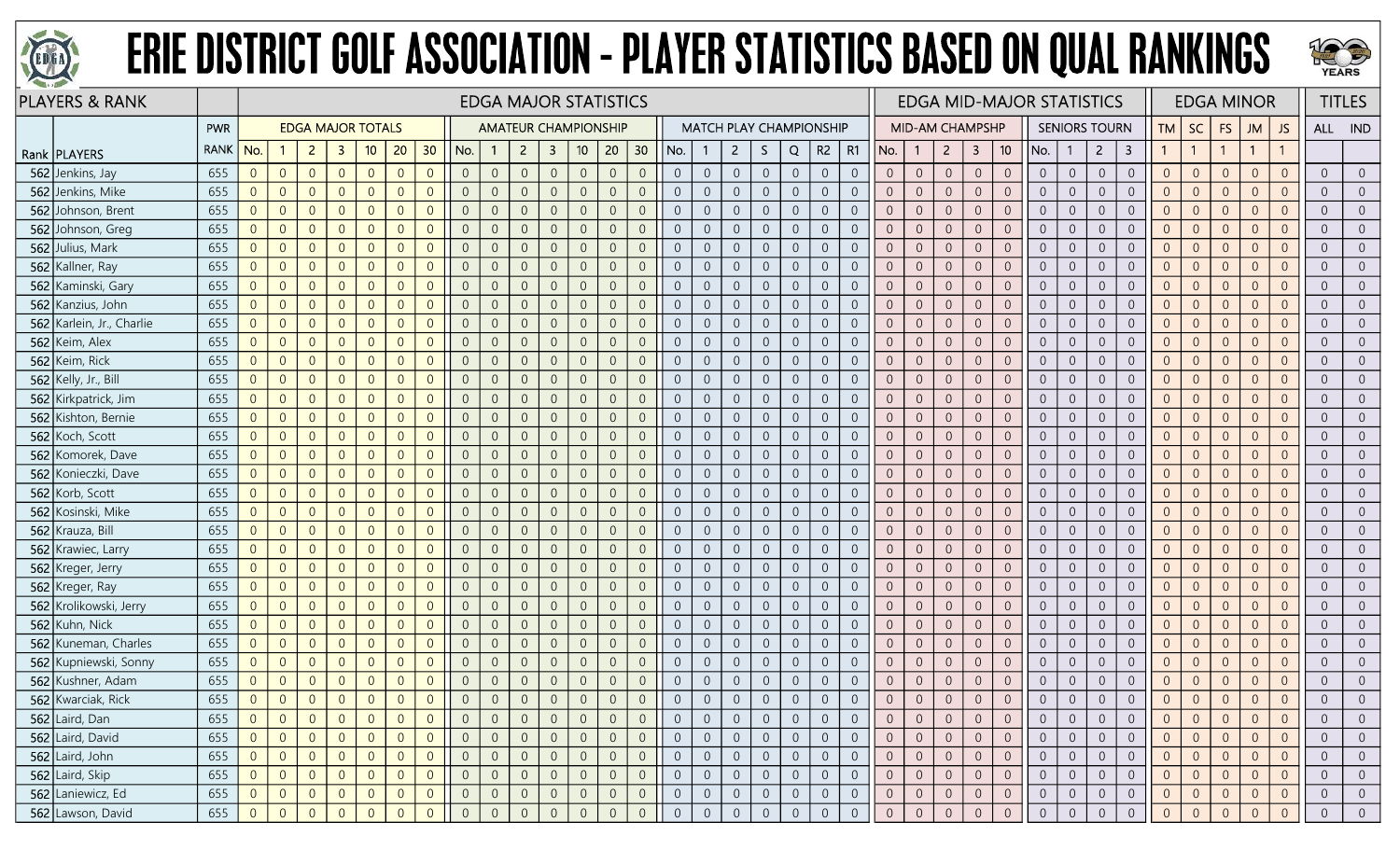



| <b>PLAYERS &amp; RANK</b>   |             |                |                |                |                          |                |                |                |                |                |                |                | <b>EDGA MAJOR STATISTICS</b> |                |                |                |                  |                |                                |                |                |                |                |                        |                  |                  |                 | <b>EDGA MID-MAJOR STATISTICS</b> |                |                      |                  |                |                |                | <b>EDGA MINOR</b> |                |                | <b>TITLES</b>  |
|-----------------------------|-------------|----------------|----------------|----------------|--------------------------|----------------|----------------|----------------|----------------|----------------|----------------|----------------|------------------------------|----------------|----------------|----------------|------------------|----------------|--------------------------------|----------------|----------------|----------------|----------------|------------------------|------------------|------------------|-----------------|----------------------------------|----------------|----------------------|------------------|----------------|----------------|----------------|-------------------|----------------|----------------|----------------|
|                             | <b>PWR</b>  |                |                |                | <b>EDGA MAJOR TOTALS</b> |                |                |                |                |                |                |                | <b>AMATEUR CHAMPIONSHIP</b>  |                |                |                |                  |                | <b>MATCH PLAY CHAMPIONSHIP</b> |                |                |                |                | <b>MID-AM CHAMPSHP</b> |                  |                  |                 |                                  |                | <b>SENIORS TOURN</b> |                  | TM             | <b>SC</b>      | <b>FS</b>      | JM                | JS             | ALL IND        |                |
| Rank   PLAYERS              | <b>RANK</b> | No.            |                | $\mathbf{2}$   | -3                       | 10             | 20             | 30             | No.            | $\mathbf{1}$   | $\overline{2}$ | $\mathbf{3}$   | 10 <sup>°</sup>              | 20             | 30             | No.            |                  | $\overline{2}$ | S.                             | Q              | $R2 \mid R1$   |                | No.            | $\mathbf{1}$           | $\overline{2}$   | 3                | 10 <sup>°</sup> | No.                              | -1             | $\overline{2}$       | 3                |                | $\overline{1}$ |                | $\mathbf{1}$      |                |                |                |
| 562 Jenkins, Jay            | 655         | $\overline{0}$ | $\overline{0}$ | $\overline{0}$ | $\overline{0}$           | $\overline{0}$ | $\overline{0}$ | $\overline{0}$ | $\overline{0}$ | $\overline{0}$ | $\overline{0}$ | $\overline{0}$ | $\overline{0}$               | $\overline{0}$ | $\overline{0}$ | $\overline{0}$ | $\overline{0}$   | $\overline{0}$ | $\overline{0}$                 | $\overline{0}$ | $\overline{0}$ | $\overline{0}$ | $\overline{0}$ | $\overline{0}$         | $\overline{0}$   | $\overline{0}$   | $\overline{0}$  | $\overline{0}$                   | $\overline{0}$ | $\overline{0}$       | $\overline{0}$   | $\overline{0}$ | $\overline{0}$ | $\overline{0}$ | $\Omega$          | $\overline{0}$ | $\overline{0}$ | $\overline{0}$ |
| 562 Jenkins, Mike           | 655         | $\overline{0}$ | $\overline{0}$ | $\overline{0}$ | $\overline{0}$           | $\overline{0}$ | $\Omega$       | $\Omega$       | $\overline{0}$ | $\overline{0}$ | $\overline{0}$ | $\overline{0}$ | $\overline{0}$               | $\overline{0}$ | $\overline{0}$ | $\overline{0}$ | $\Omega$         | $\overline{0}$ | $\overline{0}$                 | $\overline{0}$ | $\overline{0}$ | $\Omega$       | $\overline{0}$ | $\overline{0}$         | $\overline{0}$   | $\overline{0}$   | $\overline{0}$  | $\overline{0}$                   | $\overline{0}$ | $\overline{0}$       | $\overline{0}$   | $\overline{0}$ | $\overline{0}$ | $\overline{0}$ | $\Omega$          | $\Omega$       | $\overline{0}$ | $\overline{0}$ |
| 562 Johnson, Brent          | 655         | $\overline{0}$ | $\overline{0}$ | $\overline{0}$ | $\Omega$                 | $\overline{0}$ | $\Omega$       | $\Omega$       | $\overline{0}$ | $\overline{0}$ | $\Omega$       | 0              | $\overline{0}$               | $\overline{0}$ | $\overline{0}$ | $\Omega$       | $\overline{0}$   | $\overline{0}$ | $\overline{0}$                 | $\overline{0}$ | $\overline{0}$ | $\overline{0}$ | $\overline{0}$ | $\overline{0}$         | $\overline{0}$   | $\overline{0}$   | $\overline{0}$  | $\overline{0}$                   | $\overline{0}$ | $\overline{0}$       | $\overline{0}$   | $\overline{0}$ | $\overline{0}$ | $\Omega$       | $\overline{0}$    |                | $\overline{0}$ | $\overline{0}$ |
| 562 Johnson, Greg           | 655         | $\overline{0}$ | $\overline{0}$ | $\overline{0}$ | $\overline{0}$           | $\overline{0}$ | $\Omega$       | $\overline{0}$ | $\overline{0}$ | $\overline{0}$ | $\overline{0}$ | $\overline{0}$ | $\overline{0}$               | $\overline{0}$ | $\overline{0}$ | $\Omega$       | $\overline{0}$   | $\overline{0}$ | $\boldsymbol{0}$               | $\overline{0}$ | $\overline{0}$ | $\overline{0}$ | $\overline{0}$ | $\overline{0}$         | $\overline{0}$   | $\overline{0}$   | $\overline{0}$  | $\overline{0}$                   | $\overline{0}$ | $\overline{0}$       | $\overline{0}$   | $\overline{0}$ | $\overline{0}$ | $\overline{0}$ | $\overline{0}$    | $\Omega$       | $\overline{0}$ | $\overline{0}$ |
| 562 Julius, Mark            | 655         | $\overline{0}$ | $\overline{0}$ | $\overline{0}$ | $\overline{0}$           | $\overline{0}$ | $\overline{0}$ | $\Omega$       | $\overline{0}$ | $\overline{0}$ | $\overline{0}$ | $\overline{0}$ | $\overline{0}$               | $\overline{0}$ | $\overline{0}$ | $\overline{0}$ | $\overline{0}$   | $\overline{0}$ | $\overline{0}$                 | $\overline{0}$ | $\overline{0}$ | $\overline{0}$ | $\overline{0}$ | $\overline{0}$         | $\overline{0}$   | $\sqrt{0}$       | $\overline{0}$  | $\overline{0}$                   | $\overline{0}$ | $\overline{0}$       | $\overline{0}$   | $\overline{0}$ | $\overline{0}$ | $\overline{0}$ | $\overline{0}$    | $\overline{0}$ | $\overline{0}$ | $\overline{0}$ |
| 562 Kallner, Ray            | 655         | $\overline{0}$ | $\overline{0}$ | $\overline{0}$ | $\Omega$                 | $\overline{0}$ | $\Omega$       | $\Omega$       | $\overline{0}$ | $\overline{0}$ |                | $\overline{0}$ | $\overline{0}$               | $\overline{0}$ | $\overline{0}$ | $\overline{0}$ | $\overline{0}$   | $\overline{0}$ | $\boldsymbol{0}$               | $\overline{0}$ | $\overline{0}$ | $\overline{0}$ | $\overline{0}$ | $\overline{0}$         | $\overline{0}$   | $\overline{0}$   | $\overline{0}$  | $\overline{0}$                   | $\overline{0}$ | $\overline{0}$       | $\overline{0}$   | $\Omega$       | $\overline{0}$ | $\Omega$       | $\overline{0}$    |                | $\overline{0}$ | $\overline{0}$ |
| 562 Kaminski, Gary          | 655         | $\overline{0}$ | $\overline{0}$ | $\overline{0}$ | $\overline{0}$           | $\overline{0}$ | $\overline{0}$ | $\overline{0}$ | $\overline{0}$ | $\overline{0}$ | $\overline{0}$ | 0              | $\overline{0}$               | $\overline{0}$ | $\overline{0}$ | $\overline{0}$ | $\overline{0}$   | $\overline{0}$ | $\overline{0}$                 | $\overline{0}$ | $\overline{0}$ | $\overline{0}$ | $\overline{0}$ | $\overline{0}$         | $\overline{0}$   | $\overline{0}$   | $\overline{0}$  | $\overline{0}$                   | $\overline{0}$ | $\overline{0}$       | $\overline{0}$   | $\overline{0}$ | $\overline{0}$ | $\overline{0}$ | $\overline{0}$    |                | $\overline{0}$ | $\overline{0}$ |
| 562 Kanzius, John           | 655         | $\overline{0}$ | $\overline{0}$ | $\overline{0}$ | $\overline{0}$           | $\overline{0}$ | $\overline{0}$ | $\Omega$       | $\overline{0}$ | $\overline{0}$ | $\overline{0}$ | $\overline{0}$ | $\overline{0}$               | $\overline{0}$ | $\overline{0}$ | $\overline{0}$ | $\overline{0}$   | $\overline{0}$ | $\boldsymbol{0}$               | $\mathbb O$    | $\sqrt{0}$     | $\overline{0}$ | $\overline{0}$ | $\overline{0}$         | $\overline{0}$   | $\overline{0}$   | $\overline{0}$  | $\overline{0}$                   | $\overline{0}$ | $\overline{0}$       | $\overline{0}$   | $\overline{0}$ | $\overline{0}$ | $\overline{0}$ | $\Omega$          | $\Omega$       | $\overline{0}$ | $\overline{0}$ |
| 562 Karlein, Jr., Charlie   | 655         | $\overline{0}$ | $\overline{0}$ | $\overline{0}$ | $\overline{0}$           | $\overline{0}$ | $\overline{0}$ | $\overline{0}$ | $\overline{0}$ | $\mathbf{0}$   | $\overline{0}$ | $\overline{0}$ | $\overline{0}$               | $\overline{0}$ | $\overline{0}$ | $\overline{0}$ | $\overline{0}$   | $\overline{0}$ | $\boldsymbol{0}$               | $\mathbb O$    | $\overline{0}$ | $\overline{0}$ | $\overline{0}$ | $\overline{0}$         | $\overline{0}$   | $\sqrt{0}$       | $\overline{0}$  | $\overline{0}$                   | $\overline{0}$ | $\overline{0}$       | $\overline{0}$   | $\overline{0}$ | $\overline{0}$ | $\theta$       | $\overline{0}$    | $\Omega$       | $\overline{0}$ | $\overline{0}$ |
| 562 Keim, Alex              | 655         | $\overline{0}$ | $\overline{0}$ | $\overline{0}$ | $\Omega$                 | $\overline{0}$ | $\Omega$       | $\Omega$       | $\overline{0}$ | $\overline{0}$ |                | $\overline{0}$ | $\overline{0}$               | $\overline{0}$ | $\overline{0}$ | $\overline{0}$ | $\Omega$         | $\overline{0}$ | $\overline{0}$                 | $\overline{0}$ | $\overline{0}$ | $\Omega$       | $\overline{0}$ | $\overline{0}$         | $\overline{0}$   | $\overline{0}$   | $\overline{0}$  | $\overline{0}$                   | $\overline{0}$ | $\overline{0}$       | $\overline{0}$   | $\Omega$       | $\overline{0}$ | $\overline{0}$ | $\Omega$          |                | $\overline{0}$ | $\overline{0}$ |
| 562<br>Keim, Rick           | 655         | $\overline{0}$ | $\overline{0}$ | $\overline{0}$ | $\Omega$                 | $\overline{0}$ | $\overline{0}$ | $\overline{0}$ | $\overline{0}$ | $\overline{0}$ | $\Omega$       | 0              | $\overline{0}$               | $\overline{0}$ | $\overline{0}$ | $\Omega$       | $\overline{0}$   | $\overline{0}$ | $\overline{0}$                 | $\overline{0}$ | $\overline{0}$ | $\overline{0}$ | $\overline{0}$ | $\overline{0}$         | $\overline{0}$   | $\overline{0}$   | $\overline{0}$  | $\overline{0}$                   | $\overline{0}$ | $\overline{0}$       | $\overline{0}$   | $\overline{0}$ | $\overline{0}$ | $\overline{0}$ | $\overline{0}$    |                | $\overline{0}$ | $\overline{0}$ |
| <b>562</b> Kelly, Jr., Bill | 655         | $\overline{0}$ | $\overline{0}$ | $\overline{0}$ | $\overline{0}$           | $\overline{0}$ | $\overline{0}$ | $\Omega$       | $\overline{0}$ | $\overline{0}$ | $\Omega$       | $\overline{0}$ | $\overline{0}$               | $\overline{0}$ | $\overline{0}$ | $\overline{0}$ | $\overline{0}$   | $\overline{0}$ | $\overline{0}$                 | $\overline{0}$ | $\overline{0}$ | $\overline{0}$ | $\overline{0}$ | $\overline{0}$         | $\overline{0}$   | $\overline{0}$   | $\overline{0}$  | $\overline{0}$                   | $\overline{0}$ | $\overline{0}$       | $\overline{0}$   | $\overline{0}$ | $\overline{0}$ | $\overline{0}$ | $\Omega$          | $\overline{0}$ | $\overline{0}$ | $\overline{0}$ |
| 562 Kirkpatrick, Jim        | 655         | $\overline{0}$ | $\overline{0}$ | $\overline{0}$ | $\overline{0}$           | $\overline{0}$ | $\overline{0}$ | $\overline{0}$ | $\overline{0}$ | $\overline{0}$ | $\overline{0}$ | $\overline{0}$ | $\sqrt{0}$                   | $\overline{0}$ | $\overline{0}$ | $\overline{0}$ | $\overline{0}$   | $\overline{0}$ | $\boldsymbol{0}$               | $\sqrt{0}$     | $\overline{0}$ | $\overline{0}$ | $\overline{0}$ | $\overline{0}$         | $\overline{0}$   | $\sqrt{0}$       | $\overline{0}$  | $\overline{0}$                   | $\overline{0}$ | $\overline{0}$       | $\overline{0}$   | $\overline{0}$ | $\overline{0}$ | $\overline{0}$ | $\Omega$          | $\Omega$       | $\overline{0}$ | $\overline{0}$ |
| 562 Kishton, Bernie         | 655         | $\overline{0}$ | $\overline{0}$ | $\overline{0}$ | $\Omega$                 | $\overline{0}$ | $\Omega$       | $\Omega$       | $\overline{0}$ | $\overline{0}$ | $\Omega$       | 0              | $\overline{0}$               | $\overline{0}$ | $\overline{0}$ | $\overline{0}$ | $\Omega$         | $\overline{0}$ | $\overline{0}$                 | $\overline{0}$ | $\overline{0}$ | $\overline{0}$ | $\overline{0}$ | $\overline{0}$         | $\overline{0}$   | $\overline{0}$   | $\overline{0}$  | $\overline{0}$                   | $\overline{0}$ | $\overline{0}$       | $\overline{0}$   | $\overline{0}$ | $\overline{0}$ | $\overline{0}$ | $\Omega$          | $\Omega$       | $\overline{0}$ | $\overline{0}$ |
| 562 Koch, Scott             | 655         | $\overline{0}$ | $\overline{0}$ | $\overline{0}$ | $\overline{0}$           | $\overline{0}$ | $\overline{0}$ | $\overline{0}$ | $\overline{0}$ | $\overline{0}$ | $\overline{0}$ | $\overline{0}$ | $\overline{0}$               | $\overline{0}$ | $\overline{0}$ | $\overline{0}$ | $\overline{0}$   | $\overline{0}$ | $\overline{0}$                 | $\overline{0}$ | $\overline{0}$ | $\overline{0}$ | $\overline{0}$ | $\overline{0}$         | $\overline{0}$   | $\overline{0}$   | $\overline{0}$  | $\overline{0}$                   | $\overline{0}$ | $\overline{0}$       | $\overline{0}$   | $\overline{0}$ | $\overline{0}$ | $\overline{0}$ | $\overline{0}$    |                | $\overline{0}$ | $\overline{0}$ |
| 562 Komorek, Dave           | 655         | $\overline{0}$ | $\overline{0}$ | $\overline{0}$ | $\overline{0}$           | $\overline{0}$ | $\overline{0}$ | $\overline{0}$ | $\overline{0}$ | $\overline{0}$ | $\overline{0}$ | $\overline{0}$ | $\overline{0}$               | $\overline{0}$ | $\overline{0}$ | $\overline{0}$ | $\overline{0}$   | $\overline{0}$ | $\overline{0}$                 | $\overline{0}$ | $\overline{0}$ | $\overline{0}$ | $\overline{0}$ | $\overline{0}$         | $\overline{0}$   | $\overline{0}$   | $\overline{0}$  | $\overline{0}$                   | $\overline{0}$ | $\overline{0}$       | $\overline{0}$   | $\overline{0}$ | $\overline{0}$ | $\overline{0}$ | $\Omega$          | $\overline{0}$ | $\overline{0}$ | $\overline{0}$ |
| 562 Konieczki, Dave         | 655         | $\overline{0}$ | $\overline{0}$ | $\overline{0}$ | $\overline{0}$           | $\overline{0}$ | $\overline{0}$ | $\overline{0}$ | $\overline{0}$ | $\overline{0}$ | $\overline{0}$ | $\overline{0}$ | $\overline{0}$               | $\overline{0}$ | $\overline{0}$ | $\overline{0}$ | $\overline{0}$   | $\overline{0}$ | $\overline{0}$                 | $\overline{0}$ | $\overline{0}$ | $\overline{0}$ | $\overline{0}$ | $\overline{0}$         | $\overline{0}$   | $\overline{0}$   | $\overline{0}$  | $\overline{0}$                   | $\overline{0}$ | $\overline{0}$       | $\overline{0}$   | $\overline{0}$ | $\overline{0}$ | $\overline{0}$ | $\Omega$          | $\Omega$       | $\overline{0}$ | $\overline{0}$ |
| 562<br>Korb, Scott          | 655         | $\overline{0}$ | $\overline{0}$ | $\overline{0}$ | $\overline{0}$           | $\overline{0}$ | $\Omega$       | $\Omega$       | $\overline{0}$ | $\overline{0}$ | $\overline{0}$ | 0              | $\overline{0}$               | $\overline{0}$ | $\overline{0}$ | $\overline{0}$ | $\overline{0}$   | $\overline{0}$ | $\overline{0}$                 | $\overline{0}$ | $\overline{0}$ | $\overline{0}$ | $\overline{0}$ | $\overline{0}$         | $\overline{0}$   | $\overline{0}$   | $\overline{0}$  | $\overline{0}$                   | $\overline{0}$ | $\overline{0}$       | $\overline{0}$   | $\overline{0}$ | $\overline{0}$ | $\overline{0}$ | $\Omega$          | $\Omega$       | $\overline{0}$ | $\overline{0}$ |
| 562 Kosinski, Mike          | 655         | $\overline{0}$ | $\overline{0}$ | $\overline{0}$ | $\Omega$                 | $\overline{0}$ | $\Omega$       | $\Omega$       | $\overline{0}$ | $\overline{0}$ | $\Omega$       | $\overline{0}$ | $\Omega$                     | $\overline{0}$ | $\overline{0}$ | $\overline{0}$ | $\overline{0}$   | $\overline{0}$ | $\overline{0}$                 | $\overline{0}$ | $\overline{0}$ | $\Omega$       | $\overline{0}$ | $\overline{0}$         | $\overline{0}$   | $\overline{0}$   | $\overline{0}$  | $\overline{0}$                   | $\overline{0}$ | $\overline{0}$       | $\overline{0}$   | $\overline{0}$ | $\overline{0}$ | $\overline{0}$ | $\Omega$          | $\Omega$       | $\overline{0}$ | $\overline{0}$ |
| 562<br>Krauza, Bill         | 655         | $\overline{0}$ | $\overline{0}$ | $\overline{0}$ | $\overline{0}$           | $\overline{0}$ | $\Omega$       | $\Omega$       | $\overline{0}$ | $\overline{0}$ | $\overline{0}$ | $\Omega$       | $\overline{0}$               | $\overline{0}$ | $\overline{0}$ | $\overline{0}$ | $\overline{0}$   | $\overline{0}$ | $\overline{0}$                 | $\overline{0}$ | $\overline{0}$ | $\overline{0}$ | $\overline{0}$ | $\overline{0}$         | $\overline{0}$   | $\overline{0}$   | $\overline{0}$  | $\overline{0}$                   | $\overline{0}$ | $\overline{0}$       | $\overline{0}$   | $\overline{0}$ | $\overline{0}$ | $\overline{0}$ | $\Omega$          | $\overline{0}$ | $\overline{0}$ | $\overline{0}$ |
| 562 Krawiec, Larry          | 655         | $\overline{0}$ | $\overline{0}$ | $\overline{0}$ | $\Omega$                 | $\overline{0}$ | $\Omega$       | $\Omega$       | $\overline{0}$ | $\overline{0}$ |                | $\overline{0}$ | $\overline{0}$               | $\overline{0}$ | $\overline{0}$ | $\overline{0}$ | $\overline{0}$   | $\overline{0}$ | $\overline{0}$                 | $\overline{0}$ | $\overline{0}$ | $\overline{0}$ | $\overline{0}$ | $\overline{0}$         | $\overline{0}$   | $\overline{0}$   | $\overline{0}$  | $\overline{0}$                   | $\overline{0}$ | $\overline{0}$       | $\overline{0}$   | $\Omega$       | $\overline{0}$ | $\Omega$       | $\Omega$          |                | $\overline{0}$ | $\overline{0}$ |
| 562<br>Kreger, Jerry        | 655         | $\overline{0}$ | $\overline{0}$ | $\overline{0}$ | $\overline{0}$           | $\overline{0}$ | $\Omega$       | $\Omega$       | $\overline{0}$ | $\overline{0}$ |                | $\overline{0}$ | $\Omega$                     | $\overline{0}$ | $\overline{0}$ | $\Omega$       | $\overline{0}$   | $\overline{0}$ | $\mathbf 0$                    | $\theta$       | $\overline{0}$ | $\overline{0}$ | $\overline{0}$ | $\overline{0}$         | $\overline{0}$   | $\overline{0}$   | $\overline{0}$  | $\overline{0}$                   | $\overline{0}$ | $\overline{0}$       | $\overline{0}$   | $\overline{0}$ | $\overline{0}$ | $\Omega$       | $\Omega$          |                | $\overline{0}$ | $\overline{0}$ |
| 562 Kreger, Ray             | 655         | $\overline{0}$ | $\overline{0}$ | $\overline{0}$ | $\overline{0}$           | $\overline{0}$ | $\Omega$       | $\Omega$       | $\overline{0}$ | $\overline{0}$ | $\overline{0}$ | $\Omega$       | $\Omega$                     | $\overline{0}$ | $\overline{0}$ | $\Omega$       | $\overline{0}$   | $\overline{0}$ | $\overline{0}$                 | $\overline{0}$ | $\overline{0}$ | $\overline{0}$ | $\overline{0}$ | $\overline{0}$         | $\overline{0}$   | $\overline{0}$   | $\overline{0}$  | $\overline{0}$                   | $\overline{0}$ | $\overline{0}$       | $\overline{0}$   | $\overline{0}$ | $\overline{0}$ | $\overline{0}$ | $\Omega$          | $\Omega$       | $\overline{0}$ | $\overline{0}$ |
| 562<br>Krolikowski, Jerry   | 655         | $\overline{0}$ | $\overline{0}$ | $\overline{0}$ | $\Omega$                 | $\overline{0}$ | $\Omega$       | $\Omega$       | $\overline{0}$ | $\mathbf{0}$   | $\overline{0}$ | $\overline{0}$ | $\Omega$                     | $\overline{0}$ | $\overline{0}$ | $\overline{0}$ | $\sqrt{0}$       | $\overline{0}$ | $\mathbf 0$                    | $\mathbf{0}$   | $\overline{0}$ | $\overline{0}$ | $\overline{0}$ | $\overline{0}$         | $\overline{0}$   | $\theta$         | $\overline{0}$  | $\overline{0}$                   | $\overline{0}$ | $\overline{0}$       | $\overline{0}$   | $\overline{0}$ | $\overline{0}$ | $\overline{0}$ | $\Omega$          | $\Omega$       | $\overline{0}$ | $\overline{0}$ |
| 562 Kuhn, Nick              | 655         | $\overline{0}$ | $\overline{0}$ | $\overline{0}$ | $\Omega$                 | $\overline{0}$ | $\Omega$       | $\Omega$       | $\overline{0}$ | $\overline{0}$ | $\overline{0}$ | $\Omega$       | $\overline{0}$               | $\overline{0}$ | $\overline{0}$ | $\overline{0}$ | $\overline{0}$   | $\overline{0}$ | $\overline{0}$                 | $\overline{0}$ | $\overline{0}$ | $\overline{0}$ | $\overline{0}$ | $\overline{0}$         | $\overline{0}$   | $\overline{0}$   | $\overline{0}$  | $\overline{0}$                   | $\overline{0}$ | $\overline{0}$       | $\overline{0}$   | $\Omega$       | $\overline{0}$ | $\overline{0}$ | $\Omega$          | $\Omega$       | $\overline{0}$ | $\overline{0}$ |
| 562 Kuneman, Charles        | 655         | $\overline{0}$ | $\overline{0}$ | $\overline{0}$ | $\overline{0}$           | $\overline{0}$ | $\Omega$       | $\overline{0}$ | $\overline{0}$ | $\overline{0}$ | $\overline{0}$ | 0              | $\overline{0}$               | $\overline{0}$ | $\overline{0}$ | $\overline{0}$ | $\overline{0}$   | $\overline{0}$ | $\overline{0}$                 | $\overline{0}$ | $\overline{0}$ | $\overline{0}$ | $\overline{0}$ | $\overline{0}$         | $\overline{0}$   | $\overline{0}$   | $\overline{0}$  | $\overline{0}$                   | $\overline{0}$ | $\overline{0}$       | $\overline{0}$   | $\overline{0}$ | $\overline{0}$ | $\Omega$       | $\Omega$          |                | $\overline{0}$ | $\overline{0}$ |
| 562 Kupniewski, Sonny       | 655         | $\overline{0}$ | $\overline{0}$ | $\overline{0}$ | $\Omega$                 | $\overline{0}$ | $\Omega$       | $\Omega$       | $\overline{0}$ | $\overline{0}$ | $\Omega$       | $\overline{0}$ | $\Omega$                     | $\overline{0}$ | $\overline{0}$ | $\Omega$       | $\overline{0}$   | $\overline{0}$ | $\overline{0}$                 | $\overline{0}$ | $\overline{0}$ | $\overline{0}$ | $\overline{0}$ | $\overline{0}$         | $\overline{0}$   | $\overline{0}$   | $\overline{0}$  | $\overline{0}$                   | $\overline{0}$ | $\overline{0}$       | $\overline{0}$   | $\Omega$       | $\overline{0}$ | $\Omega$       | $\overline{0}$    | $\Omega$       | $\overline{0}$ | $\overline{0}$ |
| 562 Kushner, Adam           | 655         | $\overline{0}$ | $\overline{0}$ | $\overline{0}$ | $\overline{0}$           | $\overline{0}$ | $\overline{0}$ | $\overline{0}$ | $\overline{0}$ | $\overline{0}$ | $\overline{0}$ | $\overline{0}$ | $\overline{0}$               | $\sqrt{0}$     | $\sqrt{0}$     | $\theta$       | $\boldsymbol{0}$ | $\overline{0}$ | $\boldsymbol{0}$               | $\mathbb O$    | $\overline{0}$ | $\overline{0}$ | $\overline{0}$ | $\overline{0}$         | $\overline{0}$   | $\sqrt{0}$       | $\sqrt{0}$      | $\overline{0}$                   | $\overline{0}$ | $\overline{0}$       | $\overline{0}$   | $\overline{0}$ | $\overline{0}$ | $\theta$       | $\overline{0}$    | $\overline{0}$ | $\overline{0}$ | $\overline{0}$ |
| 562 Kwarciak, Rick          | 655         | $\overline{0}$ | $\overline{0}$ | $\overline{0}$ | $\overline{0}$           | $\overline{0}$ | $\Omega$       | $\overline{0}$ | $\overline{0}$ | $\overline{0}$ | $\overline{0}$ | $\overline{0}$ | $\overline{0}$               | $\overline{0}$ | $\overline{0}$ | $\Omega$       | $\overline{0}$   | $\overline{0}$ | $\overline{0}$                 | $\overline{0}$ | $\overline{0}$ | $\overline{0}$ | $\overline{0}$ | $\overline{0}$         | $\overline{0}$   | $\overline{0}$   | $\overline{0}$  | $\overline{0}$                   | $\overline{0}$ | $\overline{0}$       | $\overline{0}$   | $\overline{0}$ | $\overline{0}$ | $\Omega$       | $\overline{0}$    | $\overline{0}$ | $\overline{0}$ | $\overline{0}$ |
| 562 Laird, Dan              | 655         | $\overline{0}$ | $\overline{0}$ | $\overline{0}$ | $\overline{0}$           | $\overline{0}$ |                | $\overline{0}$ | $\overline{0}$ | $\overline{0}$ |                | 0              |                              | $\overline{0}$ | $\overline{0}$ | $\overline{0}$ |                  | $\overline{0}$ | $\overline{0}$                 | $\overline{0}$ | $\overline{0}$ | $\overline{0}$ | $\overline{0}$ | $\overline{0}$         | $\overline{0}$   | $\overline{0}$   | $\overline{0}$  | $\overline{0}$                   | $\overline{0}$ | $\overline{0}$       | $\overline{0}$   | $\overline{0}$ | $\overline{0}$ | $\overline{0}$ | $\overline{0}$    | $\overline{0}$ | $\overline{0}$ | $\overline{0}$ |
| 562 Laird, David            | 655         | $\overline{0}$ | $\overline{0}$ | $\overline{0}$ | $\overline{0}$           | $\overline{0}$ | $\overline{0}$ | $\overline{0}$ | $\overline{0}$ | $\overline{0}$ | $\overline{0}$ | $\overline{0}$ | $\sqrt{0}$                   | $\overline{0}$ | $\overline{0}$ | $\overline{0}$ | $\overline{0}$   | $\overline{0}$ | $\overline{0}$                 | $\overline{0}$ | $\overline{0}$ | $\overline{0}$ | $\overline{0}$ | $\overline{0}$         | $\overline{0}$   | $\overline{0}$   | $\overline{0}$  | $\overline{0}$                   | $\overline{0}$ | $\overline{0}$       | $\overline{0}$   | $\overline{0}$ | $\overline{0}$ | $\overline{0}$ | $\overline{0}$    | $\overline{0}$ | $\overline{0}$ | $\overline{0}$ |
| 562 Laird, John             | 655         | $\overline{0}$ | $\overline{0}$ | $\overline{0}$ | $\overline{0}$           | $\overline{0}$ | $\overline{0}$ | $\overline{0}$ | $\overline{0}$ | $\overline{0}$ | $\overline{0}$ | $\overline{0}$ | $\sqrt{0}$                   | $\overline{0}$ | $\overline{0}$ | $\overline{0}$ | $\sqrt{0}$       | $\overline{0}$ | $\overline{0}$                 | $\overline{0}$ | $\overline{0}$ | $\overline{0}$ | $\overline{0}$ | $\overline{0}$         | $\overline{0}$   | $\overline{0}$   | $\overline{0}$  | $\sqrt{0}$                       | $\overline{0}$ | $\overline{0}$       | $\overline{0}$   | $\overline{0}$ | $\overline{0}$ | $\overline{0}$ | $\overline{0}$    | $\overline{0}$ | $\overline{0}$ | $\overline{0}$ |
| 562 Laird, Skip             | 655         | $\overline{0}$ | $\overline{0}$ | $\overline{0}$ | $\overline{0}$           | $\overline{0}$ | $\overline{0}$ | $\overline{0}$ | $\overline{0}$ | $\mathbf 0$    | $\overline{0}$ | $\overline{0}$ | $\mathbf 0$                  | $\sqrt{0}$     | $\overline{0}$ | $\overline{0}$ | $\boldsymbol{0}$ | $\overline{0}$ | $\mathsf{O}\xspace$            | $\mathbb O$    | $\overline{0}$ | $\overline{0}$ | $\overline{0}$ | $\overline{0}$         | $\boldsymbol{0}$ | $\boldsymbol{0}$ | $\overline{0}$  | $\overline{0}$                   | $\overline{0}$ | $\overline{0}$       | $\boldsymbol{0}$ | $\overline{0}$ | $\overline{0}$ | $\overline{0}$ | $\overline{0}$    | $\sqrt{0}$     | $\sqrt{0}$     | $\overline{0}$ |
| 562 Laniewicz, Ed           | 655         | $\overline{0}$ | $\overline{0}$ | $\overline{0}$ | $\overline{0}$           | $\overline{0}$ | $\overline{0}$ | $\overline{0}$ | $\overline{0}$ | $\overline{0}$ | $\overline{0}$ | $\overline{0}$ | $\overline{0}$               | $\overline{0}$ | $\overline{0}$ | $\overline{0}$ | $\overline{0}$   | $\overline{0}$ | $\overline{0}$                 | $\overline{0}$ | $\overline{0}$ | $\overline{0}$ | $\overline{0}$ | $\overline{0}$         | $\overline{0}$   | $\overline{0}$   | $\overline{0}$  | $\overline{0}$                   | $\overline{0}$ | $\overline{0}$       | $\overline{0}$   | $\overline{0}$ | $\overline{0}$ | $\overline{0}$ | $\overline{0}$    | $\overline{0}$ | $\overline{0}$ | $\overline{0}$ |
| 562 Lawson, David           | 655         | $\overline{0}$ | $\overline{0}$ | $\Omega$       | $\overline{0}$           |                |                | $\Omega$       | $\overline{0}$ | $\Omega$       |                |                |                              | $\overline{0}$ | $\Omega$       |                | $\overline{0}$   | $\Omega$       | $\overline{0}$                 | $\mathbf{0}$   | $\overline{0}$ | $\mathbf 0$    | $\overline{0}$ |                        | $\Omega$         | $\overline{0}$   |                 | $\overline{0}$                   | $\Omega$       |                      |                  | $\overline{0}$ |                |                |                   |                | $\overline{0}$ | $\overline{0}$ |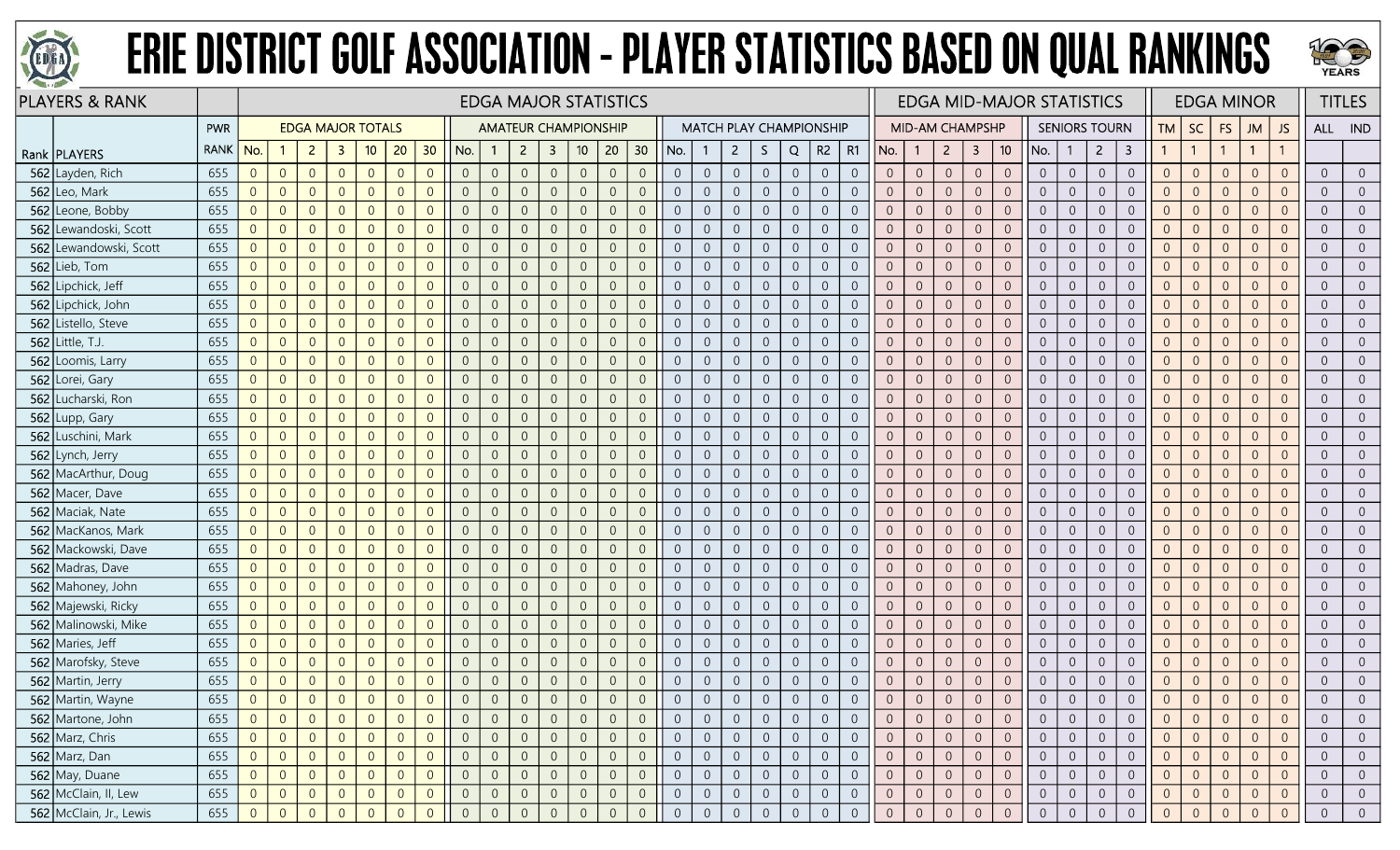



| <b>PLAYERS &amp; RANK</b> |             |                |                |                          |                |                |                |                |                |                |                |                | <b>EDGA MAJOR STATISTICS</b> |                |                |                |                  |                |                                |                |                |                |                |                        |                  |                |                 | <b>EDGA MID-MAJOR STATISTICS</b> |                |                      |                  |                |                |                | <b>EDGA MINOR</b> |                |                  | <b>TITLES</b>  |
|---------------------------|-------------|----------------|----------------|--------------------------|----------------|----------------|----------------|----------------|----------------|----------------|----------------|----------------|------------------------------|----------------|----------------|----------------|------------------|----------------|--------------------------------|----------------|----------------|----------------|----------------|------------------------|------------------|----------------|-----------------|----------------------------------|----------------|----------------------|------------------|----------------|----------------|----------------|-------------------|----------------|------------------|----------------|
|                           | <b>PWR</b>  |                |                | <b>EDGA MAJOR TOTALS</b> |                |                |                |                |                |                |                |                | <b>AMATEUR CHAMPIONSHIP</b>  |                |                |                |                  |                | <b>MATCH PLAY CHAMPIONSHIP</b> |                |                |                |                | <b>MID-AM CHAMPSHP</b> |                  |                |                 |                                  |                | <b>SENIORS TOURN</b> |                  | TM             | <b>SC</b>      | <b>FS</b>      | JM                | <b>JS</b>      | ALL IND          |                |
| Rank   PLAYERS            | <b>RANK</b> | No.            |                | $\mathbf{2}$             | -3             | 10             | 20             | 30             | No.            | $\mathbf{1}$   | $\overline{2}$ | $\mathbf{3}$   | 10 <sup>°</sup>              | 20             | 30             | No.            |                  | $\overline{2}$ | S.                             | Q              | $R2 \mid R1$   |                | No.            | $\mathbf{1}$           | $\overline{2}$   | 3              | 10 <sup>°</sup> | No.                              | -1             | $\overline{2}$       | 3                |                | $\overline{1}$ |                | $\mathbf{1}$      |                |                  |                |
| 562 Layden, Rich          | 655         | $\overline{0}$ | $\overline{0}$ | $\overline{0}$           | $\overline{0}$ | $\overline{0}$ | $\overline{0}$ | $\overline{0}$ | $\overline{0}$ | $\overline{0}$ | $\overline{0}$ | $\overline{0}$ | $\overline{0}$               | $\overline{0}$ | $\overline{0}$ | $\overline{0}$ | $\overline{0}$   | $\overline{0}$ | $\overline{0}$                 | $\overline{0}$ | $\overline{0}$ | $\overline{0}$ | $\overline{0}$ | $\overline{0}$         | $\overline{0}$   | $\overline{0}$ | $\overline{0}$  | $\overline{0}$                   | $\overline{0}$ | $\overline{0}$       | $\overline{0}$   | $\overline{0}$ | $\overline{0}$ | $\overline{0}$ | $\Omega$          | $\overline{0}$ | $\overline{0}$   | $\overline{0}$ |
| 562 Leo, Mark             | 655         | $\overline{0}$ | $\overline{0}$ | $\overline{0}$           | $\overline{0}$ | $\overline{0}$ | $\Omega$       | $\Omega$       | $\overline{0}$ | $\overline{0}$ | $\Omega$       | $\overline{0}$ | $\overline{0}$               | $\overline{0}$ | $\overline{0}$ | $\overline{0}$ | $\overline{0}$   | $\overline{0}$ | $\overline{0}$                 | $\overline{0}$ | $\overline{0}$ | $\overline{0}$ | $\overline{0}$ | $\overline{0}$         | $\overline{0}$   | $\overline{0}$ | $\overline{0}$  | $\overline{0}$                   | $\overline{0}$ | $\overline{0}$       | $\overline{0}$   | $\overline{0}$ | $\overline{0}$ | $\overline{0}$ | $\Omega$          | $\Omega$       | $\overline{0}$   | $\overline{0}$ |
| 562 Leone, Bobby          | 655         | $\overline{0}$ | $\overline{0}$ | $\overline{0}$           | $\overline{0}$ | $\overline{0}$ | $\Omega$       | $\Omega$       | $\overline{0}$ | $\overline{0}$ | $\Omega$       | 0              | $\overline{0}$               | $\overline{0}$ | $\overline{0}$ | $\Omega$       | $\overline{0}$   | $\overline{0}$ | $\overline{0}$                 | $\overline{0}$ | $\overline{0}$ | $\overline{0}$ | $\overline{0}$ | $\overline{0}$         | $\overline{0}$   | $\overline{0}$ | $\overline{0}$  | $\overline{0}$                   | $\overline{0}$ | $\overline{0}$       | $\overline{0}$   | $\overline{0}$ | $\overline{0}$ | $\Omega$       | $\overline{0}$    |                | $\overline{0}$   | $\overline{0}$ |
| 562 Lewandoski, Scott     | 655         | $\overline{0}$ | $\overline{0}$ | $\overline{0}$           | $\overline{0}$ | $\overline{0}$ | $\Omega$       | $\overline{0}$ | $\overline{0}$ | $\overline{0}$ | $\Omega$       | $\overline{0}$ | $\overline{0}$               | $\overline{0}$ | $\overline{0}$ | $\Omega$       | $\overline{0}$   | $\overline{0}$ | $\boldsymbol{0}$               | $\overline{0}$ | $\overline{0}$ | $\overline{0}$ | $\overline{0}$ | $\overline{0}$         | $\overline{0}$   | $\overline{0}$ | $\overline{0}$  | $\overline{0}$                   | $\overline{0}$ | $\overline{0}$       | $\overline{0}$   | $\overline{0}$ | $\overline{0}$ | $\overline{0}$ | $\overline{0}$    | $\Omega$       | $\overline{0}$   | $\overline{0}$ |
| 562 Lewandowski, Scott    | 655         | $\overline{0}$ | $\overline{0}$ | $\overline{0}$           | $\overline{0}$ | $\overline{0}$ | $\overline{0}$ | $\overline{0}$ | $\overline{0}$ | $\overline{0}$ | $\overline{0}$ | $\overline{0}$ | $\overline{0}$               | $\overline{0}$ | $\overline{0}$ | $\overline{0}$ | $\overline{0}$   | $\overline{0}$ | $\overline{0}$                 | $\overline{0}$ | $\overline{0}$ | $\overline{0}$ | $\overline{0}$ | $\overline{0}$         | $\overline{0}$   | $\sqrt{0}$     | $\overline{0}$  | $\overline{0}$                   | $\overline{0}$ | $\overline{0}$       | $\overline{0}$   | $\overline{0}$ | $\overline{0}$ | $\overline{0}$ | $\overline{0}$    | $\overline{0}$ | $\overline{0}$   | $\overline{0}$ |
| 562 Lieb, Tom             | 655         | $\overline{0}$ | $\overline{0}$ | $\overline{0}$           | $\overline{0}$ | $\overline{0}$ | $\Omega$       | $\Omega$       | $\overline{0}$ | $\overline{0}$ |                | $\overline{0}$ | $\overline{0}$               | $\theta$       | $\overline{0}$ | $\overline{0}$ | $\overline{0}$   | $\overline{0}$ | $\boldsymbol{0}$               | $\theta$       | $\overline{0}$ | $\overline{0}$ | $\overline{0}$ | $\overline{0}$         | $\overline{0}$   | $\overline{0}$ | $\overline{0}$  | $\overline{0}$                   | $\overline{0}$ | $\overline{0}$       | $\overline{0}$   | $\Omega$       | $\overline{0}$ | $\Omega$       | $\Omega$          |                | $\overline{0}$   | $\overline{0}$ |
| 562 Lipchick, Jeff        | 655         | $\overline{0}$ | $\overline{0}$ | $\overline{0}$           | $\overline{0}$ | $\overline{0}$ | $\overline{0}$ | $\overline{0}$ | $\overline{0}$ | $\overline{0}$ | $\overline{0}$ | 0              | $\overline{0}$               | $\overline{0}$ | $\overline{0}$ | $\overline{0}$ | $\overline{0}$   | $\overline{0}$ | $\overline{0}$                 | $\overline{0}$ | $\overline{0}$ | $\overline{0}$ | $\overline{0}$ | $\overline{0}$         | $\overline{0}$   | $\overline{0}$ | $\overline{0}$  | $\overline{0}$                   | $\overline{0}$ | $\overline{0}$       | $\overline{0}$   | $\overline{0}$ | $\overline{0}$ | $\overline{0}$ | $\overline{0}$    |                | $\overline{0}$   | $\overline{0}$ |
| 562 Lipchick, John        | 655         | $\overline{0}$ | $\overline{0}$ | $\overline{0}$           | $\overline{0}$ | $\overline{0}$ | $\overline{0}$ | $\Omega$       | $\overline{0}$ | $\overline{0}$ | $\Omega$       | $\overline{0}$ | $\overline{0}$               | $\overline{0}$ | $\overline{0}$ | $\overline{0}$ | $\sqrt{0}$       | $\sqrt{0}$     | $\boldsymbol{0}$               | $\mathbb O$    | $\sqrt{0}$     | $\overline{0}$ | $\overline{0}$ | $\overline{0}$         | $\sqrt{0}$       | $\,0\,$        | $\overline{0}$  | $\overline{0}$                   | $\overline{0}$ | $\overline{0}$       | $\overline{0}$   | $\overline{0}$ | $\overline{0}$ | $\overline{0}$ | $\Omega$          | $\Omega$       | $\overline{0}$   | $\overline{0}$ |
| 562 Listello, Steve       | 655         | $\overline{0}$ | $\overline{0}$ | $\overline{0}$           | $\overline{0}$ | $\overline{0}$ | $\overline{0}$ | $\overline{0}$ | $\overline{0}$ | $\mathbf{0}$   | $\overline{0}$ | $\overline{0}$ | $\overline{0}$               | $\overline{0}$ | $\overline{0}$ | $\overline{0}$ | $\overline{0}$   | $\overline{0}$ | $\boldsymbol{0}$               | $\sqrt{0}$     | $\overline{0}$ | $\overline{0}$ | $\overline{0}$ | $\overline{0}$         | $\overline{0}$   | $\,0\,$        | $\overline{0}$  | $\overline{0}$                   | $\overline{0}$ | $\overline{0}$       | $\overline{0}$   | $\overline{0}$ | $\overline{0}$ | $\theta$       | $\overline{0}$    | $\Omega$       | $\overline{0}$   | $\overline{0}$ |
| 562 Little, T.J.          | 655         | $\overline{0}$ | $\overline{0}$ | $\overline{0}$           | $\Omega$       | $\overline{0}$ | $\Omega$       | $\Omega$       | $\overline{0}$ | $\overline{0}$ |                | $\overline{0}$ | $\overline{0}$               | $\overline{0}$ | $\overline{0}$ | $\overline{0}$ | $\overline{0}$   | $\overline{0}$ | $\overline{0}$                 | $\overline{0}$ | $\overline{0}$ | $\Omega$       | $\overline{0}$ | $\overline{0}$         | $\overline{0}$   | $\overline{0}$ | $\overline{0}$  | $\overline{0}$                   | $\overline{0}$ | $\overline{0}$       | $\overline{0}$   | $\Omega$       | $\overline{0}$ | $\overline{0}$ | $\Omega$          |                | $\overline{0}$   | $\overline{0}$ |
| 562 Loomis, Larry         | 655         | $\overline{0}$ | $\overline{0}$ | $\overline{0}$           | $\Omega$       | $\overline{0}$ | $\overline{0}$ | $\overline{0}$ | $\overline{0}$ | $\overline{0}$ | $\Omega$       | 0              | $\overline{0}$               | $\overline{0}$ | $\overline{0}$ | $\overline{0}$ | $\overline{0}$   | $\overline{0}$ | $\overline{0}$                 | $\overline{0}$ | $\overline{0}$ | $\overline{0}$ | $\overline{0}$ | $\overline{0}$         | $\overline{0}$   | $\overline{0}$ | $\overline{0}$  | $\overline{0}$                   | $\overline{0}$ | $\overline{0}$       | $\overline{0}$   | $\overline{0}$ | $\overline{0}$ | $\overline{0}$ | $\overline{0}$    |                | $\overline{0}$   | $\overline{0}$ |
| 562 Lorei, Gary           | 655         | $\overline{0}$ | $\overline{0}$ | $\overline{0}$           | $\overline{0}$ | $\overline{0}$ | $\overline{0}$ | $\Omega$       | $\overline{0}$ | $\mathbf{0}$   | $\Omega$       | $\overline{0}$ | $\overline{0}$               | $\overline{0}$ | $\overline{0}$ | $\overline{0}$ | $\overline{0}$   | $\overline{0}$ | $\overline{0}$                 | $\overline{0}$ | $\overline{0}$ | $\overline{0}$ | $\overline{0}$ | $\overline{0}$         | $\overline{0}$   | $\overline{0}$ | $\overline{0}$  | $\overline{0}$                   | $\overline{0}$ | $\overline{0}$       | $\overline{0}$   | $\overline{0}$ | $\overline{0}$ | $\overline{0}$ | $\Omega$          | $\overline{0}$ | $\overline{0}$   | $\overline{0}$ |
| 562 Lucharski, Ron        | 655         | $\overline{0}$ | $\overline{0}$ | $\overline{0}$           | $\overline{0}$ | $\overline{0}$ | $\overline{0}$ | $\overline{0}$ | $\overline{0}$ | $\mathbf{0}$   | $\overline{0}$ | $\overline{0}$ | $\sqrt{0}$                   | $\overline{0}$ | $\overline{0}$ | $\overline{0}$ | $\overline{0}$   | $\overline{0}$ | $\overline{0}$                 | $\sqrt{0}$     | $\overline{0}$ | $\overline{0}$ | $\overline{0}$ | $\overline{0}$         | $\boldsymbol{0}$ | $\,0\,$        | $\overline{0}$  | $\overline{0}$                   | $\overline{0}$ | $\overline{0}$       | $\overline{0}$   | $\overline{0}$ | $\overline{0}$ | $\overline{0}$ | $\Omega$          | $\Omega$       | $\overline{0}$   | $\overline{0}$ |
| 562 Lupp, Gary            | 655         | $\overline{0}$ | $\overline{0}$ | $\overline{0}$           | $\Omega$       | $\overline{0}$ | $\Omega$       | $\Omega$       | $\overline{0}$ | $\overline{0}$ |                | $\overline{0}$ | $\overline{0}$               | $\overline{0}$ | $\overline{0}$ | $\overline{0}$ | $\overline{0}$   | $\overline{0}$ | $\overline{0}$                 | $\overline{0}$ | $\overline{0}$ | $\overline{0}$ | $\overline{0}$ | $\overline{0}$         | $\overline{0}$   | $\overline{0}$ | $\overline{0}$  | $\overline{0}$                   | $\overline{0}$ | $\overline{0}$       | $\overline{0}$   | $\overline{0}$ | $\overline{0}$ | $\overline{0}$ | $\Omega$          | $\Omega$       | $\overline{0}$   | $\overline{0}$ |
| 562 Luschini, Mark        | 655         | $\overline{0}$ | $\overline{0}$ | $\overline{0}$           | $\overline{0}$ | $\overline{0}$ | $\overline{0}$ | $\overline{0}$ | $\overline{0}$ | $\overline{0}$ | $\Omega$       | $\overline{0}$ | $\overline{0}$               | $\overline{0}$ | $\overline{0}$ | $\overline{0}$ | $\overline{0}$   | $\overline{0}$ | $\boldsymbol{0}$               | $\overline{0}$ | $\overline{0}$ | $\overline{0}$ | $\overline{0}$ | $\overline{0}$         | $\overline{0}$   | $\overline{0}$ | $\overline{0}$  | $\overline{0}$                   | $\overline{0}$ | $\overline{0}$       | $\overline{0}$   | $\overline{0}$ | $\overline{0}$ | $\overline{0}$ | $\overline{0}$    |                | $\overline{0}$   | $\overline{0}$ |
| 562 Lynch, Jerry          | 655         | $\overline{0}$ | $\overline{0}$ | $\overline{0}$           | $\overline{0}$ | $\overline{0}$ | $\Omega$       | $\overline{0}$ | $\overline{0}$ | $\overline{0}$ | $\overline{0}$ | $\overline{0}$ | $\overline{0}$               | $\overline{0}$ | $\overline{0}$ | $\overline{0}$ | $\overline{0}$   | $\overline{0}$ | $\overline{0}$                 | $\overline{0}$ | $\overline{0}$ | $\overline{0}$ | $\overline{0}$ | $\overline{0}$         | $\overline{0}$   | $\overline{0}$ | $\overline{0}$  | $\overline{0}$                   | $\overline{0}$ | $\overline{0}$       | $\overline{0}$   | $\overline{0}$ | $\overline{0}$ | $\overline{0}$ | $\Omega$          | $\overline{0}$ | $\overline{0}$   | $\overline{0}$ |
| 562 MacArthur, Doug       | 655         | $\overline{0}$ | $\overline{0}$ | $\overline{0}$           | $\overline{0}$ | $\overline{0}$ | $\overline{0}$ | $\overline{0}$ | $\overline{0}$ | $\overline{0}$ | $\overline{0}$ | $\overline{0}$ | $\overline{0}$               | $\overline{0}$ | $\overline{0}$ | $\overline{0}$ | $\overline{0}$   | $\overline{0}$ | $\overline{0}$                 | $\overline{0}$ | $\overline{0}$ | $\overline{0}$ | $\overline{0}$ | $\overline{0}$         | $\overline{0}$   | $\overline{0}$ | $\overline{0}$  | $\overline{0}$                   | $\overline{0}$ | $\overline{0}$       | $\overline{0}$   | $\overline{0}$ | $\overline{0}$ | $\overline{0}$ | $\Omega$          | $\Omega$       | $\overline{0}$   | $\overline{0}$ |
| 562 Macer, Dave           | 655         | $\overline{0}$ | $\overline{0}$ | $\overline{0}$           | $\overline{0}$ | $\overline{0}$ | $\overline{0}$ | $\Omega$       | $\overline{0}$ | $\overline{0}$ |                | 0              | $\overline{0}$               | $\overline{0}$ | $\overline{0}$ | $\overline{0}$ | $\overline{0}$   | $\overline{0}$ | $\overline{0}$                 | $\overline{0}$ | $\overline{0}$ | $\overline{0}$ | $\overline{0}$ | $\overline{0}$         | $\overline{0}$   | $\overline{0}$ | $\overline{0}$  | $\overline{0}$                   | $\overline{0}$ | $\overline{0}$       | $\overline{0}$   | $\overline{0}$ | $\overline{0}$ | $\overline{0}$ | $\Omega$          | $\Omega$       | $\overline{0}$   | $\overline{0}$ |
| 562 Maciak, Nate          | 655         | $\overline{0}$ | $\overline{0}$ | $\overline{0}$           | $\Omega$       | $\overline{0}$ | $\Omega$       | $\Omega$       | $\overline{0}$ | $\overline{0}$ | $\Omega$       | $\overline{0}$ | $\Omega$                     | $\overline{0}$ | $\overline{0}$ | $\overline{0}$ | $\overline{0}$   | $\overline{0}$ | $\overline{0}$                 | $\overline{0}$ | $\overline{0}$ | $\overline{0}$ | $\overline{0}$ | $\overline{0}$         | $\overline{0}$   | $\overline{0}$ | $\overline{0}$  | $\overline{0}$                   | $\overline{0}$ | $\overline{0}$       | $\overline{0}$   | $\overline{0}$ | $\overline{0}$ | $\overline{0}$ | $\Omega$          | $\Omega$       | $\overline{0}$   | $\overline{0}$ |
| 562 MacKanos, Mark        | 655         | $\overline{0}$ | $\overline{0}$ | $\overline{0}$           | $\overline{0}$ | $\overline{0}$ | $\Omega$       | $\Omega$       | $\overline{0}$ | $\overline{0}$ | $\Omega$       | $\overline{0}$ | $\overline{0}$               | $\overline{0}$ | $\overline{0}$ | $\overline{0}$ | $\sqrt{0}$       | $\overline{0}$ | $\mathbf 0$                    | $\overline{0}$ | $\overline{0}$ | $\overline{0}$ | $\overline{0}$ | $\overline{0}$         | $\overline{0}$   | $\overline{0}$ | $\overline{0}$  | $\overline{0}$                   | $\overline{0}$ | $\overline{0}$       | $\overline{0}$   | $\overline{0}$ | $\overline{0}$ | $\overline{0}$ | $\Omega$          | $\overline{0}$ | $\overline{0}$   | $\overline{0}$ |
| 562 Mackowski, Dave       | 655         | $\overline{0}$ | $\overline{0}$ | $\overline{0}$           | $\Omega$       | $\overline{0}$ | $\Omega$       | $\Omega$       | $\overline{0}$ | $\overline{0}$ |                | $\overline{0}$ | $\overline{0}$               | $\overline{0}$ | $\overline{0}$ | $\overline{0}$ | $\overline{0}$   | $\overline{0}$ | $\overline{0}$                 | $\overline{0}$ | $\overline{0}$ | $\overline{0}$ | $\overline{0}$ | $\overline{0}$         | $\overline{0}$   | $\overline{0}$ | $\overline{0}$  | $\overline{0}$                   | $\overline{0}$ | $\overline{0}$       | $\overline{0}$   | $\Omega$       | $\overline{0}$ | $\overline{0}$ | $\Omega$          |                | $\overline{0}$   | $\overline{0}$ |
| 562 Madras, Dave          | 655         | $\overline{0}$ | $\overline{0}$ | $\overline{0}$           | $\overline{0}$ | $\overline{0}$ | $\overline{0}$ | $\Omega$       | $\overline{0}$ | $\overline{0}$ |                | $\overline{0}$ | $\Omega$                     | $\overline{0}$ | $\overline{0}$ | $\Omega$       | $\overline{0}$   | $\overline{0}$ | $\mathbf 0$                    | $\theta$       | $\overline{0}$ | $\overline{0}$ | $\overline{0}$ | $\overline{0}$         | $\overline{0}$   | $\sqrt{0}$     | $\overline{0}$  | $\overline{0}$                   | $\overline{0}$ | $\overline{0}$       | $\overline{0}$   | $\overline{0}$ | $\overline{0}$ | $\Omega$       | $\Omega$          |                | $\overline{0}$   | $\overline{0}$ |
| 562 Mahoney, John         | 655         | $\overline{0}$ | $\overline{0}$ | $\overline{0}$           | $\overline{0}$ | $\overline{0}$ | $\Omega$       | $\Omega$       | $\overline{0}$ | $\overline{0}$ | $\Omega$       | $\overline{0}$ | $\Omega$                     | $\overline{0}$ | $\overline{0}$ | $\overline{0}$ | $\overline{0}$   | $\overline{0}$ | $\overline{0}$                 | $\overline{0}$ | $\overline{0}$ | $\overline{0}$ | $\overline{0}$ | $\overline{0}$         | $\overline{0}$   | $\overline{0}$ | $\overline{0}$  | $\overline{0}$                   | $\overline{0}$ | $\overline{0}$       | $\overline{0}$   | $\overline{0}$ | $\overline{0}$ | $\overline{0}$ | $\Omega$          | $\Omega$       | $\overline{0}$   | $\overline{0}$ |
| 562 Majewski, Ricky       | 655         | $\overline{0}$ | $\overline{0}$ | $\overline{0}$           | $\Omega$       | $\overline{0}$ | $\Omega$       | $\Omega$       | $\overline{0}$ | $\mathbf{0}$   | $\Omega$       | $\overline{0}$ | $\Omega$                     | $\overline{0}$ | $\overline{0}$ | $\overline{0}$ | $\sqrt{0}$       | $\overline{0}$ | $\mathbf 0$                    | $\mathbf{0}$   | $\overline{0}$ | $\overline{0}$ | $\overline{0}$ | $\overline{0}$         | $\overline{0}$   | $\sqrt{0}$     | $\overline{0}$  | $\overline{0}$                   | $\overline{0}$ | $\overline{0}$       | $\overline{0}$   | $\overline{0}$ | $\overline{0}$ | $\overline{0}$ | $\Omega$          | $\Omega$       | $\overline{0}$   | $\overline{0}$ |
| 562 Malinowski, Mike      | 655         | $\overline{0}$ | $\overline{0}$ | $\overline{0}$           | $\overline{0}$ | $\overline{0}$ | $\Omega$       | $\Omega$       | $\overline{0}$ | $\overline{0}$ |                | $\Omega$       | $\overline{0}$               | $\overline{0}$ | $\overline{0}$ | $\overline{0}$ | $\overline{0}$   | $\overline{0}$ | $\overline{0}$                 | $\overline{0}$ | $\overline{0}$ | $\overline{0}$ | $\overline{0}$ | $\overline{0}$         | $\overline{0}$   | $\overline{0}$ | $\overline{0}$  | $\overline{0}$                   | $\overline{0}$ | $\overline{0}$       | $\overline{0}$   | $\Omega$       | $\overline{0}$ | $\overline{0}$ | $\Omega$          | $\Omega$       | $\overline{0}$   | $\overline{0}$ |
| 562 Maries, Jeff          | 655         | $\overline{0}$ | $\overline{0}$ | $\overline{0}$           | $\overline{0}$ | $\overline{0}$ | $\Omega$       | $\overline{0}$ | $\overline{0}$ | $\overline{0}$ |                | $\overline{0}$ | $\overline{0}$               | $\overline{0}$ | $\overline{0}$ | $\overline{0}$ | $\overline{0}$   | $\overline{0}$ | $\overline{0}$                 | $\theta$       | $\overline{0}$ | $\overline{0}$ | $\overline{0}$ | $\overline{0}$         | $\overline{0}$   | $\overline{0}$ | $\overline{0}$  | $\overline{0}$                   | $\overline{0}$ | $\overline{0}$       | $\overline{0}$   | $\overline{0}$ | $\overline{0}$ | $\Omega$       | $\overline{0}$    |                | $\overline{0}$   | $\overline{0}$ |
| 562 Marofsky, Steve       | 655         | $\overline{0}$ | $\Omega$       | $\overline{0}$           | $\Omega$       | $\overline{0}$ | $\Omega$       | $\Omega$       | $\overline{0}$ | $\overline{0}$ | $\Omega$       | $\overline{0}$ | $\Omega$                     | $\overline{0}$ | $\overline{0}$ | $\overline{0}$ | $\overline{0}$   | $\overline{0}$ | $\overline{0}$                 | $\overline{0}$ | $\overline{0}$ | $\overline{0}$ | $\overline{0}$ | $\overline{0}$         | $\overline{0}$   | $\overline{0}$ | $\overline{0}$  | $\overline{0}$                   | $\overline{0}$ | $\overline{0}$       | $\overline{0}$   | $\Omega$       | $\overline{0}$ | $\overline{0}$ | $\overline{0}$    | $\Omega$       | $\overline{0}$   | $\overline{0}$ |
| 562 Martin, Jerry         | 655         | $\overline{0}$ | $\overline{0}$ | $\sqrt{0}$               | $\overline{0}$ | $\overline{0}$ | $\overline{0}$ | $\overline{0}$ | $\overline{0}$ | $\overline{0}$ | $\overline{0}$ | $\overline{0}$ | $\sqrt{0}$                   | $\overline{0}$ | $\overline{0}$ | $\theta$       | $\boldsymbol{0}$ | $\overline{0}$ | $\boldsymbol{0}$               | $\sqrt{0}$     | $\overline{0}$ | $\overline{0}$ | $\overline{0}$ | $\overline{0}$         | $\overline{0}$   | $\sqrt{0}$     | $\sqrt{0}$      | $\overline{0}$                   | $\overline{0}$ | $\overline{0}$       | $\overline{0}$   | $\overline{0}$ | $\overline{0}$ | $\theta$       | $\overline{0}$    | $\overline{0}$ | $\overline{0}$   | $\overline{0}$ |
| 562 Martin, Wayne         | 655         | $\overline{0}$ | $\overline{0}$ | $\overline{0}$           | $\overline{0}$ | $\overline{0}$ | $\Omega$       | $\overline{0}$ | $\overline{0}$ | $\overline{0}$ | $\overline{0}$ | $\overline{0}$ | $\overline{0}$               | $\overline{0}$ | $\overline{0}$ |                | $\overline{0}$   | $\overline{0}$ | $\overline{0}$                 | $\overline{0}$ | $\overline{0}$ | $\overline{0}$ | $\overline{0}$ | $\overline{0}$         | $\overline{0}$   | $\overline{0}$ | $\overline{0}$  | $\overline{0}$                   | $\overline{0}$ | $\overline{0}$       | $\overline{0}$   | $\overline{0}$ | $\overline{0}$ | $\Omega$       | $\overline{0}$    | $\overline{0}$ | $\overline{0}$   | $\overline{0}$ |
| 562 Martone, John         | 655         | $\overline{0}$ | $\overline{0}$ | $\overline{0}$           | $\overline{0}$ | $\overline{0}$ |                |                | $\overline{0}$ | $\overline{0}$ |                | 0              |                              | $\overline{0}$ | $\overline{0}$ | $\overline{0}$ |                  | $\overline{0}$ | $\overline{0}$                 | $\overline{0}$ | $\overline{0}$ | $\overline{0}$ |                | $\overline{0}$         | $\overline{0}$   | $\overline{0}$ | $\overline{0}$  | $\overline{0}$                   | $\overline{0}$ | $\overline{0}$       | $\overline{0}$   | $\overline{0}$ | $\overline{0}$ | $\overline{0}$ | $\Omega$          |                | $\overline{0}$   | $\overline{0}$ |
| 562 Marz, Chris           | 655         | $\overline{0}$ | $\overline{0}$ | $\overline{0}$           | $\overline{0}$ | $\overline{0}$ | $\overline{0}$ | $\overline{0}$ | $\overline{0}$ | $\overline{0}$ | $\overline{0}$ | $\overline{0}$ | $\sqrt{0}$                   | $\overline{0}$ | $\overline{0}$ | $\overline{0}$ | $\overline{0}$   | $\overline{0}$ | $\overline{0}$                 | $\overline{0}$ | $\overline{0}$ | $\overline{0}$ | $\overline{0}$ | $\overline{0}$         | $\overline{0}$   | $\overline{0}$ | $\overline{0}$  | $\overline{0}$                   | $\overline{0}$ | $\overline{0}$       | $\overline{0}$   | $\overline{0}$ | $\overline{0}$ | $\overline{0}$ | $\overline{0}$    | $\overline{0}$ | $\overline{0}$   | $\overline{0}$ |
| 562 Marz, Dan             | 655         | $\overline{0}$ | $\overline{0}$ | $\overline{0}$           | $\overline{0}$ | $\overline{0}$ | $\overline{0}$ | $\overline{0}$ | $\overline{0}$ | $\overline{0}$ | $\overline{0}$ | $\overline{0}$ | $\mathbf 0$                  | $\overline{0}$ | $\overline{0}$ | $\overline{0}$ | $\overline{0}$   | $\overline{0}$ | $\overline{0}$                 | $\sqrt{0}$     | $\overline{0}$ | $\overline{0}$ | $\overline{0}$ | $\overline{0}$         | $\overline{0}$   | $\overline{0}$ | $\overline{0}$  | $\overline{0}$                   | $\overline{0}$ | $\overline{0}$       | $\overline{0}$   | $\overline{0}$ | $\overline{0}$ | $\overline{0}$ | $\overline{0}$    | $\overline{0}$ | $\overline{0}$   | $\overline{0}$ |
| $562$ May, Duane          | 655         | $\overline{0}$ | $\overline{0}$ | $\overline{0}$           | $\overline{0}$ | $\overline{0}$ | $\overline{0}$ | $\overline{0}$ | $\overline{0}$ | $\overline{0}$ | $\overline{0}$ | $\overline{0}$ | $\mathbf 0$                  | $\sqrt{0}$     | $\overline{0}$ | $\overline{0}$ | $\sqrt{0}$       | $\overline{0}$ | $\overline{0}$                 | $\sqrt{0}$     | $\overline{0}$ | $\overline{0}$ | $\overline{0}$ | $\overline{0}$         | $\overline{0}$   | $\mathbf 0$    | $\overline{0}$  | $\overline{0}$                   | $\overline{0}$ | $\overline{0}$       | $\boldsymbol{0}$ | $\overline{0}$ | $\overline{0}$ | $\overline{0}$ | $\overline{0}$    | $\sqrt{0}$     | $\boldsymbol{0}$ | $\overline{0}$ |
| 562 McClain, II, Lew      | 655         | $\overline{0}$ | $\overline{0}$ | $\overline{0}$           | $\overline{0}$ | $\overline{0}$ | $\overline{0}$ | $\overline{0}$ | $\overline{0}$ | $\overline{0}$ | $\overline{0}$ | $\overline{0}$ | $\overline{0}$               | $\overline{0}$ | $\overline{0}$ | $\overline{0}$ | $\overline{0}$   | $\overline{0}$ | $\overline{0}$                 | $\overline{0}$ | $\overline{0}$ | $\overline{0}$ | $\overline{0}$ | $\overline{0}$         | $\overline{0}$   | $\overline{0}$ | $\overline{0}$  | $\overline{0}$                   | $\overline{0}$ | $\overline{0}$       | $\overline{0}$   | $\overline{0}$ | $\overline{0}$ | $\overline{0}$ | $\overline{0}$    | $\overline{0}$ | $\overline{0}$   | $\overline{0}$ |
| 562 McClain, Jr., Lewis   | 655         | $\overline{0}$ | $\overline{0}$ |                          | $\overline{0}$ |                |                |                | $\Omega$       | $\Omega$       |                |                |                              | $\overline{0}$ | $\Omega$       |                | $\overline{0}$   | $\Omega$       | $\overline{0}$                 | $\overline{0}$ | $\Omega$       | $\overline{0}$ | $\overline{0}$ |                        | $\Omega$         | $\overline{0}$ |                 | $\Omega$                         | $\Omega$       |                      |                  |                |                |                |                   |                | $\overline{0}$   | $\overline{0}$ |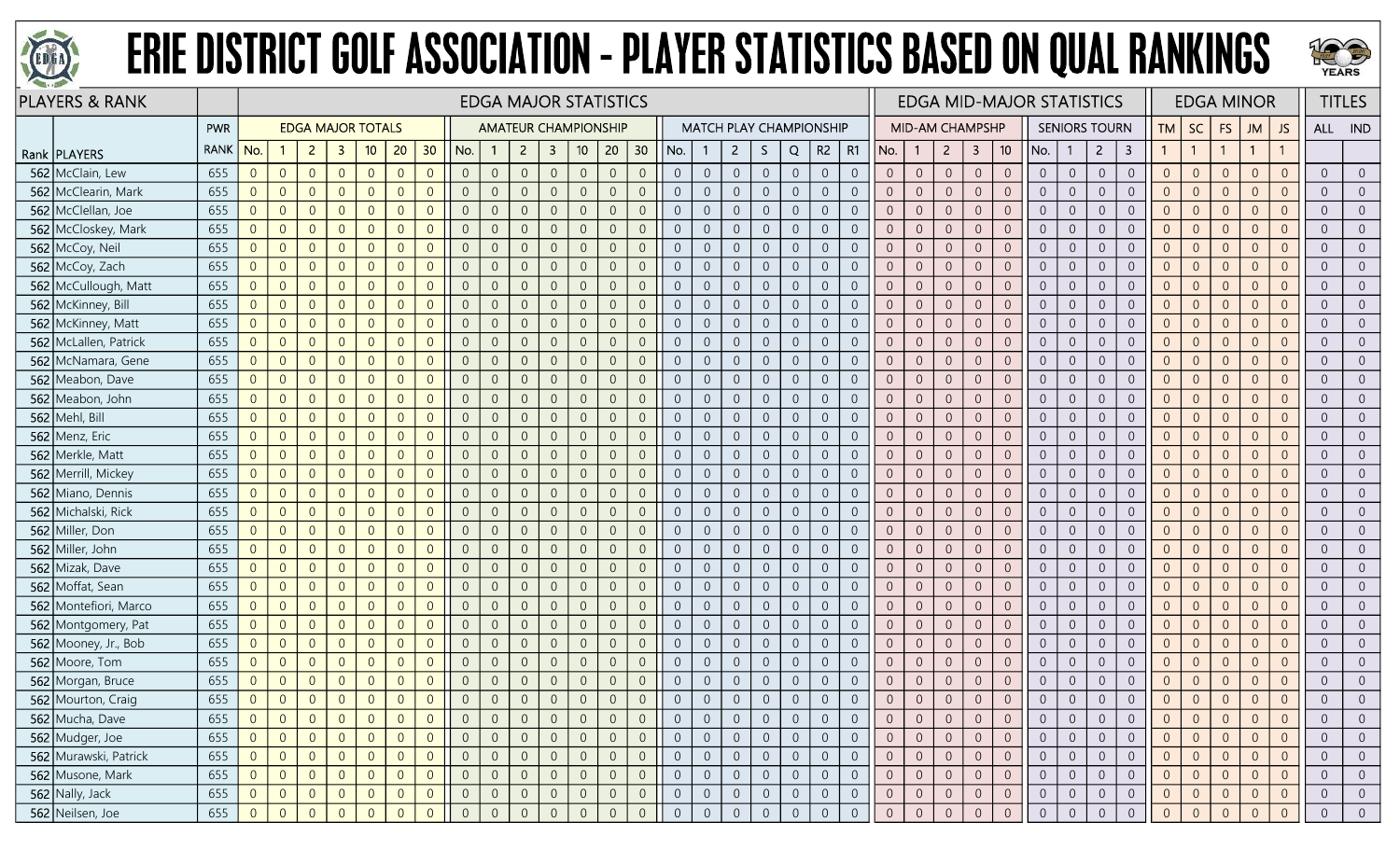



|     | <b>PLAYERS &amp; RANK</b> |             |                |                |                |                          |                |                |                |                |                | <b>EDGA MAJOR STATISTICS</b> |                |                 |                |                |                |                  |                |                  |                |                                |                |                | <b>EDGA MID-MAJOR STATISTICS</b> |                     |                                  |                      |                |                |                  |                |                | <b>EDGA MINOR</b> |                |                |                | <b>TITLES</b>  |
|-----|---------------------------|-------------|----------------|----------------|----------------|--------------------------|----------------|----------------|----------------|----------------|----------------|------------------------------|----------------|-----------------|----------------|----------------|----------------|------------------|----------------|------------------|----------------|--------------------------------|----------------|----------------|----------------------------------|---------------------|----------------------------------|----------------------|----------------|----------------|------------------|----------------|----------------|-------------------|----------------|----------------|----------------|----------------|
|     |                           | PWR         |                |                |                | <b>EDGA MAJOR TOTALS</b> |                |                |                |                |                | <b>AMATEUR CHAMPIONSHIP</b>  |                |                 |                |                |                |                  |                |                  |                | <b>MATCH PLAY CHAMPIONSHIP</b> |                |                | <b>MID-AM CHAMPSHP</b>           |                     |                                  | <b>SENIORS TOURN</b> |                |                |                  | <b>TM</b>      | SC             | <b>FS</b>         | <b>JM</b>      | <b>JS</b>      |                | ALL IND        |
|     | Rank   PLAYERS            | <b>RANK</b> | No.            |                | $\overline{2}$ | -3                       | 10             | 20             | 30             | No.            |                | $\overline{2}$               | $\mathbf{3}$   | 10 <sup>°</sup> | 20             | 30             | No.            |                  | $\mathbf{2}$   | S.               | Q              | R2                             | R1             | No.            | -1                               | $\overline{2}$      | $\mathbf{3}$<br>10 <sup>°</sup>  | No.                  |                | $\overline{2}$ | 3                | $\mathbf{1}$   | $\overline{1}$ | $\overline{1}$    | $\mathbf{1}$   |                |                |                |
|     | 562 McClain, Lew          | 655         | $\overline{0}$ | $\overline{0}$ | $\overline{0}$ | $\overline{0}$           | $\overline{0}$ | $\overline{0}$ | $\overline{0}$ | $\overline{0}$ | $\overline{0}$ | $\overline{0}$               | $\overline{0}$ | $\overline{0}$  | $\overline{0}$ | $\overline{0}$ | $\overline{0}$ | $\overline{0}$   | $\overline{0}$ | $\overline{0}$   | $\overline{0}$ | $\overline{0}$                 | $\overline{0}$ | $\overline{0}$ | $\overline{0}$                   | $\overline{0}$      | $\theta$<br>$\overline{0}$       | $\overline{0}$       | $\overline{0}$ | $\overline{0}$ | $\overline{0}$   | $\overline{0}$ | $\overline{0}$ | $\overline{0}$    | $\overline{0}$ | $\overline{0}$ | $\overline{0}$ | $\Omega$       |
|     | 562 McClearin, Mark       | 655         | $\overline{0}$ | $\overline{0}$ | $\overline{0}$ | $\overline{0}$           | $\overline{0}$ | $\Omega$       | $\Omega$       | $\overline{0}$ | $\overline{0}$ | $\Omega$                     | $\Omega$       | $\overline{0}$  | $\overline{0}$ | $\overline{0}$ | $\overline{0}$ | $\overline{0}$   | $\overline{0}$ | $\overline{0}$   | $\overline{0}$ | $\overline{0}$                 | $\overline{0}$ | $\Omega$       | $\overline{0}$                   | $\overline{0}$      | $\overline{0}$<br>$\overline{0}$ | $\overline{0}$       | $\overline{0}$ | $\overline{0}$ | $\overline{0}$   | $\overline{0}$ | $\overline{0}$ | $\overline{0}$    | $\overline{0}$ | $\overline{0}$ | $\overline{0}$ |                |
|     | 562 McClellan, Joe        | 655         | $\overline{0}$ | $\overline{0}$ | $\overline{0}$ | $\Omega$                 | $\overline{0}$ |                | $\Omega$       | $\overline{0}$ | $\overline{0}$ |                              | 0              | $\overline{0}$  | $\overline{0}$ | $\overline{0}$ | $\overline{0}$ | $\overline{0}$   | -0             | $\overline{0}$   | $\overline{0}$ | $\overline{0}$                 | $\overline{0}$ | $\overline{0}$ | $\overline{0}$                   | $\overline{0}$      | $\overline{0}$<br>$\overline{0}$ | $\overline{0}$       | $\overline{0}$ | $\overline{0}$ | $\overline{0}$   | $\overline{0}$ | $\overline{0}$ | $\overline{0}$    | $\overline{0}$ | $\Omega$       | $\overline{0}$ |                |
|     | 562 McCloskey, Mark       | 655         | $\overline{0}$ | $\overline{0}$ | $\overline{0}$ | $\overline{0}$           | $\overline{0}$ | $\Omega$       | $\Omega$       | $\overline{0}$ | $\overline{0}$ | $\Omega$                     | $\Omega$       | $\overline{0}$  | $\overline{0}$ | $\overline{0}$ | $\Omega$       | $\overline{0}$   | $\overline{0}$ | $\boldsymbol{0}$ | $\overline{0}$ | $\overline{0}$                 | $\overline{0}$ | $\overline{0}$ | $\overline{0}$                   | $\overline{0}$      | $\overline{0}$<br>$\overline{0}$ | $\overline{0}$       | $\overline{0}$ | $\overline{0}$ | $\overline{0}$   | $\overline{0}$ | $\overline{0}$ | $\overline{0}$    | $\overline{0}$ | $\Omega$       | $\overline{0}$ | $\Omega$       |
|     | 562 McCoy, Neil           | 655         | $\overline{0}$ | $\overline{0}$ | $\overline{0}$ | $\overline{0}$           | $\overline{0}$ | $\Omega$       | $\overline{0}$ | $\overline{0}$ | $\overline{0}$ | $\overline{0}$               | $\overline{0}$ | $\overline{0}$  | $\overline{0}$ | $\overline{0}$ | $\overline{0}$ | $\overline{0}$   | $\overline{0}$ | $\overline{0}$   | $\overline{0}$ | $\overline{0}$                 | $\overline{0}$ | $\overline{0}$ | $\overline{0}$                   | $\overline{0}$      | $\theta$<br>$\overline{0}$       | $\overline{0}$       | $\overline{0}$ | $\overline{0}$ | $\overline{0}$   | $\overline{0}$ | $\overline{0}$ | $\theta$          | $\overline{0}$ | $\overline{0}$ | $\overline{0}$ | $\overline{0}$ |
|     | 562 McCoy, Zach           | 655         | $\overline{0}$ | $\overline{0}$ | $\overline{0}$ | $\Omega$                 | $\overline{0}$ |                | $\Omega$       | $\overline{0}$ | $\overline{0}$ |                              | $\Omega$       | $\overline{0}$  | $\overline{0}$ | $\overline{0}$ | $\Omega$       | $\overline{0}$   | $\overline{0}$ | $\boldsymbol{0}$ | $\sqrt{0}$     | $\overline{0}$                 | $\overline{0}$ | $\Omega$       | $\overline{0}$                   | $\sqrt{0}$          | $\overline{0}$<br>$\overline{0}$ | $\overline{0}$       | $\overline{0}$ | $\overline{0}$ | $\mathbf 0$      | $\overline{0}$ | $\overline{0}$ | $\theta$          | $\overline{0}$ | $\Omega$       | $\overline{0}$ |                |
|     | 562 McCullough, Matt      | 655         | $\overline{0}$ | $\overline{0}$ | $\overline{0}$ | $\overline{0}$           | $\overline{0}$ |                | $\overline{0}$ | $\overline{0}$ | $\overline{0}$ |                              | 0              | $\overline{0}$  | $\overline{0}$ | $\overline{0}$ | $\overline{0}$ | $\overline{0}$   | $\overline{0}$ | $\overline{0}$   | $\overline{0}$ | $\overline{0}$                 | $\overline{0}$ | $\overline{0}$ | $\overline{0}$                   | $\overline{0}$      | $\overline{0}$<br>$\overline{0}$ | $\overline{0}$       | $\overline{0}$ | $\overline{0}$ | $\overline{0}$   | $\overline{0}$ | $\overline{0}$ | $\overline{0}$    | $\Omega$       |                | $\overline{0}$ |                |
|     | 562 McKinney, Bill        | 655         | $\overline{0}$ | $\overline{0}$ | $\overline{0}$ | $\overline{0}$           | $\overline{0}$ | $\Omega$       | $\Omega$       | $\overline{0}$ | $\overline{0}$ | $\Omega$                     | $\overline{0}$ | $\theta$        | $\overline{0}$ | $\overline{0}$ | $\overline{0}$ | $\sqrt{0}$       | $\sqrt{0}$     | $\boldsymbol{0}$ | $\mathbb O$    | $\overline{0}$                 | $\overline{0}$ | $\overline{0}$ | $\sqrt{0}$                       | $\sqrt{0}$          | $\mathbb O$<br>$\overline{0}$    | $\overline{0}$       | $\overline{0}$ | $\sqrt{0}$     | $\mathbf 0$      | $\mathbf 0$    | $\overline{0}$ | $\overline{0}$    | $\overline{0}$ | $\overline{0}$ | $\overline{0}$ | $\overline{0}$ |
|     | 562 McKinney, Matt        | 655         | $\overline{0}$ | $\overline{0}$ | $\overline{0}$ | $\overline{0}$           | $\overline{0}$ | $\overline{0}$ | $\overline{0}$ | $\overline{0}$ | $\overline{0}$ | $\overline{0}$               | $\overline{0}$ | $\mathbf 0$     | $\overline{0}$ | $\overline{0}$ | $\overline{0}$ | $\overline{0}$   | $\overline{0}$ | $\boldsymbol{0}$ | $\sqrt{0}$     | $\overline{0}$                 | $\overline{0}$ | $\overline{0}$ | $\overline{0}$                   | $\overline{0}$      | $\mathbb O$<br>$\overline{0}$    | $\overline{0}$       | $\overline{0}$ | $\overline{0}$ | $\boldsymbol{0}$ | $\overline{0}$ | $\overline{0}$ | $\theta$          | $\overline{0}$ | $\overline{0}$ | $\overline{0}$ | $\overline{0}$ |
|     | 562 McLallen, Patrick     | 655         | $\overline{0}$ | $\overline{0}$ | $\overline{0}$ | $\Omega$                 | $\overline{0}$ | $\Omega$       | $\Omega$       | $\overline{0}$ | $\overline{0}$ |                              | $\Omega$       | $\overline{0}$  | $\overline{0}$ | $\overline{0}$ | $\overline{0}$ | $\overline{0}$   | $\overline{0}$ | $\overline{0}$   | $\overline{0}$ | $\overline{0}$                 | $\overline{0}$ | $\overline{0}$ | $\overline{0}$                   | $\overline{0}$      | $\overline{0}$<br>$\overline{0}$ | $\overline{0}$       | $\overline{0}$ | $\overline{0}$ | $\overline{0}$   | $\overline{0}$ | $\overline{0}$ | $\overline{0}$    | $\overline{0}$ | $\overline{0}$ | $\overline{0}$ |                |
|     | 562 McNamara, Gene        | 655         | $\overline{0}$ | $\overline{0}$ | $\overline{0}$ | $\Omega$                 | $\overline{0}$ |                | $\Omega$       | $\overline{0}$ | $\overline{0}$ |                              | $\Omega$       | $\overline{0}$  | $\overline{0}$ | $\overline{0}$ | $\Omega$       | $\overline{0}$   | $\overline{0}$ | $\overline{0}$   | $\overline{0}$ | $\overline{0}$                 | $\overline{0}$ | $\overline{0}$ | $\overline{0}$                   | $\overline{0}$      | $\overline{0}$<br>$\overline{0}$ | $\overline{0}$       | $\overline{0}$ | $\overline{0}$ | $\overline{0}$   | $\overline{0}$ | $\overline{0}$ | $\overline{0}$    | $\overline{0}$ |                | $\overline{0}$ | $\overline{0}$ |
|     | 562 Meabon, Dave          | 655         | $\overline{0}$ | $\overline{0}$ | $\overline{0}$ | $\overline{0}$           | $\overline{0}$ | $\Omega$       | $\overline{0}$ | $\overline{0}$ | $\overline{0}$ | $\Omega$                     | $\overline{0}$ | $\overline{0}$  | $\overline{0}$ | $\overline{0}$ | $\overline{0}$ | $\overline{0}$   | $\overline{0}$ | $\overline{0}$   | $\overline{0}$ | $\overline{0}$                 | $\overline{0}$ | $\overline{0}$ | $\overline{0}$                   | $\overline{0}$      | $\overline{0}$<br>$\overline{0}$ | $\overline{0}$       | $\overline{0}$ | $\overline{0}$ | $\overline{0}$   | $\overline{0}$ | $\overline{0}$ | $\overline{0}$    | $\overline{0}$ | $\overline{0}$ | $\overline{0}$ | $\overline{0}$ |
|     | 562 Meabon, John          | 655         | $\overline{0}$ | $\overline{0}$ | $\overline{0}$ | $\overline{0}$           | $\overline{0}$ | $\overline{0}$ | $\overline{0}$ | $\overline{0}$ | $\mathbf{0}$   | $\Omega$                     | $\overline{0}$ | $\mathbf 0$     | $\overline{0}$ | $\overline{0}$ | $\overline{0}$ | $\overline{0}$   | $\overline{0}$ | $\boldsymbol{0}$ | $\sqrt{0}$     | $\overline{0}$                 | $\overline{0}$ | $\overline{0}$ | $\overline{0}$                   | $\overline{0}$      | $\mathbb O$<br>$\overline{0}$    | $\overline{0}$       | $\overline{0}$ | $\mathbf 0$    | $\sqrt{0}$       | $\overline{0}$ | $\overline{0}$ | $\overline{0}$    | $\overline{0}$ | $\overline{0}$ | $\overline{0}$ | $\overline{0}$ |
|     | 562 Mehl, Bill            | 655         | $\overline{0}$ | $\overline{0}$ | $\overline{0}$ | $\Omega$                 | $\overline{0}$ | $\Omega$       | $\Omega$       | $\overline{0}$ | $\overline{0}$ |                              | $\Omega$       | $\overline{0}$  | $\overline{0}$ | $\overline{0}$ | $\overline{0}$ | $\overline{0}$   | $\overline{0}$ | $\overline{0}$   | $\overline{0}$ | $\overline{0}$                 | $\Omega$       | $\overline{0}$ | $\overline{0}$                   | $\overline{0}$      | $\overline{0}$<br>$\overline{0}$ | $\overline{0}$       | $\overline{0}$ | $\overline{0}$ | $\overline{0}$   | $\overline{0}$ | $\overline{0}$ | $\overline{0}$    | $\overline{0}$ | $\Omega$       | $\overline{0}$ |                |
|     | 562 Menz, Eric            | 655         | $\overline{0}$ | $\overline{0}$ | $\overline{0}$ | $\overline{0}$           | $\overline{0}$ | $\Omega$       | $\overline{0}$ | $\overline{0}$ | $\overline{0}$ | $\Omega$                     | $\overline{0}$ | $\overline{0}$  | $\overline{0}$ | $\overline{0}$ | $\overline{0}$ | $\overline{0}$   | $\overline{0}$ | $\overline{0}$   | $\overline{0}$ | $\overline{0}$                 | $\overline{0}$ | $\overline{0}$ | $\overline{0}$                   | $\overline{0}$      | $\overline{0}$<br>$\overline{0}$ | $\overline{0}$       | $\overline{0}$ | $\overline{0}$ | $\overline{0}$   | $\overline{0}$ | $\overline{0}$ | $\overline{0}$    | $\overline{0}$ |                | $\overline{0}$ |                |
|     | 562 Merkle, Matt          | 655         | $\overline{0}$ | $\overline{0}$ | $\overline{0}$ | $\overline{0}$           | $\overline{0}$ | $\Omega$       | $\Omega$       | $\overline{0}$ | $\overline{0}$ | $\Omega$                     | $\overline{0}$ | $\overline{0}$  | $\overline{0}$ | $\overline{0}$ | $\overline{0}$ | $\overline{0}$   | $\overline{0}$ | $\boldsymbol{0}$ | $\overline{0}$ | $\overline{0}$                 | $\overline{0}$ | $\overline{0}$ | $\overline{0}$                   | $\overline{0}$      | $\overline{0}$<br>$\overline{0}$ | $\overline{0}$       | $\overline{0}$ | $\overline{0}$ | $\overline{0}$   | $\overline{0}$ | $\overline{0}$ | $\overline{0}$    | $\overline{0}$ | $\overline{0}$ | $\overline{0}$ | $\overline{0}$ |
|     | 562 Merrill, Mickey       | 655         | $\overline{0}$ | $\overline{0}$ | $\overline{0}$ | $\overline{0}$           | $\overline{0}$ | $\overline{0}$ | $\overline{0}$ | $\overline{0}$ | $\overline{0}$ | $\Omega$                     | $\overline{0}$ | $\overline{0}$  | $\overline{0}$ | $\overline{0}$ | $\overline{0}$ | $\overline{0}$   | $\overline{0}$ | $\overline{0}$   | $\overline{0}$ | $\overline{0}$                 | $\overline{0}$ | $\overline{0}$ | $\overline{0}$                   | $\overline{0}$      | $\theta$<br>$\overline{0}$       | $\overline{0}$       | $\overline{0}$ | $\overline{0}$ | $\overline{0}$   | $\overline{0}$ | $\overline{0}$ | $\overline{0}$    | $\overline{0}$ | $\overline{0}$ | $\overline{0}$ | $\overline{0}$ |
|     | 562 Miano, Dennis         | 655         | $\overline{0}$ | $\overline{0}$ | $\overline{0}$ | $\overline{0}$           | $\overline{0}$ | $\Omega$       | $\Omega$       | $\overline{0}$ | $\overline{0}$ |                              | 0              | $\overline{0}$  | $\overline{0}$ | $\overline{0}$ | $\overline{0}$ | $\overline{0}$   | $\overline{0}$ | $\overline{0}$   | $\overline{0}$ | $\overline{0}$                 | $\overline{0}$ | $\overline{0}$ | $\overline{0}$                   | $\overline{0}$      | $\overline{0}$<br>$\overline{0}$ | $\overline{0}$       | $\overline{0}$ | $\overline{0}$ | $\overline{0}$   | $\overline{0}$ | $\overline{0}$ | $\overline{0}$    | $\overline{0}$ | $\overline{0}$ | $\overline{0}$ |                |
|     | 562 Michalski, Rick       | 655         | $\overline{0}$ | $\overline{0}$ | $\overline{0}$ | $\overline{0}$           | $\overline{0}$ | $\Omega$       | $\Omega$       | $\overline{0}$ | $\overline{0}$ | $\Omega$                     | $\Omega$       | $\overline{0}$  | $\overline{0}$ | $\overline{0}$ | $\overline{0}$ | $\overline{0}$   | $\overline{0}$ | $\overline{0}$   | $\overline{0}$ | $\overline{0}$                 | $\overline{0}$ | $\overline{0}$ | $\overline{0}$                   | $\overline{0}$      | $\overline{0}$<br>$\overline{0}$ | $\overline{0}$       | $\overline{0}$ | $\overline{0}$ | $\overline{0}$   | $\overline{0}$ | $\overline{0}$ | $\overline{0}$    | $\overline{0}$ | $\Omega$       | $\overline{0}$ | $\overline{0}$ |
|     | 562 Miller, Don           | 655         | $\overline{0}$ | $\overline{0}$ | $\overline{0}$ | $\overline{0}$           | $\overline{0}$ | $\Omega$       | $\Omega$       | $\overline{0}$ | $\overline{0}$ | $\Omega$                     | $\Omega$       | $\sqrt{0}$      | $\overline{0}$ | $\overline{0}$ | $\overline{0}$ | $\overline{0}$   | $\overline{0}$ | $\mathbf 0$      | $\overline{0}$ | $\overline{0}$                 | $\overline{0}$ | $\overline{0}$ | $\overline{0}$                   | $\overline{0}$      | $\mathbf{0}$<br>$\overline{0}$   | $\overline{0}$       | $\overline{0}$ | $\overline{0}$ | $\overline{0}$   | $\overline{0}$ | $\overline{0}$ | $\overline{0}$    | $\overline{0}$ | $\overline{0}$ | $\Omega$       | $\Omega$       |
|     | 562 Miller, John          | 655         | $\overline{0}$ | $\overline{0}$ | $\overline{0}$ | $\Omega$                 | $\overline{0}$ |                | $\Omega$       | $\overline{0}$ | $\overline{0}$ |                              | $\Omega$       | $\overline{0}$  | $\overline{0}$ | $\overline{0}$ | $\overline{0}$ | $\overline{0}$   | $\overline{0}$ | $\overline{0}$   | $\overline{0}$ | $\overline{0}$                 | $\overline{0}$ | $\overline{0}$ | $\overline{0}$                   | $\overline{0}$      | $\overline{0}$<br>$\overline{0}$ | $\overline{0}$       | $\overline{0}$ | $\overline{0}$ | $\overline{0}$   | $\overline{0}$ | $\overline{0}$ | $\overline{0}$    | $\overline{0}$ |                | $\overline{0}$ |                |
| 562 | Mizak, Dave               | 655         | $\overline{0}$ | $\overline{0}$ | $\overline{0}$ | $\Omega$                 | $\Omega$       |                | $\Omega$       | $\overline{0}$ | $\overline{0}$ |                              | $\Omega$       | $\Omega$        | $\overline{0}$ | $\overline{0}$ | $\Omega$       | $\overline{0}$   | $\overline{0}$ | $\mathbf 0$      | $\theta$       | $\overline{0}$                 | $\Omega$       | $\overline{0}$ | $\overline{0}$                   | $\overline{0}$      | $\theta$<br>$\overline{0}$       | $\overline{0}$       | $\overline{0}$ | $\overline{0}$ | $\overline{0}$   | $\overline{0}$ | $\overline{0}$ | $\overline{0}$    | $\Omega$       |                | $\overline{0}$ |                |
|     | 562 Moffat, Sean          | 655         | $\overline{0}$ | $\overline{0}$ | $\overline{0}$ | $\overline{0}$           | $\overline{0}$ | $\Omega$       | $\Omega$       | $\overline{0}$ | $\overline{0}$ | $\Omega$                     | $\Omega$       | $\Omega$        | $\overline{0}$ | $\overline{0}$ | $\Omega$       | $\overline{0}$   | $\overline{0}$ | $\overline{0}$   | $\overline{0}$ | $\overline{0}$                 | $\overline{0}$ | $\overline{0}$ | $\overline{0}$                   | $\overline{0}$      | $\overline{0}$<br>$\overline{0}$ | $\overline{0}$       | $\overline{0}$ | $\overline{0}$ | $\overline{0}$   | $\overline{0}$ | $\overline{0}$ | $\overline{0}$    | $\overline{0}$ | $\overline{0}$ | $\overline{0}$ | $\overline{0}$ |
| 562 | Montefiori, Marco         | 655         | $\overline{0}$ | $\overline{0}$ | $\overline{0}$ | $\Omega$                 | $\overline{0}$ | $\Omega$       | $\Omega$       | $\overline{0}$ | $\mathbf{0}$   | $\Omega$                     | $\Omega$       | $\overline{0}$  | $\overline{0}$ | $\overline{0}$ | $\overline{0}$ | $\sqrt{0}$       | $\overline{0}$ | $\mathbf 0$      | $\mathbf{0}$   | $\overline{0}$                 | $\Omega$       | $\overline{0}$ | $\overline{0}$                   | $\overline{0}$      | $\theta$<br>$\overline{0}$       | $\overline{0}$       | $\overline{0}$ | $\overline{0}$ | $\overline{0}$   | $\sqrt{0}$     | $\overline{0}$ | $\theta$          | $\overline{0}$ | $\overline{0}$ | $\overline{0}$ | $\overline{0}$ |
|     | 562 Montgomery, Pat       | 655         | $\overline{0}$ | $\overline{0}$ | $\overline{0}$ | $\overline{0}$           | $\overline{0}$ | $\Omega$       | $\overline{0}$ | $\overline{0}$ | $\overline{0}$ |                              | $\overline{0}$ | $\overline{0}$  | $\overline{0}$ | $\overline{0}$ | $\overline{0}$ | $\overline{0}$   | $\overline{0}$ | $\overline{0}$   | $\overline{0}$ | $\overline{0}$                 | $\overline{0}$ | $\overline{0}$ | $\overline{0}$                   | $\overline{0}$      | $\overline{0}$<br>$\overline{0}$ | $\overline{0}$       | $\overline{0}$ | $\overline{0}$ | $\overline{0}$   | $\overline{0}$ | $\overline{0}$ | $\overline{0}$    | $\overline{0}$ | $\overline{0}$ | $\overline{0}$ | $\overline{0}$ |
|     | 562 Mooney, Jr., Bob      | 655         | $\overline{0}$ | $\overline{0}$ | $\overline{0}$ | $\overline{0}$           | $\overline{0}$ | $\Omega$       | $\overline{0}$ | $\overline{0}$ | $\overline{0}$ |                              | 0              | $\overline{0}$  | $\overline{0}$ | $\overline{0}$ | $\overline{0}$ | $\overline{0}$   | $\overline{0}$ | $\overline{0}$   | $\sqrt{0}$     | $\overline{0}$                 | $\overline{0}$ | $\overline{0}$ | $\overline{0}$                   | $\overline{0}$      | $\overline{0}$<br>$\overline{0}$ | $\overline{0}$       | $\overline{0}$ | $\overline{0}$ | $\overline{0}$   | $\overline{0}$ | $\overline{0}$ | $\overline{0}$    | $\overline{0}$ | $\Omega$       | $\overline{0}$ |                |
|     | 562 Moore, Tom            | 655         | $\overline{0}$ | $\overline{0}$ | $\overline{0}$ | $\Omega$                 | $\overline{0}$ | $\Omega$       | $\Omega$       | $\overline{0}$ | $\overline{0}$ | $\Omega$                     | $\Omega$       | $\overline{0}$  | $\overline{0}$ | $\overline{0}$ | $\Omega$       | $\overline{0}$   | $\overline{0}$ | $\overline{0}$   | $\overline{0}$ | $\overline{0}$                 | $\overline{0}$ | $\overline{0}$ | $\overline{0}$                   | $\overline{0}$      | $\theta$<br>$\overline{0}$       | $\overline{0}$       | $\overline{0}$ | $\overline{0}$ | $\overline{0}$   | $\overline{0}$ | $\overline{0}$ | $\overline{0}$    | $\overline{0}$ | $\overline{0}$ | $\overline{0}$ | $\overline{0}$ |
|     | 562 Morgan, Bruce         | 655         | $\overline{0}$ | $\theta$       | $\overline{0}$ | $\overline{0}$           | $\overline{0}$ | $\Omega$       | $\overline{0}$ | $\overline{0}$ | $\overline{0}$ | $\Omega$                     | $\overline{0}$ | $\sqrt{0}$      | $\mathbb O$    | $\overline{0}$ | $\theta$       | $\boldsymbol{0}$ | $\overline{0}$ | $\boldsymbol{0}$ | $\sqrt{0}$     | $\overline{0}$                 | $\overline{0}$ | $\overline{0}$ | $\sqrt{0}$                       | $\overline{0}$      | $\mathbb O$<br>$\mathbf 0$       | $\overline{0}$       | $\overline{0}$ | $\overline{0}$ | $\boldsymbol{0}$ | $\sqrt{0}$     | $\overline{0}$ | $\mathbb O$       | $\overline{0}$ | $\overline{0}$ | $\overline{0}$ | $\overline{0}$ |
|     | 562 Mourton, Craig        | 655         | $\overline{0}$ | $\overline{0}$ | $\overline{0}$ | $\overline{0}$           | $\overline{0}$ | $\Omega$       | $\overline{0}$ | $\overline{0}$ | $\Omega$       | $\Omega$                     | $\overline{0}$ | $\overline{0}$  | $\overline{0}$ | $\overline{0}$ |                | $\overline{0}$   | $\overline{0}$ | $\overline{0}$   | $\overline{0}$ | $\overline{0}$                 | $\Omega$       | $\overline{0}$ | $\overline{0}$                   | $\overline{0}$      | $\overline{0}$<br>$\overline{0}$ | $\overline{0}$       | $\overline{0}$ | $\overline{0}$ | $\overline{0}$   | $\overline{0}$ | $\overline{0}$ | $\overline{0}$    | $\overline{0}$ | $\Omega$       | $\overline{0}$ |                |
|     | 562 Mucha, Dave           | 655         | $\overline{0}$ | $\overline{0}$ | $\overline{0}$ |                          | $\overline{0}$ |                |                | $\overline{0}$ | $\overline{0}$ |                              | 0              | $\overline{0}$  | $\overline{0}$ | $\overline{0}$ | $\overline{0}$ |                  | $\overline{0}$ | $\overline{0}$   | $\overline{0}$ | $\overline{0}$                 | $\overline{0}$ | $\overline{0}$ | $\overline{0}$                   | $\overline{0}$      | $\overline{0}$<br>$\overline{0}$ | $\overline{0}$       | $\overline{0}$ | $\overline{0}$ | $\overline{0}$   |                | $\overline{0}$ | $\overline{0}$    | $\overline{0}$ | $\overline{0}$ | $\overline{0}$ |                |
|     | 562 Mudger, Joe           | 655         | 0              | $\overline{0}$ | $\overline{0}$ | $\overline{0}$           | $\overline{0}$ | $\Omega$       | $\overline{0}$ | $\overline{0}$ | $\overline{0}$ | $\overline{0}$               | $\overline{0}$ | $\overline{0}$  | $\overline{0}$ | $\overline{0}$ | $\overline{0}$ | $\overline{0}$   | $\overline{0}$ | $\mathbf 0$      | $\overline{0}$ | $\overline{0}$                 | $\overline{0}$ | $\overline{0}$ | $\overline{0}$                   | $\overline{0}$      | $\overline{0}$<br>$\overline{0}$ | $\overline{0}$       | $\overline{0}$ | $\overline{0}$ | $\overline{0}$   | $\overline{0}$ | $\overline{0}$ | $\overline{0}$    | $\overline{0}$ | $\overline{0}$ | $\overline{0}$ | $\overline{0}$ |
|     | 562 Murawski, Patrick     | 655         | $\overline{0}$ | $\overline{0}$ | $\overline{0}$ | $\overline{0}$           | $\overline{0}$ | $\overline{0}$ | $\overline{0}$ | $\overline{0}$ | $\mathbf 0$    | $\overline{0}$               | $\overline{0}$ | $\overline{0}$  | $\circledcirc$ | $\sqrt{0}$     | $\overline{0}$ | $\mathbf 0$      | $\sqrt{0}$     | $\mathsf{O}^-$   | $\sqrt{0}$     | $\sqrt{0}$                     | $\overline{0}$ | $\overline{0}$ | $\overline{0}$                   | $\mathsf{O}\xspace$ | $\sqrt{0}$<br>$\sqrt{0}$         | $\overline{0}$       | $\overline{0}$ | $\mathbb O$    | $\boldsymbol{0}$ | $\overline{0}$ | $\overline{0}$ | $\overline{0}$    | $\overline{0}$ | $\overline{0}$ | $\overline{0}$ | $\overline{0}$ |
|     | 562 Musone, Mark          | 655         | $\overline{0}$ | $\overline{0}$ | $\overline{0}$ | $\overline{0}$           | $\overline{0}$ | $\overline{0}$ | $\overline{0}$ | $\overline{0}$ | $\overline{0}$ |                              | $\overline{0}$ | $\,0\,$         | $\mathbf 0$    | $\overline{0}$ | $\overline{0}$ | $\boldsymbol{0}$ | $\overline{0}$ | $\overline{0}$   | $\sqrt{0}$     | $\overline{0}$                 | $\mathbf 0$    | $\mathbf 0$    | $\overline{0}$                   | $\overline{0}$      | $\sqrt{0}$<br>$\overline{0}$     | $\overline{0}$       | $\overline{0}$ | $\overline{0}$ | $\mathbf 0$      | $\mathbf 0$    | $\,0\,$        | $\mathbf 0$       | $\overline{0}$ | $\overline{0}$ | $\,0\,$        | $\overline{0}$ |
|     | 562 Nally, Jack           | 655         | $\overline{0}$ | $\overline{0}$ | $\overline{0}$ | $\overline{0}$           | $\overline{0}$ | $\overline{0}$ | $\overline{0}$ | $\overline{0}$ | $\overline{0}$ |                              | $\overline{0}$ | $\theta$        | $\overline{0}$ | $\overline{0}$ | $\overline{0}$ | $\overline{0}$   | $\overline{0}$ | $\overline{0}$   | $\overline{0}$ | $\overline{0}$                 | $\overline{0}$ | $\overline{0}$ | $\overline{0}$                   | $\overline{0}$      | $\overline{0}$<br>$\overline{0}$ | $\overline{0}$       | $\overline{0}$ | $\overline{0}$ | $\overline{0}$   | $\overline{0}$ | $\overline{0}$ | $\overline{0}$    | $\overline{0}$ | $\overline{0}$ | $\overline{0}$ | $\overline{0}$ |
|     | 562 Neilsen, Joe          | 655         | $\overline{0}$ | $\overline{0}$ | $\Omega$       | $\overline{0}$           |                |                |                | $\Omega$       |                |                              |                |                 | $\overline{0}$ | $\Omega$       |                | $\overline{0}$   | $\Omega$       | $\overline{0}$   | $\theta$       | $\Omega$                       | $\overline{0}$ | $\overline{0}$ |                                  | $\Omega$            | $\overline{0}$<br>$\Omega$       | $\Omega$             | $\Omega$       | $\Omega$       |                  |                |                | $\Omega$          | $\Omega$       |                | $\overline{0}$ | $\overline{0}$ |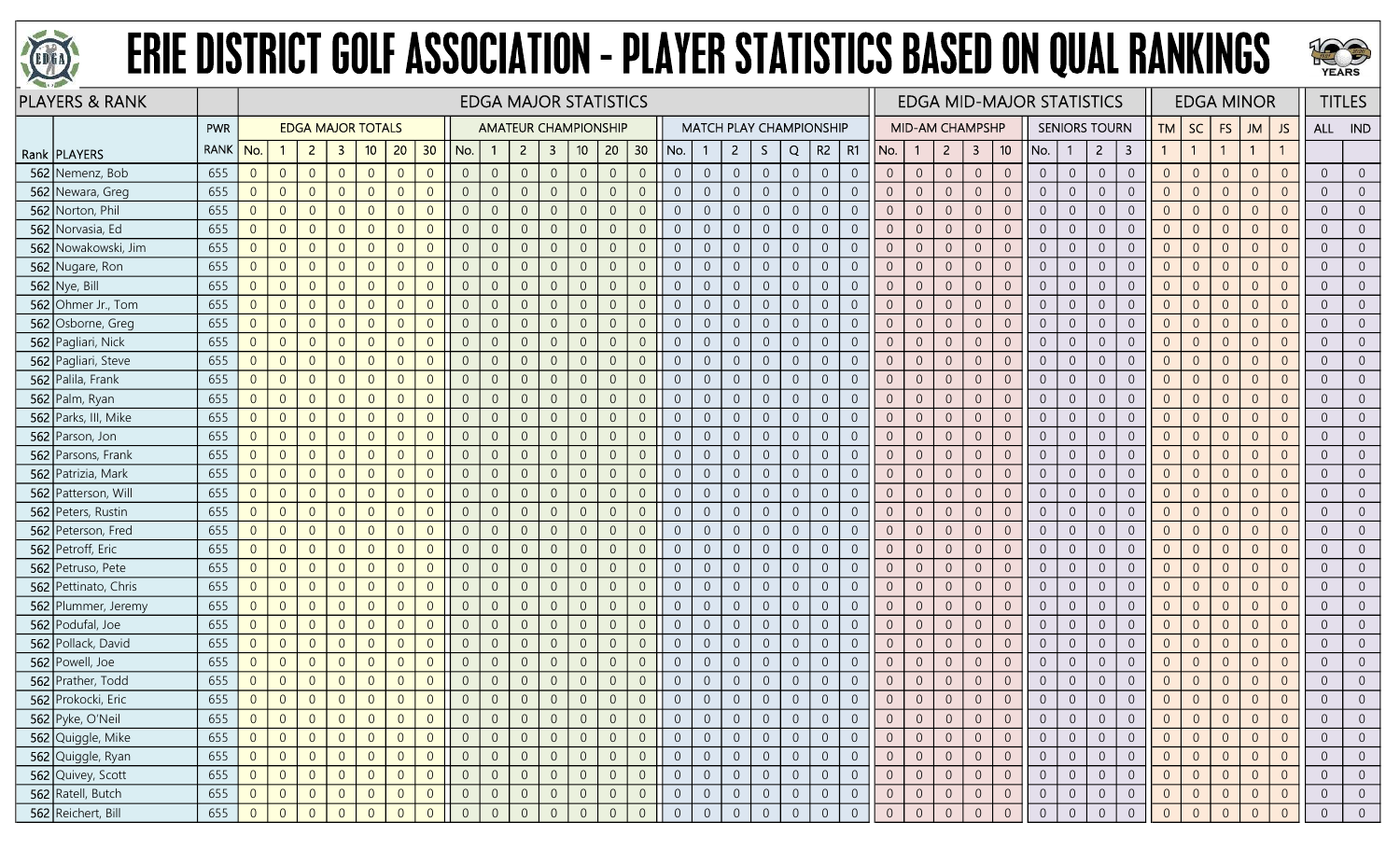



| <b>PLAYERS &amp; RANK</b> |      |                                             |                |                          |                |                |                |                |                |                |                |                | <b>EDGA MAJOR STATISTICS</b> |                |                 |                |                  |                                |                  |                |                |                |                | <b>EDGA MID-MAJOR STATISTICS</b> |                     |                                  |                |                |                      |                     |                |                | <b>EDGA MINOR</b> |                |                |                | <b>TITLES</b>  |
|---------------------------|------|---------------------------------------------|----------------|--------------------------|----------------|----------------|----------------|----------------|----------------|----------------|----------------|----------------|------------------------------|----------------|-----------------|----------------|------------------|--------------------------------|------------------|----------------|----------------|----------------|----------------|----------------------------------|---------------------|----------------------------------|----------------|----------------|----------------------|---------------------|----------------|----------------|-------------------|----------------|----------------|----------------|----------------|
|                           | PWR  |                                             |                | <b>EDGA MAJOR TOTALS</b> |                |                |                |                |                |                |                |                | <b>AMATEUR CHAMPIONSHIP</b>  |                |                 |                |                  | <b>MATCH PLAY CHAMPIONSHIP</b> |                  |                |                |                |                | <b>MID-AM CHAMPSHP</b>           |                     |                                  |                |                | <b>SENIORS TOURN</b> |                     | <b>TM</b>      | <b>SC</b>      | <b>FS</b>         | <b>JM</b>      | JS             | ALL IND        |                |
| Rank   PLAYERS            | RANK | No.                                         |                | $\overline{2}$           | -3             | 10             | 20             | 30             | No.            |                | $\overline{2}$ | $\mathbf{3}$   | 10 <sup>°</sup>              | 20             | 30 <sup>2</sup> | No.            |                  | $\mathbf{2}$                   | S.               | Q              | R2             | R1             | No.            |                                  | $\overline{2}$      | 10 <sup>°</sup><br>3             | No.            |                | $\overline{2}$       | 3                   | $\mathbf{1}$   | $\overline{1}$ |                   | $\mathbf{1}$   |                |                |                |
| 562 Nemenz, Bob           | 655  | $\overline{0}$                              | $\overline{0}$ | $\overline{0}$           | $\overline{0}$ | $\overline{0}$ | $\Omega$       | $\overline{0}$ | $\overline{0}$ | $\overline{0}$ | $\overline{0}$ | $\overline{0}$ | $\overline{0}$               | $\overline{0}$ | $\overline{0}$  | $\overline{0}$ | $\overline{0}$   | $\overline{0}$                 | $\overline{0}$   | $\overline{0}$ | $\overline{0}$ | $\overline{0}$ | $\overline{0}$ | $\overline{0}$                   | $\overline{0}$      | $\overline{0}$<br>$\overline{0}$ | $\overline{0}$ | $\overline{0}$ | $\overline{0}$       | $\overline{0}$      | $\overline{0}$ | $\overline{0}$ | $\overline{0}$    | $\overline{0}$ | $\overline{0}$ | $\overline{0}$ | $\Omega$       |
| 562 Newara, Greg          | 655  | $\overline{0}$                              | $\overline{0}$ | $\overline{0}$           | $\overline{0}$ | $\overline{0}$ | $\Omega$       | $\Omega$       | $\overline{0}$ | $\overline{0}$ | $\Omega$       | $\Omega$       | $\overline{0}$               | $\overline{0}$ | $\overline{0}$  | $\overline{0}$ | $\Omega$         | $\overline{0}$                 | $\overline{0}$   | $\overline{0}$ | $\overline{0}$ | $\overline{0}$ | $\Omega$       | $\overline{0}$                   | $\overline{0}$      | $\overline{0}$<br>$\overline{0}$ | $\overline{0}$ | $\overline{0}$ | $\overline{0}$       | $\overline{0}$      | $\overline{0}$ | $\overline{0}$ | $\overline{0}$    | $\overline{0}$ | $\overline{0}$ | $\overline{0}$ |                |
| 562 Norton, Phil          | 655  | $\overline{0}$                              | $\overline{0}$ | $\overline{0}$           | $\Omega$       | $\overline{0}$ |                | $\Omega$       | $\overline{0}$ | $\overline{0}$ |                | 0              | $\overline{0}$               | $\overline{0}$ | $\overline{0}$  | $\overline{0}$ | $\Omega$         | -0                             | $\overline{0}$   | $\overline{0}$ | $\overline{0}$ | $\Omega$       | $\overline{0}$ | $\overline{0}$                   | $\overline{0}$      | $\overline{0}$<br>$\overline{0}$ | $\overline{0}$ | $\overline{0}$ | $\overline{0}$       | $\overline{0}$      | $\overline{0}$ | $\overline{0}$ | $\overline{0}$    | $\overline{0}$ | $\Omega$       | $\overline{0}$ |                |
| 562 Norvasia, Ed          | 655  | $\overline{0}$                              | $\overline{0}$ | $\overline{0}$           | $\Omega$       | $\overline{0}$ | $\Omega$       | $\Omega$       | $\overline{0}$ | $\overline{0}$ | $\Omega$       | $\Omega$       | $\overline{0}$               | $\overline{0}$ | $\overline{0}$  | $\Omega$       | $\overline{0}$   | $\overline{0}$                 | $\boldsymbol{0}$ | $\overline{0}$ | $\overline{0}$ | $\overline{0}$ | $\overline{0}$ | $\overline{0}$                   | $\overline{0}$      | $\overline{0}$<br>$\overline{0}$ | $\overline{0}$ | $\overline{0}$ | $\overline{0}$       | $\overline{0}$      | $\overline{0}$ | $\overline{0}$ | $\overline{0}$    | $\overline{0}$ | $\overline{0}$ | $\overline{0}$ | $\Omega$       |
| 562 Nowakowski, Jim       | 655  | $\overline{0}$                              | $\overline{0}$ | $\overline{0}$           | $\overline{0}$ | $\overline{0}$ | $\Omega$       | $\overline{0}$ | $\overline{0}$ | $\overline{0}$ | $\Omega$       | $\overline{0}$ | $\overline{0}$               | $\overline{0}$ | $\overline{0}$  | $\overline{0}$ | $\overline{0}$   | $\overline{0}$                 | $\overline{0}$   | $\overline{0}$ | $\overline{0}$ | $\overline{0}$ | $\overline{0}$ | $\overline{0}$                   | $\overline{0}$      | $\overline{0}$<br>$\overline{0}$ | $\overline{0}$ | $\overline{0}$ | $\overline{0}$       | $\overline{0}$      | $\overline{0}$ | $\overline{0}$ | $\overline{0}$    | $\overline{0}$ | $\overline{0}$ | $\overline{0}$ | $\overline{0}$ |
| 562 Nugare, Ron           | 655  | $\overline{0}$                              | $\overline{0}$ | $\overline{0}$           | $\Omega$       | $\overline{0}$ |                | $\Omega$       | $\overline{0}$ | $\overline{0}$ |                | $\Omega$       | $\overline{0}$               | $\overline{0}$ | $\overline{0}$  | $\Omega$       | $\overline{0}$   | $\overline{0}$                 | $\boldsymbol{0}$ | $\overline{0}$ | $\overline{0}$ | $\Omega$       | $\Omega$       | $\overline{0}$                   | $\overline{0}$      | $\overline{0}$<br>$\overline{0}$ | $\overline{0}$ | $\overline{0}$ | $\overline{0}$       | $\overline{0}$      | $\overline{0}$ | $\overline{0}$ | $\overline{0}$    | $\Omega$       | $\Omega$       | $\overline{0}$ |                |
| <b>562</b> Nye, Bill      | 655  | $\overline{0}$                              | $\overline{0}$ | $\overline{0}$           | $\overline{0}$ | $\overline{0}$ |                | $\theta$       | $\overline{0}$ | $\overline{0}$ |                | 0              | $\overline{0}$               | $\overline{0}$ | $\overline{0}$  | $\overline{0}$ | $\overline{0}$   | $\overline{0}$                 | $\overline{0}$   | $\overline{0}$ | $\overline{0}$ | $\overline{0}$ | $\overline{0}$ | $\overline{0}$                   | $\overline{0}$      | $\overline{0}$<br>$\overline{0}$ | $\overline{0}$ | $\overline{0}$ | $\overline{0}$       | $\overline{0}$      | $\overline{0}$ | $\overline{0}$ | $\overline{0}$    | $\Omega$       |                | $\overline{0}$ |                |
| 562 Ohmer Jr., Tom        | 655  | $\overline{0}$                              | $\overline{0}$ | $\overline{0}$           | $\overline{0}$ | $\overline{0}$ | $\Omega$       | $\overline{0}$ | $\overline{0}$ | $\overline{0}$ | $\Omega$       | $\overline{0}$ | $\overline{0}$               | $\overline{0}$ | $\overline{0}$  | $\overline{0}$ | $\overline{0}$   | $\overline{0}$                 | $\boldsymbol{0}$ | $\theta$       | $\overline{0}$ | $\overline{0}$ | $\overline{0}$ | $\theta$                         | $\overline{0}$      | $\theta$<br>$\overline{0}$       | $\overline{0}$ | $\overline{0}$ | $\sqrt{0}$           | $\boldsymbol{0}$    | $\mathbf 0$    | $\overline{0}$ | $\overline{0}$    | $\overline{0}$ | $\overline{0}$ | $\overline{0}$ | $\overline{0}$ |
| 562 Osborne, Greg         | 655  | $\overline{0}$                              | $\overline{0}$ | $\overline{0}$           | $\overline{0}$ | $\overline{0}$ | $\overline{0}$ | $\overline{0}$ | $\overline{0}$ | $\overline{0}$ | $\Omega$       | $\overline{0}$ | $\overline{0}$               | $\overline{0}$ | $\overline{0}$  | $\overline{0}$ | $\overline{0}$   | $\overline{0}$                 | $\boldsymbol{0}$ | $\overline{0}$ | $\overline{0}$ | $\overline{0}$ | $\overline{0}$ | $\overline{0}$                   | $\overline{0}$      | $\theta$<br>$\overline{0}$       | $\overline{0}$ | $\overline{0}$ | $\overline{0}$       | $\boldsymbol{0}$    | $\overline{0}$ | $\overline{0}$ | $\overline{0}$    | $\overline{0}$ | $\overline{0}$ | $\overline{0}$ | $\overline{0}$ |
| 562 Pagliari, Nick        | 655  | $\overline{0}$                              | $\overline{0}$ | $\overline{0}$           | $\Omega$       | $\overline{0}$ | $\Omega$       | $\Omega$       | $\overline{0}$ | $\overline{0}$ |                | $\Omega$       | $\overline{0}$               | $\overline{0}$ | $\overline{0}$  | $\overline{0}$ | $\overline{0}$   | $\overline{0}$                 | $\overline{0}$   | $\overline{0}$ | $\overline{0}$ | $\overline{0}$ | $\overline{0}$ | $\overline{0}$                   | $\overline{0}$      | $\overline{0}$<br>$\overline{0}$ | $\overline{0}$ | $\overline{0}$ | $\overline{0}$       | $\overline{0}$      | $\overline{0}$ | $\overline{0}$ | $\overline{0}$    | $\overline{0}$ | $\overline{0}$ | $\overline{0}$ |                |
| 562 Pagliari, Steve       | 655  | $\overline{0}$                              | $\overline{0}$ | $\overline{0}$           | $\Omega$       | $\overline{0}$ |                | $\Omega$       | $\overline{0}$ | $\overline{0}$ |                | $\Omega$       | $\overline{0}$               | $\overline{0}$ | $\overline{0}$  | $\Omega$       | $\Omega$         | $\overline{0}$                 | $\overline{0}$   | $\overline{0}$ | $\overline{0}$ | $\overline{0}$ | $\overline{0}$ | $\overline{0}$                   | $\overline{0}$      | $\overline{0}$<br>$\overline{0}$ | $\overline{0}$ | $\overline{0}$ | $\overline{0}$       | $\overline{0}$      | $\overline{0}$ | $\overline{0}$ | $\overline{0}$    | $\overline{0}$ |                | $\overline{0}$ |                |
| 562 Palila, Frank         | 655  | $\overline{0}$                              | $\overline{0}$ | $\overline{0}$           | $\overline{0}$ | $\overline{0}$ | $\Omega$       | $\Omega$       | $\overline{0}$ | $\overline{0}$ | $\Omega$       | $\Omega$       | $\overline{0}$               | $\overline{0}$ | $\overline{0}$  | $\overline{0}$ | $\overline{0}$   | $\overline{0}$                 | $\overline{0}$   | $\overline{0}$ | $\overline{0}$ | $\overline{0}$ | $\overline{0}$ | $\overline{0}$                   | $\overline{0}$      | $\overline{0}$<br>$\overline{0}$ | $\overline{0}$ | $\overline{0}$ | $\overline{0}$       | $\overline{0}$      | $\overline{0}$ | $\overline{0}$ | $\overline{0}$    | $\overline{0}$ | $\overline{0}$ | $\overline{0}$ | $\overline{0}$ |
| 562 Palm, Ryan            | 655  | $\overline{0}$                              | $\overline{0}$ | $\overline{0}$           | $\overline{0}$ | $\overline{0}$ | $\overline{0}$ | $\overline{0}$ | $\overline{0}$ | $\mathbf{0}$   | $\Omega$       | $\overline{0}$ | $\overline{0}$               | $\overline{0}$ | $\overline{0}$  | $\overline{0}$ | $\overline{0}$   | $\overline{0}$                 | $\boldsymbol{0}$ | $\overline{0}$ | $\overline{0}$ | $\overline{0}$ | $\overline{0}$ | $\overline{0}$                   | $\overline{0}$      | $\overline{0}$<br>$\overline{0}$ | $\overline{0}$ | $\overline{0}$ | $\overline{0}$       | $\overline{0}$      | $\overline{0}$ | $\overline{0}$ | $\overline{0}$    | $\overline{0}$ | $\overline{0}$ | $\overline{0}$ | $\overline{0}$ |
| 562 Parks, III, Mike      | 655  | $\overline{0}$                              | $\overline{0}$ | $\overline{0}$           | $\Omega$       | $\overline{0}$ | $\Omega$       | $\Omega$       | $\overline{0}$ | $\overline{0}$ |                | 0              | $\overline{0}$               | $\overline{0}$ | $\overline{0}$  | $\overline{0}$ | $\Omega$         | $\overline{0}$                 | $\overline{0}$   | $\overline{0}$ | $\overline{0}$ | $\Omega$       | $\overline{0}$ | $\overline{0}$                   | $\overline{0}$      | $\overline{0}$<br>$\overline{0}$ | $\overline{0}$ | $\overline{0}$ | $\overline{0}$       | $\overline{0}$      | $\overline{0}$ | $\overline{0}$ | $\overline{0}$    | $\overline{0}$ | $\Omega$       | $\overline{0}$ |                |
| 562 Parson, Jon           | 655  | $\overline{0}$                              | $\overline{0}$ | $\overline{0}$           | $\overline{0}$ | $\overline{0}$ | $\Omega$       | $\Omega$       | $\overline{0}$ | $\overline{0}$ |                | $\Omega$       | $\overline{0}$               | $\overline{0}$ | $\overline{0}$  | $\overline{0}$ | $\Omega$         | $\overline{0}$                 | $\overline{0}$   | $\overline{0}$ | $\overline{0}$ | $\overline{0}$ | $\overline{0}$ | $\overline{0}$                   | $\overline{0}$      | $\overline{0}$<br>$\overline{0}$ | $\overline{0}$ | $\overline{0}$ | $\overline{0}$       | $\overline{0}$      | $\overline{0}$ | $\overline{0}$ | $\overline{0}$    | $\overline{0}$ | $\Omega$       | $\overline{0}$ |                |
| 562 Parsons, Frank        | 655  | $\overline{0}$                              | $\overline{0}$ | $\overline{0}$           | $\overline{0}$ | $\overline{0}$ | $\Omega$       | $\Omega$       | $\overline{0}$ | $\overline{0}$ | $\Omega$       | $\overline{0}$ | $\overline{0}$               | $\overline{0}$ | $\overline{0}$  | $\overline{0}$ | $\overline{0}$   | $\overline{0}$                 | $\overline{0}$   | $\overline{0}$ | $\overline{0}$ | $\overline{0}$ | $\overline{0}$ | $\overline{0}$                   | $\overline{0}$      | $\overline{0}$<br>$\overline{0}$ | $\overline{0}$ | $\overline{0}$ | $\overline{0}$       | $\overline{0}$      | $\overline{0}$ | $\overline{0}$ | $\overline{0}$    | $\overline{0}$ | $\overline{0}$ | $\overline{0}$ | $\overline{0}$ |
| 562 Patrizia, Mark        | 655  | $\overline{0}$                              | $\overline{0}$ | $\overline{0}$           | $\overline{0}$ | $\overline{0}$ | $\Omega$       | $\overline{0}$ | $\overline{0}$ | $\overline{0}$ | $\Omega$       | $\overline{0}$ | $\overline{0}$               | $\overline{0}$ | $\overline{0}$  | $\overline{0}$ | $\overline{0}$   | $\overline{0}$                 | $\overline{0}$   | $\overline{0}$ | $\overline{0}$ | $\overline{0}$ | $\overline{0}$ | $\overline{0}$                   | $\overline{0}$      | $\overline{0}$<br>$\overline{0}$ | $\overline{0}$ | $\overline{0}$ | $\overline{0}$       | $\overline{0}$      | $\overline{0}$ | $\overline{0}$ | $\overline{0}$    | $\overline{0}$ | $\overline{0}$ | $\overline{0}$ | $\overline{0}$ |
| 562 Patterson, Will       | 655  | $\overline{0}$                              | $\overline{0}$ | $\overline{0}$           | $\overline{0}$ | $\overline{0}$ | $\Omega$       | $\Omega$       | $\overline{0}$ | $\overline{0}$ |                | 0              | $\overline{0}$               | $\overline{0}$ | $\overline{0}$  | $\overline{0}$ | $\overline{0}$   | $\overline{0}$                 | $\overline{0}$   | $\overline{0}$ | $\overline{0}$ | $\overline{0}$ | $\overline{0}$ | $\overline{0}$                   | $\overline{0}$      | $\overline{0}$<br>$\overline{0}$ | $\overline{0}$ | $\overline{0}$ | $\overline{0}$       | $\overline{0}$      | $\overline{0}$ | $\overline{0}$ | $\overline{0}$    | $\overline{0}$ | $\overline{0}$ | $\overline{0}$ |                |
| 562 Peters, Rustin        | 655  | $\overline{0}$                              | $\overline{0}$ | $\overline{0}$           | $\overline{0}$ | $\overline{0}$ | $\Omega$       | $\Omega$       | $\overline{0}$ | $\overline{0}$ | $\Omega$       | $\Omega$       | $\overline{0}$               | $\overline{0}$ | $\overline{0}$  | $\overline{0}$ | $\overline{0}$   | $\overline{0}$                 | $\overline{0}$   | $\overline{0}$ | $\overline{0}$ | $\overline{0}$ | $\overline{0}$ | $\overline{0}$                   | $\overline{0}$      | $\overline{0}$<br>$\overline{0}$ | $\overline{0}$ | $\overline{0}$ | $\overline{0}$       | $\overline{0}$      | $\overline{0}$ | $\overline{0}$ | $\overline{0}$    | $\overline{0}$ | $\overline{0}$ | $\overline{0}$ | $\overline{0}$ |
| 562 Peterson, Fred        | 655  | $\overline{0}$                              | $\overline{0}$ | $\overline{0}$           | $\overline{0}$ | $\overline{0}$ | $\Omega$       | $\Omega$       | $\overline{0}$ | $\overline{0}$ | $\Omega$       | $\Omega$       | $\overline{0}$               | $\overline{0}$ | $\overline{0}$  | $\overline{0}$ | $\overline{0}$   | $\overline{0}$                 | $\overline{0}$   | $\overline{0}$ | $\overline{0}$ | $\overline{0}$ | $\overline{0}$ | $\overline{0}$                   | $\overline{0}$      | $\overline{0}$<br>$\overline{0}$ | $\overline{0}$ | $\overline{0}$ | $\overline{0}$       | $\overline{0}$      | $\overline{0}$ | $\overline{0}$ | $\overline{0}$    | $\overline{0}$ | $\overline{0}$ | $\overline{0}$ | $\overline{0}$ |
| 562 Petroff, Eric         | 655  | $\overline{0}$                              | $\overline{0}$ | $\overline{0}$           | $\Omega$       | $\overline{0}$ |                | $\Omega$       | $\overline{0}$ | $\overline{0}$ |                | $\overline{0}$ | $\overline{0}$               | $\overline{0}$ | $\overline{0}$  | $\Omega$       | $\Omega$         | $\overline{0}$                 | $\overline{0}$   | $\overline{0}$ | $\overline{0}$ | $\Omega$       | $\overline{0}$ | $\overline{0}$                   | $\overline{0}$      | $\overline{0}$<br>$\overline{0}$ | $\overline{0}$ | $\overline{0}$ | $\overline{0}$       | $\overline{0}$      | $\overline{0}$ | $\overline{0}$ | $\overline{0}$    | $\overline{0}$ | $\overline{0}$ | $\overline{0}$ | $\Omega$       |
| 562 Petruso, Pete         | 655  | $\overline{0}$                              | $\overline{0}$ | $\overline{0}$           | $\Omega$       | $\overline{0}$ | $\Omega$       | $\Omega$       | $\overline{0}$ | $\overline{0}$ |                | $\Omega$       | $\Omega$                     | $\overline{0}$ | $\overline{0}$  | $\Omega$       | $\overline{0}$   | $\overline{0}$                 | $\overline{0}$   | $\sqrt{0}$     | $\overline{0}$ | $\Omega$       | $\overline{0}$ | $\overline{0}$                   | $\overline{0}$      | $\overline{0}$<br>$\overline{0}$ | $\overline{0}$ | $\overline{0}$ | $\overline{0}$       | $\overline{0}$      | $\overline{0}$ | $\overline{0}$ | $\overline{0}$    | $\Omega$       |                | $\overline{0}$ |                |
| 562 Pettinato, Chris      | 655  | $\overline{0}$                              | $\overline{0}$ | $\overline{0}$           | $\overline{0}$ | $\overline{0}$ | $\Omega$       | $\Omega$       | $\overline{0}$ | $\overline{0}$ | $\Omega$       | $\Omega$       | $\Omega$                     | $\overline{0}$ | $\overline{0}$  | $\Omega$       | $\overline{0}$   | $\overline{0}$                 | $\overline{0}$   | $\overline{0}$ | $\overline{0}$ | $\overline{0}$ | $\overline{0}$ | $\overline{0}$                   | $\overline{0}$      | $\overline{0}$<br>$\overline{0}$ | $\overline{0}$ | $\overline{0}$ | $\overline{0}$       | $\overline{0}$      | $\overline{0}$ | $\overline{0}$ | $\overline{0}$    | $\overline{0}$ | $\Omega$       | $\overline{0}$ | $\overline{0}$ |
| 562 Plummer, Jeremy       | 655  | $\overline{0}$                              | $\overline{0}$ | $\overline{0}$           | $\Omega$       | $\overline{0}$ | $\Omega$       | $\Omega$       | $\overline{0}$ | $\mathbf{0}$   | $\Omega$       | $\Omega$       | $\overline{0}$               | $\overline{0}$ | $\overline{0}$  | $\overline{0}$ | $\overline{0}$   | $\overline{0}$                 | $\mathbf 0$      | $\mathbf{0}$   | $\overline{0}$ | $\overline{0}$ | $\overline{0}$ | $\overline{0}$                   | $\overline{0}$      | $\theta$<br>$\overline{0}$       | $\overline{0}$ | $\overline{0}$ | $\overline{0}$       | $\overline{0}$      | $\overline{0}$ | $\overline{0}$ | $\overline{0}$    | $\overline{0}$ | $\overline{0}$ | $\overline{0}$ | $\Omega$       |
| 562 Podufal, Joe          | 655  | $\overline{0}$                              | $\overline{0}$ | $\overline{0}$           | $\overline{0}$ | $\overline{0}$ | $\Omega$       | $\overline{0}$ | $\overline{0}$ | $\overline{0}$ |                | $\overline{0}$ | $\overline{0}$               | $\overline{0}$ | $\overline{0}$  | $\overline{0}$ | $\overline{0}$   | $\overline{0}$                 | $\overline{0}$   | $\overline{0}$ | $\overline{0}$ | $\overline{0}$ | $\overline{0}$ | $\overline{0}$                   | $\overline{0}$      | $\overline{0}$<br>$\overline{0}$ | $\overline{0}$ | $\Omega$       | $\overline{0}$       | $\overline{0}$      | $\overline{0}$ | $\overline{0}$ | $\overline{0}$    | $\overline{0}$ | $\overline{0}$ | $\overline{0}$ | $\Omega$       |
| 562 Pollack, David        | 655  | $\overline{0}$                              | $\overline{0}$ | $\overline{0}$           | $\overline{0}$ | $\overline{0}$ | $\Omega$       | $\Omega$       | $\overline{0}$ | $\overline{0}$ |                | 0              | $\overline{0}$               | $\overline{0}$ | $\overline{0}$  | $\Omega$       | $\overline{0}$   | $\overline{0}$                 | $\overline{0}$   | $\overline{0}$ | $\overline{0}$ | $\overline{0}$ | $\overline{0}$ | $\overline{0}$                   | $\overline{0}$      | $\overline{0}$<br>$\overline{0}$ | $\overline{0}$ | $\overline{0}$ | $\overline{0}$       | $\overline{0}$      | $\overline{0}$ | $\overline{0}$ | $\overline{0}$    | $\overline{0}$ | $\Omega$       | $\overline{0}$ |                |
| 562 Powell, Joe           | 655  | $\overline{0}$                              | $\overline{0}$ | $\overline{0}$           | $\Omega$       | $\overline{0}$ | $\Omega$       | $\Omega$       | $\overline{0}$ | $\overline{0}$ | $\Omega$       | $\Omega$       | $\Omega$                     | $\overline{0}$ | $\overline{0}$  | $\Omega$       | $\overline{0}$   | $\overline{0}$                 | $\overline{0}$   | $\overline{0}$ | $\overline{0}$ | $\overline{0}$ | $\overline{0}$ | $\overline{0}$                   | $\overline{0}$      | $\overline{0}$<br>$\overline{0}$ | $\overline{0}$ | $\overline{0}$ | $\overline{0}$       | $\overline{0}$      | $\overline{0}$ | $\overline{0}$ | $\overline{0}$    | $\overline{0}$ | $\overline{0}$ | $\overline{0}$ | $\overline{0}$ |
| 562 Prather, Todd         | 655  | $\overline{0}$                              | $\overline{0}$ | $\overline{0}$           | $\overline{0}$ | $\overline{0}$ | $\Omega$       | $\overline{0}$ | $\overline{0}$ | $\overline{0}$ | $\Omega$       | $\overline{0}$ | $\overline{0}$               | $\sqrt{0}$     | $\overline{0}$  | $\overline{0}$ | $\boldsymbol{0}$ | $\overline{0}$                 | $\mathbf 0$      | $\sqrt{0}$     | $\overline{0}$ | $\overline{0}$ | $\overline{0}$ | $\overline{0}$                   | $\overline{0}$      | $\theta$<br>$\overline{0}$       | $\overline{0}$ | $\overline{0}$ | $\overline{0}$       | $\boldsymbol{0}$    | $\overline{0}$ | $\overline{0}$ | $\theta$          | $\overline{0}$ | $\overline{0}$ | $\overline{0}$ | $\overline{0}$ |
| 562 Prokocki, Eric        | 655  | $\overline{0}$                              | $\overline{0}$ | $\overline{0}$           | $\overline{0}$ | $\overline{0}$ | $\Omega$       | $\overline{0}$ | $\overline{0}$ | $\Omega$       | $\Omega$       | $\overline{0}$ | $\overline{0}$               | $\overline{0}$ | $\overline{0}$  | $\Omega$       | $\overline{0}$   | $\overline{0}$                 | $\overline{0}$   | $\overline{0}$ | $\overline{0}$ | $\overline{0}$ | $\overline{0}$ | $\overline{0}$                   | $\overline{0}$      | $\overline{0}$<br>$\overline{0}$ | $\overline{0}$ | $\overline{0}$ | $\overline{0}$       | $\overline{0}$      | $\overline{0}$ | $\overline{0}$ | $\overline{0}$    | $\overline{0}$ | $\overline{0}$ | $\overline{0}$ |                |
| 562 Pyke, O'Neil          | 655  | $\overline{0}$                              | $\overline{0}$ | $\overline{0}$           | $\overline{0}$ | $\overline{0}$ |                | $\theta$       | $\overline{0}$ | $\overline{0}$ |                | 0              | $\overline{0}$               | $\overline{0}$ | $\overline{0}$  | $\overline{0}$ |                  | $\overline{0}$                 | $\overline{0}$   | $\overline{0}$ | $\overline{0}$ | $\overline{0}$ | $\overline{0}$ | $\overline{0}$                   | $\overline{0}$      | $\overline{0}$<br>$\overline{0}$ | $\overline{0}$ | $\overline{0}$ | $\overline{0}$       | $\overline{0}$      |                | $\overline{0}$ | $\overline{0}$    |                |                | $\overline{0}$ |                |
| 562 Quiggle, Mike         | 655  |                                             | $\overline{0}$ | $\overline{0}$           | $\overline{0}$ | $\overline{0}$ | $\overline{0}$ | $\overline{0}$ | $\overline{0}$ | $\overline{0}$ | $\overline{0}$ | $\overline{0}$ | $\overline{0}$               | $\overline{0}$ | $\overline{0}$  | $\overline{0}$ | $\overline{0}$   | $\overline{0}$                 | $\overline{0}$   | $\overline{0}$ | $\overline{0}$ | $\overline{0}$ | $\overline{0}$ | $\overline{0}$                   | $\overline{0}$      | $\overline{0}$<br>$\overline{0}$ | $\overline{0}$ | $\overline{0}$ | $\overline{0}$       | $\overline{0}$      | $\overline{0}$ | $\overline{0}$ | $\overline{0}$    | $\overline{0}$ | $\overline{0}$ | $\overline{0}$ | $\overline{0}$ |
| 562 Quiggle, Ryan         | 655  | 0                                           | $\overline{0}$ | $\overline{0}$           | $\overline{0}$ | $\overline{0}$ | $\overline{0}$ | $\overline{0}$ | $\sqrt{0}$     | $\sqrt{0}$     | $\overline{0}$ | $\overline{0}$ | $\mathbf 0$                  | $\mathbb O$    | $\mathbf 0$     | $\sqrt{0}$     | $\mathsf{O}$     | $\sqrt{0}$                     | $\overline{0}$   | $\sqrt{0}$     | $\mathbb O$    | $\mathsf{O}$   | $\overline{0}$ | $\overline{0}$                   | $\mathbf 0$         | $\overline{0}$<br>$\sqrt{0}$     | $\overline{0}$ | $\mathbb O$    | $\mathbb O$          | $\mathsf{O}\xspace$ | $\overline{0}$ | $\overline{0}$ | $\overline{0}$    | $\overline{0}$ | $\sqrt{0}$     | $\sqrt{0}$     | $\overline{0}$ |
| 562 Quivey, Scott         | 655  | $\begin{bmatrix} 0 \\ 0 \\ 0 \end{bmatrix}$ | $\overline{0}$ | $\overline{0}$           | $\overline{0}$ | $\mathbf 0$    | $\overline{0}$ | $\overline{0}$ | $\sqrt{0}$     | $\sqrt{0}$     | $\overline{0}$ | $\overline{0}$ | $\,0\,$                      | $\mathbf 0$    | $\overline{0}$  | $\overline{0}$ | $\mathbf 0$      | $\overline{0}$                 | $\mathsf{O}^-$   | $\,0\,$        | $\sqrt{0}$     | $\overline{0}$ | $\overline{0}$ | $\overline{0}$                   | $\mathsf{O}\xspace$ | $\overline{0}$<br>$\mathbb O$    | $\overline{0}$ | $\overline{0}$ | $\mathsf{O}$         | $\mathsf{O}\xspace$ | $\mathbf{0}$   | $\sqrt{0}$     | $\overline{0}$    | $\overline{0}$ | $\overline{0}$ | $\,0\,$        | $\overline{0}$ |
| 562 Ratell, Butch         | 655  | $\overline{0}$                              | $\overline{0}$ | $\overline{0}$           | $\overline{0}$ | $\overline{0}$ | $\overline{0}$ | $\overline{0}$ | $\overline{0}$ | $\overline{0}$ | $\overline{0}$ | $\overline{0}$ | $\boldsymbol{0}$             | $\overline{0}$ | $\overline{0}$  | $\overline{0}$ | $\overline{0}$   | $\overline{0}$                 | $\overline{0}$   | $\overline{0}$ | $\overline{0}$ | $\overline{0}$ | $\overline{0}$ | $\overline{0}$                   | $\overline{0}$      | $\overline{0}$<br>$\overline{0}$ | $\overline{0}$ | $\overline{0}$ | $\overline{0}$       | $\overline{0}$      | $\overline{0}$ | $\theta$       | $\overline{0}$    | $\overline{0}$ | $\overline{0}$ | $\overline{0}$ | $\overline{0}$ |
| 562 Reichert, Bill        | 655  | 0                                           | $\overline{0}$ | $\overline{0}$           | $\overline{0}$ | $\overline{0}$ |                | $\overline{0}$ | $\overline{0}$ | $\Omega$       |                | $\overline{0}$ | $\overline{0}$               | $\overline{0}$ | $\overline{0}$  | $\overline{0}$ | $\overline{0}$   | $\overline{0}$                 | $\overline{0}$   | $\sqrt{0}$     | $\overline{0}$ | $\mathbf{0}$   | $\overline{0}$ | $\mathbf{0}$                     | $\overline{0}$      | $\overline{0}$<br>$\overline{0}$ | $\overline{0}$ | $\overline{0}$ | $\mathbf{0}$         | $\sqrt{0}$          | $\overline{0}$ | $\mathbf 0$    | $\overline{0}$    | $\overline{0}$ | $\overline{0}$ | $\mathbf 0$    | $\overline{0}$ |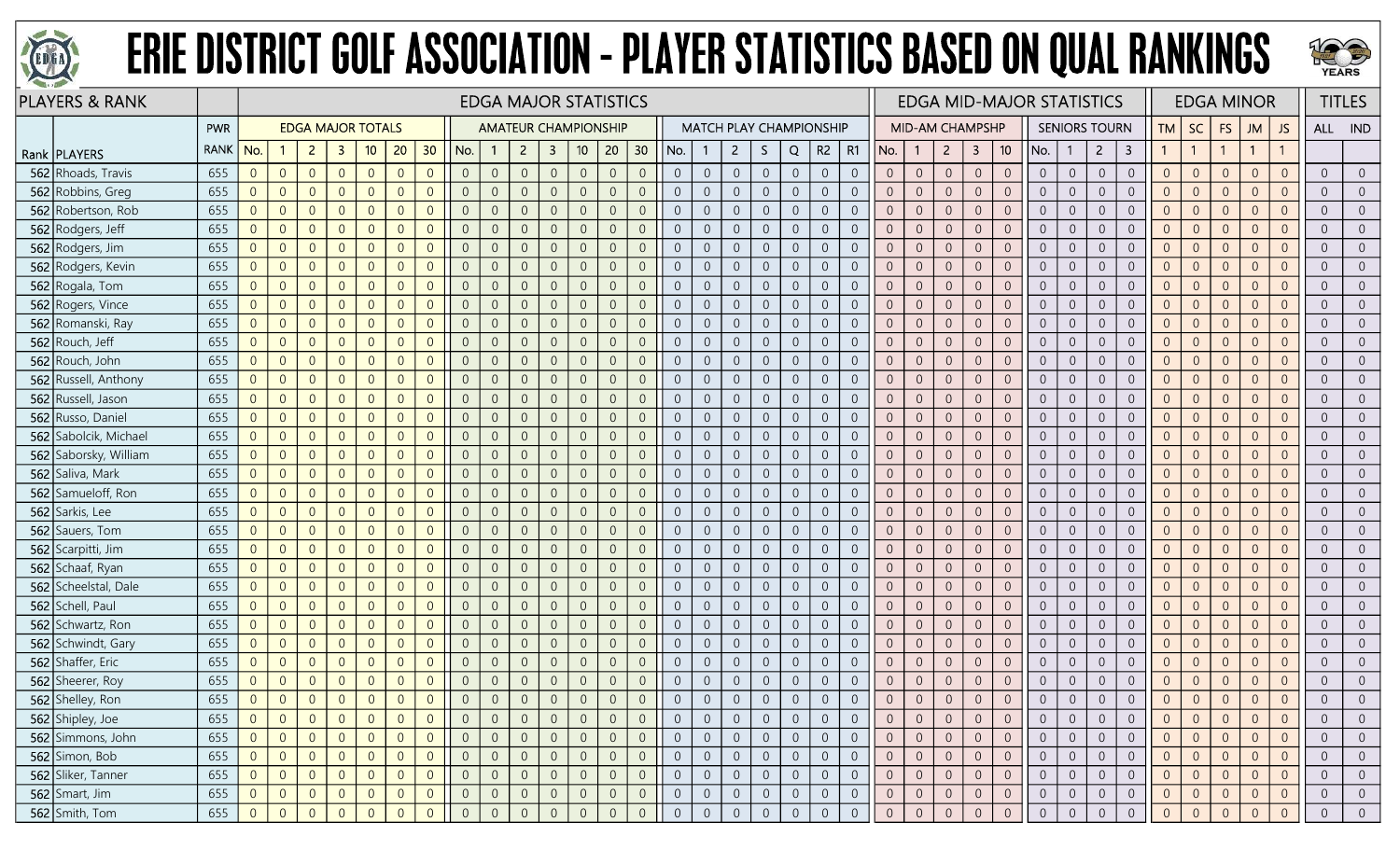



| <b>PLAYERS &amp; RANK</b> |             |                |                |                |                |                          |                |                |                |                |                |                | <b>EDGA MAJOR STATISTICS</b> |                |                |                |                |                |                |                |                                |                |                |                        |                  |                |                 | <b>EDGA MID-MAJOR STATISTICS</b> |                |                      |                |                |                |                | <b>EDGA MINOR</b> |                |                  | <b>TITLES</b>  |
|---------------------------|-------------|----------------|----------------|----------------|----------------|--------------------------|----------------|----------------|----------------|----------------|----------------|----------------|------------------------------|----------------|----------------|----------------|----------------|----------------|----------------|----------------|--------------------------------|----------------|----------------|------------------------|------------------|----------------|-----------------|----------------------------------|----------------|----------------------|----------------|----------------|----------------|----------------|-------------------|----------------|------------------|----------------|
|                           | <b>PWR</b>  |                |                |                |                | <b>EDGA MAJOR TOTALS</b> |                |                |                |                |                |                | <b>AMATEUR CHAMPIONSHIP</b>  |                |                |                |                |                |                |                | <b>MATCH PLAY CHAMPIONSHIP</b> |                |                | <b>MID-AM CHAMPSHP</b> |                  |                |                 |                                  |                | <b>SENIORS TOURN</b> |                | <b>TM</b>      | SC             | FS             | <b>JM</b>         | JS             | ALL IND          |                |
| Rank   PLAYERS            | <b>RANK</b> | No.            |                | 2 <sup>2</sup> | $\mathbf{3}$   | 10                       | 20             | 30             | No.            | -1             | $\overline{2}$ | $\mathbf{3}$   | 10 <sup>°</sup>              | 20             | 30             | No.            |                | 2 <sup>1</sup> | S.             | Q              | R2                             | R1             | No.            | $\mathbf{1}$           | $\overline{2}$   | 3              | 10 <sup>°</sup> | No.                              | -1             | $\overline{2}$       | 3              |                | $\overline{1}$ |                | $\mathbf{1}$      |                |                  |                |
| 562 Rhoads, Travis        | 655         | $\overline{0}$ | $\overline{0}$ | $\overline{0}$ | $\overline{0}$ | $\overline{0}$           | $\overline{0}$ | $\overline{0}$ | $\overline{0}$ | $\overline{0}$ | $\sqrt{0}$     | $\overline{0}$ | $\overline{0}$               | $\overline{0}$ | $\overline{0}$ | $\overline{0}$ | $\overline{0}$ | $\overline{0}$ | $\overline{0}$ | $\sqrt{0}$     | $\overline{0}$                 | $\overline{0}$ | $\overline{0}$ | $\overline{0}$         | $\sqrt{0}$       | $\overline{0}$ | $\overline{0}$  | $\overline{0}$                   | $\overline{0}$ | $\overline{0}$       | $\overline{0}$ | $\overline{0}$ | $\overline{0}$ | $\overline{0}$ | $\Omega$          | $\Omega$       | $\overline{0}$   | $\overline{0}$ |
| 562 Robbins, Greg         | 655         | $\overline{0}$ | $\overline{0}$ | $\overline{0}$ |                | $\Omega$                 | $\overline{0}$ | $\overline{0}$ | $\Omega$       | $\overline{0}$ | $\overline{0}$ | $\overline{0}$ | $\overline{0}$               | $\overline{0}$ | $\overline{0}$ | $\overline{0}$ | $\overline{0}$ | $\overline{0}$ | $\overline{0}$ | $\overline{0}$ | $\overline{0}$                 | $\Omega$       | $\overline{0}$ | $\overline{0}$         | $\overline{0}$   | $\overline{0}$ | $\overline{0}$  | $\overline{0}$                   | $\overline{0}$ | $\overline{0}$       | $\overline{0}$ | $\Omega$       | $\overline{0}$ | $\overline{0}$ | $\Omega$          | $\Omega$       | $\overline{0}$   | $\overline{0}$ |
| 562 Robertson, Rob        | 655         | $\overline{0}$ | $\overline{0}$ | $\overline{0}$ |                | $\Omega$                 | $\overline{0}$ | $\overline{0}$ | $\Omega$       | $\overline{0}$ | $\overline{0}$ | $\overline{0}$ | $\overline{0}$               | $\overline{0}$ | $\overline{0}$ | $\overline{0}$ | $\overline{0}$ | $\overline{0}$ | $\overline{0}$ | $\overline{0}$ | $\overline{0}$                 |                | $\overline{0}$ | $\overline{0}$         | $\overline{0}$   | $\Omega$       | $\Omega$        | $\overline{0}$                   | $\overline{0}$ | $\Omega$             | $\overline{0}$ | $\overline{0}$ | $\overline{0}$ |                | $\Omega$          |                | $\overline{0}$   | $\overline{0}$ |
| 562 Rodgers, Jeff         | 655         | $\overline{0}$ | $\overline{0}$ | $\overline{0}$ | $\Omega$       | $\Omega$                 | $\overline{0}$ | $\overline{0}$ | $\Omega$       | $\overline{0}$ | $\overline{0}$ | $\overline{0}$ | $\overline{0}$               | $\overline{0}$ | $\overline{0}$ | $\overline{0}$ | $\overline{0}$ | $\overline{0}$ | $\overline{0}$ | $\overline{0}$ | $\overline{0}$                 | $\overline{0}$ | $\overline{0}$ | $\overline{0}$         | $\overline{0}$   | $\overline{0}$ | $\overline{0}$  | $\overline{0}$                   | $\overline{0}$ | $\overline{0}$       | $\overline{0}$ | $\overline{0}$ | $\overline{0}$ | $\overline{0}$ | $\Omega$          | $\Omega$       | $\overline{0}$   | $\overline{0}$ |
| 562 Rodgers, Jim          | 655         | $\overline{0}$ | $\overline{0}$ | $\overline{0}$ | $\Omega$       | $\overline{0}$           | $\overline{0}$ | $\overline{0}$ | $\overline{0}$ | $\overline{0}$ | $\overline{0}$ | $\overline{0}$ | $\mathbf 0$                  | $\overline{0}$ | $\overline{0}$ | $\overline{0}$ | $\overline{0}$ | $\overline{0}$ | $\overline{0}$ | $\overline{0}$ | $\overline{0}$                 | $\Omega$       | $\overline{0}$ | $\overline{0}$         | $\overline{0}$   | $\overline{0}$ | $\overline{0}$  | $\overline{0}$                   | $\overline{0}$ | $\overline{0}$       | $\overline{0}$ | $\overline{0}$ | $\overline{0}$ | $\Omega$       | $\Omega$          | $\Omega$       | $\overline{0}$   | $\overline{0}$ |
| 562 Rodgers, Kevin        | 655         | $\overline{0}$ | $\overline{0}$ | $\overline{0}$ |                | $\overline{0}$           | $\overline{0}$ | $\overline{0}$ | $\Omega$       | $\overline{0}$ | $\overline{0}$ | $\overline{0}$ | $\overline{0}$               | $\overline{0}$ | $\overline{0}$ | $\overline{0}$ | $\overline{0}$ | $\overline{0}$ | $\overline{0}$ | $\overline{0}$ | $\overline{0}$                 | $\Omega$       | $\overline{0}$ | $\overline{0}$         | $\overline{0}$   | $\overline{0}$ | $\overline{0}$  | $\overline{0}$                   | $\overline{0}$ | $\overline{0}$       | $\overline{0}$ | $\overline{0}$ | $\overline{0}$ | $\overline{0}$ | $\Omega$          | $\Omega$       | $\overline{0}$   | $\overline{0}$ |
| 562 Rogala, Tom           | 655         | $\overline{0}$ | $\overline{0}$ | $\overline{0}$ |                | $\Omega$                 | $\overline{0}$ | $\overline{0}$ | $\Omega$       | $\overline{0}$ | $\Omega$       | $\overline{0}$ | $\overline{0}$               | $\overline{0}$ | $\overline{0}$ | $\overline{0}$ | $\overline{0}$ | $\overline{0}$ | $\overline{0}$ | $\overline{0}$ | $\overline{0}$                 | $\overline{0}$ | $\overline{0}$ | $\overline{0}$         | $\overline{0}$   | $\overline{0}$ | $\overline{0}$  | $\overline{0}$                   | $\overline{0}$ | $\overline{0}$       | $\overline{0}$ | $\overline{0}$ | $\overline{0}$ | $\Omega$       | $\Omega$          |                | $\overline{0}$   | $\overline{0}$ |
| 562 Rogers, Vince         | 655         | $\overline{0}$ | $\overline{0}$ | $\overline{0}$ | $\Omega$       | $\Omega$                 | $\overline{0}$ | $\overline{0}$ | $\Omega$       | $\overline{0}$ | $\overline{0}$ | $\overline{0}$ | $\boldsymbol{0}$             | $\overline{0}$ | $\overline{0}$ | $\overline{0}$ | $\overline{0}$ | $\overline{0}$ | $\overline{0}$ | $\sqrt{0}$     | $\overline{0}$                 | $\Omega$       | $\overline{0}$ | $\overline{0}$         | $\sqrt{0}$       | $\overline{0}$ | $\overline{0}$  | $\overline{0}$                   | $\overline{0}$ | $\overline{0}$       | $\overline{0}$ | $\overline{0}$ | $\overline{0}$ | $\overline{0}$ | $\overline{0}$    | $\Omega$       | $\overline{0}$   | $\overline{0}$ |
| 562 Romanski, Ray         | 655         | $\overline{0}$ | $\overline{0}$ | $\overline{0}$ | $\Omega$       | $\overline{0}$           | $\overline{0}$ | $\overline{0}$ | $\overline{0}$ | $\overline{0}$ | $\overline{0}$ | $\sqrt{0}$     | $\overline{0}$               | $\sqrt{0}$     | $\overline{0}$ | $\overline{0}$ | $\overline{0}$ | $\overline{0}$ | $\overline{0}$ | $\mathbf 0$    | $\overline{0}$                 | $\overline{0}$ | $\overline{0}$ | $\overline{0}$         | $\boldsymbol{0}$ | $\,0\,$        | $\overline{0}$  | $\overline{0}$                   | $\overline{0}$ | $\overline{0}$       | $\overline{0}$ | $\overline{0}$ | $\overline{0}$ | $\overline{0}$ | $\overline{0}$    | $\overline{0}$ | $\overline{0}$   | $\overline{0}$ |
| 562 Rouch, Jeff           | 655         | $\overline{0}$ | $\overline{0}$ | $\overline{0}$ |                | $\Omega$                 | $\overline{0}$ | $\overline{0}$ | $\Omega$       | $\overline{0}$ | $\Omega$       | $\overline{0}$ | $\overline{0}$               | $\overline{0}$ | $\overline{0}$ | $\overline{0}$ | $\overline{0}$ | $\overline{0}$ | $\overline{0}$ | $\overline{0}$ | $\overline{0}$                 | $\Omega$       | $\overline{0}$ | $\overline{0}$         | $\overline{0}$   | $\overline{0}$ | $\overline{0}$  | $\overline{0}$                   | $\overline{0}$ | $\overline{0}$       | $\overline{0}$ | $\overline{0}$ | $\overline{0}$ | $\Omega$       | $\Omega$          | $\Omega$       | $\overline{0}$   | $\overline{0}$ |
| 562 Rouch, John           | 655         | $\overline{0}$ | $\overline{0}$ | $\overline{0}$ |                | $\Omega$                 | $\overline{0}$ | $\overline{0}$ | $\Omega$       | $\Omega$       | $\Omega$       | $\overline{0}$ | $\overline{0}$               | $\overline{0}$ | $\overline{0}$ | $\overline{0}$ | $\overline{0}$ | $\overline{0}$ | $\overline{0}$ | $\overline{0}$ | $\overline{0}$                 | $\overline{0}$ | $\overline{0}$ | $\overline{0}$         | $\overline{0}$   | $\overline{0}$ | $\overline{0}$  | $\overline{0}$                   | $\overline{0}$ | $\overline{0}$       | $\overline{0}$ | $\overline{0}$ | $\overline{0}$ | $\Omega$       | $\overline{0}$    | $\Omega$       | $\overline{0}$   | $\overline{0}$ |
| 562 Russell, Anthony      | 655         | $\overline{0}$ | $\overline{0}$ | $\overline{0}$ | $\Omega$       | $\overline{0}$           | $\overline{0}$ | $\overline{0}$ | $\Omega$       | $\overline{0}$ | $\overline{0}$ | $\overline{0}$ | $\mathbf 0$                  | $\overline{0}$ | $\overline{0}$ | $\overline{0}$ | $\overline{0}$ | $\overline{0}$ | $\overline{0}$ | $\overline{0}$ | $\overline{0}$                 | $\Omega$       | $\overline{0}$ | $\overline{0}$         | $\overline{0}$   | $\overline{0}$ | $\overline{0}$  | $\overline{0}$                   | $\overline{0}$ | $\overline{0}$       | $\overline{0}$ | $\overline{0}$ | $\overline{0}$ | $\Omega$       | $\overline{0}$    | $\Omega$       | $\overline{0}$   | $\overline{0}$ |
| 562 Russell, Jason        | 655         | $\overline{0}$ | $\overline{0}$ | $\overline{0}$ | $\Omega$       | $\overline{0}$           | $\overline{0}$ | $\overline{0}$ | $\overline{0}$ | $\overline{0}$ | $\overline{0}$ | $\overline{0}$ | $\mathbf 0$                  | $\overline{0}$ | $\overline{0}$ | $\overline{0}$ | $\overline{0}$ | $\overline{0}$ | $\overline{0}$ | $\sqrt{0}$     | $\overline{0}$                 | $\overline{0}$ | $\overline{0}$ | $\overline{0}$         | $\boldsymbol{0}$ | $\overline{0}$ | $\overline{0}$  | $\overline{0}$                   | $\overline{0}$ | $\overline{0}$       | $\overline{0}$ | $\overline{0}$ | $\overline{0}$ | $\overline{0}$ | $\overline{0}$    | $\overline{0}$ | $\overline{0}$   | $\overline{0}$ |
| 562 Russo, Daniel         | 655         | $\overline{0}$ | $\theta$       | $\overline{0}$ |                | $\Omega$                 | $\mathbf 0$    | $\overline{0}$ | $\Omega$       | $\overline{0}$ | $\overline{0}$ | $\overline{0}$ | $\boldsymbol{0}$             | $\sqrt{0}$     | $\overline{0}$ | $\overline{0}$ | $\mathbf{0}$   | $\overline{0}$ | $\mathbf 0$    | $\,0\,$        | $\overline{0}$                 | $\overline{0}$ | $\overline{0}$ | $\mathbb O$            | $\mathbf 0$      | $\sqrt{0}$     | $\overline{0}$  | $\sqrt{0}$                       | $\overline{0}$ | $\overline{0}$       | $\overline{0}$ | $\overline{0}$ | $\mathbf 0$    | $\Omega$       | $\Omega$          | $\Omega$       | $\sqrt{0}$       | $\overline{0}$ |
| 562 Sabolcik, Michael     | 655         | $\overline{0}$ | $\overline{0}$ | $\overline{0}$ |                | $\Omega$                 | $\overline{0}$ | $\overline{0}$ | $\Omega$       | $\overline{0}$ | $\overline{0}$ | $\overline{0}$ | $\overline{0}$               | $\overline{0}$ | $\overline{0}$ | $\overline{0}$ | $\overline{0}$ | $\overline{0}$ | $\overline{0}$ | $\sqrt{0}$     | $\overline{0}$                 | $\Omega$       | $\overline{0}$ | $\overline{0}$         | $\overline{0}$   | $\overline{0}$ | $\overline{0}$  | $\overline{0}$                   | $\overline{0}$ | $\overline{0}$       | $\overline{0}$ | $\overline{0}$ | $\overline{0}$ | $\Omega$       | $\Omega$          | $\Omega$       | $\overline{0}$   | $\overline{0}$ |
| 562 Saborsky, William     | 655         | $\overline{0}$ | $\overline{0}$ | $\overline{0}$ | $\Omega$       | $\Omega$                 | $\overline{0}$ | $\overline{0}$ | $\Omega$       | $\overline{0}$ | $\overline{0}$ | $\sqrt{0}$     | $\mathbf 0$                  | $\overline{0}$ | $\overline{0}$ | $\overline{0}$ | $\overline{0}$ | $\overline{0}$ | $\sqrt{0}$     | $\,0\,$        | $\overline{0}$                 | $\Omega$       | $\overline{0}$ | $\sqrt{0}$             | $\mathbf 0$      | $\overline{0}$ | $\overline{0}$  | $\overline{0}$                   | $\overline{0}$ | $\overline{0}$       | $\overline{0}$ | $\overline{0}$ | $\overline{0}$ | $\overline{0}$ | $\Omega$          | $\Omega$       | $\overline{0}$   | $\overline{0}$ |
| 562 Saliva, Mark          | 655         | $\overline{0}$ | $\overline{0}$ | $\overline{0}$ | $\Omega$       | $\overline{0}$           | $\overline{0}$ | $\overline{0}$ | $\overline{0}$ | $\overline{0}$ | $\overline{0}$ | $\overline{0}$ | $\overline{0}$               | $\overline{0}$ | $\overline{0}$ | $\overline{0}$ | $\overline{0}$ | $\overline{0}$ | $\overline{0}$ | $\sqrt{0}$     | $\overline{0}$                 | $\overline{0}$ | $\overline{0}$ | $\overline{0}$         | $\boldsymbol{0}$ | $\overline{0}$ | $\overline{0}$  | $\overline{0}$                   | $\overline{0}$ | $\overline{0}$       | $\overline{0}$ | $\overline{0}$ | $\overline{0}$ | $\overline{0}$ | $\overline{0}$    | $\Omega$       | $\overline{0}$   | $\overline{0}$ |
| 562 Samueloff, Ron        | 655         | $\overline{0}$ | $\overline{0}$ | $\overline{0}$ |                | $\overline{0}$           | $\overline{0}$ | $\overline{0}$ | $\Omega$       | $\overline{0}$ | $\Omega$       | $\overline{0}$ | $\mathbf 0$                  | $\overline{0}$ | $\overline{0}$ | $\overline{0}$ | $\overline{0}$ | $\overline{0}$ | $\overline{0}$ | $\overline{0}$ | $\overline{0}$                 | $\Omega$       | $\overline{0}$ | $\overline{0}$         | $\overline{0}$   | $\overline{0}$ | $\Omega$        | $\overline{0}$                   | $\overline{0}$ | $\overline{0}$       | $\overline{0}$ | $\overline{0}$ | $\overline{0}$ | $\overline{0}$ | $\Omega$          | $\Omega$       | $\boldsymbol{0}$ | $\overline{0}$ |
| 562 Sarkis, Lee           | 655         | $\overline{0}$ | $\overline{0}$ | $\overline{0}$ |                | $\Omega$                 | $\overline{0}$ | $\overline{0}$ | $\Omega$       | $\overline{0}$ | $\Omega$       | $\overline{0}$ | $\overline{0}$               | $\overline{0}$ | $\overline{0}$ | $\overline{0}$ | $\overline{0}$ | $\overline{0}$ | $\overline{0}$ | $\overline{0}$ | $\overline{0}$                 | $\Omega$       | $\overline{0}$ | $\overline{0}$         | $\overline{0}$   | $\overline{0}$ | $\overline{0}$  | $\overline{0}$                   | $\overline{0}$ | $\overline{0}$       | $\overline{0}$ | $\overline{0}$ | $\overline{0}$ | $\Omega$       | $\overline{0}$    | $\Omega$       | $\overline{0}$   | $\overline{0}$ |
| 562 Sauers, Tom           | 655         | $\overline{0}$ | $\overline{0}$ | $\overline{0}$ | $\Omega$       | $\overline{0}$           | $\overline{0}$ | $\overline{0}$ | $\Omega$       | $\overline{0}$ | $\overline{0}$ | $\overline{0}$ | $\overline{0}$               | $\overline{0}$ | $\overline{0}$ | $\overline{0}$ | $\overline{0}$ | $\overline{0}$ | $\overline{0}$ | $\mathbf 0$    | $\overline{0}$                 | $\overline{0}$ | $\overline{0}$ | $\overline{0}$         | $\sqrt{0}$       | $\overline{0}$ | $\overline{0}$  | $\overline{0}$                   | $\overline{0}$ | $\overline{0}$       | $\overline{0}$ | $\overline{0}$ | $\overline{0}$ | $\overline{0}$ | $\Omega$          | $\overline{0}$ | $\overline{0}$   | $\overline{0}$ |
| 562 Scarpitti, Jim        | 655         | $\overline{0}$ | $\overline{0}$ | $\overline{0}$ |                | $\Omega$                 | $\overline{0}$ | $\overline{0}$ | $\Omega$       | $\overline{0}$ | $\overline{0}$ | $\overline{0}$ | $\overline{0}$               | $\overline{0}$ | $\overline{0}$ | $\overline{0}$ | $\overline{0}$ | $\overline{0}$ | $\overline{0}$ | $\overline{0}$ | $\overline{0}$                 |                | $\overline{0}$ | $\overline{0}$         | $\overline{0}$   | $\overline{0}$ | $\overline{0}$  | $\overline{0}$                   | $\overline{0}$ | $\overline{0}$       | $\overline{0}$ | $\overline{0}$ | $\overline{0}$ | $\overline{0}$ | $\Omega$          | $\Omega$       | $\overline{0}$   | $\overline{0}$ |
| 562 Schaaf, Ryan          | 655         | $\overline{0}$ | $\overline{0}$ | $\overline{0}$ |                | $\Omega$                 | $\overline{0}$ | $\overline{0}$ | $\Omega$       | $\overline{0}$ | $\overline{0}$ | $\overline{0}$ | $\overline{0}$               | $\overline{0}$ | $\overline{0}$ | $\overline{0}$ | $\overline{0}$ | $\overline{0}$ | $\overline{0}$ | $\overline{0}$ | $\overline{0}$                 | $\Omega$       | $\overline{0}$ | $\overline{0}$         | $\overline{0}$   | $\overline{0}$ | $\overline{0}$  | $\overline{0}$                   | $\overline{0}$ | $\overline{0}$       | $\overline{0}$ | $\overline{0}$ | $\overline{0}$ | $\Omega$       | $\Omega$          | $\Omega$       | $\boldsymbol{0}$ | $\overline{0}$ |
| 562 Scheelstal, Dale      | 655         | $\overline{0}$ | $\overline{0}$ | $\overline{0}$ | $\Omega$       | $\Omega$                 | $\overline{0}$ | $\overline{0}$ | $\Omega$       | $\overline{0}$ | $\overline{0}$ | $\overline{0}$ | $\overline{0}$               | $\overline{0}$ | $\overline{0}$ | $\overline{0}$ | $\overline{0}$ | $\overline{0}$ | $\overline{0}$ | $\overline{0}$ | $\overline{0}$                 | $\overline{0}$ | $\overline{0}$ | $\overline{0}$         | $\overline{0}$   | $\overline{0}$ | $\overline{0}$  | $\overline{0}$                   | $\overline{0}$ | $\overline{0}$       | $\overline{0}$ | $\overline{0}$ | $\overline{0}$ | $\overline{0}$ | $\overline{0}$    | $\Omega$       | $\overline{0}$   | $\overline{0}$ |
| 562 Schell, Paul          | 655         | $\overline{0}$ | $\overline{0}$ | $\overline{0}$ | $\Omega$       | $\Omega$                 | $\overline{0}$ | $\overline{0}$ | $\overline{0}$ | $\overline{0}$ | $\overline{0}$ | $\overline{0}$ | $\overline{0}$               | $\overline{0}$ | $\overline{0}$ | $\overline{0}$ | $\overline{0}$ | $\overline{0}$ | $\overline{0}$ | $\overline{0}$ | $\overline{0}$                 | $\Omega$       | $\overline{0}$ | $\overline{0}$         | $\overline{0}$   | $\overline{0}$ | $\overline{0}$  | $\overline{0}$                   | $\overline{0}$ | $\overline{0}$       | $\overline{0}$ | $\overline{0}$ | $\overline{0}$ | $\overline{0}$ | $\Omega$          | $\overline{0}$ | $\overline{0}$   | $\overline{0}$ |
| 562 Schwartz, Ron         | 655         | $\overline{0}$ | $\overline{0}$ | $\overline{0}$ | $\Omega$       | $\Omega$                 | $\overline{0}$ | $\overline{0}$ | $\overline{0}$ | $\overline{0}$ | $\overline{0}$ | $\overline{0}$ | $\overline{0}$               | $\mathbf{0}$   | $\overline{0}$ | $\overline{0}$ | $\overline{0}$ | $\overline{0}$ | $\overline{0}$ | $\overline{0}$ | $\overline{0}$                 | $\Omega$       | $\overline{0}$ | $\overline{0}$         | $\overline{0}$   | $\overline{0}$ | $\overline{0}$  | $\overline{0}$                   | $\overline{0}$ | $\overline{0}$       | $\overline{0}$ | $\overline{0}$ | $\overline{0}$ | $\overline{0}$ | $\Omega$          | $\Omega$       | $\overline{0}$   | $\overline{0}$ |
| 562 Schwindt, Gary        | 655         | $\overline{0}$ | $\overline{0}$ | $\overline{0}$ | $\Omega$       | $\overline{0}$           | $\overline{0}$ | $\overline{0}$ | $\overline{0}$ | $\overline{0}$ | $\overline{0}$ | $\overline{0}$ | $\overline{0}$               | $\overline{0}$ | $\overline{0}$ | $\overline{0}$ | $\overline{0}$ | $\overline{0}$ | $\overline{0}$ | $\overline{0}$ | $\overline{0}$                 | $\overline{0}$ | $\overline{0}$ | $\overline{0}$         | $\overline{0}$   | $\overline{0}$ | $\overline{0}$  | $\overline{0}$                   | $\overline{0}$ | $\overline{0}$       | $\overline{0}$ | $\overline{0}$ | $\overline{0}$ | $\Omega$       | $\Omega$          | $\overline{0}$ | $\overline{0}$   | $\overline{0}$ |
| 562 Shaffer, Eric         | 655         | $\overline{0}$ | $\overline{0}$ | $\overline{0}$ | $\Omega$       | $\Omega$                 | $\overline{0}$ | $\overline{0}$ | $\Omega$       | $\overline{0}$ | $\overline{0}$ | $\overline{0}$ | $\overline{0}$               | $\overline{0}$ | $\overline{0}$ | $\overline{0}$ | $\overline{0}$ | $\overline{0}$ | $\overline{0}$ | $\overline{0}$ | $\overline{0}$                 | $\Omega$       | $\overline{0}$ | $\overline{0}$         | $\overline{0}$   | $\overline{0}$ | $\overline{0}$  | $\overline{0}$                   | $\overline{0}$ | $\overline{0}$       | $\overline{0}$ | $\overline{0}$ | $\overline{0}$ | $\Omega$       | $\overline{0}$    | $\Omega$       | $\overline{0}$   | $\overline{0}$ |
| 562 Sheerer, Roy          | 655         | $\overline{0}$ | $\overline{0}$ | $\overline{0}$ | $\Omega$       | $\theta$                 | $\overline{0}$ | $\overline{0}$ | $\Omega$       | $\overline{0}$ | $\overline{0}$ | $\overline{0}$ | $\overline{0}$               | $\overline{0}$ | $\overline{0}$ | $\overline{0}$ | $\overline{0}$ | $\overline{0}$ | $\overline{0}$ | $\sqrt{0}$     | $\overline{0}$                 | $\Omega$       | $\overline{0}$ | $\overline{0}$         | $\overline{0}$   | $\overline{0}$ | $\overline{0}$  | $\overline{0}$                   | $\overline{0}$ | $\overline{0}$       | $\overline{0}$ | $\overline{0}$ | $\overline{0}$ | $\Omega$       | $\Omega$          | $\overline{0}$ | $\overline{0}$   | $\overline{0}$ |
| 562 Shelley, Ron          | 655         | $\overline{0}$ | $\overline{0}$ | $\overline{0}$ | $\overline{0}$ | $\overline{0}$           | $\overline{0}$ | $\overline{0}$ | $\Omega$       | $\Omega$       | $\overline{0}$ | $\overline{0}$ | $\overline{0}$               | $\mathbf{0}$   | $\overline{0}$ | $\overline{0}$ | $\overline{0}$ | $\overline{0}$ | $\overline{0}$ | $\sqrt{0}$     | $\overline{0}$                 |                | $\sqrt{0}$     | $\overline{0}$         | $\overline{0}$   | $\theta$       | $\Omega$        | $\overline{0}$                   | $\overline{0}$ | $\overline{0}$       | $\overline{0}$ | $\overline{0}$ | $\overline{0}$ |                | $\overline{0}$    |                | $\overline{0}$   | $\overline{0}$ |
| 562 Shipley, Joe          | 655         | $\overline{0}$ | $\overline{0}$ | $\overline{0}$ |                | $\overline{0}$           | $\overline{0}$ | $\overline{0}$ |                | $\overline{0}$ | $\theta$       | $\overline{0}$ | $\overline{0}$               | $\overline{0}$ | $\overline{0}$ | $\overline{0}$ | $\overline{0}$ | $\overline{0}$ | $\overline{0}$ | $\overline{0}$ | $\overline{0}$                 | $\overline{0}$ | $\overline{0}$ | $\overline{0}$         | $\overline{0}$   |                | 0               | $\overline{0}$                   | 0              | $\overline{0}$       | $\overline{0}$ | $\overline{0}$ | $\overline{0}$ | $\overline{0}$ | $\Omega$          | $\overline{0}$ | $\overline{0}$   | $\overline{0}$ |
| 562 Simmons, John         | 655         | $\overline{0}$ | $\overline{0}$ | $\overline{0}$ | $\Omega$       | $\Omega$                 | $\overline{0}$ | $\overline{0}$ | $\Omega$       | $\overline{0}$ | $\overline{0}$ | $\overline{0}$ | $\overline{0}$               | $\overline{0}$ | $\overline{0}$ | $\overline{0}$ | $\overline{0}$ | $\overline{0}$ | $\overline{0}$ | $\overline{0}$ | $\overline{0}$                 | $\overline{0}$ | $\overline{0}$ | $\overline{0}$         | $\overline{0}$   | $\overline{0}$ | $\overline{0}$  | $\overline{0}$                   | $\overline{0}$ | $\overline{0}$       | $\overline{0}$ | $\overline{0}$ | $\overline{0}$ | $\overline{0}$ | $\Omega$          | $\overline{0}$ | $\overline{0}$   | $\overline{0}$ |
| 562 Simon, Bob            | 655         | $\overline{0}$ | $\overline{0}$ | $\overline{0}$ | $\Omega$       | $\overline{0}$           | $\overline{0}$ | $\overline{0}$ | $\Omega$       | $\overline{0}$ | $\mathbf 0$    | $\overline{0}$ | $\overline{0}$               | $\overline{0}$ | $\overline{0}$ | $\overline{0}$ | $\overline{0}$ | $\overline{0}$ | $\overline{0}$ | $\overline{0}$ | $\overline{0}$                 | $\overline{0}$ | $\overline{0}$ | $\overline{0}$         | $\boldsymbol{0}$ | $\overline{0}$ | $\overline{0}$  | $\overline{0}$                   | $\overline{0}$ | $\overline{0}$       | $\overline{0}$ | $\overline{0}$ | $\overline{0}$ | $\mathbf{0}$   | $\Omega$          | $\overline{0}$ | $\overline{0}$   | $\overline{0}$ |
| 562 Sliker, Tanner        | 655         | $\overline{0}$ | $\overline{0}$ | $\overline{0}$ |                | $\overline{0}$           | $\overline{0}$ | $\overline{0}$ | $\Omega$       | $\overline{0}$ | $\overline{0}$ | $\overline{0}$ | $\overline{0}$               | $\overline{0}$ | $\overline{0}$ | $\overline{0}$ | $\overline{0}$ | $\overline{0}$ | $\overline{0}$ | $\overline{0}$ | $\overline{0}$                 | $\overline{0}$ | $\overline{0}$ | $\overline{0}$         | $\overline{0}$   | $\overline{0}$ | $\overline{0}$  | $\overline{0}$                   | $\overline{0}$ | $\overline{0}$       | $\overline{0}$ | $\overline{0}$ | $\overline{0}$ | $\overline{0}$ | $\Omega$          | $\overline{0}$ | $\overline{0}$   | $\overline{0}$ |
| $562$ Smart, Jim          | 655         | $\overline{0}$ | $\theta$       | $\overline{0}$ |                | $\theta$                 | $\overline{0}$ | $\overline{0}$ | $\overline{0}$ | $\overline{0}$ | $\overline{0}$ | $\overline{0}$ | $\overline{0}$               | $\sqrt{0}$     | $\overline{0}$ | $\overline{0}$ | $\overline{0}$ | $\overline{0}$ | $\overline{0}$ | $\overline{0}$ | $\overline{0}$                 | $\overline{0}$ | $\overline{0}$ | $\overline{0}$         | $\overline{0}$   | $\overline{0}$ | $\overline{0}$  | $\overline{0}$                   | $\overline{0}$ | $\overline{0}$       | $\overline{0}$ | $\overline{0}$ | $\overline{0}$ | $\overline{0}$ | $\overline{0}$    | $\overline{0}$ | $\overline{0}$   | $\overline{0}$ |
| 562 Smith, Tom            | 655         | $\overline{0}$ | $\overline{0}$ | $\Omega$       | $\Omega$       |                          | $\Omega$       | $\overline{0}$ | $\Omega$       | $\Omega$       | $\mathbf{0}$   | $\overline{0}$ | $\overline{0}$               | $\overline{0}$ | $\overline{0}$ | $\overline{0}$ | $\overline{0}$ | $\overline{0}$ | $\overline{0}$ | $\overline{0}$ | $\overline{0}$                 | $\overline{0}$ | $\overline{0}$ | $\overline{0}$         | $\overline{0}$   | $\Omega$       | $\Omega$        | $\overline{0}$                   | $\overline{0}$ | $\Omega$             | $\Omega$       | $\overline{0}$ | $\Omega$       |                | $\Omega$          |                | $\overline{0}$   | $\overline{0}$ |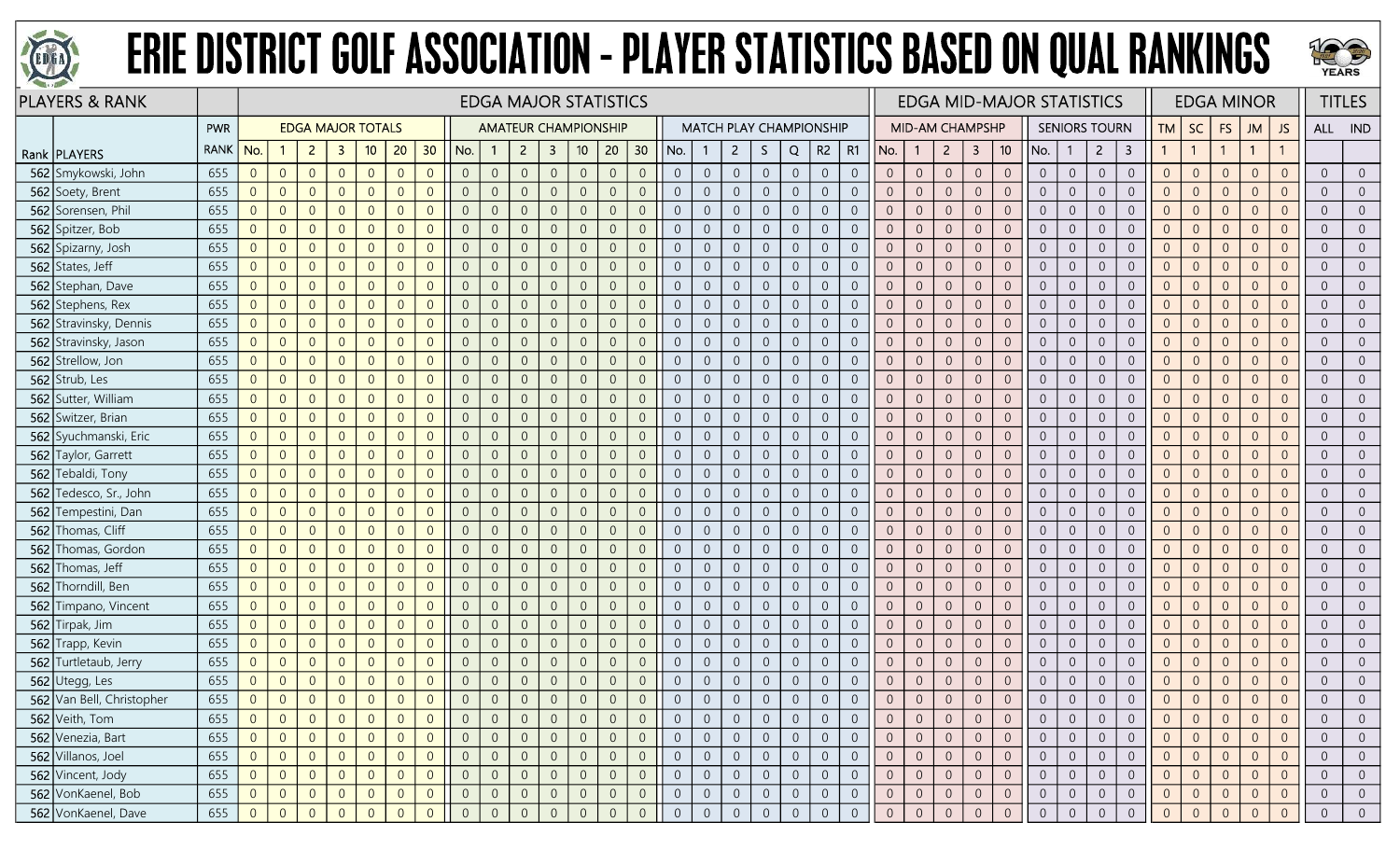



|     | <b>PLAYERS &amp; RANK</b> |             |                |                |                |                          |                |                |                |                |                | <b>EDGA MAJOR STATISTICS</b> |                |                  |                |                 |                |                |                |                |                |                                |                |                |                 |                  |                |                 | <b>EDGA MID-MAJOR STATISTICS</b> |                |                      |                |                |                |                | <b>EDGA MINOR</b> |                |                | <b>TITLES</b>  |
|-----|---------------------------|-------------|----------------|----------------|----------------|--------------------------|----------------|----------------|----------------|----------------|----------------|------------------------------|----------------|------------------|----------------|-----------------|----------------|----------------|----------------|----------------|----------------|--------------------------------|----------------|----------------|-----------------|------------------|----------------|-----------------|----------------------------------|----------------|----------------------|----------------|----------------|----------------|----------------|-------------------|----------------|----------------|----------------|
|     |                           | <b>PWR</b>  |                |                |                | <b>EDGA MAJOR TOTALS</b> |                |                |                |                |                | <b>AMATEUR CHAMPIONSHIP</b>  |                |                  |                |                 |                |                |                |                |                | <b>MATCH PLAY CHAMPIONSHIP</b> |                |                | MID-AM CHAMPSHP |                  |                |                 |                                  |                | <b>SENIORS TOURN</b> |                | TМ             | SC             | <b>FS</b>      | <b>ML</b>         | <b>JS</b>      | ALL IND        |                |
|     | Rank   PLAYERS            | <b>RANK</b> | No.            |                | $\overline{2}$ | -3                       | 10             | 20             | 30             | No.            |                | $\overline{2}$               | $\mathbf{3}$   | 10 <sub>10</sub> | 20             | 30 <sub>2</sub> | No.            |                | $\mathbf{2}$   | S.             | Q              | R2                             | R1             | No.            | $\mathbf{1}$    | $\overline{2}$   | 3              | 10 <sup>°</sup> | No.                              | -1             | $\overline{2}$       | 3              |                | $\overline{1}$ |                | $\mathbf{1}$      |                |                |                |
|     | 562 Smykowski, John       | 655         | $\overline{0}$ | $\overline{0}$ | $\overline{0}$ | $\overline{0}$           | $\overline{0}$ | $\Omega$       | $\overline{0}$ | $\overline{0}$ | $\overline{0}$ | $\overline{0}$               | $\overline{0}$ | $\overline{0}$   | $\overline{0}$ | $\overline{0}$  | $\overline{0}$ | $\overline{0}$ | $\overline{0}$ | $\overline{0}$ | $\overline{0}$ | $\overline{0}$                 | $\overline{0}$ | $\overline{0}$ | $\overline{0}$  | $\overline{0}$   | $\overline{0}$ | $\overline{0}$  | $\overline{0}$                   | $\overline{0}$ | $\overline{0}$       | $\overline{0}$ | $\overline{0}$ | $\overline{0}$ | $\overline{0}$ | $\Omega$          | $\Omega$       | $\overline{0}$ | $\overline{0}$ |
|     | 562 Soety, Brent          | 655         | $\overline{0}$ | $\overline{0}$ | $\overline{0}$ | $\overline{0}$           | $\overline{0}$ | $\Omega$       | $\Omega$       | $\overline{0}$ | $\overline{0}$ | $\Omega$                     | $\overline{0}$ | $\overline{0}$   | $\overline{0}$ | $\overline{0}$  | $\overline{0}$ | $\overline{0}$ | $\overline{0}$ | $\overline{0}$ | $\overline{0}$ | $\overline{0}$                 | $\Omega$       | $\overline{0}$ | $\overline{0}$  | $\overline{0}$   | $\overline{0}$ | $\Omega$        | $\overline{0}$                   | $\overline{0}$ | $\overline{0}$       | $\Omega$       | $\overline{0}$ | $\overline{0}$ | $\overline{0}$ | $\Omega$          | $\Omega$       | $\overline{0}$ | $\overline{0}$ |
|     | 562 Sorensen, Phil        | 655         | $\overline{0}$ | $\overline{0}$ | $\overline{0}$ | $\Omega$                 | $\overline{0}$ |                | $\Omega$       | $\Omega$       | $\overline{0}$ | $\Omega$                     | - 0            | $\overline{0}$   | $\overline{0}$ | $\overline{0}$  | $\overline{0}$ | $\overline{0}$ | $\overline{0}$ | $\overline{0}$ | $\overline{0}$ | $\overline{0}$                 | $\overline{0}$ | $\Omega$       | $\overline{0}$  | $\overline{0}$   | $\overline{0}$ | $\overline{0}$  | $\overline{0}$                   | $\overline{0}$ | $\Omega$             | $\overline{0}$ | $\overline{0}$ | $\overline{0}$ | $\Omega$       | $\overline{0}$    |                | $\overline{0}$ | $\overline{0}$ |
|     | 562 Spitzer, Bob          | 655         | $\overline{0}$ | $\overline{0}$ | $\overline{0}$ | $\Omega$                 | $\overline{0}$ | $\Omega$       | $\Omega$       | $\overline{0}$ | $\overline{0}$ | $\overline{0}$               | $\overline{0}$ | $\overline{0}$   | $\overline{0}$ | $\overline{0}$  | $\overline{0}$ | $\overline{0}$ | $\overline{0}$ | $\overline{0}$ | $\overline{0}$ | $\overline{0}$                 | $\Omega$       | $\overline{0}$ | $\overline{0}$  | $\overline{0}$   | $\overline{0}$ | $\overline{0}$  | $\overline{0}$                   | $\overline{0}$ | $\overline{0}$       | $\overline{0}$ | $\overline{0}$ | $\overline{0}$ | $\Omega$       | $\Omega$          | $\Omega$       | $\overline{0}$ | $\overline{0}$ |
|     | 562 Spizarny, Josh        | 655         | $\overline{0}$ | $\overline{0}$ | $\overline{0}$ | $\overline{0}$           | $\overline{0}$ | $\Omega$       | $\overline{0}$ | $\overline{0}$ | $\overline{0}$ | $\overline{0}$               | $\overline{0}$ | $\overline{0}$   | $\overline{0}$ | $\overline{0}$  | $\overline{0}$ | $\overline{0}$ | $\overline{0}$ | $\overline{0}$ | $\overline{0}$ | $\overline{0}$                 | $\overline{0}$ | $\overline{0}$ | $\overline{0}$  | $\overline{0}$   | $\overline{0}$ | $\overline{0}$  | $\overline{0}$                   | $\overline{0}$ | $\overline{0}$       | $\overline{0}$ | $\overline{0}$ | $\overline{0}$ | $\overline{0}$ | $\overline{0}$    | $\Omega$       | $\overline{0}$ | $\overline{0}$ |
|     | 562 States, Jeff          | 655         | $\mathbf 0$    | $\overline{0}$ | $\overline{0}$ | $\Omega$                 | $\overline{0}$ | $\Omega$       | $\Omega$       | $\Omega$       | $\overline{0}$ |                              | $\overline{0}$ | $\overline{0}$   | $\overline{0}$ | $\overline{0}$  | $\overline{0}$ | $\sqrt{0}$     | $\overline{0}$ | $\theta$       | $\overline{0}$ | $\overline{0}$                 | $\Omega$       | $\overline{0}$ | $\overline{0}$  | $\overline{0}$   | $\overline{0}$ | $\overline{0}$  | $\overline{0}$                   | $\overline{0}$ | $\overline{0}$       | $\overline{0}$ | $\Omega$       | $\overline{0}$ | $\Omega$       | $\Omega$          |                | $\overline{0}$ | $\overline{0}$ |
|     | 562 Stephan, Dave         | 655         | $\overline{0}$ | $\overline{0}$ | $\overline{0}$ | $\overline{0}$           | $\Omega$       | $\Omega$       | $\overline{0}$ | $\overline{0}$ | $\overline{0}$ |                              | $\overline{0}$ | $\overline{0}$   | $\overline{0}$ | $\overline{0}$  | $\overline{0}$ | $\overline{0}$ | $\overline{0}$ | $\overline{0}$ | $\overline{0}$ | $\overline{0}$                 | $\overline{0}$ | $\overline{0}$ | $\overline{0}$  | $\overline{0}$   | $\overline{0}$ | $\overline{0}$  | $\overline{0}$                   | $\overline{0}$ | $\overline{0}$       | $\overline{0}$ | $\overline{0}$ | $\overline{0}$ | $\Omega$       | $\Omega$          |                | $\overline{0}$ | $\overline{0}$ |
|     | 562 Stephens, Rex         | 655         | $\overline{0}$ | $\overline{0}$ | $\overline{0}$ | $\overline{0}$           | $\overline{0}$ | $\Omega$       | $\overline{0}$ | $\overline{0}$ | $\overline{0}$ | $\Omega$                     | $\overline{0}$ | $\mathbf 0$      | $\overline{0}$ | $\overline{0}$  | $\overline{0}$ | $\overline{0}$ | $\overline{0}$ | $\mathbf 0$    | $\mathbb O$    | $\overline{0}$                 | $\overline{0}$ | $\overline{0}$ | $\sqrt{0}$      | $\overline{0}$   | $\theta$       | $\overline{0}$  | $\overline{0}$                   | $\overline{0}$ | $\overline{0}$       | $\overline{0}$ | $\overline{0}$ | $\overline{0}$ | $\overline{0}$ | $\Omega$          | $\Omega$       | $\overline{0}$ | $\overline{0}$ |
|     | 562 Stravinsky, Dennis    | 655         | $\overline{0}$ | $\overline{0}$ | $\overline{0}$ | $\overline{0}$           | $\overline{0}$ | $\overline{0}$ | $\overline{0}$ | $\overline{0}$ | $\overline{0}$ | $\overline{0}$               | $\overline{0}$ | $\mathbf 0$      | $\overline{0}$ | $\overline{0}$  | $\overline{0}$ | $\overline{0}$ | $\overline{0}$ | $\overline{0}$ | $\overline{0}$ | $\overline{0}$                 | $\overline{0}$ | $\overline{0}$ | $\overline{0}$  | $\boldsymbol{0}$ | $\,0\,$        | $\mathbf{0}$    | $\overline{0}$                   | $\overline{0}$ | $\overline{0}$       | $\overline{0}$ | $\overline{0}$ | $\overline{0}$ | $\theta$       | $\overline{0}$    | $\Omega$       | $\overline{0}$ | $\overline{0}$ |
|     | 562 Stravinsky, Jason     | 655         | $\overline{0}$ | $\overline{0}$ | $\overline{0}$ | $\Omega$                 | $\overline{0}$ | $\Omega$       | $\Omega$       | $\overline{0}$ | $\overline{0}$ | $\Omega$                     | $\overline{0}$ | $\overline{0}$   | $\overline{0}$ | $\overline{0}$  | $\overline{0}$ | $\overline{0}$ | $\overline{0}$ | $\overline{0}$ | $\overline{0}$ | $\overline{0}$                 | $\Omega$       | $\overline{0}$ | $\overline{0}$  | $\overline{0}$   | $\overline{0}$ | $\overline{0}$  | $\overline{0}$                   | $\overline{0}$ | $\Omega$             | $\overline{0}$ | $\Omega$       | $\overline{0}$ | $\overline{0}$ | $\Omega$          | $\Omega$       | $\overline{0}$ | $\overline{0}$ |
|     | 562 Strellow, Jon         | 655         | $\overline{0}$ | $\overline{0}$ | $\overline{0}$ | $\Omega$                 | $\Omega$       | $\Omega$       | $\Omega$       | 0              | $\overline{0}$ |                              | $\overline{0}$ | $\overline{0}$   | $\overline{0}$ | $\overline{0}$  | $\overline{0}$ | $\overline{0}$ | $\overline{0}$ | $\overline{0}$ | $\overline{0}$ | $\overline{0}$                 | $\overline{0}$ | $\overline{0}$ | $\overline{0}$  | $\overline{0}$   | $\overline{0}$ | $\overline{0}$  | $\overline{0}$                   | $\overline{0}$ | $\overline{0}$       | $\overline{0}$ | $\overline{0}$ | $\overline{0}$ | $\Omega$       | $\overline{0}$    |                | $\overline{0}$ | $\overline{0}$ |
|     | 562 Strub, Les            | 655         | $\overline{0}$ | $\overline{0}$ | $\overline{0}$ | $\overline{0}$           | $\overline{0}$ | $\Omega$       | $\Omega$       | $\overline{0}$ | $\overline{0}$ | $\Omega$                     | $\overline{0}$ | $\overline{0}$   | $\overline{0}$ | $\overline{0}$  | $\overline{0}$ | $\overline{0}$ | $\overline{0}$ | $\overline{0}$ | $\overline{0}$ | $\overline{0}$                 | $\overline{0}$ | $\overline{0}$ | $\overline{0}$  | $\overline{0}$   | $\overline{0}$ | $\overline{0}$  | $\overline{0}$                   | $\overline{0}$ | $\overline{0}$       | $\overline{0}$ | $\overline{0}$ | $\overline{0}$ | $\overline{0}$ | $\Omega$          | $\overline{0}$ | $\overline{0}$ | $\overline{0}$ |
|     | 562 Sutter, William       | 655         | $\overline{0}$ | $\overline{0}$ | $\overline{0}$ | $\overline{0}$           | $\overline{0}$ | $\overline{0}$ | $\overline{0}$ | $\overline{0}$ | $\overline{0}$ | $\overline{0}$               | $\overline{0}$ | $\mathbf 0$      | $\overline{0}$ | $\overline{0}$  | $\overline{0}$ | $\overline{0}$ | $\overline{0}$ | $\overline{0}$ | $\overline{0}$ | $\overline{0}$                 | $\overline{0}$ | $\overline{0}$ | $\overline{0}$  | $\overline{0}$   | $\overline{0}$ | $\overline{0}$  | $\overline{0}$                   | $\overline{0}$ | $\overline{0}$       | $\overline{0}$ | $\overline{0}$ | $\overline{0}$ | $\overline{0}$ | $\Omega$          | $\Omega$       | $\overline{0}$ | $\overline{0}$ |
|     | 562 Switzer, Brian        | 655         | $\overline{0}$ | $\overline{0}$ | $\overline{0}$ | $\Omega$                 | $\overline{0}$ | $\Omega$       | $\Omega$       | $\overline{0}$ | $\overline{0}$ |                              | $\overline{0}$ | $\overline{0}$   | $\overline{0}$ | $\overline{0}$  | $\overline{0}$ | $\overline{0}$ | $\overline{0}$ | $\overline{0}$ | $\overline{0}$ | $\overline{0}$                 | $\Omega$       | $\Omega$       | $\overline{0}$  | $\overline{0}$   | $\overline{0}$ | $\Omega$        | $\overline{0}$                   | $\overline{0}$ | $\overline{0}$       | $\overline{0}$ | $\overline{0}$ | $\overline{0}$ | $\Omega$       | $\Omega$          | $\Omega$       | $\overline{0}$ | $\overline{0}$ |
|     | 562 Syuchmanski, Eric     | 655         | $\overline{0}$ | $\overline{0}$ | $\overline{0}$ | $\overline{0}$           | $\Omega$       | $\Omega$       | $\overline{0}$ | $\overline{0}$ | $\overline{0}$ | $\Omega$                     | $\overline{0}$ | $\overline{0}$   | $\overline{0}$ | $\overline{0}$  | $\overline{0}$ | $\overline{0}$ | $\overline{0}$ | $\overline{0}$ | $\overline{0}$ | $\overline{0}$                 | $\overline{0}$ | $\overline{0}$ | $\overline{0}$  | $\overline{0}$   | $\overline{0}$ | $\overline{0}$  | $\overline{0}$                   | $\overline{0}$ | $\overline{0}$       | $\overline{0}$ | $\overline{0}$ | $\overline{0}$ | $\Omega$       | $\overline{0}$    |                | $\overline{0}$ | $\overline{0}$ |
|     | 562 Taylor, Garrett       | 655         | $\overline{0}$ | $\overline{0}$ | $\overline{0}$ | $\overline{0}$           | $\overline{0}$ | $\Omega$       | $\overline{0}$ | $\overline{0}$ | $\overline{0}$ | $\overline{0}$               | $\overline{0}$ | $\overline{0}$   | $\overline{0}$ | $\overline{0}$  | $\overline{0}$ | $\overline{0}$ | $\overline{0}$ | $\overline{0}$ | $\overline{0}$ | $\overline{0}$                 | $\overline{0}$ | $\overline{0}$ | $\sqrt{0}$      | $\overline{0}$   | $\overline{0}$ | $\overline{0}$  | $\overline{0}$                   | $\overline{0}$ | $\overline{0}$       | $\overline{0}$ | $\overline{0}$ | $\overline{0}$ | $\overline{0}$ | $\Omega$          | $\Omega$       | $\overline{0}$ | $\overline{0}$ |
|     | 562 Tebaldi, Tony         | 655         | $\overline{0}$ | $\overline{0}$ | $\overline{0}$ | $\overline{0}$           | $\overline{0}$ | $\overline{0}$ | $\overline{0}$ | $\overline{0}$ | $\overline{0}$ | $\overline{0}$               | $\overline{0}$ | $\overline{0}$   | $\overline{0}$ | $\overline{0}$  | $\overline{0}$ | $\overline{0}$ | $\overline{0}$ | $\overline{0}$ | $\overline{0}$ | $\overline{0}$                 | $\overline{0}$ | $\overline{0}$ | $\overline{0}$  | $\overline{0}$   | $\overline{0}$ | $\overline{0}$  | $\overline{0}$                   | $\overline{0}$ | $\overline{0}$       | $\overline{0}$ | $\overline{0}$ | $\overline{0}$ | $\overline{0}$ | $\Omega$          | $\Omega$       | $\overline{0}$ | $\overline{0}$ |
| 562 | Tedesco, Sr., John        | 655         | $\overline{0}$ | $\overline{0}$ | $\overline{0}$ | $\overline{0}$           | $\overline{0}$ | $\Omega$       | $\overline{0}$ | $\overline{0}$ | $\overline{0}$ | $\overline{0}$               | $\overline{0}$ | $\overline{0}$   | $\overline{0}$ | $\overline{0}$  | $\overline{0}$ | $\overline{0}$ | $\overline{0}$ | $\overline{0}$ | $\overline{0}$ | $\overline{0}$                 | $\overline{0}$ | $\overline{0}$ | $\overline{0}$  | $\overline{0}$   | $\overline{0}$ | $\overline{0}$  | $\overline{0}$                   | $\overline{0}$ | $\overline{0}$       | $\overline{0}$ | $\overline{0}$ | $\overline{0}$ | $\overline{0}$ | $\Omega$          | $\Omega$       | $\overline{0}$ | $\overline{0}$ |
|     | 562 Tempestini, Dan       | 655         | $\overline{0}$ | $\overline{0}$ | $\overline{0}$ | $\overline{0}$           | $\overline{0}$ | $\Omega$       | $\Omega$       | $\overline{0}$ | $\overline{0}$ | $\Omega$                     | $\overline{0}$ | $\overline{0}$   | $\overline{0}$ | $\overline{0}$  | $\overline{0}$ | $\overline{0}$ | $\overline{0}$ | $\overline{0}$ | $\overline{0}$ | $\overline{0}$                 | $\overline{0}$ | $\overline{0}$ | $\overline{0}$  | $\Omega$         | $\overline{0}$ | $\overline{0}$  | $\overline{0}$                   | $\overline{0}$ | $\overline{0}$       | $\overline{0}$ | $\overline{0}$ | $\overline{0}$ | $\Omega$       | $\Omega$          | $\Omega$       | $\overline{0}$ | $\overline{0}$ |
| 562 | Thomas, Cliff             | 655         | $\overline{0}$ | $\overline{0}$ | $\overline{0}$ | $\overline{0}$           | $\Omega$       | $\Omega$       | $\overline{0}$ | $\overline{0}$ | $\overline{0}$ | $\overline{0}$               | $\overline{0}$ | $\overline{0}$   | $\overline{0}$ | $\overline{0}$  | $\overline{0}$ | $\overline{0}$ | $\overline{0}$ | $\overline{0}$ | $\overline{0}$ | $\overline{0}$                 | $\overline{0}$ | $\overline{0}$ | $\overline{0}$  | $\overline{0}$   | $\overline{0}$ | $\overline{0}$  | $\overline{0}$                   | $\overline{0}$ | $\overline{0}$       | $\overline{0}$ | $\overline{0}$ | $\overline{0}$ | $\Omega$       | $\Omega$          | $\overline{0}$ | $\overline{0}$ | $\overline{0}$ |
|     | 562 Thomas, Gordon        | 655         | $\overline{0}$ | $\overline{0}$ | $\overline{0}$ | $\Omega$                 | $\overline{0}$ | $\Omega$       | $\overline{0}$ | $\overline{0}$ | $\overline{0}$ |                              | $\overline{0}$ | $\overline{0}$   | $\overline{0}$ | $\overline{0}$  | $\overline{0}$ | $\overline{0}$ | $\overline{0}$ | $\overline{0}$ | $\overline{0}$ | $\overline{0}$                 | $\Omega$       | $\overline{0}$ | $\overline{0}$  | $\overline{0}$   | $\overline{0}$ | $\overline{0}$  | $\overline{0}$                   | $\overline{0}$ | $\Omega$             | $\overline{0}$ | $\Omega$       | $\overline{0}$ | $\Omega$       | $\Omega$          | $\Omega$       | $\overline{0}$ | $\overline{0}$ |
| 562 | Thomas, Jeff              | 655         | $\overline{0}$ | $\overline{0}$ | $\overline{0}$ | $\Omega$                 | $\Omega$       | $\Omega$       | $\Omega$       | $\overline{0}$ | $\Omega$       |                              | $\overline{0}$ | $\overline{0}$   | $\overline{0}$ | $\overline{0}$  | $\overline{0}$ | $\overline{0}$ | $\overline{0}$ | $\theta$       | $\overline{0}$ | $\overline{0}$                 | $\overline{0}$ | $\overline{0}$ | $\overline{0}$  | $\overline{0}$   | $\theta$       | $\overline{0}$  | $\overline{0}$                   | $\overline{0}$ | $\overline{0}$       | $\overline{0}$ | $\overline{0}$ | $\overline{0}$ | $\Omega$       | $\Omega$          |                | $\overline{0}$ | $\overline{0}$ |
|     | 562 Thorndill, Ben        | 655         | $\overline{0}$ | $\overline{0}$ | $\overline{0}$ | $\overline{0}$           | $\Omega$       | $\Omega$       | $\Omega$       | $\overline{0}$ | $\overline{0}$ | $\Omega$                     | $\overline{0}$ | $\overline{0}$   | $\overline{0}$ | $\overline{0}$  | $\overline{0}$ | $\overline{0}$ | $\overline{0}$ | $\overline{0}$ | $\overline{0}$ | $\overline{0}$                 | $\Omega$       | $\overline{0}$ | $\overline{0}$  | $\overline{0}$   | $\overline{0}$ | $\overline{0}$  | $\overline{0}$                   | $\overline{0}$ | $\overline{0}$       | $\overline{0}$ | $\overline{0}$ | $\overline{0}$ | $\overline{0}$ | $\Omega$          | $\Omega$       | $\overline{0}$ | $\overline{0}$ |
| 562 | Timpano, Vincent          | 655         | $\overline{0}$ | $\overline{0}$ | $\overline{0}$ | $\Omega$                 | $\overline{0}$ | $\Omega$       | $\overline{0}$ | $\overline{0}$ | $\overline{0}$ | $\Omega$                     | $\overline{0}$ | $\mathbf 0$      | $\overline{0}$ | $\sqrt{0}$      | $\overline{0}$ | $\overline{0}$ | $\overline{0}$ | $\sqrt{0}$     | $\overline{0}$ | $\overline{0}$                 | $\Omega$       | $\overline{0}$ | $\theta$        | $\overline{0}$   | $\sqrt{0}$     | $\overline{0}$  | $\overline{0}$                   | $\overline{0}$ | $\overline{0}$       | $\overline{0}$ | $\overline{0}$ | $\overline{0}$ | $\overline{0}$ | $\Omega$          | $\Omega$       | $\overline{0}$ | $\overline{0}$ |
|     | 562 Tirpak, Jim           | 655         | $\overline{0}$ | $\overline{0}$ | $\overline{0}$ | $\overline{0}$           | $\overline{0}$ | $\Omega$       | $\overline{0}$ | $\overline{0}$ | $\overline{0}$ | $\Omega$                     | $\overline{0}$ | $\overline{0}$   | $\overline{0}$ | $\overline{0}$  | $\overline{0}$ | $\overline{0}$ | $\overline{0}$ | $\overline{0}$ | $\overline{0}$ | $\overline{0}$                 | $\overline{0}$ | $\overline{0}$ | $\overline{0}$  | $\overline{0}$   | $\overline{0}$ | $\overline{0}$  | $\overline{0}$                   | $\overline{0}$ | $\overline{0}$       | $\Omega$       | $\Omega$       | $\overline{0}$ | $\overline{0}$ | $\Omega$          | $\Omega$       | $\overline{0}$ | $\overline{0}$ |
|     | 562 Trapp, Kevin          | 655         | $\overline{0}$ | $\overline{0}$ | $\overline{0}$ | $\overline{0}$           | $\overline{0}$ | $\Omega$       | $\overline{0}$ | $\overline{0}$ | $\overline{0}$ | $\Omega$                     | $\overline{0}$ | $\overline{0}$   | $\overline{0}$ | $\overline{0}$  | $\overline{0}$ | $\overline{0}$ | $\overline{0}$ | $\overline{0}$ | $\overline{0}$ | $\overline{0}$                 | $\overline{0}$ | $\overline{0}$ | $\overline{0}$  | $\overline{0}$   | $\overline{0}$ | $\overline{0}$  | $\overline{0}$                   | $\overline{0}$ | $\overline{0}$       | $\overline{0}$ | $\overline{0}$ | $\overline{0}$ | $\Omega$       | $\Omega$          |                | $\overline{0}$ | $\overline{0}$ |
|     | 562 Turtletaub, Jerry     | 655         | $\overline{0}$ | $\overline{0}$ | $\overline{0}$ | $\Omega$                 | $\Omega$       | $\Omega$       | $\Omega$       | $\overline{0}$ | $\overline{0}$ | $\Omega$                     | $\overline{0}$ | $\overline{0}$   | $\overline{0}$ | $\overline{0}$  | $\overline{0}$ | $\overline{0}$ | $\overline{0}$ | $\overline{0}$ | $\overline{0}$ | $\overline{0}$                 | $\Omega$       | $\overline{0}$ | $\overline{0}$  | $\overline{0}$   | $\overline{0}$ | $\overline{0}$  | $\overline{0}$                   | $\overline{0}$ | $\overline{0}$       | $\overline{0}$ | $\Omega$       | $\overline{0}$ | $\Omega$       | $\overline{0}$    | $\Omega$       | $\overline{0}$ | $\overline{0}$ |
|     | 562 Utegg, Les            | 655         | $\overline{0}$ | $\theta$       | $\overline{0}$ | $\overline{0}$           | $\overline{0}$ | $\Omega$       | $\overline{0}$ | $\overline{0}$ | $\overline{0}$ | $\overline{0}$               | $\overline{0}$ | $\mathbf 0$      | $\overline{0}$ | $\sqrt{0}$      | $\overline{0}$ | $\overline{0}$ | $\overline{0}$ | $\overline{0}$ | $\overline{0}$ | $\overline{0}$                 | $\overline{0}$ | $\overline{0}$ | $\overline{0}$  | $\overline{0}$   | $\sqrt{0}$     | $\overline{0}$  | $\overline{0}$                   | $\overline{0}$ | $\overline{0}$       | $\theta$       | $\overline{0}$ | $\overline{0}$ | $\overline{0}$ | $\overline{0}$    | $\overline{0}$ | $\overline{0}$ | $\overline{0}$ |
|     | 562 Van Bell, Christopher | 655         | $\overline{0}$ | $\overline{0}$ | $\overline{0}$ | $\overline{0}$           | $\overline{0}$ | $\Omega$       | $\overline{0}$ | $\overline{0}$ |                | $\overline{0}$               | $\overline{0}$ | $\overline{0}$   | $\overline{0}$ | $\overline{0}$  |                | $\overline{0}$ | $\overline{0}$ | $\overline{0}$ | $\overline{0}$ | $\overline{0}$                 | $\overline{0}$ | $\overline{0}$ | $\overline{0}$  | $\overline{0}$   | $\overline{0}$ | $\overline{0}$  | $\overline{0}$                   | $\overline{0}$ | $\overline{0}$       | $\overline{0}$ | $\overline{0}$ | $\overline{0}$ |                | $\Omega$          | $\Omega$       | $\overline{0}$ | $\overline{0}$ |
|     | 562 Veith, Tom            | 655         | $\overline{0}$ | $\overline{0}$ | $\overline{0}$ |                          | $\overline{0}$ |                | $\overline{0}$ | $\overline{0}$ | $\overline{0}$ |                              | 0              | $\overline{0}$   | $\overline{0}$ | $\overline{0}$  |                | $\overline{0}$ | $\overline{0}$ | $\overline{0}$ | $\overline{0}$ | $\overline{0}$                 |                |                | $\overline{0}$  | $\overline{0}$   | $\overline{0}$ | 0               | $\overline{0}$                   | $\overline{0}$ | $\overline{0}$       | $\overline{0}$ | $\theta$       | $\overline{0}$ | $\overline{0}$ |                   |                | $\overline{0}$ | $\overline{0}$ |
|     | 562 Venezia, Bart         | 655         | 0              | $\overline{0}$ | $\overline{0}$ | $\overline{0}$           | $\overline{0}$ | $\Omega$       | $\overline{0}$ | $\overline{0}$ | $\overline{0}$ | $\overline{0}$               | $\overline{0}$ | $\overline{0}$   | $\overline{0}$ | $\overline{0}$  | $\overline{0}$ | $\overline{0}$ | $\overline{0}$ | $\overline{0}$ | $\overline{0}$ | $\overline{0}$                 | $\overline{0}$ | $\overline{0}$ | $\overline{0}$  | $\overline{0}$   | $\overline{0}$ | $\overline{0}$  | $\overline{0}$                   | $\overline{0}$ | $\overline{0}$       | $\overline{0}$ | $\overline{0}$ | $\overline{0}$ | $\overline{0}$ | $\overline{0}$    | $\overline{0}$ | $\overline{0}$ | $\overline{0}$ |
|     | 562 Villanos, Joel        | 655         | $\overline{0}$ | $\overline{0}$ | $\overline{0}$ | $\overline{0}$           | $\overline{0}$ | $\overline{0}$ | $\overline{0}$ | $\overline{0}$ | $\overline{0}$ | $\overline{0}$               | $\overline{0}$ | $\overline{0}$   | $\overline{0}$ | $\overline{0}$  | $\overline{0}$ | $\overline{0}$ | $\overline{0}$ | $\overline{0}$ | $\overline{0}$ | $\overline{0}$                 | $\overline{0}$ | $\overline{0}$ | $\overline{0}$  | $\overline{0}$   | $\overline{0}$ | $\overline{0}$  | $\overline{0}$                   | $\overline{0}$ | $\overline{0}$       | $\overline{0}$ | $\overline{0}$ | $\overline{0}$ | $\overline{0}$ | $\overline{0}$    | $\overline{0}$ | $\overline{0}$ | $\overline{0}$ |
|     | 562 Vincent, Jody         | 655         | $\overline{0}$ | $\overline{0}$ | $\overline{0}$ | $\overline{0}$           | $\overline{0}$ | $\theta$       | $\sqrt{0}$     | $\sqrt{0}$     | $\overline{0}$ | $\overline{0}$               | $\overline{0}$ | $\mathbf 0$      | $\sqrt{0}$     | $\overline{0}$  | $\overline{0}$ | $\mathbf 0$    | $\overline{0}$ | $\overline{0}$ | $\overline{0}$ | $\overline{0}$                 | $\overline{0}$ | $\overline{0}$ | $\overline{0}$  | $\boldsymbol{0}$ | $\overline{0}$ | $\overline{0}$  | $\overline{0}$                   | $\overline{0}$ | $\overline{0}$       | $\overline{0}$ | $\overline{0}$ | $\overline{0}$ | $\mathbf{0}$   | $\overline{0}$    | $\sqrt{0}$     | $\overline{0}$ | $\overline{0}$ |
|     | 562 VonKaenel, Bob        | 655         | $\overline{0}$ | $\overline{0}$ | $\overline{0}$ | $\overline{0}$           | $\overline{0}$ | $\overline{0}$ | $\overline{0}$ | $\overline{0}$ | $\overline{0}$ |                              | $\overline{0}$ | $\overline{0}$   | $\overline{0}$ | $\overline{0}$  | $\overline{0}$ | $\overline{0}$ | $\overline{0}$ | $\overline{0}$ | $\overline{0}$ | $\overline{0}$                 | $\overline{0}$ | $\overline{0}$ | $\overline{0}$  | $\overline{0}$   | $\overline{0}$ | $\overline{0}$  | $\overline{0}$                   | $\overline{0}$ | $\overline{0}$       | $\theta$       | $\overline{0}$ | $\overline{0}$ | $\overline{0}$ | $\overline{0}$    | $\theta$       | $\overline{0}$ | $\overline{0}$ |
|     | 562 VonKaenel, Dave       | 655         | $\Omega$       | $\overline{0}$ | $\Omega$       | $\Omega$                 |                |                |                | $\Omega$       |                |                              |                | $\overline{0}$   | $\overline{0}$ | $\Omega$        | $\Omega$       | $\overline{0}$ | $\sqrt{0}$     | $\overline{0}$ | $\overline{0}$ | $\Omega$                       | $\Omega$       | $\overline{0}$ |                 |                  | $\Omega$       |                 | $\Omega$                         | $\Omega$       |                      |                | $\Omega$       |                |                |                   |                | $\overline{0}$ | $\overline{0}$ |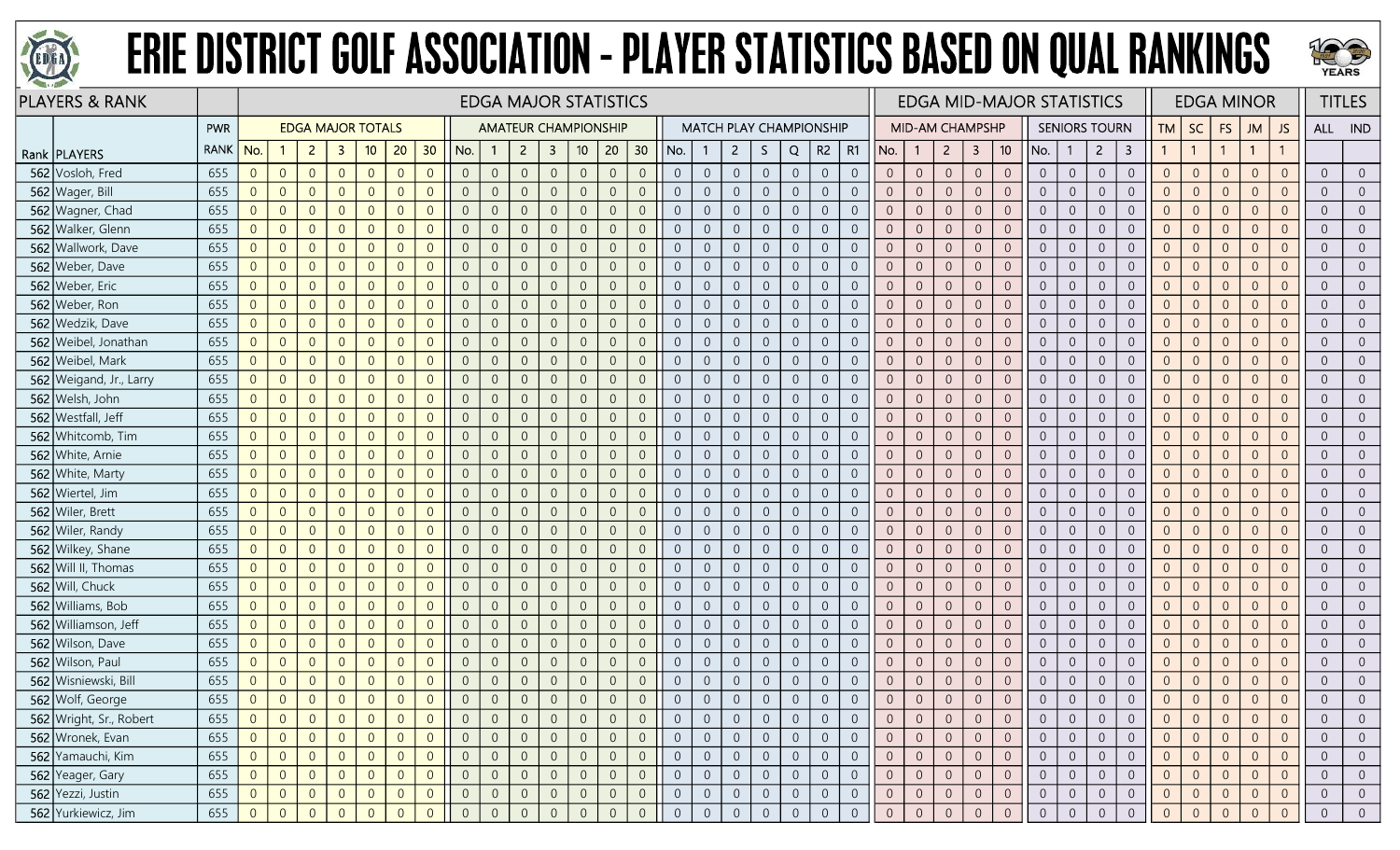



| <b>PLAYERS &amp; RANK</b> |             |                  |                |                |                          |                |                |                |                |                | <b>EDGA MAJOR STATISTICS</b> |                         |                 |                |                  |                |                |                                |                  |                |                |                |                | <b>EDGA MID-MAJOR STATISTICS</b> |                |                |                 |                |                |                      |                         |                |                | <b>EDGA MINOR</b> |                |                |                | <b>TITLES</b>  |
|---------------------------|-------------|------------------|----------------|----------------|--------------------------|----------------|----------------|----------------|----------------|----------------|------------------------------|-------------------------|-----------------|----------------|------------------|----------------|----------------|--------------------------------|------------------|----------------|----------------|----------------|----------------|----------------------------------|----------------|----------------|-----------------|----------------|----------------|----------------------|-------------------------|----------------|----------------|-------------------|----------------|----------------|----------------|----------------|
|                           | PWR         |                  |                |                | <b>EDGA MAJOR TOTALS</b> |                |                |                |                |                | <b>AMATEUR CHAMPIONSHIP</b>  |                         |                 |                |                  |                |                | <b>MATCH PLAY CHAMPIONSHIP</b> |                  |                |                |                |                | <b>MID-AM CHAMPSHP</b>           |                |                |                 |                |                | <b>SENIORS TOURN</b> |                         | <b>TM</b>      | SC             | <b>FS</b>         | <b>JM</b>      | JS             | ALL IND        |                |
| Rank   PLAYERS            | <b>RANK</b> | No.              |                | $\overline{2}$ | $\mathbf{3}$             | 10             | 20             | 30             | No.            |                | $\overline{2}$               | $\overline{\mathbf{3}}$ | 10 <sub>1</sub> | 20             | 30 <sub>o</sub>  | No.            |                | $\overline{2}$                 | S.               | Q              | R2             | <b>R1</b>      | No.            |                                  | $\overline{2}$ | $\mathbf{3}$   | 10 <sup>°</sup> | No.            |                | $\overline{2}$       | $\overline{\mathbf{3}}$ | $\mathbf{1}$   | $\overline{1}$ | $\mathbf{1}$      | $\mathbf{1}$   |                |                |                |
| 562 Vosloh, Fred          | 655         | $\overline{0}$   | $\overline{0}$ | $\overline{0}$ | $\overline{0}$           | $\overline{0}$ | $\Omega$       | $\overline{0}$ | $\overline{0}$ | $\overline{0}$ | $\overline{0}$               | $\overline{0}$          | $\sqrt{0}$      | $\overline{0}$ | $\overline{0}$   | $\overline{0}$ | $\overline{0}$ | $\overline{0}$                 | $\overline{0}$   | $\overline{0}$ | $\overline{0}$ | $\overline{0}$ | $\overline{0}$ | $\sqrt{0}$                       | $\overline{0}$ | $\theta$       | $\overline{0}$  | $\overline{0}$ | $\overline{0}$ | $\overline{0}$       | $\overline{0}$          | $\overline{0}$ | $\overline{0}$ | $\overline{0}$    | $\overline{0}$ | $\Omega$       | $\overline{0}$ | $\Omega$       |
| 562 Wager, Bill           | 655         | $\overline{0}$   | $\overline{0}$ | $\overline{0}$ | $\overline{0}$           | $\overline{0}$ | $\Omega$       | $\Omega$       | $\overline{0}$ | $\overline{0}$ | $\Omega$                     | $\overline{0}$          | $\overline{0}$  | $\overline{0}$ | $\overline{0}$   | $\overline{0}$ | $\overline{0}$ | $\overline{0}$                 | $\overline{0}$   | $\overline{0}$ | $\overline{0}$ | $\overline{0}$ | $\overline{0}$ | $\overline{0}$                   | $\overline{0}$ | $\overline{0}$ | $\overline{0}$  | $\overline{0}$ | $\overline{0}$ | $\overline{0}$       | $\overline{0}$          | $\overline{0}$ | $\overline{0}$ | $\overline{0}$    | $\overline{0}$ | $\overline{0}$ | $\overline{0}$ |                |
| 562 Wagner, Chad          | 655         | $\overline{0}$   | $\overline{0}$ | $\overline{0}$ | $\Omega$                 | $\Omega$       |                | $\Omega$       | $\overline{0}$ | $\overline{0}$ |                              | $\Omega$                | $\Omega$        | $\overline{0}$ | $\overline{0}$   | $\Omega$       | $\Omega$       | $\overline{0}$                 | $\overline{0}$   | $\theta$       | $\overline{0}$ | $\Omega$       | $\overline{0}$ | $\overline{0}$                   | $\overline{0}$ | $\overline{0}$ | $\overline{0}$  | $\overline{0}$ | $\overline{0}$ | $\overline{0}$       | $\overline{0}$          | $\overline{0}$ | $\overline{0}$ | $\overline{0}$    | $\Omega$       |                | $\overline{0}$ |                |
| 562 Walker, Glenn         | 655         | $\overline{0}$   | $\overline{0}$ | $\overline{0}$ | $\overline{0}$           | $\overline{0}$ | $\Omega$       | $\Omega$       | $\overline{0}$ | $\overline{0}$ | $\Omega$                     | $\Omega$                | $\overline{0}$  | $\overline{0}$ | $\overline{0}$   | $\overline{0}$ | $\overline{0}$ | $\overline{0}$                 | $\overline{0}$   | $\overline{0}$ | $\overline{0}$ | $\overline{0}$ | $\overline{0}$ | $\overline{0}$                   | $\overline{0}$ | $\overline{0}$ | $\overline{0}$  | $\overline{0}$ | $\Omega$       | $\overline{0}$       | $\overline{0}$          | $\overline{0}$ | $\overline{0}$ | $\overline{0}$    | $\overline{0}$ | $\overline{0}$ | $\overline{0}$ | $\overline{0}$ |
| 562 Wallwork, Dave        | 655         | $\overline{0}$   | $\overline{0}$ | $\overline{0}$ | $\Omega$                 | $\overline{0}$ | $\Omega$       | $\Omega$       | $\overline{0}$ | $\mathbf{0}$   | $\Omega$                     | $\overline{0}$          | $\sqrt{0}$      | $\overline{0}$ | $\overline{0}$   | $\overline{0}$ | $\overline{0}$ | $\overline{0}$                 | $\mathbf 0$      | $\mathbf{0}$   | $\overline{0}$ | $\overline{0}$ | $\overline{0}$ | $\overline{0}$                   | $\overline{0}$ | $\theta$       | $\mathbf{0}$    | $\overline{0}$ | $\overline{0}$ | $\overline{0}$       | $\sqrt{0}$              | $\overline{0}$ | $\overline{0}$ | $\overline{0}$    | $\overline{0}$ | $\overline{0}$ | $\overline{0}$ | $\Omega$       |
| 562 Weber, Dave           | 655         | $\overline{0}$   | $\overline{0}$ | $\overline{0}$ | $\overline{0}$           | $\overline{0}$ | $\Omega$       | $\Omega$       | $\overline{0}$ | $\overline{0}$ |                              | $\overline{0}$          | $\overline{0}$  | $\overline{0}$ | $\overline{0}$   | $\overline{0}$ | $\overline{0}$ | $\overline{0}$                 | $\overline{0}$   | $\overline{0}$ | $\overline{0}$ | $\overline{0}$ | $\overline{0}$ | $\overline{0}$                   | $\overline{0}$ | $\overline{0}$ | $\overline{0}$  | $\overline{0}$ | $\overline{0}$ | $\overline{0}$       | $\overline{0}$          | $\overline{0}$ | $\overline{0}$ | $\overline{0}$    | $\overline{0}$ | $\overline{0}$ | $\overline{0}$ | $\Omega$       |
| 562 Weber, Eric           | 655         | $\overline{0}$   | $\overline{0}$ | $\overline{0}$ | $\overline{0}$           | $\overline{0}$ | $\Omega$       | $\Omega$       | $\overline{0}$ | $\overline{0}$ |                              | $\Omega$                | $\overline{0}$  | $\overline{0}$ | $\overline{0}$   | $\Omega$       | $\overline{0}$ | $\overline{0}$                 | $\overline{0}$   | $\theta$       | $\overline{0}$ | $\overline{0}$ | $\overline{0}$ | $\overline{0}$                   | $\overline{0}$ | $\overline{0}$ | $\overline{0}$  | $\overline{0}$ | $\overline{0}$ | $\overline{0}$       | $\overline{0}$          | $\overline{0}$ | $\overline{0}$ | $\overline{0}$    | $\overline{0}$ |                | $\overline{0}$ |                |
| 562 Weber, Ron            | 655         | $\overline{0}$   | $\overline{0}$ | $\overline{0}$ | $\Omega$                 | $\overline{0}$ | $\Omega$       | $\Omega$       | $\overline{0}$ | $\overline{0}$ | $\Omega$                     | $\overline{0}$          | $\overline{0}$  | $\overline{0}$ | $\overline{0}$   | $\overline{0}$ | $\overline{0}$ | $\overline{0}$                 | $\boldsymbol{0}$ | $\overline{0}$ | $\overline{0}$ | $\overline{0}$ | $\overline{0}$ | $\overline{0}$                   | $\overline{0}$ | $\theta$       | $\overline{0}$  | $\overline{0}$ | $\overline{0}$ | $\overline{0}$       | $\boldsymbol{0}$        | $\overline{0}$ | $\overline{0}$ | $\overline{0}$    | $\overline{0}$ | $\Omega$       | $\overline{0}$ | $\Omega$       |
| 562 Wedzik, Dave          | 655         | $\overline{0}$   | $\overline{0}$ | $\overline{0}$ | $\overline{0}$           | $\overline{0}$ | $\Omega$       | $\overline{0}$ | $\overline{0}$ | $\mathbf{0}$   | $\Omega$                     | $\overline{0}$          | $\overline{0}$  | $\overline{0}$ | $\overline{0}$   | $\overline{0}$ | $\overline{0}$ | $\overline{0}$                 | $\boldsymbol{0}$ | $\sqrt{0}$     | $\sqrt{0}$     | $\overline{0}$ | $\overline{0}$ | $\overline{0}$                   | $\overline{0}$ | $\mathbf 0$    | $\overline{0}$  | $\overline{0}$ | $\overline{0}$ | $\overline{0}$       | $\overline{0}$          | $\overline{0}$ | $\overline{0}$ | $\overline{0}$    | $\overline{0}$ | $\overline{0}$ | $\overline{0}$ | $\overline{0}$ |
| 562 Weibel, Jonathan      | 655         | $\overline{0}$   | $\overline{0}$ | $\overline{0}$ | $\Omega$                 | $\overline{0}$ | $\Omega$       | $\Omega$       | $\overline{0}$ | $\overline{0}$ | $\Omega$                     | $\Omega$                | $\overline{0}$  | $\overline{0}$ | $\overline{0}$   | $\overline{0}$ | $\overline{0}$ | $\overline{0}$                 | $\overline{0}$   | $\overline{0}$ | $\overline{0}$ | $\overline{0}$ | $\Omega$       | $\overline{0}$                   | $\overline{0}$ | $\overline{0}$ | $\overline{0}$  | $\overline{0}$ | $\overline{0}$ | $\overline{0}$       | $\overline{0}$          | $\overline{0}$ | $\overline{0}$ | $\overline{0}$    | $\overline{0}$ | $\overline{0}$ | $\overline{0}$ |                |
| 562 Weibel, Mark          | 655         | $\overline{0}$   | $\overline{0}$ | $\overline{0}$ | $\Omega$                 | $\overline{0}$ |                | $\Omega$       | $\overline{0}$ | $\overline{0}$ |                              | $\Omega$                | $\overline{0}$  | $\overline{0}$ | $\overline{0}$   | $\overline{0}$ | $\overline{0}$ | $\overline{0}$                 | $\overline{0}$   | $\overline{0}$ | $\overline{0}$ | $\overline{0}$ | $\overline{0}$ | $\overline{0}$                   | $\overline{0}$ | $\overline{0}$ | $\overline{0}$  | $\overline{0}$ | $\overline{0}$ | $\overline{0}$       | $\overline{0}$          | $\overline{0}$ | $\overline{0}$ | $\overline{0}$    | $\overline{0}$ | $\Omega$       | $\overline{0}$ |                |
| 562 Weigand, Jr., Larry   | 655         | $\overline{0}$   | $\overline{0}$ | $\overline{0}$ | $\Omega$                 | $\overline{0}$ | $\Omega$       | $\Omega$       | $\overline{0}$ | $\overline{0}$ | $\Omega$                     | $\Omega$                | $\sqrt{0}$      | $\overline{0}$ | $\overline{0}$   | $\Omega$       | $\overline{0}$ | $\overline{0}$                 | $\boldsymbol{0}$ | $\overline{0}$ | $\overline{0}$ | $\overline{0}$ | $\mathbf{0}$   | $\overline{0}$                   | $\overline{0}$ | $\overline{0}$ | $\overline{0}$  | $\overline{0}$ | $\overline{0}$ | $\overline{0}$       | $\boldsymbol{0}$        | $\overline{0}$ | $\overline{0}$ | $\overline{0}$    | $\overline{0}$ | $\Omega$       | $\overline{0}$ | $\Omega$       |
| 562 Welsh, John           | 655         | $\overline{0}$   | $\overline{0}$ | $\overline{0}$ | $\overline{0}$           | $\overline{0}$ | $\Omega$       | $\overline{0}$ | $\overline{0}$ | $\overline{0}$ | $\Omega$                     | $\overline{0}$          | $\overline{0}$  | $\overline{0}$ | $\overline{0}$   | $\overline{0}$ | $\overline{0}$ | $\overline{0}$                 | $\overline{0}$   | $\overline{0}$ | $\overline{0}$ | $\overline{0}$ | $\overline{0}$ | $\overline{0}$                   | $\overline{0}$ | $\overline{0}$ | $\overline{0}$  | $\overline{0}$ | $\overline{0}$ | $\overline{0}$       | $\overline{0}$          | $\overline{0}$ | $\overline{0}$ | $\overline{0}$    | $\overline{0}$ | $\overline{0}$ | $\overline{0}$ | $\overline{0}$ |
| 562 Westfall, Jeff        | 655         | $\boldsymbol{0}$ | $\overline{0}$ | $\overline{0}$ | $\overline{0}$           | $\overline{0}$ | $\Omega$       | $\Omega$       | $\theta$       | $\overline{0}$ |                              | $\overline{0}$          | $\overline{0}$  | $\theta$       | $\overline{0}$   | $\overline{0}$ | $\sqrt{0}$     | $\overline{0}$                 | $\boldsymbol{0}$ | $\theta$       | $\overline{0}$ | $\overline{0}$ | $\overline{0}$ | $\overline{0}$                   | $\theta$       | $\sqrt{0}$     | $\overline{0}$  | $\overline{0}$ | $\overline{0}$ | $\overline{0}$       | $\boldsymbol{0}$        | $\sqrt{0}$     | $\sqrt{0}$     | $\theta$          | $\overline{0}$ | $\overline{0}$ | $\overline{0}$ |                |
| 562 Whitcomb, Tim         | 655         | $\overline{0}$   | $\overline{0}$ | $\overline{0}$ | $\Omega$                 | $\overline{0}$ | $\Omega$       | $\Omega$       | $\overline{0}$ | $\Omega$       |                              | 0                       | $\overline{0}$  | $\overline{0}$ | $\overline{0}$   | $\overline{0}$ | $\overline{0}$ | $\overline{0}$                 | $\overline{0}$   | $\overline{0}$ | $\overline{0}$ | $\overline{0}$ | $\overline{0}$ | $\overline{0}$                   | $\overline{0}$ | $\overline{0}$ | $\overline{0}$  | $\overline{0}$ | $\overline{0}$ | $\overline{0}$       | $\overline{0}$          | $\overline{0}$ | $\overline{0}$ | $\overline{0}$    | $\overline{0}$ |                | $\overline{0}$ |                |
| 562 White, Arnie          | 655         | $\overline{0}$   | $\overline{0}$ | $\overline{0}$ | $\overline{0}$           | $\overline{0}$ | $\Omega$       | $\Omega$       | $\overline{0}$ | $\overline{0}$ | $\Omega$                     | $\overline{0}$          | $\sqrt{0}$      | $\overline{0}$ | $\overline{0}$   | $\overline{0}$ | $\overline{0}$ | $\overline{0}$                 | $\boldsymbol{0}$ | $\sqrt{0}$     | $\overline{0}$ | $\overline{0}$ | $\overline{0}$ | $\overline{0}$                   | $\sqrt{0}$     | $\mathbb O$    | $\overline{0}$  | $\overline{0}$ | $\overline{0}$ | $\overline{0}$       | $\mathbf 0$             | $\mathbf 0$    | $\overline{0}$ | $\overline{0}$    | $\overline{0}$ | $\overline{0}$ | $\overline{0}$ | $\overline{0}$ |
| 562 White, Marty          | 655         | $\overline{0}$   | $\overline{0}$ | $\overline{0}$ | $\overline{0}$           | $\overline{0}$ | $\overline{0}$ | $\overline{0}$ | $\overline{0}$ | $\overline{0}$ | $\Omega$                     | $\overline{0}$          | $\overline{0}$  | $\overline{0}$ | $\overline{0}$   | $\overline{0}$ | $\overline{0}$ | $\overline{0}$                 | $\boldsymbol{0}$ | $\overline{0}$ | $\overline{0}$ | $\overline{0}$ | $\overline{0}$ | $\overline{0}$                   | $\overline{0}$ | $\theta$       | $\overline{0}$  | $\overline{0}$ | $\overline{0}$ | $\overline{0}$       | $\boldsymbol{0}$        | $\overline{0}$ | $\overline{0}$ | $\overline{0}$    | $\overline{0}$ | $\overline{0}$ | $\overline{0}$ | $\overline{0}$ |
| 562 Wiertel, Jim          | 655         | $\overline{0}$   | $\overline{0}$ | $\overline{0}$ | $\Omega$                 | $\overline{0}$ | $\Omega$       | $\overline{0}$ | $\overline{0}$ | $\overline{0}$ |                              | $\Omega$                | $\overline{0}$  | $\overline{0}$ | $\overline{0}$   | $\overline{0}$ | $\overline{0}$ | $\overline{0}$                 | $\overline{0}$   | $\overline{0}$ | $\overline{0}$ | $\overline{0}$ | $\overline{0}$ | $\overline{0}$                   | $\overline{0}$ | $\overline{0}$ | $\overline{0}$  | $\overline{0}$ | $\overline{0}$ | $\overline{0}$       | $\overline{0}$          | $\overline{0}$ | $\overline{0}$ | $\overline{0}$    | $\overline{0}$ | $\overline{0}$ | $\overline{0}$ |                |
| 562 Wiler, Brett          | 655         | $\overline{0}$   | $\overline{0}$ | $\overline{0}$ | $\overline{0}$           | $\overline{0}$ | $\Omega$       | $\Omega$       | $\overline{0}$ | $\overline{0}$ | $\Omega$                     | $\Omega$                | $\overline{0}$  | $\overline{0}$ | $\overline{0}$   | $\overline{0}$ | $\overline{0}$ | $\overline{0}$                 | $\boldsymbol{0}$ | $\overline{0}$ | $\overline{0}$ | $\overline{0}$ | $\overline{0}$ | $\overline{0}$                   | $\overline{0}$ | $\overline{0}$ | $\overline{0}$  | $\overline{0}$ | $\overline{0}$ | $\overline{0}$       | $\overline{0}$          | $\overline{0}$ | $\overline{0}$ | $\overline{0}$    | $\overline{0}$ | $\Omega$       | $\overline{0}$ | $\overline{0}$ |
| 562 Wiler, Randy          | 655         | $\overline{0}$   | $\overline{0}$ | $\overline{0}$ | $\overline{0}$           | $\overline{0}$ | $\Omega$       | $\Omega$       | $\overline{0}$ | $\overline{0}$ | $\Omega$                     | $\overline{0}$          | $\sqrt{0}$      | $\overline{0}$ | $\overline{0}$   | $\overline{0}$ | $\overline{0}$ | $\overline{0}$                 | $\overline{0}$   | $\overline{0}$ | $\overline{0}$ | $\overline{0}$ | $\overline{0}$ | $\overline{0}$                   | $\sqrt{0}$     | $\mathbf{0}$   | $\overline{0}$  | $\overline{0}$ | $\overline{0}$ | $\overline{0}$       | $\overline{0}$          | $\overline{0}$ | $\overline{0}$ | $\overline{0}$    | $\overline{0}$ | $\overline{0}$ | $\overline{0}$ | $\overline{0}$ |
| 562 Wilkey, Shane         | 655         | $\overline{0}$   | $\overline{0}$ | $\overline{0}$ | $\overline{0}$           | $\overline{0}$ | $\Omega$       | $\overline{0}$ | $\overline{0}$ | $\overline{0}$ |                              | $\Omega$                | $\overline{0}$  | $\overline{0}$ | $\overline{0}$   | $\overline{0}$ | $\overline{0}$ | $\overline{0}$                 | $\overline{0}$   | $\overline{0}$ | $\overline{0}$ | $\overline{0}$ | $\overline{0}$ | $\overline{0}$                   | $\overline{0}$ | $\overline{0}$ | $\overline{0}$  | $\overline{0}$ | $\overline{0}$ | $\overline{0}$       | $\overline{0}$          | $\overline{0}$ | $\overline{0}$ | $\overline{0}$    | $\overline{0}$ | $\overline{0}$ | $\overline{0}$ | $\overline{0}$ |
| 562 Will II, Thomas       | 655         | $\overline{0}$   | $\overline{0}$ | $\overline{0}$ | $\Omega$                 | $\overline{0}$ | $\Omega$       | $\overline{0}$ | $\overline{0}$ | $\overline{0}$ |                              | $\overline{0}$          | $\overline{0}$  | $\overline{0}$ | $\overline{0}$   | $\overline{0}$ | $\overline{0}$ | $\overline{0}$                 | $\overline{0}$   | $\overline{0}$ | $\overline{0}$ | $\Omega$       | $\overline{0}$ | $\overline{0}$                   | $\overline{0}$ | $\overline{0}$ | $\overline{0}$  | $\overline{0}$ | $\overline{0}$ | $\overline{0}$       | $\overline{0}$          | $\overline{0}$ | $\overline{0}$ | $\overline{0}$    | $\overline{0}$ | $\Omega$       | $\overline{0}$ |                |
| 562 Will, Chuck           | 655         | $\overline{0}$   | $\overline{0}$ | $\overline{0}$ | $\overline{0}$           | $\overline{0}$ | $\Omega$       | $\Omega$       | $\overline{0}$ | $\overline{0}$ | $\Omega$                     | $\Omega$                | $\overline{0}$  | $\overline{0}$ | $\overline{0}$   | $\overline{0}$ | $\overline{0}$ | $\overline{0}$                 | $\overline{0}$   | $\overline{0}$ | $\overline{0}$ | $\overline{0}$ | $\overline{0}$ | $\overline{0}$                   | $\overline{0}$ | $\overline{0}$ | $\overline{0}$  | $\overline{0}$ | $\overline{0}$ | $\overline{0}$       | $\overline{0}$          | $\overline{0}$ | $\overline{0}$ | $\overline{0}$    | $\overline{0}$ | $\Omega$       | $\overline{0}$ | $\overline{0}$ |
| 562 Williams, Bob         | 655         | $\overline{0}$   | $\overline{0}$ | $\overline{0}$ | $\overline{0}$           | $\overline{0}$ | $\Omega$       | $\Omega$       | $\overline{0}$ | $\overline{0}$ | $\Omega$                     | $\overline{0}$          | $\overline{0}$  | $\overline{0}$ | $\overline{0}$   | $\overline{0}$ | $\overline{0}$ | $\overline{0}$                 | $\overline{0}$   | $\overline{0}$ | $\overline{0}$ | $\overline{0}$ | $\overline{0}$ | $\overline{0}$                   | $\overline{0}$ | $\overline{0}$ | $\overline{0}$  | $\overline{0}$ | $\overline{0}$ | $\overline{0}$       | $\overline{0}$          | $\overline{0}$ | $\overline{0}$ | $\overline{0}$    | $\overline{0}$ | $\overline{0}$ | $\overline{0}$ | $\overline{0}$ |
| 562 Williamson, Jeff      | 655         | $\overline{0}$   | $\overline{0}$ | $\overline{0}$ | $\overline{0}$           | $\overline{0}$ | $\Omega$       | $\overline{0}$ | $\overline{0}$ | $\overline{0}$ | $\Omega$                     | $\overline{0}$          | $\overline{0}$  | $\overline{0}$ | $\overline{0}$   | $\overline{0}$ | $\overline{0}$ | $\overline{0}$                 | $\overline{0}$   | $\overline{0}$ | $\overline{0}$ | $\overline{0}$ | $\overline{0}$ | $\overline{0}$                   | $\overline{0}$ | $\overline{0}$ | $\overline{0}$  | $\overline{0}$ | $\overline{0}$ | $\overline{0}$       | $\overline{0}$          | $\overline{0}$ | $\overline{0}$ | $\overline{0}$    | $\overline{0}$ | $\overline{0}$ | $\overline{0}$ | $\overline{0}$ |
| 562 Wilson, Dave          | 655         | $\overline{0}$   | $\overline{0}$ | $\overline{0}$ | $\overline{0}$           | $\overline{0}$ | $\Omega$       | $\Omega$       | $\overline{0}$ | $\overline{0}$ |                              | $\overline{0}$          | $\overline{0}$  | $\overline{0}$ | $\overline{0}$   | $\overline{0}$ | $\overline{0}$ | $\overline{0}$                 | $\overline{0}$   | $\overline{0}$ | $\overline{0}$ | $\overline{0}$ | $\overline{0}$ | $\overline{0}$                   | $\overline{0}$ | $\overline{0}$ | $\overline{0}$  | $\overline{0}$ | $\overline{0}$ | $\overline{0}$       | $\overline{0}$          | $\overline{0}$ | $\overline{0}$ | $\overline{0}$    | $\overline{0}$ | $\overline{0}$ | $\overline{0}$ | $\overline{0}$ |
| 562 Wilson, Paul          | 655         | $\overline{0}$   | $\overline{0}$ | $\overline{0}$ | $\Omega$                 | $\overline{0}$ | $\Omega$       | $\Omega$       | $\overline{0}$ | $\overline{0}$ | $\Omega$                     | $\Omega$                | $\overline{0}$  | $\overline{0}$ | $\overline{0}$   | $\Omega$       | $\overline{0}$ | $\overline{0}$                 | $\overline{0}$   | $\overline{0}$ | $\overline{0}$ | $\overline{0}$ | $\overline{0}$ | $\overline{0}$                   | $\overline{0}$ | $\overline{0}$ | $\overline{0}$  | $\overline{0}$ | $\overline{0}$ | $\overline{0}$       | $\overline{0}$          | $\overline{0}$ | $\overline{0}$ | $\overline{0}$    | $\overline{0}$ | $\overline{0}$ | $\overline{0}$ | $\overline{0}$ |
| 562 Wisniewski, Bill      | 655         | $\overline{0}$   | $\overline{0}$ | $\overline{0}$ | $\overline{0}$           | $\overline{0}$ | $\Omega$       | $\Omega$       | $\overline{0}$ | $\overline{0}$ | $\Omega$                     | $\overline{0}$          | $\overline{0}$  | $\overline{0}$ | $\overline{0}$   | $\overline{0}$ | $\overline{0}$ | $\overline{0}$                 | $\overline{0}$   | $\overline{0}$ | $\overline{0}$ | $\overline{0}$ | $\overline{0}$ | $\overline{0}$                   | $\overline{0}$ | $\overline{0}$ | $\overline{0}$  | $\overline{0}$ | $\overline{0}$ | $\overline{0}$       | $\overline{0}$          | $\overline{0}$ | $\overline{0}$ | $\overline{0}$    | $\overline{0}$ | $\overline{0}$ | $\overline{0}$ | $\overline{0}$ |
| 562 Wolf, George          | 655         | $\overline{0}$   | $\overline{0}$ | $\overline{0}$ | $\overline{0}$           | $\overline{0}$ | $\Omega$       | $\overline{0}$ | $\overline{0}$ | $\Omega$       | $\overline{0}$               | $\overline{0}$          | $\sqrt{0}$      | $\overline{0}$ | $\overline{0}$   | $\overline{0}$ | $\sqrt{0}$     | $\overline{0}$                 | $\overline{0}$   | $\overline{0}$ | $\overline{0}$ | $\overline{0}$ | $\overline{0}$ | $\mathbf{0}$                     | $\sqrt{0}$     | $\overline{0}$ | $\overline{0}$  | $\overline{0}$ | $\overline{0}$ | $\overline{0}$       | $\overline{0}$          | $\overline{0}$ | $\overline{0}$ | $\overline{0}$    | $\overline{0}$ | $\Omega$       | $\overline{0}$ |                |
| 562 Wright, Sr., Robert   | 655         | $\overline{0}$   | $\Omega$       | $\overline{0}$ | $\Omega$                 | $\overline{0}$ |                |                | $\overline{0}$ | $\overline{0}$ |                              | $\theta$                | $\overline{0}$  | $\overline{0}$ | $\overline{0}$   | $\overline{0}$ |                | $\overline{0}$                 | $\overline{0}$   | $\overline{0}$ | $\overline{0}$ | $\overline{0}$ | $\overline{0}$ | $\overline{0}$                   | $\overline{0}$ | $\overline{0}$ | $\overline{0}$  | $\overline{0}$ | $\Omega$       | $\overline{0}$       | $\overline{0}$          | $\overline{0}$ | $\overline{0}$ | $\overline{0}$    | $\Omega$       | 0              | $\overline{0}$ |                |
| 562 Wronek, Evan          | 655         | $\overline{0}$   | $\overline{0}$ | $\overline{0}$ | $\overline{0}$           | $\overline{0}$ | $\Omega$       | $\overline{0}$ | $\overline{0}$ | $\overline{0}$ | $\overline{0}$               | $\overline{0}$          | $\overline{0}$  | $\overline{0}$ | $\overline{0}$   | $\overline{0}$ | $\overline{0}$ | $\overline{0}$                 | $\overline{0}$   | $\overline{0}$ | $\overline{0}$ | $\overline{0}$ | $\overline{0}$ | $\overline{0}$                   | $\overline{0}$ | $\overline{0}$ | $\overline{0}$  | $\overline{0}$ | $\overline{0}$ | $\overline{0}$       | $\overline{0}$          | $\overline{0}$ | $\overline{0}$ | $\overline{0}$    | $\overline{0}$ | $\overline{0}$ | $\overline{0}$ | $\Omega$       |
| 562 Yamauchi, Kim         | 655         | $\overline{0}$   | $\overline{0}$ | $\overline{0}$ | $\overline{0}$           | $\overline{0}$ | $\Omega$       | $\overline{0}$ | $\overline{0}$ | $\overline{0}$ | $\overline{0}$               | $\overline{0}$          | $\sqrt{0}$      | $\overline{0}$ | $\boldsymbol{0}$ | $\overline{0}$ | $\overline{0}$ | $\overline{0}$                 | $\overline{0}$   | $\sqrt{0}$     | $\overline{0}$ | $\overline{0}$ | $\overline{0}$ | $\overline{0}$                   | $\overline{0}$ | $\overline{0}$ | $\overline{0}$  | $\overline{0}$ | $\overline{0}$ | $\overline{0}$       | $\boldsymbol{0}$        | $\overline{0}$ | $\overline{0}$ | $\sqrt{0}$        | $\overline{0}$ | $\overline{0}$ | $\overline{0}$ | $\overline{0}$ |
| 562 Yeager, Gary          | 655         | $\overline{0}$   | $\overline{0}$ | $\overline{0}$ | $\overline{0}$           | $\overline{0}$ | $\Omega$       | $\overline{0}$ | $\overline{0}$ | $\overline{0}$ | $\Omega$                     | $\overline{0}$          | $\sqrt{0}$      | $\overline{0}$ | $\overline{0}$   | $\overline{0}$ | $\overline{0}$ | $\overline{0}$                 | $\overline{0}$   | $\overline{0}$ | $\overline{0}$ | $\overline{0}$ | $\overline{0}$ | $\overline{0}$                   | $\overline{0}$ | $\overline{0}$ | $\overline{0}$  | $\overline{0}$ | $\overline{0}$ | $\overline{0}$       | $\boldsymbol{0}$        | $\overline{0}$ | $\overline{0}$ | $\overline{0}$    | $\overline{0}$ | $\overline{0}$ | $\overline{0}$ | $\overline{0}$ |
| 562 Yezzi, Justin         | 655         | $\overline{0}$   | $\theta$       | $\overline{0}$ | $\overline{0}$           | $\overline{0}$ | $\theta$       | $\overline{0}$ | $\overline{0}$ | $\overline{0}$ | $\overline{0}$               | $\theta$                | $\overline{0}$  | $\overline{0}$ | $\overline{0}$   | $\overline{0}$ | $\overline{0}$ | $\overline{0}$                 | $\overline{0}$   | $\overline{0}$ | $\overline{0}$ | $\overline{0}$ | $\overline{0}$ | $\overline{0}$                   | $\overline{0}$ | $\overline{0}$ | $\overline{0}$  | $\overline{0}$ | $\overline{0}$ | $\overline{0}$       | $\overline{0}$          | $\overline{0}$ | $\overline{0}$ | $\overline{0}$    | $\overline{0}$ | $\overline{0}$ | $\overline{0}$ | $\overline{0}$ |
| 562 Yurkiewicz, Jim       | 655         | $\overline{0}$   | $\overline{0}$ | $\overline{0}$ | $\overline{0}$           | $\Omega$       |                | $\Omega$       | $\overline{0}$ | $\Omega$       | $\Omega$                     |                         | $\Omega$        | $\overline{0}$ | $\Omega$         | $\Omega$       | $\overline{0}$ | $\overline{0}$                 | $\mathbf 0$      | $\overline{0}$ | $\overline{0}$ | $\mathbf 0$    | $\overline{0}$ | $\overline{0}$                   | $\overline{0}$ | $\mathbf{0}$   | $\Omega$        | $\overline{0}$ | $\overline{0}$ | $\overline{0}$       | $\overline{0}$          | $\overline{0}$ | $\Omega$       | $\overline{0}$    | $\overline{0}$ | $\Omega$       | $\overline{0}$ | $\Omega$       |